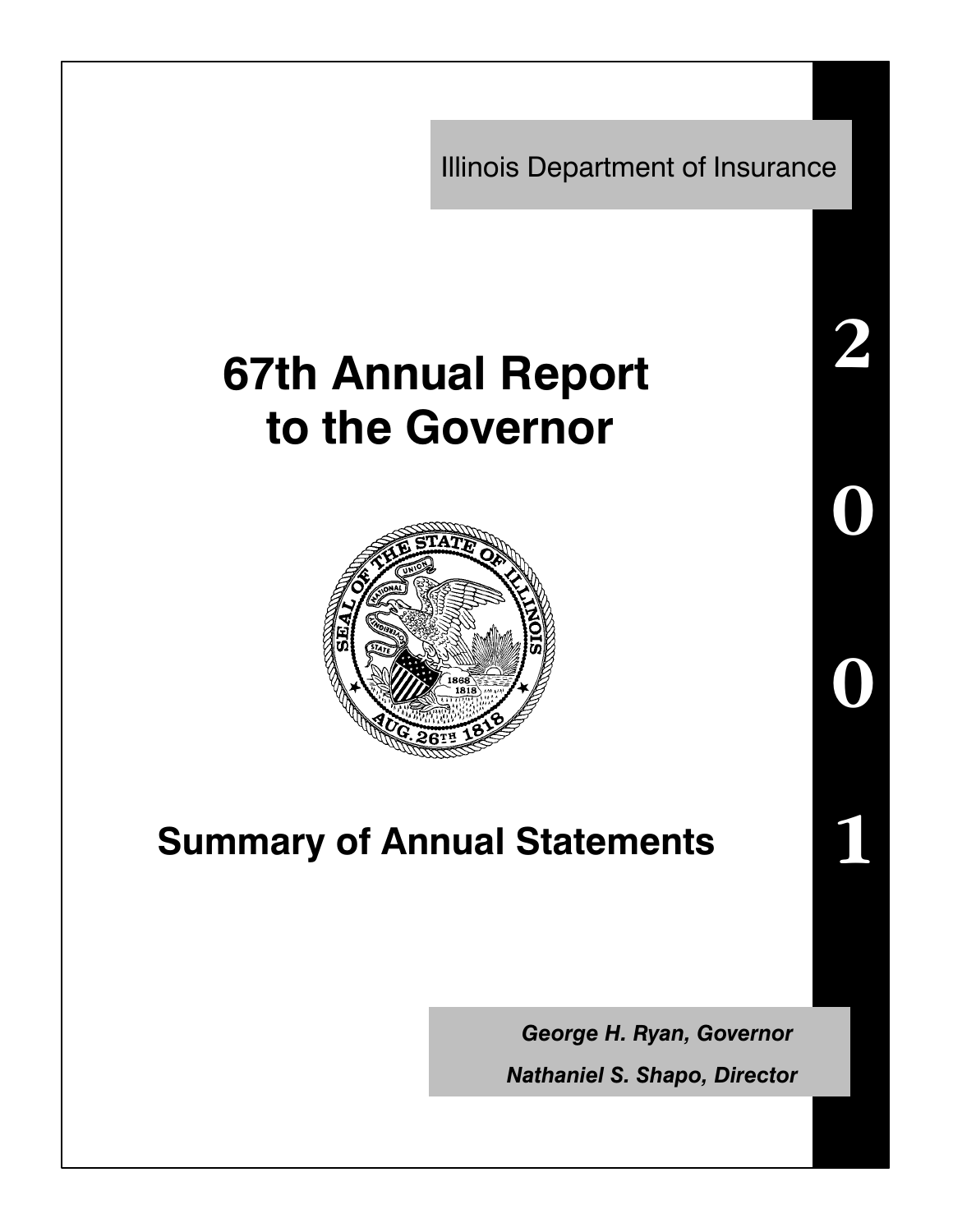**Illinois Department of Insurance** 

## **67th Annual Report** to the Governor



## **Summary of Annual Statements**

George H. Ryan, Governor **Nathaniel S. Shapo, Director**   $\overline{\phantom{a}}$ 

 $\boldsymbol{Z}$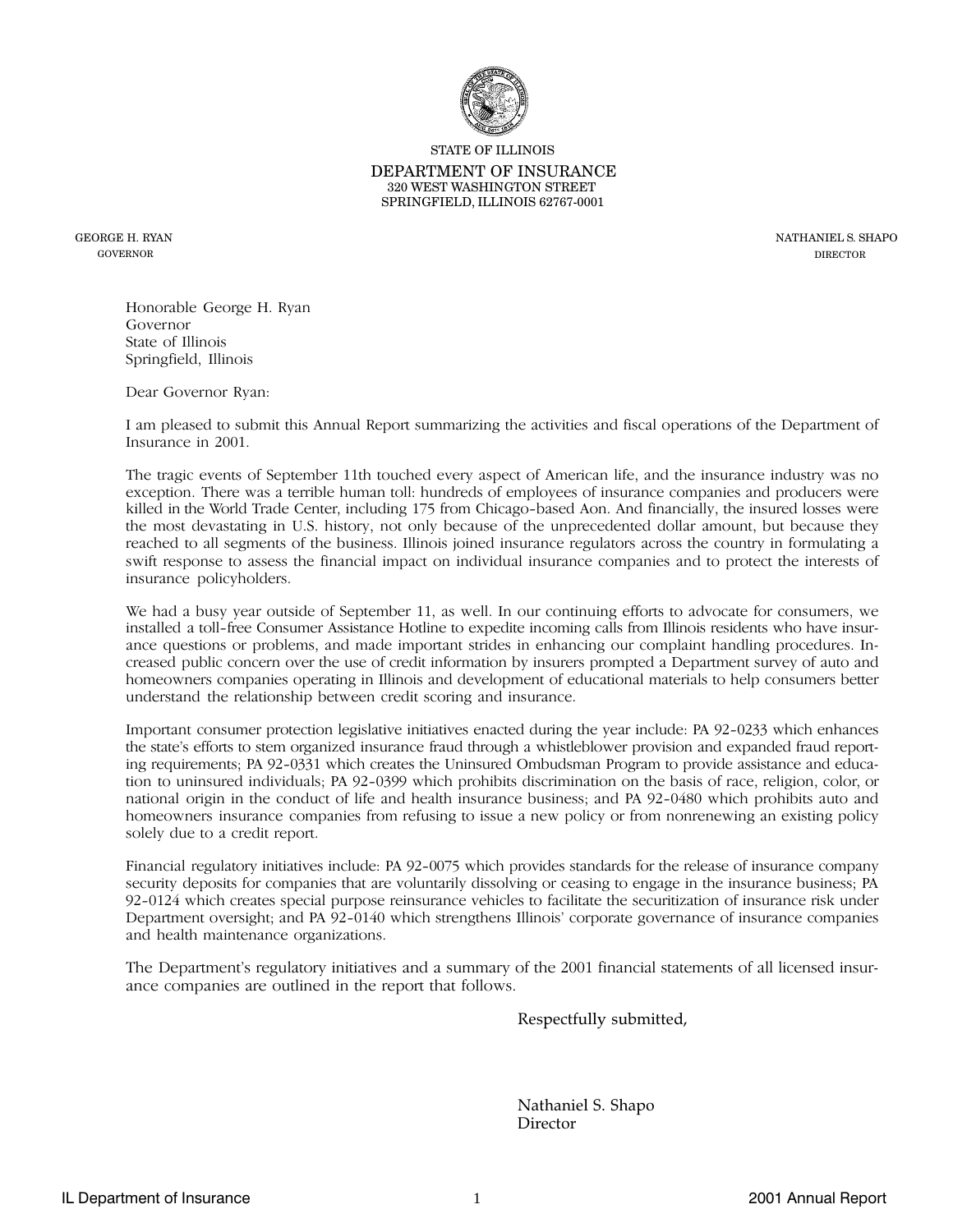

STATE OF ILLINOIS

#### DEPARTMENT OF INSURANCE 320 WEST WASHINGTON STREET SPRINGFIELD, ILLINOIS 62767-0001

**GEORGE H RYAN GOVERNOR** 

NATHANIELS SHAPO **DIRECTOR** 

Honorable George H. Ryan Governor State of Illinois Springfield, Illinois

Dear Governor Ryan:

I am pleased to submit this Annual Report summarizing the activities and fiscal operations of the Department of Insurance in 2001.

The tragic events of September 11th touched every aspect of American life, and the insurance industry was no exception. There was a terrible human toll: hundreds of employees of insurance companies and producers were killed in the World Trade Center, including 175 from Chicago-based Aon. And financially, the insured losses were the most devastating in U.S. history, not only because of the unprecedented dollar amount, but because they reached to all segments of the business. Illinois joined insurance regulators across the country in formulating a swift response to assess the financial impact on individual insurance companies and to protect the interests of insurance policyholders.

We had a busy year outside of September 11, as well. In our continuing efforts to advocate for consumers, we installed a toll-free Consumer Assistance Hotline to expedite incoming calls from Illinois residents who have insurance questions or problems, and made important strides in enhancing our complaint handling procedures. Increased public concern over the use of credit information by insurers prompted a Department survey of auto and homeowners companies operating in Illinois and development of educational materials to help consumers better understand the relationship between credit scoring and insurance.

Important consumer protection legislative initiatives enacted during the year include: PA 92-0233 which enhances the state's efforts to stem organized insurance fraud through a whistleblower provision and expanded fraud reporting requirements; PA 92-0331 which creates the Uninsured Ombudsman Program to provide assistance and education to uninsured individuals; PA 92-0399 which prohibits discrimination on the basis of race, religion, color, or national origin in the conduct of life and health insurance business; and PA 92-0480 which prohibits auto and homeowners insurance companies from refusing to issue a new policy or from nonrenewing an existing policy solely due to a credit report.

Financial regulatory initiatives include: PA 92-0075 which provides standards for the release of insurance company security deposits for companies that are voluntarily dissolving or ceasing to engage in the insurance business; PA 92-0124 which creates special purpose reinsurance vehicles to facilitate the securitization of insurance risk under Department oversight; and PA 92-0140 which strengthens Illinois' corporate governance of insurance companies and health maintenance organizations.

The Department's regulatory initiatives and a summary of the 2001 financial statements of all licensed insurance companies are outlined in the report that follows.

Respectfully submitted,

Nathaniel S. Shapo Director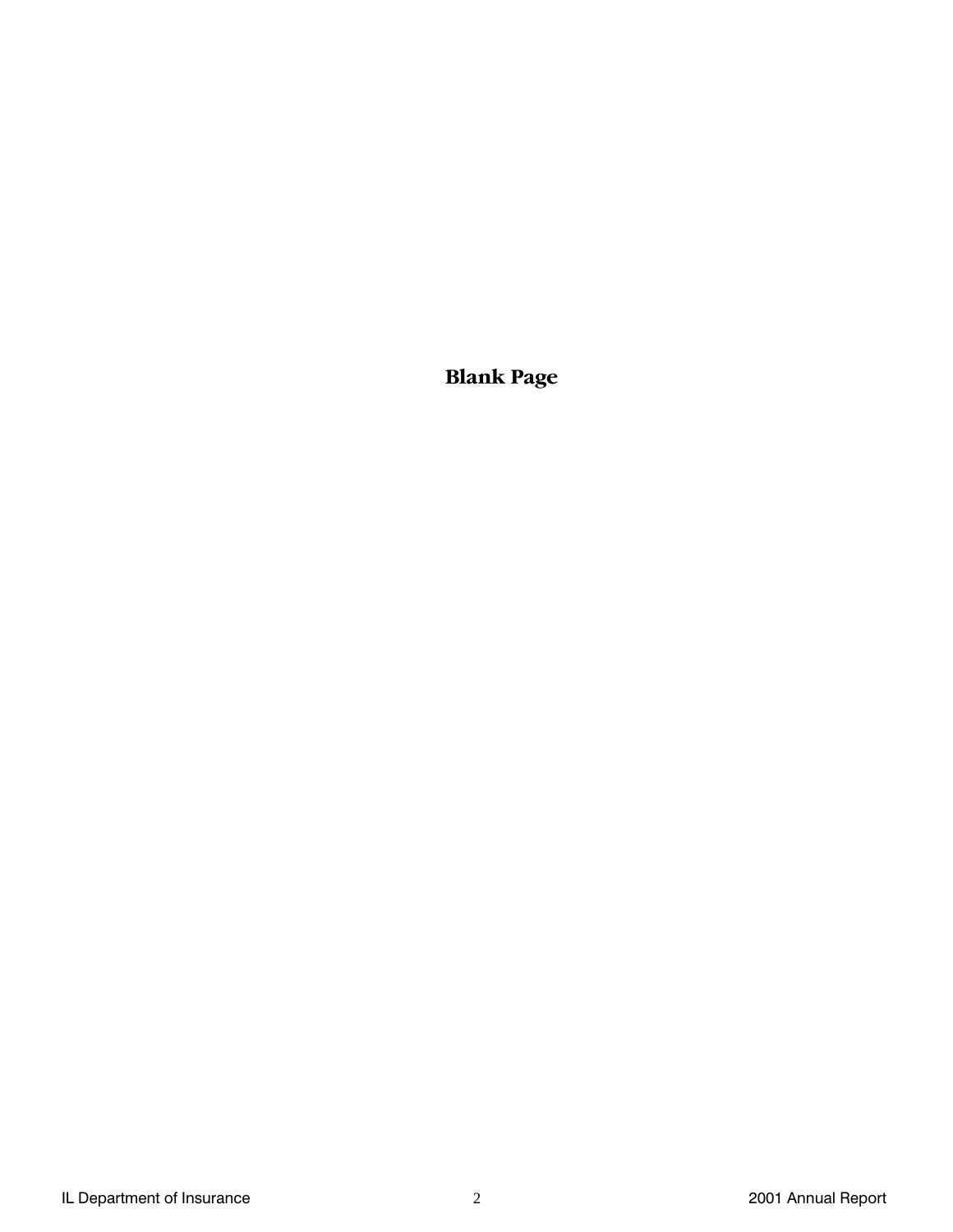**Blank Page**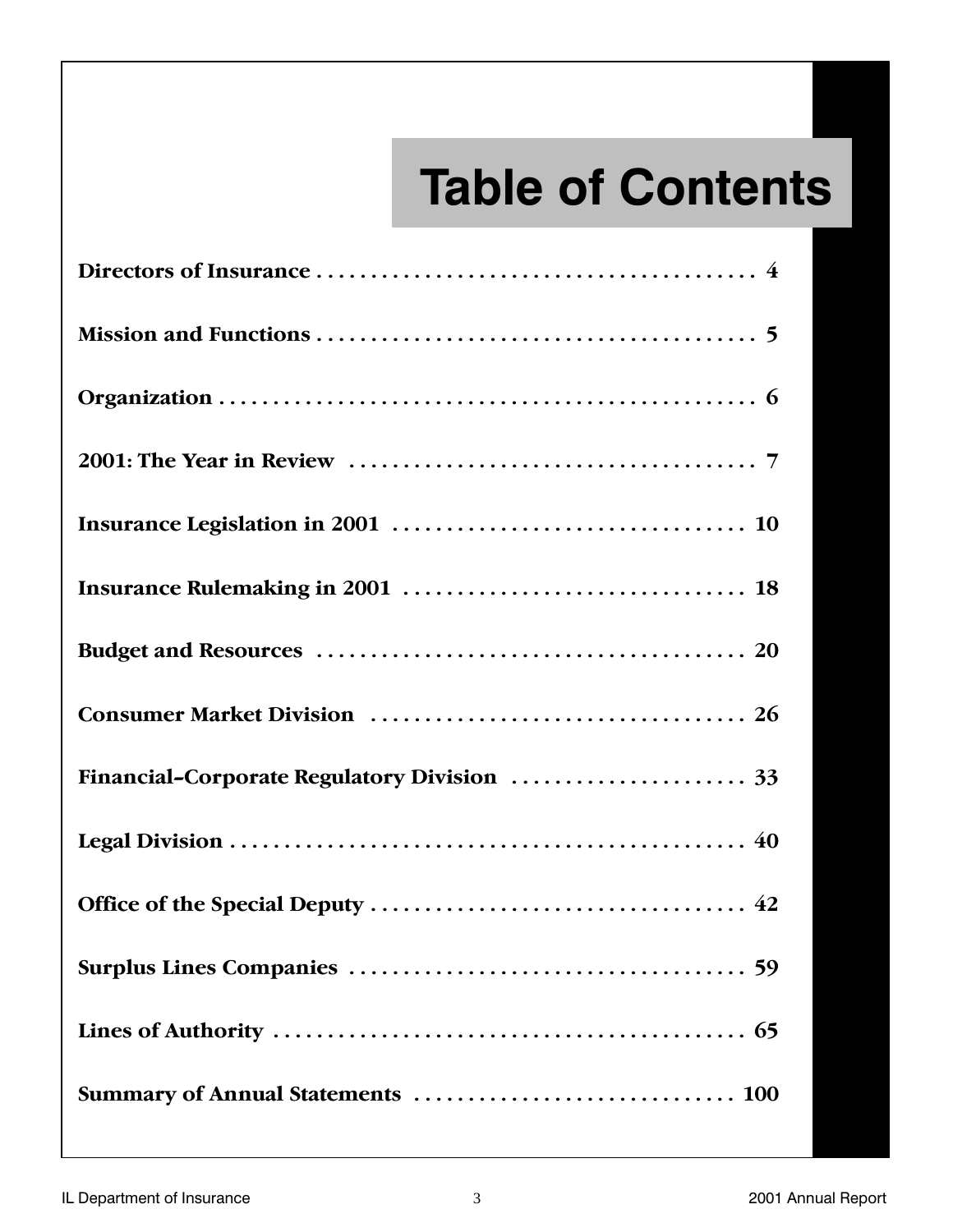## **Table of Contents**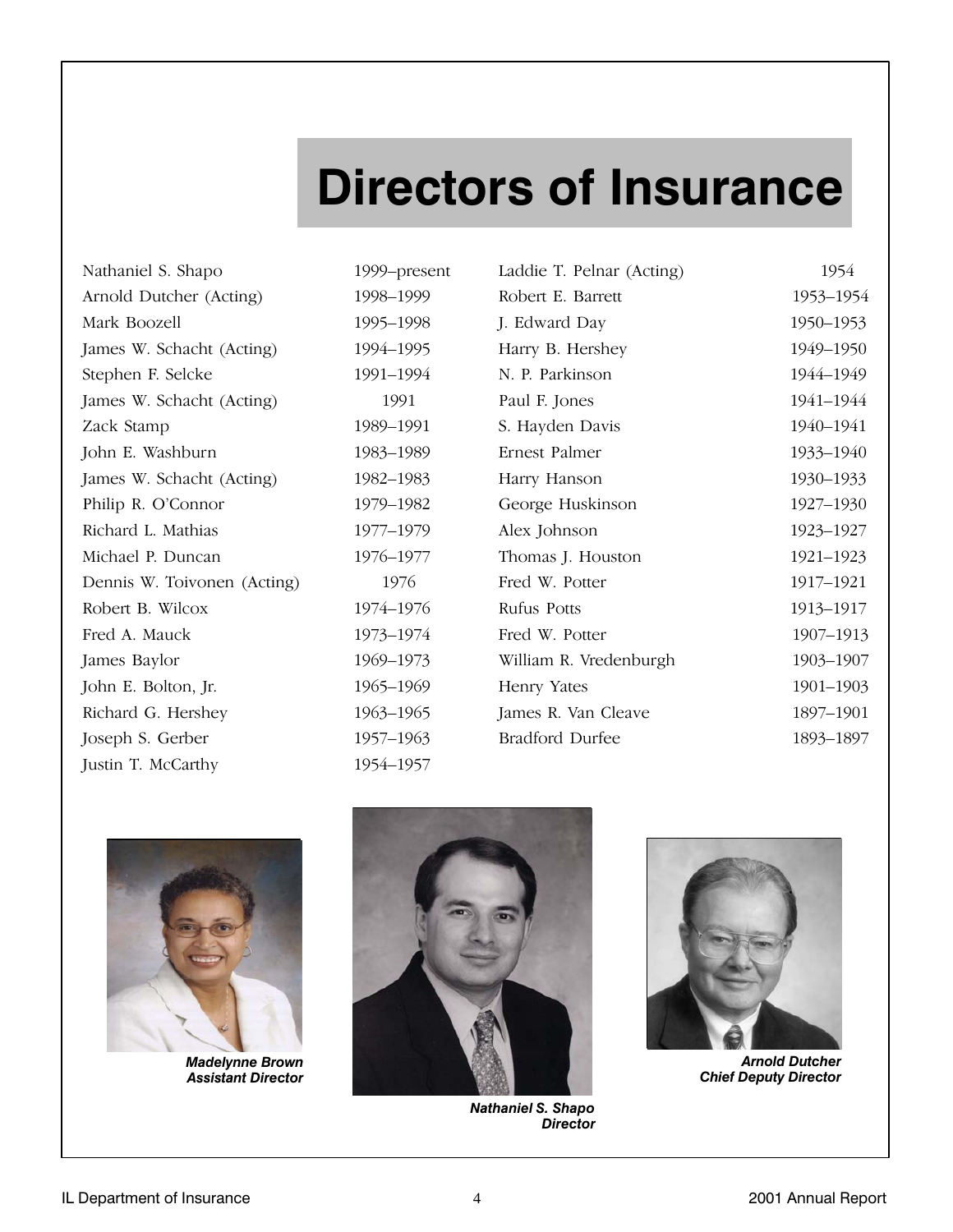## **Directors of Insurance**

| Nathaniel S. Shapo          |
|-----------------------------|
| Arnold Dutcher (Acting)     |
| Mark Boozell                |
| James W. Schacht (Acting)   |
| Stephen F. Selcke           |
| James W. Schacht (Acting)   |
| Zack Stamp                  |
| John E. Washburn            |
| James W. Schacht (Acting)   |
| Philip R. O'Connor          |
| Richard L. Mathias          |
| Michael P. Duncan           |
| Dennis W. Toivonen (Acting) |
| Robert B. Wilcox            |
| Fred A. Mauck               |
| James Baylor                |
| John E. Bolton, Jr.         |
| Richard G. Hershey          |
| Joseph S. Gerber            |
| Justin T. McCarthy          |

| 1999–present |
|--------------|
| 1998-1999    |
| 1995-1998    |
| 1994-1995    |
| 1991-1994    |
| 1991         |
| 1989-1991    |
| 1983-1989    |
| 1982–1983    |
| 1979-1982    |
| 1977-1979    |
| 1976-1977    |
| 1976         |
| 1974–1976    |
| 1973-1974    |
| 1969-1973    |
| 1965–1969    |
| 1963-1965    |
| 1957-1963    |
| 1954-1957    |
|              |

| Laddie T. Pelnar (Acting) | 1954      |
|---------------------------|-----------|
| Robert E. Barrett         | 1953-1954 |
| J. Edward Day             | 1950-1953 |
| Harry B. Hershey          | 1949-1950 |
| N. P. Parkinson           | 1944-1949 |
| Paul F. Jones             | 1941-1944 |
| S. Hayden Davis           | 1940-1941 |
| Ernest Palmer             | 1933-1940 |
| Harry Hanson              | 1930–1933 |
| George Huskinson          | 1927-1930 |
| Alex Johnson              | 1923-1927 |
| Thomas J. Houston         | 1921-1923 |
| Fred W. Potter            | 1917-1921 |
| Rufus Potts               | 1913-1917 |
| Fred W. Potter            | 1907-1913 |
| William R. Vredenburgh    | 1903-1907 |
| Henry Yates               | 1901-1903 |
| James R. Van Cleave       | 1897-1901 |
| <b>Bradford Durfee</b>    | 1893-1897 |
|                           |           |



**Madelynne Brown Assistant Director** 



**Nathaniel S. Shapo Director** 



**Arnold Dutcher Chief Deputy Director**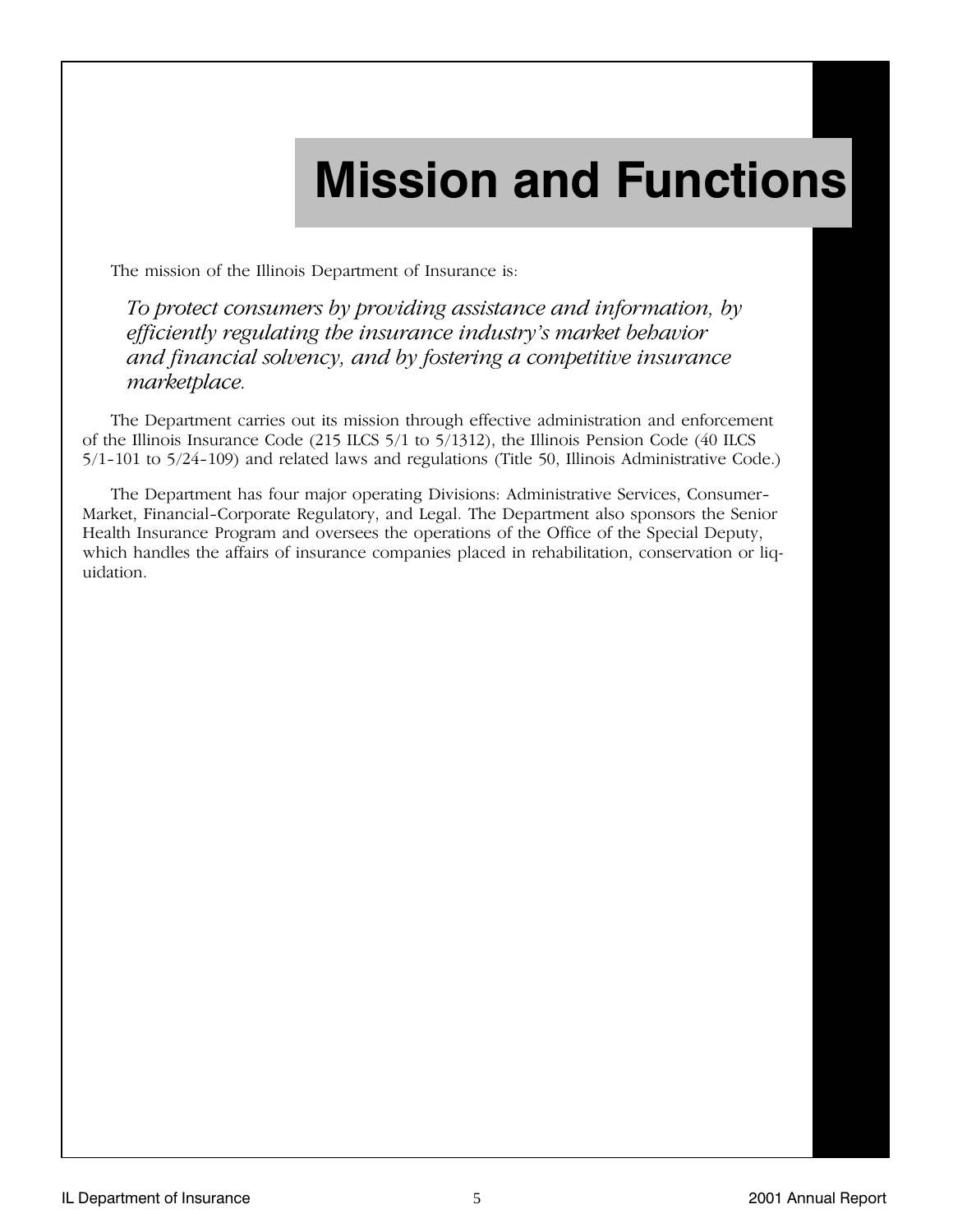## **Mission and Functions**

The mission of the Illinois Department of Insurance is:

To protect consumers by providing assistance and information, by efficiently regulating the insurance industry's market behavior and financial solvency, and by fostering a competitive insurance marketplace.

The Department carries out its mission through effective administration and enforcement of the Illinois Insurance Code (215 ILCS 5/1 to 5/1312), the Illinois Pension Code (40 ILCS  $5/1$ -101 to  $5/24$ -109) and related laws and regulations (Title 50, Illinois Administrative Code.)

The Department has four major operating Divisions: Administrative Services, Consumer-Market, Financial-Corporate Regulatory, and Legal. The Department also sponsors the Senior Health Insurance Program and oversees the operations of the Office of the Special Deputy, which handles the affairs of insurance companies placed in rehabilitation, conservation or liquidation.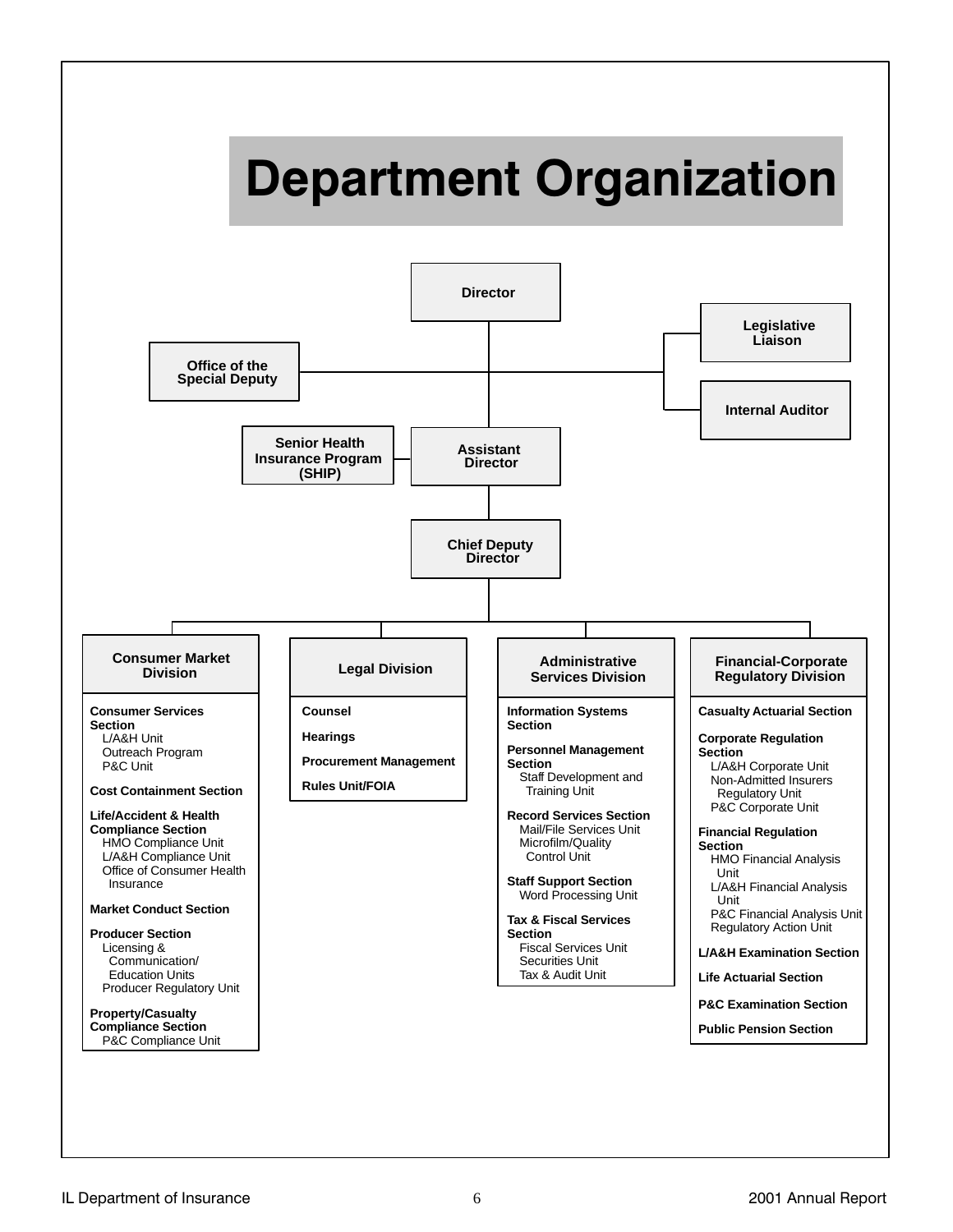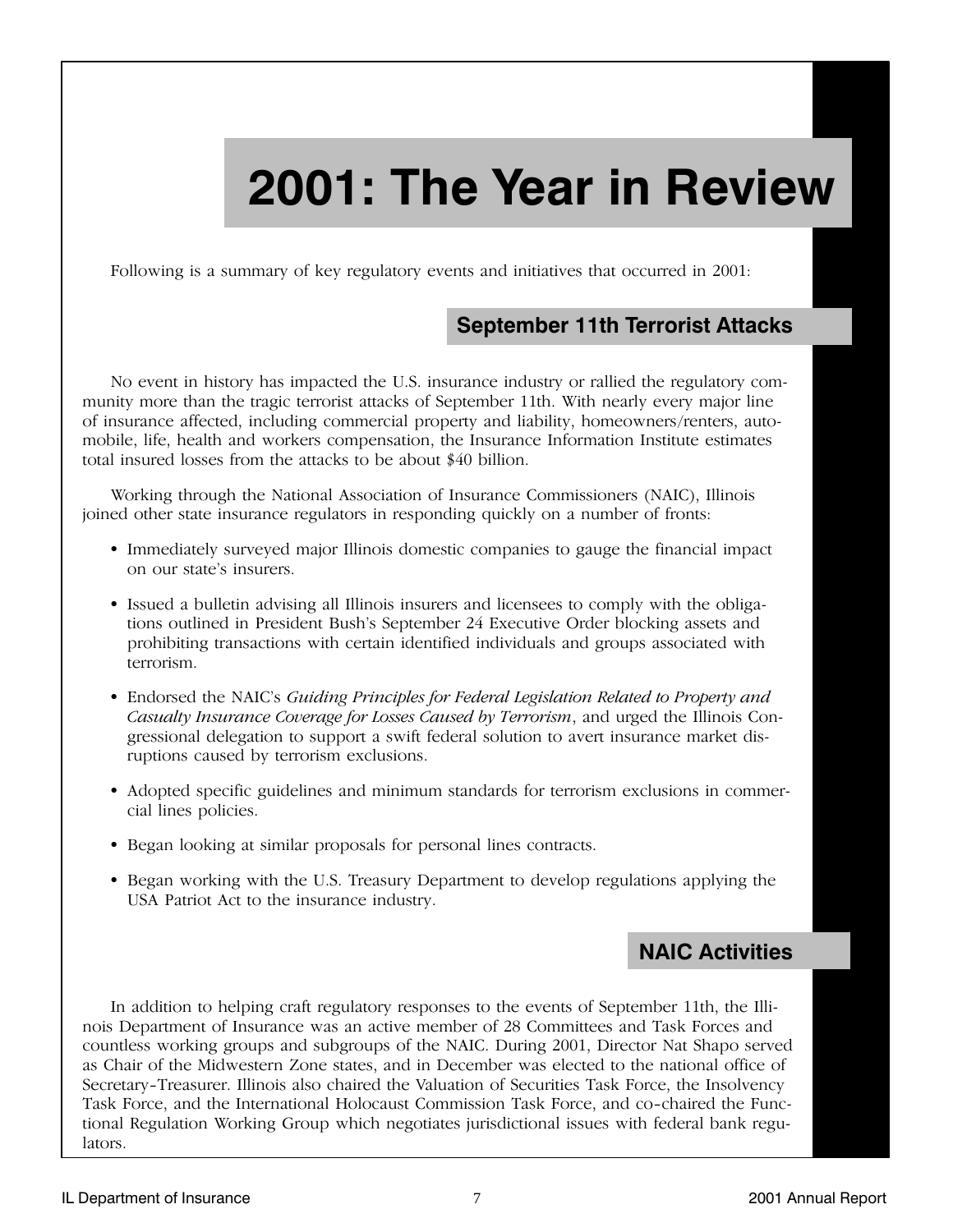# 2001: The Year in Review

Following is a summary of key regulatory events and initiatives that occurred in 2001:

## **September 11th Terrorist Attacks**

No event in history has impacted the U.S. insurance industry or rallied the regulatory community more than the tragic terrorist attacks of September 11th. With nearly every major line of insurance affected, including commercial property and liability, homeowners/renters, automobile, life, health and workers compensation, the Insurance Information Institute estimates total insured losses from the attacks to be about \$40 billion.

Working through the National Association of Insurance Commissioners (NAIC), Illinois joined other state insurance regulators in responding quickly on a number of fronts:

- Immediately surveyed major Illinois domestic companies to gauge the financial impact on our state's insurers.
- Issued a bulletin advising all Illinois insurers and licensees to comply with the obligations outlined in President Bush's September 24 Executive Order blocking assets and prohibiting transactions with certain identified individuals and groups associated with terrorism.
- Endorsed the NAIC's Guiding Principles for Federal Legislation Related to Property and Casualty Insurance Coverage for Losses Caused by Terrorism, and urged the Illinois Congressional delegation to support a swift federal solution to avert insurance market disruptions caused by terrorism exclusions.
- Adopted specific guidelines and minimum standards for terrorism exclusions in commercial lines policies.
- Began looking at similar proposals for personal lines contracts.
- Began working with the U.S. Treasury Department to develop regulations applying the USA Patriot Act to the insurance industry.

## **NAIC Activities**

In addition to helping craft regulatory responses to the events of September 11th, the Illinois Department of Insurance was an active member of 28 Committees and Task Forces and countless working groups and subgroups of the NAIC. During 2001, Director Nat Shapo served as Chair of the Midwestern Zone states, and in December was elected to the national office of Secretary-Treasurer. Illinois also chaired the Valuation of Securities Task Force, the Insolvency Task Force, and the International Holocaust Commission Task Force, and co-chaired the Functional Regulation Working Group which negotiates jurisdictional issues with federal bank regulators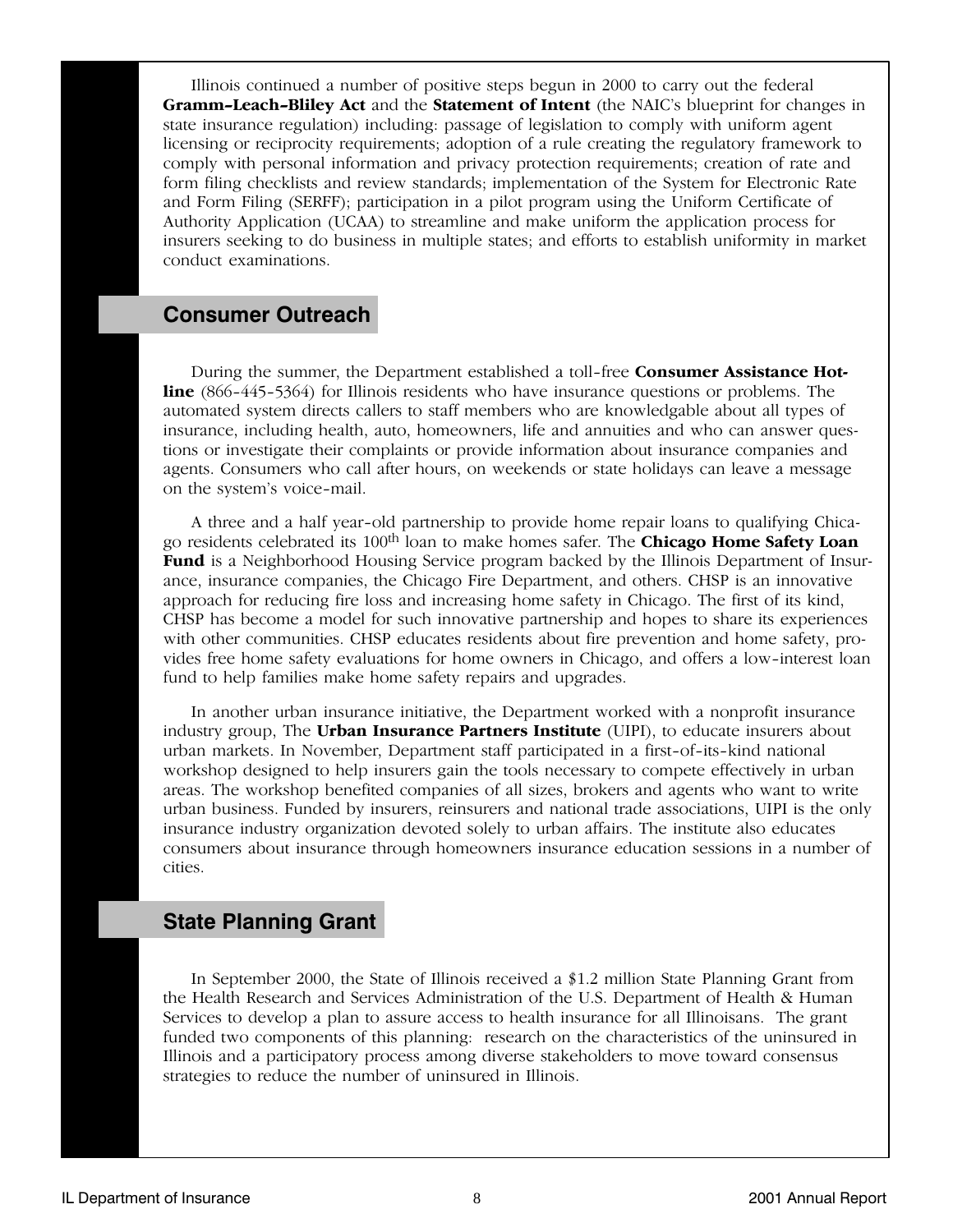Illinois continued a number of positive steps begun in 2000 to carry out the federal Gramm-Leach-Bliley Act and the Statement of Intent (the NAIC's blueprint for changes in state insurance regulation) including: passage of legislation to comply with uniform agent licensing or reciprocity requirements; adoption of a rule creating the regulatory framework to comply with personal information and privacy protection requirements; creation of rate and form filing checklists and review standards; implementation of the System for Electronic Rate and Form Filing (SERFF); participation in a pilot program using the Uniform Certificate of Authority Application (UCAA) to streamline and make uniform the application process for insurers seeking to do business in multiple states; and efforts to establish uniformity in market conduct examinations.

### **Consumer Outreach**

During the summer, the Department established a toll-free Consumer Assistance Hot**line** (866-445-5364) for Illinois residents who have insurance questions or problems. The automated system directs callers to staff members who are knowledgable about all types of insurance, including health, auto, homeowners, life and annuities and who can answer questions or investigate their complaints or provide information about insurance companies and agents. Consumers who call after hours, on weekends or state holidays can leave a message on the system's voice-mail.

A three and a half year-old partnership to provide home repair loans to qualifying Chicago residents celebrated its 100<sup>th</sup> loan to make homes safer. The **Chicago Home Safety Loan Fund** is a Neighborhood Housing Service program backed by the Illinois Department of Insurance, insurance companies, the Chicago Fire Department, and others. CHSP is an innovative approach for reducing fire loss and increasing home safety in Chicago. The first of its kind, CHSP has become a model for such innovative partnership and hopes to share its experiences with other communities. CHSP educates residents about fire prevention and home safety, provides free home safety evaluations for home owners in Chicago, and offers a low-interest loan fund to help families make home safety repairs and upgrades.

In another urban insurance initiative, the Department worked with a nonprofit insurance industry group, The Urban Insurance Partners Institute (UIPI), to educate insurers about urban markets. In November, Department staff participated in a first-of-its-kind national workshop designed to help insurers gain the tools necessary to compete effectively in urban areas. The workshop benefited companies of all sizes, brokers and agents who want to write urban business. Funded by insurers, reinsurers and national trade associations, UIPI is the only insurance industry organization devoted solely to urban affairs. The institute also educates consumers about insurance through homeowners insurance education sessions in a number of cities.

### **State Planning Grant**

In September 2000, the State of Illinois received a  $$1.2$  million State Planning Grant from the Health Research and Services Administration of the U.S. Department of Health & Human Services to develop a plan to assure access to health insurance for all Illinoisans. The grant funded two components of this planning: research on the characteristics of the uninsured in Illinois and a participatory process among diverse stakeholders to move toward consensus strategies to reduce the number of uninsured in Illinois.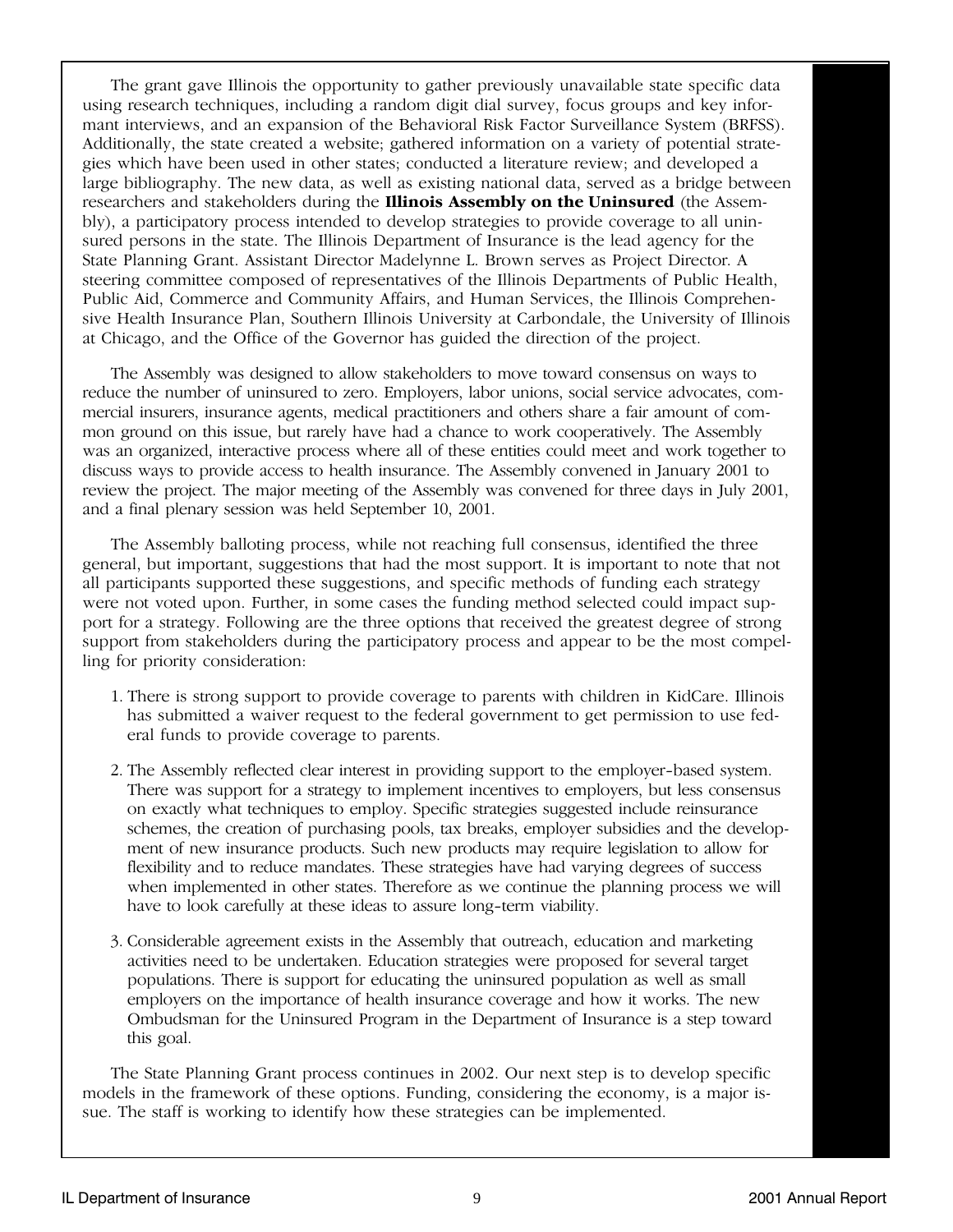The grant gave Illinois the opportunity to gather previously unavailable state specific data using research techniques, including a random digit dial survey, focus groups and key informant interviews, and an expansion of the Behavioral Risk Factor Surveillance System (BRFSS). Additionally, the state created a website; gathered information on a variety of potential strategies which have been used in other states; conducted a literature review; and developed a large bibliography. The new data, as well as existing national data, served as a bridge between researchers and stakeholders during the **Illinois Assembly on the Uninsured** (the Assembly), a participatory process intended to develop strategies to provide coverage to all uninsured persons in the state. The Illinois Department of Insurance is the lead agency for the State Planning Grant. Assistant Director Madelynne L. Brown serves as Project Director. A steering committee composed of representatives of the Illinois Departments of Public Health, Public Aid, Commerce and Community Affairs, and Human Services, the Illinois Comprehensive Health Insurance Plan, Southern Illinois University at Carbondale, the University of Illinois at Chicago, and the Office of the Governor has guided the direction of the project.

The Assembly was designed to allow stakeholders to move toward consensus on ways to reduce the number of uninsured to zero. Employers, labor unions, social service advocates, commercial insurers, insurance agents, medical practitioners and others share a fair amount of common ground on this issue, but rarely have had a chance to work cooperatively. The Assembly was an organized, interactive process where all of these entities could meet and work together to discuss ways to provide access to health insurance. The Assembly convened in January 2001 to review the project. The major meeting of the Assembly was convened for three days in July 2001, and a final plenary session was held September 10, 2001.

The Assembly balloting process, while not reaching full consensus, identified the three general, but important, suggestions that had the most support. It is important to note that not all participants supported these suggestions, and specific methods of funding each strategy were not voted upon. Further, in some cases the funding method selected could impact support for a strategy. Following are the three options that received the greatest degree of strong support from stakeholders during the participatory process and appear to be the most compelling for priority consideration:

- 1. There is strong support to provide coverage to parents with children in KidCare. Illinois has submitted a waiver request to the federal government to get permission to use federal funds to provide coverage to parents.
- 2. The Assembly reflected clear interest in providing support to the employer-based system. There was support for a strategy to implement incentives to employers, but less consensus on exactly what techniques to employ. Specific strategies suggested include reinsurance schemes, the creation of purchasing pools, tax breaks, employer subsidies and the development of new insurance products. Such new products may require legislation to allow for flexibility and to reduce mandates. These strategies have had varying degrees of success when implemented in other states. Therefore as we continue the planning process we will have to look carefully at these ideas to assure long-term viability.
- 3. Considerable agreement exists in the Assembly that outreach, education and marketing activities need to be undertaken. Education strategies were proposed for several target populations. There is support for educating the uninsured population as well as small employers on the importance of health insurance coverage and how it works. The new Ombudsman for the Uninsured Program in the Department of Insurance is a step toward this goal.

The State Planning Grant process continues in 2002. Our next step is to develop specific models in the framework of these options. Funding, considering the economy, is a major issue. The staff is working to identify how these strategies can be implemented.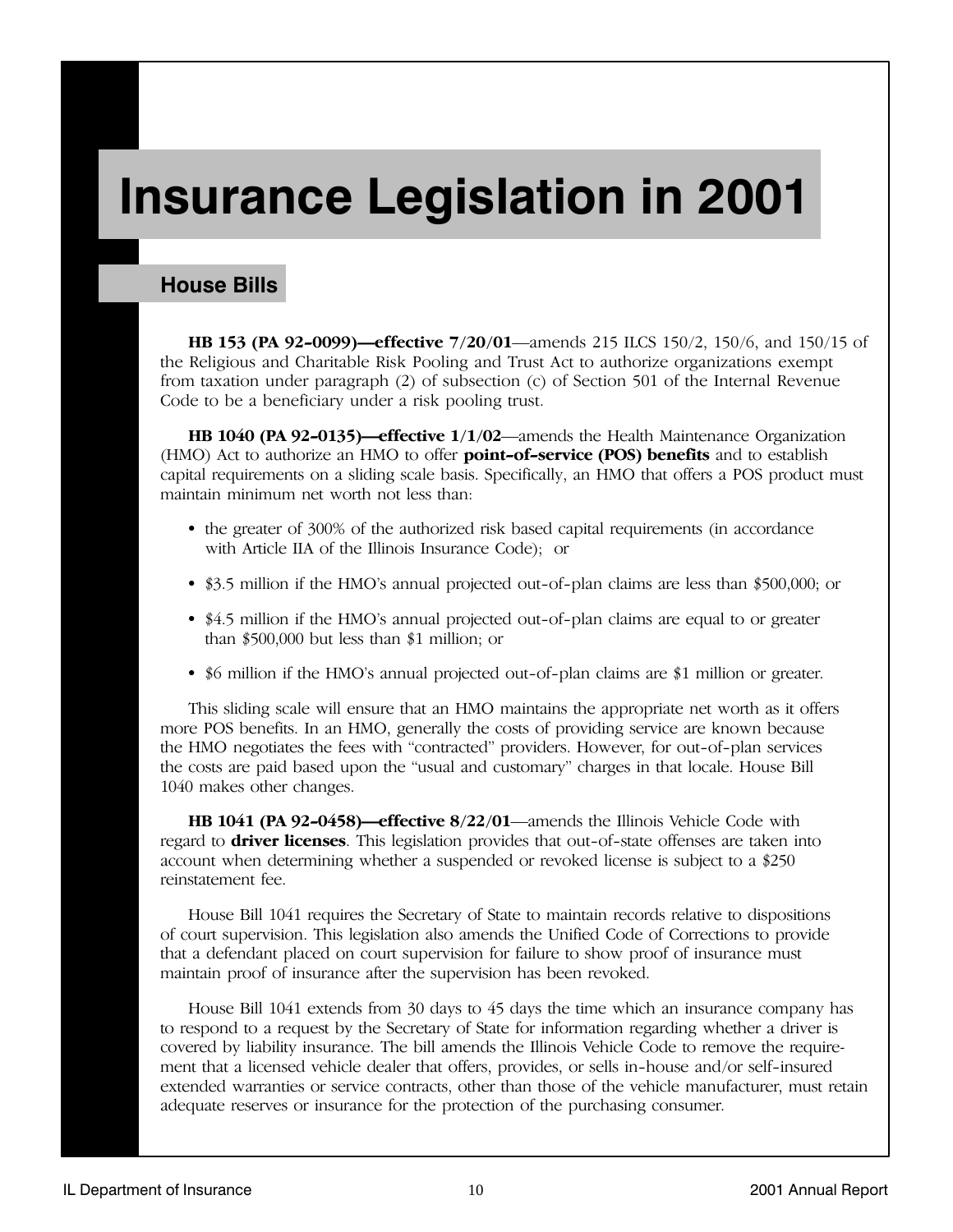## **Insurance Legislation in 2001**

## **House Bills**

**HB 153 (PA 92-0099)—effective 7/20/01—amends 215 ILCS 150/2, 150/6, and 150/15 of** the Religious and Charitable Risk Pooling and Trust Act to authorize organizations exempt from taxation under paragraph (2) of subsection (c) of Section 501 of the Internal Revenue Code to be a beneficiary under a risk pooling trust.

HB 1040 (PA 92-0135)—effective 1/1/02—amends the Health Maintenance Organization (HMO) Act to authorize an HMO to offer **point-of-service (POS) benefits** and to establish capital requirements on a sliding scale basis. Specifically, an HMO that offers a POS product must maintain minimum net worth not less than:

- the greater of 300% of the authorized risk based capital requirements (in accordance with Article IIA of the Illinois Insurance Code); or
- \$3.5 million if the HMO's annual projected out-of-plan claims are less than \$500,000; or
- \$4.5 million if the HMO's annual projected out-of-plan claims are equal to or greater than  $$500,000$  but less than \$1 million; or
- \$6 million if the HMO's annual projected out-of-plan claims are \$1 million or greater.

This sliding scale will ensure that an HMO maintains the appropriate net worth as it offers more POS benefits. In an HMO, generally the costs of providing service are known because the HMO negotiates the fees with "contracted" providers. However, for out-of-plan services the costs are paid based upon the "usual and customary" charges in that locale. House Bill 1040 makes other changes.

HB 1041 (PA 92-0458)—effective 8/22/01—amends the Illinois Vehicle Code with regard to **driver licenses**. This legislation provides that out-of-state offenses are taken into account when determining whether a suspended or revoked license is subject to a \$250 reinstatement fee.

House Bill 1041 requires the Secretary of State to maintain records relative to dispositions of court supervision. This legislation also amends the Unified Code of Corrections to provide that a defendant placed on court supervision for failure to show proof of insurance must maintain proof of insurance after the supervision has been revoked.

House Bill 1041 extends from 30 days to 45 days the time which an insurance company has to respond to a request by the Secretary of State for information regarding whether a driver is covered by liability insurance. The bill amends the Illinois Vehicle Code to remove the requirement that a licensed vehicle dealer that offers, provides, or sells in-house and/or self-insured extended warranties or service contracts, other than those of the vehicle manufacturer, must retain adequate reserves or insurance for the protection of the purchasing consumer.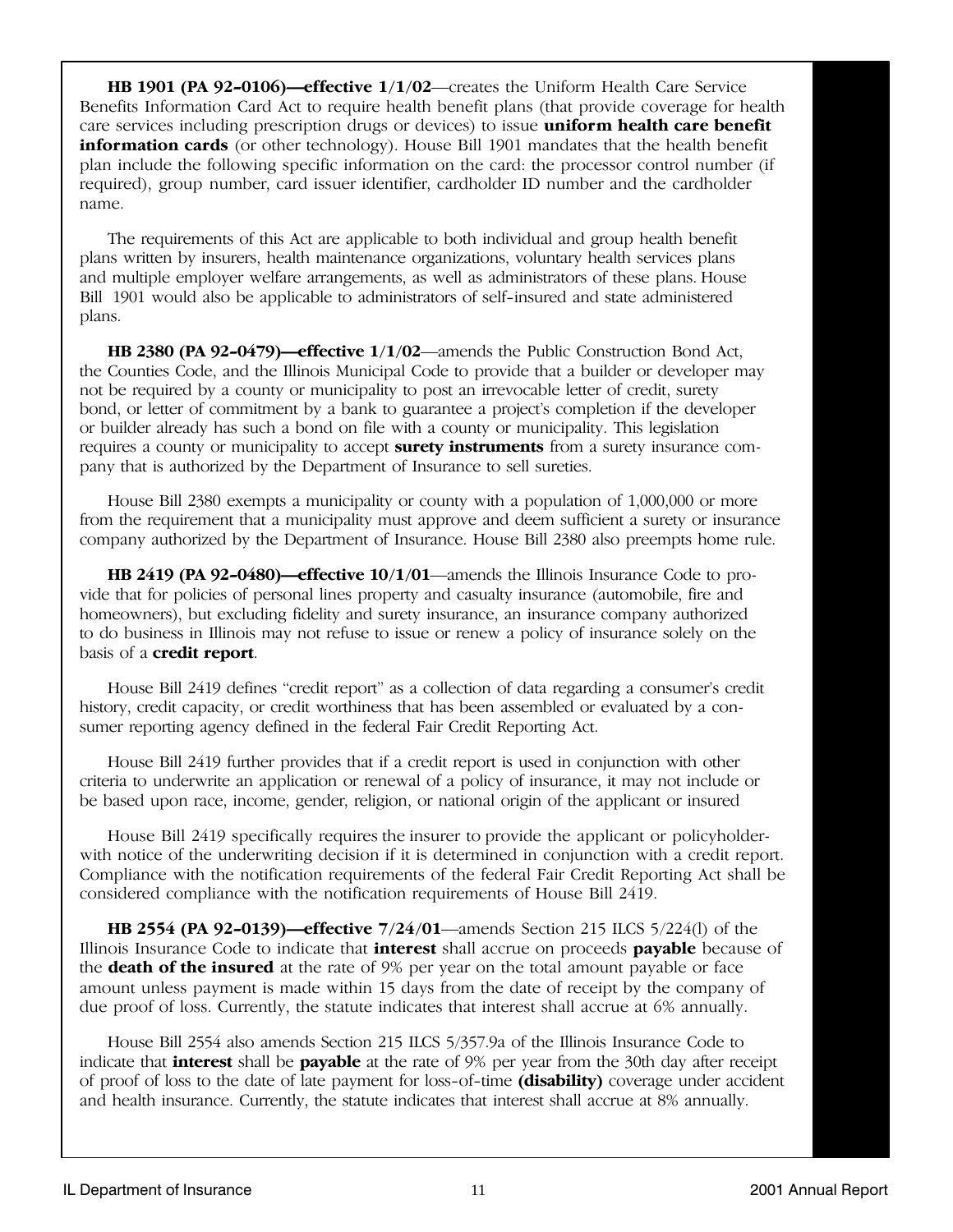HB 1901 (PA 92-0106)—effective 1/1/02—creates the Uniform Health Care Service Benefits Information Card Act to require health benefit plans (that provide coverage for health care services including prescription drugs or devices) to issue **uniform health care benefit information cards** (or other technology). House Bill 1901 mandates that the health benefit plan include the following specific information on the card: the processor control number (if required), group number, card issuer identifier, cardholder ID number and the cardholder name.

The requirements of this Act are applicable to both individual and group health benefit plans written by insurers, health maintenance organizations, voluntary health services plans and multiple employer welfare arrangements, as well as administrators of these plans. House Bill 1901 would also be applicable to administrators of self-insured and state administered plans.

HB 2380 (PA 92-0479)—effective 1/1/02—amends the Public Construction Bond Act, the Counties Code, and the Illinois Municipal Code to provide that a builder or developer may not be required by a county or municipality to post an irrevocable letter of credit, surety bond, or letter of commitment by a bank to guarantee a project's completion if the developer or builder already has such a bond on file with a county or municipality. This legislation requires a county or municipality to accept **surety instruments** from a surety insurance company that is authorized by the Department of Insurance to sell sureties.

House Bill 2380 exempts a municipality or county with a population of 1,000,000 or more from the requirement that a municipality must approve and deem sufficient a surety or insurance company authorized by the Department of Insurance. House Bill 2380 also preempts home rule.

HB 2419 (PA 92-0480)—effective 10/1/01—amends the Illinois Insurance Code to provide that for policies of personal lines property and casualty insurance (automobile, fire and homeowners), but excluding fidelity and surety insurance, an insurance company authorized to do business in Illinois may not refuse to issue or renew a policy of insurance solely on the basis of a **credit report**.

House Bill 2419 defines "credit report" as a collection of data regarding a consumer's credit history, credit capacity, or credit worthiness that has been assembled or evaluated by a consumer reporting agency defined in the federal Fair Credit Reporting Act.

House Bill 2419 further provides that if a credit report is used in conjunction with other criteria to underwrite an application or renewal of a policy of insurance, it may not include or be based upon race, income, gender, religion, or national origin of the applicant or insured

House Bill 2419 specifically requires the insurer to provide the applicant or policyholderwith notice of the underwriting decision if it is determined in conjunction with a credit report. Compliance with the notification requirements of the federal Fair Credit Reporting Act shall be considered compliance with the notification requirements of House Bill 2419.

**HB 2554 (PA 92-0139)—effective 7/24/01—amends Section 215 ILCS 5/224(l) of the** Illinois Insurance Code to indicate that **interest** shall accrue on proceeds **payable** because of the death of the insured at the rate of 9% per year on the total amount payable or face amount unless payment is made within 15 days from the date of receipt by the company of due proof of loss. Currently, the statute indicates that interest shall accrue at 6% annually.

House Bill 2554 also amends Section 215 ILCS 5/357.9a of the Illinois Insurance Code to indicate that **interest** shall be **payable** at the rate of 9% per year from the 30th day after receipt of proof of loss to the date of late payment for loss-of-time (disability) coverage under accident and health insurance. Currently, the statute indicates that interest shall accrue at 8% annually.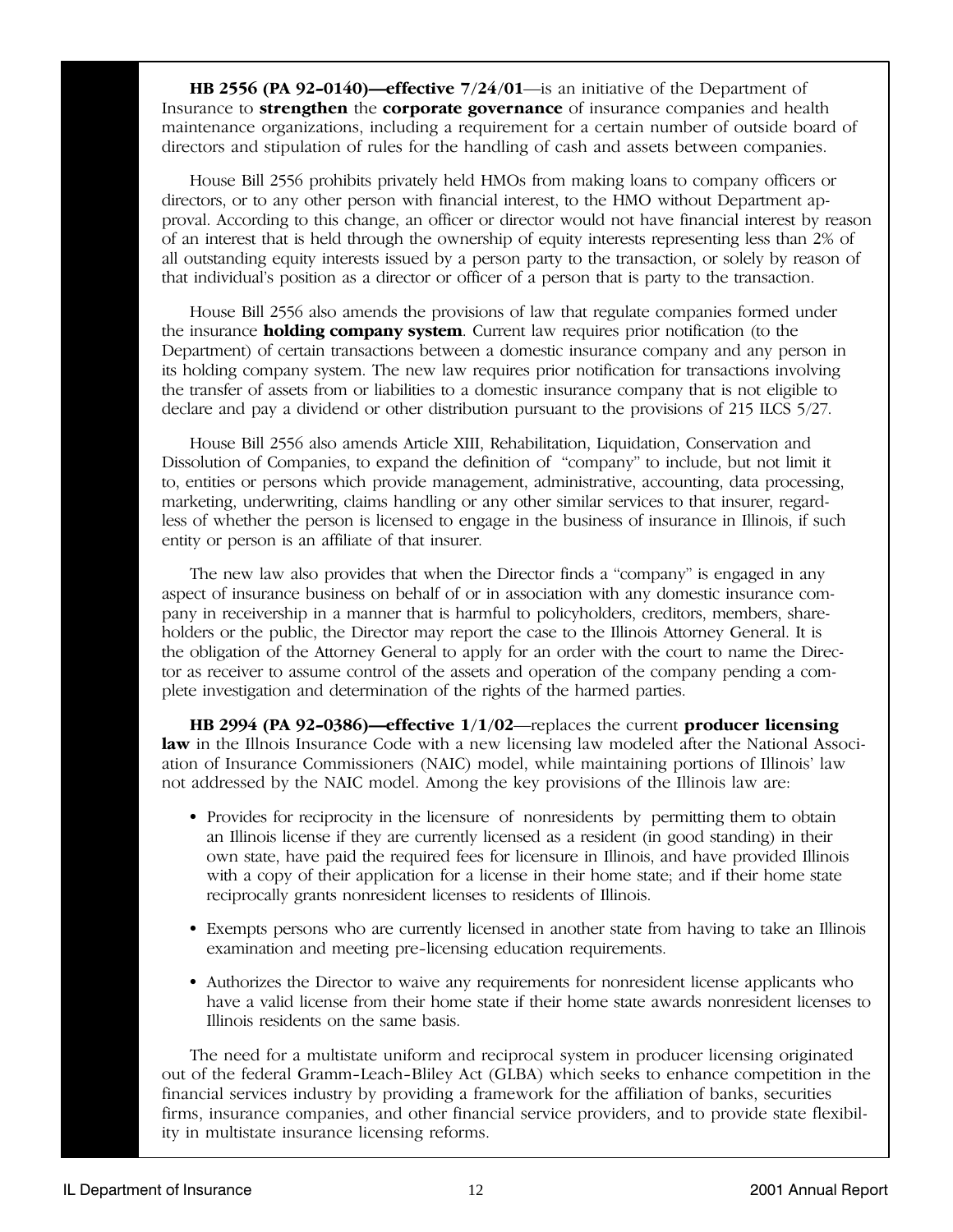HB 2556 (PA  $92-0140$ )—effective  $7/24/01$ —is an initiative of the Department of Insurance to **strengthen** the **corporate governance** of insurance companies and health maintenance organizations, including a requirement for a certain number of outside board of directors and stipulation of rules for the handling of cash and assets between companies.

House Bill 2556 prohibits privately held HMOs from making loans to company officers or directors, or to any other person with financial interest, to the HMO without Department approval. According to this change, an officer or director would not have financial interest by reason of an interest that is held through the ownership of equity interests representing less than 2% of all outstanding equity interests issued by a person party to the transaction, or solely by reason of that individual's position as a director or officer of a person that is party to the transaction.

House Bill 2556 also amends the provisions of law that regulate companies formed under the insurance **holding company system**. Current law requires prior notification (to the Department) of certain transactions between a domestic insurance company and any person in its holding company system. The new law requires prior notification for transactions involving the transfer of assets from or liabilities to a domestic insurance company that is not eligible to declare and pay a dividend or other distribution pursuant to the provisions of  $215$  ILCS  $5/27$ .

House Bill 2556 also amends Article XIII, Rehabilitation, Liquidation, Conservation and Dissolution of Companies, to expand the definition of "company" to include, but not limit it to, entities or persons which provide management, administrative, accounting, data processing, marketing, underwriting, claims handling or any other similar services to that insurer, regardless of whether the person is licensed to engage in the business of insurance in Illinois, if such entity or person is an affiliate of that insurer.

The new law also provides that when the Director finds a "company" is engaged in any aspect of insurance business on behalf of or in association with any domestic insurance company in receivership in a manner that is harmful to policyholders, creditors, members, shareholders or the public, the Director may report the case to the Illinois Attorney General. It is the obligation of the Attorney General to apply for an order with the court to name the Director as receiver to assume control of the assets and operation of the company pending a complete investigation and determination of the rights of the harmed parties.

HB 2994 (PA 92-0386)—effective  $1/1/02$ —replaces the current producer licensing law in the Illnois Insurance Code with a new licensing law modeled after the National Association of Insurance Commissioners (NAIC) model, while maintaining portions of Illinois' law not addressed by the NAIC model. Among the key provisions of the Illinois law are:

- Provides for reciprocity in the licensure of nonresidents by permitting them to obtain an Illinois license if they are currently licensed as a resident (in good standing) in their own state, have paid the required fees for licensure in Illinois, and have provided Illinois with a copy of their application for a license in their home state; and if their home state reciprocally grants nonresident licenses to residents of Illinois.
- Exempts persons who are currently licensed in another state from having to take an Illinois examination and meeting pre-licensing education requirements.
- Authorizes the Director to waive any requirements for nonresident license applicants who have a valid license from their home state if their home state awards nonresident licenses to Illinois residents on the same basis.

The need for a multistate uniform and reciprocal system in producer licensing originated out of the federal Gramm-Leach-Bliley Act (GLBA) which seeks to enhance competition in the financial services industry by providing a framework for the affiliation of banks, securities firms, insurance companies, and other financial service providers, and to provide state flexibility in multistate insurance licensing reforms.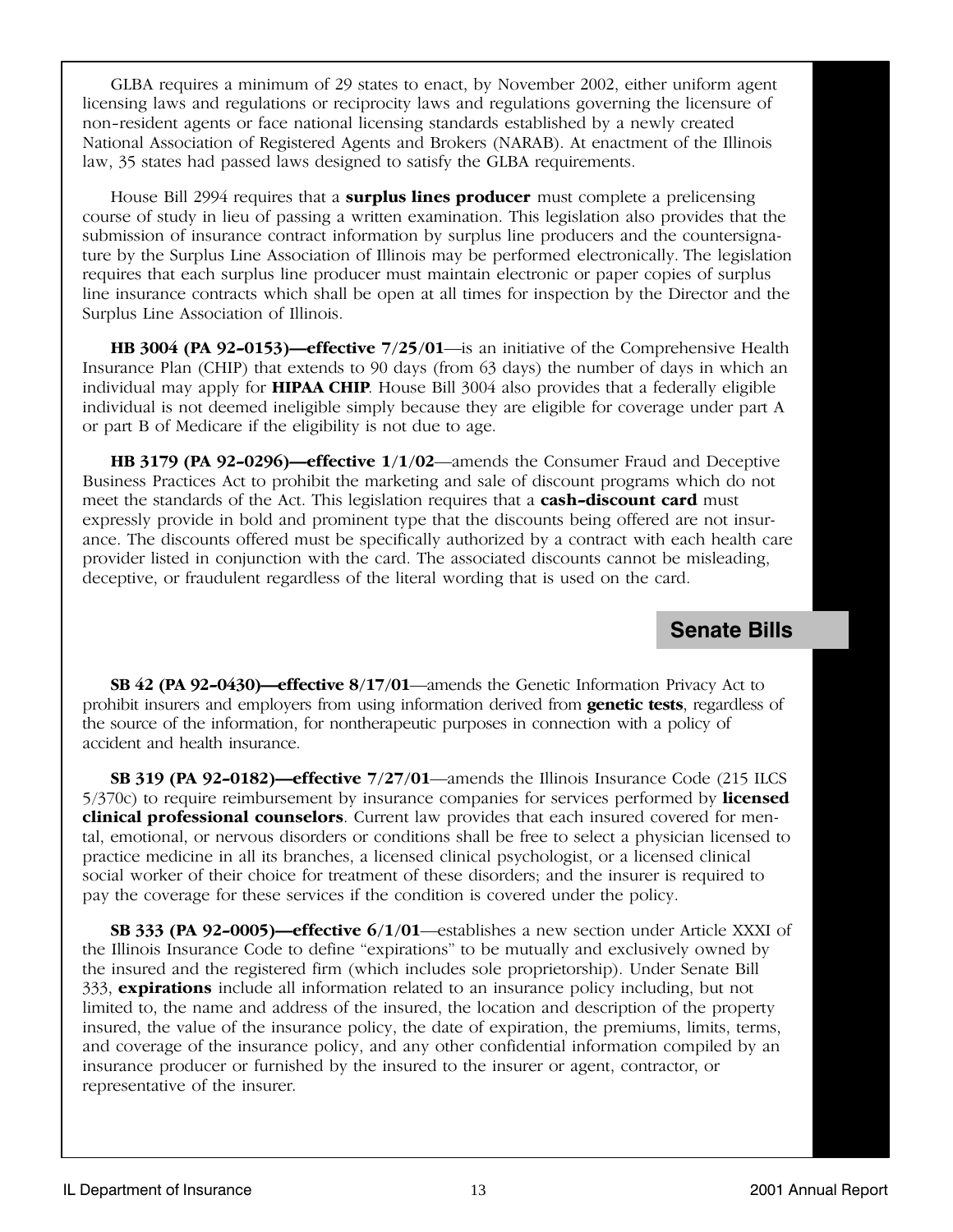GLBA requires a minimum of 29 states to enact, by November 2002, either uniform agent licensing laws and regulations or reciprocity laws and regulations governing the licensure of non-resident agents or face national licensing standards established by a newly created National Association of Registered Agents and Brokers (NARAB). At enactment of the Illinois law, 35 states had passed laws designed to satisfy the GLBA requirements.

House Bill 2994 requires that a **surplus lines producer** must complete a prelicensing course of study in lieu of passing a written examination. This legislation also provides that the submission of insurance contract information by surplus line producers and the countersignature by the Surplus Line Association of Illinois may be performed electronically. The legislation requires that each surplus line producer must maintain electronic or paper copies of surplus line insurance contracts which shall be open at all times for inspection by the Director and the Surplus Line Association of Illinois.

HB 3004 (PA 92-0153)—effective 7/25/01—is an initiative of the Comprehensive Health Insurance Plan (CHIP) that extends to 90 days (from 63 days) the number of days in which an individual may apply for **HIPAA CHIP**. House Bill 3004 also provides that a federally eligible individual is not deemed ineligible simply because they are eligible for coverage under part A or part B of Medicare if the eligibility is not due to age.

HB 3179 (PA 92-0296)—effective 1/1/02—amends the Consumer Fraud and Deceptive Business Practices Act to prohibit the marketing and sale of discount programs which do not meet the standards of the Act. This legislation requires that a **cash-discount card** must expressly provide in bold and prominent type that the discounts being offered are not insurance. The discounts offered must be specifically authorized by a contract with each health care provider listed in conjunction with the card. The associated discounts cannot be misleading, deceptive, or fraudulent regardless of the literal wording that is used on the card.

### **Senate Bills**

**SB 42 (PA 92-0430)—effective 8/17/01—amends the Genetic Information Privacy Act to** prohibit insurers and employers from using information derived from **genetic tests**, regardless of the source of the information, for nontherapeutic purposes in connection with a policy of accident and health insurance.

SB 319 (PA 92-0182)—effective 7/27/01—amends the Illinois Insurance Code (215 ILCS 5/370c) to require reimbursement by insurance companies for services performed by licensed **clinical professional counselors**. Current law provides that each insured covered for mental, emotional, or nervous disorders or conditions shall be free to select a physician licensed to practice medicine in all its branches, a licensed clinical psychologist, or a licensed clinical social worker of their choice for treatment of these disorders; and the insurer is required to pay the coverage for these services if the condition is covered under the policy.

**SB 333 (PA 92-0005)—effective 6/1/01—establishes a new section under Article XXXI of** the Illinois Insurance Code to define "expirations" to be mutually and exclusively owned by the insured and the registered firm (which includes sole proprietorship). Under Senate Bill 333, expirations include all information related to an insurance policy including, but not limited to, the name and address of the insured, the location and description of the property insured, the value of the insurance policy, the date of expiration, the premiums, limits, terms, and coverage of the insurance policy, and any other confidential information compiled by an insurance producer or furnished by the insured to the insurer or agent, contractor, or representative of the insurer.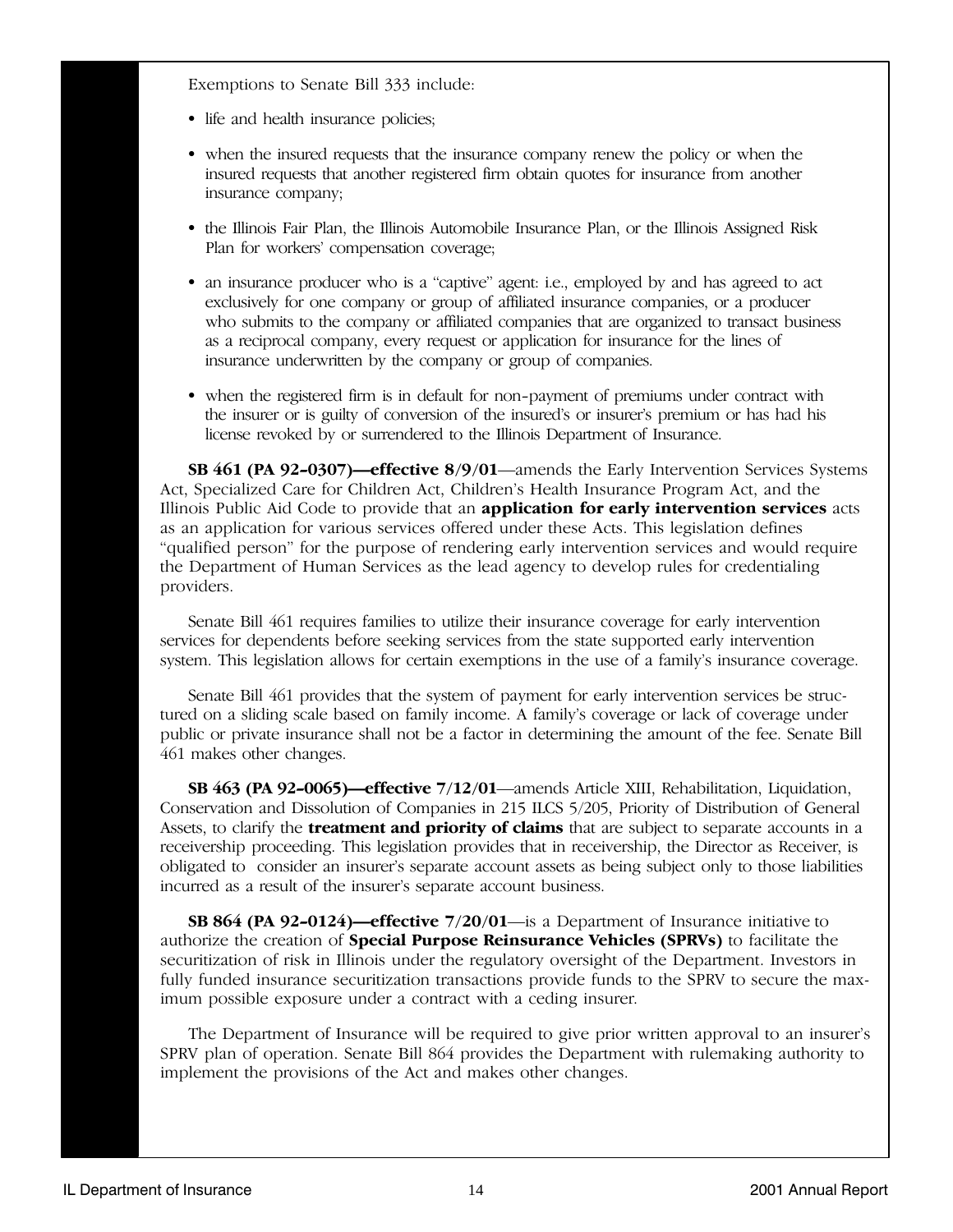Exemptions to Senate Bill 333 include:

- life and health insurance policies;
- when the insured requests that the insurance company renew the policy or when the insured requests that another registered firm obtain quotes for insurance from another insurance company;
- the Illinois Fair Plan, the Illinois Automobile Insurance Plan, or the Illinois Assigned Risk Plan for workers' compensation coverage;
- an insurance producer who is a "captive" agent: i.e., employed by and has agreed to act exclusively for one company or group of affiliated insurance companies, or a producer who submits to the company or affiliated companies that are organized to transact business as a reciprocal company, every request or application for insurance for the lines of insurance underwritten by the company or group of companies.
- when the registered firm is in default for non-payment of premiums under contract with the insurer or is guilty of conversion of the insured's or insurer's premium or has had his license revoked by or surrendered to the Illinois Department of Insurance.

SB 461 (PA 92-0307)—effective 8/9/01—amends the Early Intervention Services Systems Act, Specialized Care for Children Act, Children's Health Insurance Program Act, and the Illinois Public Aid Code to provide that an **application for early intervention services** acts as an application for various services offered under these Acts. This legislation defines "qualified person" for the purpose of rendering early intervention services and would require the Department of Human Services as the lead agency to develop rules for credentialing providers.

Senate Bill 461 requires families to utilize their insurance coverage for early intervention services for dependents before seeking services from the state supported early intervention system. This legislation allows for certain exemptions in the use of a family's insurance coverage.

Senate Bill 461 provides that the system of payment for early intervention services be structured on a sliding scale based on family income. A family's coverage or lack of coverage under public or private insurance shall not be a factor in determining the amount of the fee. Senate Bill 461 makes other changes.

SB 463 (PA 92-0065)—effective 7/12/01—amends Article XIII, Rehabilitation, Liquidation, Conservation and Dissolution of Companies in 215 ILCS 5/205, Priority of Distribution of General Assets, to clarify the **treatment and priority of claims** that are subject to separate accounts in a receivership proceeding. This legislation provides that in receivership, the Director as Receiver, is obligated to consider an insurer's separate account assets as being subject only to those liabilities incurred as a result of the insurer's separate account business.

**SB 864 (PA 92-0124)—effective** 7/20/01—is a Department of Insurance initiative to authorize the creation of Special Purpose Reinsurance Vehicles (SPRVs) to facilitate the securitization of risk in Illinois under the regulatory oversight of the Department. Investors in fully funded insurance securitization transactions provide funds to the SPRV to secure the maximum possible exposure under a contract with a ceding insurer.

The Department of Insurance will be required to give prior written approval to an insurer's SPRV plan of operation. Senate Bill 864 provides the Department with rulemaking authority to implement the provisions of the Act and makes other changes.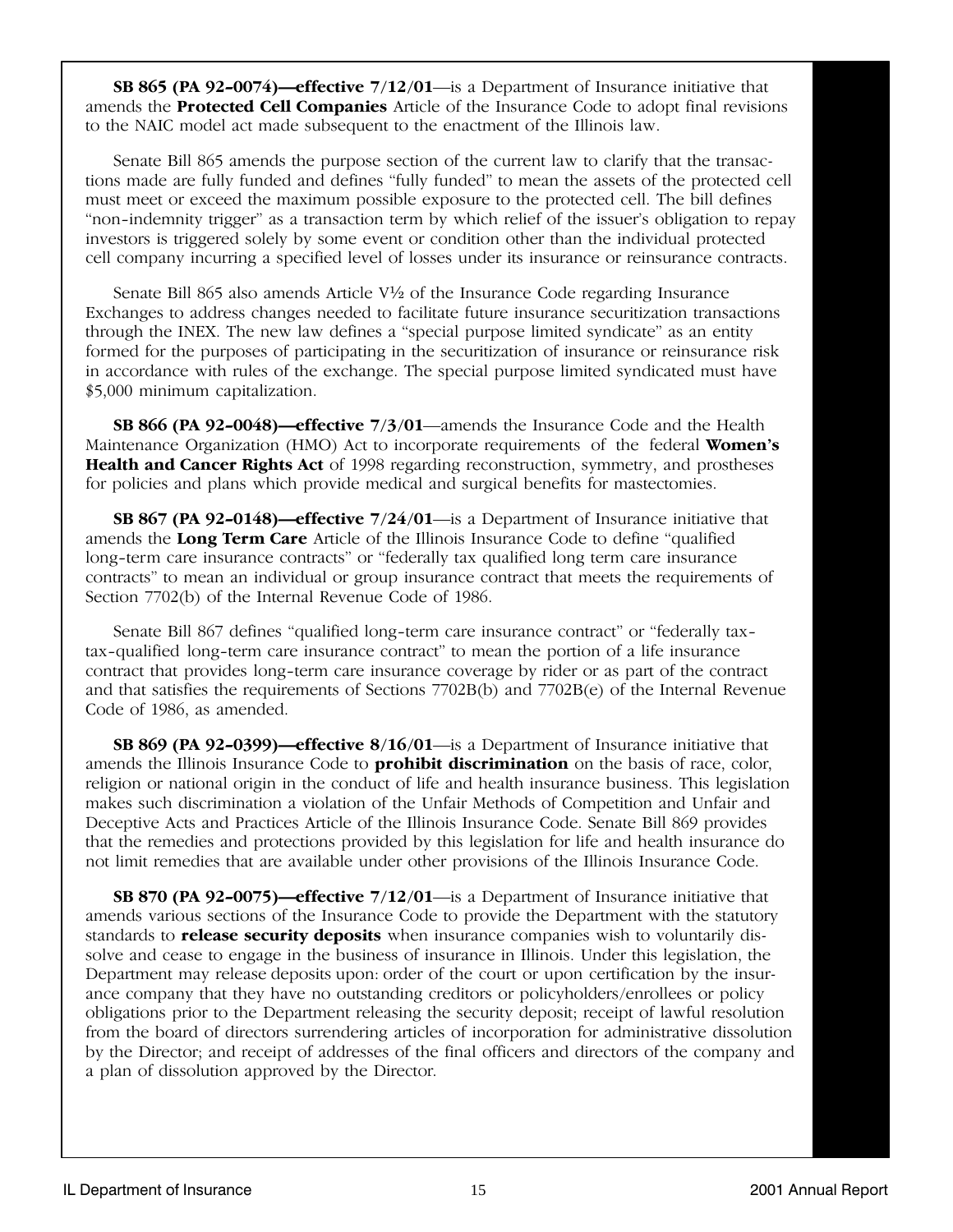SB 865 (PA  $92-0074$ )—effective  $7/12/01$ —is a Department of Insurance initiative that amends the **Protected Cell Companies** Article of the Insurance Code to adopt final revisions to the NAIC model act made subsequent to the enactment of the Illinois law.

Senate Bill 865 amends the purpose section of the current law to clarify that the transactions made are fully funded and defines "fully funded" to mean the assets of the protected cell must meet or exceed the maximum possible exposure to the protected cell. The bill defines "non-indemnity trigger" as a transaction term by which relief of the issuer's obligation to repay investors is triggered solely by some event or condition other than the individual protected cell company incurring a specified level of losses under its insurance or reinsurance contracts.

Senate Bill 865 also amends Article  $V\frac{1}{2}$  of the Insurance Code regarding Insurance Exchanges to address changes needed to facilitate future insurance securitization transactions through the INEX. The new law defines a "special purpose limited syndicate" as an entity formed for the purposes of participating in the securitization of insurance or reinsurance risk in accordance with rules of the exchange. The special purpose limited syndicated must have \$5,000 minimum capitalization.

**SB 866 (PA 92-0048)—effective**  $7/3/01$ —amends the Insurance Code and the Health Maintenance Organization (HMO) Act to incorporate requirements of the federal **Women's** Health and Cancer Rights Act of 1998 regarding reconstruction, symmetry, and prostheses for policies and plans which provide medical and surgical benefits for mastectomies.

**SB 867 (PA 92-0148)—effective**  $7/24/01$ —is a Department of Insurance initiative that amends the Long Term Care Article of the Illinois Insurance Code to define "qualified" long-term care insurance contracts" or "federally tax qualified long term care insurance contracts" to mean an individual or group insurance contract that meets the requirements of Section 7702(b) of the Internal Revenue Code of 1986.

Senate Bill 867 defines "qualified long-term care insurance contract" or "federally taxtax-qualified long-term care insurance contract" to mean the portion of a life insurance contract that provides long-term care insurance coverage by rider or as part of the contract and that satisfies the requirements of Sections  $7702B(b)$  and  $7702B(e)$  of the Internal Revenue Code of 1986, as amended.

SB 869 (PA 92-0399)—effective 8/16/01—is a Department of Insurance initiative that amends the Illinois Insurance Code to **prohibit discrimination** on the basis of race, color, religion or national origin in the conduct of life and health insurance business. This legislation makes such discrimination a violation of the Unfair Methods of Competition and Unfair and Deceptive Acts and Practices Article of the Illinois Insurance Code. Senate Bill 869 provides that the remedies and protections provided by this legislation for life and health insurance do not limit remedies that are available under other provisions of the Illinois Insurance Code.

SB 870 (PA 92-0075)—effective 7/12/01—is a Department of Insurance initiative that amends various sections of the Insurance Code to provide the Department with the statutory standards to **release security deposits** when insurance companies wish to voluntarily dissolve and cease to engage in the business of insurance in Illinois. Under this legislation, the Department may release deposits upon: order of the court or upon certification by the insurance company that they have no outstanding creditors or policyholders/enrollees or policy obligations prior to the Department releasing the security deposit; receipt of lawful resolution from the board of directors surrendering articles of incorporation for administrative dissolution by the Director; and receipt of addresses of the final officers and directors of the company and a plan of dissolution approved by the Director.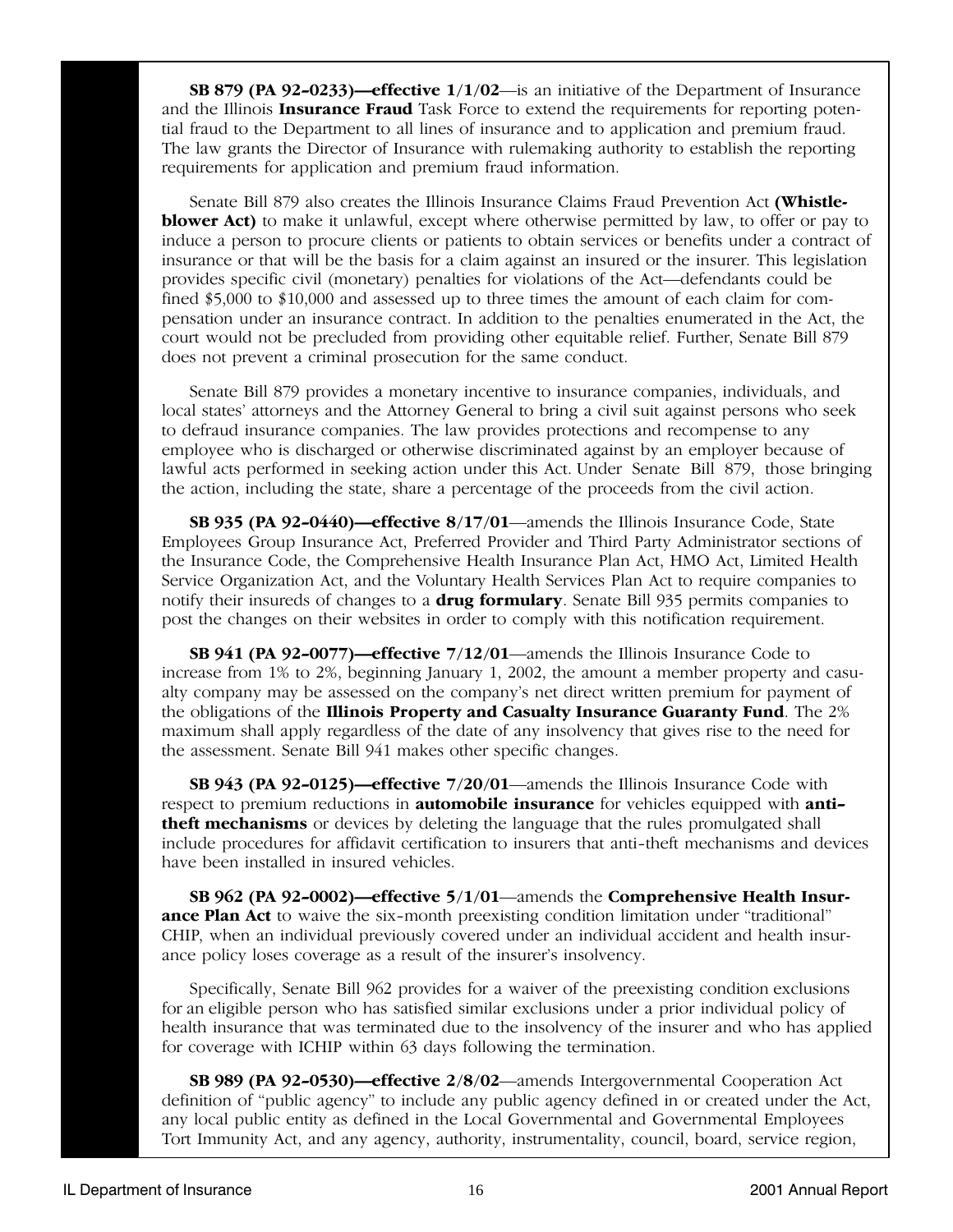**SB 879 (PA 92-0233)—effective 1/1/02—**is an initiative of the Department of Insurance and the Illinois **Insurance Fraud** Task Force to extend the requirements for reporting potential fraud to the Department to all lines of insurance and to application and premium fraud. The law grants the Director of Insurance with rulemaking authority to establish the reporting requirements for application and premium fraud information.

Senate Bill 879 also creates the Illinois Insurance Claims Fraud Prevention Act (Whistle**blower Act)** to make it unlawful, except where otherwise permitted by law, to offer or pay to induce a person to procure clients or patients to obtain services or benefits under a contract of insurance or that will be the basis for a claim against an insured or the insurer. This legislation provides specific civil (monetary) penalties for violations of the Act—defendants could be fined  $$5,000$  to  $$10,000$  and assessed up to three times the amount of each claim for compensation under an insurance contract. In addition to the penalties enumerated in the Act, the court would not be precluded from providing other equitable relief. Further, Senate Bill 879 does not prevent a criminal prosecution for the same conduct.

Senate Bill 879 provides a monetary incentive to insurance companies, individuals, and local states' attorneys and the Attorney General to bring a civil suit against persons who seek to defraud insurance companies. The law provides protections and recompense to any employee who is discharged or otherwise discriminated against by an employer because of lawful acts performed in seeking action under this Act. Under Senate Bill 879, those bringing the action, including the state, share a percentage of the proceeds from the civil action.

SB 935 (PA 92-0440)—effective 8/17/01—amends the Illinois Insurance Code, State Employees Group Insurance Act, Preferred Provider and Third Party Administrator sections of the Insurance Code, the Comprehensive Health Insurance Plan Act, HMO Act, Limited Health Service Organization Act, and the Voluntary Health Services Plan Act to require companies to notify their insureds of changes to a **drug formulary**. Senate Bill 935 permits companies to post the changes on their websites in order to comply with this notification requirement.

**SB 941 (PA 92-0077)—effective 7/12/01—amends the Illinois Insurance Code to** increase from 1% to 2%, beginning January 1, 2002, the amount a member property and casualty company may be assessed on the company's net direct written premium for payment of the obligations of the **Illinois Property and Casualty Insurance Guaranty Fund**. The 2% maximum shall apply regardless of the date of any insolvency that gives rise to the need for the assessment. Senate Bill 941 makes other specific changes.

**SB 943 (PA 92-0125)—effective** 7/20/01—amends the Illinois Insurance Code with respect to premium reductions in **automobile insurance** for vehicles equipped with **antitheft mechanisms** or devices by deleting the language that the rules promulgated shall include procedures for affidavit certification to insurers that anti-theft mechanisms and devices have been installed in insured vehicles.

SB 962 (PA 92-0002)—effective 5/1/01—amends the Comprehensive Health Insur**ance Plan Act** to waive the six-month preexisting condition limitation under "traditional" CHIP, when an individual previously covered under an individual accident and health insurance policy loses coverage as a result of the insurer's insolvency.

Specifically, Senate Bill 962 provides for a waiver of the preexisting condition exclusions for an eligible person who has satisfied similar exclusions under a prior individual policy of health insurance that was terminated due to the insolvency of the insurer and who has applied for coverage with ICHIP within 63 days following the termination.

SB 989 (PA 92-0530)—effective 2/8/02—amends Intergovernmental Cooperation Act definition of "public agency" to include any public agency defined in or created under the Act, any local public entity as defined in the Local Governmental and Governmental Employees Tort Immunity Act, and any agency, authority, instrumentality, council, board, service region,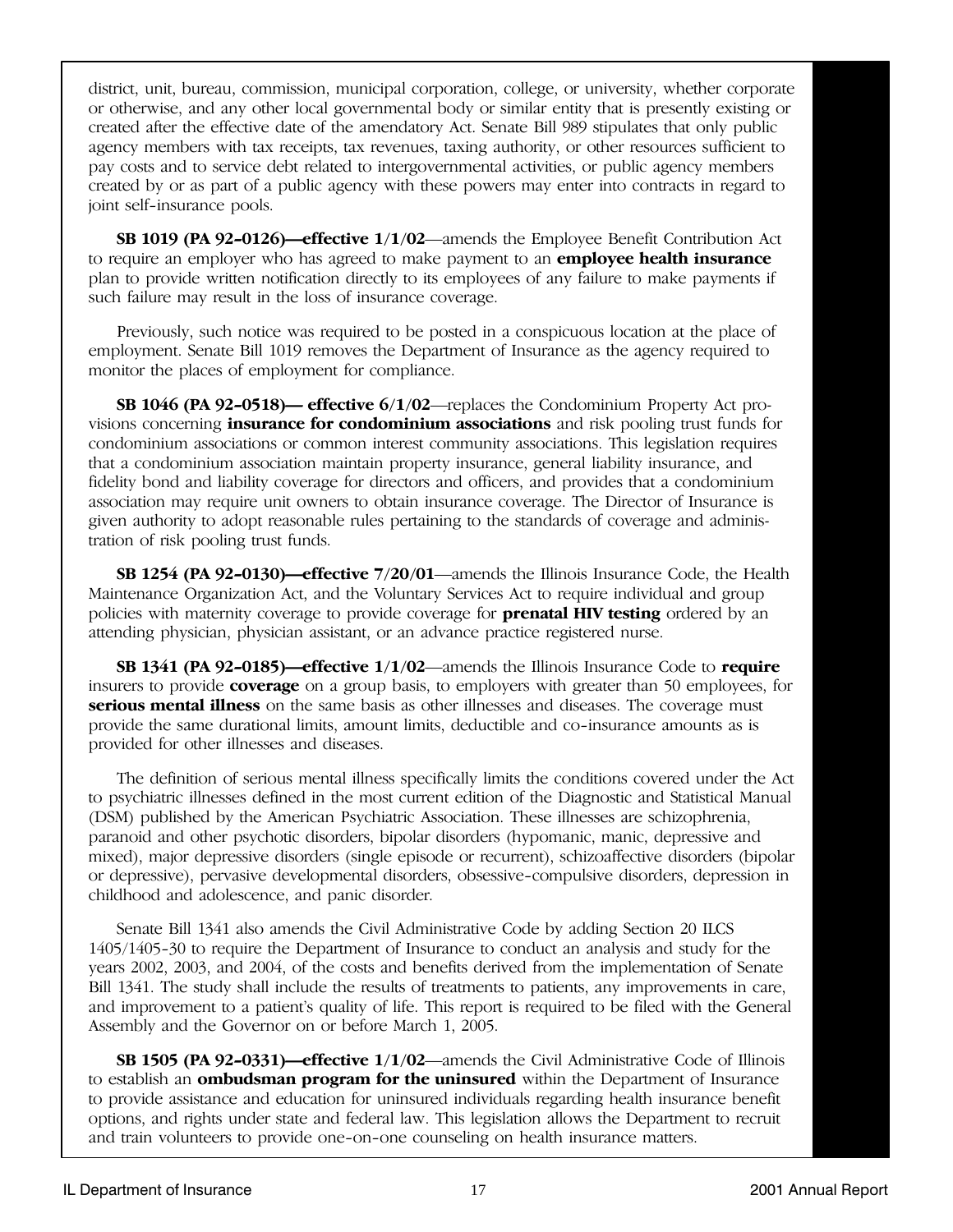district, unit, bureau, commission, municipal corporation, college, or university, whether corporate or otherwise, and any other local governmental body or similar entity that is presently existing or created after the effective date of the amendatory Act. Senate Bill 989 stipulates that only public agency members with tax receipts, tax revenues, taxing authority, or other resources sufficient to pay costs and to service debt related to intergovernmental activities, or public agency members created by or as part of a public agency with these powers may enter into contracts in regard to joint self-insurance pools.

SB 1019 (PA 92-0126)—effective 1/1/02—amends the Employee Benefit Contribution Act to require an employer who has agreed to make payment to an **employee health insurance** plan to provide written notification directly to its employees of any failure to make payments if such failure may result in the loss of insurance coverage.

Previously, such notice was required to be posted in a conspicuous location at the place of employment. Senate Bill 1019 removes the Department of Insurance as the agency required to monitor the places of employment for compliance.

SB 1046 (PA 92-0518)— effective 6/1/02—replaces the Condominium Property Act provisions concerning **insurance for condominium associations** and risk pooling trust funds for condominium associations or common interest community associations. This legislation requires that a condominium association maintain property insurance, general liability insurance, and fidelity bond and liability coverage for directors and officers, and provides that a condominium association may require unit owners to obtain insurance coverage. The Director of Insurance is given authority to adopt reasonable rules pertaining to the standards of coverage and administration of risk pooling trust funds.

**SB 1254 (PA 92-0130)—effective** 7/20/01—amends the Illinois Insurance Code, the Health Maintenance Organization Act, and the Voluntary Services Act to require individual and group policies with maternity coverage to provide coverage for **prenatal HIV testing** ordered by an attending physician, physician assistant, or an advance practice registered nurse.

SB 1341 (PA 92-0185)—effective 1/1/02—amends the Illinois Insurance Code to require insurers to provide **coverage** on a group basis, to employers with greater than 50 employees, for serious mental illness on the same basis as other illnesses and diseases. The coverage must provide the same durational limits, amount limits, deductible and co-insurance amounts as is provided for other illnesses and diseases.

The definition of serious mental illness specifically limits the conditions covered under the Act to psychiatric illnesses defined in the most current edition of the Diagnostic and Statistical Manual (DSM) published by the American Psychiatric Association. These illnesses are schizophrenia, paranoid and other psychotic disorders, bipolar disorders (hypomanic, manic, depressive and mixed), major depressive disorders (single episode or recurrent), schizoaffective disorders (bipolar or depressive), pervasive developmental disorders, obsessive-compulsive disorders, depression in childhood and adolescence, and panic disorder.

Senate Bill 1341 also amends the Civil Administrative Code by adding Section 20 ILCS 1405/1405-30 to require the Department of Insurance to conduct an analysis and study for the years 2002, 2003, and 2004, of the costs and benefits derived from the implementation of Senate Bill 1341. The study shall include the results of treatments to patients, any improvements in care, and improvement to a patient's quality of life. This report is required to be filed with the General Assembly and the Governor on or before March 1, 2005.

SB 1505 (PA 92-0331)—effective 1/1/02—amends the Civil Administrative Code of Illinois to establish an **ombudsman program for the uninsured** within the Department of Insurance to provide assistance and education for uninsured individuals regarding health insurance benefit options, and rights under state and federal law. This legislation allows the Department to recruit and train volunteers to provide one-on-one counseling on health insurance matters.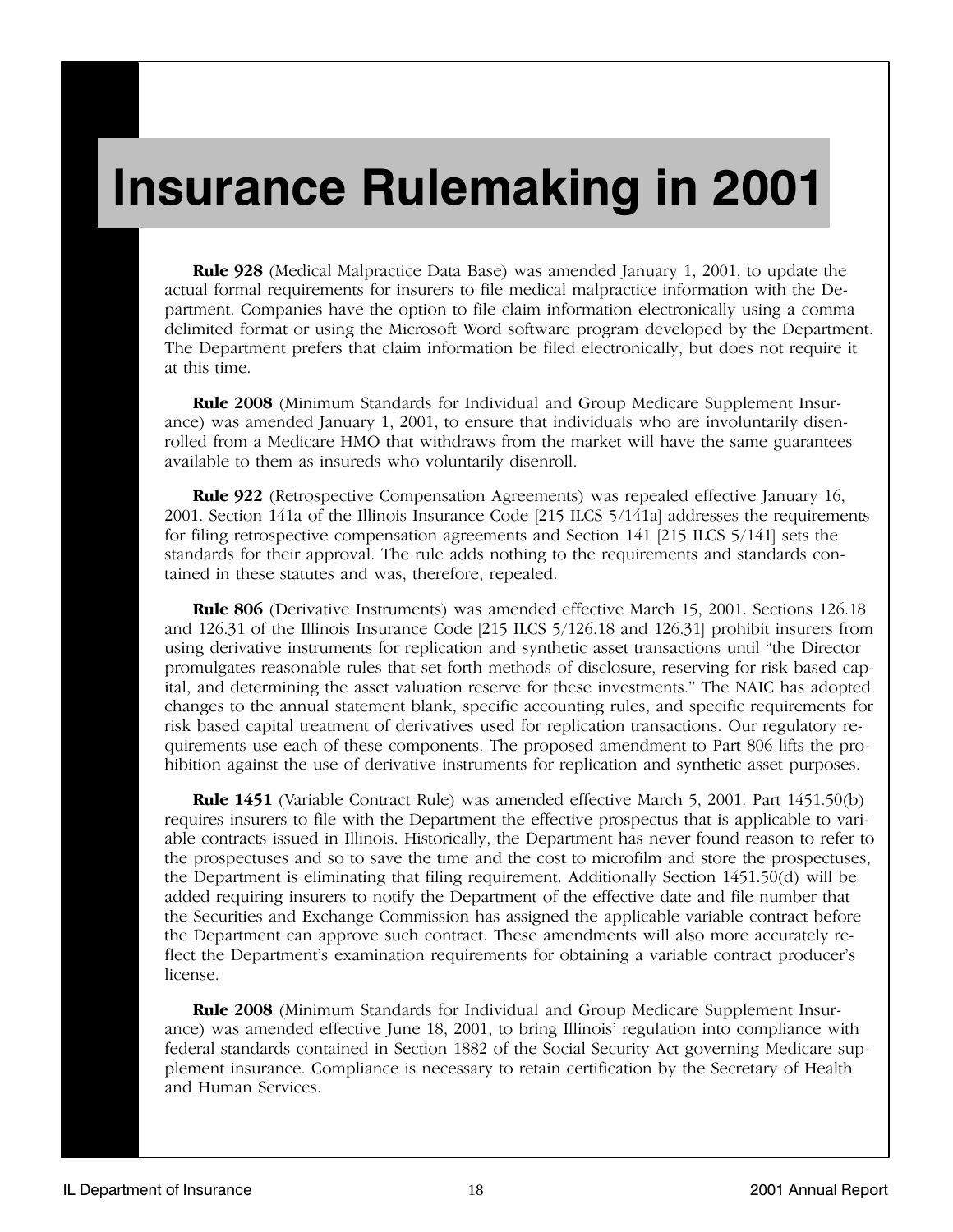## **Insurance Rulemaking in 2001**

**Rule 928** (Medical Malpractice Data Base) was amended January 1, 2001, to update the actual formal requirements for insurers to file medical malpractice information with the Department. Companies have the option to file claim information electronically using a comma delimited format or using the Microsoft Word software program developed by the Department. The Department prefers that claim information be filed electronically, but does not require it at this time.

Rule 2008 (Minimum Standards for Individual and Group Medicare Supplement Insurance) was amended January 1, 2001, to ensure that individuals who are involuntarily disenrolled from a Medicare HMO that withdraws from the market will have the same guarantees available to them as insureds who voluntarily disenroll.

**Rule 922** (Retrospective Compensation Agreements) was repealed effective January 16, 2001. Section 141a of the Illinois Insurance Code [215 ILCS 5/141a] addresses the requirements for filing retrospective compensation agreements and Section 141 [215 ILCS 5/141] sets the standards for their approval. The rule adds nothing to the requirements and standards contained in these statutes and was, therefore, repealed.

**Rule 806** (Derivative Instruments) was amended effective March 15, 2001. Sections 126.18 and 126.31 of the Illinois Insurance Code [215 ILCS 5/126.18 and 126.31] prohibit insurers from using derivative instruments for replication and synthetic asset transactions until "the Director promulgates reasonable rules that set forth methods of disclosure, reserving for risk based capital, and determining the asset valuation reserve for these investments." The NAIC has adopted changes to the annual statement blank, specific accounting rules, and specific requirements for risk based capital treatment of derivatives used for replication transactions. Our regulatory requirements use each of these components. The proposed amendment to Part 806 lifts the prohibition against the use of derivative instruments for replication and synthetic asset purposes.

**Rule 1451** (Variable Contract Rule) was amended effective March 5, 2001. Part 1451.50(b) requires insurers to file with the Department the effective prospectus that is applicable to variable contracts issued in Illinois. Historically, the Department has never found reason to refer to the prospectuses and so to save the time and the cost to microfilm and store the prospectuses, the Department is eliminating that filing requirement. Additionally Section 1451.50(d) will be added requiring insurers to notify the Department of the effective date and file number that the Securities and Exchange Commission has assigned the applicable variable contract before the Department can approve such contract. These amendments will also more accurately reflect the Department's examination requirements for obtaining a variable contract producer's license.

**Rule 2008** (Minimum Standards for Individual and Group Medicare Supplement Insurance) was amended effective June 18, 2001, to bring Illinois' regulation into compliance with federal standards contained in Section 1882 of the Social Security Act governing Medicare supplement insurance. Compliance is necessary to retain certification by the Secretary of Health and Human Services.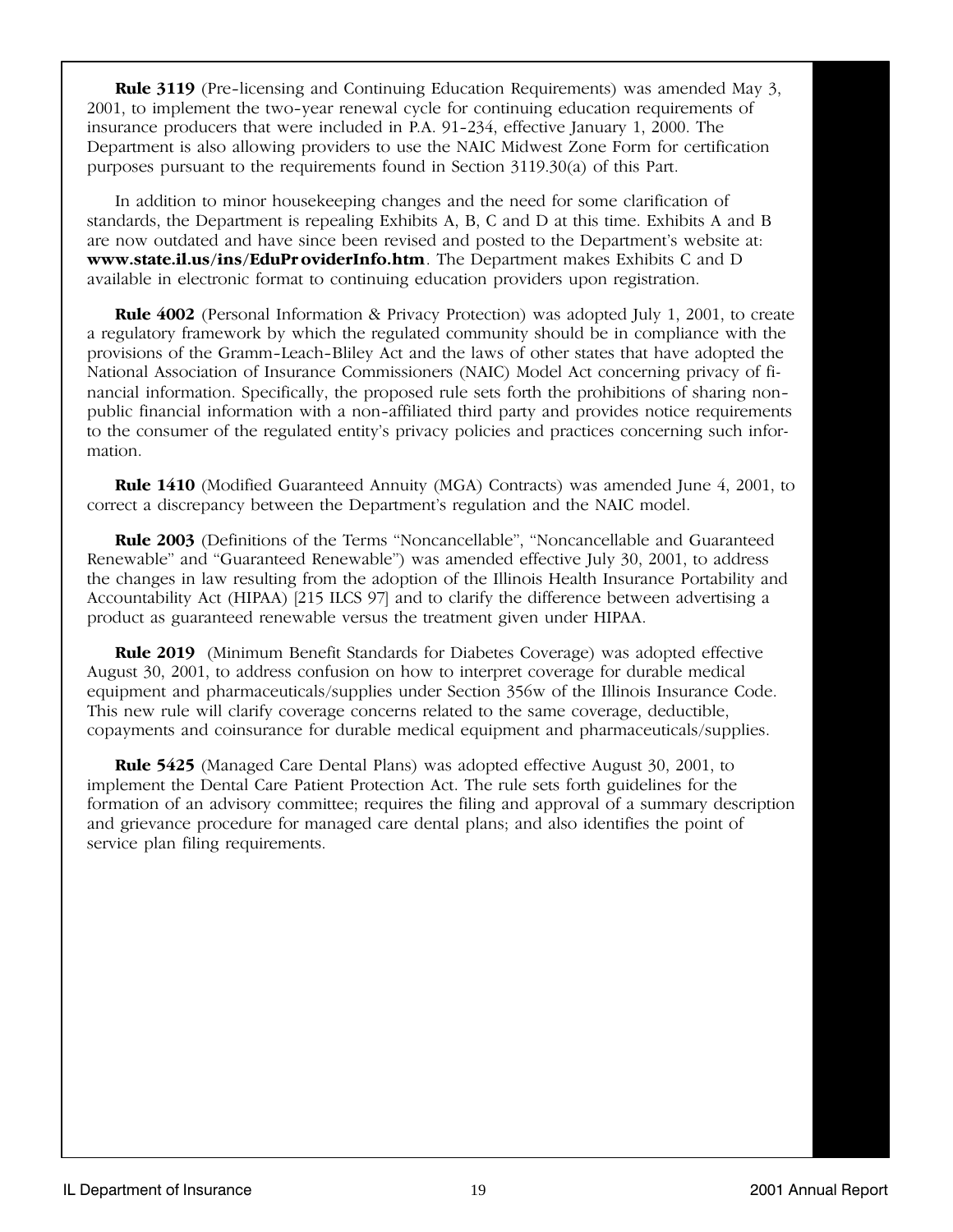**Rule 3119** (Pre-licensing and Continuing Education Requirements) was amended May 3, 2001, to implement the two-year renewal cycle for continuing education requirements of insurance producers that were included in P.A. 91-234, effective January 1, 2000. The Department is also allowing providers to use the NAIC Midwest Zone Form for certification purposes pursuant to the requirements found in Section 3119.30(a) of this Part.

In addition to minor housekeeping changes and the need for some clarification of standards, the Department is repealing Exhibits A, B, C and D at this time. Exhibits A and B are now outdated and have since been revised and posted to the Department's website at: www.state.il.us/ins/EduProviderInfo.htm. The Department makes Exhibits C and D available in electronic format to continuing education providers upon registration.

**Rule 4002** (Personal Information & Privacy Protection) was adopted July 1, 2001, to create a regulatory framework by which the regulated community should be in compliance with the provisions of the Gramm-Leach-Bliley Act and the laws of other states that have adopted the National Association of Insurance Commissioners (NAIC) Model Act concerning privacy of financial information. Specifically, the proposed rule sets forth the prohibitions of sharing nonpublic financial information with a non-affiliated third party and provides notice requirements to the consumer of the regulated entity's privacy policies and practices concerning such information.

**Rule 1410** (Modified Guaranteed Annuity (MGA) Contracts) was amended June 4, 2001, to correct a discrepancy between the Department's regulation and the NAIC model.

Rule 2003 (Definitions of the Terms "Noncancellable", "Noncancellable and Guaranteed Renewable" and "Guaranteed Renewable") was amended effective July 30, 2001, to address the changes in law resulting from the adoption of the Illinois Health Insurance Portability and Accountability Act (HIPAA) [215 ILCS 97] and to clarify the difference between advertising a product as guaranteed renewable versus the treatment given under HIPAA.

**Rule 2019** (Minimum Benefit Standards for Diabetes Coverage) was adopted effective August 30, 2001, to address confusion on how to interpret coverage for durable medical equipment and pharmaceuticals/supplies under Section 356w of the Illinois Insurance Code. This new rule will clarify coverage concerns related to the same coverage, deductible, copayments and coinsurance for durable medical equipment and pharmaceuticals/supplies.

**Rule 5425** (Managed Care Dental Plans) was adopted effective August 30, 2001, to implement the Dental Care Patient Protection Act. The rule sets forth guidelines for the formation of an advisory committee; requires the filing and approval of a summary description and grievance procedure for managed care dental plans; and also identifies the point of service plan filing requirements.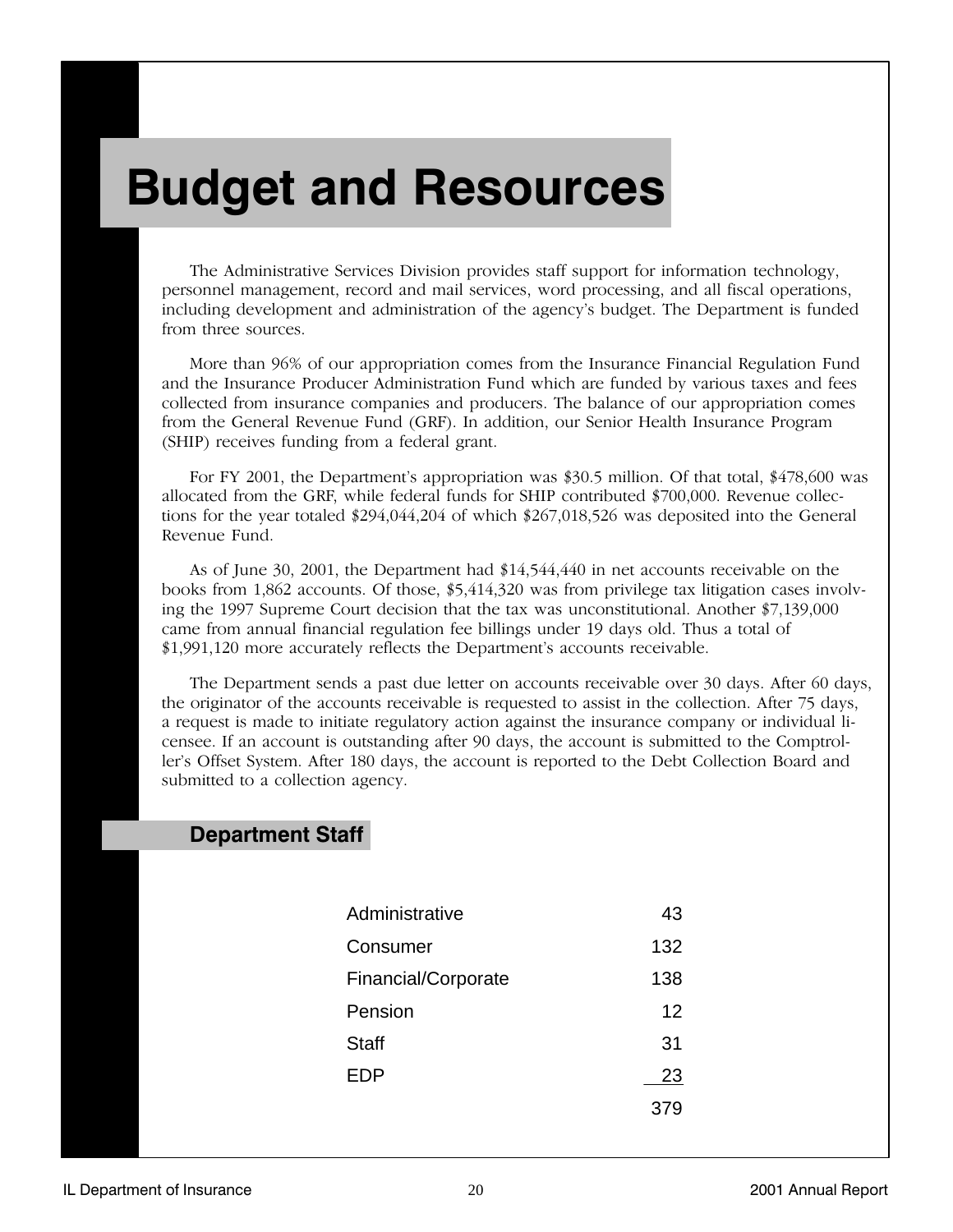## **Budget and Resources**

The Administrative Services Division provides staff support for information technology, personnel management, record and mail services, word processing, and all fiscal operations, including development and administration of the agency's budget. The Department is funded from three sources.

More than 96% of our appropriation comes from the Insurance Financial Regulation Fund and the Insurance Producer Administration Fund which are funded by various taxes and fees collected from insurance companies and producers. The balance of our appropriation comes from the General Revenue Fund (GRF). In addition, our Senior Health Insurance Program (SHIP) receives funding from a federal grant.

For FY 2001, the Department's appropriation was \$30.5 million. Of that total,  $$478,600$  was allocated from the GRF, while federal funds for SHIP contributed \$700,000. Revenue collections for the year totaled  $$294,044,204$  of which  $$267,018,526$  was deposited into the General Revenue Fund

As of June 30, 2001, the Department had  $$14,544,440$  in net accounts receivable on the books from 1,862 accounts. Of those, \$5,414,320 was from privilege tax litigation cases involving the 1997 Supreme Court decision that the tax was unconstitutional. Another \$7,139,000 came from annual financial regulation fee billings under 19 days old. Thus a total of \$1,991,120 more accurately reflects the Department's accounts receivable.

The Department sends a past due letter on accounts receivable over 30 days. After 60 days, the originator of the accounts receivable is requested to assist in the collection. After 75 days, a request is made to initiate regulatory action against the insurance company or individual licensee. If an account is outstanding after 90 days, the account is submitted to the Comptroller's Offset System. After 180 days, the account is reported to the Debt Collection Board and submitted to a collection agency.

### **Department Staff**

| Administrative      | 43  |
|---------------------|-----|
| Consumer            | 132 |
| Financial/Corporate | 138 |
| Pension             | 12  |
| Staff               | 31  |
| EDP                 | 23  |
|                     | 379 |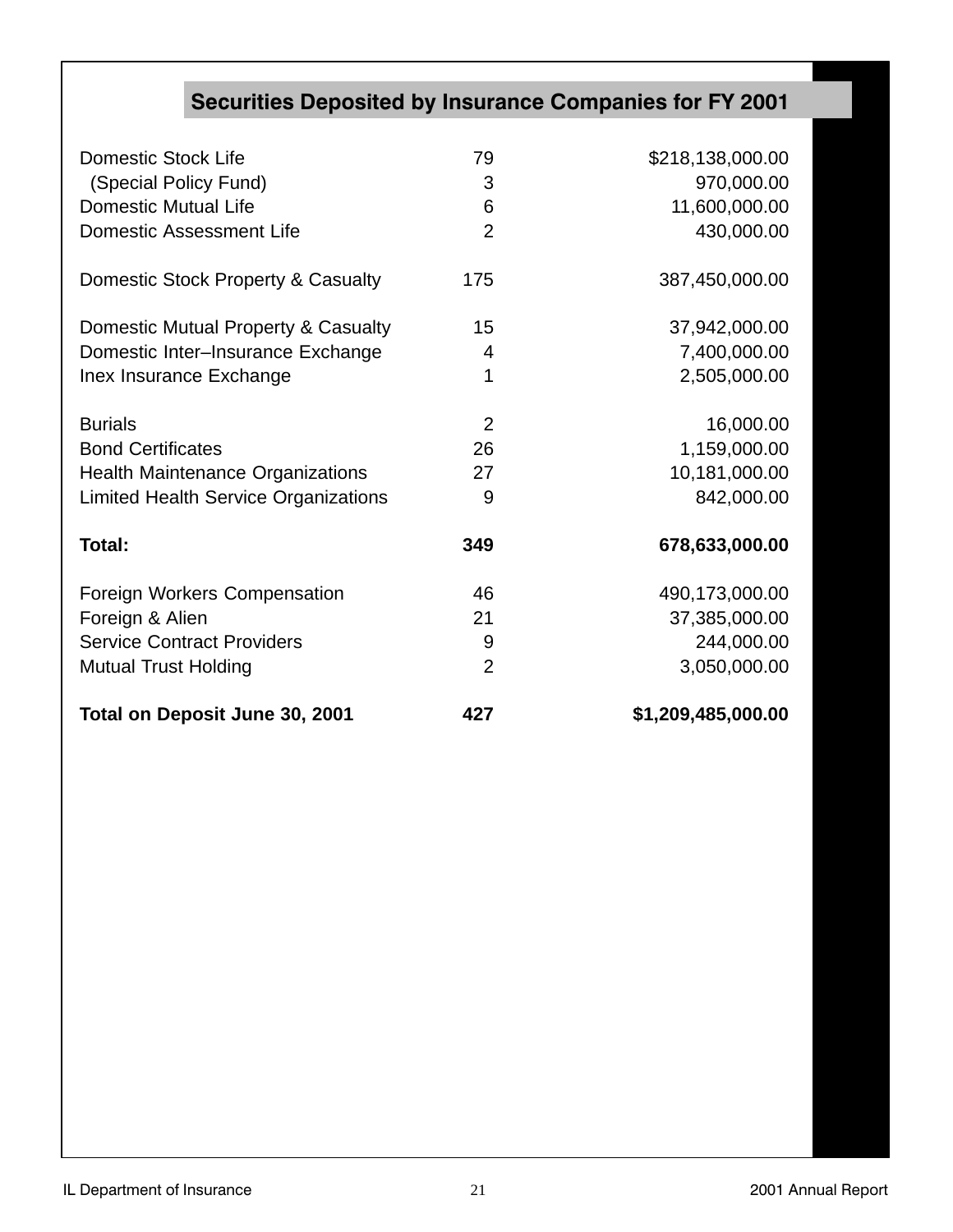## Securities Deposited by Insurance Companies for FY 2001

| Total on Deposit June 30, 2001              | 427            | \$1,209,485,000.00 |
|---------------------------------------------|----------------|--------------------|
| <b>Mutual Trust Holding</b>                 | $\overline{2}$ | 3,050,000.00       |
| <b>Service Contract Providers</b>           | 9              | 244,000.00         |
| Foreign & Alien                             | 21             | 37,385,000.00      |
| Foreign Workers Compensation                | 46             | 490,173,000.00     |
| Total:                                      | 349            | 678,633,000.00     |
| <b>Limited Health Service Organizations</b> | 9              | 842,000.00         |
| <b>Health Maintenance Organizations</b>     | 27             | 10,181,000.00      |
| <b>Bond Certificates</b>                    | 26             | 1,159,000.00       |
| <b>Burials</b>                              | $\overline{2}$ | 16,000.00          |
| Inex Insurance Exchange                     | 1              | 2,505,000.00       |
| Domestic Inter-Insurance Exchange           | 4              | 7,400,000.00       |
| Domestic Mutual Property & Casualty         | 15             | 37,942,000.00      |
| Domestic Stock Property & Casualty          | 175            | 387,450,000.00     |
| Domestic Assessment Life                    | $\overline{2}$ | 430,000.00         |
| <b>Domestic Mutual Life</b>                 | 6              | 11,600,000.00      |
| (Special Policy Fund)                       | 3              | 970,000.00         |
| <b>Domestic Stock Life</b>                  | 79             | \$218,138,000.00   |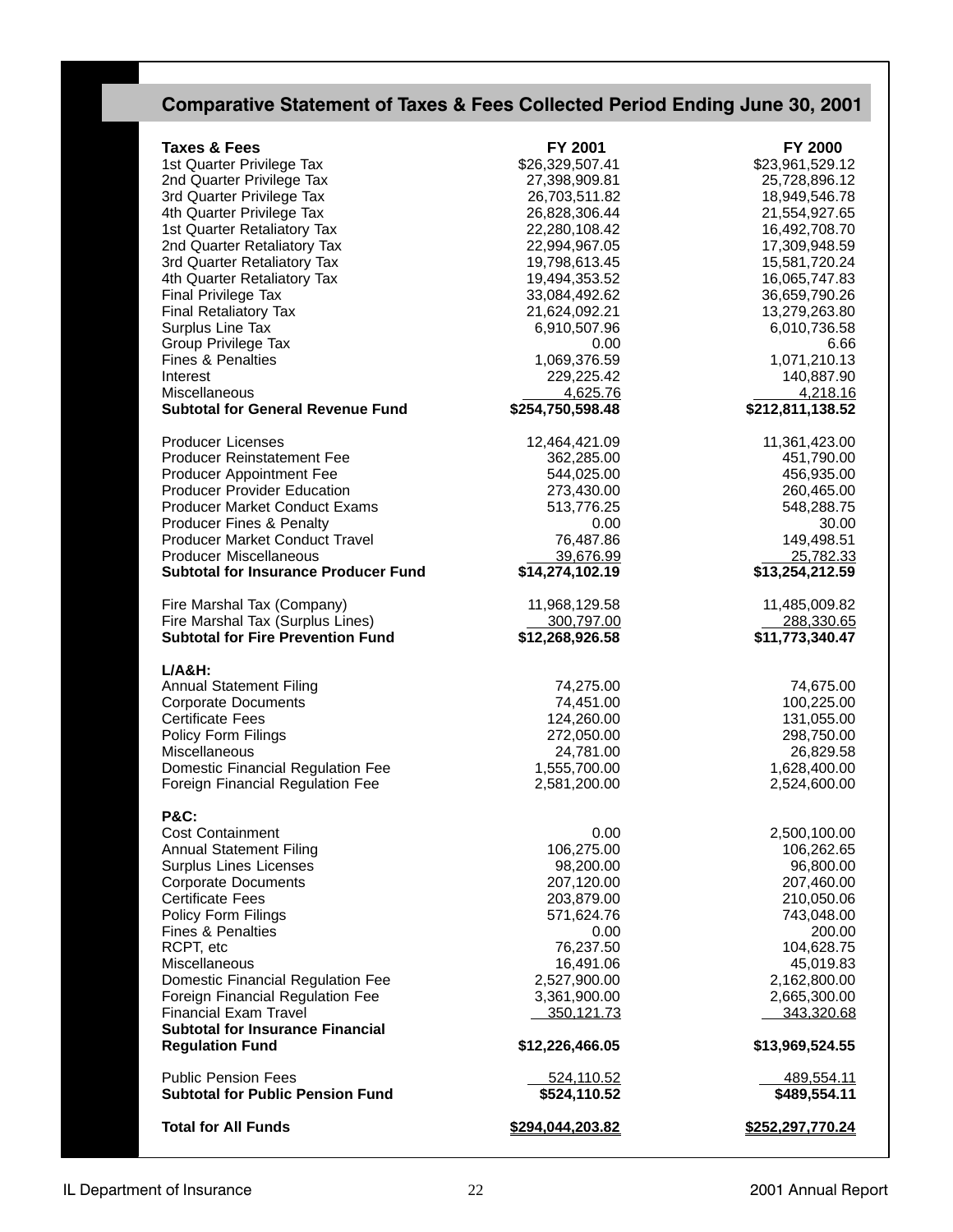## Comparative Statement of Taxes & Fees Collected Period Ending June 30, 2001

| <b>Taxes &amp; Fees</b>                                           | FY 2001                        |                                |
|-------------------------------------------------------------------|--------------------------------|--------------------------------|
|                                                                   |                                | <b>FY 2000</b>                 |
| 1st Quarter Privilege Tax                                         | \$26,329,507.41                | \$23,961,529.12                |
| 2nd Quarter Privilege Tax                                         | 27,398,909.81                  | 25,728,896.12                  |
| 3rd Quarter Privilege Tax                                         | 26,703,511.82                  | 18,949,546.78                  |
| 4th Quarter Privilege Tax                                         | 26,828,306.44                  | 21,554,927.65                  |
| 1st Quarter Retaliatory Tax                                       | 22,280,108.42                  | 16,492,708.70                  |
| 2nd Quarter Retaliatory Tax                                       | 22,994,967.05                  | 17,309,948.59                  |
| 3rd Quarter Retaliatory Tax                                       | 19,798,613.45                  | 15,581,720.24                  |
| 4th Quarter Retaliatory Tax                                       | 19,494,353.52<br>33,084,492.62 | 16,065,747.83<br>36,659,790.26 |
| Final Privilege Tax<br><b>Final Retaliatory Tax</b>               | 21,624,092.21                  | 13,279,263.80                  |
| Surplus Line Tax                                                  | 6,910,507.96                   |                                |
| <b>Group Privilege Tax</b>                                        | 0.00                           | 6,010,736.58<br>6.66           |
| <b>Fines &amp; Penalties</b>                                      | 1,069,376.59                   | 1,071,210.13                   |
| Interest                                                          |                                |                                |
|                                                                   | 229,225.42                     | 140,887.90                     |
| Miscellaneous<br><b>Subtotal for General Revenue Fund</b>         | 4,625.76<br>\$254,750,598.48   | 4,218.16<br>\$212,811,138.52   |
|                                                                   |                                |                                |
| Producer Licenses                                                 | 12,464,421.09                  | 11,361,423.00                  |
| <b>Producer Reinstatement Fee</b>                                 | 362,285.00                     | 451,790.00                     |
| <b>Producer Appointment Fee</b>                                   | 544,025.00                     | 456,935.00                     |
| <b>Producer Provider Education</b>                                | 273,430.00                     | 260,465.00                     |
| <b>Producer Market Conduct Exams</b>                              | 513,776.25                     | 548,288.75                     |
| <b>Producer Fines &amp; Penalty</b>                               | 0.00                           | 30.00                          |
| <b>Producer Market Conduct Travel</b>                             | 76,487.86                      | 149,498.51                     |
| <b>Producer Miscellaneous</b>                                     | 39,676.99                      | 25,782.33                      |
| <b>Subtotal for Insurance Producer Fund</b>                       | \$14,274,102.19                | \$13,254,212.59                |
|                                                                   |                                |                                |
| Fire Marshal Tax (Company)<br>Fire Marshal Tax (Surplus Lines)    | 11,968,129.58                  | 11,485,009.82                  |
| <b>Subtotal for Fire Prevention Fund</b>                          | 300,797.00                     | 288,330.65                     |
|                                                                   | \$12,268,926.58                | \$11,773,340.47                |
| L/A&H:                                                            |                                |                                |
| <b>Annual Statement Filing</b>                                    | 74,275.00                      | 74,675.00                      |
| <b>Corporate Documents</b>                                        | 74,451.00                      | 100,225.00                     |
| <b>Certificate Fees</b>                                           | 124,260.00                     | 131,055.00                     |
| Policy Form Filings                                               | 272,050.00                     | 298,750.00                     |
| Miscellaneous                                                     | 24,781.00                      | 26,829.58                      |
| Domestic Financial Regulation Fee                                 | 1,555,700.00                   | 1,628,400.00                   |
| Foreign Financial Regulation Fee                                  | 2,581,200.00                   | 2,524,600.00                   |
|                                                                   |                                |                                |
| <b>P&amp;C:</b>                                                   |                                |                                |
| <b>Cost Containment</b>                                           | 0.00                           | 2,500,100.00                   |
| <b>Annual Statement Filing</b>                                    | 106,275.00                     | 106,262.65                     |
| <b>Surplus Lines Licenses</b>                                     | 98,200.00                      | 96,800.00                      |
| <b>Corporate Documents</b>                                        | 207,120.00                     | 207,460.00                     |
| <b>Certificate Fees</b>                                           | 203,879.00                     | 210,050.06                     |
| <b>Policy Form Filings</b>                                        | 571,624.76                     | 743,048.00                     |
| <b>Fines &amp; Penalties</b>                                      | 0.00                           | 200.00                         |
| RCPT, etc                                                         | 76,237.50                      | 104,628.75                     |
| Miscellaneous                                                     | 16,491.06                      | 45,019.83                      |
| Domestic Financial Regulation Fee                                 | 2,527,900.00                   | 2,162,800.00                   |
| Foreign Financial Regulation Fee                                  | 3,361,900.00                   | 2,665,300.00                   |
| <b>Financial Exam Travel</b>                                      | 350,121.73                     | 343,320.68                     |
| <b>Subtotal for Insurance Financial</b><br><b>Regulation Fund</b> | \$12,226,466.05                | \$13,969,524.55                |
|                                                                   |                                |                                |
| <b>Public Pension Fees</b>                                        | <u>524,110.52</u>              | <u>489,554.11</u>              |
| <b>Subtotal for Public Pension Fund</b>                           | \$524,110.52                   | \$489,554.11                   |
| <b>Total for All Funds</b>                                        | <u>\$294,044,203.82</u>        | \$252,297,770.24               |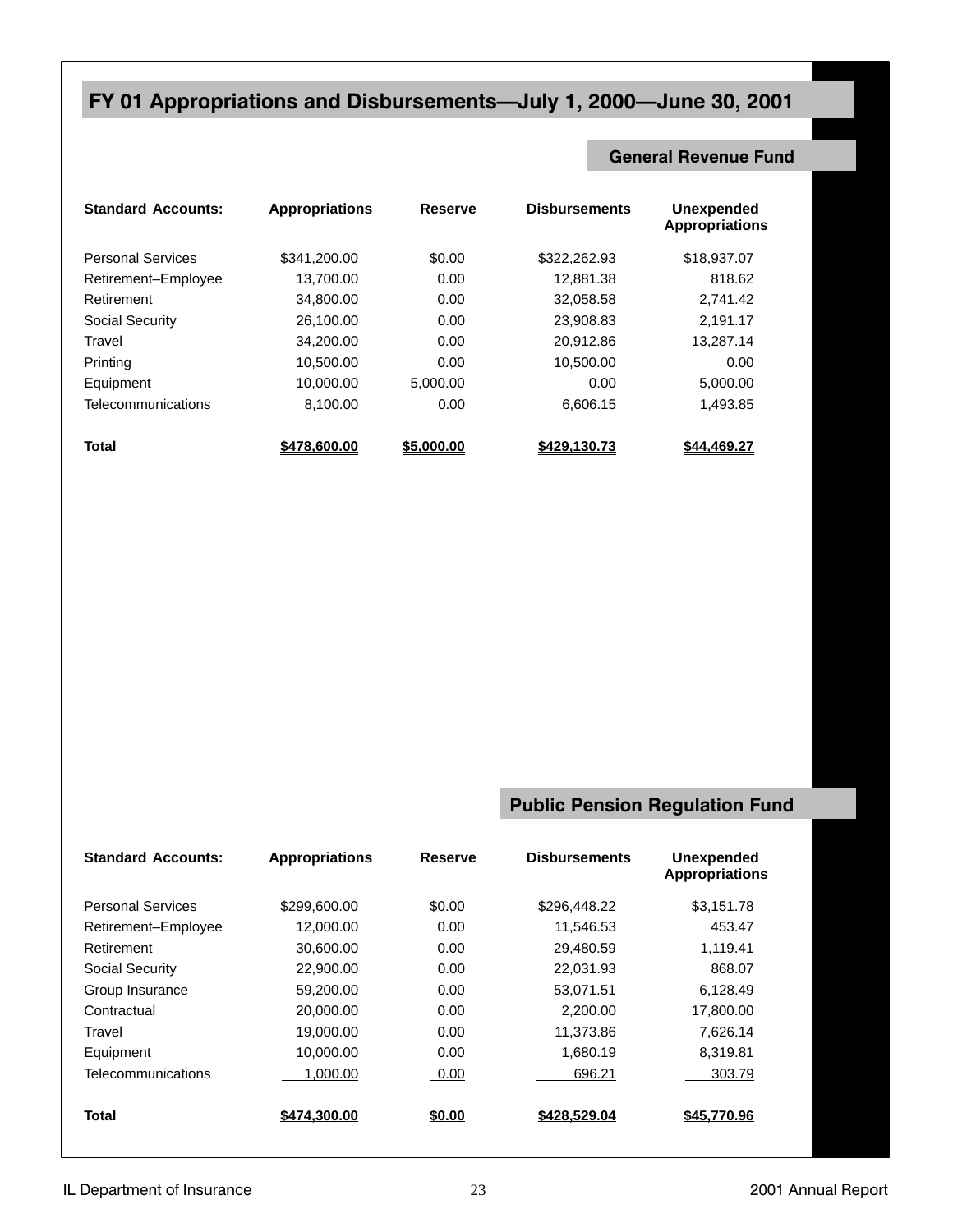## FY 01 Appropriations and Disbursements-July 1, 2000-June 30, 2001

| <b>Standard Accounts:</b> | <b>Appropriations</b> | <b>Reserve</b> | <b>Disbursements</b> | <b>Unexpended</b><br><b>Appropriations</b> |
|---------------------------|-----------------------|----------------|----------------------|--------------------------------------------|
| <b>Personal Services</b>  | \$341,200.00          | \$0.00         | \$322,262.93         | \$18,937.07                                |
| Retirement-Employee       | 13,700.00             | 0.00           | 12.881.38            | 818.62                                     |
| Retirement                | 34.800.00             | 0.00           | 32.058.58            | 2.741.42                                   |
| Social Security           | 26,100.00             | 0.00           | 23,908.83            | 2.191.17                                   |
| Travel                    | 34,200.00             | 0.00           | 20.912.86            | 13.287.14                                  |
| Printing                  | 10,500.00             | 0.00           | 10,500.00            | 0.00                                       |
| Equipment                 | 10.000.00             | 5.000.00       | 0.00                 | 5,000.00                                   |
| Telecommunications        | 8,100.00              | 0.00           | 6,606.15             | 1,493.85                                   |
| <b>Total</b>              | \$478.600.00          | \$5,000,00     | \$429,130.73         | \$44.469.27                                |

#### **General Revenue Fund**

### **Public Pension Regulation Fund**

| <b>Standard Accounts:</b> | <b>Appropriations</b> | <b>Reserve</b> | <b>Disbursements</b> | <b>Unexpended</b><br><b>Appropriations</b> |
|---------------------------|-----------------------|----------------|----------------------|--------------------------------------------|
| <b>Personal Services</b>  | \$299,600,00          | \$0.00         | \$296,448.22         | \$3.151.78                                 |
| Retirement-Employee       | 12,000.00             | 0.00           | 11.546.53            | 453.47                                     |
| Retirement                | 30.600.00             | 0.00           | 29.480.59            | 1.119.41                                   |
| Social Security           | 22,900.00             | 0.00           | 22.031.93            | 868.07                                     |
| Group Insurance           | 59.200.00             | 0.00           | 53.071.51            | 6.128.49                                   |
| Contractual               | 20,000.00             | 0.00           | 2,200.00             | 17,800.00                                  |
| Travel                    | 19,000.00             | 0.00           | 11,373.86            | 7.626.14                                   |
| Equipment                 | 10.000.00             | 0.00           | 1.680.19             | 8.319.81                                   |
| Telecommunications        | 1.000.00              | 0.00           | 696.21               | 303.79                                     |
| Total                     | \$474,300.00          | \$0.00         | \$428,529.04         | \$45,770.96                                |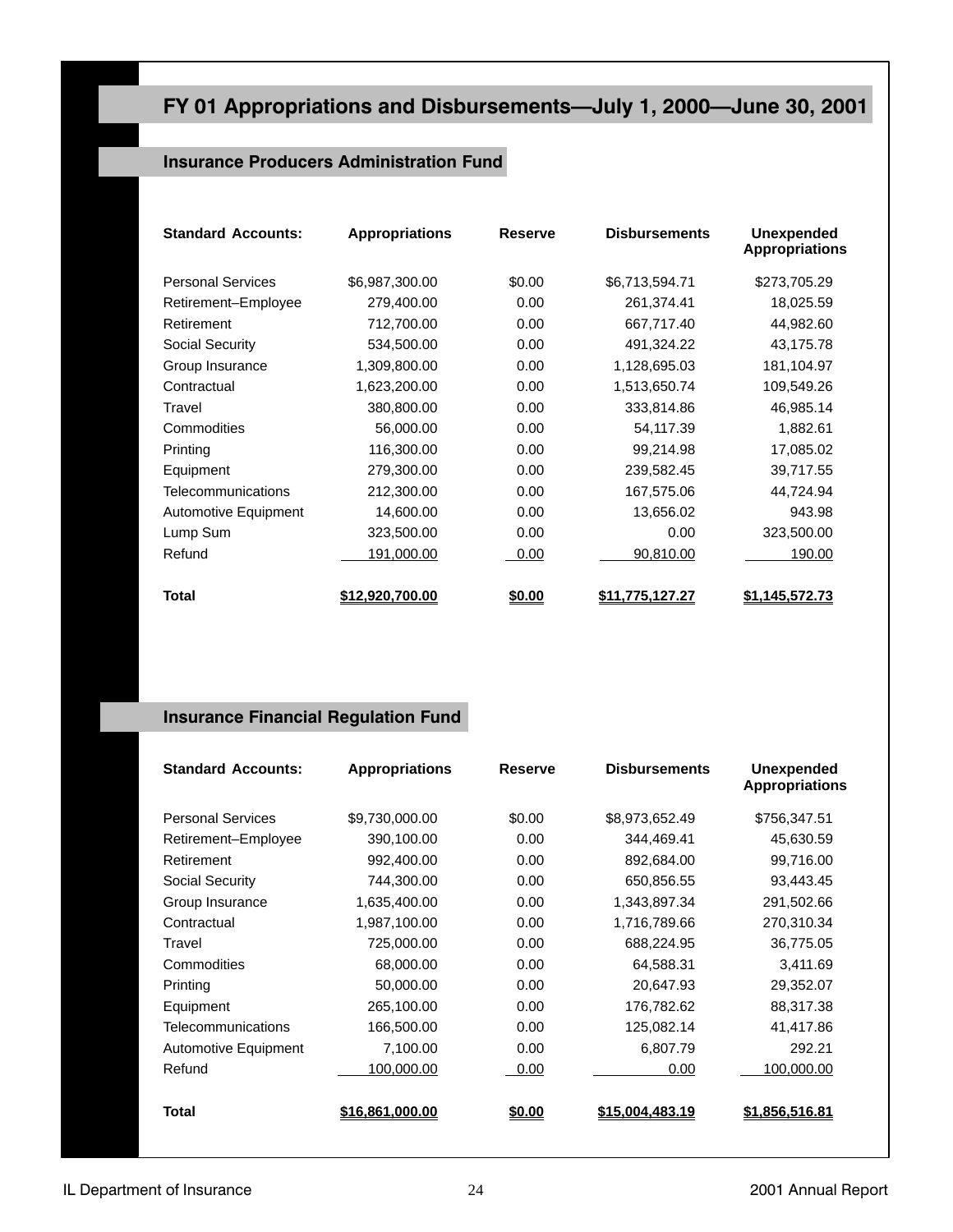## FY 01 Appropriations and Disbursements-July 1, 2000-June 30, 2001

#### **Insurance Producers Administration Fund**

| <b>Standard Accounts:</b> | <b>Appropriations</b> | <b>Reserve</b> | <b>Disbursements</b> | Unexpended<br><b>Appropriations</b> |
|---------------------------|-----------------------|----------------|----------------------|-------------------------------------|
| <b>Personal Services</b>  | \$6,987,300.00        | \$0.00         | \$6,713,594.71       | \$273,705.29                        |
| Retirement-Employee       | 279,400.00            | 0.00           | 261,374.41           | 18,025.59                           |
| Retirement                | 712,700.00            | 0.00           | 667,717.40           | 44,982.60                           |
| Social Security           | 534,500.00            | 0.00           | 491,324.22           | 43,175.78                           |
| Group Insurance           | 1,309,800.00          | 0.00           | 1,128,695.03         | 181,104.97                          |
| Contractual               | 1,623,200.00          | 0.00           | 1,513,650.74         | 109,549.26                          |
| Travel                    | 380,800.00            | 0.00           | 333,814.86           | 46,985.14                           |
| Commodities               | 56,000.00             | 0.00           | 54,117.39            | 1,882.61                            |
| Printing                  | 116,300.00            | 0.00           | 99,214.98            | 17,085.02                           |
| Equipment                 | 279,300.00            | 0.00           | 239,582.45           | 39,717.55                           |
| Telecommunications        | 212,300.00            | 0.00           | 167,575.06           | 44,724.94                           |
| Automotive Equipment      | 14,600.00             | 0.00           | 13,656.02            | 943.98                              |
| Lump Sum                  | 323,500.00            | 0.00           | 0.00                 | 323,500.00                          |
| Refund                    | 191,000.00            | 0.00           | 90,810.00            | 190.00                              |
| Total                     | \$12,920,700.00       | <u>\$0.00</u>  | \$11,775,127.27      | \$1,145,572.73                      |

#### **Insurance Financial Regulation Fund**

| <b>Standard Accounts:</b> | <b>Appropriations</b> | <b>Reserve</b> | <b>Disbursements</b> | <b>Unexpended</b><br><b>Appropriations</b> |
|---------------------------|-----------------------|----------------|----------------------|--------------------------------------------|
| <b>Personal Services</b>  | \$9,730,000.00        | \$0.00         | \$8,973,652.49       | \$756,347.51                               |
| Retirement-Employee       | 390,100.00            | 0.00           | 344.469.41           | 45,630.59                                  |
| Retirement                | 992,400.00            | 0.00           | 892,684.00           | 99,716.00                                  |
| Social Security           | 744,300.00            | 0.00           | 650,856.55           | 93,443.45                                  |
| Group Insurance           | 1,635,400.00          | 0.00           | 1,343,897.34         | 291,502.66                                 |
| Contractual               | 1,987,100.00          | 0.00           | 1,716,789.66         | 270,310.34                                 |
| Travel                    | 725,000.00            | 0.00           | 688,224.95           | 36,775.05                                  |
| Commodities               | 68,000.00             | 0.00           | 64,588.31            | 3,411.69                                   |
| Printing                  | 50,000.00             | 0.00           | 20,647.93            | 29,352.07                                  |
| Equipment                 | 265,100.00            | 0.00           | 176.782.62           | 88,317.38                                  |
| Telecommunications        | 166,500.00            | 0.00           | 125,082.14           | 41,417.86                                  |
| Automotive Equipment      | 7,100.00              | 0.00           | 6.807.79             | 292.21                                     |
| Refund                    | 100,000.00            | 0.00           | 0.00                 | 100,000.00                                 |
| <b>Total</b>              | \$16,861,000.00       | <u>\$0.00</u>  | \$15,004,483.19      | <u>\$1,856,516.81</u>                      |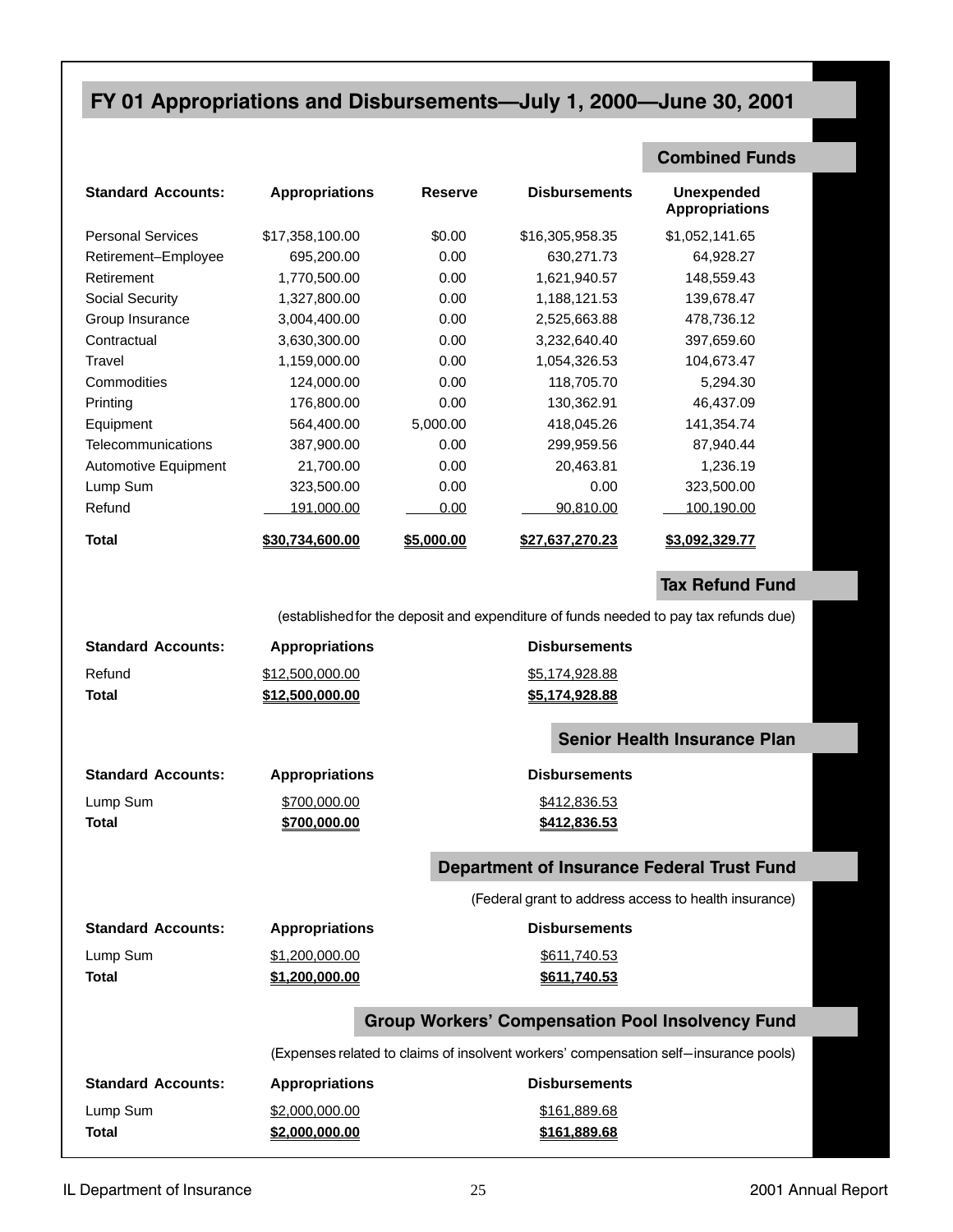## FY 01 Appropriations and Disbursements-July 1, 2000-June 30, 2001

|                           |                       |                |                      | <b>Combined Funds</b>                                                                |  |
|---------------------------|-----------------------|----------------|----------------------|--------------------------------------------------------------------------------------|--|
| <b>Standard Accounts:</b> | <b>Appropriations</b> | <b>Reserve</b> | <b>Disbursements</b> | <b>Unexpended</b><br><b>Appropriations</b>                                           |  |
| <b>Personal Services</b>  | \$17,358,100.00       | \$0.00         | \$16,305,958.35      | \$1,052,141.65                                                                       |  |
| Retirement-Employee       | 695,200.00            | 0.00           | 630,271.73           | 64,928.27                                                                            |  |
| Retirement                | 1,770,500.00          | 0.00           | 1,621,940.57         | 148,559.43                                                                           |  |
| Social Security           | 1,327,800.00          | 0.00           | 1,188,121.53         | 139,678.47                                                                           |  |
| Group Insurance           | 3,004,400.00          | 0.00           | 2,525,663.88         | 478,736.12                                                                           |  |
| Contractual               | 3,630,300.00          | 0.00           | 3,232,640.40         | 397,659.60                                                                           |  |
| Travel                    | 1,159,000.00          | 0.00           | 1,054,326.53         | 104,673.47                                                                           |  |
| Commodities               | 124,000.00            | 0.00           | 118,705.70           | 5,294.30                                                                             |  |
| Printing                  | 176,800.00            | 0.00           | 130,362.91           | 46,437.09                                                                            |  |
| Equipment                 | 564,400.00            | 5,000.00       | 418,045.26           | 141,354.74                                                                           |  |
| Telecommunications        | 387,900.00            | 0.00           | 299,959.56           | 87,940.44                                                                            |  |
| Automotive Equipment      | 21,700.00             | 0.00           | 20,463.81            | 1,236.19                                                                             |  |
| Lump Sum                  | 323,500.00            | 0.00           | 0.00                 | 323,500.00                                                                           |  |
| Refund                    | 191,000.00            | 0.00           | 90,810.00            | 100,190.00                                                                           |  |
| Total                     | \$30,734,600.00       | \$5,000.00     | \$27,637,270.23      | \$3,092,329.77                                                                       |  |
|                           |                       |                |                      | <b>Tax Refund Fund</b>                                                               |  |
|                           |                       |                |                      | (established for the deposit and expenditure of funds needed to pay tax refunds due) |  |
| <b>Standard Accounts:</b> | <b>Appropriations</b> |                | <b>Disbursements</b> |                                                                                      |  |
| Refund                    | \$12,500,000.00       |                | \$5,174,928.88       |                                                                                      |  |
| Total                     | \$12,500,000.00       |                | \$5,174,928.88       |                                                                                      |  |
|                           |                       |                |                      | <b>Senior Health Insurance Plan</b>                                                  |  |
| <b>Standard Accounts:</b> | <b>Appropriations</b> |                | <b>Disbursements</b> |                                                                                      |  |
| Lump Sum                  | <u>\$700,000.00</u>   |                | <u>\$412,836.53</u>  |                                                                                      |  |
| Total                     | \$700,000.00          |                | \$412,836.53         |                                                                                      |  |
|                           |                       |                |                      | <b>Department of Insurance Federal Trust Fund</b>                                    |  |
|                           |                       |                |                      | (Federal grant to address access to health insurance)                                |  |
| <b>Standard Accounts:</b> | <b>Appropriations</b> |                | <b>Disbursements</b> |                                                                                      |  |
| Lump Sum                  | \$1,200,000.00        |                | \$611,740.53         |                                                                                      |  |
| <b>Total</b>              | \$1,200,000.00        |                | \$611,740.53         |                                                                                      |  |
|                           |                       |                |                      | <b>Group Workers' Compensation Pool Insolvency Fund</b>                              |  |
|                           |                       |                |                      | (Expenses related to claims of insolvent workers' compensation self-insurance pools) |  |
| <b>Standard Accounts:</b> | <b>Appropriations</b> |                | <b>Disbursements</b> |                                                                                      |  |
| Lump Sum                  | \$2,000,000.00        |                | \$161,889.68         |                                                                                      |  |
| <b>Total</b>              | \$2,000,000.00        |                | \$161,889.68         |                                                                                      |  |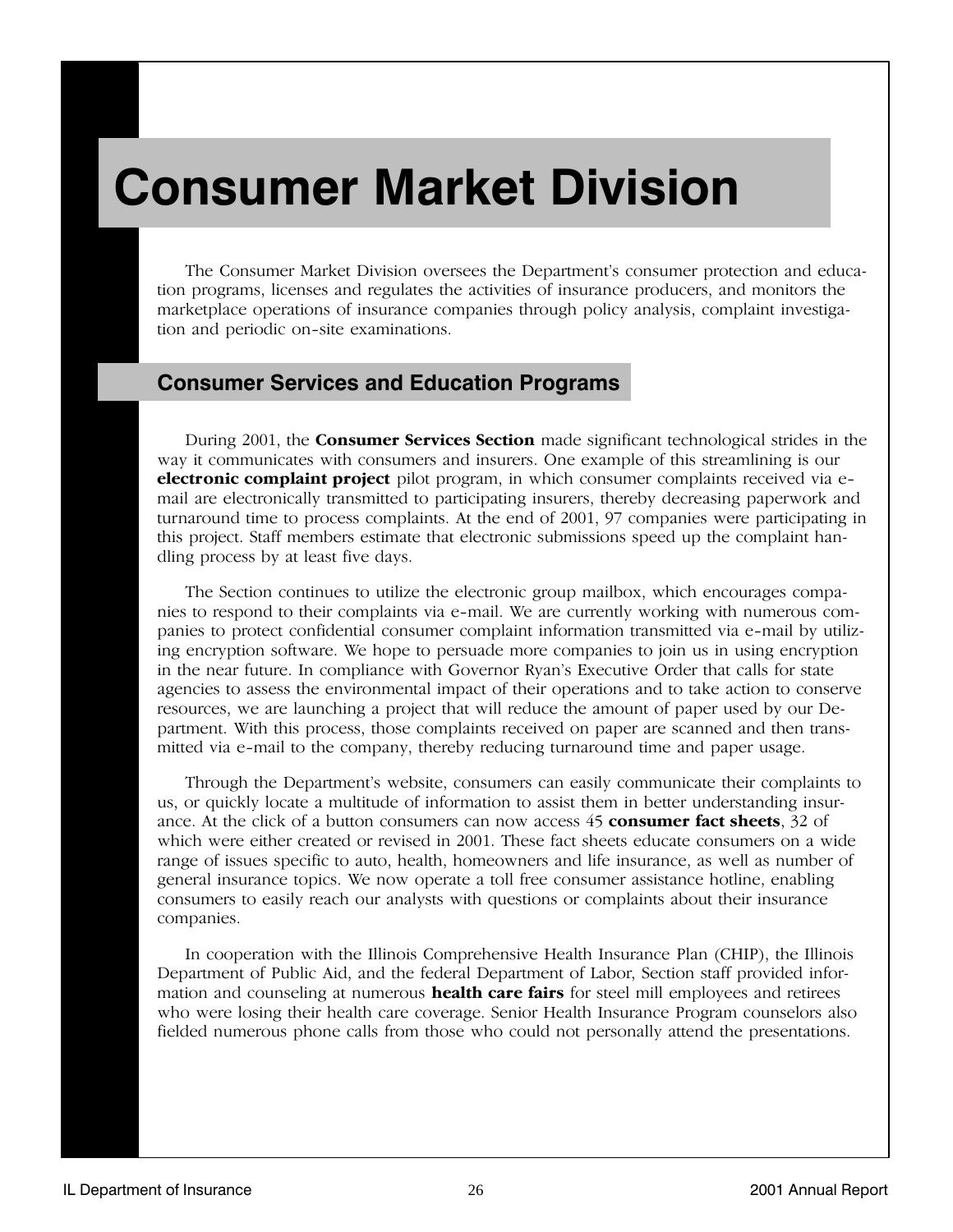## **Consumer Market Division**

The Consumer Market Division oversees the Department's consumer protection and education programs, licenses and regulates the activities of insurance producers, and monitors the marketplace operations of insurance companies through policy analysis, complaint investigation and periodic on-site examinations.

### **Consumer Services and Education Programs**

During 2001, the **Consumer Services Section** made significant technological strides in the way it communicates with consumers and insurers. One example of this streamlining is our **electronic complaint project** pilot program, in which consumer complaints received via email are electronically transmitted to participating insurers, thereby decreasing paperwork and turnaround time to process complaints. At the end of 2001, 97 companies were participating in this project. Staff members estimate that electronic submissions speed up the complaint handling process by at least five days.

The Section continues to utilize the electronic group mailbox, which encourages companies to respond to their complaints via e-mail. We are currently working with numerous companies to protect confidential consumer complaint information transmitted via e-mail by utilizing encryption software. We hope to persuade more companies to join us in using encryption in the near future. In compliance with Governor Ryan's Executive Order that calls for state agencies to assess the environmental impact of their operations and to take action to conserve resources, we are launching a project that will reduce the amount of paper used by our Department. With this process, those complaints received on paper are scanned and then transmitted via e-mail to the company, thereby reducing turnaround time and paper usage.

Through the Department's website, consumers can easily communicate their complaints to us, or quickly locate a multitude of information to assist them in better understanding insurance. At the click of a button consumers can now access 45 **consumer fact sheets**, 32 of which were either created or revised in 2001. These fact sheets educate consumers on a wide range of issues specific to auto, health, homeowners and life insurance, as well as number of general insurance topics. We now operate a toll free consumer assistance hotline, enabling consumers to easily reach our analysts with questions or complaints about their insurance companies.

In cooperation with the Illinois Comprehensive Health Insurance Plan (CHIP), the Illinois Department of Public Aid, and the federal Department of Labor, Section staff provided information and counseling at numerous **health care fairs** for steel mill employees and retirees who were losing their health care coverage. Senior Health Insurance Program counselors also fielded numerous phone calls from those who could not personally attend the presentations.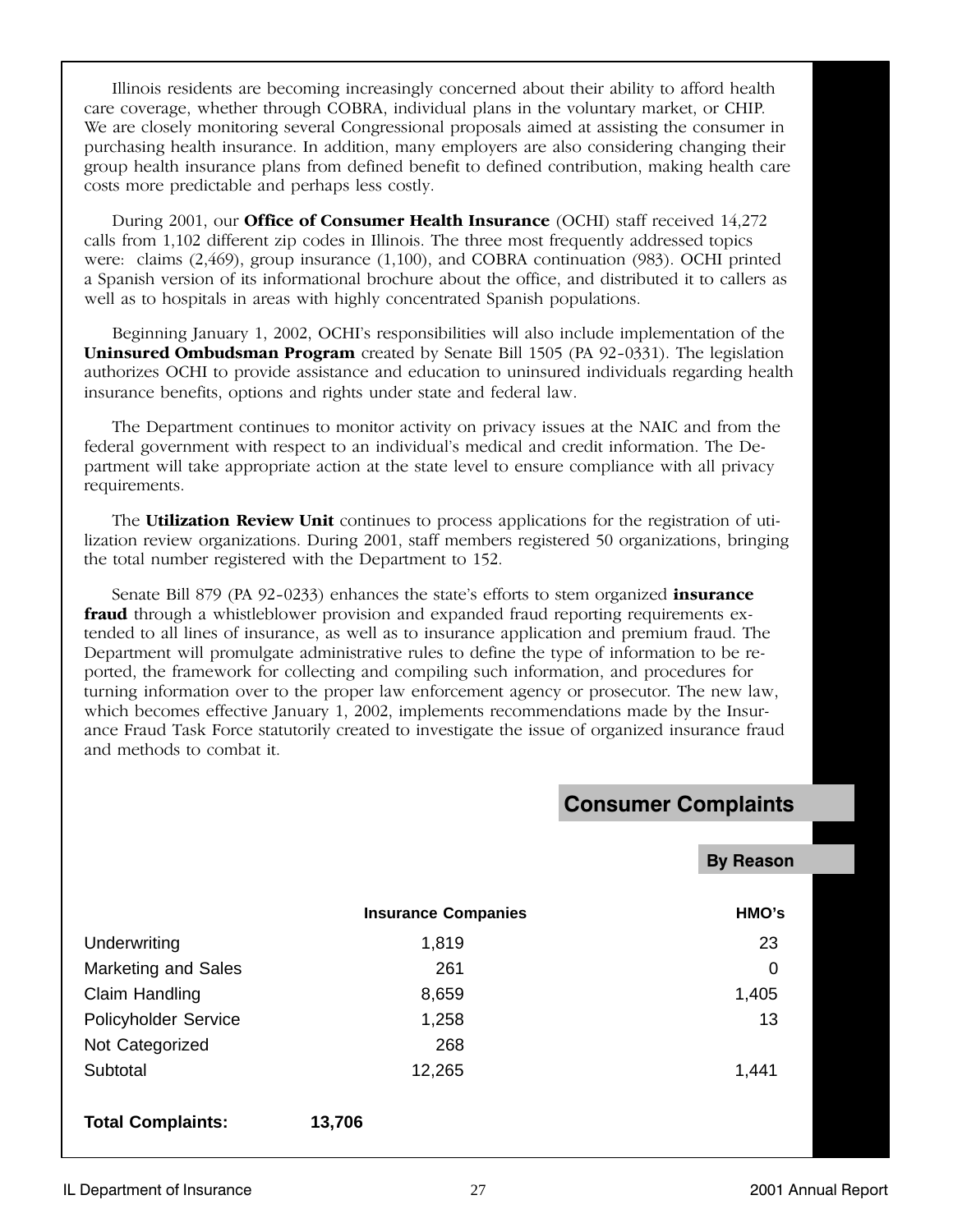Illinois residents are becoming increasingly concerned about their ability to afford health care coverage, whether through COBRA, individual plans in the voluntary market, or CHIP. We are closely monitoring several Congressional proposals aimed at assisting the consumer in purchasing health insurance. In addition, many employers are also considering changing their group health insurance plans from defined benefit to defined contribution, making health care costs more predictable and perhaps less costly.

During 2001, our **Office of Consumer Health Insurance** (OCHI) staff received 14,272 calls from 1,102 different zip codes in Illinois. The three most frequently addressed topics were: claims  $(2,469)$ , group insurance  $(1,100)$ , and COBRA continuation  $(983)$ . OCHI printed a Spanish version of its informational brochure about the office, and distributed it to callers as well as to hospitals in areas with highly concentrated Spanish populations.

Beginning January 1, 2002, OCHI's responsibilities will also include implementation of the **Uninsured Ombudsman Program** created by Senate Bill 1505 (PA 92-0331). The legislation authorizes OCHI to provide assistance and education to uninsured individuals regarding health insurance benefits, options and rights under state and federal law.

The Department continues to monitor activity on privacy issues at the NAIC and from the federal government with respect to an individual's medical and credit information. The Department will take appropriate action at the state level to ensure compliance with all privacy requirements.

The **Utilization Review Unit** continues to process applications for the registration of utilization review organizations. During 2001, staff members registered 50 organizations, bringing the total number registered with the Department to 152.

Senate Bill 879 (PA 92-0233) enhances the state's efforts to stem organized **insurance fraud** through a whistleblower provision and expanded fraud reporting requirements extended to all lines of insurance, as well as to insurance application and premium fraud. The Department will promulgate administrative rules to define the type of information to be reported, the framework for collecting and compiling such information, and procedures for turning information over to the proper law enforcement agency or prosecutor. The new law, which becomes effective January 1, 2002, implements recommendations made by the Insurance Fraud Task Force statutorily created to investigate the issue of organized insurance fraud and methods to combat it.

### **Consumer Complaints**

|                             |                            | <b>By Reason</b> |
|-----------------------------|----------------------------|------------------|
|                             | <b>Insurance Companies</b> | HMO's            |
| Underwriting                | 1,819                      | 23               |
| <b>Marketing and Sales</b>  | 261                        | 0                |
| Claim Handling              | 8,659                      | 1,405            |
| <b>Policyholder Service</b> | 1,258                      | 13               |
| Not Categorized             | 268                        |                  |
| Subtotal                    | 12,265                     | 1,441            |
| <b>Total Complaints:</b>    | 13,706                     |                  |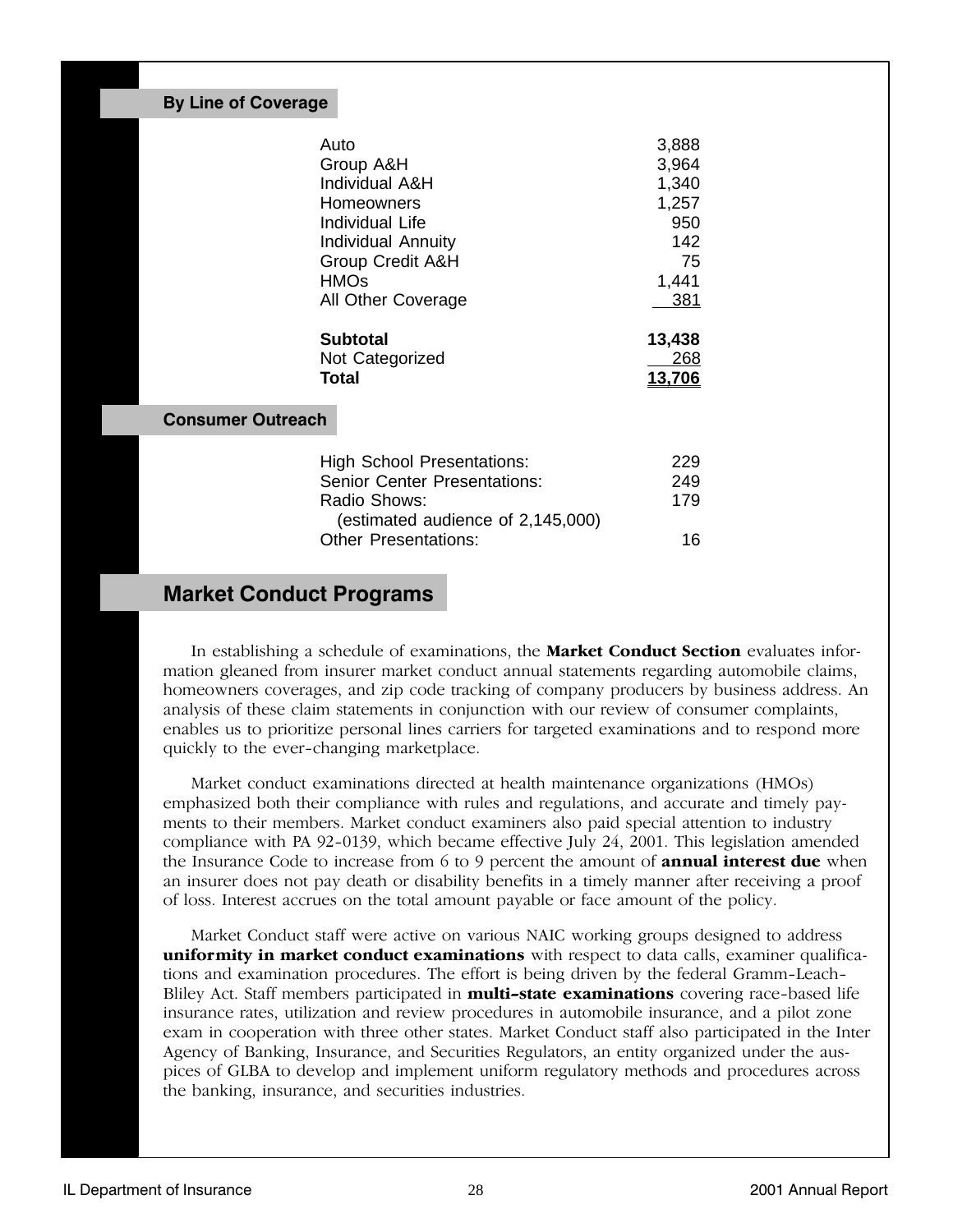### **By Line of Coverage**

|                          | Auto                      | 3,888  |
|--------------------------|---------------------------|--------|
|                          | Group A&H                 | 3,964  |
|                          | Individual A&H            | 1,340  |
|                          | Homeowners                | 1,257  |
|                          | Individual Life           | 950    |
|                          | <b>Individual Annuity</b> | 142    |
|                          | Group Credit A&H          | 75     |
|                          | <b>HMOs</b>               | 1,441  |
|                          | All Other Coverage        | 381    |
|                          | <b>Subtotal</b>           | 13,438 |
|                          | Not Categorized           | 268    |
|                          | Total                     | 13,706 |
| <b>Consumer Outreach</b> |                           |        |

| <b>High School Presentations:</b>   | 229 |
|-------------------------------------|-----|
| <b>Senior Center Presentations:</b> | 249 |
| Radio Shows:                        | 179 |
| (estimated audience of 2,145,000)   |     |
| <b>Other Presentations:</b>         | 16  |

### **Market Conduct Programs**

In establishing a schedule of examinations, the Market Conduct Section evaluates information gleaned from insurer market conduct annual statements regarding automobile claims, homeowners coverages, and zip code tracking of company producers by business address. An analysis of these claim statements in conjunction with our review of consumer complaints, enables us to prioritize personal lines carriers for targeted examinations and to respond more quickly to the ever-changing marketplace.

Market conduct examinations directed at health maintenance organizations (HMOs) emphasized both their compliance with rules and regulations, and accurate and timely payments to their members. Market conduct examiners also paid special attention to industry compliance with PA 92-0139, which became effective July 24, 2001. This legislation amended the Insurance Code to increase from 6 to 9 percent the amount of **annual interest due** when an insurer does not pay death or disability benefits in a timely manner after receiving a proof of loss. Interest accrues on the total amount payable or face amount of the policy.

Market Conduct staff were active on various NAIC working groups designed to address uniformity in market conduct examinations with respect to data calls, examiner qualifications and examination procedures. The effort is being driven by the federal Gramm-Leach-Bliley Act. Staff members participated in **multi-state examinations** covering race-based life insurance rates, utilization and review procedures in automobile insurance, and a pilot zone exam in cooperation with three other states. Market Conduct staff also participated in the Inter Agency of Banking, Insurance, and Securities Regulators, an entity organized under the auspices of GLBA to develop and implement uniform regulatory methods and procedures across the banking, insurance, and securities industries.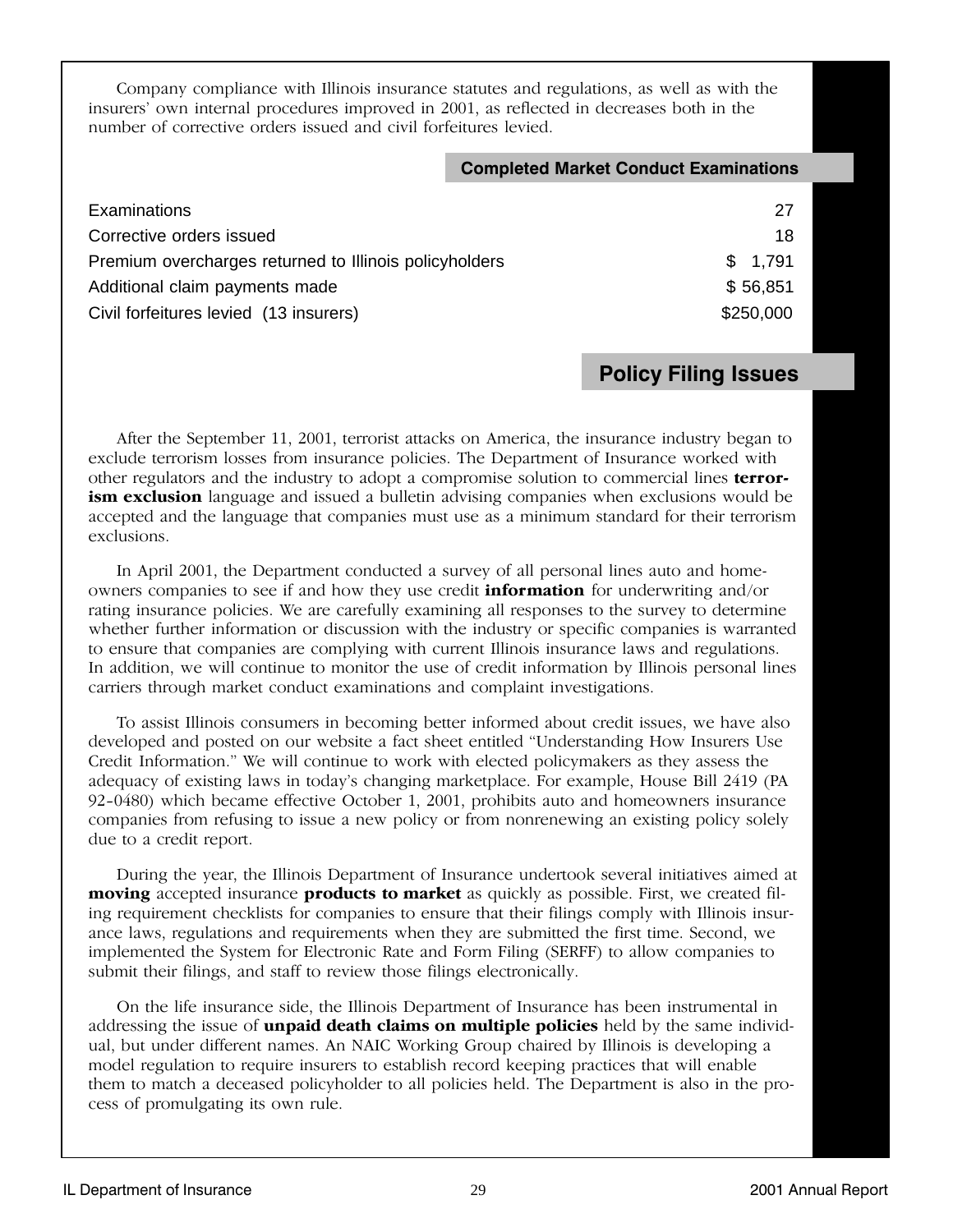Company compliance with Illinois insurance statutes and regulations, as well as with the insurers' own internal procedures improved in 2001, as reflected in decreases both in the number of corrective orders issued and civil forfeitures levied.

#### **Completed Market Conduct Examinations**

| Examinations                                           | 27        |
|--------------------------------------------------------|-----------|
| Corrective orders issued                               | 18        |
| Premium overcharges returned to Illinois policyholders | \$1,791   |
| Additional claim payments made                         | \$56,851  |
| Civil forfeitures levied (13 insurers)                 | \$250,000 |

### **Policy Filing Issues**

After the September 11, 2001, terrorist attacks on America, the insurance industry began to exclude terrorism losses from insurance policies. The Department of Insurance worked with other regulators and the industry to adopt a compromise solution to commercial lines **terrorism exclusion** language and issued a bulletin advising companies when exclusions would be accepted and the language that companies must use as a minimum standard for their terrorism exclusions.

In April 2001, the Department conducted a survey of all personal lines auto and homeowners companies to see if and how they use credit **information** for underwriting and/or rating insurance policies. We are carefully examining all responses to the survey to determine whether further information or discussion with the industry or specific companies is warranted to ensure that companies are complying with current Illinois insurance laws and regulations. In addition, we will continue to monitor the use of credit information by Illinois personal lines carriers through market conduct examinations and complaint investigations.

To assist Illinois consumers in becoming better informed about credit issues, we have also developed and posted on our website a fact sheet entitled "Understanding How Insurers Use Credit Information." We will continue to work with elected policymakers as they assess the adequacy of existing laws in today's changing marketplace. For example, House Bill 2419 (PA 92-0480) which became effective October 1, 2001, prohibits auto and homeowners insurance companies from refusing to issue a new policy or from nonrenewing an existing policy solely due to a credit report.

During the year, the Illinois Department of Insurance undertook several initiatives aimed at **moving** accepted insurance **products to market** as quickly as possible. First, we created filing requirement checklists for companies to ensure that their filings comply with Illinois insurance laws, regulations and requirements when they are submitted the first time. Second, we implemented the System for Electronic Rate and Form Filing (SERFF) to allow companies to submit their filings, and staff to review those filings electronically.

On the life insurance side, the Illinois Department of Insurance has been instrumental in addressing the issue of **unpaid death claims on multiple policies** held by the same individual, but under different names. An NAIC Working Group chaired by Illinois is developing a model regulation to require insurers to establish record keeping practices that will enable them to match a deceased policyholder to all policies held. The Department is also in the process of promulgating its own rule.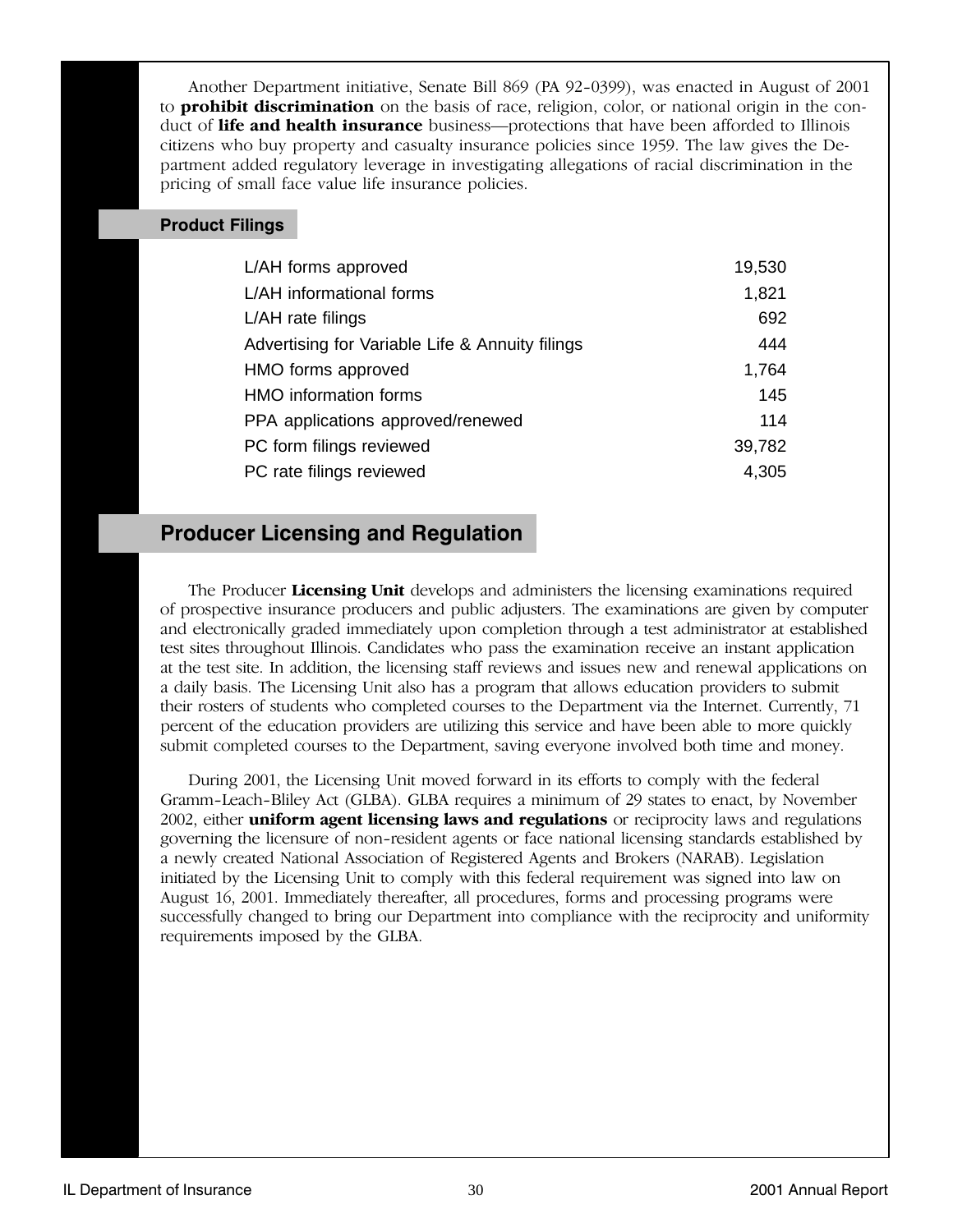Another Department initiative, Senate Bill 869 (PA 92-0399), was enacted in August of 2001 to **prohibit discrimination** on the basis of race, religion, color, or national origin in the conduct of **life and health insurance** business—protections that have been afforded to Illinois citizens who buy property and casualty insurance policies since 1959. The law gives the Department added regulatory leverage in investigating allegations of racial discrimination in the pricing of small face value life insurance policies.

#### **Product Filings**

| L/AH forms approved                             | 19,530 |
|-------------------------------------------------|--------|
| L/AH informational forms                        | 1,821  |
| L/AH rate filings                               | 692    |
| Advertising for Variable Life & Annuity filings | 444    |
| HMO forms approved                              | 1,764  |
| HMO information forms                           | 145    |
| PPA applications approved/renewed               | 114    |
| PC form filings reviewed                        | 39,782 |
| PC rate filings reviewed                        | 4,305  |

## **Producer Licensing and Regulation**

The Producer Licensing Unit develops and administers the licensing examinations required of prospective insurance producers and public adjusters. The examinations are given by computer and electronically graded immediately upon completion through a test administrator at established test sites throughout Illinois. Candidates who pass the examination receive an instant application at the test site. In addition, the licensing staff reviews and issues new and renewal applications on a daily basis. The Licensing Unit also has a program that allows education providers to submit their rosters of students who completed courses to the Department via the Internet. Currently, 71 percent of the education providers are utilizing this service and have been able to more quickly submit completed courses to the Department, saving everyone involved both time and money.

During 2001, the Licensing Unit moved forward in its efforts to comply with the federal Gramm-Leach-Bliley Act (GLBA). GLBA requires a minimum of 29 states to enact, by November 2002, either **uniform agent licensing laws and regulations** or reciprocity laws and regulations governing the licensure of non-resident agents or face national licensing standards established by a newly created National Association of Registered Agents and Brokers (NARAB). Legislation initiated by the Licensing Unit to comply with this federal requirement was signed into law on August 16, 2001. Immediately thereafter, all procedures, forms and processing programs were successfully changed to bring our Department into compliance with the reciprocity and uniformity requirements imposed by the GLBA.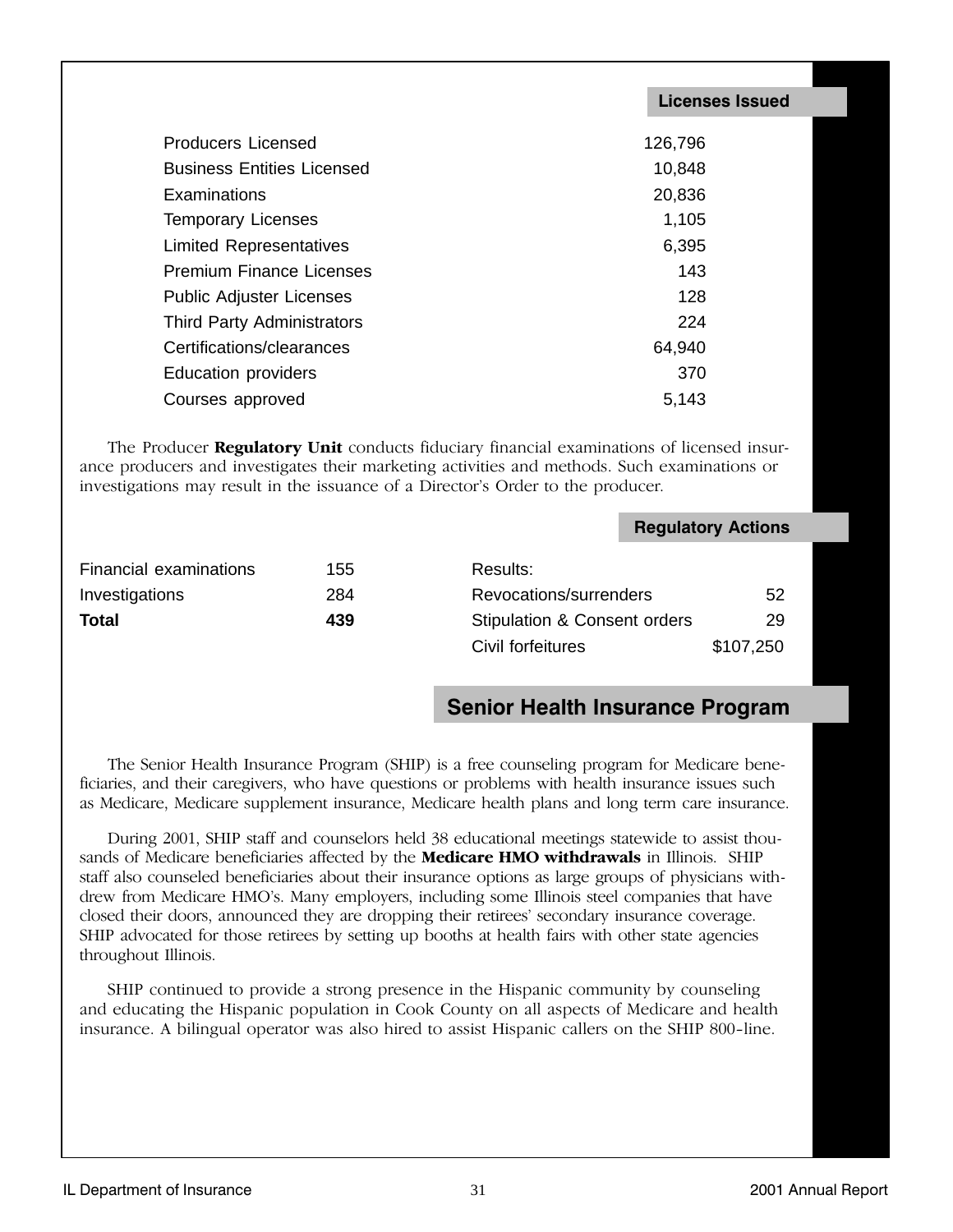|                                   | <b>Licenses Issued</b> |
|-----------------------------------|------------------------|
| <b>Producers Licensed</b>         | 126,796                |
| <b>Business Entities Licensed</b> | 10,848                 |
| Examinations                      | 20,836                 |
| <b>Temporary Licenses</b>         | 1,105                  |
| <b>Limited Representatives</b>    | 6,395                  |
| <b>Premium Finance Licenses</b>   | 143                    |
| <b>Public Adjuster Licenses</b>   | 128                    |
| <b>Third Party Administrators</b> | 224                    |
| Certifications/clearances         | 64,940                 |
| <b>Education providers</b>        | 370                    |
| Courses approved                  | 5,143                  |
|                                   |                        |

The Producer Regulatory Unit conducts fiduciary financial examinations of licensed insurance producers and investigates their marketing activities and methods. Such examinations or investigations may result in the issuance of a Director's Order to the producer.

#### **Regulatory Actions**

| Financial examinations | 155 | Results:                                |           |
|------------------------|-----|-----------------------------------------|-----------|
| Investigations         | 284 | Revocations/surrenders                  | 52        |
| Total                  | 439 | <b>Stipulation &amp; Consent orders</b> | 29        |
|                        |     | Civil forfeitures                       | \$107,250 |

## **Senior Health Insurance Program**

The Senior Health Insurance Program (SHIP) is a free counseling program for Medicare beneficiaries, and their caregivers, who have questions or problems with health insurance issues such as Medicare, Medicare supplement insurance, Medicare health plans and long term care insurance.

During 2001, SHIP staff and counselors held 38 educational meetings statewide to assist thousands of Medicare beneficiaries affected by the **Medicare HMO withdrawals** in Illinois. SHIP staff also counseled beneficiaries about their insurance options as large groups of physicians withdrew from Medicare HMO's. Many employers, including some Illinois steel companies that have closed their doors, announced they are dropping their retirees' secondary insurance coverage. SHIP advocated for those retirees by setting up booths at health fairs with other state agencies throughout Illinois.

SHIP continued to provide a strong presence in the Hispanic community by counseling and educating the Hispanic population in Cook County on all aspects of Medicare and health insurance. A bilingual operator was also hired to assist Hispanic callers on the SHIP 800-line.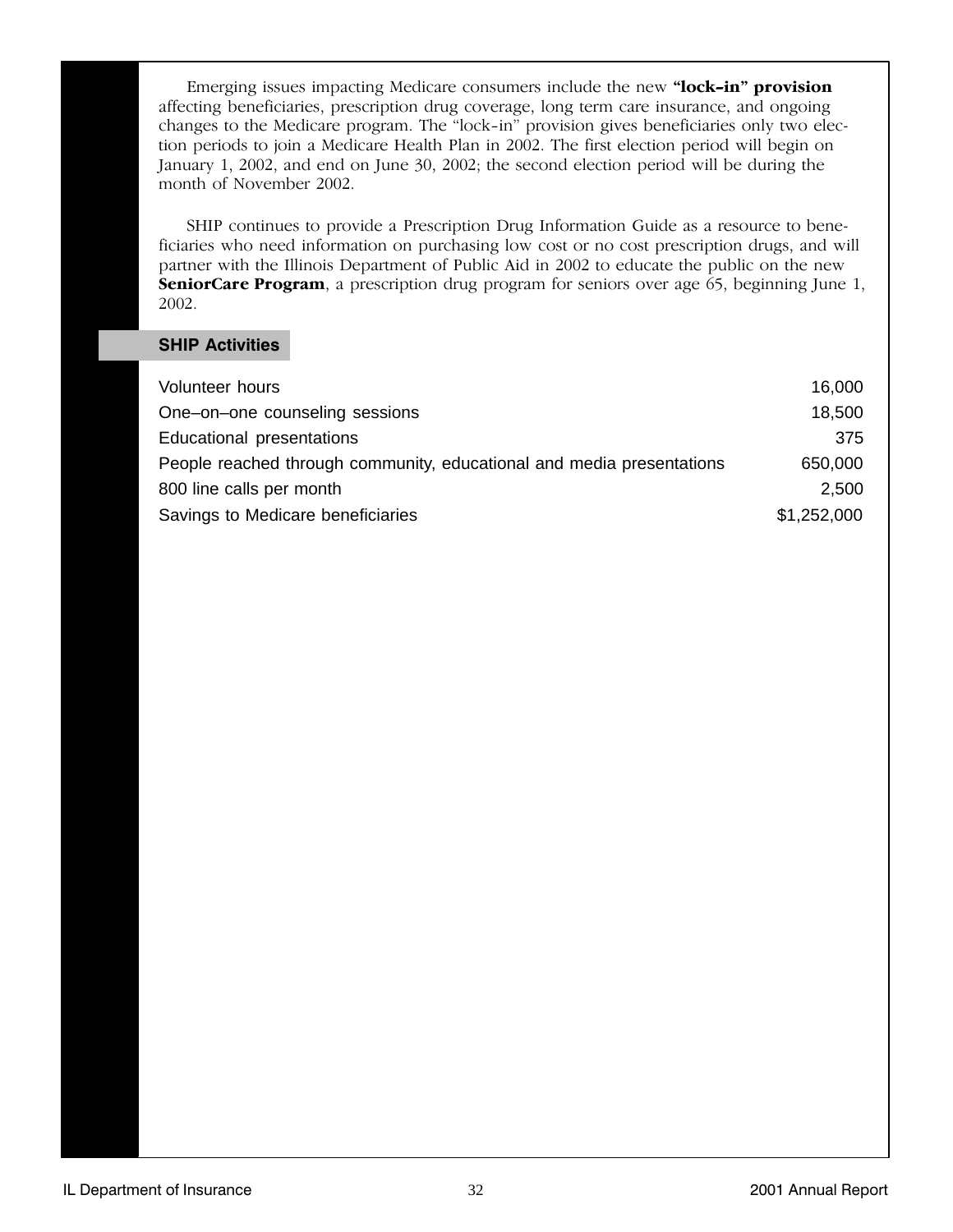Emerging issues impacting Medicare consumers include the new "lock-in" provision affecting beneficiaries, prescription drug coverage, long term care insurance, and ongoing changes to the Medicare program. The "lock-in" provision gives beneficiaries only two election periods to join a Medicare Health Plan in 2002. The first election period will begin on January 1, 2002, and end on June 30, 2002; the second election period will be during the month of November 2002.

SHIP continues to provide a Prescription Drug Information Guide as a resource to beneficiaries who need information on purchasing low cost or no cost prescription drugs, and will partner with the Illinois Department of Public Aid in 2002 to educate the public on the new SeniorCare Program, a prescription drug program for seniors over age 65, beginning June 1, 2002.

#### **SHIP Activities**

| Volunteer hours                                                       | 16,000      |
|-----------------------------------------------------------------------|-------------|
| One-on-one counseling sessions                                        | 18,500      |
| Educational presentations                                             | 375         |
| People reached through community, educational and media presentations | 650,000     |
| 800 line calls per month                                              | 2,500       |
| Savings to Medicare beneficiaries                                     | \$1,252,000 |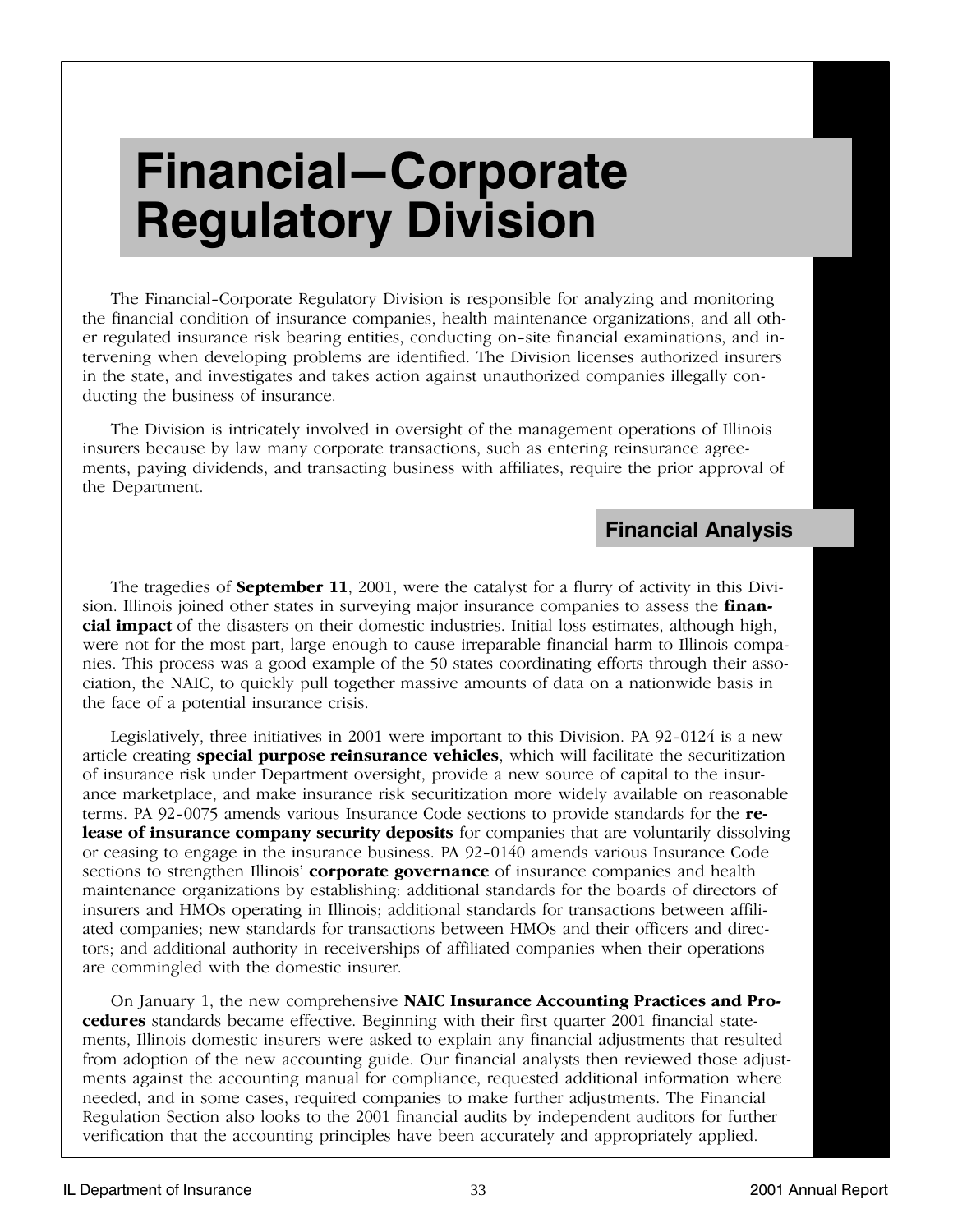## **Financial-Corporate Regulatory Division**

The Financial-Corporate Regulatory Division is responsible for analyzing and monitoring the financial condition of insurance companies, health maintenance organizations, and all other regulated insurance risk bearing entities, conducting on-site financial examinations, and intervening when developing problems are identified. The Division licenses authorized insurers in the state, and investigates and takes action against unauthorized companies illegally conducting the business of insurance.

The Division is intricately involved in oversight of the management operations of Illinois insurers because by law many corporate transactions, such as entering reinsurance agreements, paying dividends, and transacting business with affiliates, require the prior approval of the Department.

### **Financial Analysis**

The tragedies of **September 11**, 2001, were the catalyst for a flurry of activity in this Division. Illinois joined other states in surveying major insurance companies to assess the **financial impact** of the disasters on their domestic industries. Initial loss estimates, although high, were not for the most part, large enough to cause irreparable financial harm to Illinois companies. This process was a good example of the 50 states coordinating efforts through their association, the NAIC, to quickly pull together massive amounts of data on a nationwide basis in the face of a potential insurance crisis.

Legislatively, three initiatives in 2001 were important to this Division. PA 92-0124 is a new article creating **special purpose reinsurance vehicles**, which will facilitate the securitization of insurance risk under Department oversight, provide a new source of capital to the insurance marketplace, and make insurance risk securitization more widely available on reasonable terms. PA 92-0075 amends various Insurance Code sections to provide standards for the re**lease of insurance company security deposits** for companies that are voluntarily dissolving or ceasing to engage in the insurance business. PA 92-0140 amends various Insurance Code sections to strengthen Illinois' **corporate governance** of insurance companies and health maintenance organizations by establishing: additional standards for the boards of directors of insurers and HMOs operating in Illinois; additional standards for transactions between affiliated companies; new standards for transactions between HMOs and their officers and directors; and additional authority in receiverships of affiliated companies when their operations are commingled with the domestic insurer.

On January 1, the new comprehensive NAIC Insurance Accounting Practices and Procedures standards became effective. Beginning with their first quarter 2001 financial statements, Illinois domestic insurers were asked to explain any financial adjustments that resulted from adoption of the new accounting guide. Our financial analysts then reviewed those adjustments against the accounting manual for compliance, requested additional information where needed, and in some cases, required companies to make further adjustments. The Financial Regulation Section also looks to the 2001 financial audits by independent auditors for further verification that the accounting principles have been accurately and appropriately applied.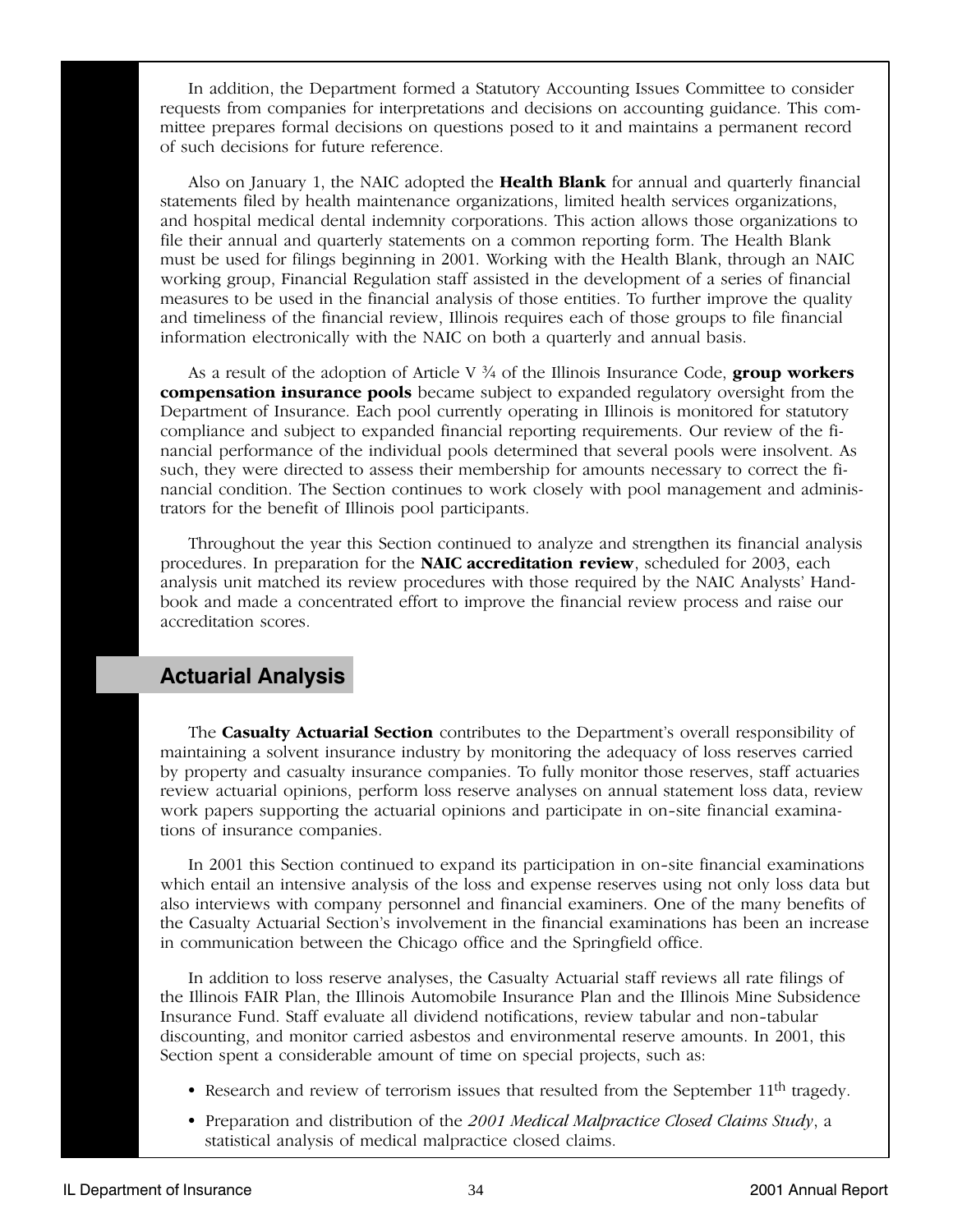In addition, the Department formed a Statutory Accounting Issues Committee to consider requests from companies for interpretations and decisions on accounting guidance. This committee prepares formal decisions on questions posed to it and maintains a permanent record of such decisions for future reference.

Also on January 1, the NAIC adopted the **Health Blank** for annual and quarterly financial statements filed by health maintenance organizations, limited health services organizations, and hospital medical dental indemnity corporations. This action allows those organizations to file their annual and quarterly statements on a common reporting form. The Health Blank must be used for filings beginning in 2001. Working with the Health Blank, through an NAIC working group, Financial Regulation staff assisted in the development of a series of financial measures to be used in the financial analysis of those entities. To further improve the quality and timeliness of the financial review, Illinois requires each of those groups to file financial information electronically with the NAIC on both a quarterly and annual basis.

As a result of the adoption of Article V  $\frac{3}{4}$  of the Illinois Insurance Code, group workers **compensation insurance pools** became subject to expanded regulatory oversight from the Department of Insurance. Each pool currently operating in Illinois is monitored for statutory compliance and subject to expanded financial reporting requirements. Our review of the financial performance of the individual pools determined that several pools were insolvent. As such, they were directed to assess their membership for amounts necessary to correct the financial condition. The Section continues to work closely with pool management and administrators for the benefit of Illinois pool participants.

Throughout the year this Section continued to analyze and strengthen its financial analysis procedures. In preparation for the **NAIC accreditation review**, scheduled for 2003, each analysis unit matched its review procedures with those required by the NAIC Analysts' Handbook and made a concentrated effort to improve the financial review process and raise our accreditation scores

### **Actuarial Analysis**

The **Casualty Actuarial Section** contributes to the Department's overall responsibility of maintaining a solvent insurance industry by monitoring the adequacy of loss reserves carried by property and casualty insurance companies. To fully monitor those reserves, staff actuaries review actuarial opinions, perform loss reserve analyses on annual statement loss data, review work papers supporting the actuarial opinions and participate in on-site financial examinations of insurance companies.

In 2001 this Section continued to expand its participation in on-site financial examinations which entail an intensive analysis of the loss and expense reserves using not only loss data but also interviews with company personnel and financial examiners. One of the many benefits of the Casualty Actuarial Section's involvement in the financial examinations has been an increase in communication between the Chicago office and the Springfield office.

In addition to loss reserve analyses, the Casualty Actuarial staff reviews all rate filings of the Illinois FAIR Plan, the Illinois Automobile Insurance Plan and the Illinois Mine Subsidence Insurance Fund. Staff evaluate all dividend notifications, review tabular and non-tabular discounting, and monitor carried asbestos and environmental reserve amounts. In 2001, this Section spent a considerable amount of time on special projects, such as:

- Research and review of terrorism issues that resulted from the September 11<sup>th</sup> tragedy.
- Preparation and distribution of the 2001 Medical Malpractice Closed Claims Study, a statistical analysis of medical malpractice closed claims.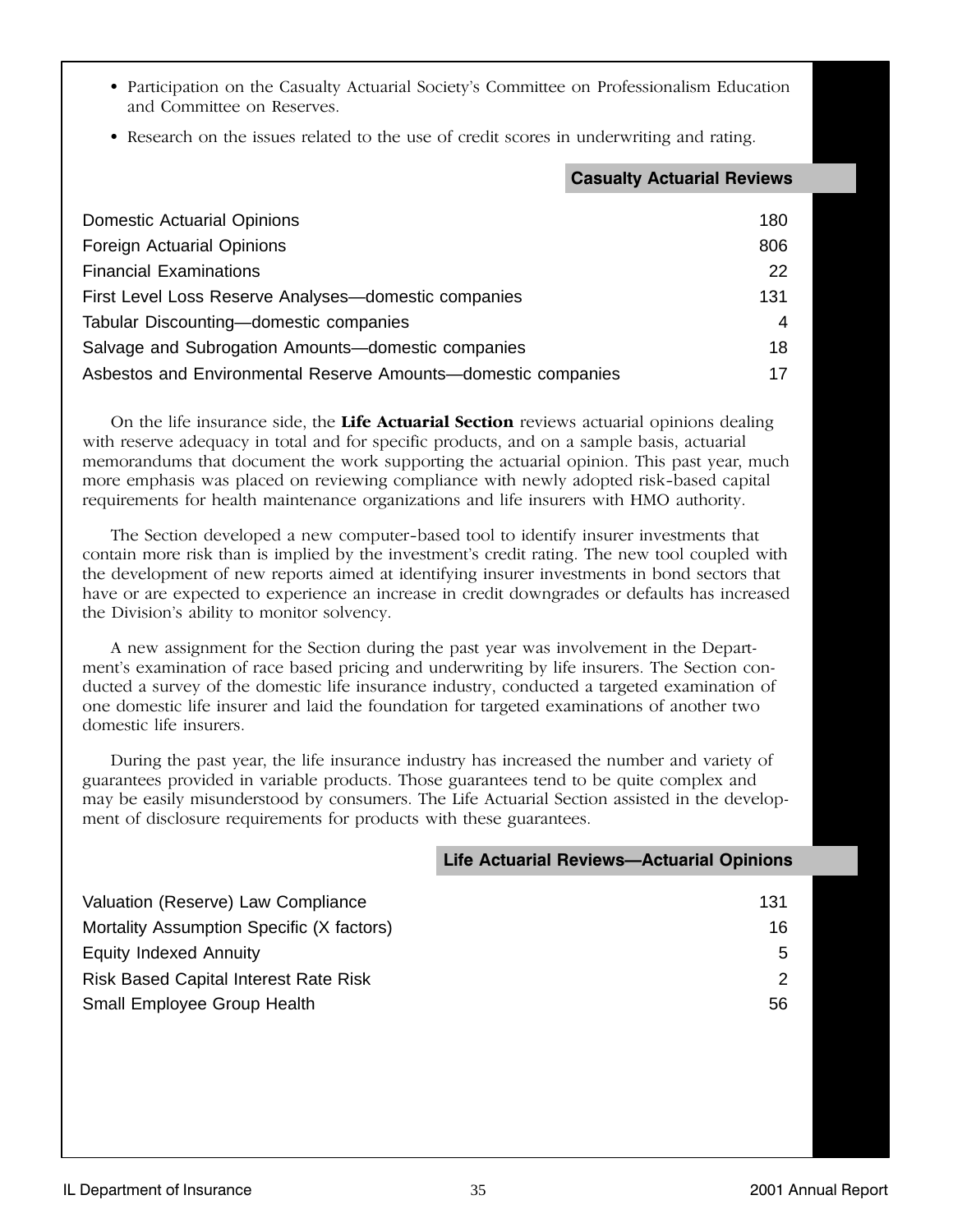- Participation on the Casualty Actuarial Society's Committee on Professionalism Education and Committee on Reserves.
- Research on the issues related to the use of credit scores in underwriting and rating.

**Casualty Actuarial Reviews** 

| <b>Domestic Actuarial Opinions</b>                            | 180 |
|---------------------------------------------------------------|-----|
| <b>Foreign Actuarial Opinions</b>                             | 806 |
| <b>Financial Examinations</b>                                 | 22  |
| First Level Loss Reserve Analyses—domestic companies          | 131 |
| Tabular Discounting-domestic companies                        | 4   |
| Salvage and Subrogation Amounts—domestic companies            | 18  |
| Asbestos and Environmental Reserve Amounts—domestic companies |     |

On the life insurance side, the **Life Actuarial Section** reviews actuarial opinions dealing with reserve adequacy in total and for specific products, and on a sample basis, actuarial memorandums that document the work supporting the actuarial opinion. This past year, much more emphasis was placed on reviewing compliance with newly adopted risk-based capital requirements for health maintenance organizations and life insurers with HMO authority.

The Section developed a new computer-based tool to identify insurer investments that contain more risk than is implied by the investment's credit rating. The new tool coupled with the development of new reports aimed at identifying insurer investments in bond sectors that have or are expected to experience an increase in credit downgrades or defaults has increased the Division's ability to monitor solvency.

A new assignment for the Section during the past year was involvement in the Department's examination of race based pricing and underwriting by life insurers. The Section conducted a survey of the domestic life insurance industry, conducted a targeted examination of one domestic life insurer and laid the foundation for targeted examinations of another two domestic life insurers.

During the past year, the life insurance industry has increased the number and variety of guarantees provided in variable products. Those guarantees tend to be quite complex and may be easily misunderstood by consumers. The Life Actuarial Section assisted in the development of disclosure requirements for products with these guarantees.

|                                              | <b>Life Actuarial Reviews-Actuarial Opinions</b> |
|----------------------------------------------|--------------------------------------------------|
| Valuation (Reserve) Law Compliance           | 131                                              |
| Mortality Assumption Specific (X factors)    | 16                                               |
| <b>Equity Indexed Annuity</b>                | 5                                                |
| <b>Risk Based Capital Interest Rate Risk</b> | 2                                                |
| <b>Small Employee Group Health</b>           | 56                                               |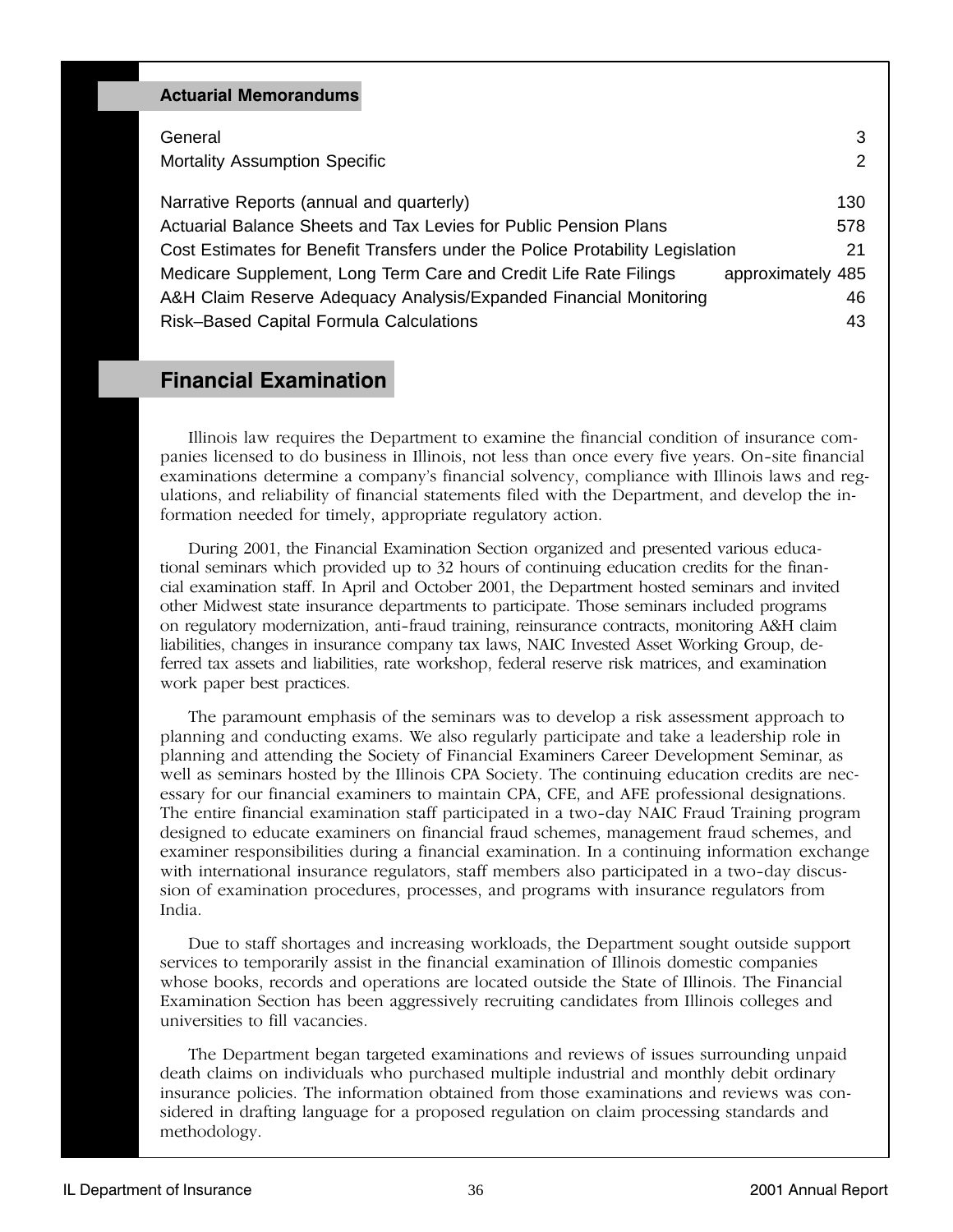#### **Actuarial Memorandums**

| General                                                                       | 3                 |
|-------------------------------------------------------------------------------|-------------------|
| <b>Mortality Assumption Specific</b>                                          | $\mathcal{P}$     |
| Narrative Reports (annual and quarterly)                                      | 130               |
| Actuarial Balance Sheets and Tax Levies for Public Pension Plans              | 578               |
| Cost Estimates for Benefit Transfers under the Police Protability Legislation | 21                |
| Medicare Supplement, Long Term Care and Credit Life Rate Filings              | approximately 485 |
| A&H Claim Reserve Adequacy Analysis/Expanded Financial Monitoring             | 46                |
| <b>Risk-Based Capital Formula Calculations</b>                                | 43                |

#### **Financial Examination**

Illinois law requires the Department to examine the financial condition of insurance companies licensed to do business in Illinois, not less than once every five years. On-site financial examinations determine a company's financial solvency, compliance with Illinois laws and regulations, and reliability of financial statements filed with the Department, and develop the information needed for timely, appropriate regulatory action.

During 2001, the Financial Examination Section organized and presented various educational seminars which provided up to 32 hours of continuing education credits for the financial examination staff. In April and October 2001, the Department hosted seminars and invited other Midwest state insurance departments to participate. Those seminars included programs on regulatory modernization, anti-fraud training, reinsurance contracts, monitoring A&H claim liabilities, changes in insurance company tax laws, NAIC Invested Asset Working Group, deferred tax assets and liabilities, rate workshop, federal reserve risk matrices, and examination work paper best practices.

The paramount emphasis of the seminars was to develop a risk assessment approach to planning and conducting exams. We also regularly participate and take a leadership role in planning and attending the Society of Financial Examiners Career Development Seminar, as well as seminars hosted by the Illinois CPA Society. The continuing education credits are necessary for our financial examiners to maintain CPA, CFE, and AFE professional designations. The entire financial examination staff participated in a two-day NAIC Fraud Training program designed to educate examiners on financial fraud schemes, management fraud schemes, and examiner responsibilities during a financial examination. In a continuing information exchange with international insurance regulators, staff members also participated in a two-day discussion of examination procedures, processes, and programs with insurance regulators from India.

Due to staff shortages and increasing workloads, the Department sought outside support services to temporarily assist in the financial examination of Illinois domestic companies whose books, records and operations are located outside the State of Illinois. The Financial Examination Section has been aggressively recruiting candidates from Illinois colleges and universities to fill vacancies.

The Department began targeted examinations and reviews of issues surrounding unpaid death claims on individuals who purchased multiple industrial and monthly debit ordinary insurance policies. The information obtained from those examinations and reviews was considered in drafting language for a proposed regulation on claim processing standards and methodology.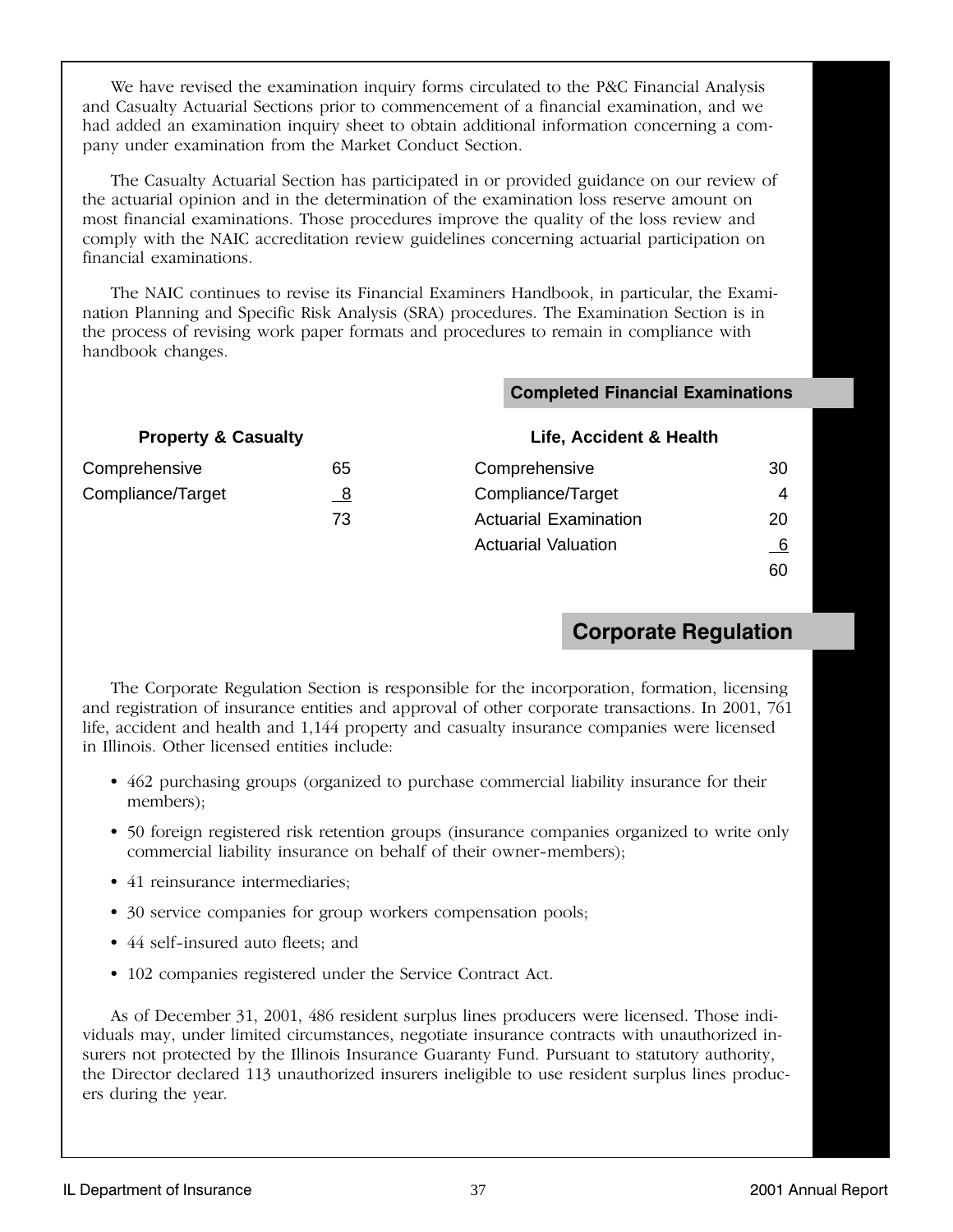We have revised the examination inquiry forms circulated to the P&C Financial Analysis and Casualty Actuarial Sections prior to commencement of a financial examination, and we had added an examination inquiry sheet to obtain additional information concerning a company under examination from the Market Conduct Section.

The Casualty Actuarial Section has participated in or provided guidance on our review of the actuarial opinion and in the determination of the examination loss reserve amount on most financial examinations. Those procedures improve the quality of the loss review and comply with the NAIC accreditation review guidelines concerning actuarial participation on financial examinations.

The NAIC continues to revise its Financial Examiners Handbook, in particular, the Examination Planning and Specific Risk Analysis (SRA) procedures. The Examination Section is in the process of revising work paper formats and procedures to remain in compliance with handbook changes.

| <b>Property &amp; Casualty</b> |           | Life, Accident & Health      |           |
|--------------------------------|-----------|------------------------------|-----------|
| Comprehensive                  | 65        | Comprehensive                | 30        |
| Compliance/Target              | <u>_8</u> | Compliance/Target            |           |
|                                | 73        | <b>Actuarial Examination</b> | 20        |
|                                |           | <b>Actuarial Valuation</b>   | <u>_6</u> |
|                                |           |                              | 60        |

#### **Corporate Regulation**

**Completed Financial Examinations** 

The Corporate Regulation Section is responsible for the incorporation, formation, licensing and registration of insurance entities and approval of other corporate transactions. In 2001, 761 life, accident and health and 1,144 property and casualty insurance companies were licensed in Illinois. Other licensed entities include:

- 462 purchasing groups (organized to purchase commercial liability insurance for their members);
- 50 foreign registered risk retention groups (insurance companies organized to write only commercial liability insurance on behalf of their owner-members);
- 41 reinsurance intermediaries;
- 30 service companies for group workers compensation pools;
- 44 self-insured auto fleets; and
- 102 companies registered under the Service Contract Act.

As of December 31, 2001, 486 resident surplus lines producers were licensed. Those individuals may, under limited circumstances, negotiate insurance contracts with unauthorized insurers not protected by the Illinois Insurance Guaranty Fund. Pursuant to statutory authority, the Director declared 113 unauthorized insurers ineligible to use resident surplus lines producers during the year.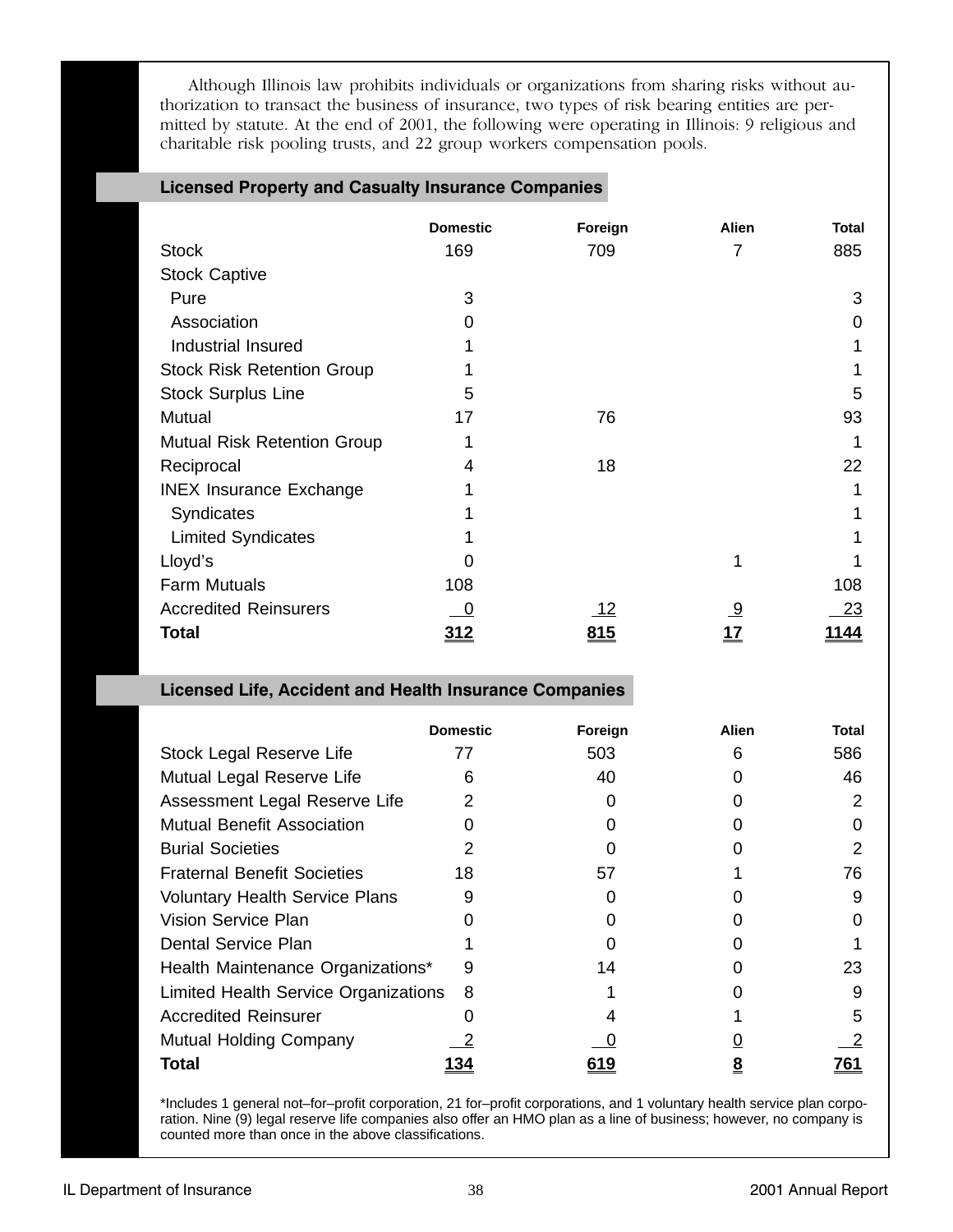Although Illinois law prohibits individuals or organizations from sharing risks without authorization to transact the business of insurance, two types of risk bearing entities are permitted by statute. At the end of 2001, the following were operating in Illinois: 9 religious and charitable risk pooling trusts, and 22 group workers compensation pools.

#### Licensed Property and Casualty Insurance Companies

|                                    | <b>Domestic</b> | Foreign    | <b>Alien</b> | <b>Total</b> |
|------------------------------------|-----------------|------------|--------------|--------------|
| <b>Stock</b>                       | 169             | 709        | 7            | 885          |
| <b>Stock Captive</b>               |                 |            |              |              |
| Pure                               | 3               |            |              | 3            |
| Association                        | 0               |            |              | 0            |
| <b>Industrial Insured</b>          |                 |            |              |              |
| <b>Stock Risk Retention Group</b>  |                 |            |              | 1            |
| <b>Stock Surplus Line</b>          | 5               |            |              | 5            |
| Mutual                             | 17              | 76         |              | 93           |
| <b>Mutual Risk Retention Group</b> |                 |            |              | 1            |
| Reciprocal                         | 4               | 18         |              | 22           |
| <b>INEX Insurance Exchange</b>     |                 |            |              | 1            |
| Syndicates                         |                 |            |              | 1            |
| <b>Limited Syndicates</b>          |                 |            |              | 1            |
| Lloyd's                            | Ω               |            | 1            |              |
| <b>Farm Mutuals</b>                | 108             |            |              | 108          |
| <b>Accredited Reinsurers</b>       |                 | 12         | <u>9</u>     | 23           |
| <b>Total</b>                       | <u>312</u>      | <u>815</u> | <u> 17</u>   | 144          |

#### Licensed Life, Accident and Health Insurance Companies

|                                       | <b>Domestic</b> | Foreign | <b>Alien</b> | Total |
|---------------------------------------|-----------------|---------|--------------|-------|
| Stock Legal Reserve Life              | 77              | 503     | 6            | 586   |
| Mutual Legal Reserve Life             | 6               | 40      |              | 46    |
| Assessment Legal Reserve Life         | 2               |         |              |       |
| <b>Mutual Benefit Association</b>     |                 |         |              |       |
| <b>Burial Societies</b>               | 2               |         |              |       |
| <b>Fraternal Benefit Societies</b>    | 18              | 57      |              | 76    |
| <b>Voluntary Health Service Plans</b> | 9               |         |              | 9     |
| Vision Service Plan                   |                 |         |              |       |
| Dental Service Plan                   |                 |         |              |       |
| Health Maintenance Organizations*     | 9               | 14      |              | 23    |
| Limited Health Service Organizations  | 8               |         |              | 9     |
| <b>Accredited Reinsurer</b>           |                 |         |              | 5     |
| <b>Mutual Holding Company</b>         |                 |         |              |       |
| Total                                 |                 | 619     |              | 761   |

\*Includes 1 general not–for–profit corporation, 21 for–profit corporations, and 1 voluntary health service plan corporation. Nine (9) legal reserve life companies also offer an HMO plan as a line of business; however, no company is counted more than once in the above classifications.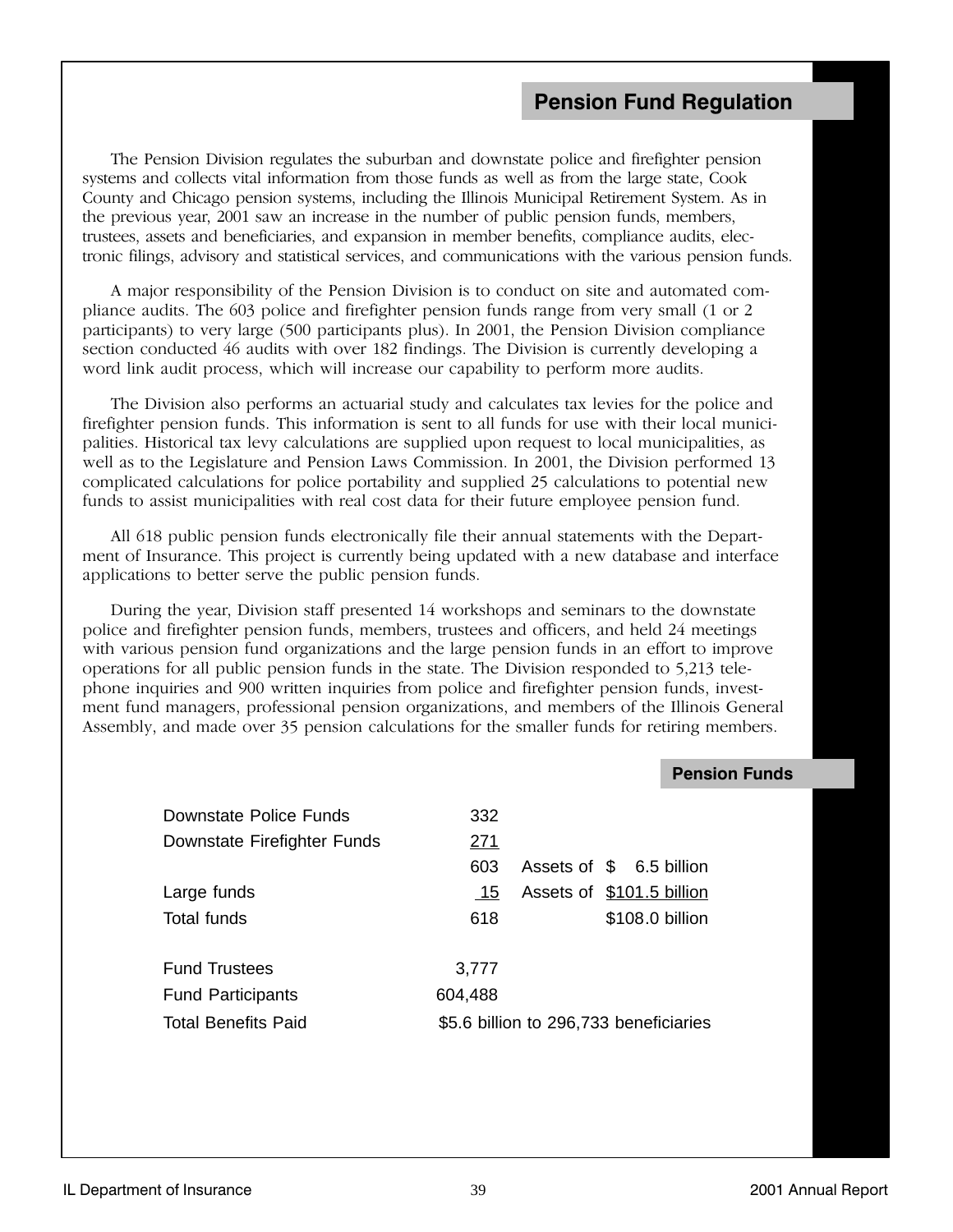### **Pension Fund Regulation**

The Pension Division regulates the suburban and downstate police and firefighter pension systems and collects vital information from those funds as well as from the large state, Cook County and Chicago pension systems, including the Illinois Municipal Retirement System. As in the previous year, 2001 saw an increase in the number of public pension funds, members, trustees, assets and beneficiaries, and expansion in member benefits, compliance audits, electronic filings, advisory and statistical services, and communications with the various pension funds.

A major responsibility of the Pension Division is to conduct on site and automated compliance audits. The 603 police and firefighter pension funds range from very small (1 or 2) participants) to very large (500 participants plus). In 2001, the Pension Division compliance section conducted 46 audits with over 182 findings. The Division is currently developing a word link audit process, which will increase our capability to perform more audits.

The Division also performs an actuarial study and calculates tax levies for the police and firefighter pension funds. This information is sent to all funds for use with their local municipalities. Historical tax levy calculations are supplied upon request to local municipalities, as well as to the Legislature and Pension Laws Commission. In 2001, the Division performed 13 complicated calculations for police portability and supplied 25 calculations to potential new funds to assist municipalities with real cost data for their future employee pension fund.

All 618 public pension funds electronically file their annual statements with the Department of Insurance. This project is currently being updated with a new database and interface applications to better serve the public pension funds.

During the year, Division staff presented 14 workshops and seminars to the downstate police and firefighter pension funds, members, trustees and officers, and held 24 meetings with various pension fund organizations and the large pension funds in an effort to improve operations for all public pension funds in the state. The Division responded to 5,213 telephone inquiries and 900 written inquiries from police and firefighter pension funds, investment fund managers, professional pension organizations, and members of the Illinois General Assembly, and made over 35 pension calculations for the smaller funds for retiring members.

#### **Pension Funds**

| Downstate Police Funds      | 332                                     |  |
|-----------------------------|-----------------------------------------|--|
| Downstate Firefighter Funds | 271                                     |  |
|                             | Assets of \$ 6.5 billion<br>603         |  |
| Large funds                 | Assets of \$101.5 billion<br><u>_15</u> |  |
| Total funds                 | 618<br>\$108.0 billion                  |  |
|                             |                                         |  |
| <b>Fund Trustees</b>        | 3,777                                   |  |
| <b>Fund Participants</b>    | 604,488                                 |  |
| Total Benefits Paid         | \$5.6 billion to 296,733 beneficiaries  |  |
|                             |                                         |  |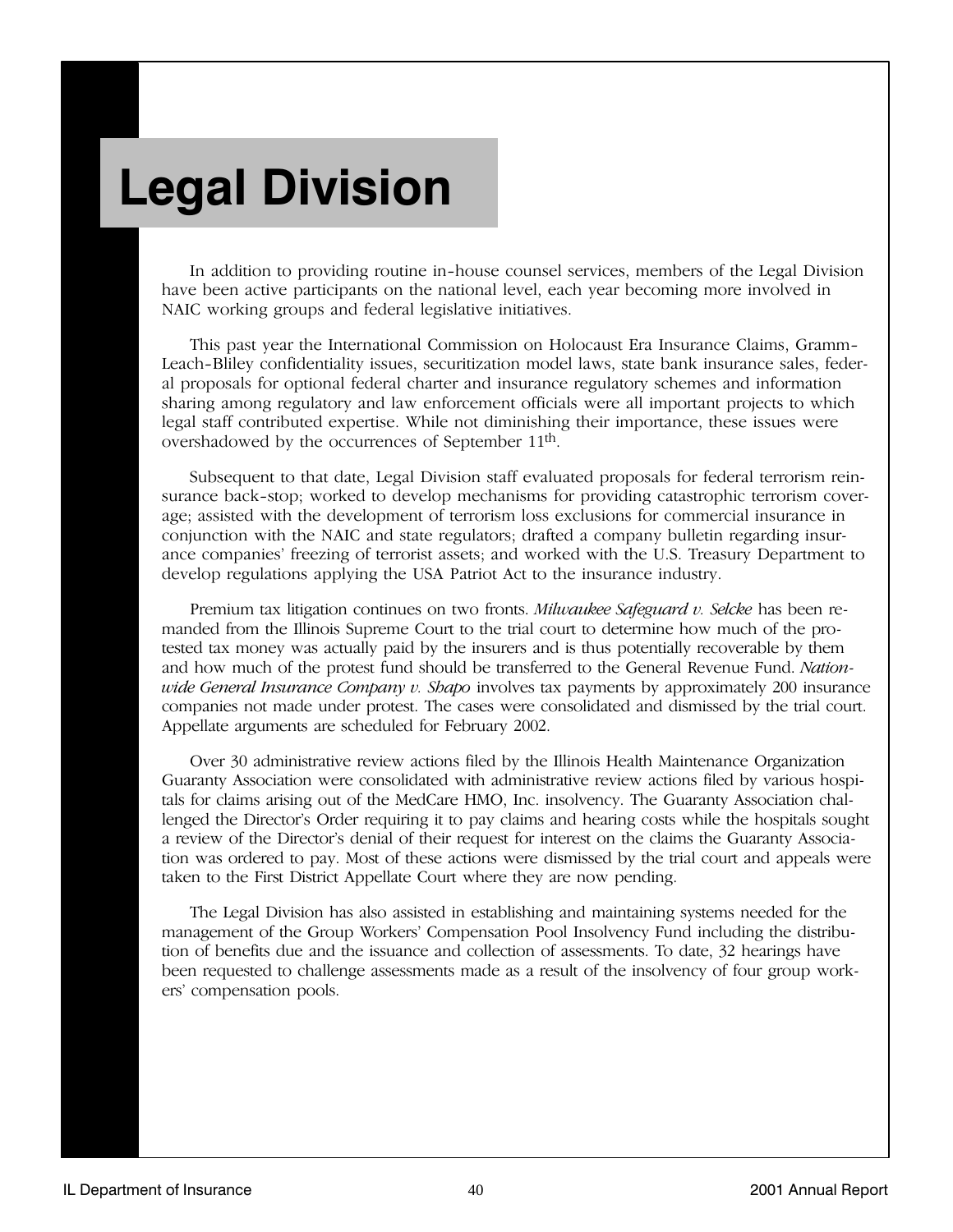# **Legal Division**

In addition to providing routine in-house counsel services, members of the Legal Division have been active participants on the national level, each year becoming more involved in NAIC working groups and federal legislative initiatives.

This past year the International Commission on Holocaust Era Insurance Claims, Gramm-Leach-Bliley confidentiality issues, securitization model laws, state bank insurance sales, federal proposals for optional federal charter and insurance regulatory schemes and information sharing among regulatory and law enforcement officials were all important projects to which legal staff contributed expertise. While not diminishing their importance, these issues were overshadowed by the occurrences of September 11<sup>th</sup>.

Subsequent to that date, Legal Division staff evaluated proposals for federal terrorism reinsurance back-stop; worked to develop mechanisms for providing catastrophic terrorism coverage; assisted with the development of terrorism loss exclusions for commercial insurance in conjunction with the NAIC and state regulators; drafted a company bulletin regarding insurance companies' freezing of terrorist assets; and worked with the U.S. Treasury Department to develop regulations applying the USA Patriot Act to the insurance industry.

Premium tax litigation continues on two fronts. Milwaukee Safeguard v. Selcke has been remanded from the Illinois Supreme Court to the trial court to determine how much of the protested tax money was actually paid by the insurers and is thus potentially recoverable by them and how much of the protest fund should be transferred to the General Revenue Fund. Nationwide General Insurance Company v. Shapo involves tax payments by approximately 200 insurance companies not made under protest. The cases were consolidated and dismissed by the trial court. Appellate arguments are scheduled for February 2002.

Over 30 administrative review actions filed by the Illinois Health Maintenance Organization Guaranty Association were consolidated with administrative review actions filed by various hospitals for claims arising out of the MedCare HMO, Inc. insolvency. The Guaranty Association challenged the Director's Order requiring it to pay claims and hearing costs while the hospitals sought a review of the Director's denial of their request for interest on the claims the Guaranty Association was ordered to pay. Most of these actions were dismissed by the trial court and appeals were taken to the First District Appellate Court where they are now pending.

The Legal Division has also assisted in establishing and maintaining systems needed for the management of the Group Workers' Compensation Pool Insolvency Fund including the distribution of benefits due and the issuance and collection of assessments. To date, 32 hearings have been requested to challenge assessments made as a result of the insolvency of four group workers' compensation pools.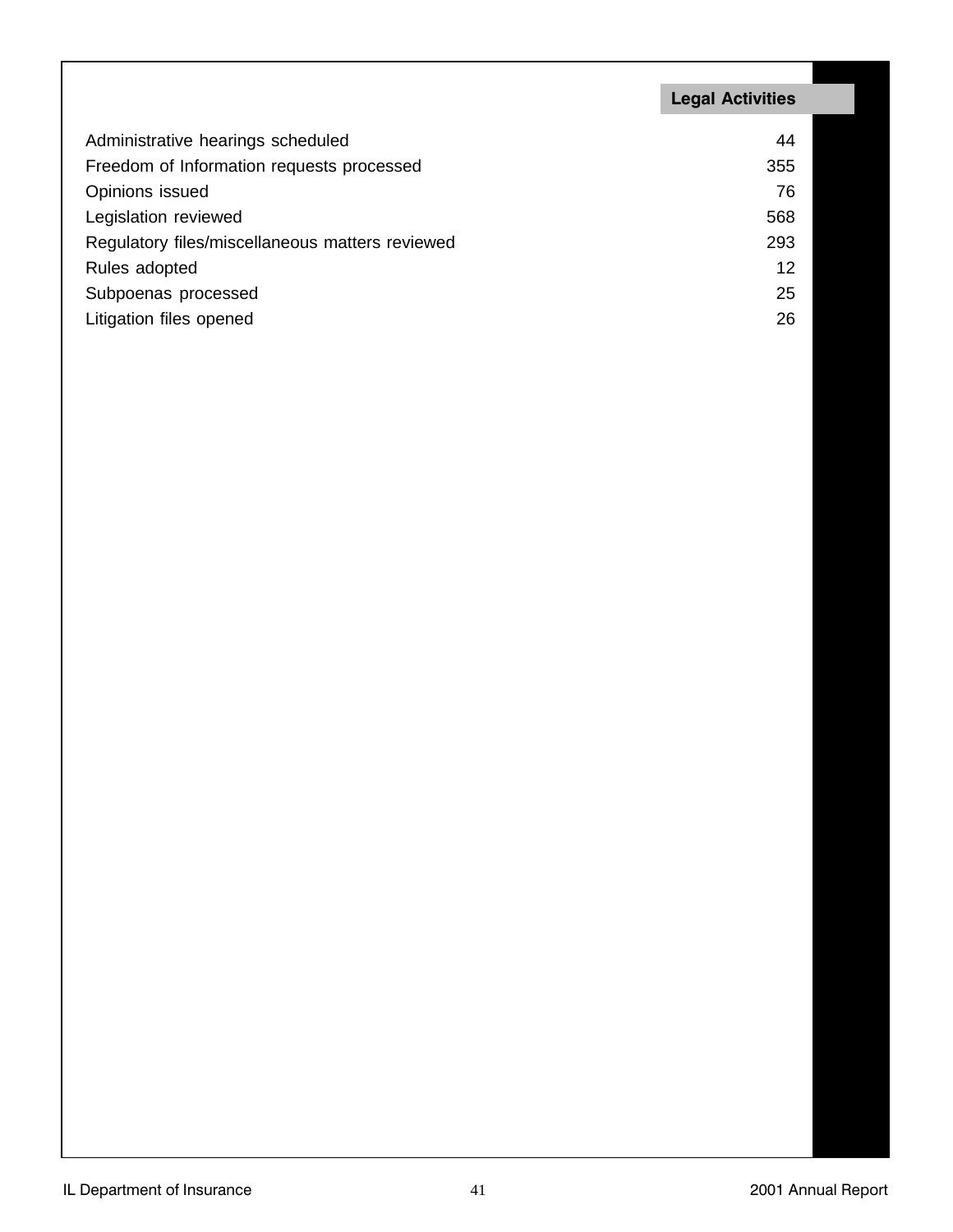|                                                 | <b>Legal Activities</b> |
|-------------------------------------------------|-------------------------|
| Administrative hearings scheduled               | 44                      |
| Freedom of Information requests processed       | 355                     |
| Opinions issued                                 | 76                      |
| Legislation reviewed                            | 568                     |
| Regulatory files/miscellaneous matters reviewed | 293                     |
| Rules adopted                                   | 12                      |
| Subpoenas processed                             | 25                      |
| Litigation files opened                         | 26                      |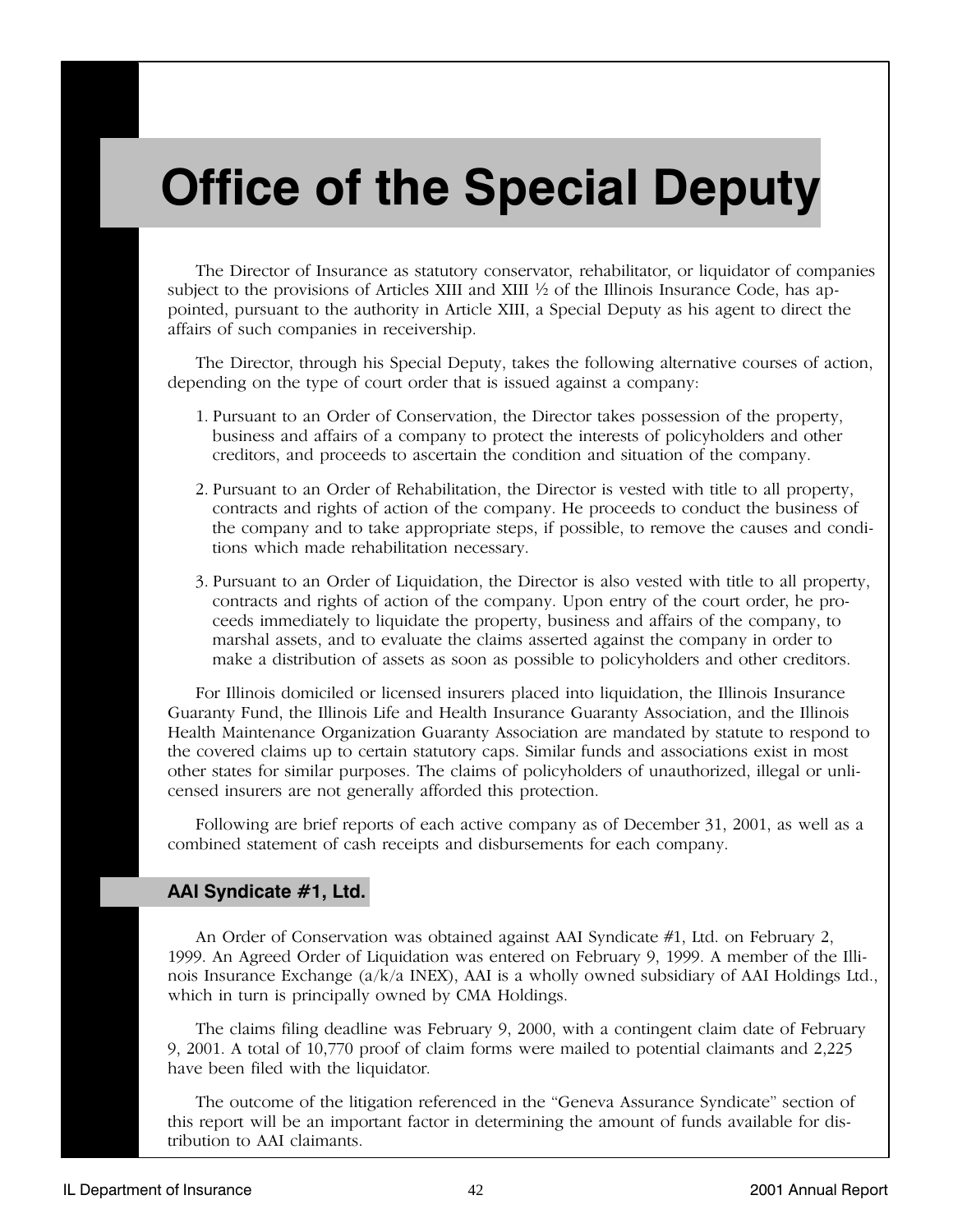# **Office of the Special Deputy**

The Director of Insurance as statutory conservator, rehabilitator, or liquidator of companies subject to the provisions of Articles XIII and XIII 1/2 of the Illinois Insurance Code, has appointed, pursuant to the authority in Article XIII, a Special Deputy as his agent to direct the affairs of such companies in receivership.

The Director, through his Special Deputy, takes the following alternative courses of action, depending on the type of court order that is issued against a company.

- 1. Pursuant to an Order of Conservation, the Director takes possession of the property, business and affairs of a company to protect the interests of policyholders and other creditors, and proceeds to ascertain the condition and situation of the company.
- 2. Pursuant to an Order of Rehabilitation, the Director is vested with title to all property, contracts and rights of action of the company. He proceeds to conduct the business of the company and to take appropriate steps, if possible, to remove the causes and conditions which made rehabilitation necessary.
- 3. Pursuant to an Order of Liquidation, the Director is also vested with title to all property, contracts and rights of action of the company. Upon entry of the court order, he proceeds immediately to liquidate the property, business and affairs of the company, to marshal assets, and to evaluate the claims asserted against the company in order to make a distribution of assets as soon as possible to policyholders and other creditors.

For Illinois domiciled or licensed insurers placed into liquidation, the Illinois Insurance Guaranty Fund, the Illinois Life and Health Insurance Guaranty Association, and the Illinois Health Maintenance Organization Guaranty Association are mandated by statute to respond to the covered claims up to certain statutory caps. Similar funds and associations exist in most other states for similar purposes. The claims of policyholders of unauthorized, illegal or unlicensed insurers are not generally afforded this protection.

Following are brief reports of each active company as of December 31, 2001, as well as a combined statement of cash receipts and disbursements for each company.

#### AAI Syndicate #1, Ltd.

An Order of Conservation was obtained against AAI Syndicate #1, Ltd. on February 2, 1999. An Agreed Order of Liquidation was entered on February 9, 1999. A member of the Illinois Insurance Exchange (a/k/a INEX), AAI is a wholly owned subsidiary of AAI Holdings Ltd., which in turn is principally owned by CMA Holdings.

The claims filing deadline was February 9, 2000, with a contingent claim date of February 9, 2001. A total of 10,770 proof of claim forms were mailed to potential claimants and 2,225 have been filed with the liquidator.

The outcome of the litigation referenced in the "Geneva Assurance Syndicate" section of this report will be an important factor in determining the amount of funds available for distribution to AAI claimants.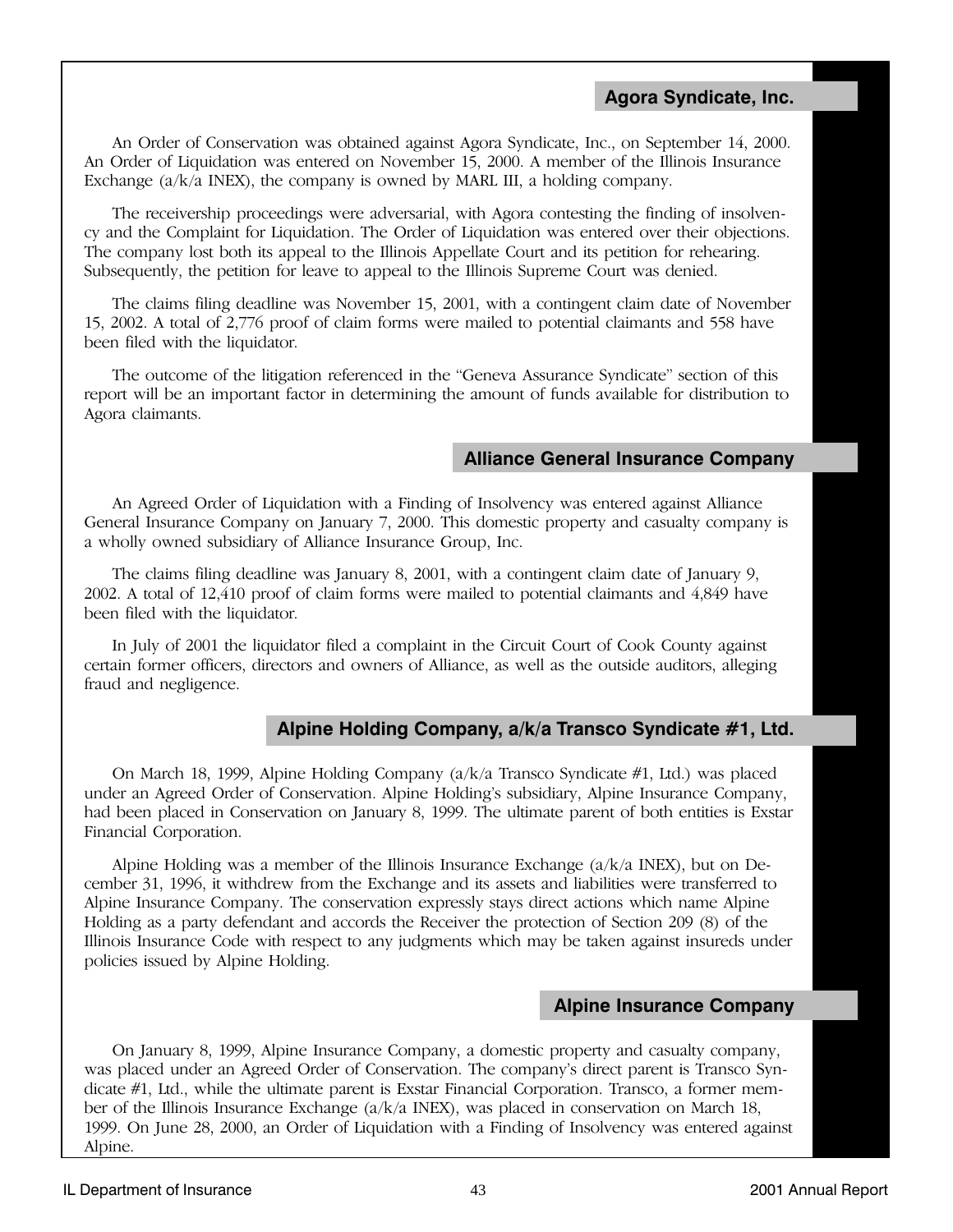#### **Agora Syndicate, Inc.**

An Order of Conservation was obtained against Agora Syndicate, Inc., on September 14, 2000. An Order of Liquidation was entered on November 15, 2000. A member of the Illinois Insurance Exchange  $(a/k/a \text{ INEX})$ , the company is owned by MARL III, a holding company.

The receivership proceedings were adversarial, with Agora contesting the finding of insolvency and the Complaint for Liquidation. The Order of Liquidation was entered over their objections. The company lost both its appeal to the Illinois Appellate Court and its petition for rehearing. Subsequently, the petition for leave to appeal to the Illinois Supreme Court was denied.

The claims filing deadline was November 15, 2001, with a contingent claim date of November 15, 2002. A total of 2,776 proof of claim forms were mailed to potential claimants and 558 have been filed with the liquidator.

The outcome of the litigation referenced in the "Geneva Assurance Syndicate" section of this report will be an important factor in determining the amount of funds available for distribution to Agora claimants.

#### **Alliance General Insurance Company**

An Agreed Order of Liquidation with a Finding of Insolvency was entered against Alliance General Insurance Company on January 7, 2000. This domestic property and casualty company is a wholly owned subsidiary of Alliance Insurance Group, Inc.

The claims filing deadline was January 8, 2001, with a contingent claim date of January 9, 2002. A total of 12,410 proof of claim forms were mailed to potential claimants and 4,849 have been filed with the liquidator.

In July of 2001 the liquidator filed a complaint in the Circuit Court of Cook County against certain former officers, directors and owners of Alliance, as well as the outside auditors, alleging fraud and negligence.

#### Alpine Holding Company, a/k/a Transco Syndicate #1, Ltd.

On March 18, 1999, Alpine Holding Company  $(a/k/a)$  Transco Syndicate #1, Ltd.) was placed under an Agreed Order of Conservation. Alpine Holding's subsidiary, Alpine Insurance Company, had been placed in Conservation on January 8, 1999. The ultimate parent of both entities is Exstar Financial Corporation.

Alpine Holding was a member of the Illinois Insurance Exchange (a/k/a INEX), but on December 31, 1996, it withdrew from the Exchange and its assets and liabilities were transferred to Alpine Insurance Company. The conservation expressly stays direct actions which name Alpine Holding as a party defendant and accords the Receiver the protection of Section 209 (8) of the Illinois Insurance Code with respect to any judgments which may be taken against insureds under policies issued by Alpine Holding.

#### **Alpine Insurance Company**

On January 8, 1999, Alpine Insurance Company, a domestic property and casualty company, was placed under an Agreed Order of Conservation. The company's direct parent is Transco Syndicate #1, Ltd., while the ultimate parent is Exstar Financial Corporation. Transco, a former member of the Illinois Insurance Exchange  $(a/k/a \text{ INEX})$ , was placed in conservation on March 18, 1999. On June 28, 2000, an Order of Liquidation with a Finding of Insolvency was entered against Alpine.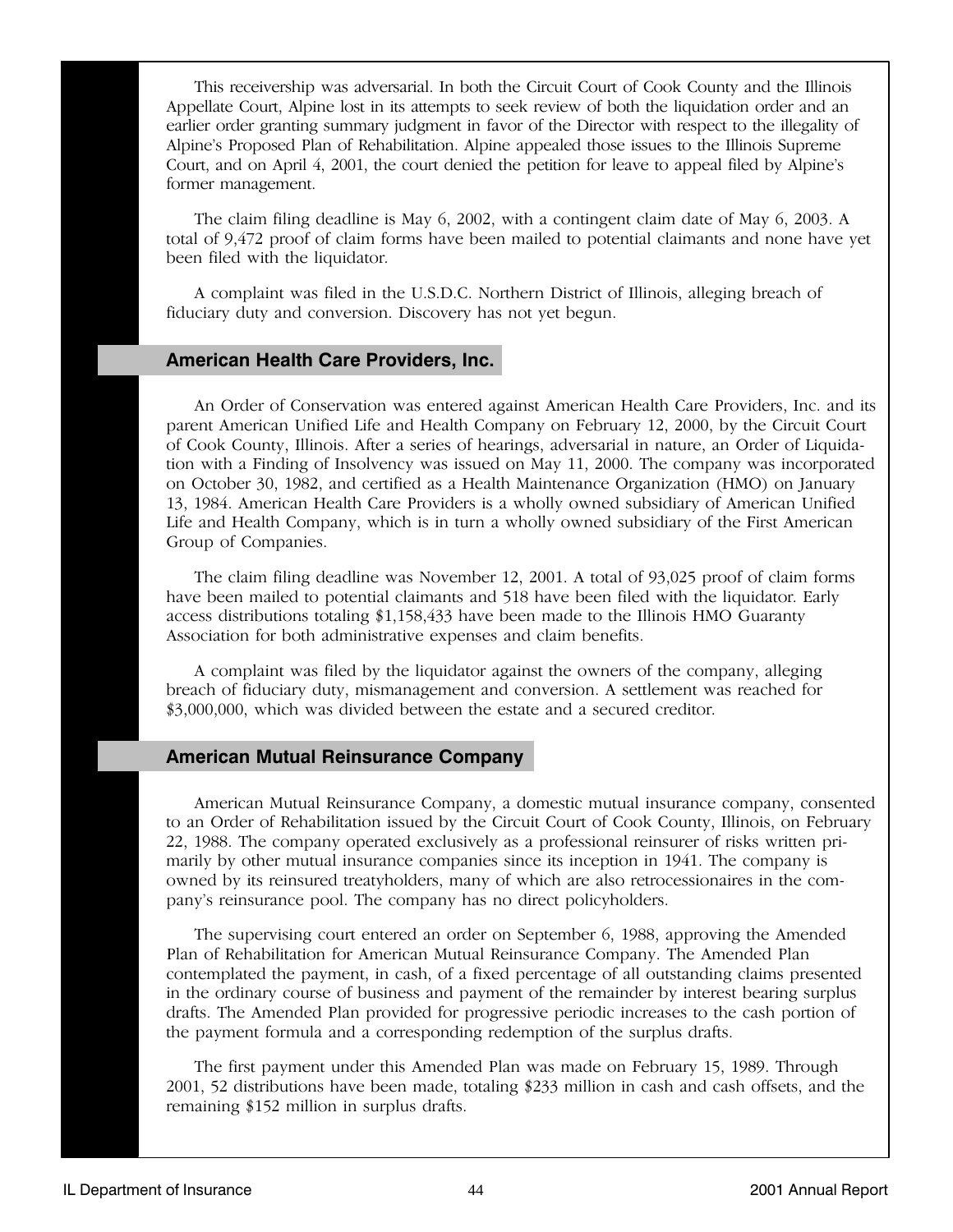This receivership was adversarial. In both the Circuit Court of Cook County and the Illinois Appellate Court, Alpine lost in its attempts to seek review of both the liquidation order and an earlier order granting summary judgment in favor of the Director with respect to the illegality of Alpine's Proposed Plan of Rehabilitation. Alpine appealed those issues to the Illinois Supreme Court, and on April 4, 2001, the court denied the petition for leave to appeal filed by Alpine's former management.

The claim filing deadline is May 6, 2002, with a contingent claim date of May 6, 2003. A total of 9,472 proof of claim forms have been mailed to potential claimants and none have yet been filed with the liquidator.

A complaint was filed in the U.S.D.C. Northern District of Illinois, alleging breach of fiduciary duty and conversion. Discovery has not yet begun.

#### American Health Care Providers, Inc.

An Order of Conservation was entered against American Health Care Providers, Inc. and its parent American Unified Life and Health Company on February 12, 2000, by the Circuit Court of Cook County, Illinois. After a series of hearings, adversarial in nature, an Order of Liquidation with a Finding of Insolvency was issued on May 11, 2000. The company was incorporated on October 30, 1982, and certified as a Health Maintenance Organization (HMO) on January 13, 1984. American Health Care Providers is a wholly owned subsidiary of American Unified Life and Health Company, which is in turn a wholly owned subsidiary of the First American Group of Companies.

The claim filing deadline was November 12, 2001. A total of 93,025 proof of claim forms have been mailed to potential claimants and 518 have been filed with the liquidator. Early access distributions totaling \$1,158,433 have been made to the Illinois HMO Guaranty Association for both administrative expenses and claim benefits.

A complaint was filed by the liquidator against the owners of the company, alleging breach of fiduciary duty, mismanagement and conversion. A settlement was reached for \$3,000,000, which was divided between the estate and a secured creditor.

#### **American Mutual Reinsurance Company**

American Mutual Reinsurance Company, a domestic mutual insurance company, consented to an Order of Rehabilitation issued by the Circuit Court of Cook County, Illinois, on February 22, 1988. The company operated exclusively as a professional reinsurer of risks written primarily by other mutual insurance companies since its inception in 1941. The company is owned by its reinsured treatyholders, many of which are also retrocessionaires in the company's reinsurance pool. The company has no direct policyholders.

The supervising court entered an order on September 6, 1988, approving the Amended Plan of Rehabilitation for American Mutual Reinsurance Company. The Amended Plan contemplated the payment, in cash, of a fixed percentage of all outstanding claims presented in the ordinary course of business and payment of the remainder by interest bearing surplus drafts. The Amended Plan provided for progressive periodic increases to the cash portion of the payment formula and a corresponding redemption of the surplus drafts.

The first payment under this Amended Plan was made on February 15, 1989. Through 2001, 52 distributions have been made, totaling \$233 million in cash and cash offsets, and the remaining \$152 million in surplus drafts.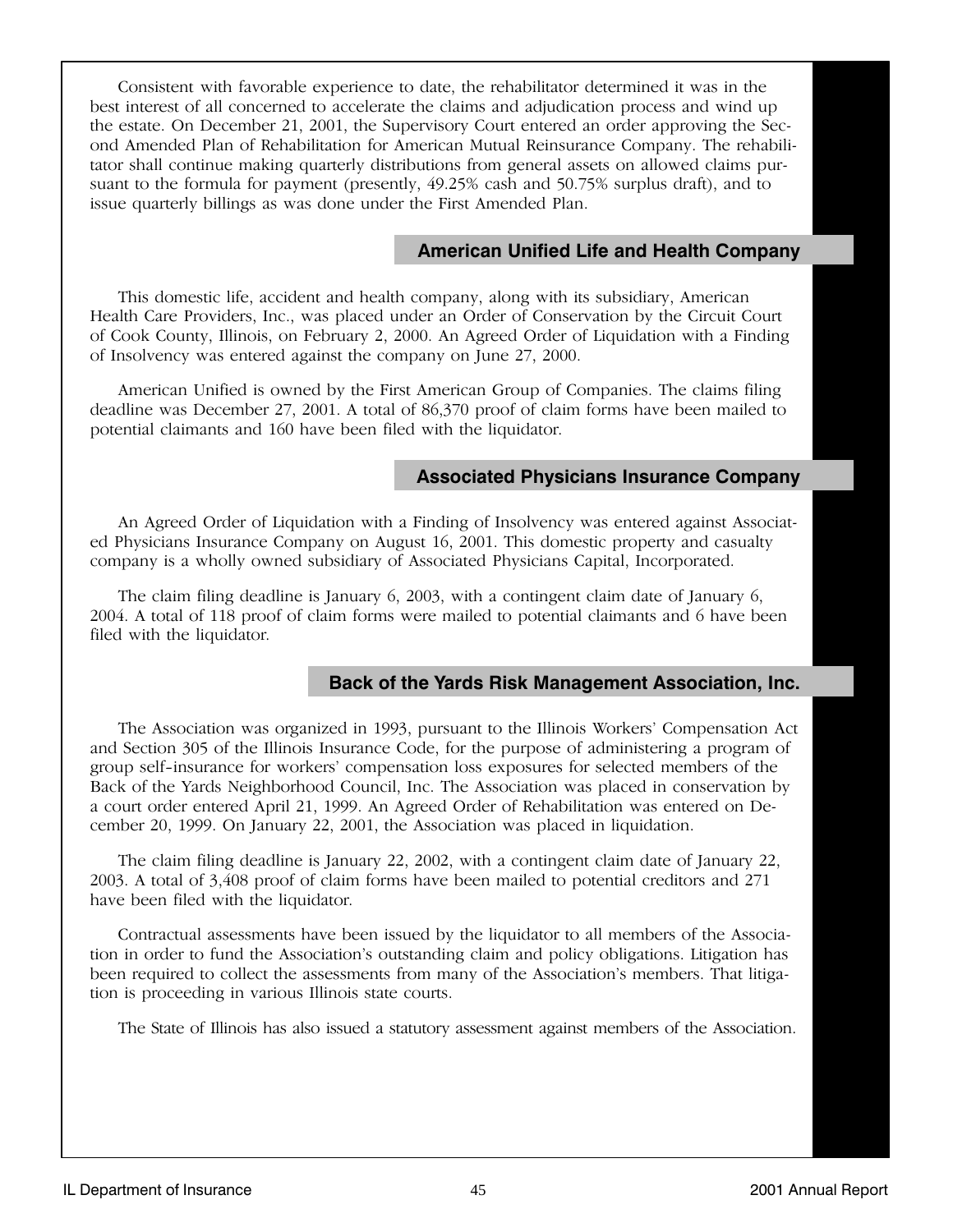Consistent with favorable experience to date, the rehabilitator determined it was in the best interest of all concerned to accelerate the claims and adjudication process and wind up the estate. On December 21, 2001, the Supervisory Court entered an order approving the Second Amended Plan of Rehabilitation for American Mutual Reinsurance Company. The rehabilitator shall continue making quarterly distributions from general assets on allowed claims pursuant to the formula for payment (presently, 49.25% cash and 50.75% surplus draft), and to issue quarterly billings as was done under the First Amended Plan.

#### **American Unified Life and Health Company**

This domestic life, accident and health company, along with its subsidiary, American Health Care Providers, Inc., was placed under an Order of Conservation by the Circuit Court of Cook County, Illinois, on February 2, 2000. An Agreed Order of Liquidation with a Finding of Insolvency was entered against the company on June 27, 2000.

American Unified is owned by the First American Group of Companies. The claims filing deadline was December 27, 2001. A total of 86,370 proof of claim forms have been mailed to potential claimants and 160 have been filed with the liquidator.

#### **Associated Physicians Insurance Company**

An Agreed Order of Liquidation with a Finding of Insolvency was entered against Associated Physicians Insurance Company on August 16, 2001. This domestic property and casualty company is a wholly owned subsidiary of Associated Physicians Capital, Incorporated.

The claim filing deadline is January 6, 2003, with a contingent claim date of January 6, 2004. A total of 118 proof of claim forms were mailed to potential claimants and 6 have been filed with the liquidator.

#### Back of the Yards Risk Management Association, Inc.

The Association was organized in 1993, pursuant to the Illinois Workers' Compensation Act and Section 305 of the Illinois Insurance Code, for the purpose of administering a program of group self-insurance for workers' compensation loss exposures for selected members of the Back of the Yards Neighborhood Council, Inc. The Association was placed in conservation by a court order entered April 21, 1999. An Agreed Order of Rehabilitation was entered on December 20, 1999. On January 22, 2001, the Association was placed in liquidation.

The claim filing deadline is January 22, 2002, with a contingent claim date of January 22, 2003. A total of 3,408 proof of claim forms have been mailed to potential creditors and 271 have been filed with the liquidator.

Contractual assessments have been issued by the liquidator to all members of the Association in order to fund the Association's outstanding claim and policy obligations. Litigation has been required to collect the assessments from many of the Association's members. That litigation is proceeding in various Illinois state courts.

The State of Illinois has also issued a statutory assessment against members of the Association.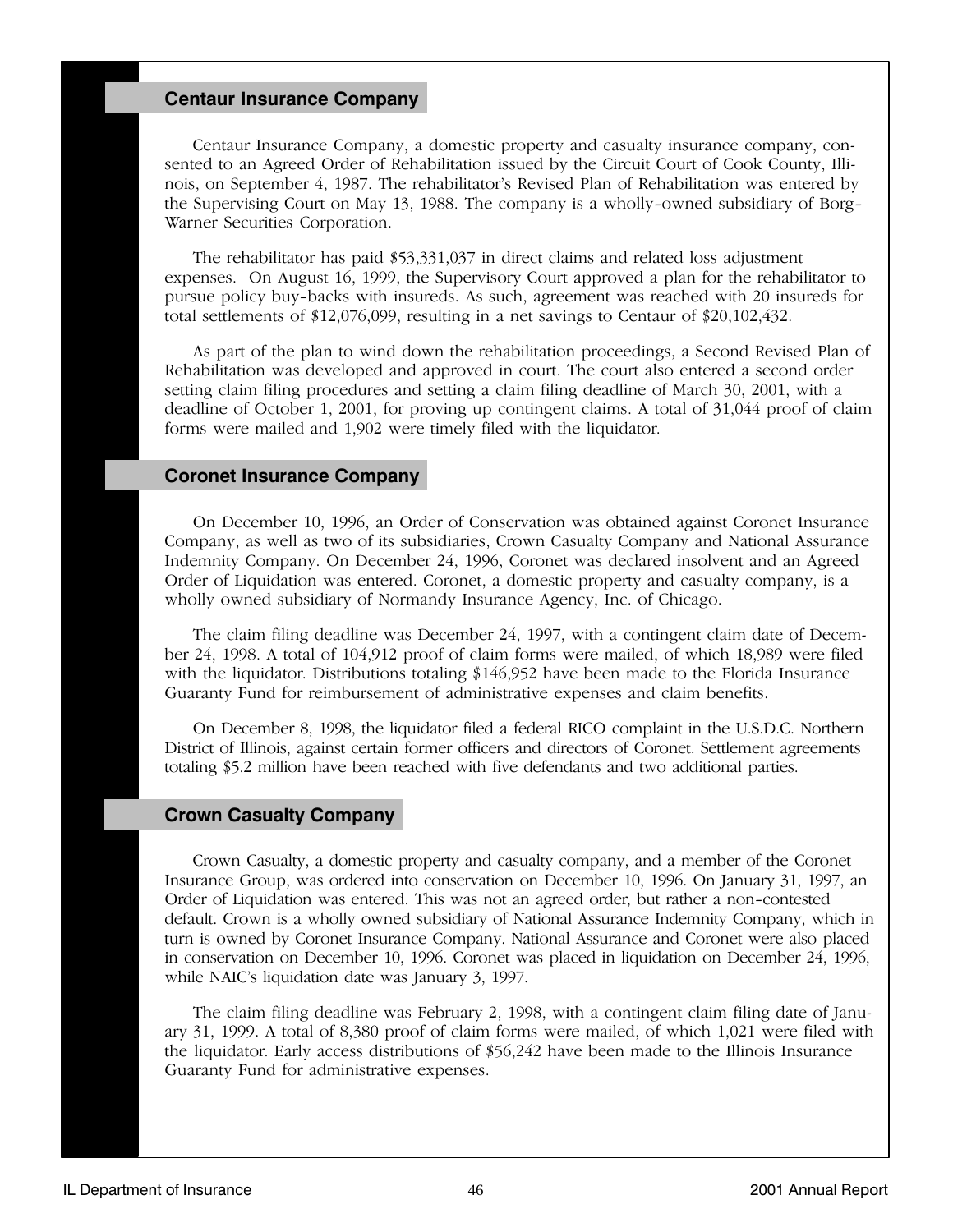#### **Centaur Insurance Company**

Centaur Insurance Company, a domestic property and casualty insurance company, consented to an Agreed Order of Rehabilitation issued by the Circuit Court of Cook County, Illinois, on September 4, 1987. The rehabilitator's Revised Plan of Rehabilitation was entered by the Supervising Court on May 13, 1988. The company is a wholly-owned subsidiary of Borg-Warner Securities Corporation.

The rehabilitator has paid  $$53,331,037$  in direct claims and related loss adjustment expenses. On August 16, 1999, the Supervisory Court approved a plan for the rehabilitator to pursue policy buy-backs with insureds. As such, agreement was reached with 20 insureds for total settlements of \$12,076,099, resulting in a net savings to Centaur of \$20,102,432.

As part of the plan to wind down the rehabilitation proceedings, a Second Revised Plan of Rehabilitation was developed and approved in court. The court also entered a second order setting claim filing procedures and setting a claim filing deadline of March 30, 2001, with a deadline of October 1, 2001, for proving up contingent claims. A total of 31,044 proof of claim forms were mailed and 1,902 were timely filed with the liquidator.

#### **Coronet Insurance Company**

On December 10, 1996, an Order of Conservation was obtained against Coronet Insurance Company, as well as two of its subsidiaries. Crown Casualty Company and National Assurance Indemnity Company. On December 24, 1996, Coronet was declared insolvent and an Agreed Order of Liquidation was entered. Coronet, a domestic property and casualty company, is a wholly owned subsidiary of Normandy Insurance Agency, Inc. of Chicago.

The claim filing deadline was December 24, 1997, with a contingent claim date of December 24, 1998. A total of 104,912 proof of claim forms were mailed, of which 18,989 were filed with the liquidator. Distributions totaling \$146,952 have been made to the Florida Insurance Guaranty Fund for reimbursement of administrative expenses and claim benefits.

On December 8, 1998, the liquidator filed a federal RICO complaint in the U.S.D.C. Northern District of Illinois, against certain former officers and directors of Coronet. Settlement agreements totaling \$5.2 million have been reached with five defendants and two additional parties.

#### **Crown Casualty Company**

Crown Casualty, a domestic property and casualty company, and a member of the Coronet Insurance Group, was ordered into conservation on December 10, 1996. On January 31, 1997, an Order of Liquidation was entered. This was not an agreed order, but rather a non-contested default. Crown is a wholly owned subsidiary of National Assurance Indemnity Company, which in turn is owned by Coronet Insurance Company. National Assurance and Coronet were also placed in conservation on December 10, 1996. Coronet was placed in liquidation on December 24, 1996, while NAIC's liquidation date was January 3, 1997.

The claim filing deadline was February 2, 1998, with a contingent claim filing date of January 31, 1999. A total of 8,380 proof of claim forms were mailed, of which 1,021 were filed with the liquidator. Early access distributions of \$56,242 have been made to the Illinois Insurance Guaranty Fund for administrative expenses.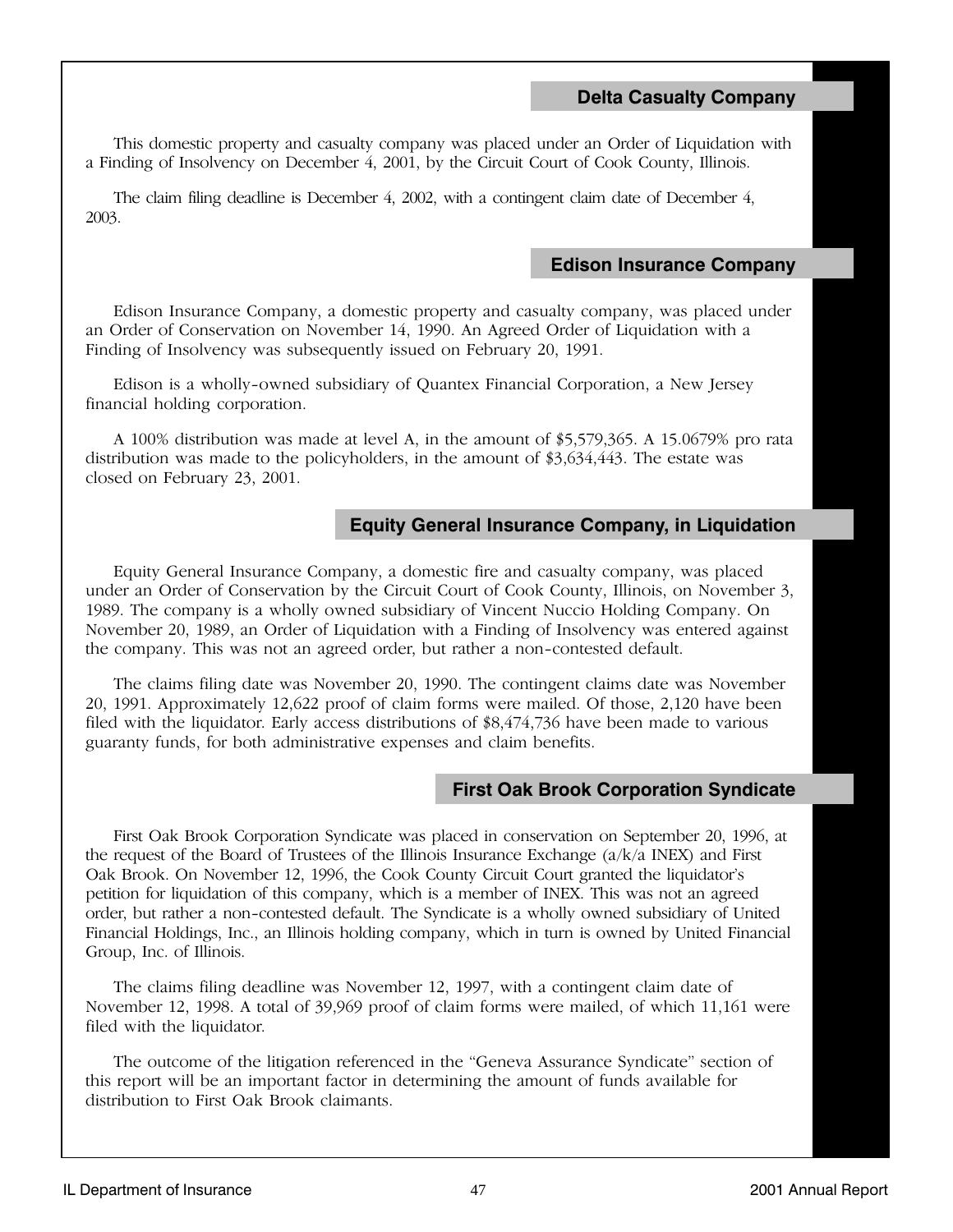#### **Delta Casualty Company**

This domestic property and casualty company was placed under an Order of Liquidation with a Finding of Insolvency on December 4, 2001, by the Circuit Court of Cook County, Illinois.

The claim filing deadline is December 4, 2002, with a contingent claim date of December 4, 2003.

#### **Edison Insurance Company**

Edison Insurance Company, a domestic property and casualty company, was placed under an Order of Conservation on November 14, 1990. An Agreed Order of Liquidation with a Finding of Insolvency was subsequently issued on February 20, 1991.

Edison is a wholly-owned subsidiary of Quantex Financial Corporation, a New Jersey financial holding corporation.

A 100% distribution was made at level A, in the amount of \$5,579,365. A 15.0679% pro rata distribution was made to the policyholders, in the amount of  $$3,634,443$ . The estate was closed on February 23, 2001.

#### **Equity General Insurance Company, in Liquidation**

Equity General Insurance Company, a domestic fire and casualty company, was placed under an Order of Conservation by the Circuit Court of Cook County, Illinois, on November 3, 1989. The company is a wholly owned subsidiary of Vincent Nuccio Holding Company. On November 20, 1989, an Order of Liquidation with a Finding of Insolvency was entered against the company. This was not an agreed order, but rather a non-contested default.

The claims filing date was November 20, 1990. The contingent claims date was November 20, 1991. Approximately 12,622 proof of claim forms were mailed. Of those, 2,120 have been filed with the liquidator. Early access distributions of \$8,474,736 have been made to various guaranty funds, for both administrative expenses and claim benefits.

#### **First Oak Brook Corporation Syndicate**

First Oak Brook Corporation Syndicate was placed in conservation on September 20, 1996, at the request of the Board of Trustees of the Illinois Insurance Exchange (a/k/a INEX) and First Oak Brook. On November 12, 1996, the Cook County Circuit Court granted the liquidator's petition for liquidation of this company, which is a member of INEX. This was not an agreed order, but rather a non-contested default. The Syndicate is a wholly owned subsidiary of United Financial Holdings, Inc., an Illinois holding company, which in turn is owned by United Financial Group, Inc. of Illinois.

The claims filing deadline was November 12, 1997, with a contingent claim date of November 12, 1998. A total of 39,969 proof of claim forms were mailed, of which 11,161 were filed with the liquidator.

The outcome of the litigation referenced in the "Geneva Assurance Syndicate" section of this report will be an important factor in determining the amount of funds available for distribution to First Oak Brook claimants.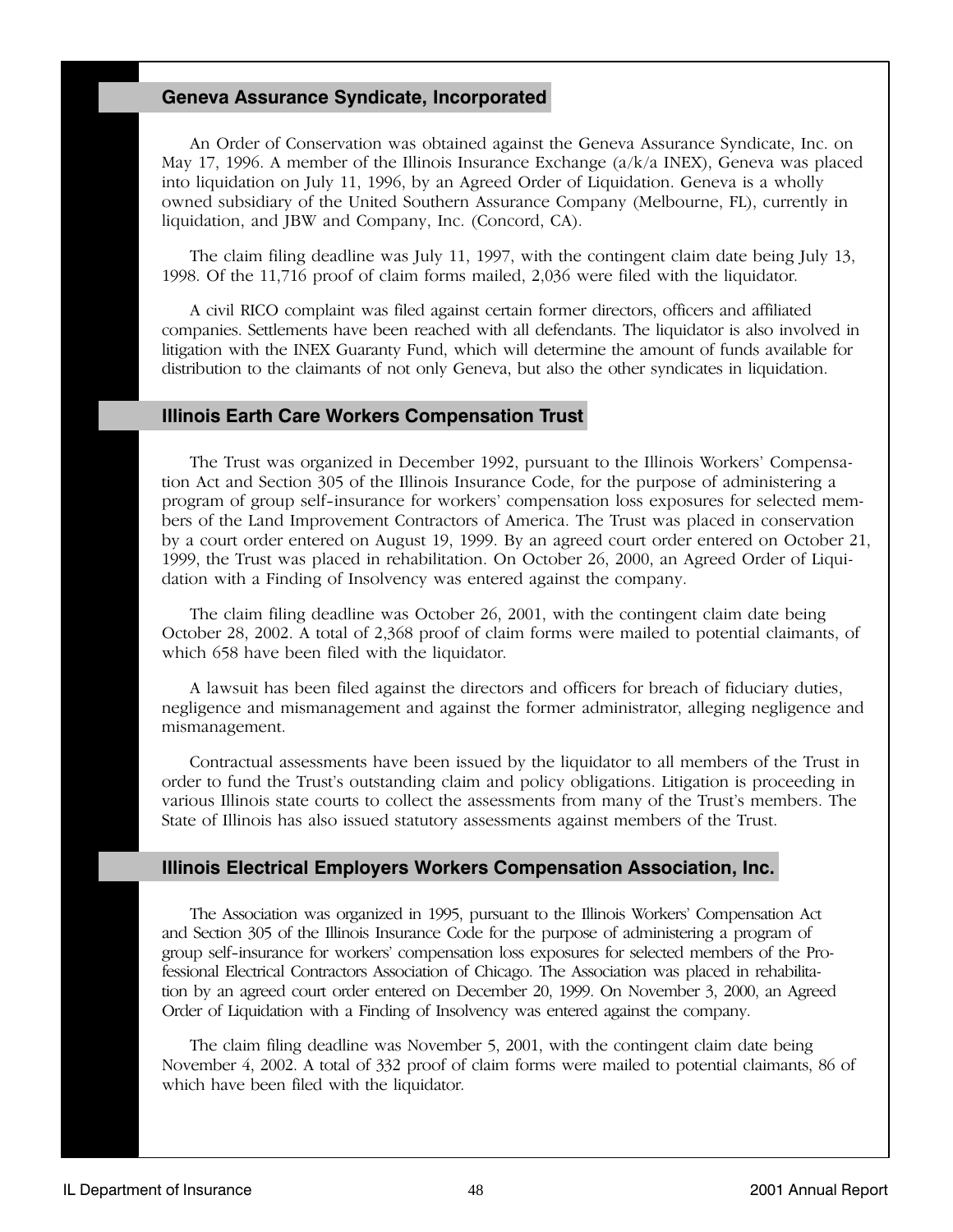#### Geneva Assurance Syndicate, Incorporated

An Order of Conservation was obtained against the Geneva Assurance Syndicate, Inc. on May 17, 1996. A member of the Illinois Insurance Exchange (a/k/a INEX), Geneva was placed into liquidation on July 11, 1996, by an Agreed Order of Liquidation. Geneva is a wholly owned subsidiary of the United Southern Assurance Company (Melbourne, FL), currently in liquidation, and JBW and Company, Inc. (Concord, CA).

The claim filing deadline was July 11, 1997, with the contingent claim date being July 13, 1998. Of the 11,716 proof of claim forms mailed, 2,036 were filed with the liquidator.

A civil RICO complaint was filed against certain former directors, officers and affiliated companies. Settlements have been reached with all defendants. The liquidator is also involved in litigation with the INEX Guaranty Fund, which will determine the amount of funds available for distribution to the claimants of not only Geneva, but also the other syndicates in liquidation.

#### **Illinois Earth Care Workers Compensation Trust**

The Trust was organized in December 1992, pursuant to the Illinois Workers' Compensation Act and Section 305 of the Illinois Insurance Code, for the purpose of administering a program of group self-insurance for workers' compensation loss exposures for selected members of the Land Improvement Contractors of America. The Trust was placed in conservation by a court order entered on August 19, 1999. By an agreed court order entered on October 21, 1999, the Trust was placed in rehabilitation. On October 26, 2000, an Agreed Order of Liquidation with a Finding of Insolvency was entered against the company.

The claim filing deadline was October 26, 2001, with the contingent claim date being October 28, 2002. A total of 2,368 proof of claim forms were mailed to potential claimants, of which 658 have been filed with the liquidator.

A lawsuit has been filed against the directors and officers for breach of fiduciary duties, negligence and mismanagement and against the former administrator, alleging negligence and mismanagement.

Contractual assessments have been issued by the liquidator to all members of the Trust in order to fund the Trust's outstanding claim and policy obligations. Litigation is proceeding in various Illinois state courts to collect the assessments from many of the Trust's members. The State of Illinois has also issued statutory assessments against members of the Trust.

#### Illinois Electrical Employers Workers Compensation Association, Inc.

The Association was organized in 1995, pursuant to the Illinois Workers' Compensation Act and Section 305 of the Illinois Insurance Code for the purpose of administering a program of group self-insurance for workers' compensation loss exposures for selected members of the Professional Electrical Contractors Association of Chicago. The Association was placed in rehabilitation by an agreed court order entered on December 20, 1999. On November 3, 2000, an Agreed Order of Liquidation with a Finding of Insolvency was entered against the company.

The claim filing deadline was November 5, 2001, with the contingent claim date being November 4, 2002. A total of 332 proof of claim forms were mailed to potential claimants, 86 of which have been filed with the liquidator.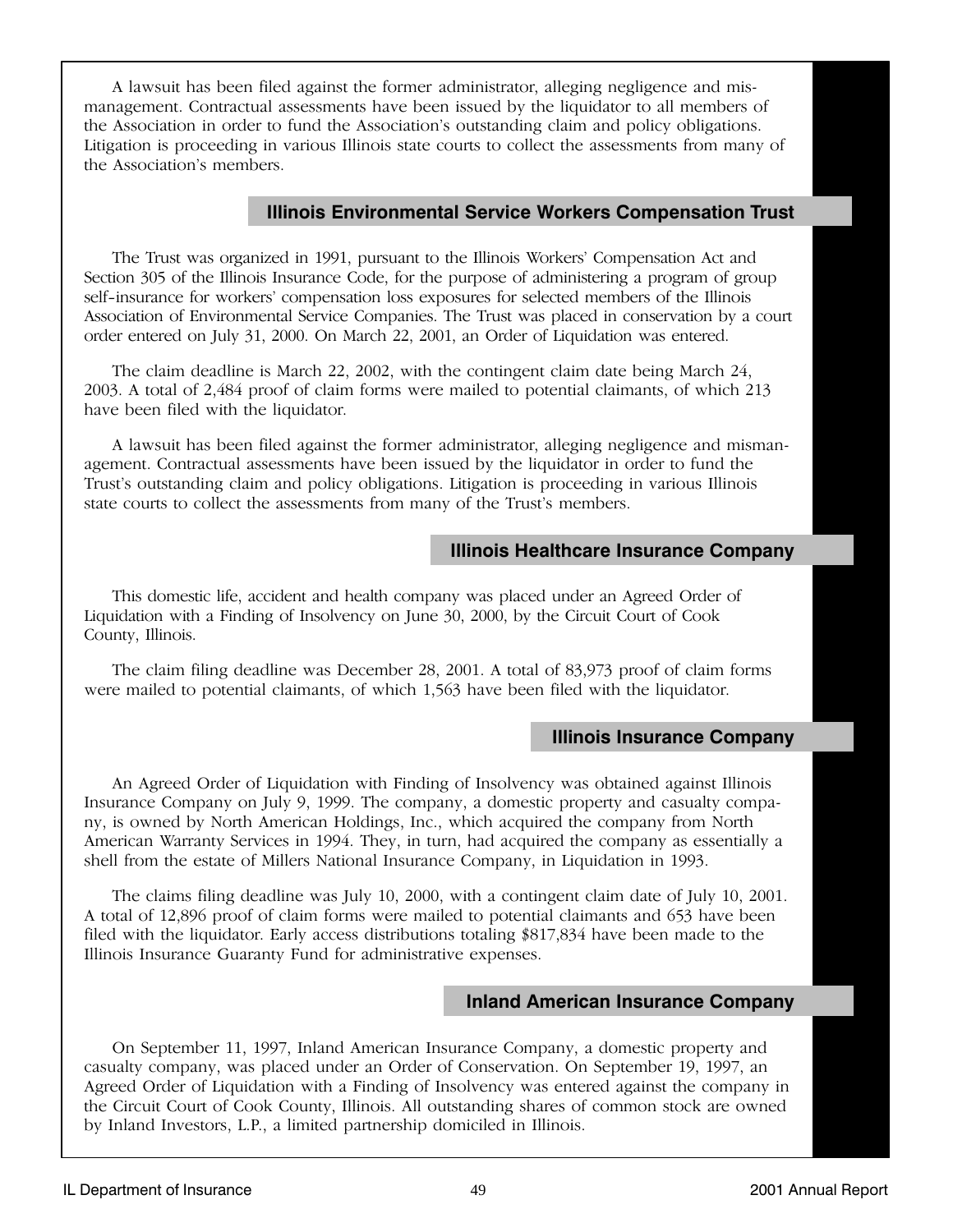A lawsuit has been filed against the former administrator, alleging negligence and mismanagement. Contractual assessments have been issued by the liquidator to all members of the Association in order to fund the Association's outstanding claim and policy obligations. Litigation is proceeding in various Illinois state courts to collect the assessments from many of the Association's members.

#### **Illinois Environmental Service Workers Compensation Trust**

The Trust was organized in 1991, pursuant to the Illinois Workers' Compensation Act and Section 305 of the Illinois Insurance Code, for the purpose of administering a program of group self-insurance for workers' compensation loss exposures for selected members of the Illinois Association of Environmental Service Companies. The Trust was placed in conservation by a court order entered on July 31, 2000. On March 22, 2001, an Order of Liquidation was entered.

The claim deadline is March 22, 2002, with the contingent claim date being March 24, 2003. A total of 2,484 proof of claim forms were mailed to potential claimants, of which 213 have been filed with the liquidator.

A lawsuit has been filed against the former administrator, alleging negligence and mismanagement. Contractual assessments have been issued by the liquidator in order to fund the Trust's outstanding claim and policy obligations. Litigation is proceeding in various Illinois state courts to collect the assessments from many of the Trust's members.

#### Illinois Healthcare Insurance Company

This domestic life, accident and health company was placed under an Agreed Order of Liquidation with a Finding of Insolvency on June 30, 2000, by the Circuit Court of Cook County, Illinois.

The claim filing deadline was December 28, 2001. A total of 83,973 proof of claim forms were mailed to potential claimants, of which 1,563 have been filed with the liquidator.

#### **Illinois Insurance Company**

An Agreed Order of Liquidation with Finding of Insolvency was obtained against Illinois Insurance Company on July 9, 1999. The company, a domestic property and casualty company, is owned by North American Holdings, Inc., which acquired the company from North American Warranty Services in 1994. They, in turn, had acquired the company as essentially a shell from the estate of Millers National Insurance Company, in Liquidation in 1993.

The claims filing deadline was July 10, 2000, with a contingent claim date of July 10, 2001. A total of 12,896 proof of claim forms were mailed to potential claimants and 653 have been filed with the liquidator. Early access distributions totaling \$817,834 have been made to the Illinois Insurance Guaranty Fund for administrative expenses.

#### **Inland American Insurance Company**

On September 11, 1997, Inland American Insurance Company, a domestic property and casualty company, was placed under an Order of Conservation. On September 19, 1997, an Agreed Order of Liquidation with a Finding of Insolvency was entered against the company in the Circuit Court of Cook County, Illinois. All outstanding shares of common stock are owned by Inland Investors, L.P., a limited partnership domiciled in Illinois.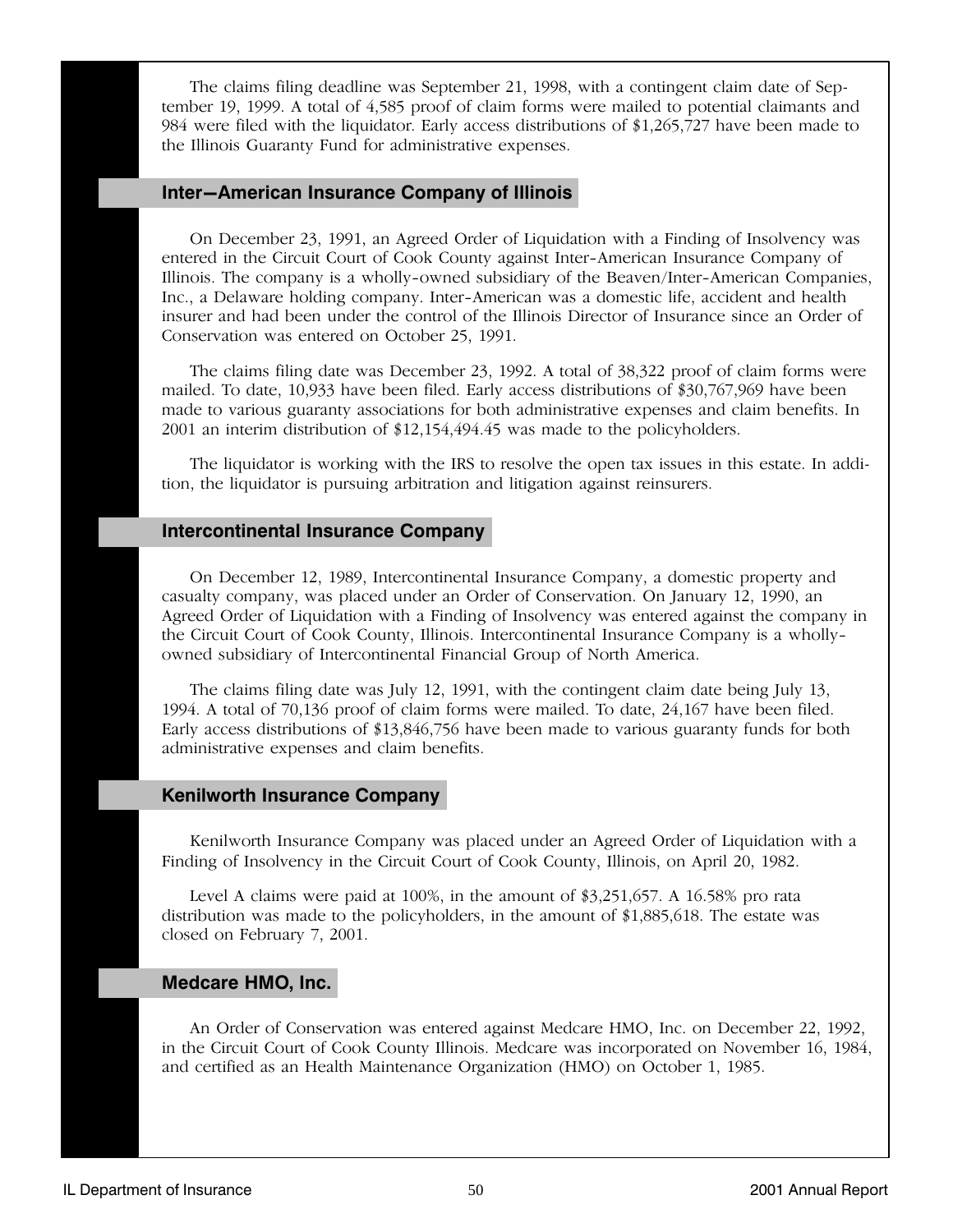The claims filing deadline was September 21, 1998, with a contingent claim date of September 19, 1999. A total of 4,585 proof of claim forms were mailed to potential claimants and 984 were filed with the liquidator. Early access distributions of \$1,265,727 have been made to the Illinois Guaranty Fund for administrative expenses.

#### **Inter-American Insurance Company of Illinois**

On December 23, 1991, an Agreed Order of Liquidation with a Finding of Insolvency was entered in the Circuit Court of Cook County against Inter-American Insurance Company of Illinois. The company is a wholly-owned subsidiary of the Beaven/Inter-American Companies, Inc., a Delaware holding company. Inter-American was a domestic life, accident and health insurer and had been under the control of the Illinois Director of Insurance since an Order of Conservation was entered on October 25, 1991.

The claims filing date was December 23, 1992. A total of 38,322 proof of claim forms were mailed. To date, 10,933 have been filed. Early access distributions of \$30,767,969 have been made to various guaranty associations for both administrative expenses and claim benefits. In 2001 an interim distribution of \$12,154,494.45 was made to the policyholders.

The liquidator is working with the IRS to resolve the open tax issues in this estate. In addition, the liquidator is pursuing arbitration and litigation against reinsurers.

#### **Intercontinental Insurance Company**

On December 12, 1989, Intercontinental Insurance Company, a domestic property and casualty company, was placed under an Order of Conservation. On January 12, 1990, an Agreed Order of Liquidation with a Finding of Insolvency was entered against the company in the Circuit Court of Cook County, Illinois. Intercontinental Insurance Company is a whollyowned subsidiary of Intercontinental Financial Group of North America.

The claims filing date was July 12, 1991, with the contingent claim date being July 13, 1994. A total of 70,136 proof of claim forms were mailed. To date, 24,167 have been filed. Early access distributions of  $$13,846,756$  have been made to various guaranty funds for both administrative expenses and claim benefits.

#### **Kenilworth Insurance Company**

Kenilworth Insurance Company was placed under an Agreed Order of Liquidation with a Finding of Insolvency in the Circuit Court of Cook County, Illinois, on April 20, 1982.

Level A claims were paid at 100%, in the amount of  $$3,251,657$ . A 16.58% pro rata distribution was made to the policyholders, in the amount of  $$1,885,618$ . The estate was closed on February 7, 2001.

#### **Medcare HMO, Inc.**

An Order of Conservation was entered against Medcare HMO, Inc. on December 22, 1992, in the Circuit Court of Cook County Illinois. Medcare was incorporated on November 16, 1984, and certified as an Health Maintenance Organization (HMO) on October 1, 1985.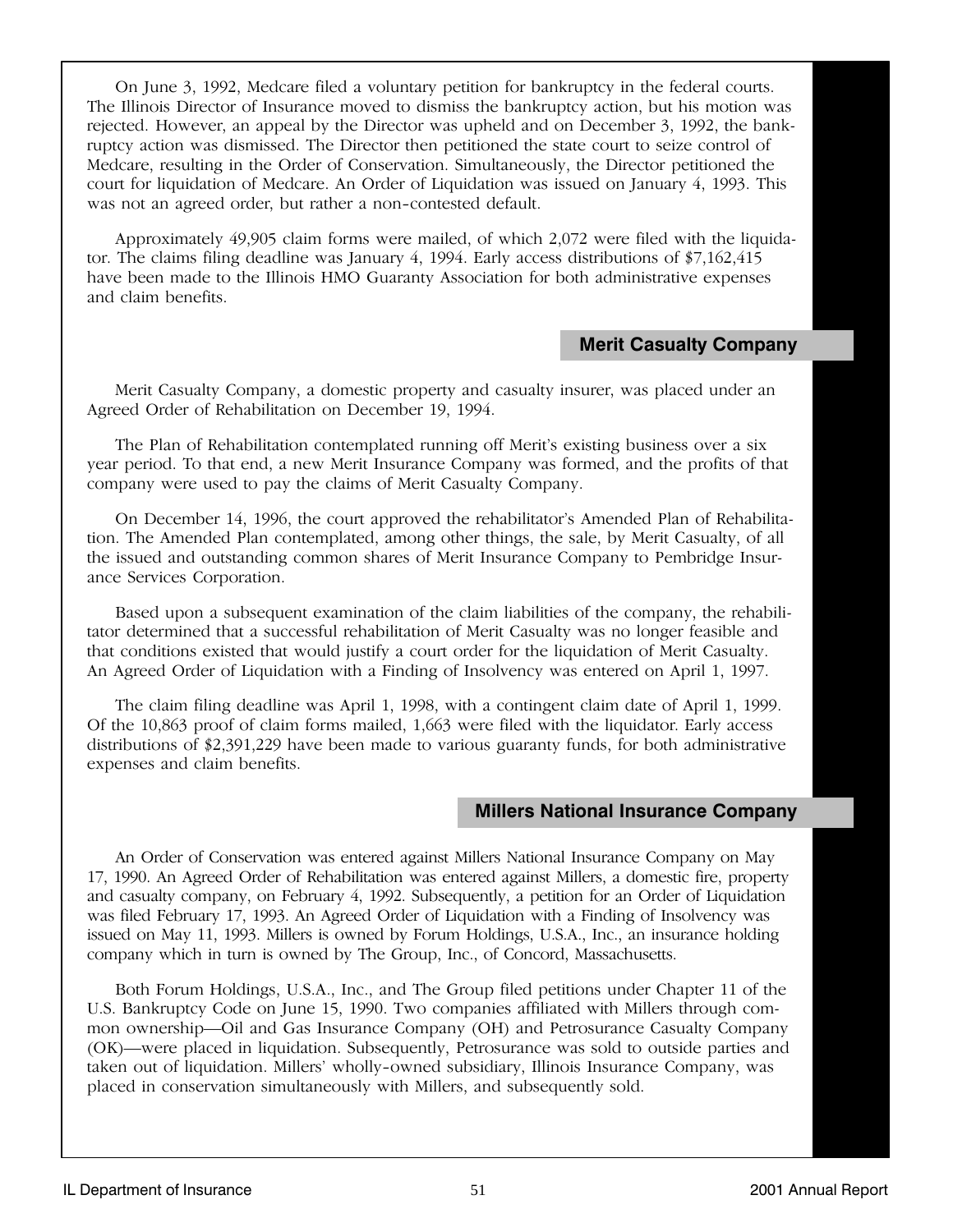On June 3, 1992, Medcare filed a voluntary petition for bankruptcy in the federal courts. The Illinois Director of Insurance moved to dismiss the bankruptcy action, but his motion was rejected. However, an appeal by the Director was upheld and on December 3, 1992, the bankruptcy action was dismissed. The Director then petitioned the state court to seize control of Medcare, resulting in the Order of Conservation. Simultaneously, the Director petitioned the court for liquidation of Medcare. An Order of Liquidation was issued on January 4, 1993. This was not an agreed order, but rather a non-contested default.

Approximately 49,905 claim forms were mailed, of which 2,072 were filed with the liquidator. The claims filing deadline was January 4, 1994. Early access distributions of  $\frac{2}{16}$ , 162, 415 have been made to the Illinois HMO Guaranty Association for both administrative expenses and claim benefits.

#### **Merit Casualty Company**

Merit Casualty Company, a domestic property and casualty insurer, was placed under an Agreed Order of Rehabilitation on December 19, 1994.

The Plan of Rehabilitation contemplated running off Merit's existing business over a six year period. To that end, a new Merit Insurance Company was formed, and the profits of that company were used to pay the claims of Merit Casualty Company.

On December 14, 1996, the court approved the rehabilitator's Amended Plan of Rehabilitation. The Amended Plan contemplated, among other things, the sale, by Merit Casualty, of all the issued and outstanding common shares of Merit Insurance Company to Pembridge Insurance Services Corporation.

Based upon a subsequent examination of the claim liabilities of the company, the rehabilitator determined that a successful rehabilitation of Merit Casualty was no longer feasible and that conditions existed that would justify a court order for the liquidation of Merit Casualty. An Agreed Order of Liquidation with a Finding of Insolvency was entered on April 1, 1997.

The claim filing deadline was April 1, 1998, with a contingent claim date of April 1, 1999. Of the 10,863 proof of claim forms mailed, 1,663 were filed with the liquidator. Early access distributions of \$2,391,229 have been made to various guaranty funds, for both administrative expenses and claim benefits.

#### **Millers National Insurance Company**

An Order of Conservation was entered against Millers National Insurance Company on May 17, 1990. An Agreed Order of Rehabilitation was entered against Millers, a domestic fire, property and casualty company, on February 4, 1992. Subsequently, a petition for an Order of Liquidation was filed February 17, 1993. An Agreed Order of Liquidation with a Finding of Insolvency was issued on May 11, 1993. Millers is owned by Forum Holdings, U.S.A., Inc., an insurance holding company which in turn is owned by The Group, Inc., of Concord, Massachusetts.

Both Forum Holdings, U.S.A., Inc., and The Group filed petitions under Chapter 11 of the U.S. Bankruptcy Code on June 15, 1990. Two companies affiliated with Millers through common ownership—Oil and Gas Insurance Company (OH) and Petrosurance Casualty Company (OK)—were placed in liquidation. Subsequently, Petrosurance was sold to outside parties and taken out of liquidation. Millers' wholly-owned subsidiary, Illinois Insurance Company, was placed in conservation simultaneously with Millers, and subsequently sold.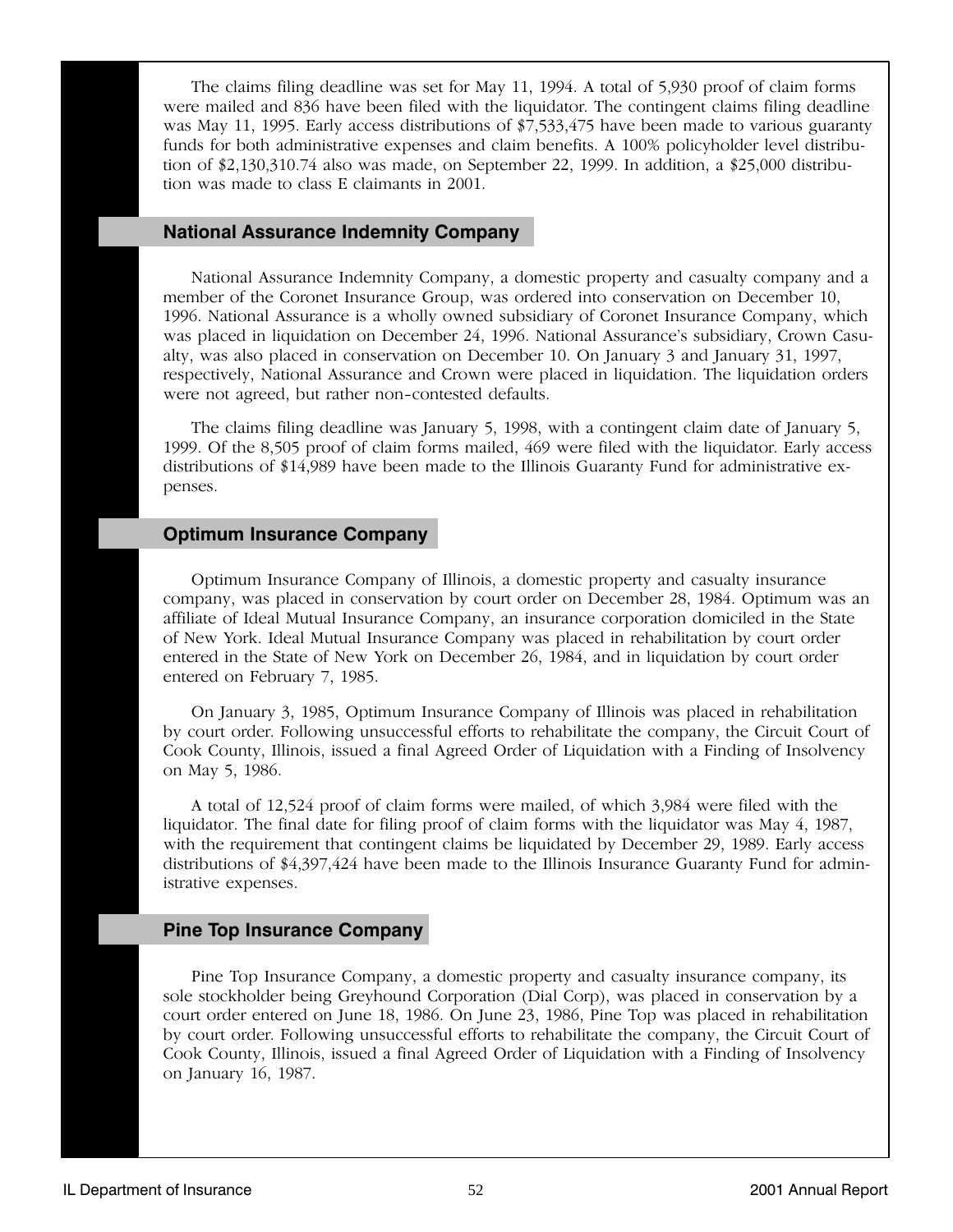The claims filing deadline was set for May 11, 1994. A total of 5,930 proof of claim forms were mailed and 836 have been filed with the liquidator. The contingent claims filing deadline was May 11, 1995. Early access distributions of  $\frac{2}{3}$ , 533, 475 have been made to various guaranty funds for both administrative expenses and claim benefits. A 100% policyholder level distribution of \$2,130,310.74 also was made, on September 22, 1999. In addition, a \$25,000 distribution was made to class E claimants in 2001.

#### **National Assurance Indemnity Company**

National Assurance Indemnity Company, a domestic property and casualty company and a member of the Coronet Insurance Group, was ordered into conservation on December 10, 1996. National Assurance is a wholly owned subsidiary of Coronet Insurance Company, which was placed in liquidation on December 24, 1996. National Assurance's subsidiary, Crown Casualty, was also placed in conservation on December 10. On January 3 and January 31, 1997, respectively, National Assurance and Crown were placed in liquidation. The liquidation orders were not agreed, but rather non-contested defaults.

The claims filing deadline was January 5, 1998, with a contingent claim date of January 5, 1999. Of the 8,505 proof of claim forms mailed, 469 were filed with the liquidator. Early access distributions of \$14,989 have been made to the Illinois Guaranty Fund for administrative expenses.

#### **Optimum Insurance Company**

Optimum Insurance Company of Illinois, a domestic property and casualty insurance company, was placed in conservation by court order on December 28, 1984. Optimum was an affiliate of Ideal Mutual Insurance Company, an insurance corporation domiciled in the State of New York. Ideal Mutual Insurance Company was placed in rehabilitation by court order entered in the State of New York on December 26, 1984, and in liquidation by court order entered on February 7, 1985.

On January 3, 1985, Optimum Insurance Company of Illinois was placed in rehabilitation by court order. Following unsuccessful efforts to rehabilitate the company, the Circuit Court of Cook County, Illinois, issued a final Agreed Order of Liquidation with a Finding of Insolvency on May 5, 1986.

A total of 12,524 proof of claim forms were mailed, of which 3,984 were filed with the liquidator. The final date for filing proof of claim forms with the liquidator was May 4, 1987. with the requirement that contingent claims be liquidated by December 29, 1989. Early access distributions of \$4,397,424 have been made to the Illinois Insurance Guaranty Fund for administrative expenses.

#### **Pine Top Insurance Company**

Pine Top Insurance Company, a domestic property and casualty insurance company, its sole stockholder being Greyhound Corporation (Dial Corp), was placed in conservation by a court order entered on June 18, 1986. On June 23, 1986, Pine Top was placed in rehabilitation by court order. Following unsuccessful efforts to rehabilitate the company, the Circuit Court of Cook County, Illinois, issued a final Agreed Order of Liquidation with a Finding of Insolvency on January 16, 1987.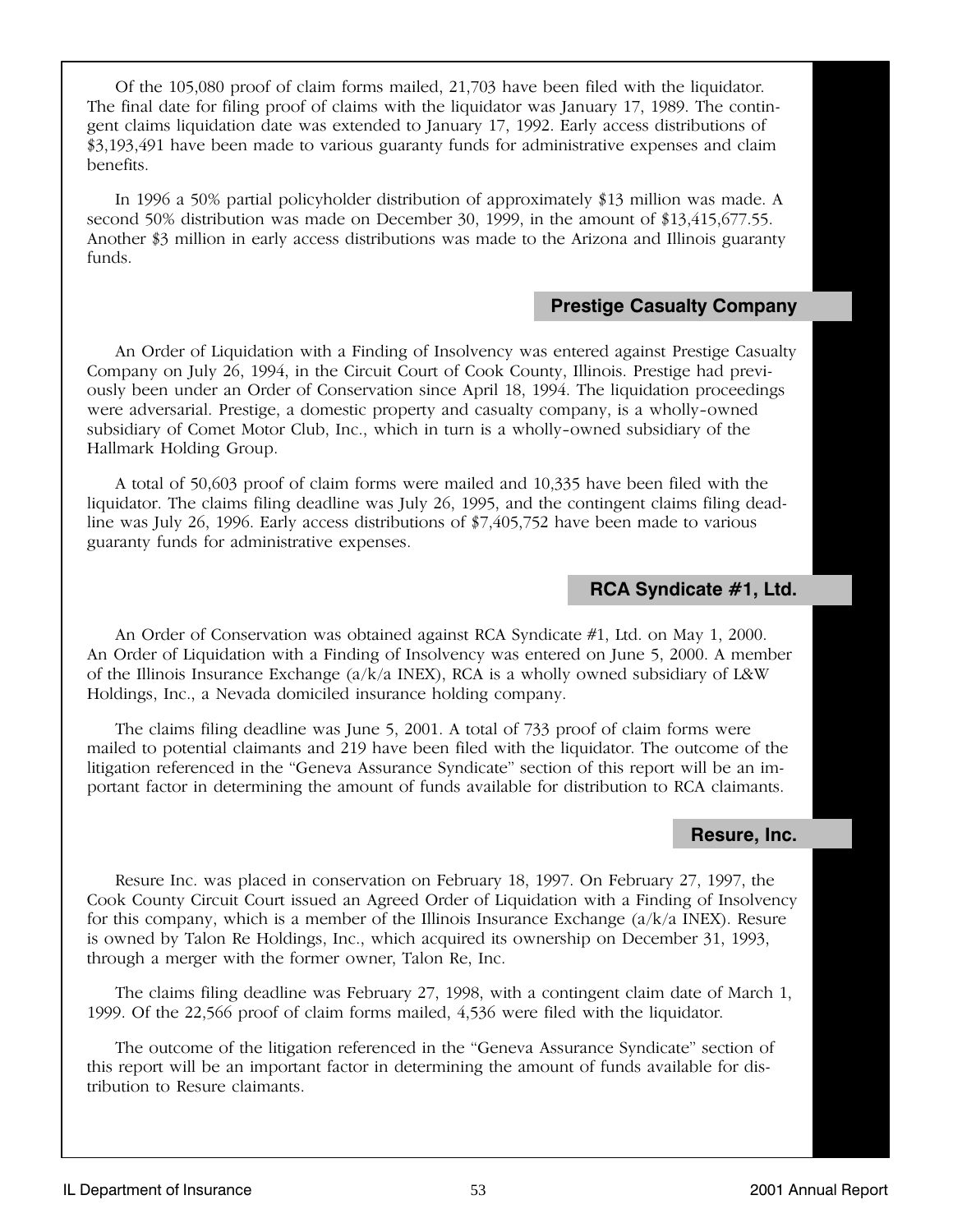Of the 105,080 proof of claim forms mailed, 21,703 have been filed with the liquidator. The final date for filing proof of claims with the liquidator was January 17, 1989. The contingent claims liquidation date was extended to January 17, 1992. Early access distributions of \$3,193,491 have been made to various guaranty funds for administrative expenses and claim benefits.

In 1996 a 50% partial policyholder distribution of approximately \$13 million was made. A second 50% distribution was made on December 30, 1999, in the amount of \$13,415,677.55. Another \$3 million in early access distributions was made to the Arizona and Illinois guaranty funds.

#### **Prestige Casualty Company**

An Order of Liquidation with a Finding of Insolvency was entered against Prestige Casualty Company on July 26, 1994, in the Circuit Court of Cook County, Illinois. Prestige had previously been under an Order of Conservation since April 18, 1994. The liquidation proceedings were adversarial. Prestige, a domestic property and casualty company, is a wholly-owned subsidiary of Comet Motor Club, Inc., which in turn is a wholly-owned subsidiary of the Hallmark Holding Group.

A total of 50,603 proof of claim forms were mailed and 10,335 have been filed with the liquidator. The claims filing deadline was July 26, 1995, and the contingent claims filing deadline was July 26, 1996. Early access distributions of  $\frac{2}{3}$ , 405,752 have been made to various guaranty funds for administrative expenses.

#### RCA Syndicate #1, Ltd.

An Order of Conservation was obtained against RCA Syndicate #1, Ltd. on May 1, 2000. An Order of Liquidation with a Finding of Insolvency was entered on June 5, 2000. A member of the Illinois Insurance Exchange ( $a/k/a$  INEX), RCA is a wholly owned subsidiary of L&W Holdings, Inc., a Nevada domiciled insurance holding company.

The claims filing deadline was June 5, 2001. A total of 733 proof of claim forms were mailed to potential claimants and 219 have been filed with the liquidator. The outcome of the litigation referenced in the "Geneva Assurance Syndicate" section of this report will be an important factor in determining the amount of funds available for distribution to RCA claimants.

#### Resure, Inc.

Resure Inc. was placed in conservation on February 18, 1997. On February 27, 1997, the Cook County Circuit Court issued an Agreed Order of Liquidation with a Finding of Insolvency for this company, which is a member of the Illinois Insurance Exchange  $(a/k/a \text{ INEX})$ . Resure is owned by Talon Re Holdings, Inc., which acquired its ownership on December 31, 1993, through a merger with the former owner, Talon Re, Inc.

The claims filing deadline was February 27, 1998, with a contingent claim date of March 1, 1999. Of the 22,566 proof of claim forms mailed, 4,536 were filed with the liquidator.

The outcome of the litigation referenced in the "Geneva Assurance Syndicate" section of this report will be an important factor in determining the amount of funds available for distribution to Resure claimants.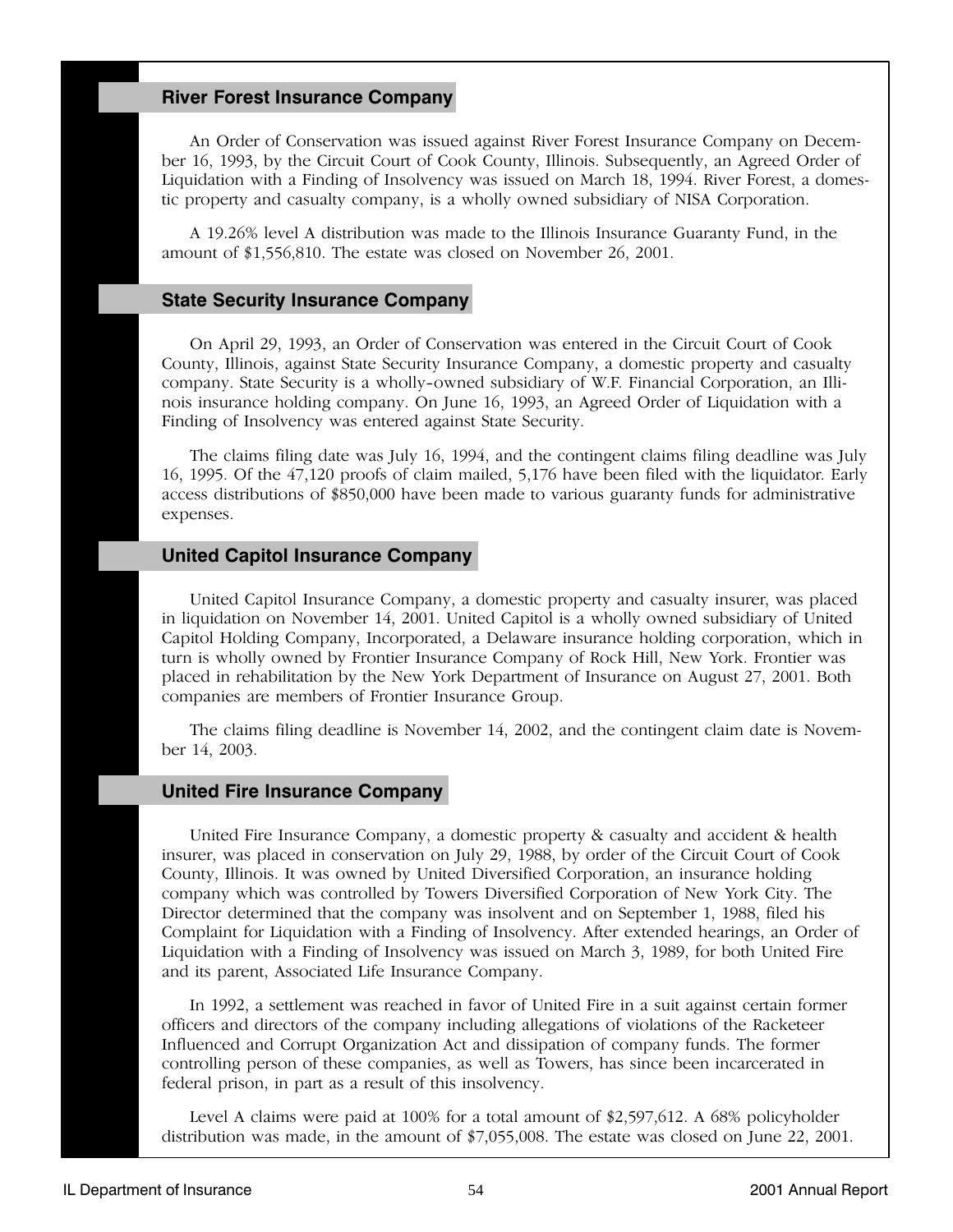#### **River Forest Insurance Company**

An Order of Conservation was issued against River Forest Insurance Company on December 16, 1993, by the Circuit Court of Cook County, Illinois. Subsequently, an Agreed Order of Liquidation with a Finding of Insolvency was issued on March 18, 1994. River Forest, a domestic property and casualty company, is a wholly owned subsidiary of NISA Corporation.

A 19.26% level A distribution was made to the Illinois Insurance Guaranty Fund, in the amount of \$1,556,810. The estate was closed on November 26, 2001.

#### **State Security Insurance Company**

On April 29, 1993, an Order of Conservation was entered in the Circuit Court of Cook County, Illinois, against State Security Insurance Company, a domestic property and casualty company. State Security is a wholly-owned subsidiary of W.F. Financial Corporation, an Illinois insurance holding company. On June 16, 1993, an Agreed Order of Liquidation with a Finding of Insolvency was entered against State Security.

The claims filing date was July 16, 1994, and the contingent claims filing deadline was July 16, 1995. Of the 47,120 proofs of claim mailed, 5,176 have been filed with the liquidator. Early access distributions of \$850,000 have been made to various guaranty funds for administrative expenses.

#### **United Capitol Insurance Company**

United Capitol Insurance Company, a domestic property and casualty insurer, was placed in liquidation on November 14, 2001. United Capitol is a wholly owned subsidiary of United Capitol Holding Company, Incorporated, a Delaware insurance holding corporation, which in turn is wholly owned by Frontier Insurance Company of Rock Hill, New York. Frontier was placed in rehabilitation by the New York Department of Insurance on August 27, 2001. Both companies are members of Frontier Insurance Group.

The claims filing deadline is November 14, 2002, and the contingent claim date is November 14, 2003.

#### **United Fire Insurance Company**

United Fire Insurance Company, a domestic property & casualty and accident & health insurer, was placed in conservation on July 29, 1988, by order of the Circuit Court of Cook County, Illinois. It was owned by United Diversified Corporation, an insurance holding company which was controlled by Towers Diversified Corporation of New York City. The Director determined that the company was insolvent and on September 1, 1988, filed his Complaint for Liquidation with a Finding of Insolvency. After extended hearings, an Order of Liquidation with a Finding of Insolvency was issued on March 3, 1989, for both United Fire and its parent, Associated Life Insurance Company.

In 1992, a settlement was reached in favor of United Fire in a suit against certain former officers and directors of the company including allegations of violations of the Racketeer Influenced and Corrupt Organization Act and dissipation of company funds. The former controlling person of these companies, as well as Towers, has since been incarcerated in federal prison, in part as a result of this insolvency.

Level A claims were paid at 100% for a total amount of  $2,597,612$ . A 68% policyholder distribution was made, in the amount of  $\frac{20,055,008}{200}$ . The estate was closed on June 22, 2001.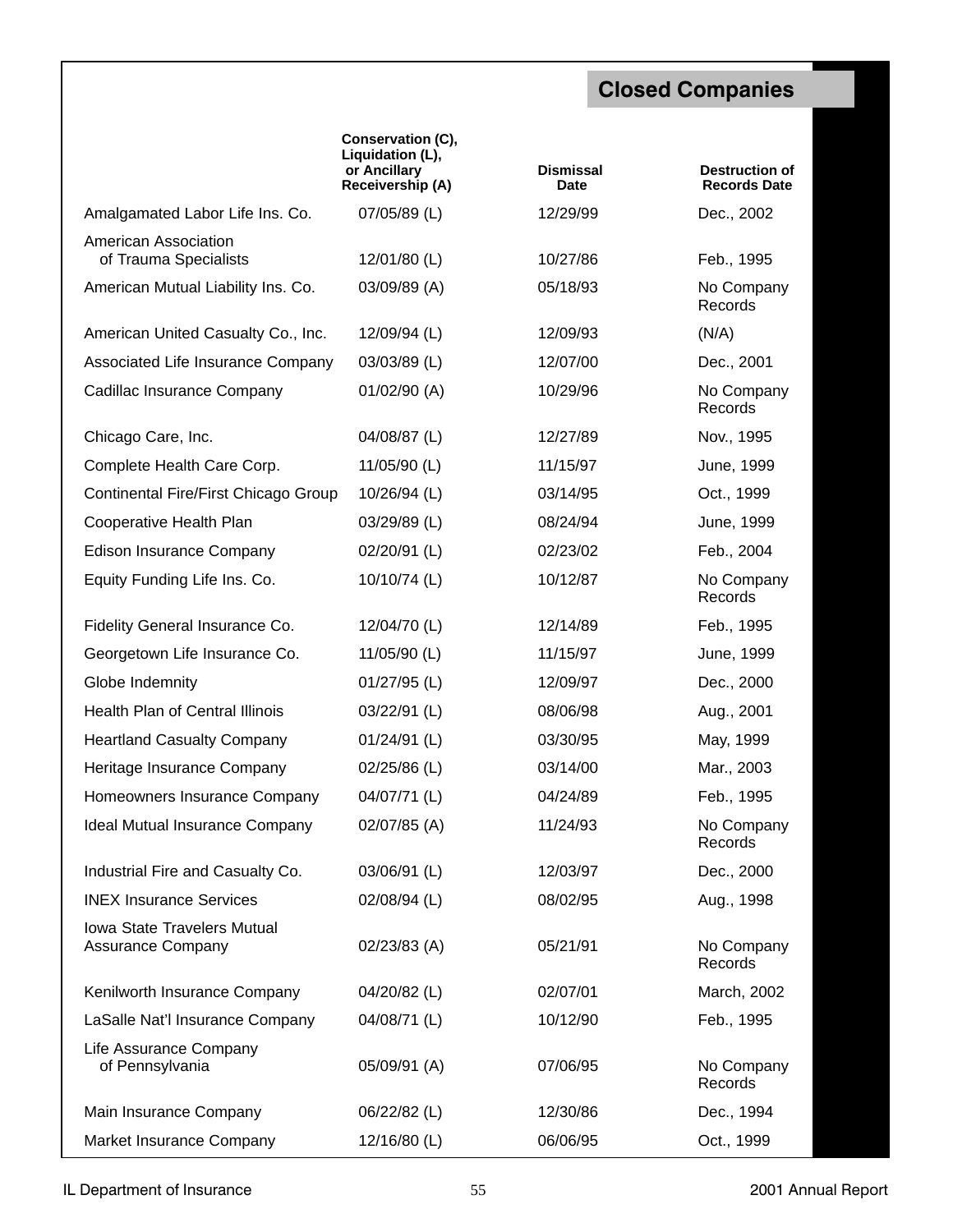### **Closed Companies**

|                                                         | Conservation (C),<br>Liquidation (L),<br>or Ancillary<br>Receivership (A) | <b>Dismissal</b><br>Date | <b>Destruction of</b><br><b>Records Date</b> |
|---------------------------------------------------------|---------------------------------------------------------------------------|--------------------------|----------------------------------------------|
| Amalgamated Labor Life Ins. Co.                         | 07/05/89 (L)                                                              | 12/29/99                 | Dec., 2002                                   |
| American Association<br>of Trauma Specialists           | 12/01/80 (L)                                                              | 10/27/86                 | Feb., 1995                                   |
| American Mutual Liability Ins. Co.                      | 03/09/89 (A)                                                              | 05/18/93                 | No Company<br>Records                        |
| American United Casualty Co., Inc.                      | 12/09/94 (L)                                                              | 12/09/93                 | (N/A)                                        |
| Associated Life Insurance Company                       | 03/03/89 (L)                                                              | 12/07/00                 | Dec., 2001                                   |
| Cadillac Insurance Company                              | 01/02/90 (A)                                                              | 10/29/96                 | No Company<br>Records                        |
| Chicago Care, Inc.                                      | 04/08/87 (L)                                                              | 12/27/89                 | Nov., 1995                                   |
| Complete Health Care Corp.                              | 11/05/90 (L)                                                              | 11/15/97                 | June, 1999                                   |
| Continental Fire/First Chicago Group                    | 10/26/94 (L)                                                              | 03/14/95                 | Oct., 1999                                   |
| Cooperative Health Plan                                 | 03/29/89 (L)                                                              | 08/24/94                 | June, 1999                                   |
| <b>Edison Insurance Company</b>                         | 02/20/91 (L)                                                              | 02/23/02                 | Feb., 2004                                   |
| Equity Funding Life Ins. Co.                            | 10/10/74 (L)                                                              | 10/12/87                 | No Company<br>Records                        |
| Fidelity General Insurance Co.                          | 12/04/70 (L)                                                              | 12/14/89                 | Feb., 1995                                   |
| Georgetown Life Insurance Co.                           | 11/05/90 (L)                                                              | 11/15/97                 | June, 1999                                   |
| Globe Indemnity                                         | 01/27/95 (L)                                                              | 12/09/97                 | Dec., 2000                                   |
| Health Plan of Central Illinois                         | 03/22/91 (L)                                                              | 08/06/98                 | Aug., 2001                                   |
| <b>Heartland Casualty Company</b>                       | 01/24/91 (L)                                                              | 03/30/95                 | May, 1999                                    |
| Heritage Insurance Company                              | 02/25/86 (L)                                                              | 03/14/00                 | Mar., 2003                                   |
| Homeowners Insurance Company                            | 04/07/71 (L)                                                              | 04/24/89                 | Feb., 1995                                   |
| Ideal Mutual Insurance Company                          | 02/07/85 (A)                                                              | 11/24/93                 | No Company<br>Records                        |
| Industrial Fire and Casualty Co.                        | 03/06/91 (L)                                                              | 12/03/97                 | Dec., 2000                                   |
| <b>INEX Insurance Services</b>                          | 02/08/94 (L)                                                              | 08/02/95                 | Aug., 1998                                   |
| Iowa State Travelers Mutual<br><b>Assurance Company</b> | 02/23/83 (A)                                                              | 05/21/91                 | No Company<br>Records                        |
| Kenilworth Insurance Company                            | 04/20/82 (L)                                                              | 02/07/01                 | March, 2002                                  |
| LaSalle Nat'l Insurance Company                         | 04/08/71 (L)                                                              | 10/12/90                 | Feb., 1995                                   |
| Life Assurance Company<br>of Pennsylvania               | 05/09/91 (A)                                                              | 07/06/95                 | No Company<br>Records                        |
| Main Insurance Company                                  | 06/22/82 (L)                                                              | 12/30/86                 | Dec., 1994                                   |
| Market Insurance Company                                | 12/16/80 (L)                                                              | 06/06/95                 | Oct., 1999                                   |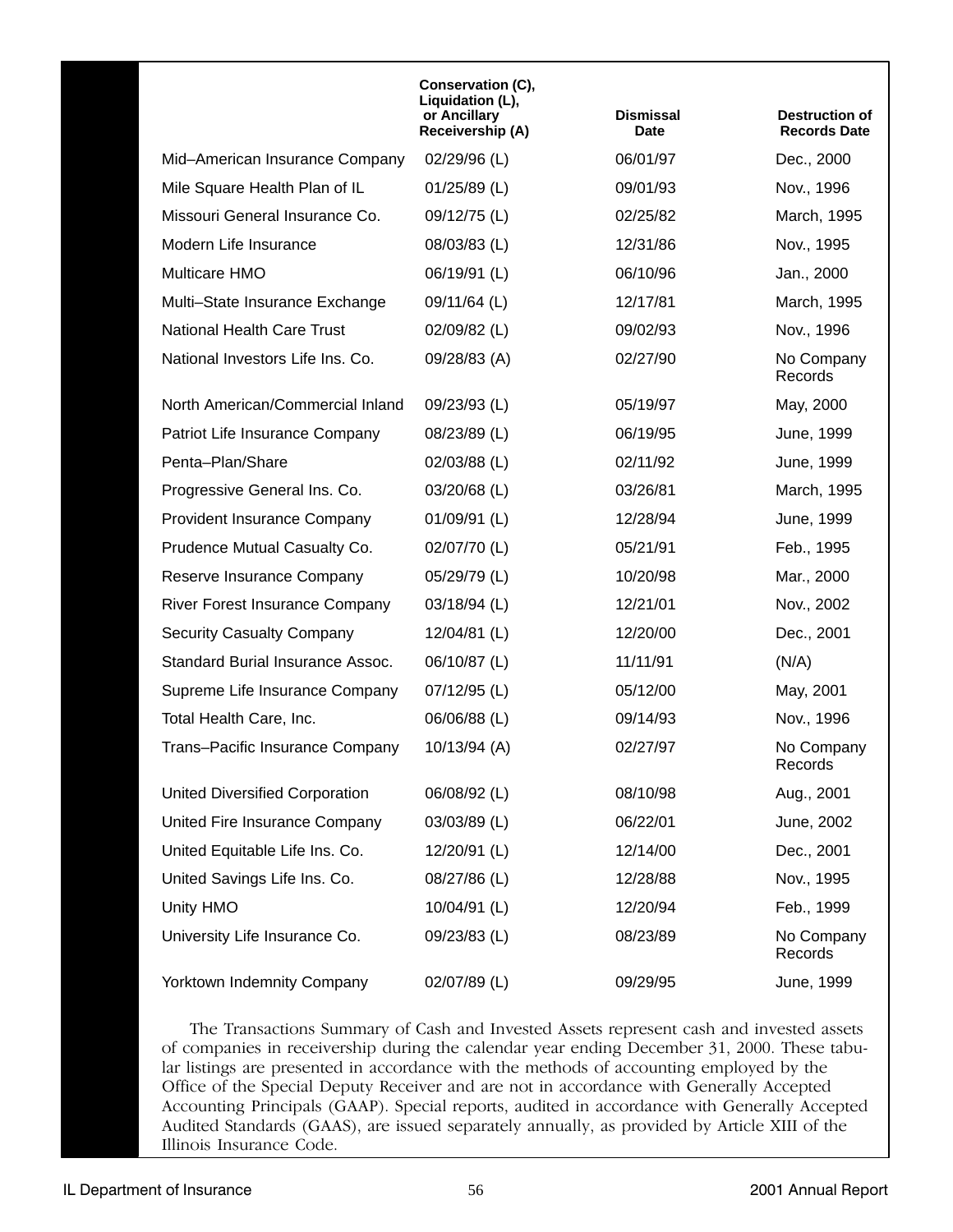|                                       | Conservation (C),<br>Liquidation (L),<br>or Ancillary<br>Receivership (A) | <b>Dismissal</b><br>Date | <b>Destruction of</b><br><b>Records Date</b> |
|---------------------------------------|---------------------------------------------------------------------------|--------------------------|----------------------------------------------|
| Mid-American Insurance Company        | 02/29/96 (L)                                                              | 06/01/97                 | Dec., 2000                                   |
| Mile Square Health Plan of IL         | $01/25/89$ (L)                                                            | 09/01/93                 | Nov., 1996                                   |
| Missouri General Insurance Co.        | 09/12/75 (L)                                                              | 02/25/82                 | March, 1995                                  |
| Modern Life Insurance                 | 08/03/83 (L)                                                              | 12/31/86                 | Nov., 1995                                   |
| <b>Multicare HMO</b>                  | 06/19/91 (L)                                                              | 06/10/96                 | Jan., 2000                                   |
| Multi-State Insurance Exchange        | 09/11/64 (L)                                                              | 12/17/81                 | March, 1995                                  |
| <b>National Health Care Trust</b>     | 02/09/82 (L)                                                              | 09/02/93                 | Nov., 1996                                   |
| National Investors Life Ins. Co.      | 09/28/83 (A)                                                              | 02/27/90                 | No Company<br>Records                        |
| North American/Commercial Inland      | 09/23/93 (L)                                                              | 05/19/97                 | May, 2000                                    |
| Patriot Life Insurance Company        | 08/23/89 (L)                                                              | 06/19/95                 | June, 1999                                   |
| Penta-Plan/Share                      | 02/03/88 (L)                                                              | 02/11/92                 | June, 1999                                   |
| Progressive General Ins. Co.          | 03/20/68 (L)                                                              | 03/26/81                 | March, 1995                                  |
| Provident Insurance Company           | 01/09/91 (L)                                                              | 12/28/94                 | June, 1999                                   |
| Prudence Mutual Casualty Co.          | 02/07/70 (L)                                                              | 05/21/91                 | Feb., 1995                                   |
| Reserve Insurance Company             | 05/29/79 (L)                                                              | 10/20/98                 | Mar., 2000                                   |
| River Forest Insurance Company        | 03/18/94 (L)                                                              | 12/21/01                 | Nov., 2002                                   |
| <b>Security Casualty Company</b>      | 12/04/81 (L)                                                              | 12/20/00                 | Dec., 2001                                   |
| Standard Burial Insurance Assoc.      | 06/10/87 (L)                                                              | 11/11/91                 | (N/A)                                        |
| Supreme Life Insurance Company        | 07/12/95 (L)                                                              | 05/12/00                 | May, 2001                                    |
| Total Health Care, Inc.               | 06/06/88 (L)                                                              | 09/14/93                 | Nov., 1996                                   |
| Trans-Pacific Insurance Company       | 10/13/94 (A)                                                              | 02/27/97                 | No Company<br>Records                        |
| <b>United Diversified Corporation</b> | 06/08/92 (L)                                                              | 08/10/98                 | Aug., 2001                                   |
| United Fire Insurance Company         | 03/03/89 (L)                                                              | 06/22/01                 | June, 2002                                   |
| United Equitable Life Ins. Co.        | 12/20/91 (L)                                                              | 12/14/00                 | Dec., 2001                                   |
| United Savings Life Ins. Co.          | 08/27/86 (L)                                                              | 12/28/88                 | Nov., 1995                                   |
| Unity HMO                             | 10/04/91 (L)                                                              | 12/20/94                 | Feb., 1999                                   |
| University Life Insurance Co.         | 09/23/83 (L)                                                              | 08/23/89                 | No Company<br>Records                        |
| Yorktown Indemnity Company            | 02/07/89 (L)                                                              | 09/29/95                 | June, 1999                                   |

The Transactions Summary of Cash and Invested Assets represent cash and invested assets of companies in receivership during the calendar year ending December 31, 2000. These tabular listings are presented in accordance with the methods of accounting employed by the Office of the Special Deputy Receiver and are not in accordance with Generally Accepted Accounting Principals (GAAP). Special reports, audited in accordance with Generally Accepted Audited Standards (GAAS), are issued separately annually, as provided by Article XIII of the Illinois Insurance Code.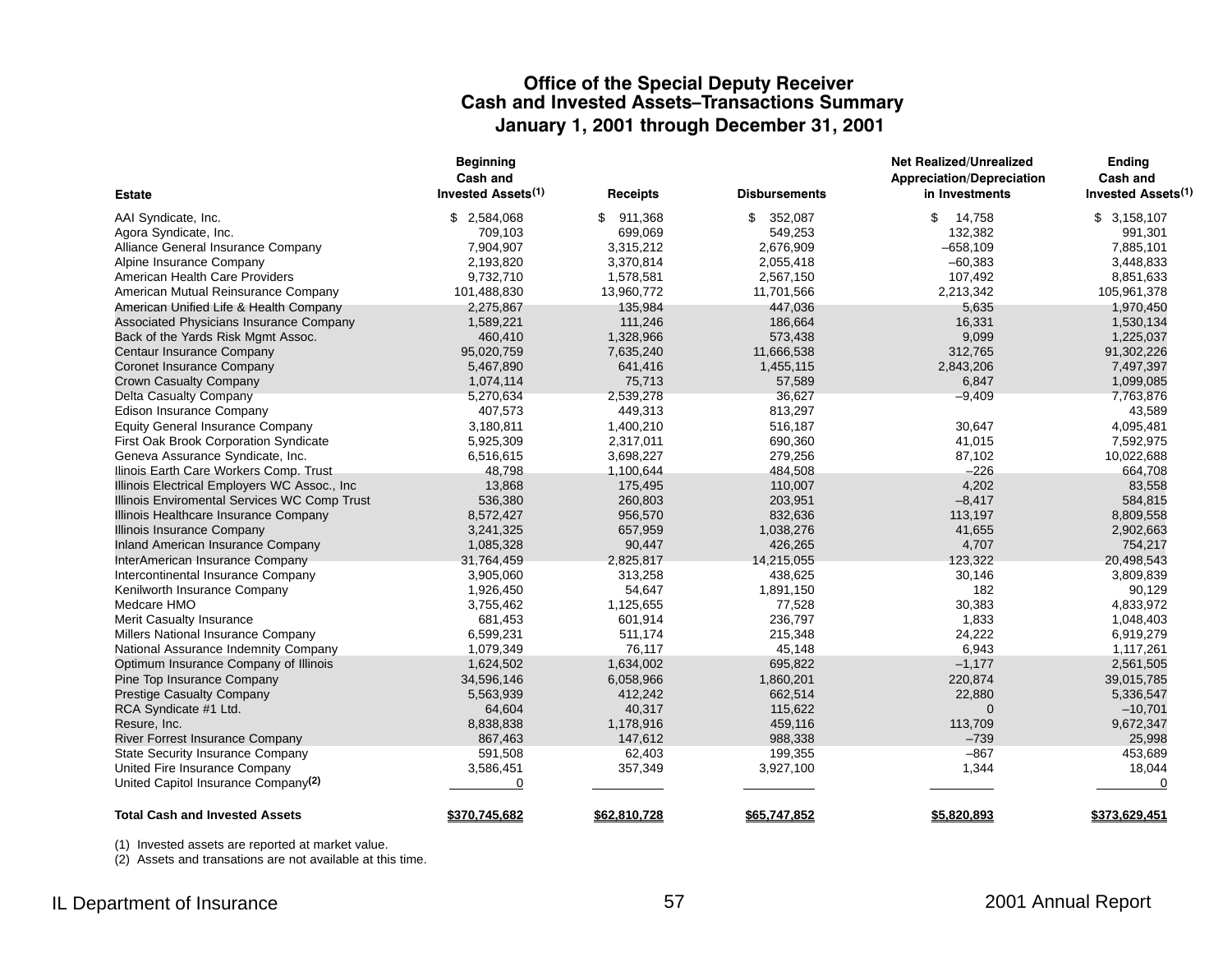#### Office of the Special Deputy Receiver **Cash and Invested Assets-Transactions Summary** January 1, 2001 through December 31, 2001

|                                                 | <b>Beginning</b>               |                 |                      | <b>Net Realized/Unrealized</b>   | <b>Ending</b>                  |
|-------------------------------------------------|--------------------------------|-----------------|----------------------|----------------------------------|--------------------------------|
|                                                 | Cash and                       |                 |                      | <b>Appreciation/Depreciation</b> | Cash and                       |
| <b>Estate</b>                                   | Invested Assets <sup>(1)</sup> | <b>Receipts</b> | <b>Disbursements</b> | in Investments                   | Invested Assets <sup>(1)</sup> |
| AAI Syndicate, Inc.                             | \$2,584,068                    | \$<br>911,368   | 352,087<br>\$        | \$<br>14,758                     | \$3,158,107                    |
| Agora Syndicate, Inc.                           | 709,103                        | 699,069         | 549,253              | 132,382                          | 991,301                        |
| Alliance General Insurance Company              | 7,904,907                      | 3,315,212       | 2,676,909            | $-658,109$                       | 7,885,101                      |
| Alpine Insurance Company                        | 2,193,820                      | 3,370,814       | 2,055,418            | $-60,383$                        | 3,448,833                      |
| American Health Care Providers                  | 9,732,710                      | 1,578,581       | 2,567,150            | 107,492                          | 8,851,633                      |
| American Mutual Reinsurance Company             | 101,488,830                    | 13,960,772      | 11,701,566           | 2,213,342                        | 105,961,378                    |
| American Unified Life & Health Company          | 2,275,867                      | 135,984         | 447,036              | 5,635                            | 1,970,450                      |
| Associated Physicians Insurance Company         | 1,589,221                      | 111,246         | 186,664              | 16,331                           | 1,530,134                      |
| Back of the Yards Risk Mgmt Assoc.              | 460,410                        | 1,328,966       | 573,438              | 9,099                            | 1,225,037                      |
| Centaur Insurance Company                       | 95,020,759                     | 7,635,240       | 11,666,538           | 312,765                          | 91,302,226                     |
| Coronet Insurance Company                       | 5,467,890                      | 641,416         | 1,455,115            | 2,843,206                        | 7,497,397                      |
| Crown Casualty Company                          | 1,074,114                      | 75,713          | 57,589               | 6,847                            | 1,099,085                      |
| Delta Casualty Company                          | 5,270,634                      | 2,539,278       | 36,627               | $-9,409$                         | 7,763,876                      |
| Edison Insurance Company                        | 407,573                        | 449,313         | 813,297              |                                  | 43,589                         |
| <b>Equity General Insurance Company</b>         | 3,180,811                      | 1,400,210       | 516,187              | 30,647                           | 4,095,481                      |
| First Oak Brook Corporation Syndicate           | 5,925,309                      | 2,317,011       | 690,360              | 41,015                           | 7,592,975                      |
| Geneva Assurance Syndicate, Inc.                | 6,516,615                      | 3,698,227       | 279,256              | 87,102                           | 10,022,688                     |
| Ilinois Earth Care Workers Comp. Trust          | 48,798                         | 1,100,644       | 484,508              | $-226$                           | 664,708                        |
| Illinois Electrical Employers WC Assoc., Inc    | 13,868                         | 175,495         | 110,007              | 4,202                            | 83,558                         |
| Illinois Enviromental Services WC Comp Trust    | 536,380                        | 260,803         | 203,951              | $-8,417$                         | 584,815                        |
| Illinois Healthcare Insurance Company           | 8,572,427                      | 956,570         | 832,636              | 113,197                          | 8,809,558                      |
| Illinois Insurance Company                      | 3,241,325                      | 657,959         | 1,038,276            | 41,655                           | 2,902,663                      |
| <b>Inland American Insurance Company</b>        | 1,085,328                      | 90,447          | 426,265              | 4,707                            | 754,217                        |
| InterAmerican Insurance Company                 | 31,764,459                     | 2,825,817       | 14,215,055           | 123,322                          | 20,498,543                     |
| Intercontinental Insurance Company              | 3,905,060                      | 313,258         | 438,625              | 30,146                           | 3,809,839                      |
| Kenilworth Insurance Company                    | 1,926,450                      | 54,647          | 1,891,150            | 182                              | 90,129                         |
| Medcare HMO                                     | 3,755,462                      | 1,125,655       | 77,528               | 30,383                           | 4,833,972                      |
| Merit Casualty Insurance                        | 681,453                        | 601,914         | 236,797              | 1,833                            | 1,048,403                      |
| Millers National Insurance Company              | 6,599,231                      | 511,174         | 215,348              | 24,222                           | 6,919,279                      |
| National Assurance Indemnity Company            | 1,079,349                      | 76,117          | 45,148               | 6,943                            | 1,117,261                      |
| Optimum Insurance Company of Illinois           | 1,624,502                      | 1,634,002       | 695,822              | $-1,177$                         | 2,561,505                      |
| Pine Top Insurance Company                      | 34,596,146                     | 6,058,966       | 1,860,201            | 220,874                          | 39,015,785                     |
| <b>Prestige Casualty Company</b>                | 5,563,939                      | 412,242         | 662,514              | 22,880                           | 5,336,547                      |
| RCA Syndicate #1 Ltd.                           | 64,604                         | 40,317          | 115,622              | $\mathbf 0$                      | $-10,701$                      |
| Resure, Inc.                                    | 8,838,838                      | 1,178,916       | 459,116              | 113,709                          | 9,672,347                      |
| <b>River Forrest Insurance Company</b>          | 867,463                        | 147,612         | 988,338              | $-739$                           | 25,998                         |
| <b>State Security Insurance Company</b>         | 591,508                        | 62,403          | 199,355              | $-867$                           | 453,689                        |
| United Fire Insurance Company                   | 3,586,451                      | 357,349         | 3,927,100            | 1,344                            | 18,044                         |
| United Capitol Insurance Company <sup>(2)</sup> | $\Omega$                       |                 |                      |                                  | $\Omega$                       |
| <b>Total Cash and Invested Assets</b>           | \$370,745,682                  | \$62,810,728    | \$65,747,852         | \$5,820,893                      | \$373,629,451                  |

(1) Invested assets are reported at market value.

 $(2)$  Assets and transations are not available at this time.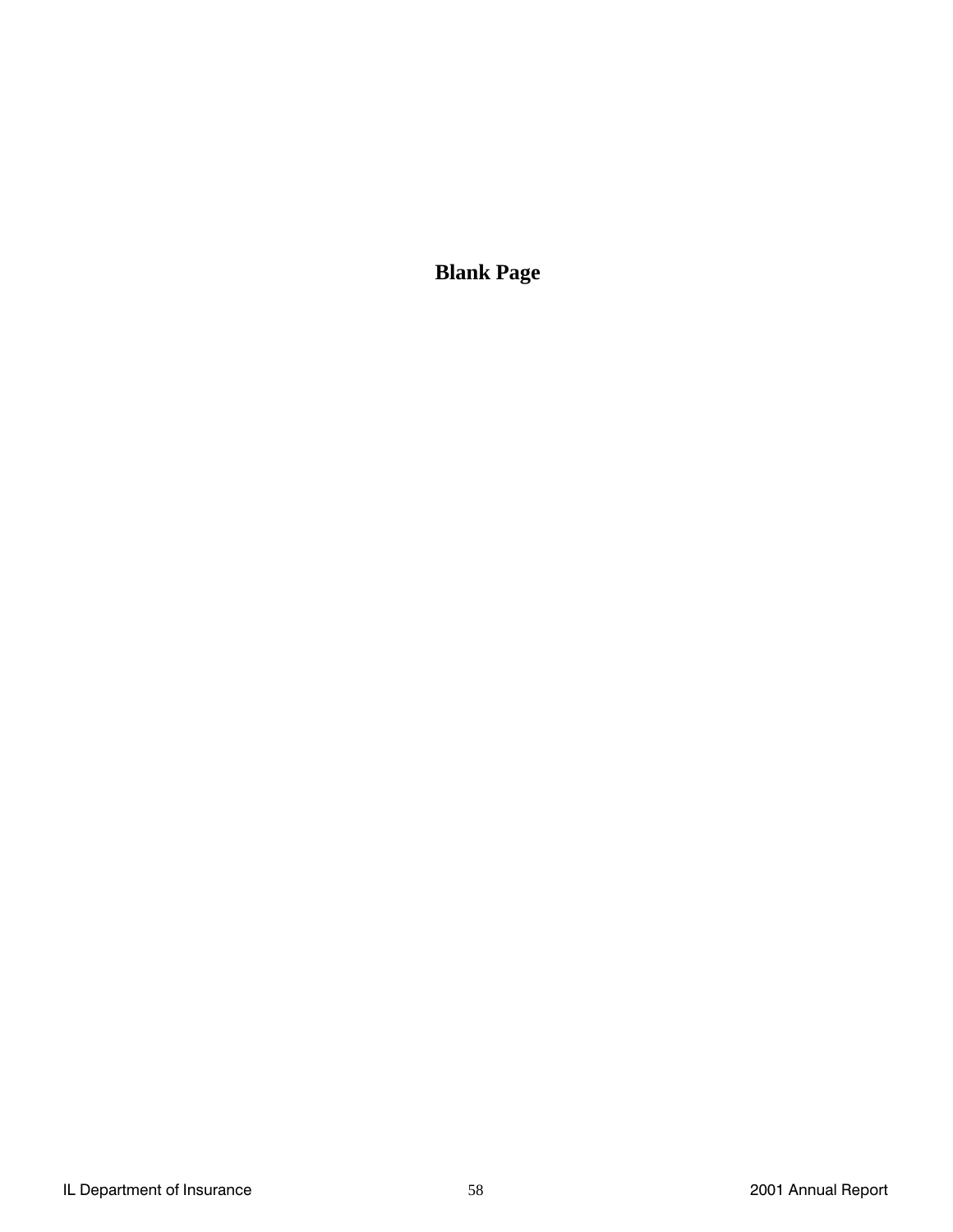**Blank Page**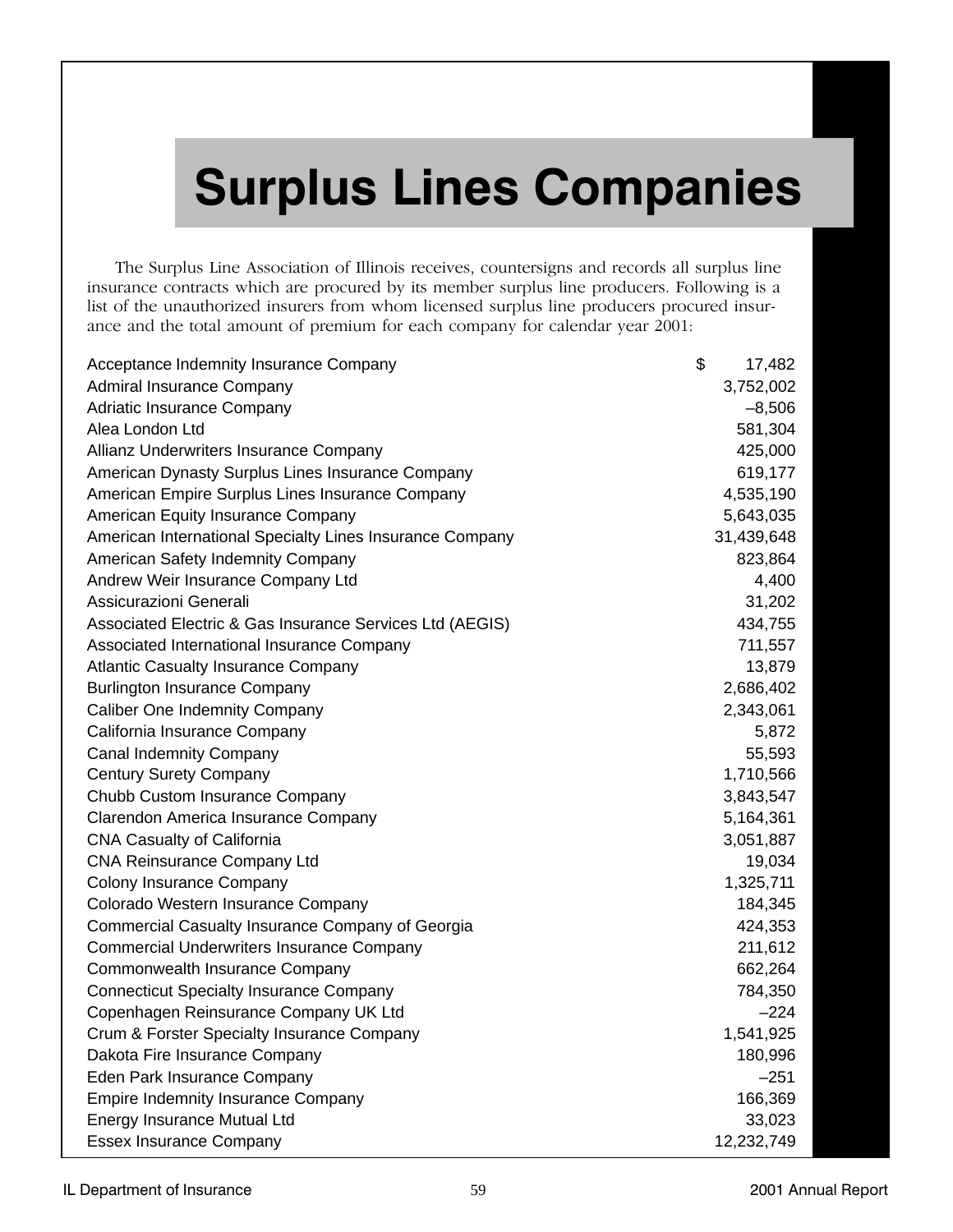# **Surplus Lines Companies**

The Surplus Line Association of Illinois receives, countersigns and records all surplus line insurance contracts which are procured by its member surplus line producers. Following is a list of the unauthorized insurers from whom licensed surplus line producers procured insurance and the total amount of premium for each company for calendar year 2001:

| Acceptance Indemnity Insurance Company                   | $\mathfrak{S}$<br>17,482 |
|----------------------------------------------------------|--------------------------|
| <b>Admiral Insurance Company</b>                         | 3,752,002                |
| Adriatic Insurance Company                               | $-8,506$                 |
| Alea London Ltd                                          | 581,304                  |
| Allianz Underwriters Insurance Company                   | 425,000                  |
| American Dynasty Surplus Lines Insurance Company         | 619,177                  |
| American Empire Surplus Lines Insurance Company          | 4,535,190                |
| American Equity Insurance Company                        | 5,643,035                |
| American International Specialty Lines Insurance Company | 31,439,648               |
| American Safety Indemnity Company                        | 823,864                  |
| Andrew Weir Insurance Company Ltd                        | 4,400                    |
| Assicurazioni Generali                                   | 31,202                   |
| Associated Electric & Gas Insurance Services Ltd (AEGIS) | 434,755                  |
| Associated International Insurance Company               | 711,557                  |
| <b>Atlantic Casualty Insurance Company</b>               | 13,879                   |
| <b>Burlington Insurance Company</b>                      | 2,686,402                |
| <b>Caliber One Indemnity Company</b>                     | 2,343,061                |
| California Insurance Company                             | 5,872                    |
| <b>Canal Indemnity Company</b>                           | 55,593                   |
| <b>Century Surety Company</b>                            | 1,710,566                |
| Chubb Custom Insurance Company                           | 3,843,547                |
| Clarendon America Insurance Company                      | 5,164,361                |
| <b>CNA Casualty of California</b>                        | 3,051,887                |
| <b>CNA Reinsurance Company Ltd</b>                       | 19,034                   |
| Colony Insurance Company                                 | 1,325,711                |
| Colorado Western Insurance Company                       | 184,345                  |
| Commercial Casualty Insurance Company of Georgia         | 424,353                  |
| <b>Commercial Underwriters Insurance Company</b>         | 211,612                  |
| Commonwealth Insurance Company                           | 662,264                  |
| <b>Connecticut Specialty Insurance Company</b>           | 784,350                  |
| Copenhagen Reinsurance Company UK Ltd                    | $-224$                   |
| Crum & Forster Specialty Insurance Company               | 1,541,925                |
| Dakota Fire Insurance Company                            | 180,996                  |
| Eden Park Insurance Company                              | $-251$                   |
| <b>Empire Indemnity Insurance Company</b>                | 166,369                  |
| Energy Insurance Mutual Ltd                              | 33,023                   |
| <b>Essex Insurance Company</b>                           | 12,232,749               |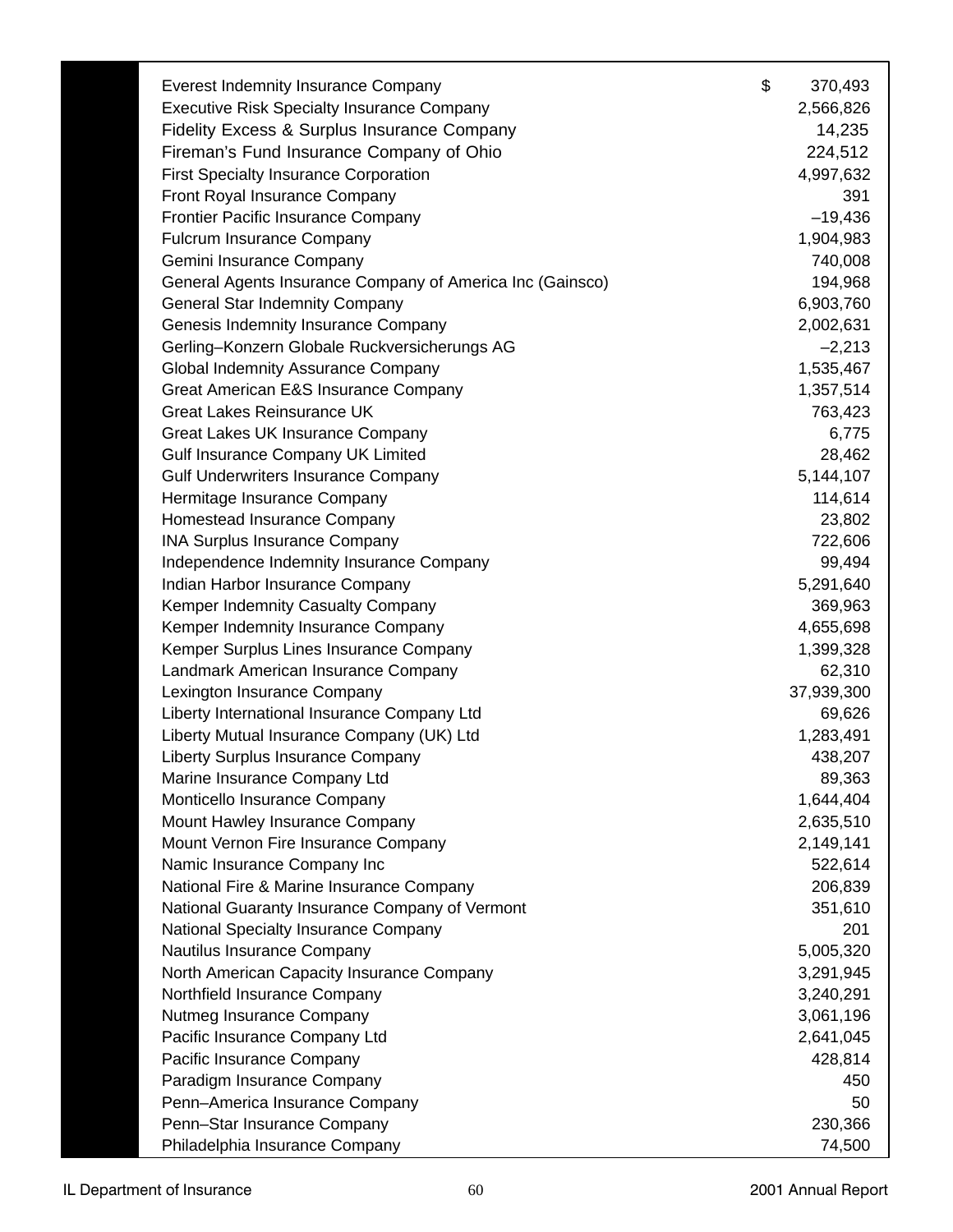| <b>Everest Indemnity Insurance Company</b>                | \$<br>370,493 |
|-----------------------------------------------------------|---------------|
| <b>Executive Risk Specialty Insurance Company</b>         | 2,566,826     |
| <b>Fidelity Excess &amp; Surplus Insurance Company</b>    | 14,235        |
| Fireman's Fund Insurance Company of Ohio                  | 224,512       |
| <b>First Specialty Insurance Corporation</b>              | 4,997,632     |
| Front Royal Insurance Company                             | 391           |
| <b>Frontier Pacific Insurance Company</b>                 | $-19,436$     |
| Fulcrum Insurance Company                                 | 1,904,983     |
| Gemini Insurance Company                                  | 740,008       |
| General Agents Insurance Company of America Inc (Gainsco) | 194,968       |
| <b>General Star Indemnity Company</b>                     | 6,903,760     |
| Genesis Indemnity Insurance Company                       | 2,002,631     |
| Gerling-Konzern Globale Ruckversicherungs AG              | $-2,213$      |
| Global Indemnity Assurance Company                        | 1,535,467     |
| Great American E&S Insurance Company                      | 1,357,514     |
| <b>Great Lakes Reinsurance UK</b>                         | 763,423       |
| Great Lakes UK Insurance Company                          | 6,775         |
| Gulf Insurance Company UK Limited                         | 28,462        |
| <b>Gulf Underwriters Insurance Company</b>                | 5,144,107     |
| Hermitage Insurance Company                               | 114,614       |
| Homestead Insurance Company                               | 23,802        |
| <b>INA Surplus Insurance Company</b>                      | 722,606       |
| Independence Indemnity Insurance Company                  | 99,494        |
| Indian Harbor Insurance Company                           | 5,291,640     |
| Kemper Indemnity Casualty Company                         | 369,963       |
| Kemper Indemnity Insurance Company                        | 4,655,698     |
| Kemper Surplus Lines Insurance Company                    | 1,399,328     |
| Landmark American Insurance Company                       | 62,310        |
| Lexington Insurance Company                               | 37,939,300    |
| Liberty International Insurance Company Ltd               | 69,626        |
| Liberty Mutual Insurance Company (UK) Ltd                 | 1,283,491     |
| Liberty Surplus Insurance Company                         | 438,207       |
| Marine Insurance Company Ltd                              | 89,363        |
| Monticello Insurance Company                              | 1,644,404     |
| Mount Hawley Insurance Company                            | 2,635,510     |
| Mount Vernon Fire Insurance Company                       | 2,149,141     |
| Namic Insurance Company Inc                               | 522,614       |
| National Fire & Marine Insurance Company                  | 206,839       |
| National Guaranty Insurance Company of Vermont            | 351,610       |
| National Specialty Insurance Company                      | 201           |
| Nautilus Insurance Company                                | 5,005,320     |
| North American Capacity Insurance Company                 | 3,291,945     |
| Northfield Insurance Company                              | 3,240,291     |
| Nutmeg Insurance Company                                  | 3,061,196     |
| Pacific Insurance Company Ltd                             | 2,641,045     |
| Pacific Insurance Company                                 | 428,814       |
| Paradigm Insurance Company                                | 450           |
| Penn-America Insurance Company                            | 50            |
| Penn-Star Insurance Company                               | 230,366       |
| Philadelphia Insurance Company                            | 74,500        |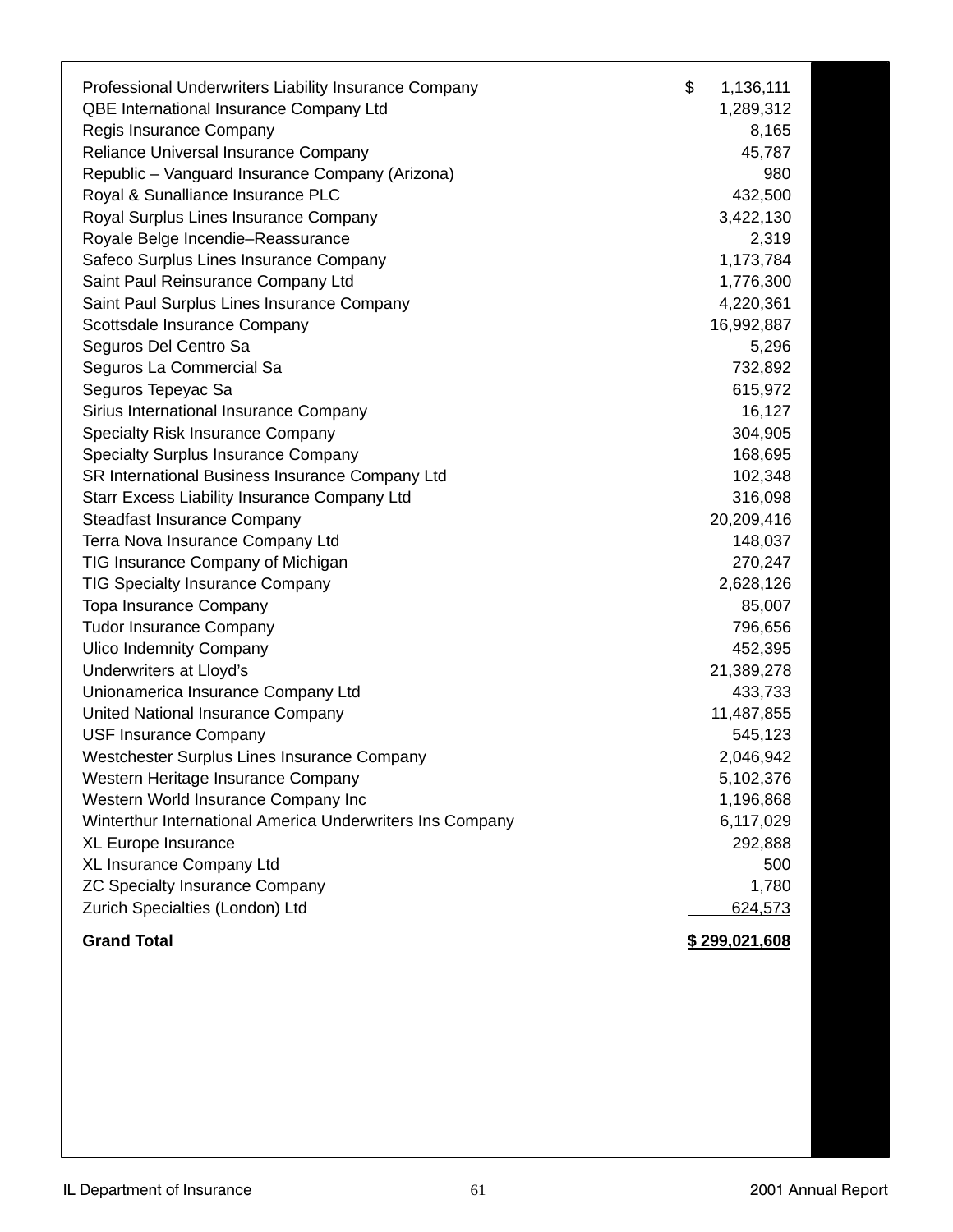| Professional Underwriters Liability Insurance Company     | \$<br>1,136,111 |
|-----------------------------------------------------------|-----------------|
| QBE International Insurance Company Ltd                   | 1,289,312       |
| Regis Insurance Company                                   | 8,165           |
| Reliance Universal Insurance Company                      | 45,787          |
| Republic - Vanguard Insurance Company (Arizona)           | 980             |
| Royal & Sunalliance Insurance PLC                         | 432,500         |
| Royal Surplus Lines Insurance Company                     | 3,422,130       |
| Royale Belge Incendie-Reassurance                         | 2,319           |
| Safeco Surplus Lines Insurance Company                    | 1,173,784       |
| Saint Paul Reinsurance Company Ltd                        | 1,776,300       |
| Saint Paul Surplus Lines Insurance Company                | 4,220,361       |
| Scottsdale Insurance Company                              | 16,992,887      |
| Seguros Del Centro Sa                                     | 5,296           |
| Seguros La Commercial Sa                                  | 732,892         |
| Seguros Tepeyac Sa                                        | 615,972         |
| Sirius International Insurance Company                    | 16,127          |
| Specialty Risk Insurance Company                          | 304,905         |
| <b>Specialty Surplus Insurance Company</b>                | 168,695         |
| SR International Business Insurance Company Ltd           | 102,348         |
| Starr Excess Liability Insurance Company Ltd              | 316,098         |
| <b>Steadfast Insurance Company</b>                        | 20,209,416      |
| Terra Nova Insurance Company Ltd                          | 148,037         |
| TIG Insurance Company of Michigan                         | 270,247         |
| <b>TIG Specialty Insurance Company</b>                    | 2,628,126       |
| Topa Insurance Company                                    | 85,007          |
| <b>Tudor Insurance Company</b>                            | 796,656         |
| <b>Ulico Indemnity Company</b>                            | 452,395         |
| Underwriters at Lloyd's                                   | 21,389,278      |
| Unionamerica Insurance Company Ltd                        | 433,733         |
| United National Insurance Company                         | 11,487,855      |
| <b>USF Insurance Company</b>                              | 545,123         |
| Westchester Surplus Lines Insurance Company               | 2,046,942       |
| Western Heritage Insurance Company                        | 5,102,376       |
| Western World Insurance Company Inc                       | 1,196,868       |
| Winterthur International America Underwriters Ins Company | 6,117,029       |
| XL Europe Insurance                                       | 292,888         |
| XL Insurance Company Ltd                                  | 500             |
| <b>ZC Specialty Insurance Company</b>                     | 1,780           |
| Zurich Specialties (London) Ltd                           | 624,573         |
| <b>Grand Total</b>                                        | \$299,021,608   |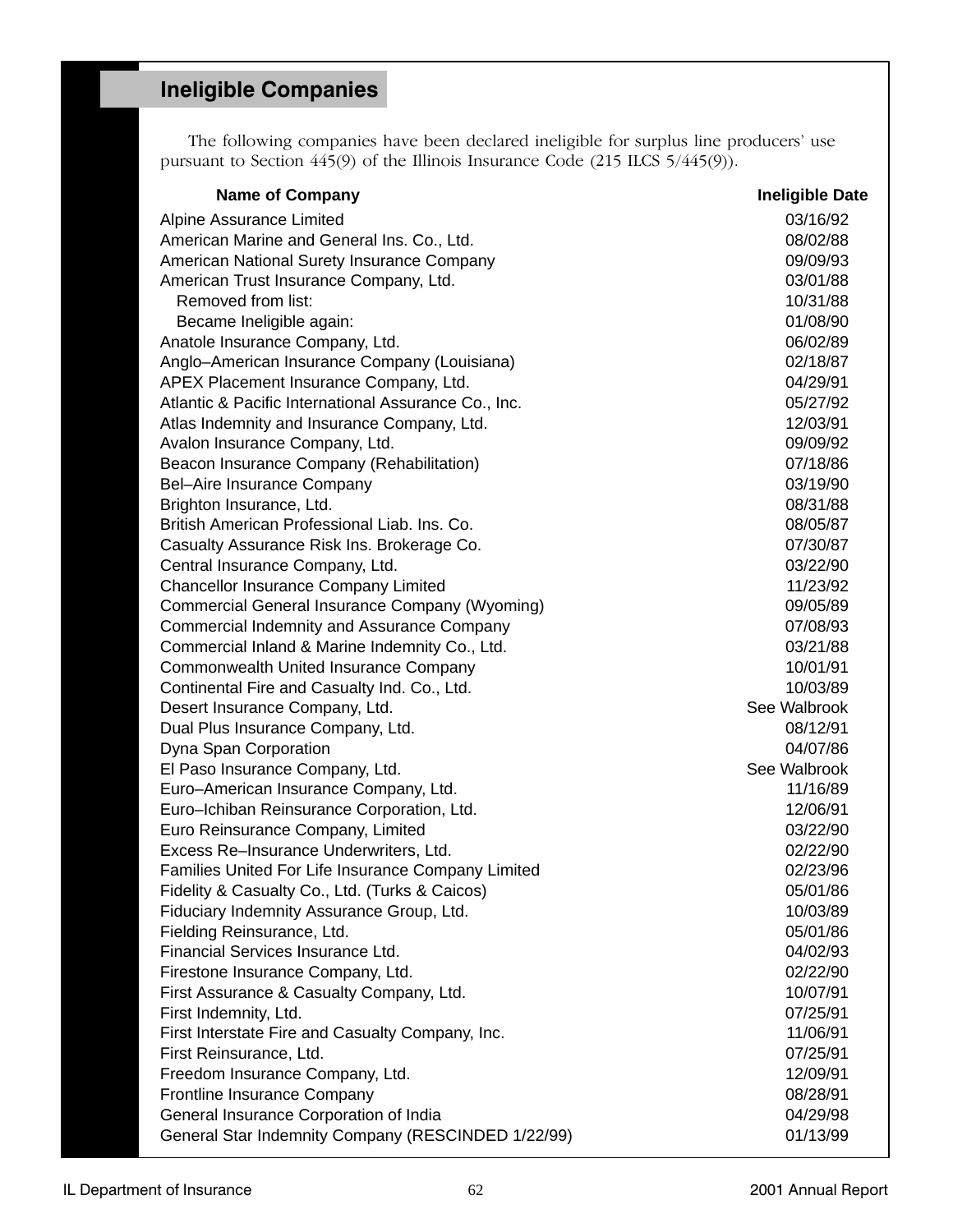### **Ineligible Companies**

The following companies have been declared ineligible for surplus line producers' use pursuant to Section  $445(9)$  of the Illinois Insurance Code (215 ILCS  $5/445(9)$ ).

| Alpine Assurance Limited<br>03/16/92<br>American Marine and General Ins. Co., Ltd.<br>08/02/88<br>American National Surety Insurance Company<br>09/09/93<br>03/01/88<br>American Trust Insurance Company, Ltd.<br>Removed from list:<br>10/31/88<br>Became Ineligible again:<br>01/08/90<br>Anatole Insurance Company, Ltd.<br>06/02/89<br>Anglo-American Insurance Company (Louisiana)<br>02/18/87<br>APEX Placement Insurance Company, Ltd.<br>04/29/91<br>Atlantic & Pacific International Assurance Co., Inc.<br>05/27/92<br>Atlas Indemnity and Insurance Company, Ltd.<br>12/03/91<br>Avalon Insurance Company, Ltd.<br>09/09/92<br>Beacon Insurance Company (Rehabilitation)<br>07/18/86<br>Bel-Aire Insurance Company<br>03/19/90<br>Brighton Insurance, Ltd.<br>08/31/88<br>British American Professional Liab. Ins. Co.<br>08/05/87<br>Casualty Assurance Risk Ins. Brokerage Co.<br>07/30/87<br>Central Insurance Company, Ltd.<br>03/22/90<br><b>Chancellor Insurance Company Limited</b><br>11/23/92<br>Commercial General Insurance Company (Wyoming)<br>09/05/89<br>Commercial Indemnity and Assurance Company<br>07/08/93<br>Commercial Inland & Marine Indemnity Co., Ltd.<br>03/21/88<br>Commonwealth United Insurance Company<br>10/01/91<br>10/03/89<br>Continental Fire and Casualty Ind. Co., Ltd.<br>See Walbrook<br>Desert Insurance Company, Ltd.<br>08/12/91<br>Dual Plus Insurance Company, Ltd.<br>Dyna Span Corporation<br>04/07/86<br>See Walbrook<br>El Paso Insurance Company, Ltd.<br>Euro-American Insurance Company, Ltd.<br>11/16/89<br>Euro-Ichiban Reinsurance Corporation, Ltd.<br>12/06/91<br>03/22/90<br>Euro Reinsurance Company, Limited<br>Excess Re-Insurance Underwriters, Ltd.<br>02/22/90<br>02/23/96<br>Families United For Life Insurance Company Limited<br>Fidelity & Casualty Co., Ltd. (Turks & Caicos)<br>05/01/86<br>Fiduciary Indemnity Assurance Group, Ltd.<br>10/03/89<br>Fielding Reinsurance, Ltd.<br>05/01/86<br>Financial Services Insurance Ltd.<br>04/02/93<br>Firestone Insurance Company, Ltd.<br>02/22/90<br>First Assurance & Casualty Company, Ltd.<br>10/07/91<br>First Indemnity, Ltd.<br>07/25/91<br>First Interstate Fire and Casualty Company, Inc.<br>11/06/91<br>07/25/91<br>First Reinsurance, Ltd.<br>Freedom Insurance Company, Ltd.<br>12/09/91<br>Frontline Insurance Company<br>08/28/91<br>General Insurance Corporation of India<br>04/29/98<br>General Star Indemnity Company (RESCINDED 1/22/99)<br>01/13/99 | <b>Name of Company</b> | <b>Ineligible Date</b> |
|------------------------------------------------------------------------------------------------------------------------------------------------------------------------------------------------------------------------------------------------------------------------------------------------------------------------------------------------------------------------------------------------------------------------------------------------------------------------------------------------------------------------------------------------------------------------------------------------------------------------------------------------------------------------------------------------------------------------------------------------------------------------------------------------------------------------------------------------------------------------------------------------------------------------------------------------------------------------------------------------------------------------------------------------------------------------------------------------------------------------------------------------------------------------------------------------------------------------------------------------------------------------------------------------------------------------------------------------------------------------------------------------------------------------------------------------------------------------------------------------------------------------------------------------------------------------------------------------------------------------------------------------------------------------------------------------------------------------------------------------------------------------------------------------------------------------------------------------------------------------------------------------------------------------------------------------------------------------------------------------------------------------------------------------------------------------------------------------------------------------------------------------------------------------------------------------------------------------------------------------------------------------------------------------------------------------------------------------------------------------------------------------------------------------------------------------------------------------------------------------------|------------------------|------------------------|
|                                                                                                                                                                                                                                                                                                                                                                                                                                                                                                                                                                                                                                                                                                                                                                                                                                                                                                                                                                                                                                                                                                                                                                                                                                                                                                                                                                                                                                                                                                                                                                                                                                                                                                                                                                                                                                                                                                                                                                                                                                                                                                                                                                                                                                                                                                                                                                                                                                                                                                      |                        |                        |
|                                                                                                                                                                                                                                                                                                                                                                                                                                                                                                                                                                                                                                                                                                                                                                                                                                                                                                                                                                                                                                                                                                                                                                                                                                                                                                                                                                                                                                                                                                                                                                                                                                                                                                                                                                                                                                                                                                                                                                                                                                                                                                                                                                                                                                                                                                                                                                                                                                                                                                      |                        |                        |
|                                                                                                                                                                                                                                                                                                                                                                                                                                                                                                                                                                                                                                                                                                                                                                                                                                                                                                                                                                                                                                                                                                                                                                                                                                                                                                                                                                                                                                                                                                                                                                                                                                                                                                                                                                                                                                                                                                                                                                                                                                                                                                                                                                                                                                                                                                                                                                                                                                                                                                      |                        |                        |
|                                                                                                                                                                                                                                                                                                                                                                                                                                                                                                                                                                                                                                                                                                                                                                                                                                                                                                                                                                                                                                                                                                                                                                                                                                                                                                                                                                                                                                                                                                                                                                                                                                                                                                                                                                                                                                                                                                                                                                                                                                                                                                                                                                                                                                                                                                                                                                                                                                                                                                      |                        |                        |
|                                                                                                                                                                                                                                                                                                                                                                                                                                                                                                                                                                                                                                                                                                                                                                                                                                                                                                                                                                                                                                                                                                                                                                                                                                                                                                                                                                                                                                                                                                                                                                                                                                                                                                                                                                                                                                                                                                                                                                                                                                                                                                                                                                                                                                                                                                                                                                                                                                                                                                      |                        |                        |
|                                                                                                                                                                                                                                                                                                                                                                                                                                                                                                                                                                                                                                                                                                                                                                                                                                                                                                                                                                                                                                                                                                                                                                                                                                                                                                                                                                                                                                                                                                                                                                                                                                                                                                                                                                                                                                                                                                                                                                                                                                                                                                                                                                                                                                                                                                                                                                                                                                                                                                      |                        |                        |
|                                                                                                                                                                                                                                                                                                                                                                                                                                                                                                                                                                                                                                                                                                                                                                                                                                                                                                                                                                                                                                                                                                                                                                                                                                                                                                                                                                                                                                                                                                                                                                                                                                                                                                                                                                                                                                                                                                                                                                                                                                                                                                                                                                                                                                                                                                                                                                                                                                                                                                      |                        |                        |
|                                                                                                                                                                                                                                                                                                                                                                                                                                                                                                                                                                                                                                                                                                                                                                                                                                                                                                                                                                                                                                                                                                                                                                                                                                                                                                                                                                                                                                                                                                                                                                                                                                                                                                                                                                                                                                                                                                                                                                                                                                                                                                                                                                                                                                                                                                                                                                                                                                                                                                      |                        |                        |
|                                                                                                                                                                                                                                                                                                                                                                                                                                                                                                                                                                                                                                                                                                                                                                                                                                                                                                                                                                                                                                                                                                                                                                                                                                                                                                                                                                                                                                                                                                                                                                                                                                                                                                                                                                                                                                                                                                                                                                                                                                                                                                                                                                                                                                                                                                                                                                                                                                                                                                      |                        |                        |
|                                                                                                                                                                                                                                                                                                                                                                                                                                                                                                                                                                                                                                                                                                                                                                                                                                                                                                                                                                                                                                                                                                                                                                                                                                                                                                                                                                                                                                                                                                                                                                                                                                                                                                                                                                                                                                                                                                                                                                                                                                                                                                                                                                                                                                                                                                                                                                                                                                                                                                      |                        |                        |
|                                                                                                                                                                                                                                                                                                                                                                                                                                                                                                                                                                                                                                                                                                                                                                                                                                                                                                                                                                                                                                                                                                                                                                                                                                                                                                                                                                                                                                                                                                                                                                                                                                                                                                                                                                                                                                                                                                                                                                                                                                                                                                                                                                                                                                                                                                                                                                                                                                                                                                      |                        |                        |
|                                                                                                                                                                                                                                                                                                                                                                                                                                                                                                                                                                                                                                                                                                                                                                                                                                                                                                                                                                                                                                                                                                                                                                                                                                                                                                                                                                                                                                                                                                                                                                                                                                                                                                                                                                                                                                                                                                                                                                                                                                                                                                                                                                                                                                                                                                                                                                                                                                                                                                      |                        |                        |
|                                                                                                                                                                                                                                                                                                                                                                                                                                                                                                                                                                                                                                                                                                                                                                                                                                                                                                                                                                                                                                                                                                                                                                                                                                                                                                                                                                                                                                                                                                                                                                                                                                                                                                                                                                                                                                                                                                                                                                                                                                                                                                                                                                                                                                                                                                                                                                                                                                                                                                      |                        |                        |
|                                                                                                                                                                                                                                                                                                                                                                                                                                                                                                                                                                                                                                                                                                                                                                                                                                                                                                                                                                                                                                                                                                                                                                                                                                                                                                                                                                                                                                                                                                                                                                                                                                                                                                                                                                                                                                                                                                                                                                                                                                                                                                                                                                                                                                                                                                                                                                                                                                                                                                      |                        |                        |
|                                                                                                                                                                                                                                                                                                                                                                                                                                                                                                                                                                                                                                                                                                                                                                                                                                                                                                                                                                                                                                                                                                                                                                                                                                                                                                                                                                                                                                                                                                                                                                                                                                                                                                                                                                                                                                                                                                                                                                                                                                                                                                                                                                                                                                                                                                                                                                                                                                                                                                      |                        |                        |
|                                                                                                                                                                                                                                                                                                                                                                                                                                                                                                                                                                                                                                                                                                                                                                                                                                                                                                                                                                                                                                                                                                                                                                                                                                                                                                                                                                                                                                                                                                                                                                                                                                                                                                                                                                                                                                                                                                                                                                                                                                                                                                                                                                                                                                                                                                                                                                                                                                                                                                      |                        |                        |
|                                                                                                                                                                                                                                                                                                                                                                                                                                                                                                                                                                                                                                                                                                                                                                                                                                                                                                                                                                                                                                                                                                                                                                                                                                                                                                                                                                                                                                                                                                                                                                                                                                                                                                                                                                                                                                                                                                                                                                                                                                                                                                                                                                                                                                                                                                                                                                                                                                                                                                      |                        |                        |
|                                                                                                                                                                                                                                                                                                                                                                                                                                                                                                                                                                                                                                                                                                                                                                                                                                                                                                                                                                                                                                                                                                                                                                                                                                                                                                                                                                                                                                                                                                                                                                                                                                                                                                                                                                                                                                                                                                                                                                                                                                                                                                                                                                                                                                                                                                                                                                                                                                                                                                      |                        |                        |
|                                                                                                                                                                                                                                                                                                                                                                                                                                                                                                                                                                                                                                                                                                                                                                                                                                                                                                                                                                                                                                                                                                                                                                                                                                                                                                                                                                                                                                                                                                                                                                                                                                                                                                                                                                                                                                                                                                                                                                                                                                                                                                                                                                                                                                                                                                                                                                                                                                                                                                      |                        |                        |
|                                                                                                                                                                                                                                                                                                                                                                                                                                                                                                                                                                                                                                                                                                                                                                                                                                                                                                                                                                                                                                                                                                                                                                                                                                                                                                                                                                                                                                                                                                                                                                                                                                                                                                                                                                                                                                                                                                                                                                                                                                                                                                                                                                                                                                                                                                                                                                                                                                                                                                      |                        |                        |
|                                                                                                                                                                                                                                                                                                                                                                                                                                                                                                                                                                                                                                                                                                                                                                                                                                                                                                                                                                                                                                                                                                                                                                                                                                                                                                                                                                                                                                                                                                                                                                                                                                                                                                                                                                                                                                                                                                                                                                                                                                                                                                                                                                                                                                                                                                                                                                                                                                                                                                      |                        |                        |
|                                                                                                                                                                                                                                                                                                                                                                                                                                                                                                                                                                                                                                                                                                                                                                                                                                                                                                                                                                                                                                                                                                                                                                                                                                                                                                                                                                                                                                                                                                                                                                                                                                                                                                                                                                                                                                                                                                                                                                                                                                                                                                                                                                                                                                                                                                                                                                                                                                                                                                      |                        |                        |
|                                                                                                                                                                                                                                                                                                                                                                                                                                                                                                                                                                                                                                                                                                                                                                                                                                                                                                                                                                                                                                                                                                                                                                                                                                                                                                                                                                                                                                                                                                                                                                                                                                                                                                                                                                                                                                                                                                                                                                                                                                                                                                                                                                                                                                                                                                                                                                                                                                                                                                      |                        |                        |
|                                                                                                                                                                                                                                                                                                                                                                                                                                                                                                                                                                                                                                                                                                                                                                                                                                                                                                                                                                                                                                                                                                                                                                                                                                                                                                                                                                                                                                                                                                                                                                                                                                                                                                                                                                                                                                                                                                                                                                                                                                                                                                                                                                                                                                                                                                                                                                                                                                                                                                      |                        |                        |
|                                                                                                                                                                                                                                                                                                                                                                                                                                                                                                                                                                                                                                                                                                                                                                                                                                                                                                                                                                                                                                                                                                                                                                                                                                                                                                                                                                                                                                                                                                                                                                                                                                                                                                                                                                                                                                                                                                                                                                                                                                                                                                                                                                                                                                                                                                                                                                                                                                                                                                      |                        |                        |
|                                                                                                                                                                                                                                                                                                                                                                                                                                                                                                                                                                                                                                                                                                                                                                                                                                                                                                                                                                                                                                                                                                                                                                                                                                                                                                                                                                                                                                                                                                                                                                                                                                                                                                                                                                                                                                                                                                                                                                                                                                                                                                                                                                                                                                                                                                                                                                                                                                                                                                      |                        |                        |
|                                                                                                                                                                                                                                                                                                                                                                                                                                                                                                                                                                                                                                                                                                                                                                                                                                                                                                                                                                                                                                                                                                                                                                                                                                                                                                                                                                                                                                                                                                                                                                                                                                                                                                                                                                                                                                                                                                                                                                                                                                                                                                                                                                                                                                                                                                                                                                                                                                                                                                      |                        |                        |
|                                                                                                                                                                                                                                                                                                                                                                                                                                                                                                                                                                                                                                                                                                                                                                                                                                                                                                                                                                                                                                                                                                                                                                                                                                                                                                                                                                                                                                                                                                                                                                                                                                                                                                                                                                                                                                                                                                                                                                                                                                                                                                                                                                                                                                                                                                                                                                                                                                                                                                      |                        |                        |
|                                                                                                                                                                                                                                                                                                                                                                                                                                                                                                                                                                                                                                                                                                                                                                                                                                                                                                                                                                                                                                                                                                                                                                                                                                                                                                                                                                                                                                                                                                                                                                                                                                                                                                                                                                                                                                                                                                                                                                                                                                                                                                                                                                                                                                                                                                                                                                                                                                                                                                      |                        |                        |
|                                                                                                                                                                                                                                                                                                                                                                                                                                                                                                                                                                                                                                                                                                                                                                                                                                                                                                                                                                                                                                                                                                                                                                                                                                                                                                                                                                                                                                                                                                                                                                                                                                                                                                                                                                                                                                                                                                                                                                                                                                                                                                                                                                                                                                                                                                                                                                                                                                                                                                      |                        |                        |
|                                                                                                                                                                                                                                                                                                                                                                                                                                                                                                                                                                                                                                                                                                                                                                                                                                                                                                                                                                                                                                                                                                                                                                                                                                                                                                                                                                                                                                                                                                                                                                                                                                                                                                                                                                                                                                                                                                                                                                                                                                                                                                                                                                                                                                                                                                                                                                                                                                                                                                      |                        |                        |
|                                                                                                                                                                                                                                                                                                                                                                                                                                                                                                                                                                                                                                                                                                                                                                                                                                                                                                                                                                                                                                                                                                                                                                                                                                                                                                                                                                                                                                                                                                                                                                                                                                                                                                                                                                                                                                                                                                                                                                                                                                                                                                                                                                                                                                                                                                                                                                                                                                                                                                      |                        |                        |
|                                                                                                                                                                                                                                                                                                                                                                                                                                                                                                                                                                                                                                                                                                                                                                                                                                                                                                                                                                                                                                                                                                                                                                                                                                                                                                                                                                                                                                                                                                                                                                                                                                                                                                                                                                                                                                                                                                                                                                                                                                                                                                                                                                                                                                                                                                                                                                                                                                                                                                      |                        |                        |
|                                                                                                                                                                                                                                                                                                                                                                                                                                                                                                                                                                                                                                                                                                                                                                                                                                                                                                                                                                                                                                                                                                                                                                                                                                                                                                                                                                                                                                                                                                                                                                                                                                                                                                                                                                                                                                                                                                                                                                                                                                                                                                                                                                                                                                                                                                                                                                                                                                                                                                      |                        |                        |
|                                                                                                                                                                                                                                                                                                                                                                                                                                                                                                                                                                                                                                                                                                                                                                                                                                                                                                                                                                                                                                                                                                                                                                                                                                                                                                                                                                                                                                                                                                                                                                                                                                                                                                                                                                                                                                                                                                                                                                                                                                                                                                                                                                                                                                                                                                                                                                                                                                                                                                      |                        |                        |
|                                                                                                                                                                                                                                                                                                                                                                                                                                                                                                                                                                                                                                                                                                                                                                                                                                                                                                                                                                                                                                                                                                                                                                                                                                                                                                                                                                                                                                                                                                                                                                                                                                                                                                                                                                                                                                                                                                                                                                                                                                                                                                                                                                                                                                                                                                                                                                                                                                                                                                      |                        |                        |
|                                                                                                                                                                                                                                                                                                                                                                                                                                                                                                                                                                                                                                                                                                                                                                                                                                                                                                                                                                                                                                                                                                                                                                                                                                                                                                                                                                                                                                                                                                                                                                                                                                                                                                                                                                                                                                                                                                                                                                                                                                                                                                                                                                                                                                                                                                                                                                                                                                                                                                      |                        |                        |
|                                                                                                                                                                                                                                                                                                                                                                                                                                                                                                                                                                                                                                                                                                                                                                                                                                                                                                                                                                                                                                                                                                                                                                                                                                                                                                                                                                                                                                                                                                                                                                                                                                                                                                                                                                                                                                                                                                                                                                                                                                                                                                                                                                                                                                                                                                                                                                                                                                                                                                      |                        |                        |
|                                                                                                                                                                                                                                                                                                                                                                                                                                                                                                                                                                                                                                                                                                                                                                                                                                                                                                                                                                                                                                                                                                                                                                                                                                                                                                                                                                                                                                                                                                                                                                                                                                                                                                                                                                                                                                                                                                                                                                                                                                                                                                                                                                                                                                                                                                                                                                                                                                                                                                      |                        |                        |
|                                                                                                                                                                                                                                                                                                                                                                                                                                                                                                                                                                                                                                                                                                                                                                                                                                                                                                                                                                                                                                                                                                                                                                                                                                                                                                                                                                                                                                                                                                                                                                                                                                                                                                                                                                                                                                                                                                                                                                                                                                                                                                                                                                                                                                                                                                                                                                                                                                                                                                      |                        |                        |
|                                                                                                                                                                                                                                                                                                                                                                                                                                                                                                                                                                                                                                                                                                                                                                                                                                                                                                                                                                                                                                                                                                                                                                                                                                                                                                                                                                                                                                                                                                                                                                                                                                                                                                                                                                                                                                                                                                                                                                                                                                                                                                                                                                                                                                                                                                                                                                                                                                                                                                      |                        |                        |
|                                                                                                                                                                                                                                                                                                                                                                                                                                                                                                                                                                                                                                                                                                                                                                                                                                                                                                                                                                                                                                                                                                                                                                                                                                                                                                                                                                                                                                                                                                                                                                                                                                                                                                                                                                                                                                                                                                                                                                                                                                                                                                                                                                                                                                                                                                                                                                                                                                                                                                      |                        |                        |
|                                                                                                                                                                                                                                                                                                                                                                                                                                                                                                                                                                                                                                                                                                                                                                                                                                                                                                                                                                                                                                                                                                                                                                                                                                                                                                                                                                                                                                                                                                                                                                                                                                                                                                                                                                                                                                                                                                                                                                                                                                                                                                                                                                                                                                                                                                                                                                                                                                                                                                      |                        |                        |
|                                                                                                                                                                                                                                                                                                                                                                                                                                                                                                                                                                                                                                                                                                                                                                                                                                                                                                                                                                                                                                                                                                                                                                                                                                                                                                                                                                                                                                                                                                                                                                                                                                                                                                                                                                                                                                                                                                                                                                                                                                                                                                                                                                                                                                                                                                                                                                                                                                                                                                      |                        |                        |
|                                                                                                                                                                                                                                                                                                                                                                                                                                                                                                                                                                                                                                                                                                                                                                                                                                                                                                                                                                                                                                                                                                                                                                                                                                                                                                                                                                                                                                                                                                                                                                                                                                                                                                                                                                                                                                                                                                                                                                                                                                                                                                                                                                                                                                                                                                                                                                                                                                                                                                      |                        |                        |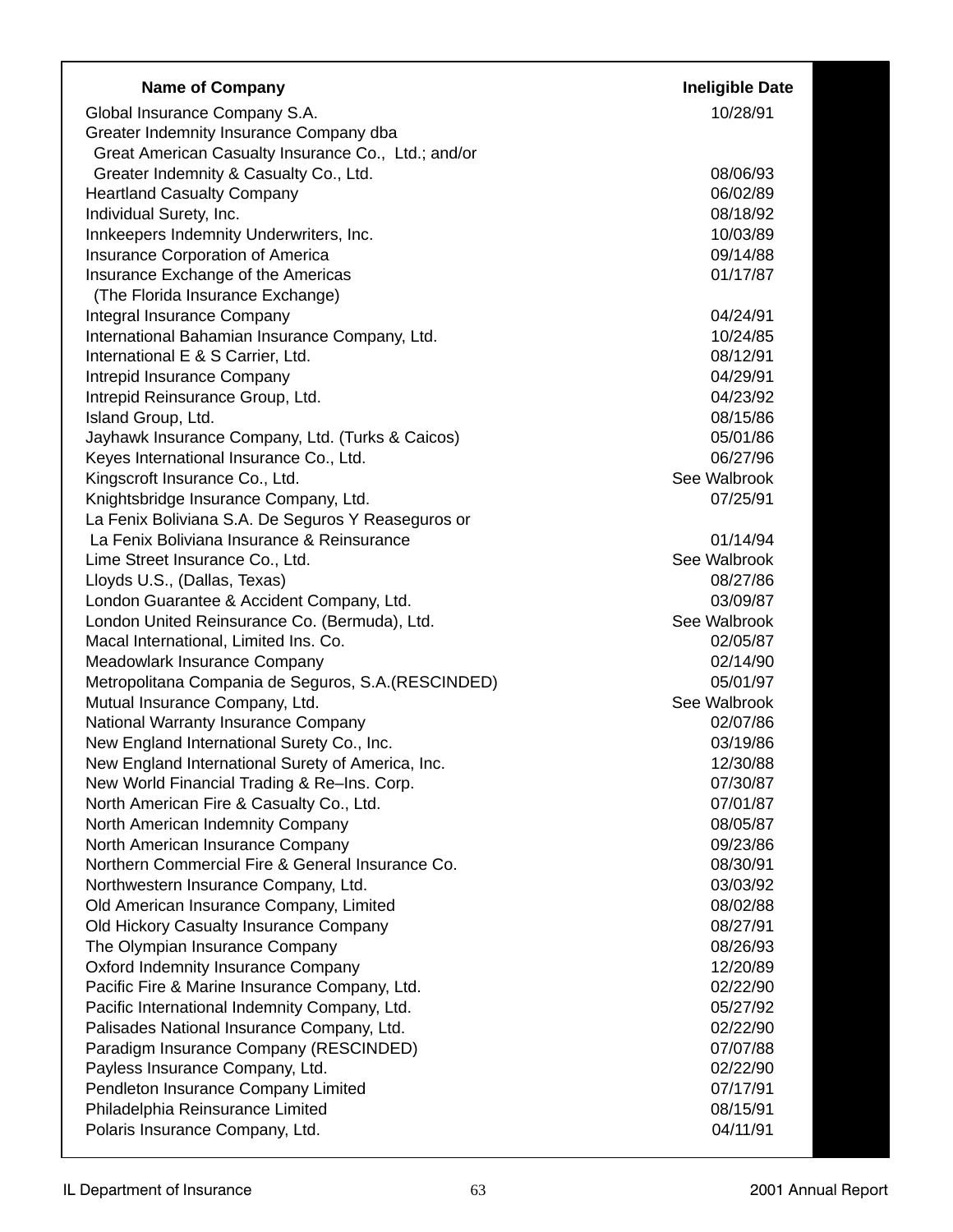| <b>Name of Company</b>                              | <b>Ineligible Date</b> |
|-----------------------------------------------------|------------------------|
| Global Insurance Company S.A.                       | 10/28/91               |
| Greater Indemnity Insurance Company dba             |                        |
| Great American Casualty Insurance Co., Ltd.; and/or |                        |
| Greater Indemnity & Casualty Co., Ltd.              | 08/06/93               |
| <b>Heartland Casualty Company</b>                   | 06/02/89               |
| Individual Surety, Inc.                             | 08/18/92               |
| Innkeepers Indemnity Underwriters, Inc.             | 10/03/89               |
| Insurance Corporation of America                    | 09/14/88               |
| Insurance Exchange of the Americas                  | 01/17/87               |
| (The Florida Insurance Exchange)                    |                        |
| Integral Insurance Company                          | 04/24/91               |
| International Bahamian Insurance Company, Ltd.      | 10/24/85               |
| International E & S Carrier, Ltd.                   | 08/12/91               |
| Intrepid Insurance Company                          | 04/29/91               |
| Intrepid Reinsurance Group, Ltd.                    | 04/23/92               |
| Island Group, Ltd.                                  | 08/15/86               |
| Jayhawk Insurance Company, Ltd. (Turks & Caicos)    | 05/01/86               |
| Keyes International Insurance Co., Ltd.             | 06/27/96               |
| Kingscroft Insurance Co., Ltd.                      | See Walbrook           |
| Knightsbridge Insurance Company, Ltd.               | 07/25/91               |
| La Fenix Boliviana S.A. De Seguros Y Reaseguros or  |                        |
| La Fenix Boliviana Insurance & Reinsurance          | 01/14/94               |
| Lime Street Insurance Co., Ltd.                     | See Walbrook           |
| Lloyds U.S., (Dallas, Texas)                        | 08/27/86               |
| London Guarantee & Accident Company, Ltd.           | 03/09/87               |
| London United Reinsurance Co. (Bermuda), Ltd.       | See Walbrook           |
| Macal International, Limited Ins. Co.               | 02/05/87               |
| Meadowlark Insurance Company                        | 02/14/90               |
| Metropolitana Compania de Seguros, S.A. (RESCINDED) | 05/01/97               |
| Mutual Insurance Company, Ltd.                      | See Walbrook           |
| National Warranty Insurance Company                 | 02/07/86               |
| New England International Surety Co., Inc.          | 03/19/86               |
| New England International Surety of America, Inc.   | 12/30/88               |
| New World Financial Trading & Re-Ins. Corp.         | 07/30/87               |
| North American Fire & Casualty Co., Ltd.            | 07/01/87               |
| North American Indemnity Company                    | 08/05/87               |
| North American Insurance Company                    | 09/23/86               |
| Northern Commercial Fire & General Insurance Co.    | 08/30/91               |
| Northwestern Insurance Company, Ltd.                | 03/03/92               |
| Old American Insurance Company, Limited             | 08/02/88               |
| Old Hickory Casualty Insurance Company              | 08/27/91               |
| The Olympian Insurance Company                      | 08/26/93               |
| <b>Oxford Indemnity Insurance Company</b>           | 12/20/89               |
| Pacific Fire & Marine Insurance Company, Ltd.       | 02/22/90               |
| Pacific International Indemnity Company, Ltd.       | 05/27/92               |
| Palisades National Insurance Company, Ltd.          | 02/22/90               |
| Paradigm Insurance Company (RESCINDED)              | 07/07/88               |
| Payless Insurance Company, Ltd.                     | 02/22/90               |
| Pendleton Insurance Company Limited                 | 07/17/91               |
| Philadelphia Reinsurance Limited                    | 08/15/91               |
| Polaris Insurance Company, Ltd.                     | 04/11/91               |
|                                                     |                        |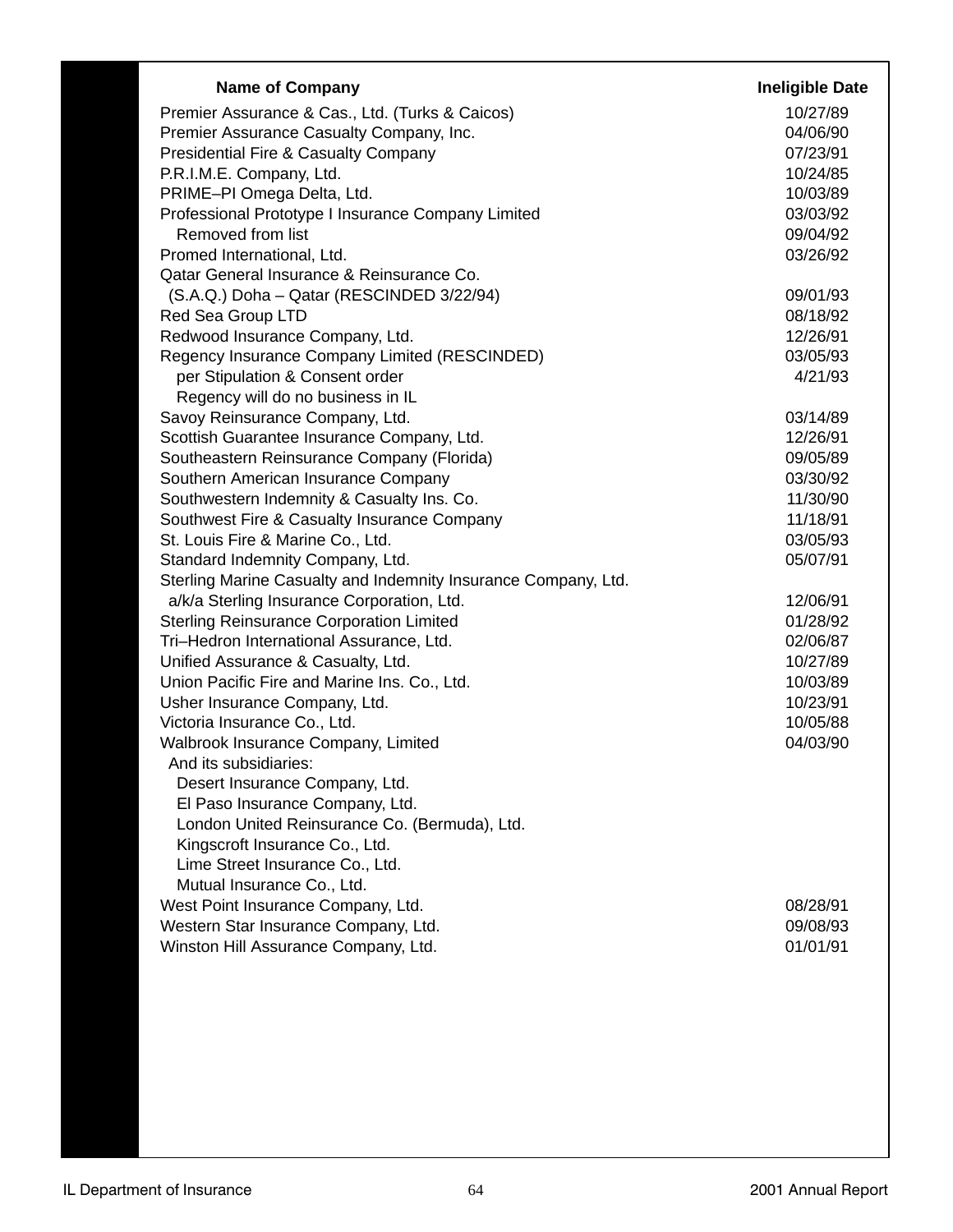| <b>Name of Company</b>                                         | <b>Ineligible Date</b> |
|----------------------------------------------------------------|------------------------|
| Premier Assurance & Cas., Ltd. (Turks & Caicos)                | 10/27/89               |
| Premier Assurance Casualty Company, Inc.                       | 04/06/90               |
| Presidential Fire & Casualty Company                           | 07/23/91               |
| P.R.I.M.E. Company, Ltd.                                       | 10/24/85               |
| PRIME-PI Omega Delta, Ltd.                                     | 10/03/89               |
| Professional Prototype I Insurance Company Limited             | 03/03/92               |
| Removed from list                                              | 09/04/92               |
| Promed International, Ltd.                                     | 03/26/92               |
| Qatar General Insurance & Reinsurance Co.                      |                        |
| (S.A.Q.) Doha - Qatar (RESCINDED 3/22/94)                      | 09/01/93               |
| Red Sea Group LTD                                              | 08/18/92               |
| Redwood Insurance Company, Ltd.                                | 12/26/91               |
| Regency Insurance Company Limited (RESCINDED)                  | 03/05/93               |
| per Stipulation & Consent order                                | 4/21/93                |
| Regency will do no business in IL                              |                        |
| Savoy Reinsurance Company, Ltd.                                | 03/14/89               |
| Scottish Guarantee Insurance Company, Ltd.                     | 12/26/91               |
| Southeastern Reinsurance Company (Florida)                     | 09/05/89               |
| Southern American Insurance Company                            | 03/30/92               |
| Southwestern Indemnity & Casualty Ins. Co.                     | 11/30/90               |
| Southwest Fire & Casualty Insurance Company                    | 11/18/91               |
| St. Louis Fire & Marine Co., Ltd.                              | 03/05/93               |
| Standard Indemnity Company, Ltd.                               | 05/07/91               |
| Sterling Marine Casualty and Indemnity Insurance Company, Ltd. |                        |
| a/k/a Sterling Insurance Corporation, Ltd.                     | 12/06/91               |
| <b>Sterling Reinsurance Corporation Limited</b>                | 01/28/92               |
| Tri-Hedron International Assurance, Ltd.                       | 02/06/87               |
| Unified Assurance & Casualty, Ltd.                             | 10/27/89               |
| Union Pacific Fire and Marine Ins. Co., Ltd.                   | 10/03/89               |
| Usher Insurance Company, Ltd.                                  | 10/23/91               |
| Victoria Insurance Co., Ltd.                                   | 10/05/88               |
| Walbrook Insurance Company, Limited                            | 04/03/90               |
| And its subsidiaries:                                          |                        |
| Desert Insurance Company, Ltd.                                 |                        |
| El Paso Insurance Company, Ltd.                                |                        |
| London United Reinsurance Co. (Bermuda), Ltd.                  |                        |
| Kingscroft Insurance Co., Ltd.                                 |                        |
| Lime Street Insurance Co., Ltd.                                |                        |
| Mutual Insurance Co., Ltd.                                     |                        |
| West Point Insurance Company, Ltd.                             | 08/28/91               |
| Western Star Insurance Company, Ltd.                           | 09/08/93               |
| Winston Hill Assurance Company, Ltd.                           | 01/01/91               |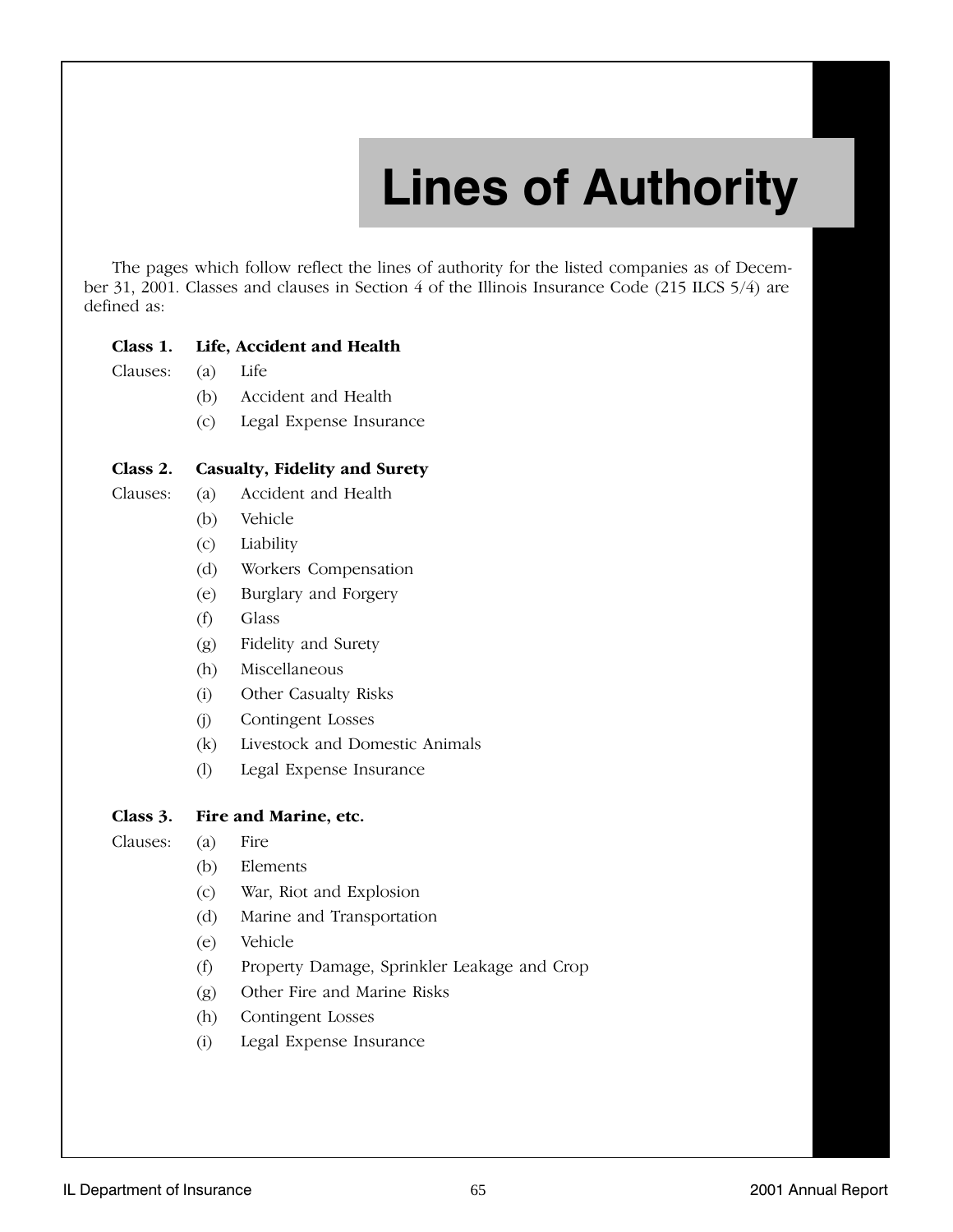# **Lines of Authority**

The pages which follow reflect the lines of authority for the listed companies as of December 31, 2001. Classes and clauses in Section 4 of the Illinois Insurance Code (215 ILCS 5/4) are defined as:

#### $Class 1.$ Life, Accident and Health

- Clauses: Life  $(a)$ 
	- Accident and Health  $(b)$
	- Legal Expense Insurance  $(c)$

#### Class 2. **Casualty, Fidelity and Surety**

- Clauses: Accident and Health  $(a)$ 
	- $(b)$ Vehicle
	- Liability  $(c)$
	- $(d)$ Workers Compensation
	- $(e)$ Burglary and Forgery
	- $(f)$ Glass
	- Fidelity and Surety  $(g)$
	- $(h)$ Miscellaneous
	- $(i)$ Other Casualty Risks
	- Contingent Losses  $(i)$
	- Livestock and Domestic Animals  $(k)$
	- Legal Expense Insurance  $\left( \frac{1}{2} \right)$

#### Class 3. Fire and Marine, etc.

Clauses:  $(a)$ 

- Fire  $(b)$ Elements
- $(c)$ War, Riot and Explosion
- $(d)$ Marine and Transportation
- $(e)$ Vehicle
- Property Damage, Sprinkler Leakage and Crop  $(f)$
- $(g)$ Other Fire and Marine Risks
- $(h)$ Contingent Losses
- $(i)$ Legal Expense Insurance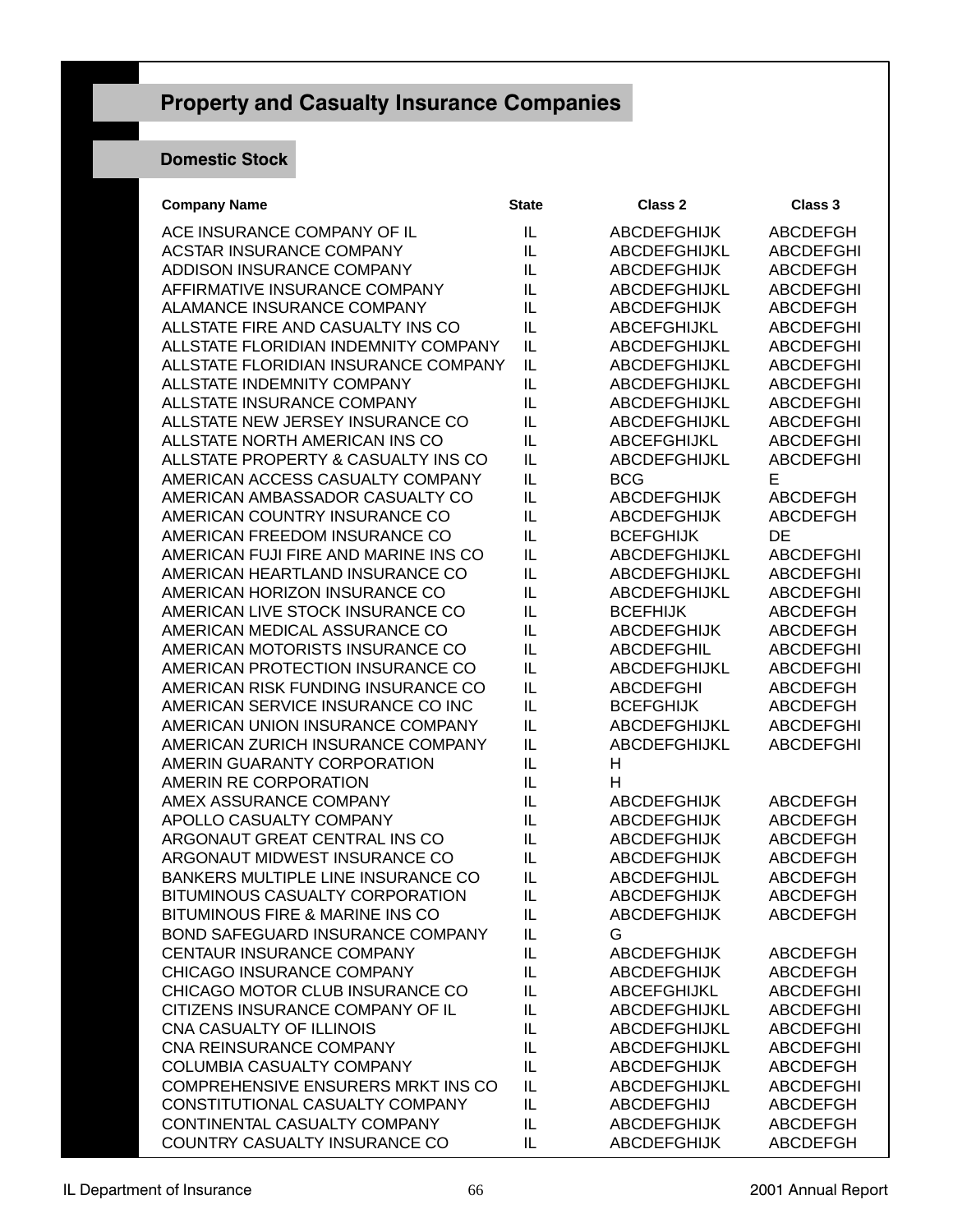### **Property and Casualty Insurance Companies**

#### **Domestic Stock**

| <b>Company Name</b>                     | <b>State</b> | Class 2             | Class 3          |
|-----------------------------------------|--------------|---------------------|------------------|
| ACE INSURANCE COMPANY OF IL             | IL           | <b>ABCDEFGHIJK</b>  | <b>ABCDEFGH</b>  |
| <b>ACSTAR INSURANCE COMPANY</b>         | IL           | ABCDEFGHIJKL        | <b>ABCDEFGHI</b> |
| ADDISON INSURANCE COMPANY               | IL           | <b>ABCDEFGHIJK</b>  | <b>ABCDEFGH</b>  |
| AFFIRMATIVE INSURANCE COMPANY           | IL           | <b>ABCDEFGHIJKL</b> | <b>ABCDEFGHI</b> |
| ALAMANCE INSURANCE COMPANY              | IL           | <b>ABCDEFGHIJK</b>  | <b>ABCDEFGH</b>  |
| ALLSTATE FIRE AND CASUALTY INS CO       | IL           | <b>ABCEFGHIJKL</b>  | <b>ABCDEFGHI</b> |
| ALLSTATE FLORIDIAN INDEMNITY COMPANY    | IL           | <b>ABCDEFGHIJKL</b> | <b>ABCDEFGHI</b> |
| ALLSTATE FLORIDIAN INSURANCE COMPANY    | IL           | <b>ABCDEFGHIJKL</b> | <b>ABCDEFGHI</b> |
| <b>ALLSTATE INDEMNITY COMPANY</b>       | IL           | <b>ABCDEFGHIJKL</b> | <b>ABCDEFGHI</b> |
| ALLSTATE INSURANCE COMPANY              | IL           | <b>ABCDEFGHIJKL</b> | <b>ABCDEFGHI</b> |
| ALLSTATE NEW JERSEY INSURANCE CO        | IL           | <b>ABCDEFGHIJKL</b> | <b>ABCDEFGHI</b> |
| ALLSTATE NORTH AMERICAN INS CO          | IL           | <b>ABCEFGHIJKL</b>  | <b>ABCDEFGHI</b> |
| ALLSTATE PROPERTY & CASUALTY INS CO     | IL           | <b>ABCDEFGHIJKL</b> | <b>ABCDEFGHI</b> |
| AMERICAN ACCESS CASUALTY COMPANY        | IL           | <b>BCG</b>          | Е                |
| AMERICAN AMBASSADOR CASUALTY CO         | IL           | <b>ABCDEFGHIJK</b>  | <b>ABCDEFGH</b>  |
| AMERICAN COUNTRY INSURANCE CO           | IL           | <b>ABCDEFGHIJK</b>  | <b>ABCDEFGH</b>  |
| AMERICAN FREEDOM INSURANCE CO           | IL           | <b>BCEFGHIJK</b>    | DE               |
| AMERICAN FUJI FIRE AND MARINE INS CO    | IL           | <b>ABCDEFGHIJKL</b> | <b>ABCDEFGHI</b> |
| AMERICAN HEARTLAND INSURANCE CO         | IL           | ABCDEFGHIJKL        | <b>ABCDEFGHI</b> |
| AMERICAN HORIZON INSURANCE CO           | IL           | <b>ABCDEFGHIJKL</b> | <b>ABCDEFGHI</b> |
| AMERICAN LIVE STOCK INSURANCE CO        | IL           | <b>BCEFHIJK</b>     | <b>ABCDEFGH</b>  |
| AMERICAN MEDICAL ASSURANCE CO           | IL           | <b>ABCDEFGHIJK</b>  | <b>ABCDEFGH</b>  |
| AMERICAN MOTORISTS INSURANCE CO         | IL           | <b>ABCDEFGHIL</b>   | <b>ABCDEFGHI</b> |
| AMERICAN PROTECTION INSURANCE CO        | IL           | <b>ABCDEFGHIJKL</b> | <b>ABCDEFGHI</b> |
| AMERICAN RISK FUNDING INSURANCE CO      | IL           | <b>ABCDEFGHI</b>    | <b>ABCDEFGH</b>  |
| AMERICAN SERVICE INSURANCE CO INC       | IL           | <b>BCEFGHIJK</b>    | <b>ABCDEFGH</b>  |
| AMERICAN UNION INSURANCE COMPANY        | IL           | <b>ABCDEFGHIJKL</b> | <b>ABCDEFGHI</b> |
| AMERICAN ZURICH INSURANCE COMPANY       | IL           | <b>ABCDEFGHIJKL</b> | <b>ABCDEFGHI</b> |
| AMERIN GUARANTY CORPORATION             | IL           | H                   |                  |
| AMERIN RE CORPORATION                   | IL           | H                   |                  |
| AMEX ASSURANCE COMPANY                  | IL           | <b>ABCDEFGHIJK</b>  | <b>ABCDEFGH</b>  |
| APOLLO CASUALTY COMPANY                 | IL           | <b>ABCDEFGHIJK</b>  | <b>ABCDEFGH</b>  |
| ARGONAUT GREAT CENTRAL INS CO           | IL           | <b>ABCDEFGHIJK</b>  | <b>ABCDEFGH</b>  |
| ARGONAUT MIDWEST INSURANCE CO           | IL           | <b>ABCDEFGHIJK</b>  | <b>ABCDEFGH</b>  |
| BANKERS MULTIPLE LINE INSURANCE CO      | IL           | <b>ABCDEFGHIJL</b>  | <b>ABCDEFGH</b>  |
| BITUMINOUS CASUALTY CORPORATION         | IL           | ABCDEFGHIJK         | ABCDEFGH         |
| BITUMINOUS FIRE & MARINE INS CO         | IL           | <b>ABCDEFGHIJK</b>  | <b>ABCDEFGH</b>  |
| <b>BOND SAFEGUARD INSURANCE COMPANY</b> | IL           | G                   |                  |
| CENTAUR INSURANCE COMPANY               | IL           | <b>ABCDEFGHIJK</b>  | <b>ABCDEFGH</b>  |
| CHICAGO INSURANCE COMPANY               | IL           | <b>ABCDEFGHIJK</b>  | <b>ABCDEFGH</b>  |
| CHICAGO MOTOR CLUB INSURANCE CO         | IL           | <b>ABCEFGHIJKL</b>  | <b>ABCDEFGHI</b> |
| CITIZENS INSURANCE COMPANY OF IL        | IL           | ABCDEFGHIJKL        | <b>ABCDEFGHI</b> |
| CNA CASUALTY OF ILLINOIS                | IL           | ABCDEFGHIJKL        | <b>ABCDEFGHI</b> |
| CNA REINSURANCE COMPANY                 | IL           | ABCDEFGHIJKL        | <b>ABCDEFGHI</b> |
| <b>COLUMBIA CASUALTY COMPANY</b>        | IL           | <b>ABCDEFGHIJK</b>  | <b>ABCDEFGH</b>  |
| COMPREHENSIVE ENSURERS MRKT INS CO      | IL           | <b>ABCDEFGHIJKL</b> | <b>ABCDEFGHI</b> |
| CONSTITUTIONAL CASUALTY COMPANY         | IL           | ABCDEFGHIJ          | <b>ABCDEFGH</b>  |
| CONTINENTAL CASUALTY COMPANY            | IL           | <b>ABCDEFGHIJK</b>  | <b>ABCDEFGH</b>  |
| COUNTRY CASUALTY INSURANCE CO           | IL           |                     |                  |
|                                         |              | <b>ABCDEFGHIJK</b>  | <b>ABCDEFGH</b>  |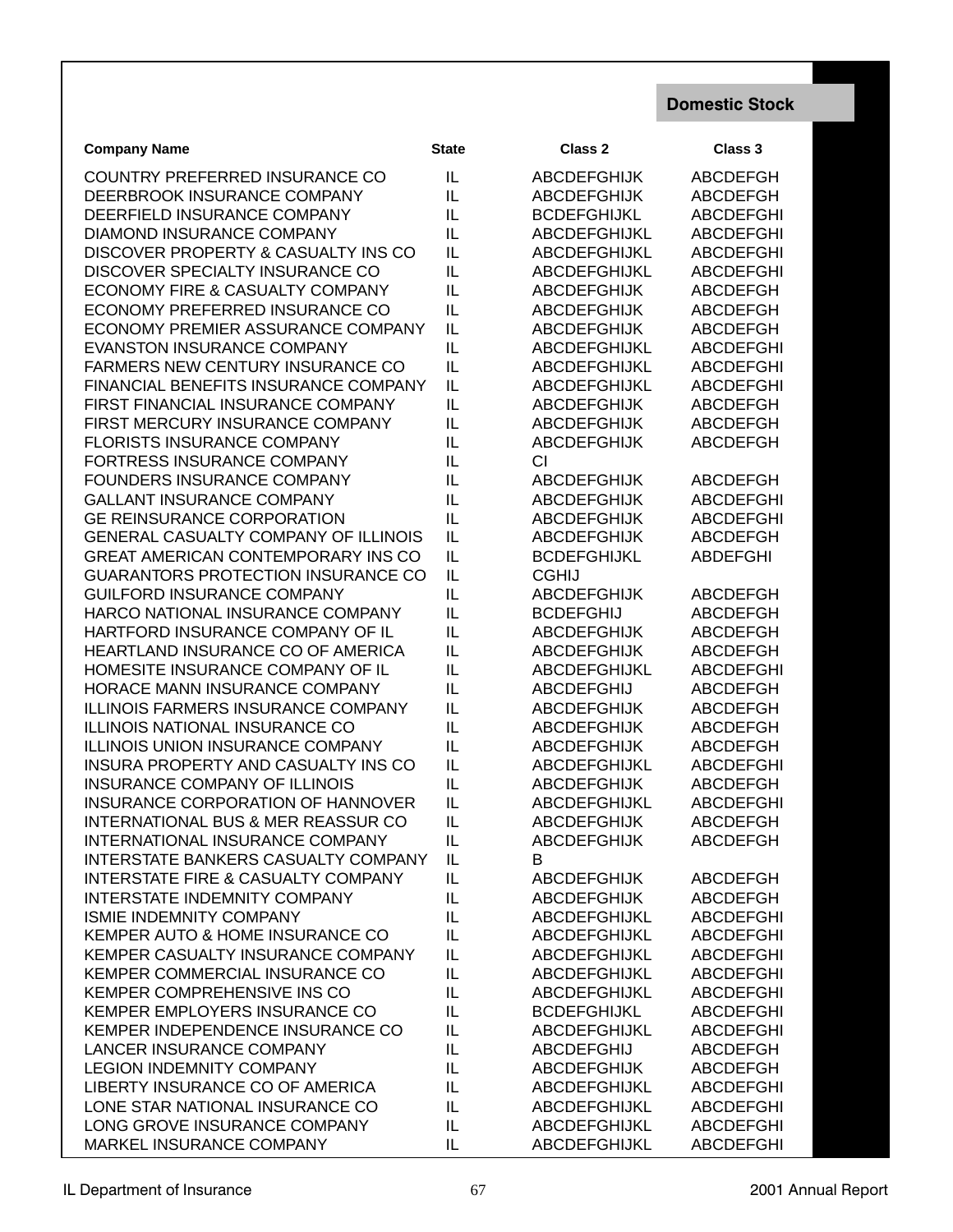#### **Domestic Stock**

| <b>Company Name</b>                                      | <b>State</b> | Class 2                             | Class 3                              |
|----------------------------------------------------------|--------------|-------------------------------------|--------------------------------------|
| COUNTRY PREFERRED INSURANCE CO                           | IL           | <b>ABCDEFGHIJK</b>                  | <b>ABCDEFGH</b>                      |
| DEERBROOK INSURANCE COMPANY                              | IL           | <b>ABCDEFGHIJK</b>                  | <b>ABCDEFGH</b>                      |
| DEERFIELD INSURANCE COMPANY                              | IL           | <b>BCDEFGHIJKL</b>                  | <b>ABCDEFGHI</b>                     |
| <b>DIAMOND INSURANCE COMPANY</b>                         | IL           | <b>ABCDEFGHIJKL</b>                 | <b>ABCDEFGHI</b>                     |
| DISCOVER PROPERTY & CASUALTY INS CO                      | IL           | <b>ABCDEFGHIJKL</b>                 | <b>ABCDEFGHI</b>                     |
| DISCOVER SPECIALTY INSURANCE CO                          | IL           | <b>ABCDEFGHIJKL</b>                 | <b>ABCDEFGHI</b>                     |
| ECONOMY FIRE & CASUALTY COMPANY                          | IL           | <b>ABCDEFGHIJK</b>                  | <b>ABCDEFGH</b>                      |
| ECONOMY PREFERRED INSURANCE CO                           | IL           | <b>ABCDEFGHIJK</b>                  | <b>ABCDEFGH</b>                      |
| ECONOMY PREMIER ASSURANCE COMPANY                        | IL           | <b>ABCDEFGHIJK</b>                  | <b>ABCDEFGH</b>                      |
| <b>EVANSTON INSURANCE COMPANY</b>                        | IL           | ABCDEFGHIJKL                        | <b>ABCDEFGHI</b>                     |
| <b>FARMERS NEW CENTURY INSURANCE CO</b>                  | IL           | <b>ABCDEFGHIJKL</b>                 | <b>ABCDEFGHI</b>                     |
| FINANCIAL BENEFITS INSURANCE COMPANY                     | IL           | <b>ABCDEFGHIJKL</b>                 | <b>ABCDEFGHI</b>                     |
| FIRST FINANCIAL INSURANCE COMPANY                        | IL           | <b>ABCDEFGHIJK</b>                  | <b>ABCDEFGH</b>                      |
| FIRST MERCURY INSURANCE COMPANY                          | IL           | <b>ABCDEFGHIJK</b>                  | <b>ABCDEFGH</b>                      |
| <b>FLORISTS INSURANCE COMPANY</b>                        | IL           | <b>ABCDEFGHIJK</b>                  | <b>ABCDEFGH</b>                      |
| FORTRESS INSURANCE COMPANY                               | IL           | CI                                  |                                      |
| <b>FOUNDERS INSURANCE COMPANY</b>                        | IL           | <b>ABCDEFGHIJK</b>                  | <b>ABCDEFGH</b>                      |
| <b>GALLANT INSURANCE COMPANY</b>                         | IL           | <b>ABCDEFGHIJK</b>                  | <b>ABCDEFGHI</b>                     |
| <b>GE REINSURANCE CORPORATION</b>                        | IL           | <b>ABCDEFGHIJK</b>                  | <b>ABCDEFGHI</b>                     |
| <b>GENERAL CASUALTY COMPANY OF ILLINOIS</b>              | IL           | <b>ABCDEFGHIJK</b>                  | <b>ABCDEFGH</b>                      |
| <b>GREAT AMERICAN CONTEMPORARY INS CO</b>                | IL           | <b>BCDEFGHIJKL</b>                  | <b>ABDEFGHI</b>                      |
| <b>GUARANTORS PROTECTION INSURANCE CO</b>                | IL           | <b>CGHIJ</b>                        |                                      |
| <b>GUILFORD INSURANCE COMPANY</b>                        | IL           | <b>ABCDEFGHIJK</b>                  | <b>ABCDEFGH</b>                      |
| HARCO NATIONAL INSURANCE COMPANY                         | IL           | <b>BCDEFGHIJ</b>                    | <b>ABCDEFGH</b>                      |
| HARTFORD INSURANCE COMPANY OF IL                         | IL           | <b>ABCDEFGHIJK</b>                  | <b>ABCDEFGH</b>                      |
| HEARTLAND INSURANCE CO OF AMERICA                        | IL           | <b>ABCDEFGHIJK</b>                  | <b>ABCDEFGH</b>                      |
| HOMESITE INSURANCE COMPANY OF IL                         | IL           | <b>ABCDEFGHIJKL</b>                 | <b>ABCDEFGHI</b>                     |
| HORACE MANN INSURANCE COMPANY                            | IL           | <b>ABCDEFGHIJ</b>                   | <b>ABCDEFGH</b>                      |
| ILLINOIS FARMERS INSURANCE COMPANY                       | IL           | <b>ABCDEFGHIJK</b>                  | <b>ABCDEFGH</b>                      |
| ILLINOIS NATIONAL INSURANCE CO                           | IL           | <b>ABCDEFGHIJK</b>                  | <b>ABCDEFGH</b>                      |
| ILLINOIS UNION INSURANCE COMPANY                         | IL           | <b>ABCDEFGHIJK</b>                  | <b>ABCDEFGH</b>                      |
| INSURA PROPERTY AND CASUALTY INS CO                      | IL           | <b>ABCDEFGHIJKL</b>                 | <b>ABCDEFGHI</b>                     |
| <b>INSURANCE COMPANY OF ILLINOIS</b>                     | IL           | <b>ABCDEFGHIJK</b>                  | <b>ABCDEFGH</b>                      |
| INSURANCE CORPORATION OF HANNOVER                        | IL           | <b>ABCDEFGHIJKL</b>                 | <b>ABCDEFGHI</b>                     |
| <b>INTERNATIONAL BUS &amp; MER REASSUR CO</b>            | IL           | <b>ABCDEFGHIJK</b>                  | <b>ABCDEFGH</b>                      |
| INTERNATIONAL INSURANCE COMPANY                          | IL           | <b>ABCDEFGHIJK</b>                  | <b>ABCDEFGH</b>                      |
| <b>INTERSTATE BANKERS CASUALTY COMPANY</b>               | IL           | B                                   |                                      |
| INTERSTATE FIRE & CASUALTY COMPANY                       | IL           | <b>ABCDEFGHIJK</b>                  | <b>ABCDEFGH</b>                      |
| <b>INTERSTATE INDEMNITY COMPANY</b>                      | IL           | <b>ABCDEFGHIJK</b>                  | <b>ABCDEFGH</b>                      |
| <b>ISMIE INDEMNITY COMPANY</b>                           | IL           | <b>ABCDEFGHIJKL</b>                 | <b>ABCDEFGHI</b>                     |
| KEMPER AUTO & HOME INSURANCE CO                          | IL           | ABCDEFGHIJKL                        | <b>ABCDEFGHI</b>                     |
| KEMPER CASUALTY INSURANCE COMPANY                        | IL           | ABCDEFGHIJKL                        | <b>ABCDEFGHI</b>                     |
| KEMPER COMMERCIAL INSURANCE CO                           | IL           | <b>ABCDEFGHIJKL</b>                 | <b>ABCDEFGHI</b>                     |
| KEMPER COMPREHENSIVE INS CO                              | IL           | ABCDEFGHIJKL                        | <b>ABCDEFGHI</b>                     |
| KEMPER EMPLOYERS INSURANCE CO                            | IL           | <b>BCDEFGHIJKL</b>                  | <b>ABCDEFGHI</b>                     |
| KEMPER INDEPENDENCE INSURANCE CO                         | IL           | <b>ABCDEFGHIJKL</b>                 | <b>ABCDEFGHI</b>                     |
| <b>LANCER INSURANCE COMPANY</b>                          | IL           | <b>ABCDEFGHIJ</b>                   | <b>ABCDEFGH</b>                      |
| <b>LEGION INDEMNITY COMPANY</b>                          | IL           | <b>ABCDEFGHIJK</b>                  | <b>ABCDEFGH</b>                      |
| LIBERTY INSURANCE CO OF AMERICA                          | IL           | ABCDEFGHIJKL                        | <b>ABCDEFGHI</b>                     |
| LONE STAR NATIONAL INSURANCE CO                          | IL           | ABCDEFGHIJKL                        | <b>ABCDEFGHI</b>                     |
| LONG GROVE INSURANCE COMPANY<br>MARKEL INSURANCE COMPANY | IL<br>IL     | <b>ABCDEFGHIJKL</b><br>ABCDEFGHIJKL | <b>ABCDEFGHI</b><br><b>ABCDEFGHI</b> |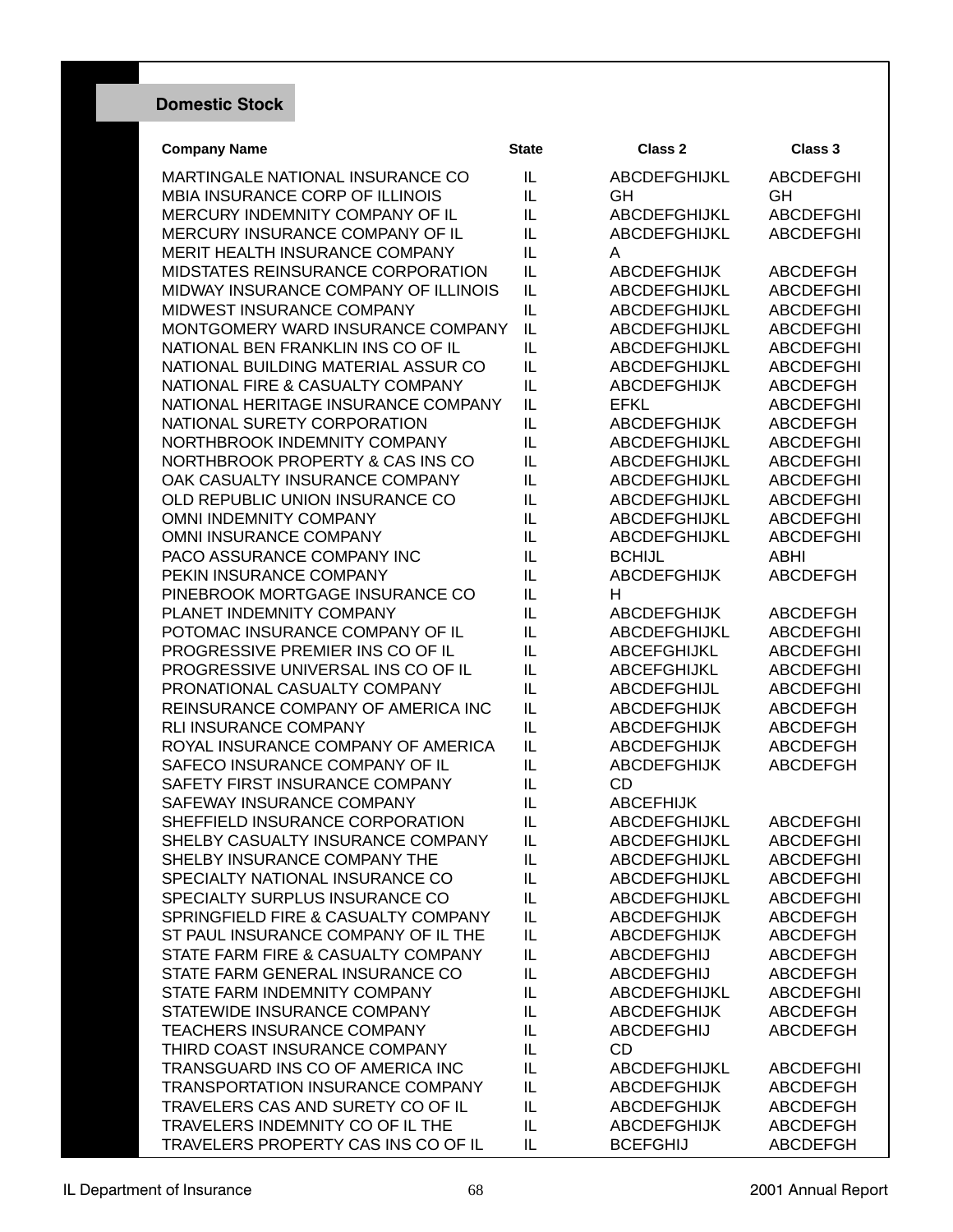#### **Domestic Stock**

| <b>Company Name</b>                    | <b>State</b> | Class 2             | Class 3          |
|----------------------------------------|--------------|---------------------|------------------|
| MARTINGALE NATIONAL INSURANCE CO       | IL           | ABCDEFGHIJKL        | <b>ABCDEFGHI</b> |
| <b>MBIA INSURANCE CORP OF ILLINOIS</b> | IL           | GH                  | GH               |
| MERCURY INDEMNITY COMPANY OF IL        | IL           | <b>ABCDEFGHIJKL</b> | <b>ABCDEFGHI</b> |
| MERCURY INSURANCE COMPANY OF IL        | IL           | <b>ABCDEFGHIJKL</b> | <b>ABCDEFGHI</b> |
| MERIT HEALTH INSURANCE COMPANY         | IL           | Α                   |                  |
| MIDSTATES REINSURANCE CORPORATION      | IL           | <b>ABCDEFGHIJK</b>  | <b>ABCDEFGH</b>  |
| MIDWAY INSURANCE COMPANY OF ILLINOIS   | IL           | ABCDEFGHIJKL        | <b>ABCDEFGHI</b> |
| MIDWEST INSURANCE COMPANY              | IL           | <b>ABCDEFGHIJKL</b> | <b>ABCDEFGHI</b> |
| MONTGOMERY WARD INSURANCE COMPANY      | IL           | <b>ABCDEFGHIJKL</b> | <b>ABCDEFGHI</b> |
| NATIONAL BEN FRANKLIN INS CO OF IL     | IL           | <b>ABCDEFGHIJKL</b> | <b>ABCDEFGHI</b> |
| NATIONAL BUILDING MATERIAL ASSUR CO    | IL           | <b>ABCDEFGHIJKL</b> | <b>ABCDEFGHI</b> |
| NATIONAL FIRE & CASUALTY COMPANY       | IL           | <b>ABCDEFGHIJK</b>  | <b>ABCDEFGH</b>  |
| NATIONAL HERITAGE INSURANCE COMPANY    | IL           | <b>EFKL</b>         | <b>ABCDEFGHI</b> |
| NATIONAL SURETY CORPORATION            | IL           | <b>ABCDEFGHIJK</b>  | <b>ABCDEFGH</b>  |
| NORTHBROOK INDEMNITY COMPANY           | IL           | <b>ABCDEFGHIJKL</b> | <b>ABCDEFGHI</b> |
| NORTHBROOK PROPERTY & CAS INS CO       | IL           | <b>ABCDEFGHIJKL</b> | <b>ABCDEFGHI</b> |
| OAK CASUALTY INSURANCE COMPANY         | IL           | <b>ABCDEFGHIJKL</b> | <b>ABCDEFGHI</b> |
| OLD REPUBLIC UNION INSURANCE CO        | IL           | <b>ABCDEFGHIJKL</b> | <b>ABCDEFGHI</b> |
| OMNI INDEMNITY COMPANY                 | IL           | <b>ABCDEFGHIJKL</b> | <b>ABCDEFGHI</b> |
| OMNI INSURANCE COMPANY                 | IL           | <b>ABCDEFGHIJKL</b> | <b>ABCDEFGHI</b> |
| PACO ASSURANCE COMPANY INC             | IL           | <b>BCHIJL</b>       | <b>ABHI</b>      |
| PEKIN INSURANCE COMPANY                | IL           | <b>ABCDEFGHIJK</b>  | <b>ABCDEFGH</b>  |
| PINEBROOK MORTGAGE INSURANCE CO        | IL           | н                   |                  |
| PLANET INDEMNITY COMPANY               | IL           | <b>ABCDEFGHIJK</b>  | <b>ABCDEFGH</b>  |
| POTOMAC INSURANCE COMPANY OF IL        | IL           | <b>ABCDEFGHIJKL</b> | <b>ABCDEFGHI</b> |
| PROGRESSIVE PREMIER INS CO OF IL       | IL           | <b>ABCEFGHIJKL</b>  | <b>ABCDEFGHI</b> |
| PROGRESSIVE UNIVERSAL INS CO OF IL     | IL           | <b>ABCEFGHIJKL</b>  | <b>ABCDEFGHI</b> |
| PRONATIONAL CASUALTY COMPANY           | IL           | <b>ABCDEFGHIJL</b>  | <b>ABCDEFGHI</b> |
| REINSURANCE COMPANY OF AMERICA INC     | IL           | <b>ABCDEFGHIJK</b>  | <b>ABCDEFGH</b>  |
| <b>RLI INSURANCE COMPANY</b>           | IL           | <b>ABCDEFGHIJK</b>  | <b>ABCDEFGH</b>  |
| ROYAL INSURANCE COMPANY OF AMERICA     | IL           | <b>ABCDEFGHIJK</b>  | <b>ABCDEFGH</b>  |
| SAFECO INSURANCE COMPANY OF IL         | IL           | <b>ABCDEFGHIJK</b>  | <b>ABCDEFGH</b>  |
| SAFETY FIRST INSURANCE COMPANY         | IL           | <b>CD</b>           |                  |
| SAFEWAY INSURANCE COMPANY              | IL           | <b>ABCEFHIJK</b>    |                  |
| SHEFFIELD INSURANCE CORPORATION        | IL           | <b>ABCDEFGHIJKL</b> | <b>ABCDEFGHI</b> |
| SHELBY CASUALTY INSURANCE COMPANY      | IL           | <b>ABCDEFGHIJKL</b> | ABCDEFGHI        |
| SHELBY INSURANCE COMPANY THE           | IL           | <b>ABCDEFGHIJKL</b> | <b>ABCDEFGHI</b> |
| SPECIALTY NATIONAL INSURANCE CO        | IL           | <b>ABCDEFGHIJKL</b> | <b>ABCDEFGHI</b> |
| SPECIALTY SURPLUS INSURANCE CO         | IL           | <b>ABCDEFGHIJKL</b> | <b>ABCDEFGHI</b> |
| SPRINGFIELD FIRE & CASUALTY COMPANY    | IL           | <b>ABCDEFGHIJK</b>  | <b>ABCDEFGH</b>  |
| ST PAUL INSURANCE COMPANY OF IL THE    | IL           | <b>ABCDEFGHIJK</b>  | <b>ABCDEFGH</b>  |
| STATE FARM FIRE & CASUALTY COMPANY     | IL           | <b>ABCDEFGHIJ</b>   | <b>ABCDEFGH</b>  |
| STATE FARM GENERAL INSURANCE CO        | IL           | <b>ABCDEFGHIJ</b>   | <b>ABCDEFGH</b>  |
| STATE FARM INDEMNITY COMPANY           | IL           | ABCDEFGHIJKL        | <b>ABCDEFGHI</b> |
| STATEWIDE INSURANCE COMPANY            | IL           | <b>ABCDEFGHIJK</b>  | <b>ABCDEFGH</b>  |
| <b>TEACHERS INSURANCE COMPANY</b>      | IL           | <b>ABCDEFGHIJ</b>   | <b>ABCDEFGH</b>  |
| THIRD COAST INSURANCE COMPANY          | IL           | CD                  |                  |
| TRANSGUARD INS CO OF AMERICA INC       | IL           | <b>ABCDEFGHIJKL</b> | <b>ABCDEFGHI</b> |
| TRANSPORTATION INSURANCE COMPANY       | IL           | <b>ABCDEFGHIJK</b>  | <b>ABCDEFGH</b>  |
| TRAVELERS CAS AND SURETY CO OF IL      | IL           | <b>ABCDEFGHIJK</b>  | <b>ABCDEFGH</b>  |
| TRAVELERS INDEMNITY CO OF IL THE       | IL           | <b>ABCDEFGHIJK</b>  | <b>ABCDEFGH</b>  |
| TRAVELERS PROPERTY CAS INS CO OF IL    | IL           | <b>BCEFGHIJ</b>     | <b>ABCDEFGH</b>  |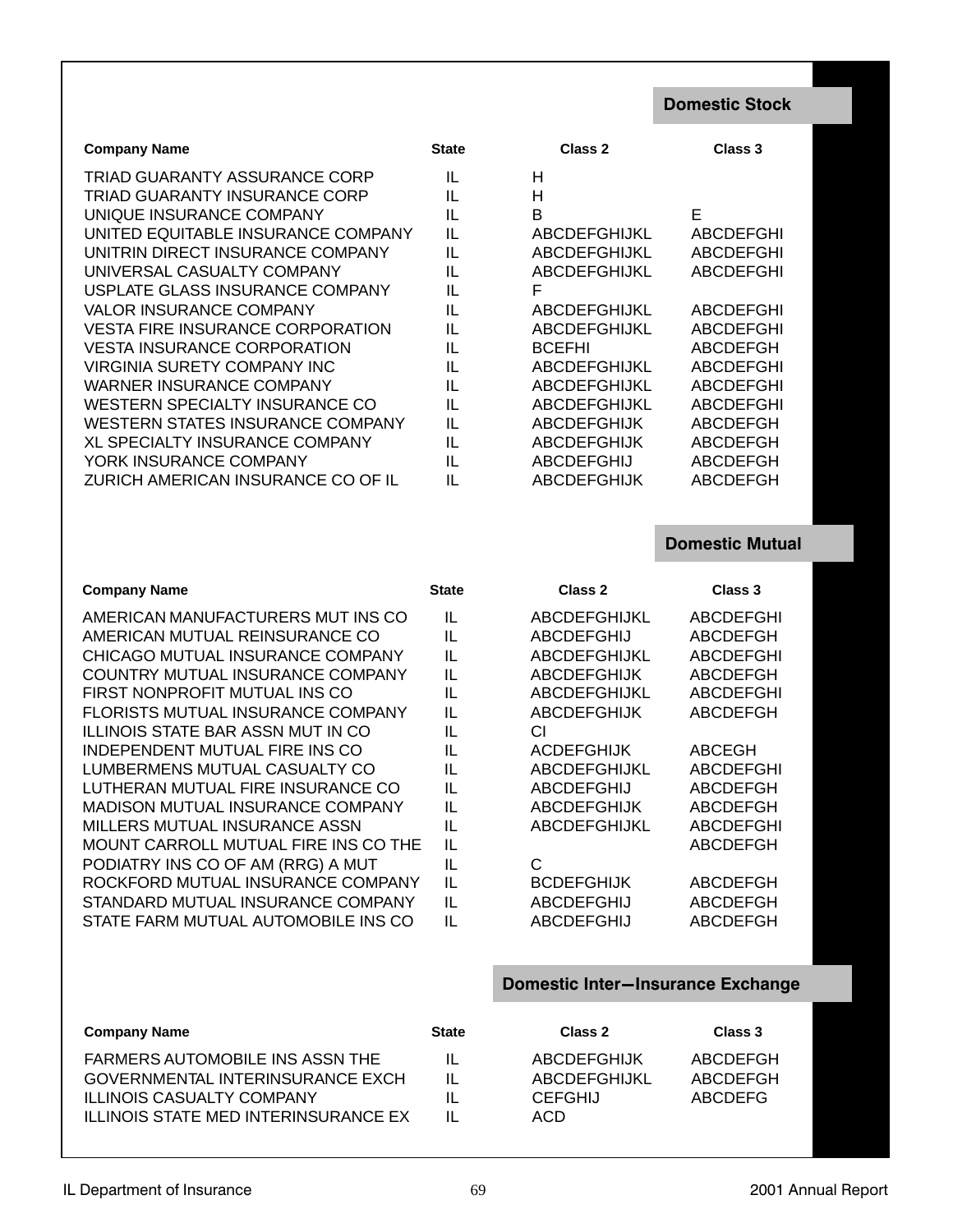#### **Domestic Stock**

| <b>Company Name</b>                   | <b>State</b> | Class 2             | Class 3          |
|---------------------------------------|--------------|---------------------|------------------|
| TRIAD GUARANTY ASSURANCE CORP         | IL           | н                   |                  |
| TRIAD GUARANTY INSURANCE CORP         | IL           | н                   |                  |
| UNIQUE INSURANCE COMPANY              | IL           | B                   | Е                |
| UNITED EQUITABLE INSURANCE COMPANY    | IL           | ABCDEFGHIJKL        | ABCDEFGHI        |
| UNITRIN DIRECT INSURANCE COMPANY      | IL           | <b>ABCDEFGHIJKL</b> | ABCDEFGHI        |
| UNIVERSAL CASUALTY COMPANY            | IL           | <b>ABCDEFGHIJKL</b> | <b>ABCDEFGHI</b> |
| USPLATE GLASS INSURANCE COMPANY       | IL           | F                   |                  |
| <b>VALOR INSURANCE COMPANY</b>        | IL           | <b>ABCDEFGHIJKL</b> | ABCDEFGHI        |
| VESTA FIRE INSURANCE CORPORATION      | IL           | <b>ABCDEFGHIJKL</b> | ABCDEFGHI        |
| <b>VESTA INSURANCE CORPORATION</b>    | IL           | <b>BCEFHI</b>       | ABCDEFGH         |
| VIRGINIA SURETY COMPANY INC           | IL           | ABCDEFGHIJKL        | ABCDEFGHI        |
| WARNER INSURANCE COMPANY              | IL           | <b>ABCDEFGHIJKL</b> | ABCDEFGHI        |
| WESTERN SPECIALTY INSURANCE CO        | IL           | <b>ABCDEFGHIJKL</b> | ABCDEFGHI        |
| WESTERN STATES INSURANCE COMPANY      | IL           | <b>ABCDEFGHIJK</b>  | ABCDEFGH         |
| <b>XL SPECIALTY INSURANCE COMPANY</b> | IL           | <b>ABCDEFGHIJK</b>  | <b>ABCDEFGH</b>  |
| YORK INSURANCE COMPANY                | IL           | <b>ABCDEFGHIJ</b>   | ABCDEFGH         |
| ZURICH AMERICAN INSURANCE CO OF IL    | IL           | <b>ABCDEFGHIJK</b>  | ABCDEFGH         |

| Class <sub>2</sub>  | Class 3          |
|---------------------|------------------|
| н                   |                  |
| н                   |                  |
| в                   | Е                |
| ABCDEFGHIJKL        | ABCDEFGHI        |
| ABCDEFGHIJKL        | ABCDEFGHI        |
| <b>ABCDEFGHIJKL</b> | <b>ABCDEFGHI</b> |
| F                   |                  |
| ABCDEFGHIJKL        | ABCDEFGHI        |
| <b>ABCDEFGHIJKL</b> | ABCDEFGHI        |
| <b>BCEFHI</b>       | ABCDEFGH         |
| <b>ABCDEFGHIJKL</b> | ABCDEFGHI        |
| <b>ABCDEFGHIJKL</b> | <b>ABCDEFGHI</b> |
| <b>ABCDEFGHIJKL</b> | ABCDEFGHI        |
| <b>ABCDEFGHIJK</b>  | <b>ABCDEFGH</b>  |
| <b>ABCDEFGHIJK</b>  | ABCDEFGH         |
| <b>ABCDEFGHIJ</b>   | ABCDEFGH         |
| <b>ABCDEFGHIJK</b>  | ABCDEFGH         |

#### **Domestic Mutual**

| <b>Company Name</b>                                                                                                                                                                                                                                                                                                                                                                                                                                                                                                                                                                                                                                    | <b>State</b>                                                                                       | <b>Class 2</b>                                                                                                                                                                                                                                                                                               | <b>Class 3</b>                                                                                                                                                                                                                                                                               |
|--------------------------------------------------------------------------------------------------------------------------------------------------------------------------------------------------------------------------------------------------------------------------------------------------------------------------------------------------------------------------------------------------------------------------------------------------------------------------------------------------------------------------------------------------------------------------------------------------------------------------------------------------------|----------------------------------------------------------------------------------------------------|--------------------------------------------------------------------------------------------------------------------------------------------------------------------------------------------------------------------------------------------------------------------------------------------------------------|----------------------------------------------------------------------------------------------------------------------------------------------------------------------------------------------------------------------------------------------------------------------------------------------|
| AMERICAN MANUFACTURERS MUT INS CO<br>AMERICAN MUTUAL REINSURANCE CO<br>CHICAGO MUTUAL INSURANCE COMPANY<br>COUNTRY MUTUAL INSURANCE COMPANY<br>FIRST NONPROFIT MUTUAL INS CO<br><b>FLORISTS MUTUAL INSURANCE COMPANY</b><br><b>ILLINOIS STATE BAR ASSN MUT IN CO</b><br>INDEPENDENT MUTUAL FIRE INS CO<br>LUMBERMENS MUTUAL CASUALTY CO<br>LUTHERAN MUTUAL FIRE INSURANCE CO<br><b>MADISON MUTUAL INSURANCE COMPANY</b><br>MILLERS MUTUAL INSURANCE ASSN<br>MOUNT CARROLL MUTUAL FIRE INS CO THE<br>PODIATRY INS CO OF AM (RRG) A MUT<br>ROCKFORD MUTUAL INSURANCE COMPANY<br>STANDARD MUTUAL INSURANCE COMPANY<br>STATE FARM MUTUAL AUTOMOBILE INS CO | IL<br>IL<br>IL<br>IL<br>IL<br>IL<br>IL<br>IL<br>IL<br>IL<br>IL<br>IL<br>IL<br>IL<br>IL<br>IL<br>IL | <b>ABCDEFGHIJKL</b><br><b>ABCDEFGHIJ</b><br>ABCDEFGHIJKL<br><b>ABCDEFGHIJK</b><br>ABCDEFGHIJKL<br><b>ABCDEFGHIJK</b><br>СI<br><b>ACDEFGHIJK</b><br><b>ABCDEFGHIJKL</b><br><b>ABCDEFGHIJ</b><br><b>ABCDEFGHIJK</b><br><b>ABCDEFGHIJKL</b><br>C<br><b>BCDEFGHIJK</b><br><b>ABCDEFGHIJ</b><br><b>ABCDEFGHIJ</b> | <b>ABCDEFGHI</b><br><b>ABCDEFGH</b><br><b>ABCDEFGHI</b><br><b>ABCDEFGH</b><br><b>ABCDEFGHI</b><br><b>ABCDEFGH</b><br><b>ABCEGH</b><br><b>ABCDEFGHI</b><br><b>ABCDEFGH</b><br><b>ABCDEFGH</b><br><b>ABCDEFGHI</b><br><b>ABCDEFGH</b><br><b>ABCDEFGH</b><br><b>ABCDEFGH</b><br><b>ABCDEFGH</b> |
|                                                                                                                                                                                                                                                                                                                                                                                                                                                                                                                                                                                                                                                        |                                                                                                    | <b>Domestic Inter-Insurance Exchange</b>                                                                                                                                                                                                                                                                     |                                                                                                                                                                                                                                                                                              |
| <b>Company Name</b>                                                                                                                                                                                                                                                                                                                                                                                                                                                                                                                                                                                                                                    | <b>State</b>                                                                                       | <b>Class 2</b>                                                                                                                                                                                                                                                                                               | Class 3                                                                                                                                                                                                                                                                                      |
|                                                                                                                                                                                                                                                                                                                                                                                                                                                                                                                                                                                                                                                        |                                                                                                    |                                                                                                                                                                                                                                                                                                              |                                                                                                                                                                                                                                                                                              |
| <b>FARMERS AUTOMOBILE INS ASSN THE</b><br>GOVERNMENTAL INTERINSURANCE EXCH<br><b>ILLINOIS CASUALTY COMPANY</b><br><b>ILLINOIS STATE MED INTERINSURANCE EX</b>                                                                                                                                                                                                                                                                                                                                                                                                                                                                                          | IL<br>IL<br>IL<br>IL                                                                               | <b>ABCDEFGHIJK</b><br><b>ABCDEFGHIJKL</b><br><b>CEFGHIJ</b><br><b>ACD</b>                                                                                                                                                                                                                                    | <b>ABCDEFGH</b><br><b>ABCDEFGH</b><br><b>ABCDEFG</b>                                                                                                                                                                                                                                         |

ILLINOIS STATE MED INTERINSURANCE EX IL ACD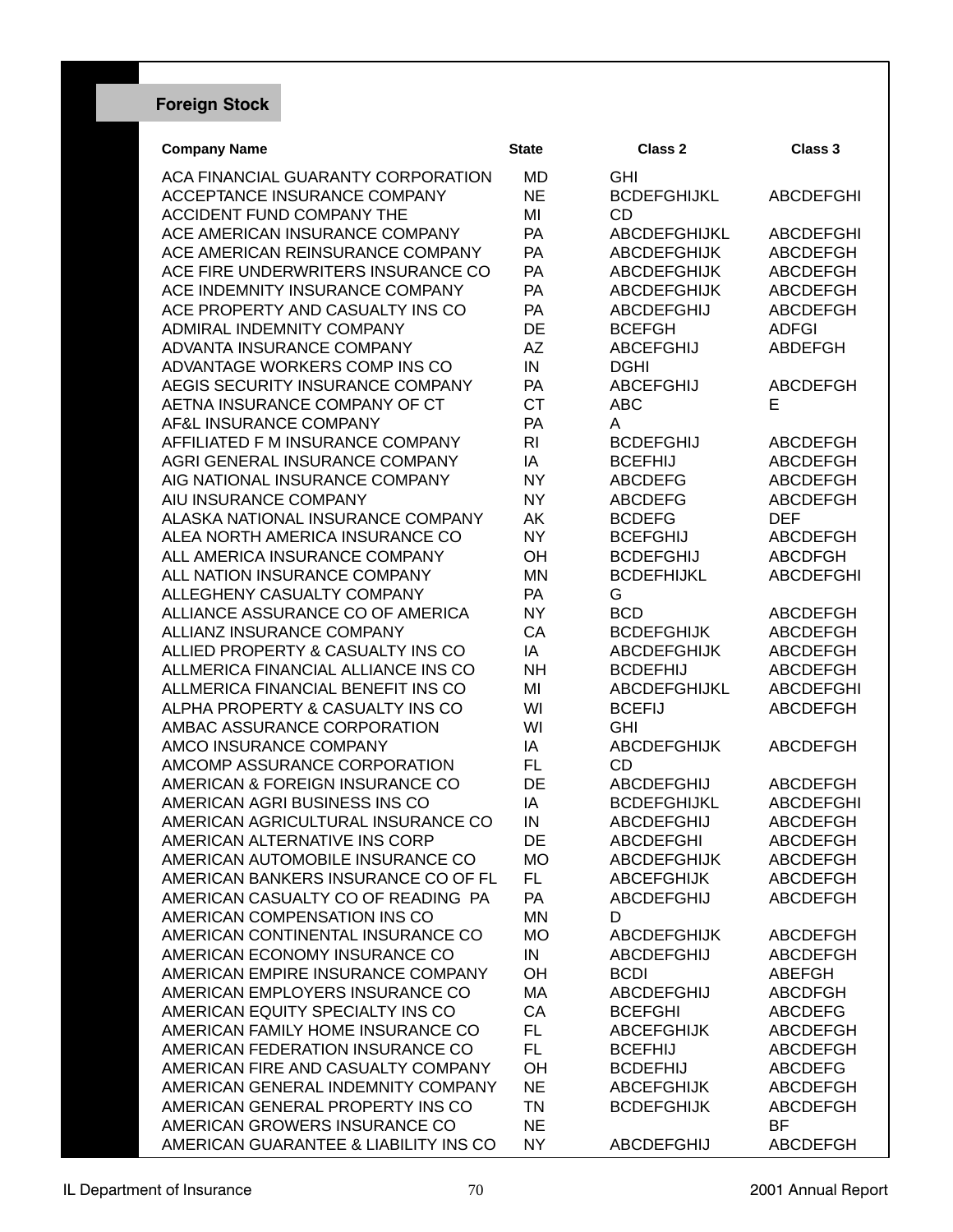#### **Foreign Stock**

| <b>Company Name</b>                   | <b>State</b>   | Class 2             | Class 3          |
|---------------------------------------|----------------|---------------------|------------------|
| ACA FINANCIAL GUARANTY CORPORATION    | <b>MD</b>      | <b>GHI</b>          |                  |
| ACCEPTANCE INSURANCE COMPANY          | <b>NE</b>      | <b>BCDEFGHIJKL</b>  | <b>ABCDEFGHI</b> |
| <b>ACCIDENT FUND COMPANY THE</b>      | MI             | <b>CD</b>           |                  |
| ACE AMERICAN INSURANCE COMPANY        | PA             | <b>ABCDEFGHIJKL</b> | <b>ABCDEFGHI</b> |
| ACE AMERICAN REINSURANCE COMPANY      | PA             | <b>ABCDEFGHIJK</b>  | <b>ABCDEFGH</b>  |
| ACE FIRE UNDERWRITERS INSURANCE CO    | PA             | <b>ABCDEFGHIJK</b>  | <b>ABCDEFGH</b>  |
| ACE INDEMNITY INSURANCE COMPANY       | PA             | <b>ABCDEFGHIJK</b>  | <b>ABCDEFGH</b>  |
| ACE PROPERTY AND CASUALTY INS CO      | PA             | <b>ABCDEFGHIJ</b>   | <b>ABCDEFGH</b>  |
| <b>ADMIRAL INDEMNITY COMPANY</b>      | DE             | <b>BCEFGH</b>       | <b>ADFGI</b>     |
| ADVANTA INSURANCE COMPANY             | <b>AZ</b>      | <b>ABCEFGHIJ</b>    | <b>ABDEFGH</b>   |
| ADVANTAGE WORKERS COMP INS CO         | IN             | <b>DGHI</b>         |                  |
| AEGIS SECURITY INSURANCE COMPANY      | PA             | <b>ABCEFGHIJ</b>    | <b>ABCDEFGH</b>  |
| AETNA INSURANCE COMPANY OF CT         | <b>CT</b>      | <b>ABC</b>          | Е                |
| AF&L INSURANCE COMPANY                | PA             | A                   |                  |
| AFFILIATED F M INSURANCE COMPANY      | R <sub>l</sub> | <b>BCDEFGHIJ</b>    | <b>ABCDEFGH</b>  |
| AGRI GENERAL INSURANCE COMPANY        | IA             | <b>BCEFHIJ</b>      | <b>ABCDEFGH</b>  |
| AIG NATIONAL INSURANCE COMPANY        | <b>NY</b>      | <b>ABCDEFG</b>      | <b>ABCDEFGH</b>  |
| AIU INSURANCE COMPANY                 | <b>NY</b>      | <b>ABCDEFG</b>      | <b>ABCDEFGH</b>  |
| ALASKA NATIONAL INSURANCE COMPANY     | AK             | <b>BCDEFG</b>       | <b>DEF</b>       |
| ALEA NORTH AMERICA INSURANCE CO       | <b>NY</b>      | <b>BCEFGHIJ</b>     | <b>ABCDEFGH</b>  |
| ALL AMERICA INSURANCE COMPANY         | OH             | <b>BCDEFGHIJ</b>    | <b>ABCDFGH</b>   |
| ALL NATION INSURANCE COMPANY          | <b>MN</b>      | <b>BCDEFHIJKL</b>   | <b>ABCDEFGHI</b> |
| ALLEGHENY CASUALTY COMPANY            | PA             | G                   |                  |
| ALLIANCE ASSURANCE CO OF AMERICA      | <b>NY</b>      | <b>BCD</b>          | <b>ABCDEFGH</b>  |
| ALLIANZ INSURANCE COMPANY             | CA             | <b>BCDEFGHIJK</b>   | <b>ABCDEFGH</b>  |
| ALLIED PROPERTY & CASUALTY INS CO     | ΙA             | <b>ABCDEFGHIJK</b>  | <b>ABCDEFGH</b>  |
| ALLMERICA FINANCIAL ALLIANCE INS CO   | <b>NH</b>      | <b>BCDEFHIJ</b>     | <b>ABCDEFGH</b>  |
| ALLMERICA FINANCIAL BENEFIT INS CO    | MI             | <b>ABCDEFGHIJKL</b> | <b>ABCDEFGHI</b> |
| ALPHA PROPERTY & CASUALTY INS CO      | WI             | <b>BCEFIJ</b>       | <b>ABCDEFGH</b>  |
| AMBAC ASSURANCE CORPORATION           | WI             | <b>GHI</b>          |                  |
| AMCO INSURANCE COMPANY                | IA             | <b>ABCDEFGHIJK</b>  | <b>ABCDEFGH</b>  |
| AMCOMP ASSURANCE CORPORATION          | FL             | <b>CD</b>           |                  |
| AMERICAN & FOREIGN INSURANCE CO       | DE             | <b>ABCDEFGHIJ</b>   | <b>ABCDEFGH</b>  |
| AMERICAN AGRI BUSINESS INS CO         | IA             | <b>BCDEFGHIJKL</b>  | <b>ABCDEFGHI</b> |
| AMERICAN AGRICULTURAL INSURANCE CO    | IN             | <b>ABCDEFGHIJ</b>   | <b>ABCDEFGH</b>  |
| AMERICAN ALTERNATIVE INS CORP         | DE             | <b>ABCDEFGHI</b>    | <b>ABCDEFGH</b>  |
| AMERICAN AUTOMOBILE INSURANCE CO      | МO             | <b>ABCDEFGHIJK</b>  | <b>ABCDEFGH</b>  |
| AMERICAN BANKERS INSURANCE CO OF FL   | FL.            | <b>ABCEFGHIJK</b>   | <b>ABCDEFGH</b>  |
| AMERICAN CASUALTY CO OF READING PA    | PA             | <b>ABCDEFGHIJ</b>   | <b>ABCDEFGH</b>  |
| AMERICAN COMPENSATION INS CO          | MN             | D                   |                  |
| AMERICAN CONTINENTAL INSURANCE CO     | МO             | <b>ABCDEFGHIJK</b>  | <b>ABCDEFGH</b>  |
| AMERICAN ECONOMY INSURANCE CO         | IN             | <b>ABCDEFGHIJ</b>   | <b>ABCDEFGH</b>  |
| AMERICAN EMPIRE INSURANCE COMPANY     | OH             | <b>BCDI</b>         | <b>ABEFGH</b>    |
| AMERICAN EMPLOYERS INSURANCE CO       | МA             | <b>ABCDEFGHIJ</b>   | <b>ABCDFGH</b>   |
| AMERICAN EQUITY SPECIALTY INS CO      | CA             | <b>BCEFGHI</b>      | <b>ABCDEFG</b>   |
| AMERICAN FAMILY HOME INSURANCE CO     | FL.            | <b>ABCEFGHIJK</b>   | <b>ABCDEFGH</b>  |
| AMERICAN FEDERATION INSURANCE CO      | FL.            | <b>BCEFHIJ</b>      | <b>ABCDEFGH</b>  |
| AMERICAN FIRE AND CASUALTY COMPANY    | OH             | <b>BCDEFHIJ</b>     | <b>ABCDEFG</b>   |
| AMERICAN GENERAL INDEMNITY COMPANY    | <b>NE</b>      | <b>ABCEFGHIJK</b>   | <b>ABCDEFGH</b>  |
| AMERICAN GENERAL PROPERTY INS CO      | <b>TN</b>      | <b>BCDEFGHIJK</b>   | <b>ABCDEFGH</b>  |
| AMERICAN GROWERS INSURANCE CO         | <b>NE</b>      |                     | BF               |
| AMERICAN GUARANTEE & LIABILITY INS CO | <b>NY</b>      | ABCDEFGHIJ          | <b>ABCDEFGH</b>  |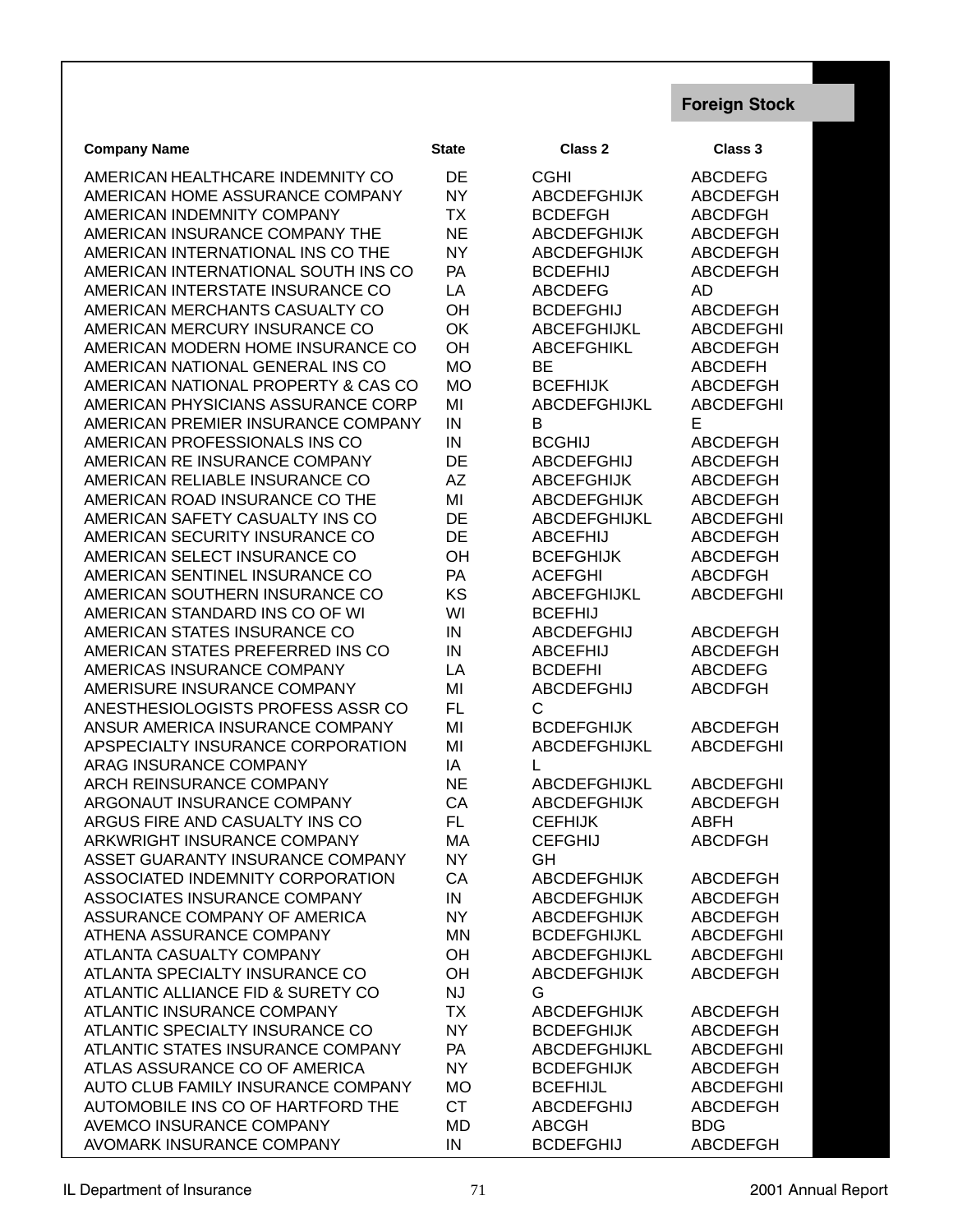#### **Foreign Stock**

| <b>Company Name</b>                                             | <b>State</b>    | <b>Class 2</b>       | Class 3          |
|-----------------------------------------------------------------|-----------------|----------------------|------------------|
| AMERICAN HEALTHCARE INDEMNITY CO                                | DE              | <b>CGHI</b>          | <b>ABCDEFG</b>   |
| AMERICAN HOME ASSURANCE COMPANY                                 | <b>NY</b>       | <b>ABCDEFGHIJK</b>   | <b>ABCDEFGH</b>  |
| AMERICAN INDEMNITY COMPANY                                      | <b>TX</b>       | <b>BCDEFGH</b>       | <b>ABCDFGH</b>   |
| AMERICAN INSURANCE COMPANY THE                                  | <b>NE</b>       | <b>ABCDEFGHIJK</b>   | <b>ABCDEFGH</b>  |
| AMERICAN INTERNATIONAL INS CO THE                               | <b>NY</b>       | <b>ABCDEFGHIJK</b>   | <b>ABCDEFGH</b>  |
| AMERICAN INTERNATIONAL SOUTH INS CO                             | PA              | <b>BCDEFHIJ</b>      | <b>ABCDEFGH</b>  |
| AMERICAN INTERSTATE INSURANCE CO                                | LA              | <b>ABCDEFG</b>       | <b>AD</b>        |
| AMERICAN MERCHANTS CASUALTY CO                                  | OH              | <b>BCDEFGHIJ</b>     | <b>ABCDEFGH</b>  |
| AMERICAN MERCURY INSURANCE CO                                   | OK              | <b>ABCEFGHIJKL</b>   | <b>ABCDEFGHI</b> |
| AMERICAN MODERN HOME INSURANCE CO                               | OH              | <b>ABCEFGHIKL</b>    | <b>ABCDEFGH</b>  |
| AMERICAN NATIONAL GENERAL INS CO                                | <b>MO</b>       | <b>BE</b>            | <b>ABCDEFH</b>   |
| AMERICAN NATIONAL PROPERTY & CAS CO                             | <b>MO</b>       | <b>BCEFHIJK</b>      | <b>ABCDEFGH</b>  |
| AMERICAN PHYSICIANS ASSURANCE CORP                              | MI              | ABCDEFGHIJKL         | <b>ABCDEFGHI</b> |
| AMERICAN PREMIER INSURANCE COMPANY                              | IN              | B                    | E                |
| AMERICAN PROFESSIONALS INS CO                                   | IN              | <b>BCGHIJ</b>        | <b>ABCDEFGH</b>  |
| AMERICAN RE INSURANCE COMPANY                                   | DE              | <b>ABCDEFGHIJ</b>    | <b>ABCDEFGH</b>  |
| AMERICAN RELIABLE INSURANCE CO                                  | <b>AZ</b>       | <b>ABCEFGHIJK</b>    | <b>ABCDEFGH</b>  |
| AMERICAN ROAD INSURANCE CO THE                                  | MI              | <b>ABCDEFGHIJK</b>   | <b>ABCDEFGH</b>  |
| AMERICAN SAFETY CASUALTY INS CO                                 | DE              | <b>ABCDEFGHIJKL</b>  | <b>ABCDEFGHI</b> |
| AMERICAN SECURITY INSURANCE CO                                  | <b>DE</b>       | <b>ABCEFHIJ</b>      | <b>ABCDEFGH</b>  |
| AMERICAN SELECT INSURANCE CO                                    | OH              | <b>BCEFGHIJK</b>     | <b>ABCDEFGH</b>  |
| AMERICAN SENTINEL INSURANCE CO                                  | PA              | <b>ACEFGHI</b>       | <b>ABCDFGH</b>   |
| AMERICAN SOUTHERN INSURANCE CO                                  | KS              | <b>ABCEFGHIJKL</b>   | <b>ABCDEFGHI</b> |
| AMERICAN STANDARD INS CO OF WI                                  | WI              | <b>BCEFHIJ</b>       |                  |
| AMERICAN STATES INSURANCE CO                                    | IN              | <b>ABCDEFGHIJ</b>    | <b>ABCDEFGH</b>  |
| AMERICAN STATES PREFERRED INS CO                                | IN              | <b>ABCEFHIJ</b>      | <b>ABCDEFGH</b>  |
| AMERICAS INSURANCE COMPANY                                      | LA              | <b>BCDEFHI</b>       | <b>ABCDEFG</b>   |
| AMERISURE INSURANCE COMPANY                                     | MI              | <b>ABCDEFGHIJ</b>    | <b>ABCDFGH</b>   |
| ANESTHESIOLOGISTS PROFESS ASSR CO                               | <b>FL</b>       | $\mathsf{C}$         |                  |
| ANSUR AMERICA INSURANCE COMPANY                                 | MI              | <b>BCDEFGHIJK</b>    | <b>ABCDEFGH</b>  |
| APSPECIALTY INSURANCE CORPORATION                               | MI              | <b>ABCDEFGHIJKL</b>  | <b>ABCDEFGHI</b> |
| ARAG INSURANCE COMPANY                                          | IA              | L                    |                  |
| <b>ARCH REINSURANCE COMPANY</b>                                 | <b>NE</b>       | ABCDEFGHIJKL         | <b>ABCDEFGHI</b> |
| ARGONAUT INSURANCE COMPANY                                      | CA              | <b>ABCDEFGHIJK</b>   | <b>ABCDEFGH</b>  |
| ARGUS FIRE AND CASUALTY INS CO                                  | <b>FL</b><br>МA | <b>CEFHIJK</b>       | <b>ABFH</b>      |
| ARKWRIGHT INSURANCE COMPANY<br>ASSET GUARANTY INSURANCE COMPANY | <b>NY</b>       | <b>CEFGHIJ</b><br>GH | <b>ABCDFGH</b>   |
| ASSOCIATED INDEMNITY CORPORATION                                | CA              | <b>ABCDEFGHIJK</b>   | <b>ABCDEFGH</b>  |
| ASSOCIATES INSURANCE COMPANY                                    | IN.             | <b>ABCDEFGHIJK</b>   | <b>ABCDEFGH</b>  |
| ASSURANCE COMPANY OF AMERICA                                    | <b>NY</b>       | <b>ABCDEFGHIJK</b>   | <b>ABCDEFGH</b>  |
| ATHENA ASSURANCE COMPANY                                        | MN              | <b>BCDEFGHIJKL</b>   | <b>ABCDEFGHI</b> |
| <b>ATLANTA CASUALTY COMPANY</b>                                 | OH              | ABCDEFGHIJKL         | <b>ABCDEFGHI</b> |
| ATLANTA SPECIALTY INSURANCE CO                                  | OH              | <b>ABCDEFGHIJK</b>   | <b>ABCDEFGH</b>  |
| ATLANTIC ALLIANCE FID & SURETY CO                               | <b>NJ</b>       | G                    |                  |
| <b>ATLANTIC INSURANCE COMPANY</b>                               | <b>TX</b>       | <b>ABCDEFGHIJK</b>   | ABCDEFGH         |
| ATLANTIC SPECIALTY INSURANCE CO                                 | <b>NY</b>       | <b>BCDEFGHIJK</b>    | <b>ABCDEFGH</b>  |
| ATLANTIC STATES INSURANCE COMPANY                               | PA              | ABCDEFGHIJKL         | <b>ABCDEFGHI</b> |
| ATLAS ASSURANCE CO OF AMERICA                                   | <b>NY</b>       | <b>BCDEFGHIJK</b>    | <b>ABCDEFGH</b>  |
| AUTO CLUB FAMILY INSURANCE COMPANY                              | <b>MO</b>       | <b>BCEFHIJL</b>      | <b>ABCDEFGHI</b> |
| AUTOMOBILE INS CO OF HARTFORD THE                               | <b>CT</b>       | <b>ABCDEFGHIJ</b>    | <b>ABCDEFGH</b>  |
| AVEMCO INSURANCE COMPANY                                        | MD              | <b>ABCGH</b>         | <b>BDG</b>       |
| AVOMARK INSURANCE COMPANY                                       | IN              | <b>BCDEFGHIJ</b>     | <b>ABCDEFGH</b>  |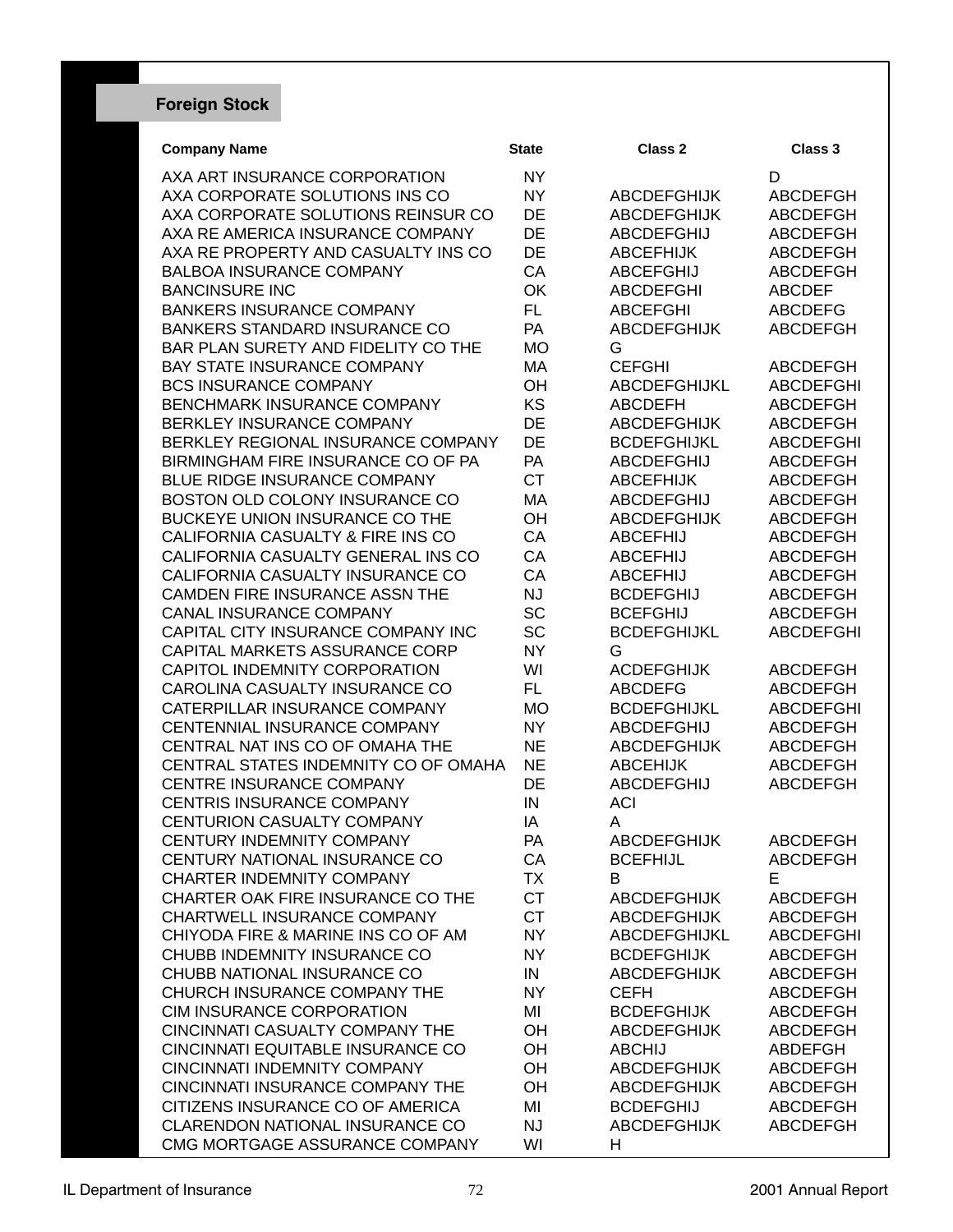| <b>Company Name</b>                   | <b>State</b> | Class 2             | Class 3          |
|---------------------------------------|--------------|---------------------|------------------|
| AXA ART INSURANCE CORPORATION         | <b>NY</b>    |                     | D                |
| AXA CORPORATE SOLUTIONS INS CO        | NY.          | <b>ABCDEFGHIJK</b>  | <b>ABCDEFGH</b>  |
| AXA CORPORATE SOLUTIONS REINSUR CO    | DE           | <b>ABCDEFGHIJK</b>  | <b>ABCDEFGH</b>  |
| AXA RE AMERICA INSURANCE COMPANY      | DE           | <b>ABCDEFGHIJ</b>   | <b>ABCDEFGH</b>  |
| AXA RE PROPERTY AND CASUALTY INS CO   | DE           | <b>ABCEFHIJK</b>    | <b>ABCDEFGH</b>  |
| <b>BALBOA INSURANCE COMPANY</b>       | CA           | <b>ABCEFGHIJ</b>    | <b>ABCDEFGH</b>  |
| <b>BANCINSURE INC</b>                 | OK           | <b>ABCDEFGHI</b>    | <b>ABCDEF</b>    |
| <b>BANKERS INSURANCE COMPANY</b>      | <b>FL</b>    | <b>ABCEFGHI</b>     | <b>ABCDEFG</b>   |
| <b>BANKERS STANDARD INSURANCE CO</b>  | PA           | <b>ABCDEFGHIJK</b>  | <b>ABCDEFGH</b>  |
| BAR PLAN SURETY AND FIDELITY CO THE   | <b>MO</b>    | G                   |                  |
| <b>BAY STATE INSURANCE COMPANY</b>    | MA           | <b>CEFGHI</b>       | <b>ABCDEFGH</b>  |
| <b>BCS INSURANCE COMPANY</b>          | OH           | <b>ABCDEFGHIJKL</b> | <b>ABCDEFGHI</b> |
| <b>BENCHMARK INSURANCE COMPANY</b>    | <b>KS</b>    | <b>ABCDEFH</b>      | <b>ABCDEFGH</b>  |
| BERKLEY INSURANCE COMPANY             | <b>DE</b>    | <b>ABCDEFGHIJK</b>  | <b>ABCDEFGH</b>  |
| BERKLEY REGIONAL INSURANCE COMPANY    | <b>DE</b>    | <b>BCDEFGHIJKL</b>  | <b>ABCDEFGHI</b> |
| BIRMINGHAM FIRE INSURANCE CO OF PA    | PA           | <b>ABCDEFGHIJ</b>   | <b>ABCDEFGH</b>  |
| BLUE RIDGE INSURANCE COMPANY          | <b>CT</b>    | <b>ABCEFHIJK</b>    | <b>ABCDEFGH</b>  |
| BOSTON OLD COLONY INSURANCE CO        | MA           | <b>ABCDEFGHIJ</b>   | <b>ABCDEFGH</b>  |
| <b>BUCKEYE UNION INSURANCE CO THE</b> | OH           | <b>ABCDEFGHIJK</b>  | <b>ABCDEFGH</b>  |
| CALIFORNIA CASUALTY & FIRE INS CO     | CA           | <b>ABCEFHIJ</b>     | <b>ABCDEFGH</b>  |
| CALIFORNIA CASUALTY GENERAL INS CO    | CA           | <b>ABCEFHIJ</b>     | <b>ABCDEFGH</b>  |
| CALIFORNIA CASUALTY INSURANCE CO      | CA           | <b>ABCEFHIJ</b>     | <b>ABCDEFGH</b>  |
| <b>CAMDEN FIRE INSURANCE ASSN THE</b> | <b>NJ</b>    | <b>BCDEFGHIJ</b>    | <b>ABCDEFGH</b>  |
| CANAL INSURANCE COMPANY               | <b>SC</b>    | <b>BCEFGHIJ</b>     | <b>ABCDEFGH</b>  |
| CAPITAL CITY INSURANCE COMPANY INC    | <b>SC</b>    | <b>BCDEFGHIJKL</b>  | <b>ABCDEFGHI</b> |
| CAPITAL MARKETS ASSURANCE CORP        | <b>NY</b>    | G                   |                  |
| CAPITOL INDEMNITY CORPORATION         | WI           | <b>ACDEFGHIJK</b>   | <b>ABCDEFGH</b>  |
| CAROLINA CASUALTY INSURANCE CO        | <b>FL</b>    | <b>ABCDEFG</b>      | <b>ABCDEFGH</b>  |
| CATERPILLAR INSURANCE COMPANY         | <b>MO</b>    | <b>BCDEFGHIJKL</b>  | <b>ABCDEFGHI</b> |
| CENTENNIAL INSURANCE COMPANY          | <b>NY</b>    | <b>ABCDEFGHIJ</b>   | <b>ABCDEFGH</b>  |
| CENTRAL NAT INS CO OF OMAHA THE       | <b>NE</b>    | <b>ABCDEFGHIJK</b>  | <b>ABCDEFGH</b>  |
| CENTRAL STATES INDEMNITY CO OF OMAHA  | <b>NE</b>    | <b>ABCEHIJK</b>     | <b>ABCDEFGH</b>  |
| CENTRE INSURANCE COMPANY              | DE           | <b>ABCDEFGHIJ</b>   | <b>ABCDEFGH</b>  |
| <b>CENTRIS INSURANCE COMPANY</b>      | IN           | <b>ACI</b>          |                  |
| CENTURION CASUALTY COMPANY            | IA           | Α                   |                  |
| CENTURY INDEMNITY COMPANY             | PA           | <b>ABCDEFGHIJK</b>  | ABCDEFGH         |
| CENTURY NATIONAL INSURANCE CO         | CA           | <b>BCEFHIJL</b>     | <b>ABCDEFGH</b>  |
| <b>CHARTER INDEMNITY COMPANY</b>      | TX           | B                   | Е                |
| CHARTER OAK FIRE INSURANCE CO THE     | <b>CT</b>    | <b>ABCDEFGHIJK</b>  | <b>ABCDEFGH</b>  |
| CHARTWELL INSURANCE COMPANY           | СT           | <b>ABCDEFGHIJK</b>  | <b>ABCDEFGH</b>  |
| CHIYODA FIRE & MARINE INS CO OF AM    | NY.          | <b>ABCDEFGHIJKL</b> | <b>ABCDEFGHI</b> |
| CHUBB INDEMNITY INSURANCE CO          | <b>NY</b>    | <b>BCDEFGHIJK</b>   | <b>ABCDEFGH</b>  |
| CHUBB NATIONAL INSURANCE CO           | IN           | <b>ABCDEFGHIJK</b>  | <b>ABCDEFGH</b>  |
| CHURCH INSURANCE COMPANY THE          | <b>NY</b>    | <b>CEFH</b>         | <b>ABCDEFGH</b>  |
| <b>CIM INSURANCE CORPORATION</b>      | MI           | <b>BCDEFGHIJK</b>   | <b>ABCDEFGH</b>  |
| CINCINNATI CASUALTY COMPANY THE       | OH           | <b>ABCDEFGHIJK</b>  | <b>ABCDEFGH</b>  |
| CINCINNATI EQUITABLE INSURANCE CO     | OH           | <b>ABCHIJ</b>       | <b>ABDEFGH</b>   |
| CINCINNATI INDEMNITY COMPANY          | OH           | <b>ABCDEFGHIJK</b>  | <b>ABCDEFGH</b>  |
| CINCINNATI INSURANCE COMPANY THE      | OH           | <b>ABCDEFGHIJK</b>  | <b>ABCDEFGH</b>  |
| CITIZENS INSURANCE CO OF AMERICA      | MI           | <b>BCDEFGHIJ</b>    | <b>ABCDEFGH</b>  |
| CLARENDON NATIONAL INSURANCE CO       | <b>NJ</b>    | <b>ABCDEFGHIJK</b>  | <b>ABCDEFGH</b>  |
| CMG MORTGAGE ASSURANCE COMPANY        | WI           | н                   |                  |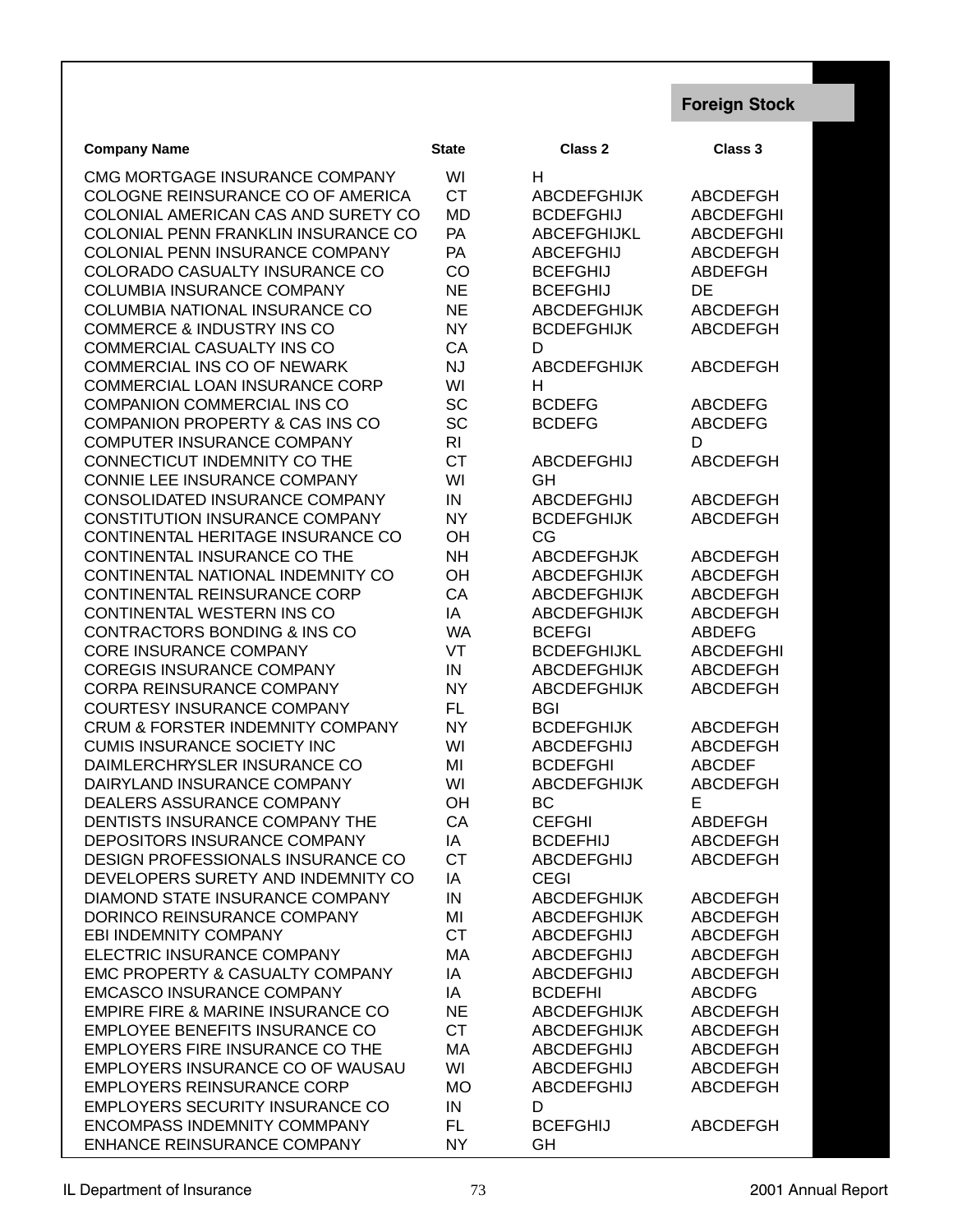| <b>Company Name</b>                                                   | <b>State</b>    | Class 2                                | Class 3                            |
|-----------------------------------------------------------------------|-----------------|----------------------------------------|------------------------------------|
| CMG MORTGAGE INSURANCE COMPANY                                        | WI              | H                                      |                                    |
| COLOGNE REINSURANCE CO OF AMERICA                                     | <b>CT</b>       | <b>ABCDEFGHIJK</b>                     | <b>ABCDEFGH</b>                    |
| COLONIAL AMERICAN CAS AND SURETY CO                                   | <b>MD</b>       | <b>BCDEFGHIJ</b>                       | <b>ABCDEFGHI</b>                   |
| COLONIAL PENN FRANKLIN INSURANCE CO                                   | PA              | <b>ABCEFGHIJKL</b>                     | <b>ABCDEFGHI</b>                   |
| <b>COLONIAL PENN INSURANCE COMPANY</b>                                | PA              | <b>ABCEFGHIJ</b>                       | <b>ABCDEFGH</b>                    |
| COLORADO CASUALTY INSURANCE CO                                        | CO              | <b>BCEFGHIJ</b>                        | <b>ABDEFGH</b>                     |
| <b>COLUMBIA INSURANCE COMPANY</b>                                     | <b>NE</b>       | <b>BCEFGHIJ</b>                        | DE                                 |
| COLUMBIA NATIONAL INSURANCE CO                                        | <b>NE</b>       | <b>ABCDEFGHIJK</b>                     | <b>ABCDEFGH</b>                    |
| <b>COMMERCE &amp; INDUSTRY INS CO</b>                                 | <b>NY</b>       | <b>BCDEFGHIJK</b>                      | <b>ABCDEFGH</b>                    |
| <b>COMMERCIAL CASUALTY INS CO</b>                                     | CA              | D                                      |                                    |
| <b>COMMERCIAL INS CO OF NEWARK</b>                                    | <b>NJ</b>       | <b>ABCDEFGHIJK</b>                     | <b>ABCDEFGH</b>                    |
| COMMERCIAL LOAN INSURANCE CORP                                        | WI              | Н                                      |                                    |
| <b>COMPANION COMMERCIAL INS CO</b>                                    | <b>SC</b>       | <b>BCDEFG</b>                          | <b>ABCDEFG</b>                     |
| <b>COMPANION PROPERTY &amp; CAS INS CO</b>                            | SC              | <b>BCDEFG</b>                          | <b>ABCDEFG</b>                     |
| <b>COMPUTER INSURANCE COMPANY</b>                                     | R <sub>l</sub>  |                                        | D                                  |
| CONNECTICUT INDEMNITY CO THE                                          | <b>CT</b>       | <b>ABCDEFGHIJ</b>                      | <b>ABCDEFGH</b>                    |
| CONNIE LEE INSURANCE COMPANY                                          | WI              | GH                                     |                                    |
| CONSOLIDATED INSURANCE COMPANY                                        | IN              | <b>ABCDEFGHIJ</b>                      | <b>ABCDEFGH</b>                    |
| <b>CONSTITUTION INSURANCE COMPANY</b>                                 | <b>NY</b>       | <b>BCDEFGHIJK</b>                      | <b>ABCDEFGH</b>                    |
| CONTINENTAL HERITAGE INSURANCE CO                                     | OH              | CG                                     |                                    |
| CONTINENTAL INSURANCE CO THE                                          | <b>NH</b>       | <b>ABCDEFGHJK</b>                      | <b>ABCDEFGH</b>                    |
| CONTINENTAL NATIONAL INDEMNITY CO                                     | OH              | <b>ABCDEFGHIJK</b>                     | <b>ABCDEFGH</b>                    |
| CONTINENTAL REINSURANCE CORP                                          | CA              | <b>ABCDEFGHIJK</b>                     | <b>ABCDEFGH</b>                    |
| CONTINENTAL WESTERN INS CO                                            | IA              | <b>ABCDEFGHIJK</b>                     | <b>ABCDEFGH</b>                    |
| CONTRACTORS BONDING & INS CO                                          | <b>WA</b>       | <b>BCEFGI</b>                          | <b>ABDEFG</b>                      |
| <b>CORE INSURANCE COMPANY</b>                                         | VT              | <b>BCDEFGHIJKL</b>                     | <b>ABCDEFGHI</b>                   |
| <b>COREGIS INSURANCE COMPANY</b>                                      | IN              | <b>ABCDEFGHIJK</b>                     | <b>ABCDEFGH</b>                    |
| CORPA REINSURANCE COMPANY                                             | <b>NY</b>       | <b>ABCDEFGHIJK</b>                     | <b>ABCDEFGH</b>                    |
| <b>COURTESY INSURANCE COMPANY</b>                                     | <b>FL</b>       | <b>BGI</b>                             |                                    |
| <b>CRUM &amp; FORSTER INDEMNITY COMPANY</b>                           | <b>NY</b>       | <b>BCDEFGHIJK</b>                      | <b>ABCDEFGH</b>                    |
| <b>CUMIS INSURANCE SOCIETY INC</b>                                    | WI              | <b>ABCDEFGHIJ</b>                      | <b>ABCDEFGH</b>                    |
| DAIMLERCHRYSLER INSURANCE CO                                          | MI              | <b>BCDEFGHI</b>                        | <b>ABCDEF</b>                      |
| DAIRYLAND INSURANCE COMPANY                                           | WI              | <b>ABCDEFGHIJK</b>                     | <b>ABCDEFGH</b>                    |
| <b>DEALERS ASSURANCE COMPANY</b>                                      | OH              | BC                                     | Е                                  |
| DENTISTS INSURANCE COMPANY THE                                        | CA              | <b>CEFGHI</b>                          | <b>ABDEFGH</b>                     |
| DEPOSITORS INSURANCE COMPANY                                          | IA              | <b>BCDEFHIJ</b>                        | ABCDEFGH                           |
| <b>DESIGN PROFESSIONALS INSURANCE CO</b>                              | <b>CT</b>       | <b>ABCDEFGHIJ</b>                      | <b>ABCDEFGH</b>                    |
| DEVELOPERS SURETY AND INDEMNITY CO                                    | IA              | <b>CEGI</b>                            |                                    |
| <b>DIAMOND STATE INSURANCE COMPANY</b>                                | IN              | <b>ABCDEFGHIJK</b>                     | <b>ABCDEFGH</b>                    |
| DORINCO REINSURANCE COMPANY                                           | MI              | <b>ABCDEFGHIJK</b>                     | <b>ABCDEFGH</b>                    |
| <b>EBI INDEMNITY COMPANY</b>                                          | <b>CT</b>       | <b>ABCDEFGHIJ</b>                      | <b>ABCDEFGH</b>                    |
| ELECTRIC INSURANCE COMPANY                                            | МA              | <b>ABCDEFGHIJ</b>                      | <b>ABCDEFGH</b>                    |
| EMC PROPERTY & CASUALTY COMPANY                                       | IA              | <b>ABCDEFGHIJ</b>                      | <b>ABCDEFGH</b>                    |
| <b>EMCASCO INSURANCE COMPANY</b>                                      | IA              | <b>BCDEFHI</b>                         | <b>ABCDFG</b>                      |
| EMPIRE FIRE & MARINE INSURANCE CO                                     | <b>NE</b>       | <b>ABCDEFGHIJK</b>                     | <b>ABCDEFGH</b>                    |
| <b>EMPLOYEE BENEFITS INSURANCE CO</b>                                 | <b>CT</b>       | <b>ABCDEFGHIJK</b>                     | <b>ABCDEFGH</b>                    |
| <b>EMPLOYERS FIRE INSURANCE CO THE</b>                                | МA              | <b>ABCDEFGHIJ</b>                      | <b>ABCDEFGH</b>                    |
| EMPLOYERS INSURANCE CO OF WAUSAU<br><b>EMPLOYERS REINSURANCE CORP</b> | WI              | <b>ABCDEFGHIJ</b><br><b>ABCDEFGHIJ</b> | <b>ABCDEFGH</b><br><b>ABCDEFGH</b> |
| <b>EMPLOYERS SECURITY INSURANCE CO</b>                                | <b>MO</b><br>IN | D                                      |                                    |
| ENCOMPASS INDEMNITY COMMPANY                                          | FL.             | <b>BCEFGHIJ</b>                        | <b>ABCDEFGH</b>                    |
| ENHANCE REINSURANCE COMPANY                                           | <b>NY</b>       | GH                                     |                                    |
|                                                                       |                 |                                        |                                    |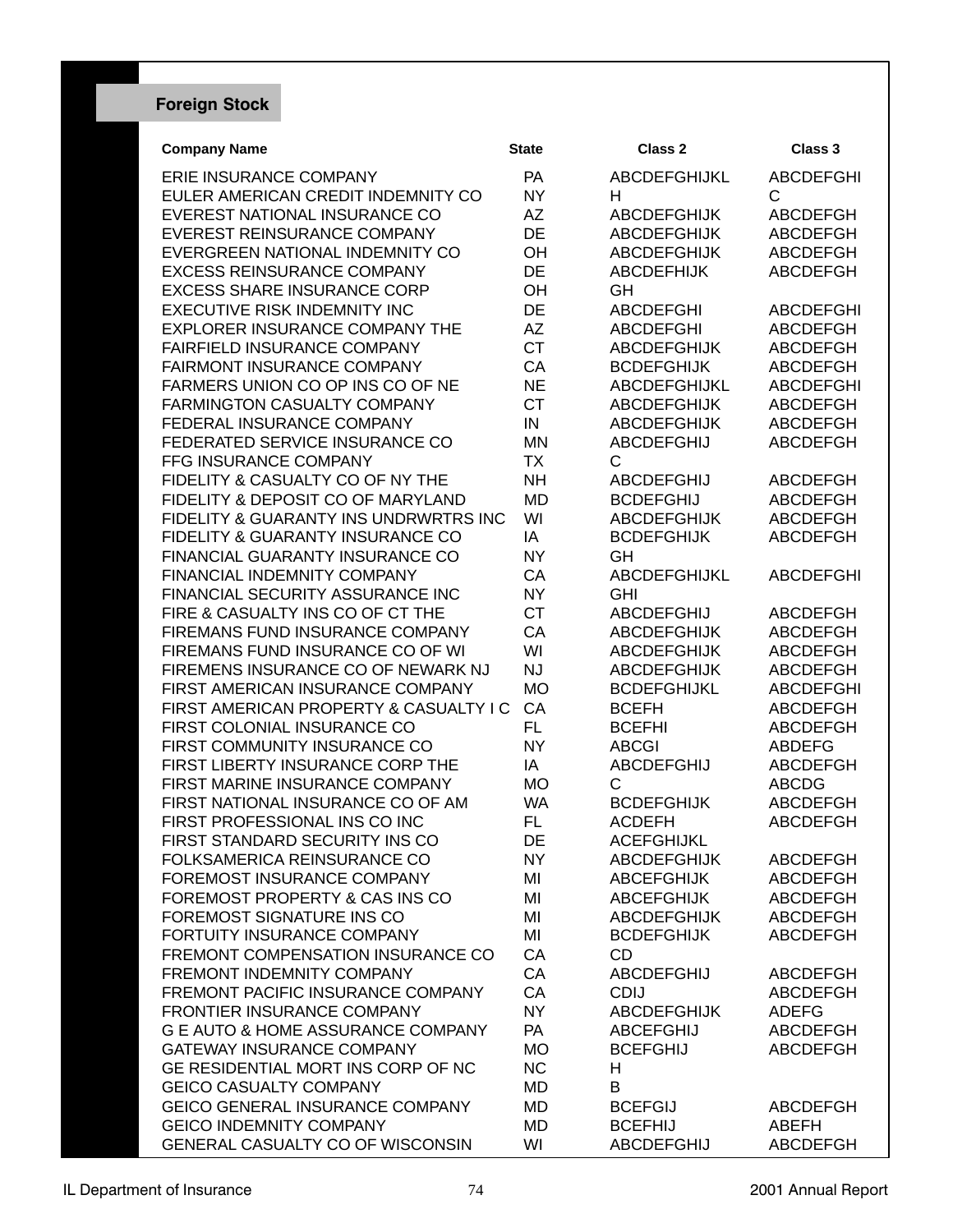| <b>Company Name</b>                          | <b>State</b> | Class 2             | Class 3          |
|----------------------------------------------|--------------|---------------------|------------------|
| ERIE INSURANCE COMPANY                       | <b>PA</b>    | <b>ABCDEFGHIJKL</b> | <b>ABCDEFGHI</b> |
| EULER AMERICAN CREDIT INDEMNITY CO           | <b>NY</b>    | H.                  | C                |
| EVEREST NATIONAL INSURANCE CO                | <b>AZ</b>    | <b>ABCDEFGHIJK</b>  | <b>ABCDEFGH</b>  |
| EVEREST REINSURANCE COMPANY                  | DE           | <b>ABCDEFGHIJK</b>  | <b>ABCDEFGH</b>  |
| EVERGREEN NATIONAL INDEMNITY CO              | OH           | <b>ABCDEFGHIJK</b>  | <b>ABCDEFGH</b>  |
| <b>EXCESS REINSURANCE COMPANY</b>            | DE           | <b>ABCDEFHIJK</b>   | <b>ABCDEFGH</b>  |
| <b>EXCESS SHARE INSURANCE CORP</b>           | OH           | GH                  |                  |
| <b>EXECUTIVE RISK INDEMNITY INC</b>          | DE           | <b>ABCDEFGHI</b>    | <b>ABCDEFGHI</b> |
| <b>EXPLORER INSURANCE COMPANY THE</b>        | AZ           | <b>ABCDEFGHI</b>    | <b>ABCDEFGH</b>  |
| <b>FAIRFIELD INSURANCE COMPANY</b>           | <b>CT</b>    | <b>ABCDEFGHIJK</b>  | <b>ABCDEFGH</b>  |
| <b>FAIRMONT INSURANCE COMPANY</b>            | CA           | <b>BCDEFGHIJK</b>   | <b>ABCDEFGH</b>  |
| FARMERS UNION CO OP INS CO OF NE             | <b>NE</b>    | <b>ABCDEFGHIJKL</b> | <b>ABCDEFGHI</b> |
| <b>FARMINGTON CASUALTY COMPANY</b>           | <b>CT</b>    | <b>ABCDEFGHIJK</b>  | <b>ABCDEFGH</b>  |
| FEDERAL INSURANCE COMPANY                    | IN           | <b>ABCDEFGHIJK</b>  | <b>ABCDEFGH</b>  |
| FEDERATED SERVICE INSURANCE CO               | MN           | <b>ABCDEFGHIJ</b>   | <b>ABCDEFGH</b>  |
| <b>FFG INSURANCE COMPANY</b>                 | <b>TX</b>    | $\mathsf{C}$        |                  |
| FIDELITY & CASUALTY CO OF NY THE             | <b>NH</b>    | <b>ABCDEFGHIJ</b>   | <b>ABCDEFGH</b>  |
| FIDELITY & DEPOSIT CO OF MARYLAND            | <b>MD</b>    | <b>BCDEFGHIJ</b>    | <b>ABCDEFGH</b>  |
| FIDELITY & GUARANTY INS UNDRWRTRS INC        | WI           | <b>ABCDEFGHIJK</b>  | <b>ABCDEFGH</b>  |
| FIDELITY & GUARANTY INSURANCE CO             | ΙA           | <b>BCDEFGHIJK</b>   | <b>ABCDEFGH</b>  |
| FINANCIAL GUARANTY INSURANCE CO              | <b>NY</b>    | GH                  |                  |
| FINANCIAL INDEMNITY COMPANY                  | CA           | <b>ABCDEFGHIJKL</b> | <b>ABCDEFGHI</b> |
| FINANCIAL SECURITY ASSURANCE INC             | <b>NY</b>    | <b>GHI</b>          |                  |
| FIRE & CASUALTY INS CO OF CT THE             | <b>CT</b>    | <b>ABCDEFGHIJ</b>   | <b>ABCDEFGH</b>  |
| FIREMANS FUND INSURANCE COMPANY              | CA           | <b>ABCDEFGHIJK</b>  | <b>ABCDEFGH</b>  |
| FIREMANS FUND INSURANCE CO OF WI             | WI           | <b>ABCDEFGHIJK</b>  | <b>ABCDEFGH</b>  |
| FIREMENS INSURANCE CO OF NEWARK NJ           | <b>NJ</b>    | <b>ABCDEFGHIJK</b>  | <b>ABCDEFGH</b>  |
| FIRST AMERICAN INSURANCE COMPANY             | <b>MO</b>    | <b>BCDEFGHIJKL</b>  | <b>ABCDEFGHI</b> |
| FIRST AMERICAN PROPERTY & CASUALTY I C       | CA           | <b>BCEFH</b>        | <b>ABCDEFGH</b>  |
| FIRST COLONIAL INSURANCE CO                  | FL.          | <b>BCEFHI</b>       | <b>ABCDEFGH</b>  |
| FIRST COMMUNITY INSURANCE CO                 | <b>NY</b>    | <b>ABCGI</b>        | <b>ABDEFG</b>    |
| FIRST LIBERTY INSURANCE CORP THE             | ΙA           | <b>ABCDEFGHIJ</b>   | <b>ABCDEFGH</b>  |
| FIRST MARINE INSURANCE COMPANY               | <b>MO</b>    | $\mathsf{C}$        | <b>ABCDG</b>     |
| FIRST NATIONAL INSURANCE CO OF AM            | <b>WA</b>    | <b>BCDEFGHIJK</b>   | <b>ABCDEFGH</b>  |
| FIRST PROFESSIONAL INS CO INC                | FL           | <b>ACDEFH</b>       | <b>ABCDEFGH</b>  |
| FIRST STANDARD SECURITY INS CO               | DE           | <b>ACEFGHIJKL</b>   |                  |
| FOLKSAMERICA REINSURANCE CO                  | NY.          | <b>ABCDEFGHIJK</b>  | <b>ABCDEFGH</b>  |
| FOREMOST INSURANCE COMPANY                   | MI           | <b>ABCEFGHIJK</b>   | <b>ABCDEFGH</b>  |
| FOREMOST PROPERTY & CAS INS CO               | MI           | <b>ABCEFGHIJK</b>   | <b>ABCDEFGH</b>  |
| FOREMOST SIGNATURE INS CO                    | ΜI           | <b>ABCDEFGHIJK</b>  | <b>ABCDEFGH</b>  |
| FORTUITY INSURANCE COMPANY                   | MI           | <b>BCDEFGHIJK</b>   | <b>ABCDEFGH</b>  |
| FREMONT COMPENSATION INSURANCE CO            | CA           | <b>CD</b>           |                  |
| FREMONT INDEMNITY COMPANY                    | CA           | <b>ABCDEFGHIJ</b>   | <b>ABCDEFGH</b>  |
| FREMONT PACIFIC INSURANCE COMPANY            | CA           | <b>CDIJ</b>         | <b>ABCDEFGH</b>  |
| FRONTIER INSURANCE COMPANY                   | NY.          | <b>ABCDEFGHIJK</b>  | <b>ADEFG</b>     |
| <b>G E AUTO &amp; HOME ASSURANCE COMPANY</b> | PA           | <b>ABCEFGHIJ</b>    | <b>ABCDEFGH</b>  |
| <b>GATEWAY INSURANCE COMPANY</b>             | МO           | <b>BCEFGHIJ</b>     | ABCDEFGH         |
| GE RESIDENTIAL MORT INS CORP OF NC           | <b>NC</b>    | н                   |                  |
| <b>GEICO CASUALTY COMPANY</b>                | MD           | B                   |                  |
| <b>GEICO GENERAL INSURANCE COMPANY</b>       | MD           | <b>BCEFGIJ</b>      | <b>ABCDEFGH</b>  |
| <b>GEICO INDEMNITY COMPANY</b>               | MD           | <b>BCEFHIJ</b>      | <b>ABEFH</b>     |
| GENERAL CASUALTY CO OF WISCONSIN             | WI           | <b>ABCDEFGHIJ</b>   | ABCDEFGH         |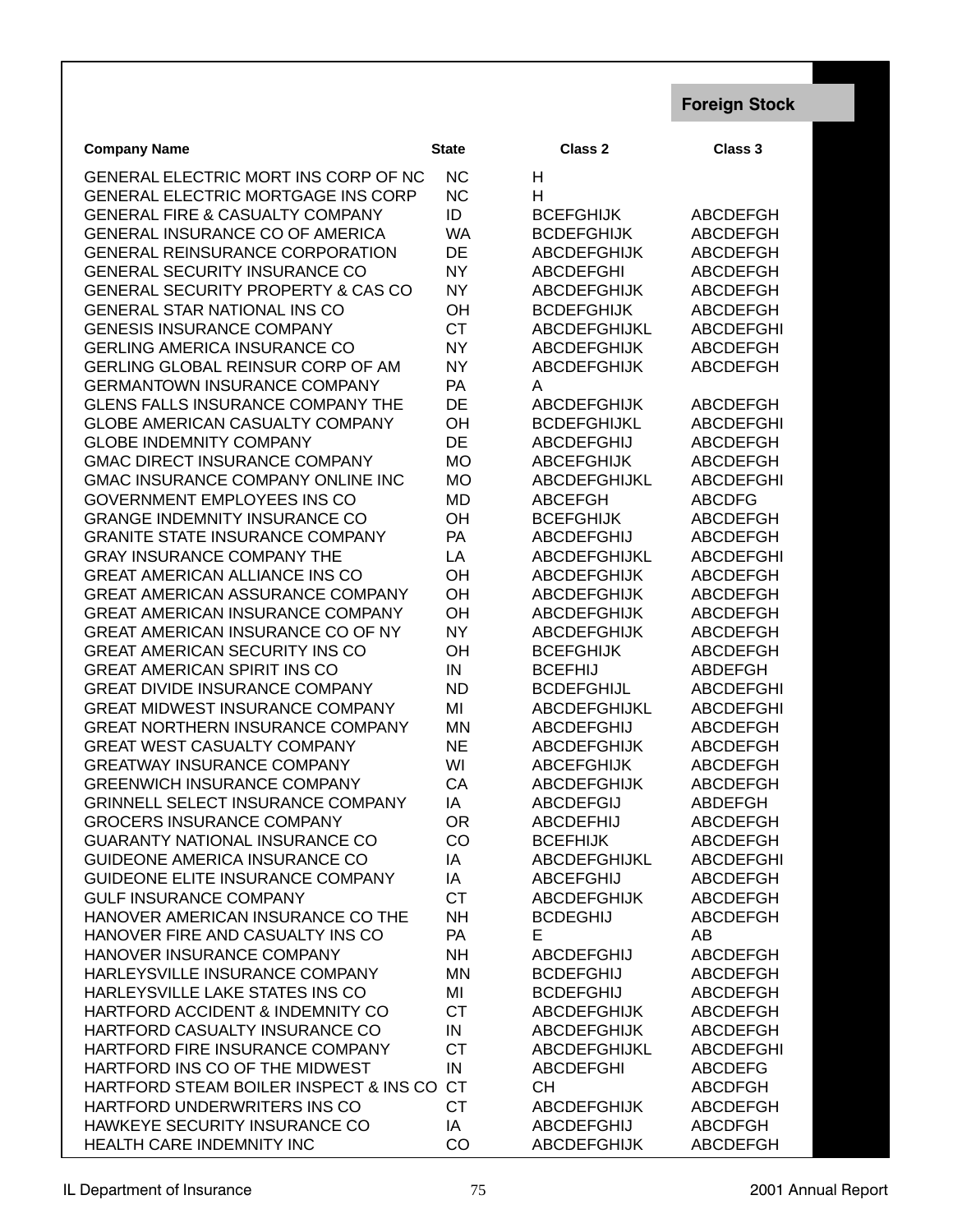| <b>Company Name</b>                                                    | <b>State</b>           | <b>Class 2</b>                  | Class 3                           |
|------------------------------------------------------------------------|------------------------|---------------------------------|-----------------------------------|
| <b>GENERAL ELECTRIC MORT INS CORP OF NC</b>                            | <b>NC</b>              | Н                               |                                   |
| <b>GENERAL ELECTRIC MORTGAGE INS CORP</b>                              | <b>NC</b>              | H                               |                                   |
| <b>GENERAL FIRE &amp; CASUALTY COMPANY</b>                             | ID                     | <b>BCEFGHIJK</b>                | <b>ABCDEFGH</b>                   |
| <b>GENERAL INSURANCE CO OF AMERICA</b>                                 | <b>WA</b>              | <b>BCDEFGHIJK</b>               | <b>ABCDEFGH</b>                   |
| GENERAL REINSURANCE CORPORATION                                        | DE                     | <b>ABCDEFGHIJK</b>              | <b>ABCDEFGH</b>                   |
| <b>GENERAL SECURITY INSURANCE CO</b>                                   | <b>NY</b>              | <b>ABCDEFGHI</b>                | <b>ABCDEFGH</b>                   |
| GENERAL SECURITY PROPERTY & CAS CO                                     | <b>NY</b>              | <b>ABCDEFGHIJK</b>              | <b>ABCDEFGH</b>                   |
| <b>GENERAL STAR NATIONAL INS CO</b>                                    | OH                     | <b>BCDEFGHIJK</b>               | <b>ABCDEFGH</b>                   |
| <b>GENESIS INSURANCE COMPANY</b>                                       | <b>CT</b>              | <b>ABCDEFGHIJKL</b>             | <b>ABCDEFGHI</b>                  |
| <b>GERLING AMERICA INSURANCE CO</b>                                    | <b>NY</b>              | <b>ABCDEFGHIJK</b>              | <b>ABCDEFGH</b>                   |
| GERLING GLOBAL REINSUR CORP OF AM                                      | <b>NY</b>              | <b>ABCDEFGHIJK</b>              | <b>ABCDEFGH</b>                   |
| <b>GERMANTOWN INSURANCE COMPANY</b>                                    | <b>PA</b>              | A                               |                                   |
| GLENS FALLS INSURANCE COMPANY THE                                      | DE                     | <b>ABCDEFGHIJK</b>              | <b>ABCDEFGH</b>                   |
| <b>GLOBE AMERICAN CASUALTY COMPANY</b>                                 | OH                     | <b>BCDEFGHIJKL</b>              | <b>ABCDEFGHI</b>                  |
| <b>GLOBE INDEMNITY COMPANY</b>                                         | DE                     | <b>ABCDEFGHIJ</b>               | <b>ABCDEFGH</b>                   |
| <b>GMAC DIRECT INSURANCE COMPANY</b>                                   | <b>MO</b>              | <b>ABCEFGHIJK</b>               | <b>ABCDEFGH</b>                   |
| GMAC INSURANCE COMPANY ONLINE INC                                      | <b>MO</b>              | <b>ABCDEFGHIJKL</b>             | <b>ABCDEFGHI</b>                  |
| <b>GOVERNMENT EMPLOYEES INS CO</b>                                     | <b>MD</b>              | <b>ABCEFGH</b>                  | <b>ABCDFG</b>                     |
| <b>GRANGE INDEMNITY INSURANCE CO</b>                                   | OH                     | <b>BCEFGHIJK</b>                | <b>ABCDEFGH</b>                   |
| <b>GRANITE STATE INSURANCE COMPANY</b>                                 | PA                     | <b>ABCDEFGHIJ</b>               | <b>ABCDEFGH</b>                   |
| <b>GRAY INSURANCE COMPANY THE</b>                                      | LA                     | <b>ABCDEFGHIJKL</b>             | <b>ABCDEFGHI</b>                  |
| <b>GREAT AMERICAN ALLIANCE INS CO</b>                                  | OH                     | <b>ABCDEFGHIJK</b>              | <b>ABCDEFGH</b>                   |
| <b>GREAT AMERICAN ASSURANCE COMPANY</b>                                | OH                     | <b>ABCDEFGHIJK</b>              | <b>ABCDEFGH</b>                   |
| <b>GREAT AMERICAN INSURANCE COMPANY</b>                                | OH                     | <b>ABCDEFGHIJK</b>              | <b>ABCDEFGH</b>                   |
| <b>GREAT AMERICAN INSURANCE CO OF NY</b>                               | <b>NY</b>              | <b>ABCDEFGHIJK</b>              | <b>ABCDEFGH</b>                   |
| <b>GREAT AMERICAN SECURITY INS CO</b>                                  | OH                     | <b>BCEFGHIJK</b>                | <b>ABCDEFGH</b>                   |
| <b>GREAT AMERICAN SPIRIT INS CO</b>                                    | IN                     | <b>BCEFHIJ</b>                  | <b>ABDEFGH</b>                    |
| <b>GREAT DIVIDE INSURANCE COMPANY</b>                                  | <b>ND</b>              | <b>BCDEFGHIJL</b>               | <b>ABCDEFGHI</b>                  |
| <b>GREAT MIDWEST INSURANCE COMPANY</b>                                 | MI                     | <b>ABCDEFGHIJKL</b>             | <b>ABCDEFGHI</b>                  |
| <b>GREAT NORTHERN INSURANCE COMPANY</b>                                | MN                     | <b>ABCDEFGHIJ</b>               | <b>ABCDEFGH</b>                   |
| <b>GREAT WEST CASUALTY COMPANY</b>                                     | <b>NE</b>              | <b>ABCDEFGHIJK</b>              | <b>ABCDEFGH</b>                   |
| <b>GREATWAY INSURANCE COMPANY</b>                                      | WI                     | <b>ABCEFGHIJK</b>               | <b>ABCDEFGH</b>                   |
| <b>GREENWICH INSURANCE COMPANY</b>                                     | CA                     | <b>ABCDEFGHIJK</b>              | <b>ABCDEFGH</b>                   |
| <b>GRINNELL SELECT INSURANCE COMPANY</b>                               | ΙA                     | <b>ABCDEFGIJ</b>                | <b>ABDEFGH</b>                    |
| <b>GROCERS INSURANCE COMPANY</b>                                       | <b>OR</b>              | <b>ABCDEFHIJ</b>                | <b>ABCDEFGH</b>                   |
| <b>GUARANTY NATIONAL INSURANCE CO</b>                                  | CO                     | <b>BCEFHIJK</b>                 | <b>ABCDEFGH</b>                   |
| GUIDEONE AMERICA INSURANCE CO                                          | ΙA                     | ABCDEFGHIJKL                    | <b>ABCDEFGHI</b>                  |
| <b>GUIDEONE ELITE INSURANCE COMPANY</b>                                | ΙA                     | <b>ABCEFGHIJ</b>                | <b>ABCDEFGH</b>                   |
| <b>GULF INSURANCE COMPANY</b>                                          | <b>CT</b>              | <b>ABCDEFGHIJK</b>              | <b>ABCDEFGH</b>                   |
| HANOVER AMERICAN INSURANCE CO THE                                      | <b>NH</b>              | <b>BCDEGHIJ</b>                 | <b>ABCDEFGH</b>                   |
| HANOVER FIRE AND CASUALTY INS CO                                       | PA                     | Е                               | AB                                |
| HANOVER INSURANCE COMPANY                                              | <b>NH</b>              | <b>ABCDEFGHIJ</b>               | <b>ABCDEFGH</b>                   |
| HARLEYSVILLE INSURANCE COMPANY                                         | MN                     | <b>BCDEFGHIJ</b>                | <b>ABCDEFGH</b>                   |
| HARLEYSVILLE LAKE STATES INS CO                                        | MI                     | <b>BCDEFGHIJ</b>                | <b>ABCDEFGH</b>                   |
| HARTFORD ACCIDENT & INDEMNITY CO                                       | <b>CT</b>              | <b>ABCDEFGHIJK</b>              | <b>ABCDEFGH</b>                   |
| HARTFORD CASUALTY INSURANCE CO                                         | IN                     | <b>ABCDEFGHIJK</b>              | <b>ABCDEFGH</b>                   |
| HARTFORD FIRE INSURANCE COMPANY                                        | <b>CT</b>              | <b>ABCDEFGHIJKL</b>             | <b>ABCDEFGHI</b>                  |
| HARTFORD INS CO OF THE MIDWEST                                         | IN                     | <b>ABCDEFGHI</b>                | <b>ABCDEFG</b>                    |
| HARTFORD STEAM BOILER INSPECT & INS CO<br>HARTFORD UNDERWRITERS INS CO | <b>CT</b><br><b>CT</b> | <b>CH</b><br><b>ABCDEFGHIJK</b> | <b>ABCDFGH</b>                    |
| HAWKEYE SECURITY INSURANCE CO                                          | IA.                    | <b>ABCDEFGHIJ</b>               | <b>ABCDEFGH</b><br><b>ABCDFGH</b> |
| HEALTH CARE INDEMNITY INC                                              | CO                     | <b>ABCDEFGHIJK</b>              | <b>ABCDEFGH</b>                   |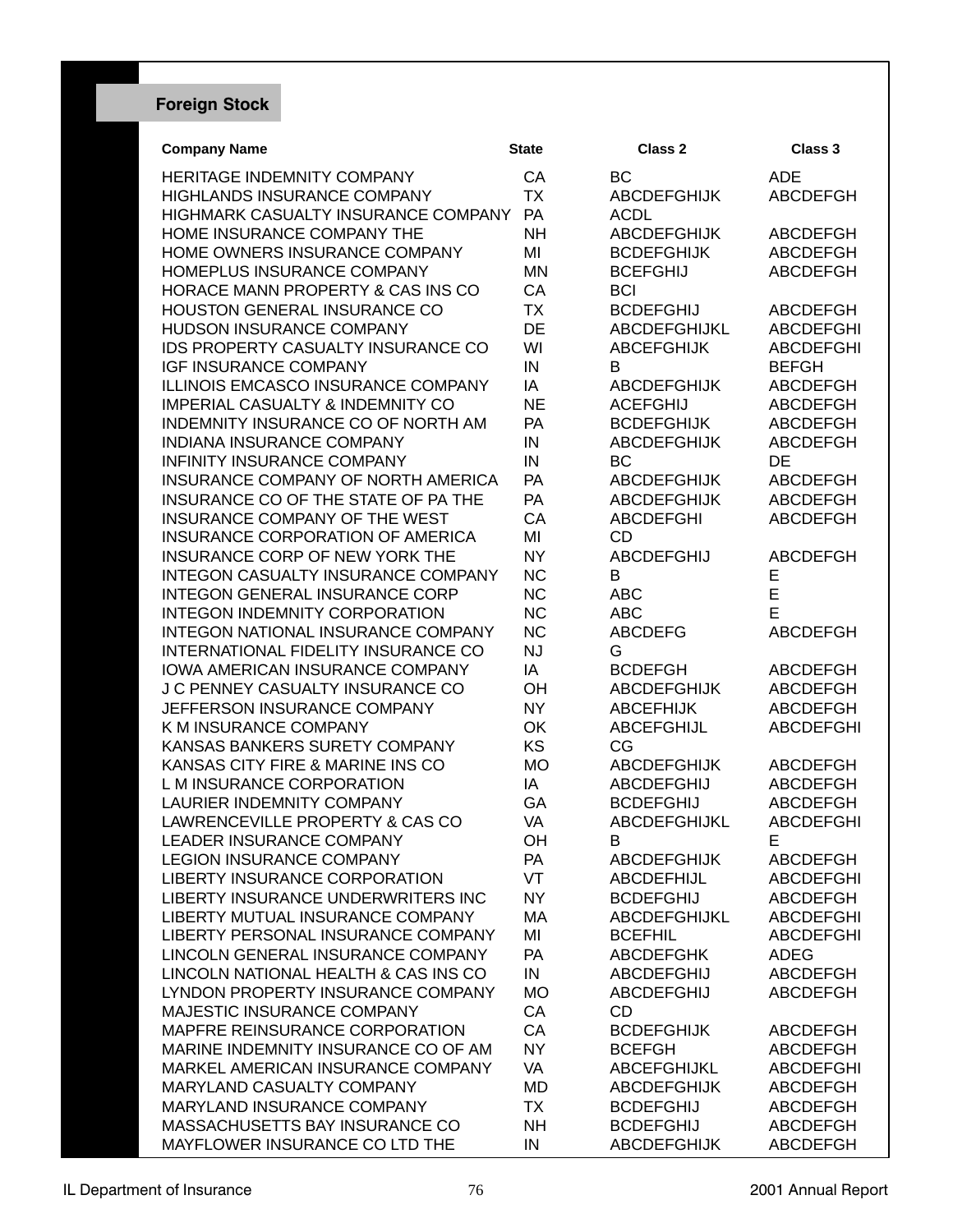| <b>Company Name</b>                                                   | <b>State</b>    | <b>Class 2</b>                         | Class 3                            |
|-----------------------------------------------------------------------|-----------------|----------------------------------------|------------------------------------|
| HERITAGE INDEMNITY COMPANY                                            | CA              | <b>BC</b>                              | <b>ADE</b>                         |
| <b>HIGHLANDS INSURANCE COMPANY</b>                                    | <b>TX</b>       | <b>ABCDEFGHIJK</b>                     | <b>ABCDEFGH</b>                    |
| HIGHMARK CASUALTY INSURANCE COMPANY                                   | PA              | <b>ACDL</b>                            |                                    |
| HOME INSURANCE COMPANY THE                                            | <b>NH</b>       | <b>ABCDEFGHIJK</b>                     | <b>ABCDEFGH</b>                    |
| HOME OWNERS INSURANCE COMPANY                                         | MI              | <b>BCDEFGHIJK</b>                      | <b>ABCDEFGH</b>                    |
| HOMEPLUS INSURANCE COMPANY                                            | <b>MN</b>       | <b>BCEFGHIJ</b>                        | <b>ABCDEFGH</b>                    |
| <b>HORACE MANN PROPERTY &amp; CAS INS CO</b>                          | CA              | <b>BCI</b>                             |                                    |
| <b>HOUSTON GENERAL INSURANCE CO</b>                                   | <b>TX</b>       | <b>BCDEFGHIJ</b>                       | <b>ABCDEFGH</b>                    |
| <b>HUDSON INSURANCE COMPANY</b>                                       | DE              | <b>ABCDEFGHIJKL</b>                    | <b>ABCDEFGHI</b>                   |
| <b>IDS PROPERTY CASUALTY INSURANCE CO</b>                             | WI              | <b>ABCEFGHIJK</b>                      | <b>ABCDEFGHI</b>                   |
| <b>IGF INSURANCE COMPANY</b>                                          | IN              | B                                      | <b>BEFGH</b>                       |
| ILLINOIS EMCASCO INSURANCE COMPANY                                    | IA              | <b>ABCDEFGHIJK</b>                     | <b>ABCDEFGH</b>                    |
| <b>IMPERIAL CASUALTY &amp; INDEMNITY CO</b>                           | <b>NE</b>       | <b>ACEFGHIJ</b>                        | <b>ABCDEFGH</b>                    |
| INDEMNITY INSURANCE CO OF NORTH AM                                    | PA              | <b>BCDEFGHIJK</b>                      | <b>ABCDEFGH</b>                    |
| <b>INDIANA INSURANCE COMPANY</b>                                      | IN              | <b>ABCDEFGHIJK</b>                     | <b>ABCDEFGH</b>                    |
| <b>INFINITY INSURANCE COMPANY</b>                                     | IN              | <b>BC</b>                              | DE                                 |
| <b>INSURANCE COMPANY OF NORTH AMERICA</b>                             | PA              | <b>ABCDEFGHIJK</b>                     | <b>ABCDEFGH</b>                    |
| INSURANCE CO OF THE STATE OF PA THE                                   | PA              | <b>ABCDEFGHIJK</b>                     | <b>ABCDEFGH</b>                    |
| <b>INSURANCE COMPANY OF THE WEST</b>                                  | CA              | <b>ABCDEFGHI</b>                       | <b>ABCDEFGH</b>                    |
| <b>INSURANCE CORPORATION OF AMERICA</b>                               | MI              | <b>CD</b>                              |                                    |
| INSURANCE CORP OF NEW YORK THE                                        | <b>NY</b>       | <b>ABCDEFGHIJ</b>                      | <b>ABCDEFGH</b>                    |
| <b>INTEGON CASUALTY INSURANCE COMPANY</b>                             | <b>NC</b>       | B                                      | Е                                  |
| <b>INTEGON GENERAL INSURANCE CORP</b>                                 | <b>NC</b>       | <b>ABC</b>                             | E                                  |
| <b>INTEGON INDEMNITY CORPORATION</b>                                  | <b>NC</b>       | <b>ABC</b>                             | E                                  |
| INTEGON NATIONAL INSURANCE COMPANY                                    | <b>NC</b>       | <b>ABCDEFG</b>                         | <b>ABCDEFGH</b>                    |
| INTERNATIONAL FIDELITY INSURANCE CO                                   | <b>NJ</b>       | G                                      |                                    |
| <b>IOWA AMERICAN INSURANCE COMPANY</b>                                | IA              | <b>BCDEFGH</b>                         | <b>ABCDEFGH</b>                    |
| J C PENNEY CASUALTY INSURANCE CO                                      | OH              | <b>ABCDEFGHIJK</b>                     | <b>ABCDEFGH</b>                    |
| JEFFERSON INSURANCE COMPANY                                           | <b>NY</b>       | <b>ABCEFHIJK</b>                       | <b>ABCDEFGH</b>                    |
| K M INSURANCE COMPANY                                                 | OK              | <b>ABCEFGHIJL</b>                      | <b>ABCDEFGHI</b>                   |
| KANSAS BANKERS SURETY COMPANY                                         | <b>KS</b>       | CG                                     |                                    |
| KANSAS CITY FIRE & MARINE INS CO                                      | <b>MO</b>       | <b>ABCDEFGHIJK</b>                     | <b>ABCDEFGH</b>                    |
| L M INSURANCE CORPORATION                                             | IA              | <b>ABCDEFGHIJ</b>                      | <b>ABCDEFGH</b>                    |
| <b>LAURIER INDEMNITY COMPANY</b>                                      | GA              | <b>BCDEFGHIJ</b>                       | <b>ABCDEFGH</b>                    |
| LAWRENCEVILLE PROPERTY & CAS CO                                       | VA              | <b>ABCDEFGHIJKL</b>                    | <b>ABCDEFGHI</b>                   |
| LEADER INSURANCE COMPANY                                              | OH              | ь                                      | F.                                 |
| <b>LEGION INSURANCE COMPANY</b>                                       | <b>PA</b>       | <b>ABCDEFGHIJK</b>                     | ABCDEFGH                           |
| <b>LIBERTY INSURANCE CORPORATION</b>                                  | VT              | <b>ABCDEFHIJL</b>                      | <b>ABCDEFGHI</b>                   |
| LIBERTY INSURANCE UNDERWRITERS INC                                    | <b>NY</b>       | <b>BCDEFGHIJ</b>                       | <b>ABCDEFGH</b>                    |
| LIBERTY MUTUAL INSURANCE COMPANY                                      | МA              | ABCDEFGHIJKL                           | <b>ABCDEFGHI</b>                   |
| LIBERTY PERSONAL INSURANCE COMPANY                                    | MI              | <b>BCEFHIL</b>                         | <b>ABCDEFGHI</b>                   |
| LINCOLN GENERAL INSURANCE COMPANY                                     | PA              | <b>ABCDEFGHK</b>                       | <b>ADEG</b>                        |
| LINCOLN NATIONAL HEALTH & CAS INS CO                                  | IN              | <b>ABCDEFGHIJ</b><br><b>ABCDEFGHIJ</b> | <b>ABCDEFGH</b>                    |
| LYNDON PROPERTY INSURANCE COMPANY<br>MAJESTIC INSURANCE COMPANY       | <b>MO</b>       |                                        | <b>ABCDEFGH</b>                    |
|                                                                       | CA              | <b>CD</b>                              |                                    |
| MAPFRE REINSURANCE CORPORATION<br>MARINE INDEMNITY INSURANCE CO OF AM | CA              | <b>BCDEFGHIJK</b>                      | <b>ABCDEFGH</b><br><b>ABCDEFGH</b> |
| MARKEL AMERICAN INSURANCE COMPANY                                     | <b>NY</b><br>VA | <b>BCEFGH</b><br><b>ABCEFGHIJKL</b>    | <b>ABCDEFGHI</b>                   |
| MARYLAND CASUALTY COMPANY                                             | MD              | <b>ABCDEFGHIJK</b>                     | <b>ABCDEFGH</b>                    |
| MARYLAND INSURANCE COMPANY                                            | TX              | <b>BCDEFGHIJ</b>                       | <b>ABCDEFGH</b>                    |
| MASSACHUSETTS BAY INSURANCE CO                                        | <b>NH</b>       | <b>BCDEFGHIJ</b>                       | <b>ABCDEFGH</b>                    |
| MAYFLOWER INSURANCE CO LTD THE                                        | IN              | <b>ABCDEFGHIJK</b>                     | ABCDEFGH                           |
|                                                                       |                 |                                        |                                    |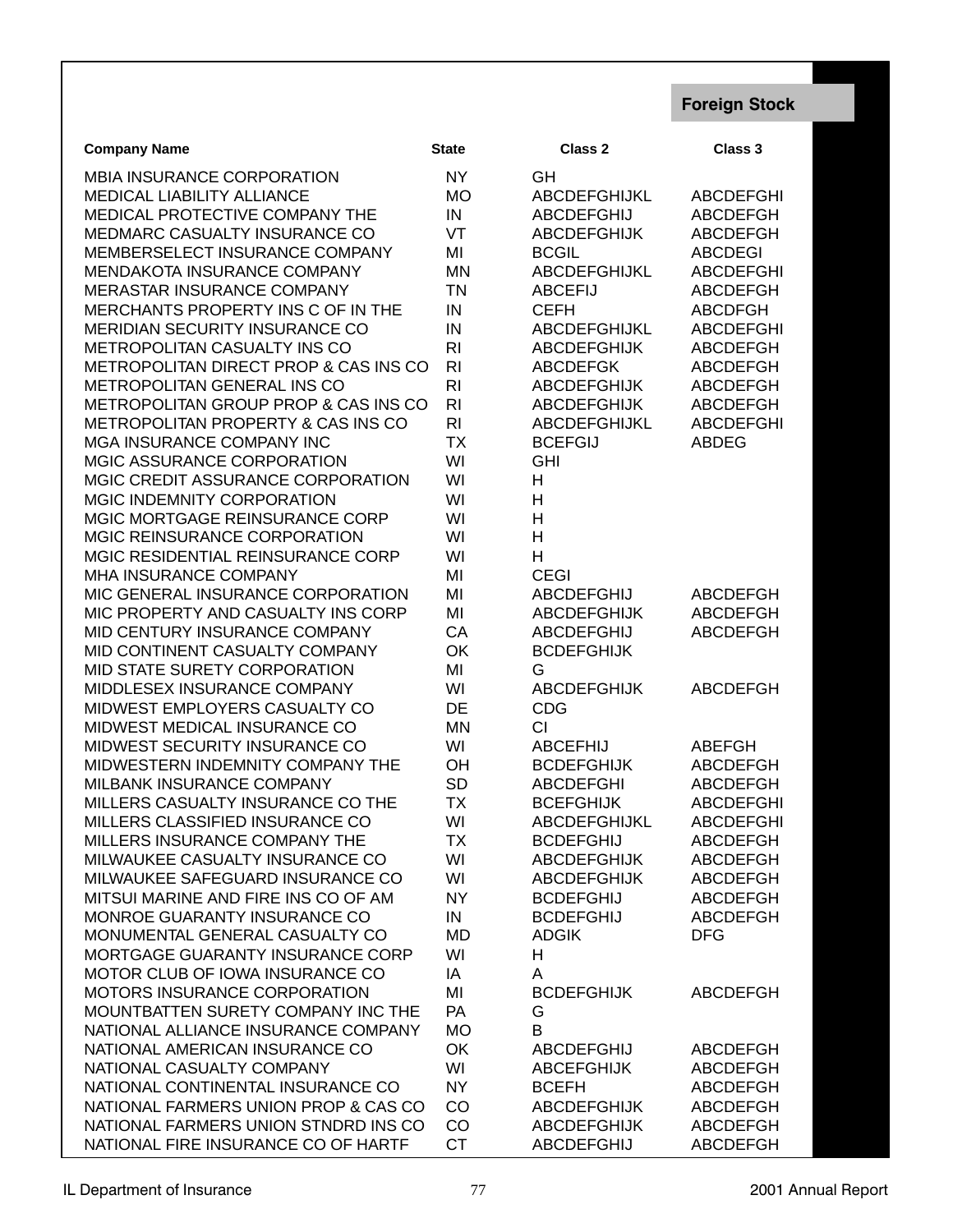| <b>Company Name</b>                   | <b>State</b>   | <b>Class 2</b>      | Class 3          |
|---------------------------------------|----------------|---------------------|------------------|
| <b>MBIA INSURANCE CORPORATION</b>     | <b>NY</b>      | GH                  |                  |
| MEDICAL LIABILITY ALLIANCE            | <b>MO</b>      | <b>ABCDEFGHIJKL</b> | <b>ABCDEFGHI</b> |
| MEDICAL PROTECTIVE COMPANY THE        | IN             | <b>ABCDEFGHIJ</b>   | <b>ABCDEFGH</b>  |
| MEDMARC CASUALTY INSURANCE CO         | VT             | <b>ABCDEFGHIJK</b>  | <b>ABCDEFGH</b>  |
| MEMBERSELECT INSURANCE COMPANY        | MI             | <b>BCGIL</b>        | <b>ABCDEGI</b>   |
| MENDAKOTA INSURANCE COMPANY           | <b>MN</b>      | <b>ABCDEFGHIJKL</b> | <b>ABCDEFGHI</b> |
| <b>MERASTAR INSURANCE COMPANY</b>     | <b>TN</b>      | <b>ABCEFIJ</b>      | <b>ABCDEFGH</b>  |
| MERCHANTS PROPERTY INS C OF IN THE    | IN             | <b>CEFH</b>         | <b>ABCDFGH</b>   |
| <b>MERIDIAN SECURITY INSURANCE CO</b> | IN             | <b>ABCDEFGHIJKL</b> | <b>ABCDEFGHI</b> |
| <b>METROPOLITAN CASUALTY INS CO</b>   | R <sub>l</sub> | <b>ABCDEFGHIJK</b>  | <b>ABCDEFGH</b>  |
| METROPOLITAN DIRECT PROP & CAS INS CO | R <sub>l</sub> | <b>ABCDEFGK</b>     | <b>ABCDEFGH</b>  |
| METROPOLITAN GENERAL INS CO           | R <sub>l</sub> | <b>ABCDEFGHIJK</b>  | <b>ABCDEFGH</b>  |
| METROPOLITAN GROUP PROP & CAS INS CO  | R <sub>l</sub> | <b>ABCDEFGHIJK</b>  | <b>ABCDEFGH</b>  |
| METROPOLITAN PROPERTY & CAS INS CO    | R <sub>l</sub> | <b>ABCDEFGHIJKL</b> | <b>ABCDEFGHI</b> |
| MGA INSURANCE COMPANY INC             | <b>TX</b>      | <b>BCEFGIJ</b>      | <b>ABDEG</b>     |
| MGIC ASSURANCE CORPORATION            | WI             | <b>GHI</b>          |                  |
| MGIC CREDIT ASSURANCE CORPORATION     | WI             | Н                   |                  |
| <b>MGIC INDEMNITY CORPORATION</b>     | WI             | Η                   |                  |
| MGIC MORTGAGE REINSURANCE CORP        | WI             | Η                   |                  |
| <b>MGIC REINSURANCE CORPORATION</b>   | WI             | Η                   |                  |
| MGIC RESIDENTIAL REINSURANCE CORP     | WI             | H                   |                  |
| MHA INSURANCE COMPANY                 | MI             | <b>CEGI</b>         |                  |
| MIC GENERAL INSURANCE CORPORATION     | MI             | <b>ABCDEFGHIJ</b>   | <b>ABCDEFGH</b>  |
| MIC PROPERTY AND CASUALTY INS CORP    | MI             | <b>ABCDEFGHIJK</b>  | <b>ABCDEFGH</b>  |
| MID CENTURY INSURANCE COMPANY         | CA             | <b>ABCDEFGHIJ</b>   | <b>ABCDEFGH</b>  |
| MID CONTINENT CASUALTY COMPANY        | OK             | <b>BCDEFGHIJK</b>   |                  |
| MID STATE SURETY CORPORATION          | MI             | G                   |                  |
| MIDDLESEX INSURANCE COMPANY           | WI             | <b>ABCDEFGHIJK</b>  | <b>ABCDEFGH</b>  |
| MIDWEST EMPLOYERS CASUALTY CO         | DE             | <b>CDG</b>          |                  |
| MIDWEST MEDICAL INSURANCE CO          | <b>MN</b>      | <b>CI</b>           |                  |
| MIDWEST SECURITY INSURANCE CO         | WI             | <b>ABCEFHIJ</b>     | <b>ABEFGH</b>    |
| MIDWESTERN INDEMNITY COMPANY THE      | OH             | <b>BCDEFGHIJK</b>   | <b>ABCDEFGH</b>  |
| MILBANK INSURANCE COMPANY             | <b>SD</b>      | <b>ABCDEFGHI</b>    | <b>ABCDEFGH</b>  |
| MILLERS CASUALTY INSURANCE CO THE     | <b>TX</b>      | <b>BCEFGHIJK</b>    | <b>ABCDEFGHI</b> |
| MILLERS CLASSIFIED INSURANCE CO       | WI             | <b>ABCDEFGHIJKL</b> | <b>ABCDEFGHI</b> |
| MILLERS INSURANCE COMPANY THE         | ТX             | <b>BCDEFGHIJ</b>    | <b>ABCDEFGH</b>  |
| MILWAUKEE CASUALTY INSURANCE CO       | WI             | <b>ABCDEFGHIJK</b>  | <b>ABCDEFGH</b>  |
| MILWAUKEE SAFEGUARD INSURANCE CO      | WI             | <b>ABCDEFGHIJK</b>  | <b>ABCDEFGH</b>  |
| MITSUI MARINE AND FIRE INS CO OF AM   | <b>NY</b>      | <b>BCDEFGHIJ</b>    | <b>ABCDEFGH</b>  |
| MONROE GUARANTY INSURANCE CO          | IN             | <b>BCDEFGHIJ</b>    | <b>ABCDEFGH</b>  |
| MONUMENTAL GENERAL CASUALTY CO        | MD             | <b>ADGIK</b>        | <b>DFG</b>       |
| MORTGAGE GUARANTY INSURANCE CORP      | WI             | н                   |                  |
| MOTOR CLUB OF IOWA INSURANCE CO       | IA             | A                   |                  |
| <b>MOTORS INSURANCE CORPORATION</b>   | MI             | <b>BCDEFGHIJK</b>   | <b>ABCDEFGH</b>  |
| MOUNTBATTEN SURETY COMPANY INC THE    | PA             | G                   |                  |
| NATIONAL ALLIANCE INSURANCE COMPANY   | <b>MO</b>      | B                   |                  |
| NATIONAL AMERICAN INSURANCE CO        | OK             | <b>ABCDEFGHIJ</b>   | <b>ABCDEFGH</b>  |
| NATIONAL CASUALTY COMPANY             | WI             | <b>ABCEFGHIJK</b>   | <b>ABCDEFGH</b>  |
| NATIONAL CONTINENTAL INSURANCE CO     | <b>NY</b>      | <b>BCEFH</b>        | <b>ABCDEFGH</b>  |
| NATIONAL FARMERS UNION PROP & CAS CO  | CO             | <b>ABCDEFGHIJK</b>  | <b>ABCDEFGH</b>  |
| NATIONAL FARMERS UNION STNDRD INS CO  | CO             | <b>ABCDEFGHIJK</b>  | <b>ABCDEFGH</b>  |
| NATIONAL FIRE INSURANCE CO OF HARTF   | <b>CT</b>      | <b>ABCDEFGHIJ</b>   | <b>ABCDEFGH</b>  |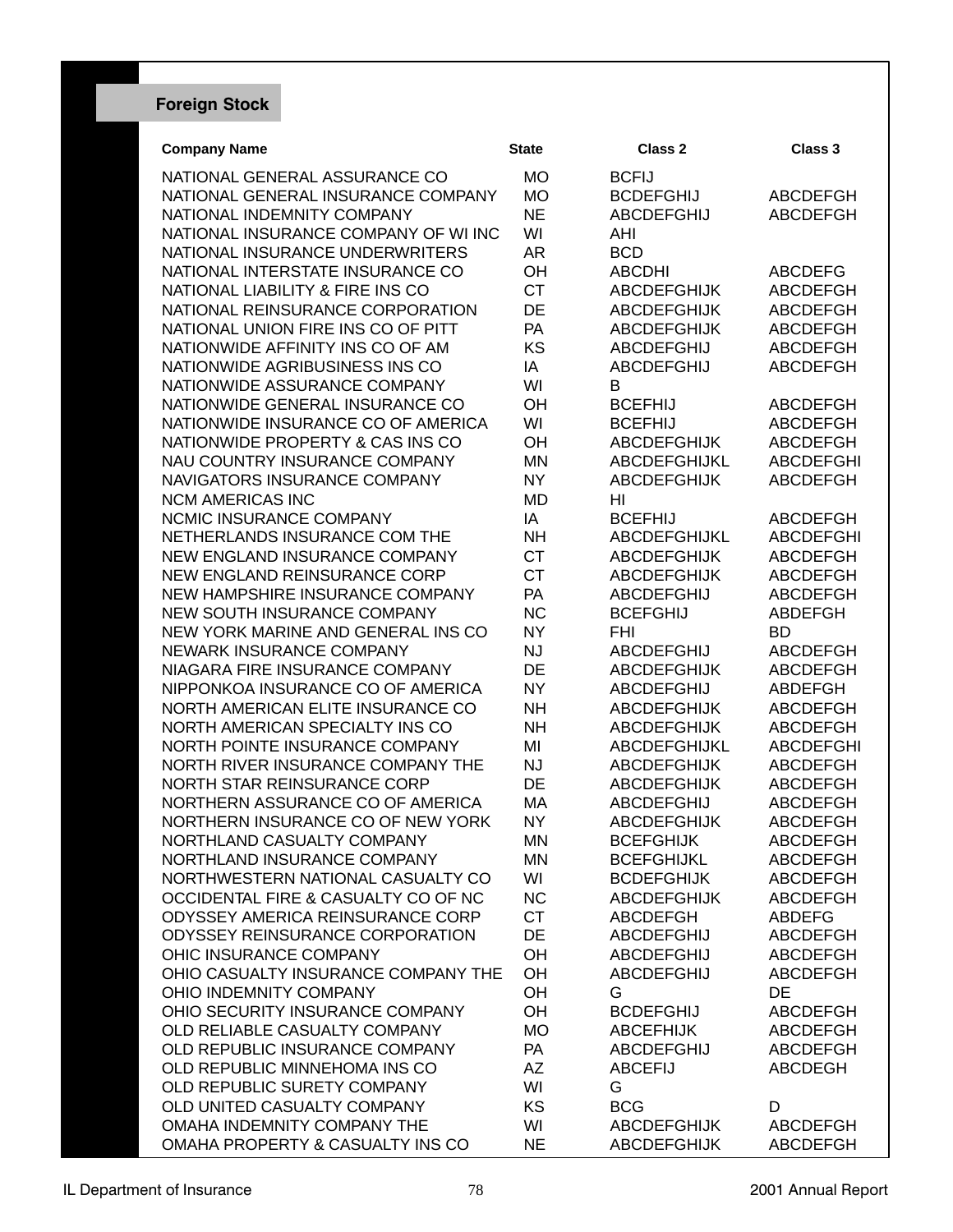| <b>Company Name</b>                  | <b>State</b> | <b>Class 2</b>      | Class 3          |
|--------------------------------------|--------------|---------------------|------------------|
| NATIONAL GENERAL ASSURANCE CO        | <b>MO</b>    | <b>BCFIJ</b>        |                  |
| NATIONAL GENERAL INSURANCE COMPANY   | <b>MO</b>    | <b>BCDEFGHIJ</b>    | <b>ABCDEFGH</b>  |
| NATIONAL INDEMNITY COMPANY           | <b>NE</b>    | <b>ABCDEFGHIJ</b>   | <b>ABCDEFGH</b>  |
| NATIONAL INSURANCE COMPANY OF WI INC | WI           | AHI                 |                  |
| NATIONAL INSURANCE UNDERWRITERS      | <b>AR</b>    | <b>BCD</b>          |                  |
| NATIONAL INTERSTATE INSURANCE CO     | OH           | <b>ABCDHI</b>       | <b>ABCDEFG</b>   |
| NATIONAL LIABILITY & FIRE INS CO     | <b>CT</b>    | <b>ABCDEFGHIJK</b>  | <b>ABCDEFGH</b>  |
| NATIONAL REINSURANCE CORPORATION     | DE           | <b>ABCDEFGHIJK</b>  | <b>ABCDEFGH</b>  |
| NATIONAL UNION FIRE INS CO OF PITT   | PA           | <b>ABCDEFGHIJK</b>  | <b>ABCDEFGH</b>  |
| NATIONWIDE AFFINITY INS CO OF AM     | KS           | <b>ABCDEFGHIJ</b>   | <b>ABCDEFGH</b>  |
| NATIONWIDE AGRIBUSINESS INS CO       | ΙA           | <b>ABCDEFGHIJ</b>   | <b>ABCDEFGH</b>  |
| NATIONWIDE ASSURANCE COMPANY         | WI           | B                   |                  |
| NATIONWIDE GENERAL INSURANCE CO      | OH           | <b>BCEFHIJ</b>      | <b>ABCDEFGH</b>  |
| NATIONWIDE INSURANCE CO OF AMERICA   | WI           | <b>BCEFHIJ</b>      | <b>ABCDEFGH</b>  |
| NATIONWIDE PROPERTY & CAS INS CO     | OH           | <b>ABCDEFGHIJK</b>  | <b>ABCDEFGH</b>  |
| NAU COUNTRY INSURANCE COMPANY        | <b>MN</b>    | <b>ABCDEFGHIJKL</b> | <b>ABCDEFGHI</b> |
| NAVIGATORS INSURANCE COMPANY         | <b>NY</b>    | <b>ABCDEFGHIJK</b>  | <b>ABCDEFGH</b>  |
| <b>NCM AMERICAS INC</b>              | <b>MD</b>    | HI                  |                  |
| NCMIC INSURANCE COMPANY              | IA           | <b>BCEFHIJ</b>      | <b>ABCDEFGH</b>  |
| NETHERLANDS INSURANCE COM THE        | <b>NH</b>    | <b>ABCDEFGHIJKL</b> | <b>ABCDEFGHI</b> |
| NEW ENGLAND INSURANCE COMPANY        | <b>CT</b>    | <b>ABCDEFGHIJK</b>  | <b>ABCDEFGH</b>  |
| NEW ENGLAND REINSURANCE CORP         | <b>CT</b>    | <b>ABCDEFGHIJK</b>  | <b>ABCDEFGH</b>  |
| NEW HAMPSHIRE INSURANCE COMPANY      | PA           | <b>ABCDEFGHIJ</b>   | <b>ABCDEFGH</b>  |
| NEW SOUTH INSURANCE COMPANY          | <b>NC</b>    | <b>BCEFGHIJ</b>     | <b>ABDEFGH</b>   |
| NEW YORK MARINE AND GENERAL INS CO   | <b>NY</b>    | <b>FHI</b>          | <b>BD</b>        |
| NEWARK INSURANCE COMPANY             | <b>NJ</b>    | <b>ABCDEFGHIJ</b>   | <b>ABCDEFGH</b>  |
| NIAGARA FIRE INSURANCE COMPANY       | DE           | <b>ABCDEFGHIJK</b>  | <b>ABCDEFGH</b>  |
| NIPPONKOA INSURANCE CO OF AMERICA    | <b>NY</b>    | <b>ABCDEFGHIJ</b>   | <b>ABDEFGH</b>   |
| NORTH AMERICAN ELITE INSURANCE CO    | <b>NH</b>    | <b>ABCDEFGHIJK</b>  | <b>ABCDEFGH</b>  |
| NORTH AMERICAN SPECIALTY INS CO      | <b>NH</b>    | <b>ABCDEFGHIJK</b>  | <b>ABCDEFGH</b>  |
| NORTH POINTE INSURANCE COMPANY       | MI           | <b>ABCDEFGHIJKL</b> | <b>ABCDEFGHI</b> |
| NORTH RIVER INSURANCE COMPANY THE    | <b>NJ</b>    | <b>ABCDEFGHIJK</b>  | <b>ABCDEFGH</b>  |
| NORTH STAR REINSURANCE CORP          | DE           | <b>ABCDEFGHIJK</b>  | <b>ABCDEFGH</b>  |
| NORTHERN ASSURANCE CO OF AMERICA     | MA           | <b>ABCDEFGHIJ</b>   | <b>ABCDEFGH</b>  |
| NORTHERN INSURANCE CO OF NEW YORK    | <b>NY</b>    | <b>ABCDEFGHIJK</b>  | <b>ABCDEFGH</b>  |
| NORTHLAND CASUALTY COMPANY           | MN           | <b>BCEFGHIJK</b>    | <b>ABCDEFGH</b>  |
| NORTHLAND INSURANCE COMPANY          | MN           | <b>BCEFGHIJKL</b>   | <b>ABCDEFGH</b>  |
| NORTHWESTERN NATIONAL CASUALTY CO    | WI           | <b>BCDEFGHIJK</b>   | <b>ABCDEFGH</b>  |
| OCCIDENTAL FIRE & CASUALTY CO OF NC  | <b>NC</b>    | <b>ABCDEFGHIJK</b>  | <b>ABCDEFGH</b>  |
| ODYSSEY AMERICA REINSURANCE CORP     | <b>CT</b>    | <b>ABCDEFGH</b>     | <b>ABDEFG</b>    |
| ODYSSEY REINSURANCE CORPORATION      | DE           | <b>ABCDEFGHIJ</b>   | <b>ABCDEFGH</b>  |
| OHIC INSURANCE COMPANY               | OH           | <b>ABCDEFGHIJ</b>   | <b>ABCDEFGH</b>  |
| OHIO CASUALTY INSURANCE COMPANY THE  | OH           | <b>ABCDEFGHIJ</b>   | <b>ABCDEFGH</b>  |
| OHIO INDEMNITY COMPANY               | OH           | G                   | DE               |
| OHIO SECURITY INSURANCE COMPANY      | OH           | <b>BCDEFGHIJ</b>    | <b>ABCDEFGH</b>  |
| OLD RELIABLE CASUALTY COMPANY        | <b>MO</b>    | <b>ABCEFHIJK</b>    | <b>ABCDEFGH</b>  |
| OLD REPUBLIC INSURANCE COMPANY       | <b>PA</b>    | <b>ABCDEFGHIJ</b>   | <b>ABCDEFGH</b>  |
| OLD REPUBLIC MINNEHOMA INS CO        | AZ           | <b>ABCEFIJ</b>      | <b>ABCDEGH</b>   |
| OLD REPUBLIC SURETY COMPANY          | WI           | G                   |                  |
| OLD UNITED CASUALTY COMPANY          | KS           | <b>BCG</b>          | D                |
| OMAHA INDEMNITY COMPANY THE          | WI           | <b>ABCDEFGHIJK</b>  | <b>ABCDEFGH</b>  |
| OMAHA PROPERTY & CASUALTY INS CO     | <b>NE</b>    | <b>ABCDEFGHIJK</b>  | ABCDEFGH         |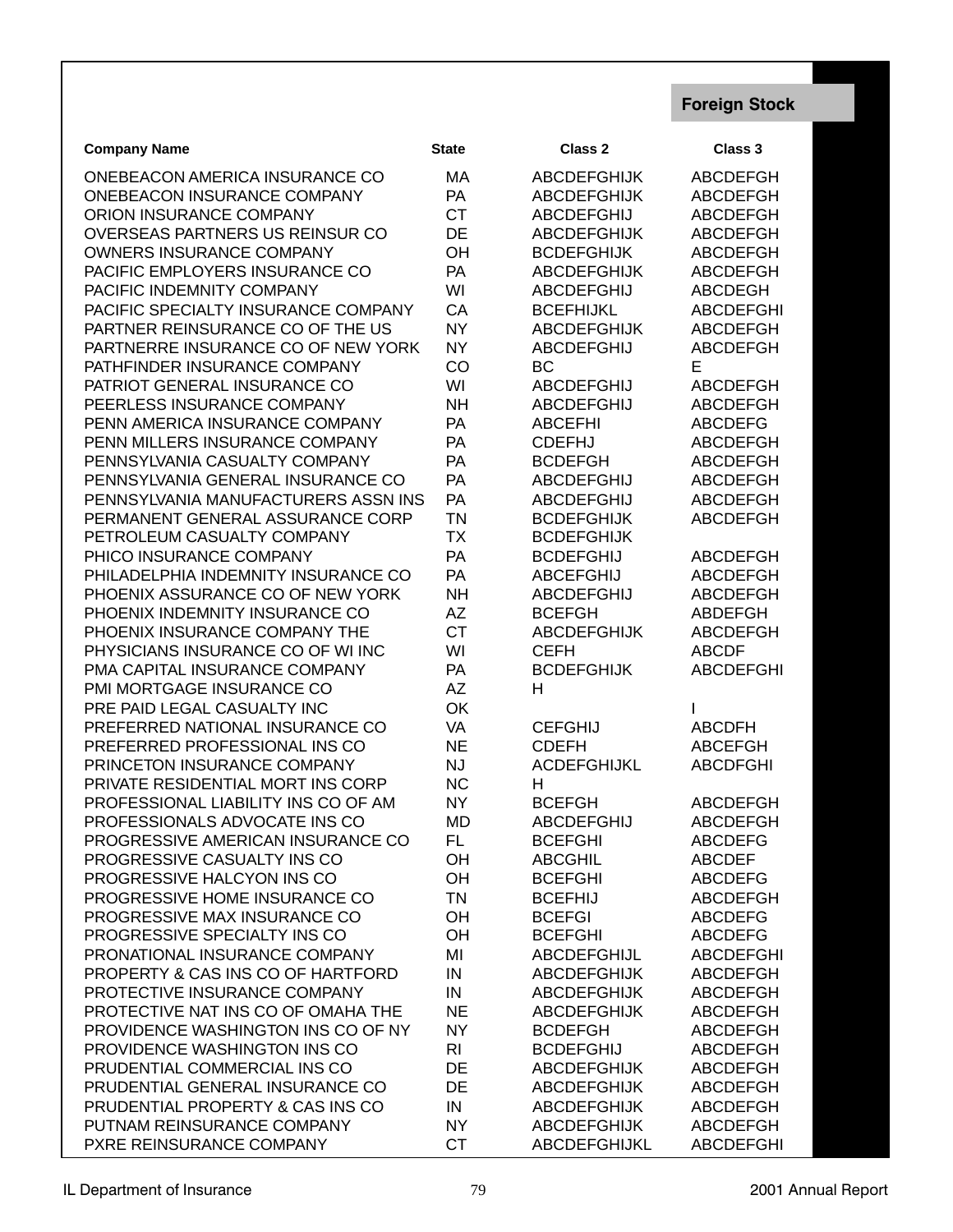| <b>Company Name</b>                                       | <b>State</b>    | Class 2                         | Class 3                           |
|-----------------------------------------------------------|-----------------|---------------------------------|-----------------------------------|
| ONEBEACON AMERICA INSURANCE CO                            | MA              | <b>ABCDEFGHIJK</b>              | <b>ABCDEFGH</b>                   |
| <b>ONEBEACON INSURANCE COMPANY</b>                        | PA              | <b>ABCDEFGHIJK</b>              | <b>ABCDEFGH</b>                   |
| ORION INSURANCE COMPANY                                   | <b>CT</b>       | <b>ABCDEFGHIJ</b>               | <b>ABCDEFGH</b>                   |
| OVERSEAS PARTNERS US REINSUR CO                           | DE              | <b>ABCDEFGHIJK</b>              | <b>ABCDEFGH</b>                   |
| OWNERS INSURANCE COMPANY                                  | OH              | <b>BCDEFGHIJK</b>               | <b>ABCDEFGH</b>                   |
| PACIFIC EMPLOYERS INSURANCE CO                            | PA              | <b>ABCDEFGHIJK</b>              | <b>ABCDEFGH</b>                   |
| PACIFIC INDEMNITY COMPANY                                 | WI              | <b>ABCDEFGHIJ</b>               | <b>ABCDEGH</b>                    |
| PACIFIC SPECIALTY INSURANCE COMPANY                       | CA              | <b>BCEFHIJKL</b>                | <b>ABCDEFGHI</b>                  |
| PARTNER REINSURANCE CO OF THE US                          | <b>NY</b>       | <b>ABCDEFGHIJK</b>              | <b>ABCDEFGH</b>                   |
| PARTNERRE INSURANCE CO OF NEW YORK                        | <b>NY</b>       | <b>ABCDEFGHIJ</b>               | <b>ABCDEFGH</b>                   |
| PATHFINDER INSURANCE COMPANY                              | CO              | <b>BC</b>                       | Е                                 |
| PATRIOT GENERAL INSURANCE CO                              | WI              | <b>ABCDEFGHIJ</b>               | <b>ABCDEFGH</b>                   |
| PEERLESS INSURANCE COMPANY                                | <b>NH</b>       | <b>ABCDEFGHIJ</b>               | <b>ABCDEFGH</b>                   |
| PENN AMERICA INSURANCE COMPANY                            | PA              | <b>ABCEFHI</b>                  | <b>ABCDEFG</b>                    |
| PENN MILLERS INSURANCE COMPANY                            | PA              | <b>CDEFHJ</b>                   | <b>ABCDEFGH</b>                   |
| PENNSYLVANIA CASUALTY COMPANY                             | PA              | <b>BCDEFGH</b>                  | <b>ABCDEFGH</b>                   |
| PENNSYLVANIA GENERAL INSURANCE CO                         | PA              | <b>ABCDEFGHIJ</b>               | <b>ABCDEFGH</b>                   |
| PENNSYLVANIA MANUFACTURERS ASSN INS                       | PA              | <b>ABCDEFGHIJ</b>               | <b>ABCDEFGH</b>                   |
| PERMANENT GENERAL ASSURANCE CORP                          | <b>TN</b>       | <b>BCDEFGHIJK</b>               | <b>ABCDEFGH</b>                   |
| PETROLEUM CASUALTY COMPANY                                | <b>TX</b>       | <b>BCDEFGHIJK</b>               |                                   |
| PHICO INSURANCE COMPANY                                   | PA              | <b>BCDEFGHIJ</b>                | <b>ABCDEFGH</b>                   |
| PHILADELPHIA INDEMNITY INSURANCE CO                       | PA              | <b>ABCEFGHIJ</b>                | <b>ABCDEFGH</b>                   |
| PHOENIX ASSURANCE CO OF NEW YORK                          | <b>NH</b>       | <b>ABCDEFGHIJ</b>               | <b>ABCDEFGH</b>                   |
| PHOENIX INDEMNITY INSURANCE CO                            | <b>AZ</b>       | <b>BCEFGH</b>                   | <b>ABDEFGH</b>                    |
| PHOENIX INSURANCE COMPANY THE                             | <b>CT</b>       | <b>ABCDEFGHIJK</b>              | <b>ABCDEFGH</b>                   |
| PHYSICIANS INSURANCE CO OF WI INC                         | WI              | <b>CEFH</b>                     | <b>ABCDF</b>                      |
| PMA CAPITAL INSURANCE COMPANY                             | PA              | <b>BCDEFGHIJK</b>               | <b>ABCDEFGHI</b>                  |
| PMI MORTGAGE INSURANCE CO                                 | <b>AZ</b>       | H                               |                                   |
| PRE PAID LEGAL CASUALTY INC                               | <b>OK</b>       |                                 |                                   |
| PREFERRED NATIONAL INSURANCE CO                           | VA              | <b>CEFGHIJ</b>                  | <b>ABCDFH</b>                     |
| PREFERRED PROFESSIONAL INS CO                             | <b>NE</b>       | <b>CDEFH</b>                    | <b>ABCEFGH</b>                    |
| PRINCETON INSURANCE COMPANY                               | <b>NJ</b>       | <b>ACDEFGHIJKL</b>              | <b>ABCDFGHI</b>                   |
| PRIVATE RESIDENTIAL MORT INS CORP                         | <b>NC</b>       | H                               |                                   |
| PROFESSIONAL LIABILITY INS CO OF AM                       | <b>NY</b>       | <b>BCEFGH</b>                   | <b>ABCDEFGH</b>                   |
| PROFESSIONALS ADVOCATE INS CO                             | <b>MD</b>       | <b>ABCDEFGHIJ</b>               | <b>ABCDEFGH</b>                   |
| PROGRESSIVE AMERICAN INSURANCE CO                         | FL              | <b>BCEFGHI</b>                  | ABCDEFG                           |
| PROGRESSIVE CASUALTY INS CO<br>PROGRESSIVE HALCYON INS CO | OH              | <b>ABCGHIL</b>                  | <b>ABCDEF</b>                     |
| PROGRESSIVE HOME INSURANCE CO                             | OH<br><b>TN</b> | <b>BCEFGHI</b>                  | <b>ABCDEFG</b>                    |
| PROGRESSIVE MAX INSURANCE CO                              | OH              | <b>BCEFHIJ</b><br><b>BCEFGI</b> | <b>ABCDEFGH</b><br><b>ABCDEFG</b> |
| PROGRESSIVE SPECIALTY INS CO                              | OH              | <b>BCEFGHI</b>                  | <b>ABCDEFG</b>                    |
| PRONATIONAL INSURANCE COMPANY                             | MI              | <b>ABCDEFGHIJL</b>              | <b>ABCDEFGHI</b>                  |
| PROPERTY & CAS INS CO OF HARTFORD                         | IN              | <b>ABCDEFGHIJK</b>              | <b>ABCDEFGH</b>                   |
| PROTECTIVE INSURANCE COMPANY                              | IN              | <b>ABCDEFGHIJK</b>              | <b>ABCDEFGH</b>                   |
| PROTECTIVE NAT INS CO OF OMAHA THE                        | <b>NE</b>       | <b>ABCDEFGHIJK</b>              | <b>ABCDEFGH</b>                   |
| PROVIDENCE WASHINGTON INS CO OF NY                        | <b>NY</b>       | <b>BCDEFGH</b>                  | <b>ABCDEFGH</b>                   |
| PROVIDENCE WASHINGTON INS CO                              | R <sub>l</sub>  | <b>BCDEFGHIJ</b>                | <b>ABCDEFGH</b>                   |
| PRUDENTIAL COMMERCIAL INS CO                              | DE              | <b>ABCDEFGHIJK</b>              | <b>ABCDEFGH</b>                   |
| PRUDENTIAL GENERAL INSURANCE CO                           | DE              | <b>ABCDEFGHIJK</b>              | <b>ABCDEFGH</b>                   |
| PRUDENTIAL PROPERTY & CAS INS CO                          | $\sf IN$        | <b>ABCDEFGHIJK</b>              | <b>ABCDEFGH</b>                   |
| PUTNAM REINSURANCE COMPANY                                | <b>NY</b>       | <b>ABCDEFGHIJK</b>              | <b>ABCDEFGH</b>                   |
| PXRE REINSURANCE COMPANY                                  | <b>CT</b>       | ABCDEFGHIJKL                    | <b>ABCDEFGHI</b>                  |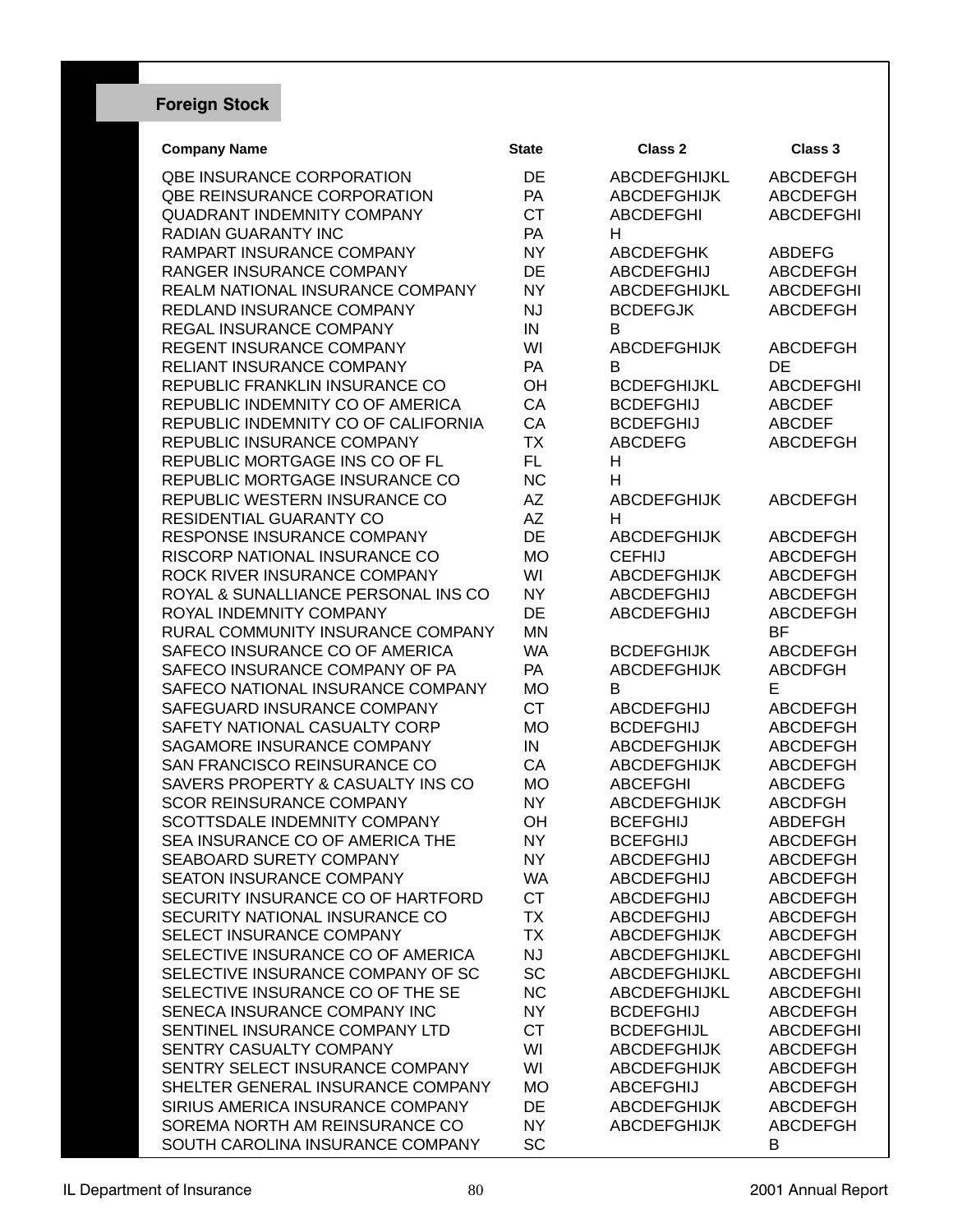| <b>Company Name</b>                 | <b>State</b> | Class 2             | Class 3          |
|-------------------------------------|--------------|---------------------|------------------|
| <b>QBE INSURANCE CORPORATION</b>    | DE           | ABCDEFGHIJKL        | <b>ABCDEFGH</b>  |
| <b>QBE REINSURANCE CORPORATION</b>  | PA           | <b>ABCDEFGHIJK</b>  | <b>ABCDEFGH</b>  |
| <b>QUADRANT INDEMNITY COMPANY</b>   | <b>CT</b>    | <b>ABCDEFGHI</b>    | <b>ABCDEFGHI</b> |
| <b>RADIAN GUARANTY INC</b>          | PA           | н                   |                  |
| RAMPART INSURANCE COMPANY           | <b>NY</b>    | <b>ABCDEFGHK</b>    | <b>ABDEFG</b>    |
| RANGER INSURANCE COMPANY            | DE           | <b>ABCDEFGHIJ</b>   | <b>ABCDEFGH</b>  |
| REALM NATIONAL INSURANCE COMPANY    | <b>NY</b>    | <b>ABCDEFGHIJKL</b> | <b>ABCDEFGHI</b> |
| REDLAND INSURANCE COMPANY           | <b>NJ</b>    | <b>BCDEFGJK</b>     | <b>ABCDEFGH</b>  |
| REGAL INSURANCE COMPANY             | IN           | B                   |                  |
| <b>REGENT INSURANCE COMPANY</b>     | WI           | <b>ABCDEFGHIJK</b>  | <b>ABCDEFGH</b>  |
| RELIANT INSURANCE COMPANY           | PA           | B                   | <b>DE</b>        |
| REPUBLIC FRANKLIN INSURANCE CO      | OH           | <b>BCDEFGHIJKL</b>  | <b>ABCDEFGHI</b> |
| REPUBLIC INDEMNITY CO OF AMERICA    | CA           | <b>BCDEFGHIJ</b>    | <b>ABCDEF</b>    |
| REPUBLIC INDEMNITY CO OF CALIFORNIA | CA           | <b>BCDEFGHIJ</b>    | <b>ABCDEF</b>    |
| <b>REPUBLIC INSURANCE COMPANY</b>   | <b>TX</b>    | <b>ABCDEFG</b>      | <b>ABCDEFGH</b>  |
| REPUBLIC MORTGAGE INS CO OF FL      | <b>FL</b>    | H                   |                  |
| REPUBLIC MORTGAGE INSURANCE CO      | <b>NC</b>    | H                   |                  |
| REPUBLIC WESTERN INSURANCE CO       | <b>AZ</b>    | <b>ABCDEFGHIJK</b>  | <b>ABCDEFGH</b>  |
| RESIDENTIAL GUARANTY CO             | AΖ           | н                   |                  |
| RESPONSE INSURANCE COMPANY          | <b>DE</b>    | <b>ABCDEFGHIJK</b>  | <b>ABCDEFGH</b>  |
| RISCORP NATIONAL INSURANCE CO       | <b>MO</b>    | <b>CEFHIJ</b>       | <b>ABCDEFGH</b>  |
| ROCK RIVER INSURANCE COMPANY        | WI           | <b>ABCDEFGHIJK</b>  | <b>ABCDEFGH</b>  |
| ROYAL & SUNALLIANCE PERSONAL INS CO | <b>NY</b>    | <b>ABCDEFGHIJ</b>   | <b>ABCDEFGH</b>  |
| ROYAL INDEMNITY COMPANY             | DE           | <b>ABCDEFGHIJ</b>   | <b>ABCDEFGH</b>  |
| RURAL COMMUNITY INSURANCE COMPANY   | <b>MN</b>    |                     | <b>BF</b>        |
| SAFECO INSURANCE CO OF AMERICA      | <b>WA</b>    | <b>BCDEFGHIJK</b>   | <b>ABCDEFGH</b>  |
| SAFECO INSURANCE COMPANY OF PA      | PA           | <b>ABCDEFGHIJK</b>  | <b>ABCDFGH</b>   |
| SAFECO NATIONAL INSURANCE COMPANY   | <b>MO</b>    | B                   | Е                |
| SAFEGUARD INSURANCE COMPANY         | <b>CT</b>    | <b>ABCDEFGHIJ</b>   | <b>ABCDEFGH</b>  |
| SAFETY NATIONAL CASUALTY CORP       | <b>MO</b>    | <b>BCDEFGHIJ</b>    | <b>ABCDEFGH</b>  |
| SAGAMORE INSURANCE COMPANY          | IN           | <b>ABCDEFGHIJK</b>  | <b>ABCDEFGH</b>  |
| SAN FRANCISCO REINSURANCE CO        | CA           | <b>ABCDEFGHIJK</b>  | <b>ABCDEFGH</b>  |
| SAVERS PROPERTY & CASUALTY INS CO   | <b>MO</b>    | <b>ABCEFGHI</b>     | <b>ABCDEFG</b>   |
| <b>SCOR REINSURANCE COMPANY</b>     | <b>NY</b>    | <b>ABCDEFGHIJK</b>  | <b>ABCDFGH</b>   |
| SCOTTSDALE INDEMNITY COMPANY        | OH           | <b>BCEFGHIJ</b>     | <b>ABDEFGH</b>   |
| SEA INSURANCE CO OF AMERICA THE     | NY.          | <b>BCEFGHIJ</b>     | <b>ABCDEFGH</b>  |
| SEABOARD SURETY COMPANY             | NY           | <b>ABCDEFGHIJ</b>   | <b>ABCDEFGH</b>  |
| <b>SEATON INSURANCE COMPANY</b>     | <b>WA</b>    | <b>ABCDEFGHIJ</b>   | <b>ABCDEFGH</b>  |
| SECURITY INSURANCE CO OF HARTFORD   | <b>CT</b>    | <b>ABCDEFGHIJ</b>   | <b>ABCDEFGH</b>  |
| SECURITY NATIONAL INSURANCE CO      | TX           | <b>ABCDEFGHIJ</b>   | <b>ABCDEFGH</b>  |
| SELECT INSURANCE COMPANY            | TX           | <b>ABCDEFGHIJK</b>  | <b>ABCDEFGH</b>  |
| SELECTIVE INSURANCE CO OF AMERICA   | <b>NJ</b>    | <b>ABCDEFGHIJKL</b> | <b>ABCDEFGHI</b> |
| SELECTIVE INSURANCE COMPANY OF SC   | <b>SC</b>    | <b>ABCDEFGHIJKL</b> | <b>ABCDEFGHI</b> |
| SELECTIVE INSURANCE CO OF THE SE    | <b>NC</b>    | <b>ABCDEFGHIJKL</b> | <b>ABCDEFGHI</b> |
| SENECA INSURANCE COMPANY INC        | <b>NY</b>    | <b>BCDEFGHIJ</b>    | <b>ABCDEFGH</b>  |
| SENTINEL INSURANCE COMPANY LTD      | CT           | <b>BCDEFGHIJL</b>   | <b>ABCDEFGHI</b> |
| SENTRY CASUALTY COMPANY             | WI           | <b>ABCDEFGHIJK</b>  | <b>ABCDEFGH</b>  |
| SENTRY SELECT INSURANCE COMPANY     | WI           | <b>ABCDEFGHIJK</b>  | <b>ABCDEFGH</b>  |
| SHELTER GENERAL INSURANCE COMPANY   | <b>MO</b>    | <b>ABCEFGHIJ</b>    | <b>ABCDEFGH</b>  |
| SIRIUS AMERICA INSURANCE COMPANY    | DE           | <b>ABCDEFGHIJK</b>  | <b>ABCDEFGH</b>  |
| SOREMA NORTH AM REINSURANCE CO      | NY           | <b>ABCDEFGHIJK</b>  | <b>ABCDEFGH</b>  |
| SOUTH CAROLINA INSURANCE COMPANY    | SC           |                     | В                |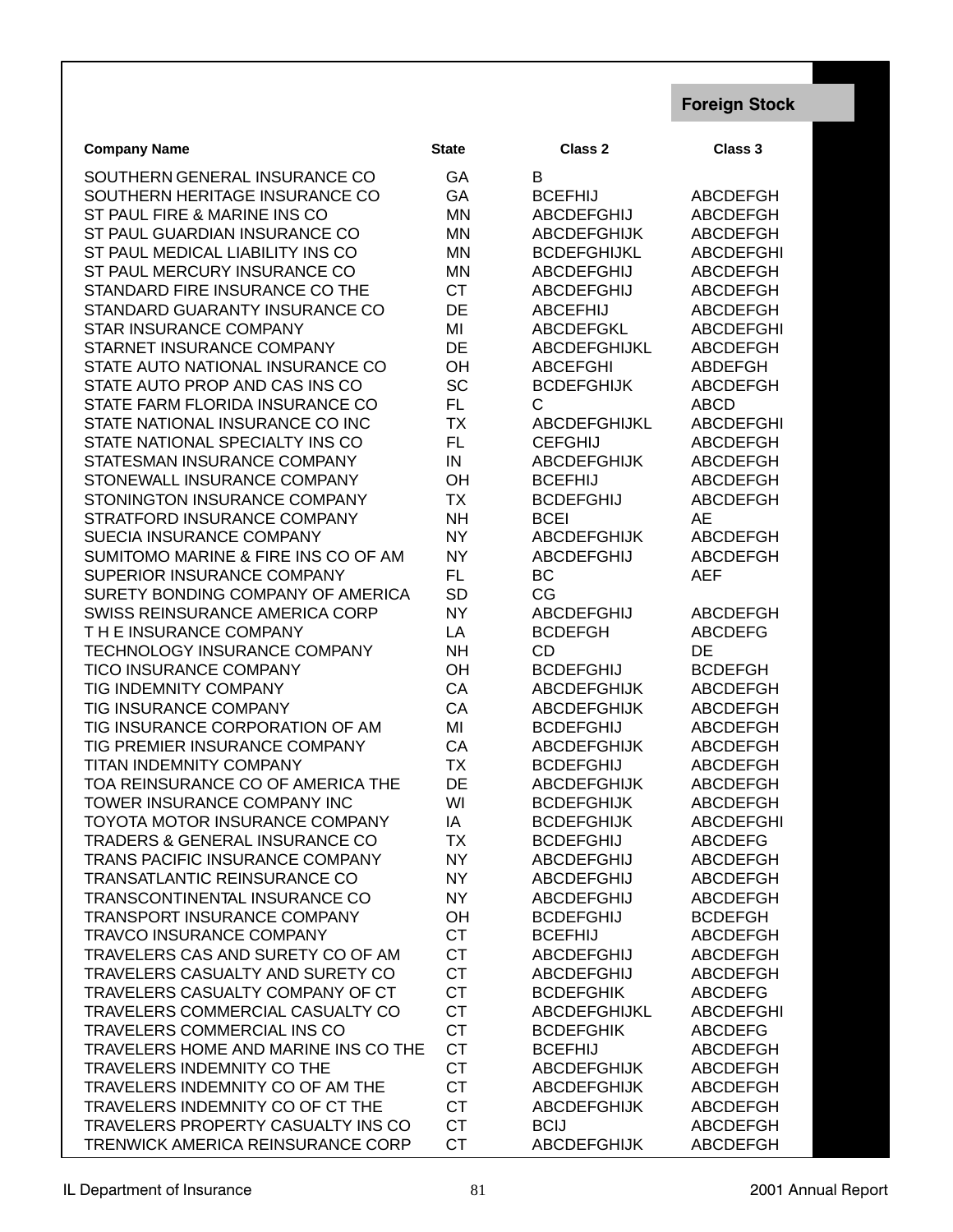| <b>Company Name</b>                  | <b>State</b> | Class 2             | Class 3          |
|--------------------------------------|--------------|---------------------|------------------|
| SOUTHERN GENERAL INSURANCE CO        | GA           | B                   |                  |
| SOUTHERN HERITAGE INSURANCE CO       | GA           | <b>BCEFHIJ</b>      | <b>ABCDEFGH</b>  |
| ST PAUL FIRE & MARINE INS CO         | MN           | <b>ABCDEFGHIJ</b>   | <b>ABCDEFGH</b>  |
| ST PAUL GUARDIAN INSURANCE CO        | <b>MN</b>    | <b>ABCDEFGHIJK</b>  | <b>ABCDEFGH</b>  |
| ST PAUL MEDICAL LIABILITY INS CO     | <b>MN</b>    | <b>BCDEFGHIJKL</b>  | <b>ABCDEFGHI</b> |
| ST PAUL MERCURY INSURANCE CO         | <b>MN</b>    | <b>ABCDEFGHIJ</b>   | <b>ABCDEFGH</b>  |
| STANDARD FIRE INSURANCE CO THE       | <b>CT</b>    | <b>ABCDEFGHIJ</b>   | <b>ABCDEFGH</b>  |
| STANDARD GUARANTY INSURANCE CO       | DE           | <b>ABCEFHIJ</b>     | <b>ABCDEFGH</b>  |
| <b>STAR INSURANCE COMPANY</b>        | MI           | <b>ABCDEFGKL</b>    | <b>ABCDEFGHI</b> |
| <b>STARNET INSURANCE COMPANY</b>     | DE           | <b>ABCDEFGHIJKL</b> | <b>ABCDEFGH</b>  |
| STATE AUTO NATIONAL INSURANCE CO     | OH           | <b>ABCEFGHI</b>     | <b>ABDEFGH</b>   |
| STATE AUTO PROP AND CAS INS CO       | <b>SC</b>    | <b>BCDEFGHIJK</b>   | <b>ABCDEFGH</b>  |
| STATE FARM FLORIDA INSURANCE CO      | <b>FL</b>    | $\mathsf{C}$        | <b>ABCD</b>      |
| STATE NATIONAL INSURANCE CO INC      | <b>TX</b>    | ABCDEFGHIJKL        | <b>ABCDEFGHI</b> |
| STATE NATIONAL SPECIALTY INS CO      | <b>FL</b>    | <b>CEFGHIJ</b>      | <b>ABCDEFGH</b>  |
| STATESMAN INSURANCE COMPANY          | IN           | <b>ABCDEFGHIJK</b>  | <b>ABCDEFGH</b>  |
| STONEWALL INSURANCE COMPANY          | OH           | <b>BCEFHIJ</b>      | <b>ABCDEFGH</b>  |
| STONINGTON INSURANCE COMPANY         | <b>TX</b>    | <b>BCDEFGHIJ</b>    | <b>ABCDEFGH</b>  |
| STRATFORD INSURANCE COMPANY          | <b>NH</b>    | <b>BCEI</b>         | <b>AE</b>        |
| SUECIA INSURANCE COMPANY             | <b>NY</b>    | <b>ABCDEFGHIJK</b>  | <b>ABCDEFGH</b>  |
| SUMITOMO MARINE & FIRE INS CO OF AM  | <b>NY</b>    | <b>ABCDEFGHIJ</b>   | <b>ABCDEFGH</b>  |
| SUPERIOR INSURANCE COMPANY           | <b>FL</b>    | <b>BC</b>           | <b>AEF</b>       |
| SURETY BONDING COMPANY OF AMERICA    | <b>SD</b>    | CG                  |                  |
| SWISS REINSURANCE AMERICA CORP       | <b>NY</b>    | <b>ABCDEFGHIJ</b>   | <b>ABCDEFGH</b>  |
| THE INSURANCE COMPANY                | LA           | <b>BCDEFGH</b>      | <b>ABCDEFG</b>   |
| TECHNOLOGY INSURANCE COMPANY         | <b>NH</b>    | <b>CD</b>           | DE               |
| <b>TICO INSURANCE COMPANY</b>        | OH           | <b>BCDEFGHIJ</b>    | <b>BCDEFGH</b>   |
| TIG INDEMNITY COMPANY                | CA           | <b>ABCDEFGHIJK</b>  | <b>ABCDEFGH</b>  |
| TIG INSURANCE COMPANY                | CA           | <b>ABCDEFGHIJK</b>  | <b>ABCDEFGH</b>  |
| TIG INSURANCE CORPORATION OF AM      | MI           | <b>BCDEFGHIJ</b>    | <b>ABCDEFGH</b>  |
| TIG PREMIER INSURANCE COMPANY        | CA           | <b>ABCDEFGHIJK</b>  | <b>ABCDEFGH</b>  |
| <b>TITAN INDEMNITY COMPANY</b>       | ТX           | <b>BCDEFGHIJ</b>    | <b>ABCDEFGH</b>  |
| TOA REINSURANCE CO OF AMERICA THE    | DE           | <b>ABCDEFGHIJK</b>  | <b>ABCDEFGH</b>  |
| TOWER INSURANCE COMPANY INC          | WI           | <b>BCDEFGHIJK</b>   | <b>ABCDEFGH</b>  |
| TOYOTA MOTOR INSURANCE COMPANY       | IA           | <b>BCDEFGHIJK</b>   | <b>ABCDEFGHI</b> |
| TRADERS & GENERAL INSURANCE CO       | <b>TX</b>    | <b>BCDEFGHIJ</b>    | <b>ABCDEFG</b>   |
| TRANS PACIFIC INSURANCE COMPANY      | NY.          | <b>ABCDEFGHIJ</b>   | <b>ABCDEFGH</b>  |
| TRANSATLANTIC REINSURANCE CO         | <b>NY</b>    | <b>ABCDEFGHIJ</b>   | <b>ABCDEFGH</b>  |
| TRANSCONTINENTAL INSURANCE CO        | <b>NY</b>    | <b>ABCDEFGHIJ</b>   | <b>ABCDEFGH</b>  |
| <b>TRANSPORT INSURANCE COMPANY</b>   | OH           | <b>BCDEFGHIJ</b>    | <b>BCDEFGH</b>   |
| TRAVCO INSURANCE COMPANY             | <b>CT</b>    | <b>BCEFHIJ</b>      | <b>ABCDEFGH</b>  |
| TRAVELERS CAS AND SURETY CO OF AM    | <b>CT</b>    | <b>ABCDEFGHIJ</b>   | <b>ABCDEFGH</b>  |
| TRAVELERS CASUALTY AND SURETY CO     | <b>CT</b>    | <b>ABCDEFGHIJ</b>   | <b>ABCDEFGH</b>  |
| TRAVELERS CASUALTY COMPANY OF CT     | <b>CT</b>    | <b>BCDEFGHIK</b>    | <b>ABCDEFG</b>   |
| TRAVELERS COMMERCIAL CASUALTY CO     | <b>CT</b>    | ABCDEFGHIJKL        | <b>ABCDEFGHI</b> |
| TRAVELERS COMMERCIAL INS CO          | <b>CT</b>    | <b>BCDEFGHIK</b>    | <b>ABCDEFG</b>   |
| TRAVELERS HOME AND MARINE INS CO THE | <b>CT</b>    | <b>BCEFHIJ</b>      | <b>ABCDEFGH</b>  |
| TRAVELERS INDEMNITY CO THE           | <b>CT</b>    | <b>ABCDEFGHIJK</b>  | <b>ABCDEFGH</b>  |
| TRAVELERS INDEMNITY CO OF AM THE     | <b>CT</b>    | <b>ABCDEFGHIJK</b>  | <b>ABCDEFGH</b>  |
| TRAVELERS INDEMNITY CO OF CT THE     | <b>CT</b>    | <b>ABCDEFGHIJK</b>  | <b>ABCDEFGH</b>  |
| TRAVELERS PROPERTY CASUALTY INS CO   | <b>CT</b>    | <b>BCIJ</b>         | <b>ABCDEFGH</b>  |
| TRENWICK AMERICA REINSURANCE CORP    | <b>CT</b>    | <b>ABCDEFGHIJK</b>  | <b>ABCDEFGH</b>  |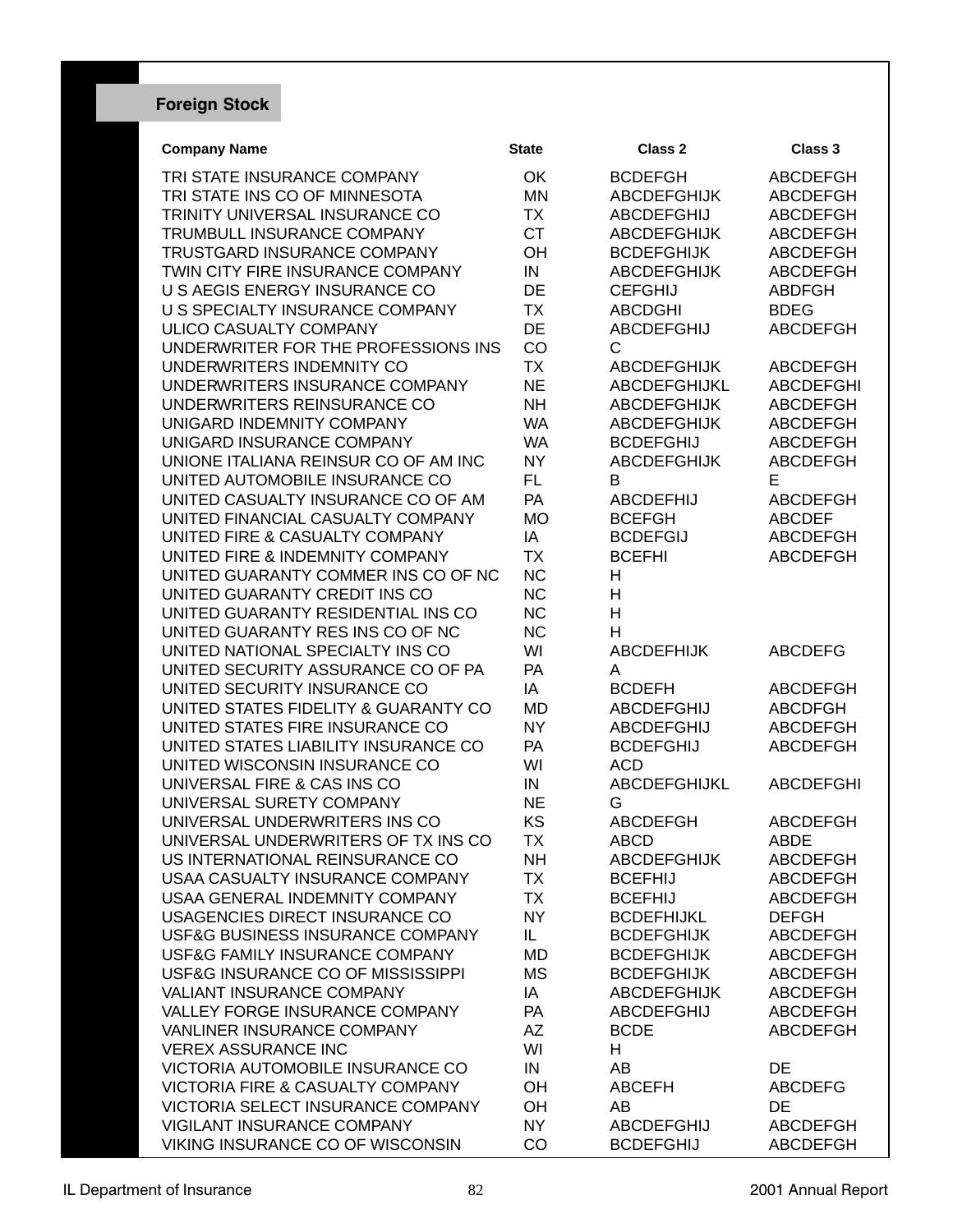| <b>Company Name</b>                                                  | <b>State</b>    | Class 2                            | Class 3                           |
|----------------------------------------------------------------------|-----------------|------------------------------------|-----------------------------------|
| TRI STATE INSURANCE COMPANY                                          | OK              | <b>BCDEFGH</b>                     | <b>ABCDEFGH</b>                   |
| TRI STATE INS CO OF MINNESOTA                                        | <b>MN</b>       | <b>ABCDEFGHIJK</b>                 | <b>ABCDEFGH</b>                   |
| TRINITY UNIVERSAL INSURANCE CO                                       | TX              | <b>ABCDEFGHIJ</b>                  | <b>ABCDEFGH</b>                   |
| TRUMBULL INSURANCE COMPANY                                           | <b>CT</b>       | <b>ABCDEFGHIJK</b>                 | <b>ABCDEFGH</b>                   |
| TRUSTGARD INSURANCE COMPANY                                          | OH              | <b>BCDEFGHIJK</b>                  | <b>ABCDEFGH</b>                   |
| TWIN CITY FIRE INSURANCE COMPANY                                     | IN              | <b>ABCDEFGHIJK</b>                 | <b>ABCDEFGH</b>                   |
| <b>U S AEGIS ENERGY INSURANCE CO</b>                                 | DE              | <b>CEFGHIJ</b>                     | <b>ABDFGH</b>                     |
| U S SPECIALTY INSURANCE COMPANY                                      | <b>TX</b>       | <b>ABCDGHI</b>                     | <b>BDEG</b>                       |
| ULICO CASUALTY COMPANY                                               | DE              | <b>ABCDEFGHIJ</b>                  | <b>ABCDEFGH</b>                   |
| UNDERWRITER FOR THE PROFESSIONS INS                                  | CO              | $\mathsf{C}$                       |                                   |
| UNDERWRITERS INDEMNITY CO                                            | <b>TX</b>       | <b>ABCDEFGHIJK</b>                 | <b>ABCDEFGH</b>                   |
| UNDERWRITERS INSURANCE COMPANY                                       | <b>NE</b>       | <b>ABCDEFGHIJKL</b>                | <b>ABCDEFGHI</b>                  |
| UNDERWRITERS REINSURANCE CO                                          | <b>NH</b>       | <b>ABCDEFGHIJK</b>                 | <b>ABCDEFGH</b>                   |
| UNIGARD INDEMNITY COMPANY                                            | <b>WA</b>       | <b>ABCDEFGHIJK</b>                 | <b>ABCDEFGH</b>                   |
| UNIGARD INSURANCE COMPANY                                            | <b>WA</b>       | <b>BCDEFGHIJ</b>                   | <b>ABCDEFGH</b>                   |
| UNIONE ITALIANA REINSUR CO OF AM INC                                 | <b>NY</b>       | <b>ABCDEFGHIJK</b>                 | <b>ABCDEFGH</b>                   |
| UNITED AUTOMOBILE INSURANCE CO                                       | <b>FL</b>       | B                                  | E                                 |
| UNITED CASUALTY INSURANCE CO OF AM                                   | PA              | <b>ABCDEFHIJ</b>                   | <b>ABCDEFGH</b>                   |
| UNITED FINANCIAL CASUALTY COMPANY                                    | <b>MO</b>       | <b>BCEFGH</b>                      | <b>ABCDEF</b>                     |
| UNITED FIRE & CASUALTY COMPANY                                       | IA              | <b>BCDEFGIJ</b>                    | <b>ABCDEFGH</b>                   |
| UNITED FIRE & INDEMNITY COMPANY                                      | ТX              | <b>BCEFHI</b>                      | <b>ABCDEFGH</b>                   |
| UNITED GUARANTY COMMER INS CO OF NC                                  | <b>NC</b>       | н                                  |                                   |
| UNITED GUARANTY CREDIT INS CO                                        | <b>NC</b>       | H                                  |                                   |
| UNITED GUARANTY RESIDENTIAL INS CO                                   | <b>NC</b>       | Η                                  |                                   |
| UNITED GUARANTY RES INS CO OF NC                                     | <b>NC</b>       | H                                  |                                   |
| UNITED NATIONAL SPECIALTY INS CO                                     | WI              | <b>ABCDEFHIJK</b>                  | <b>ABCDEFG</b>                    |
| UNITED SECURITY ASSURANCE CO OF PA                                   | <b>PA</b>       | A                                  |                                   |
| UNITED SECURITY INSURANCE CO<br>UNITED STATES FIDELITY & GUARANTY CO | ΙA<br><b>MD</b> | <b>BCDEFH</b><br><b>ABCDEFGHIJ</b> | <b>ABCDEFGH</b><br><b>ABCDFGH</b> |
| UNITED STATES FIRE INSURANCE CO                                      | <b>NY</b>       | <b>ABCDEFGHIJ</b>                  | <b>ABCDEFGH</b>                   |
| UNITED STATES LIABILITY INSURANCE CO                                 | PA              | <b>BCDEFGHIJ</b>                   | <b>ABCDEFGH</b>                   |
| UNITED WISCONSIN INSURANCE CO                                        | WI              | <b>ACD</b>                         |                                   |
| UNIVERSAL FIRE & CAS INS CO                                          | IN              | <b>ABCDEFGHIJKL</b>                | <b>ABCDEFGHI</b>                  |
| UNIVERSAL SURETY COMPANY                                             | <b>NE</b>       | G                                  |                                   |
| UNIVERSAL UNDERWRITERS INS CO                                        | KS              | <b>ABCDEFGH</b>                    | <b>ABCDEFGH</b>                   |
| UNIVERSAL UNDERWRITERS OF TX INS CO                                  | TX              | <b>ABCD</b>                        | ABDE                              |
| US INTERNATIONAL REINSURANCE CO                                      | <b>NH</b>       | <b>ABCDEFGHIJK</b>                 | <b>ABCDEFGH</b>                   |
| USAA CASUALTY INSURANCE COMPANY                                      | TX              | <b>BCEFHIJ</b>                     | <b>ABCDEFGH</b>                   |
| USAA GENERAL INDEMNITY COMPANY                                       | TX              | <b>BCEFHIJ</b>                     | <b>ABCDEFGH</b>                   |
| USAGENCIES DIRECT INSURANCE CO                                       | NY              | <b>BCDEFHIJKL</b>                  | <b>DEFGH</b>                      |
| USF&G BUSINESS INSURANCE COMPANY                                     | IL.             | <b>BCDEFGHIJK</b>                  | <b>ABCDEFGH</b>                   |
| USF&G FAMILY INSURANCE COMPANY                                       | MD              | <b>BCDEFGHIJK</b>                  | <b>ABCDEFGH</b>                   |
| USF&G INSURANCE CO OF MISSISSIPPI                                    | МS              | <b>BCDEFGHIJK</b>                  | <b>ABCDEFGH</b>                   |
| <b>VALIANT INSURANCE COMPANY</b>                                     | IA              | <b>ABCDEFGHIJK</b>                 | <b>ABCDEFGH</b>                   |
| VALLEY FORGE INSURANCE COMPANY                                       | PA              | <b>ABCDEFGHIJ</b>                  | <b>ABCDEFGH</b>                   |
| VANLINER INSURANCE COMPANY                                           | AΖ              | <b>BCDE</b>                        | <b>ABCDEFGH</b>                   |
| <b>VEREX ASSURANCE INC</b>                                           | WI              | H                                  |                                   |
| VICTORIA AUTOMOBILE INSURANCE CO                                     | IN              | AB                                 | DE                                |
| VICTORIA FIRE & CASUALTY COMPANY                                     | OH              | <b>ABCEFH</b>                      | <b>ABCDEFG</b>                    |
| VICTORIA SELECT INSURANCE COMPANY                                    | OH              | AB                                 | DE                                |
| <b>VIGILANT INSURANCE COMPANY</b>                                    | NY.             | <b>ABCDEFGHIJ</b>                  | <b>ABCDEFGH</b>                   |
| VIKING INSURANCE CO OF WISCONSIN                                     | CO              | <b>BCDEFGHIJ</b>                   | ABCDEFGH                          |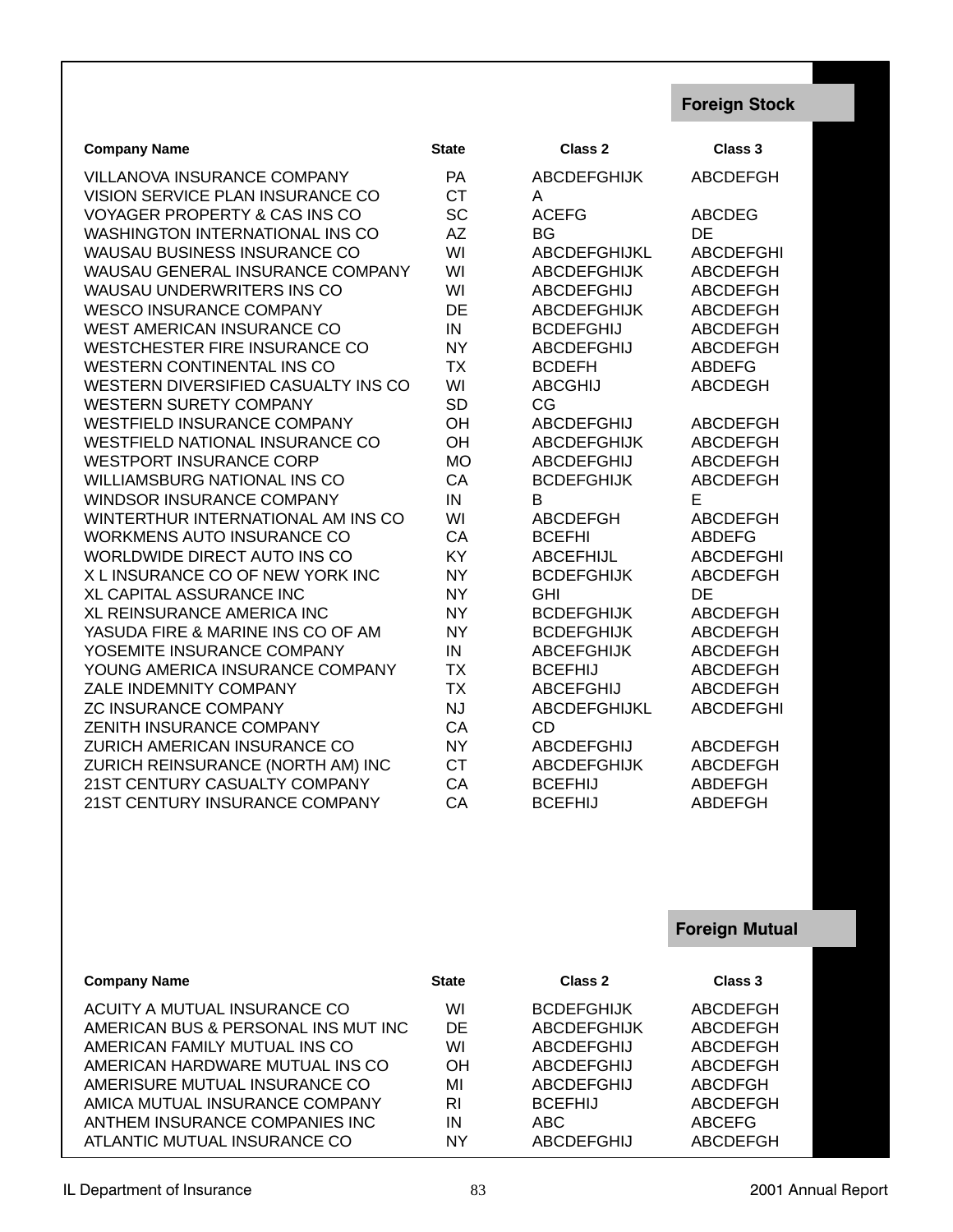| <b>Company Name</b>                    | <b>State</b> | Class <sub>2</sub>  | Class 3          |
|----------------------------------------|--------------|---------------------|------------------|
| VILLANOVA INSURANCE COMPANY            | PA           | <b>ABCDEFGHIJK</b>  | <b>ABCDEFGH</b>  |
| VISION SERVICE PLAN INSURANCE CO       | <b>CT</b>    | A                   |                  |
| VOYAGER PROPERTY & CAS INS CO          | <b>SC</b>    | <b>ACEFG</b>        | <b>ABCDEG</b>    |
| <b>WASHINGTON INTERNATIONAL INS CO</b> | <b>AZ</b>    | <b>BG</b>           | DE               |
| <b>WAUSAU BUSINESS INSURANCE CO</b>    | WI           | <b>ABCDEFGHIJKL</b> | <b>ABCDEFGHI</b> |
| WAUSAU GENERAL INSURANCE COMPANY       | WI           | <b>ABCDEFGHIJK</b>  | <b>ABCDEFGH</b>  |
| <b>WAUSAU UNDERWRITERS INS CO</b>      | WI           | <b>ABCDEFGHIJ</b>   | <b>ABCDEFGH</b>  |
| <b>WESCO INSURANCE COMPANY</b>         | DE           | <b>ABCDEFGHIJK</b>  | <b>ABCDEFGH</b>  |
| <b>WEST AMERICAN INSURANCE CO</b>      | IN           | <b>BCDEFGHIJ</b>    | <b>ABCDEFGH</b>  |
| <b>WESTCHESTER FIRE INSURANCE CO</b>   | <b>NY</b>    | <b>ABCDEFGHIJ</b>   | <b>ABCDEFGH</b>  |
| <b>WESTERN CONTINENTAL INS CO</b>      | <b>TX</b>    | <b>BCDEFH</b>       | <b>ABDEFG</b>    |
| WESTERN DIVERSIFIED CASUALTY INS CO    | WI           | <b>ABCGHIJ</b>      | <b>ABCDEGH</b>   |
| <b>WESTERN SURETY COMPANY</b>          | <b>SD</b>    | CG                  |                  |
| <b>WESTFIELD INSURANCE COMPANY</b>     | OH           | <b>ABCDEFGHIJ</b>   | <b>ABCDEFGH</b>  |
| <b>WESTFIELD NATIONAL INSURANCE CO</b> | OH           | <b>ABCDEFGHIJK</b>  | <b>ABCDEFGH</b>  |
| <b>WESTPORT INSURANCE CORP</b>         | <b>MO</b>    | <b>ABCDEFGHIJ</b>   | <b>ABCDEFGH</b>  |
| <b>WILLIAMSBURG NATIONAL INS CO</b>    | CA           | <b>BCDEFGHIJK</b>   | <b>ABCDEFGH</b>  |
| WINDSOR INSURANCE COMPANY              | IN           | B                   | E                |
| WINTERTHUR INTERNATIONAL AM INS CO     | WI           | <b>ABCDEFGH</b>     | <b>ABCDEFGH</b>  |
| <b>WORKMENS AUTO INSURANCE CO</b>      | CA           | <b>BCEFHI</b>       | <b>ABDEFG</b>    |
| <b>WORLDWIDE DIRECT AUTO INS CO</b>    | <b>KY</b>    | <b>ABCEFHIJL</b>    | <b>ABCDEFGHI</b> |
| X L INSURANCE CO OF NEW YORK INC       | <b>NY</b>    | <b>BCDEFGHIJK</b>   | <b>ABCDEFGH</b>  |
| XL CAPITAL ASSURANCE INC               | <b>NY</b>    | <b>GHI</b>          | DE               |
| <b>XL REINSURANCE AMERICA INC</b>      | <b>NY</b>    | <b>BCDEFGHIJK</b>   | <b>ABCDEFGH</b>  |
| YASUDA FIRE & MARINE INS CO OF AM      | <b>NY</b>    | <b>BCDEFGHIJK</b>   | <b>ABCDEFGH</b>  |
| YOSEMITE INSURANCE COMPANY             | IN           | <b>ABCEFGHIJK</b>   | <b>ABCDEFGH</b>  |
| YOUNG AMERICA INSURANCE COMPANY        | <b>TX</b>    | <b>BCEFHIJ</b>      | <b>ABCDEFGH</b>  |
| ZALE INDEMNITY COMPANY                 | <b>TX</b>    | <b>ABCEFGHIJ</b>    | <b>ABCDEFGH</b>  |
| <b>ZC INSURANCE COMPANY</b>            | <b>NJ</b>    | <b>ABCDEFGHIJKL</b> | <b>ABCDEFGHI</b> |
| <b>ZENITH INSURANCE COMPANY</b>        | CA           | <b>CD</b>           |                  |
| ZURICH AMERICAN INSURANCE CO           | <b>NY</b>    | <b>ABCDEFGHIJ</b>   | <b>ABCDEFGH</b>  |
| ZURICH REINSURANCE (NORTH AM) INC      | <b>CT</b>    | <b>ABCDEFGHIJK</b>  | <b>ABCDEFGH</b>  |
| 21ST CENTURY CASUALTY COMPANY          | CA           | <b>BCEFHIJ</b>      | <b>ABDEFGH</b>   |
| 21ST CENTURY INSURANCE COMPANY         | CA           | <b>BCEFHIJ</b>      | <b>ABDEFGH</b>   |

#### **Foreign Mutual**

| <b>State</b> | Class 2            | Class 3  |
|--------------|--------------------|----------|
| WI           | <b>BCDEFGHIJK</b>  | ABCDEFGH |
| DE.          | <b>ABCDEFGHIJK</b> | ABCDEFGH |
| WI           | ABCDEFGHIJ         | ABCDEFGH |
| OН           | ABCDEFGHIJ         | ABCDEFGH |
| MI           | ABCDEFGHIJ         | ABCDFGH  |
| RI           | <b>BCEFHIJ</b>     | ABCDEFGH |
| IN           | ABC.               | ABCEFG   |
| ΝY           | <b>ABCDEFGHIJ</b>  | ABCDEFGH |
|              |                    |          |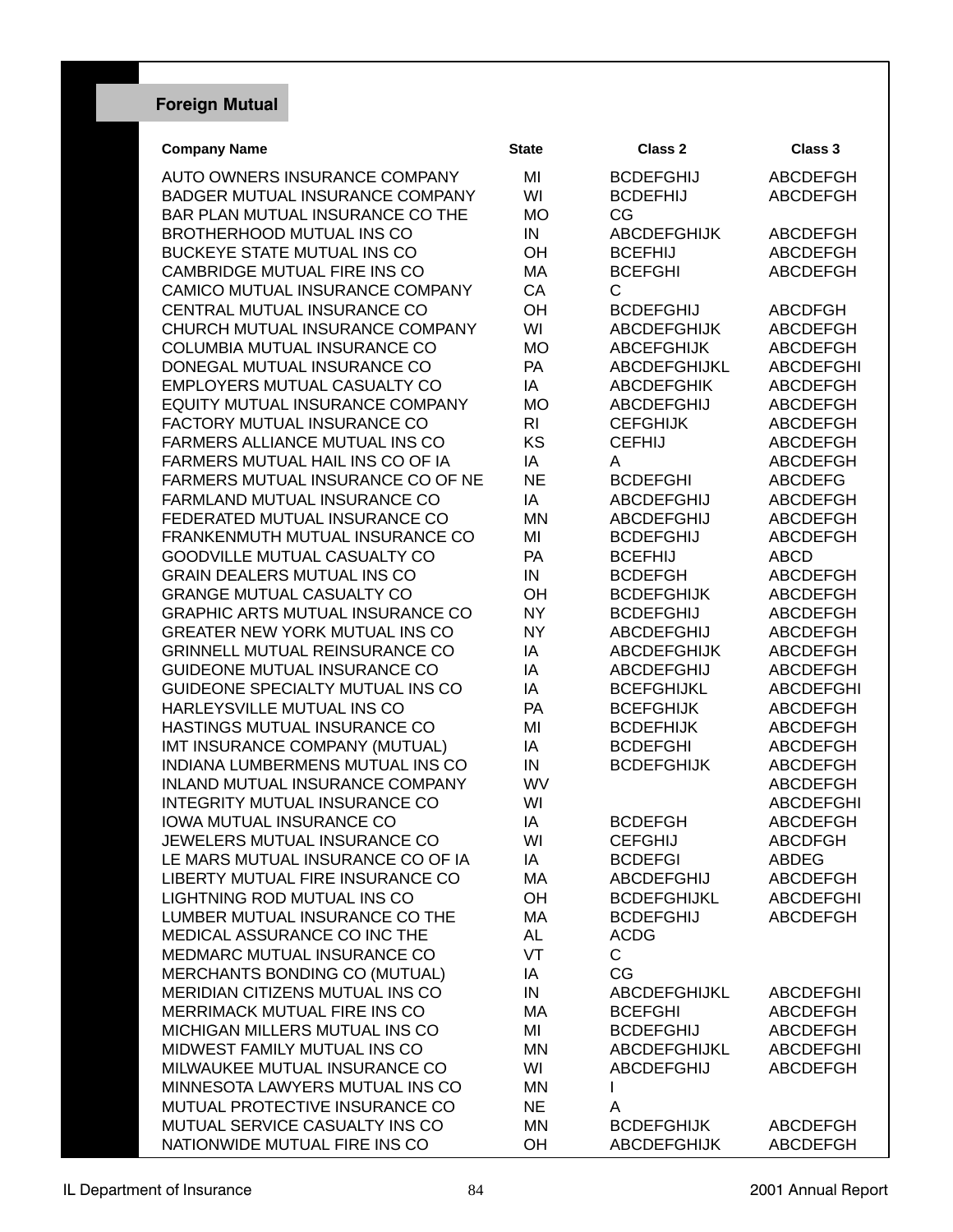#### **Foreign Mutual**

| <b>Company Name</b>                                                        | <b>State</b>    | Class 2            | Class 3                            |
|----------------------------------------------------------------------------|-----------------|--------------------|------------------------------------|
| AUTO OWNERS INSURANCE COMPANY                                              | MI              | <b>BCDEFGHIJ</b>   | <b>ABCDEFGH</b>                    |
| BADGER MUTUAL INSURANCE COMPANY                                            | WI              | <b>BCDEFHIJ</b>    | <b>ABCDEFGH</b>                    |
| BAR PLAN MUTUAL INSURANCE CO THE                                           | <b>MO</b>       | CG                 |                                    |
| BROTHERHOOD MUTUAL INS CO                                                  | IN              | <b>ABCDEFGHIJK</b> | <b>ABCDEFGH</b>                    |
| BUCKEYE STATE MUTUAL INS CO                                                | OH              | <b>BCEFHIJ</b>     | <b>ABCDEFGH</b>                    |
| CAMBRIDGE MUTUAL FIRE INS CO                                               | MA              | <b>BCEFGHI</b>     | <b>ABCDEFGH</b>                    |
| CAMICO MUTUAL INSURANCE COMPANY                                            | CA              | C                  |                                    |
| CENTRAL MUTUAL INSURANCE CO                                                | OH              | <b>BCDEFGHIJ</b>   | <b>ABCDFGH</b>                     |
| CHURCH MUTUAL INSURANCE COMPANY                                            | WI              | <b>ABCDEFGHIJK</b> | <b>ABCDEFGH</b>                    |
| COLUMBIA MUTUAL INSURANCE CO                                               | <b>MO</b>       | <b>ABCEFGHIJK</b>  | <b>ABCDEFGH</b>                    |
| DONEGAL MUTUAL INSURANCE CO                                                | PA              | ABCDEFGHIJKL       | <b>ABCDEFGHI</b>                   |
| EMPLOYERS MUTUAL CASUALTY CO                                               | IA              | <b>ABCDEFGHIK</b>  | <b>ABCDEFGH</b>                    |
| EQUITY MUTUAL INSURANCE COMPANY                                            | <b>MO</b>       | <b>ABCDEFGHIJ</b>  | <b>ABCDEFGH</b>                    |
| FACTORY MUTUAL INSURANCE CO                                                | R <sub>l</sub>  | <b>CEFGHIJK</b>    | <b>ABCDEFGH</b>                    |
| <b>FARMERS ALLIANCE MUTUAL INS CO</b>                                      | KS              | <b>CEFHIJ</b>      | <b>ABCDEFGH</b>                    |
| FARMERS MUTUAL HAIL INS CO OF IA                                           | IA              | A                  | <b>ABCDEFGH</b>                    |
| FARMERS MUTUAL INSURANCE CO OF NE                                          | <b>NE</b>       | <b>BCDEFGHI</b>    | <b>ABCDEFG</b>                     |
| <b>FARMLAND MUTUAL INSURANCE CO</b>                                        | IA              | <b>ABCDEFGHIJ</b>  | <b>ABCDEFGH</b>                    |
| FEDERATED MUTUAL INSURANCE CO                                              | <b>MN</b>       | <b>ABCDEFGHIJ</b>  | <b>ABCDEFGH</b>                    |
| FRANKENMUTH MUTUAL INSURANCE CO                                            | MI              | <b>BCDEFGHIJ</b>   | <b>ABCDEFGH</b>                    |
| GOODVILLE MUTUAL CASUALTY CO                                               | PA              | <b>BCEFHIJ</b>     | <b>ABCD</b>                        |
| <b>GRAIN DEALERS MUTUAL INS CO</b>                                         | IN              | <b>BCDEFGH</b>     | <b>ABCDEFGH</b>                    |
| <b>GRANGE MUTUAL CASUALTY CO</b>                                           | OH              | <b>BCDEFGHIJK</b>  | <b>ABCDEFGH</b>                    |
| <b>GRAPHIC ARTS MUTUAL INSURANCE CO</b>                                    | <b>NY</b>       | <b>BCDEFGHIJ</b>   | <b>ABCDEFGH</b>                    |
| GREATER NEW YORK MUTUAL INS CO                                             | <b>NY</b>       | <b>ABCDEFGHIJ</b>  | <b>ABCDEFGH</b>                    |
| <b>GRINNELL MUTUAL REINSURANCE CO</b>                                      | IA              | <b>ABCDEFGHIJK</b> | <b>ABCDEFGH</b>                    |
| GUIDEONE MUTUAL INSURANCE CO                                               | IA              | <b>ABCDEFGHIJ</b>  | ABCDEFGH                           |
| GUIDEONE SPECIALTY MUTUAL INS CO                                           | IA              | <b>BCEFGHIJKL</b>  | <b>ABCDEFGHI</b>                   |
| HARLEYSVILLE MUTUAL INS CO                                                 | PA              | <b>BCEFGHIJK</b>   | <b>ABCDEFGH</b>                    |
| HASTINGS MUTUAL INSURANCE CO                                               | MI              | <b>BCDEFHIJK</b>   | <b>ABCDEFGH</b>                    |
| IMT INSURANCE COMPANY (MUTUAL)                                             | IA              | <b>BCDEFGHI</b>    | <b>ABCDEFGH</b>                    |
| INDIANA LUMBERMENS MUTUAL INS CO<br><b>INLAND MUTUAL INSURANCE COMPANY</b> | IN<br><b>WV</b> | <b>BCDEFGHIJK</b>  | <b>ABCDEFGH</b><br><b>ABCDEFGH</b> |
| <b>INTEGRITY MUTUAL INSURANCE CO</b>                                       | WI              |                    | <b>ABCDEFGHI</b>                   |
| <b>IOWA MUTUAL INSURANCE CO</b>                                            | IA              | <b>BCDEFGH</b>     | <b>ABCDEFGH</b>                    |
| JEWELERS MUTUAL INSURANCE CO                                               | WI              | <b>CEFGHIJ</b>     | ABCDFGH                            |
| LE MARS MUTUAL INSURANCE CO OF IA                                          | ΙA              | <b>BCDEFGI</b>     | <b>ABDEG</b>                       |
| LIBERTY MUTUAL FIRE INSURANCE CO                                           | МA              | <b>ABCDEFGHIJ</b>  | ABCDEFGH                           |
| LIGHTNING ROD MUTUAL INS CO                                                | OH              | <b>BCDEFGHIJKL</b> | <b>ABCDEFGHI</b>                   |
| LUMBER MUTUAL INSURANCE CO THE                                             | МA              | <b>BCDEFGHIJ</b>   | <b>ABCDEFGH</b>                    |
| MEDICAL ASSURANCE CO INC THE                                               | AL              | <b>ACDG</b>        |                                    |
| MEDMARC MUTUAL INSURANCE CO                                                | VT              | С                  |                                    |
| MERCHANTS BONDING CO (MUTUAL)                                              | ΙA              | CG                 |                                    |
| MERIDIAN CITIZENS MUTUAL INS CO                                            | IN              | ABCDEFGHIJKL       | <b>ABCDEFGHI</b>                   |
| <b>MERRIMACK MUTUAL FIRE INS CO</b>                                        | МA              | <b>BCEFGHI</b>     | ABCDEFGH                           |
| MICHIGAN MILLERS MUTUAL INS CO                                             | MI              | <b>BCDEFGHIJ</b>   | <b>ABCDEFGH</b>                    |
| MIDWEST FAMILY MUTUAL INS CO                                               | ΜN              | ABCDEFGHIJKL       | <b>ABCDEFGHI</b>                   |
| MILWAUKEE MUTUAL INSURANCE CO                                              | WI              | <b>ABCDEFGHIJ</b>  | <b>ABCDEFGH</b>                    |
| MINNESOTA LAWYERS MUTUAL INS CO                                            | ΜN              |                    |                                    |
| MUTUAL PROTECTIVE INSURANCE CO                                             | <b>NE</b>       | A                  |                                    |
| MUTUAL SERVICE CASUALTY INS CO                                             | ΜN              | <b>BCDEFGHIJK</b>  | <b>ABCDEFGH</b>                    |
| NATIONWIDE MUTUAL FIRE INS CO                                              | OH              | <b>ABCDEFGHIJK</b> | <b>ABCDEFGH</b>                    |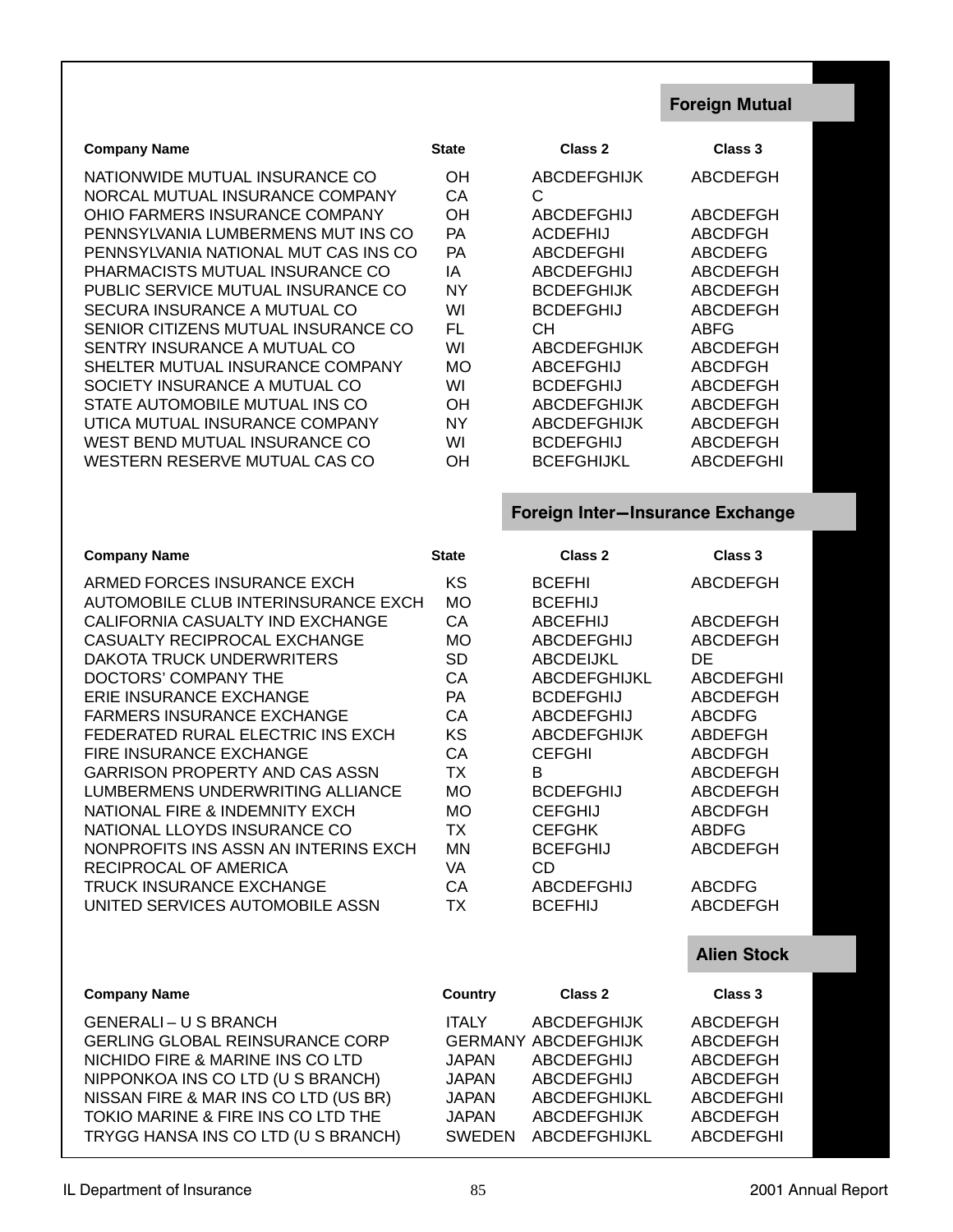#### **Foreign Mutual**

| <b>Company Name</b>                  | <b>State</b> | Class 2            | Class 3         |
|--------------------------------------|--------------|--------------------|-----------------|
| NATIONWIDE MUTUAL INSURANCE CO       | OН           | <b>ABCDEFGHIJK</b> | <b>ABCDEFGH</b> |
| NORCAL MUTUAL INSURANCE COMPANY      | CА           | С                  |                 |
| OHIO FARMERS INSURANCE COMPANY       | OН           | <b>ABCDEFGHIJ</b>  | <b>ABCDEFGH</b> |
| PENNSYLVANIA LUMBERMENS MUT INS CO   | PA           | <b>ACDEFHIJ</b>    | <b>ABCDFGH</b>  |
| PENNSYLVANIA NATIONAL MUT CAS INS CO | PA           | <b>ABCDEFGHI</b>   | <b>ABCDEFG</b>  |
| PHARMACISTS MUTUAL INSURANCE CO      | ΙA           | <b>ABCDEFGHIJ</b>  | ABCDEFGH        |
| PUBLIC SERVICE MUTUAL INSURANCE CO   | NY           | <b>BCDEFGHIJK</b>  | ABCDEFGH        |
| SECURA INSURANCE A MUTUAL CO         | WI           | <b>BCDEFGHIJ</b>   | ABCDEFGH        |
| SENIOR CITIZENS MUTUAL INSURANCE CO  | FL           | CН                 | ABFG            |
| SENTRY INSURANCE A MUTUAL CO         | WI           | ABCDEFGHIJK        | ABCDEFGH        |
| SHELTER MUTUAL INSURANCE COMPANY     | MO.          | <b>ABCEFGHIJ</b>   | <b>ABCDFGH</b>  |
| SOCIETY INSURANCE A MUTUAL CO        | WI           | <b>BCDEFGHIJ</b>   | ABCDEFGH        |
| STATE AUTOMOBILE MUTUAL INS CO       | OН           | ABCDEFGHIJK        | <b>ABCDEFGH</b> |
| UTICA MUTUAL INSURANCE COMPANY       | NY           | <b>ABCDEFGHIJK</b> | ABCDEFGH        |
| WEST BEND MUTUAL INSURANCE CO        | WI           | <b>BCDEFGHIJ</b>   | ABCDEFGH        |
| WESTERN RESERVE MUTUAL CAS CO        | OН           | <b>BCEFGHIJKL</b>  | ABCDEFGHI       |

| Class <sub>2</sub> | Class 3         |
|--------------------|-----------------|
| <b>ABCDEFGHIJK</b> | ABCDEFGH        |
| C                  |                 |
| <b>ABCDEFGHIJ</b>  | ABCDEFGH        |
| ACDEFHIJ           | ABCDFGH         |
| <b>ABCDEFGHI</b>   | <b>ABCDEFG</b>  |
| <b>ABCDEFGHIJ</b>  | ABCDEFGH        |
| BCDEFGHIJK         | <b>ABCDEFGH</b> |
| BCDEFGHIJ          | ABCDEFGH        |
| CН                 | ABFG            |
| ABCDEFGHIJK        | ABCDEFGH        |
| <b>ABCEFGHIJ</b>   | ABCDFGH         |
| BCDEFGHIJ          | ABCDEFGH        |
| <b>ABCDEFGHIJK</b> | ABCDEFGH        |
| <b>ABCDEFGHIJK</b> | ABCDEFGH        |
| BCDEFGHIJ          | ABCDEFGH        |
| BCEFGHIJKL         | ABCDEFGHI       |
|                    |                 |

#### Foreign Inter-Insurance Exchange

| <b>Company Name</b>                    | <b>State</b> | Class <sub>2</sub>         | Class 3            |
|----------------------------------------|--------------|----------------------------|--------------------|
| ARMED FORCES INSURANCE EXCH            | <b>KS</b>    | <b>BCEFHI</b>              | <b>ABCDEFGH</b>    |
| AUTOMOBILE CLUB INTERINSURANCE EXCH    | <b>MO</b>    | <b>BCEFHIJ</b>             |                    |
| CALIFORNIA CASUALTY IND EXCHANGE       | CA           | <b>ABCEFHIJ</b>            | <b>ABCDEFGH</b>    |
| CASUALTY RECIPROCAL EXCHANGE           | <b>MO</b>    | <b>ABCDEFGHIJ</b>          | <b>ABCDEFGH</b>    |
| DAKOTA TRUCK UNDERWRITERS              | <b>SD</b>    | <b>ABCDEIJKL</b>           | DE                 |
| DOCTORS' COMPANY THE                   | CA           | <b>ABCDEFGHIJKL</b>        | <b>ABCDEFGHI</b>   |
| ERIE INSURANCE EXCHANGE                | PA           | <b>BCDEFGHIJ</b>           | <b>ABCDEFGH</b>    |
| <b>FARMERS INSURANCE EXCHANGE</b>      | CA           | <b>ABCDEFGHIJ</b>          | <b>ABCDFG</b>      |
| FEDERATED RURAL ELECTRIC INS EXCH      | KS           | <b>ABCDEFGHIJK</b>         | ABDEFGH            |
| <b>FIRE INSURANCE EXCHANGE</b>         | CA           | <b>CEFGHI</b>              | <b>ABCDFGH</b>     |
| <b>GARRISON PROPERTY AND CAS ASSN</b>  | <b>TX</b>    | B                          | <b>ABCDEFGH</b>    |
| LUMBERMENS UNDERWRITING ALLIANCE       | МO           | <b>BCDEFGHIJ</b>           | <b>ABCDEFGH</b>    |
| NATIONAL FIRE & INDEMNITY EXCH         | <b>MO</b>    | <b>CEFGHIJ</b>             | <b>ABCDFGH</b>     |
| NATIONAL LLOYDS INSURANCE CO           | <b>TX</b>    | <b>CEFGHK</b>              | <b>ABDFG</b>       |
| NONPROFITS INS ASSN AN INTERINS EXCH   | MN           | <b>BCEFGHIJ</b>            | <b>ABCDEFGH</b>    |
| RECIPROCAL OF AMERICA                  | <b>VA</b>    | CD                         |                    |
| <b>TRUCK INSURANCE EXCHANGE</b>        | CA           | <b>ABCDEFGHIJ</b>          | <b>ABCDFG</b>      |
| UNITED SERVICES AUTOMOBILE ASSN        | <b>TX</b>    | <b>BCEFHIJ</b>             | ABCDEFGH           |
|                                        |              |                            |                    |
|                                        |              |                            | <b>Alien Stock</b> |
| <b>Company Name</b>                    | Country      | Class 2                    | Class 3            |
| <b>GENERALI – U S BRANCH</b>           | <b>ITALY</b> | <b>ABCDEFGHIJK</b>         | <b>ABCDEFGH</b>    |
| <b>GERLING GLOBAL REINSURANCE CORP</b> |              | <b>GERMANY ABCDEFGHIJK</b> | <b>ABCDEFGH</b>    |
| NICHIDO FIRE & MARINE INS CO LTD       | JAPAN        | <b>ABCDEFGHIJ</b>          | <b>ABCDEFGH</b>    |

NIPPONKOA INS CO LTD (U S BRANCH) JAPAN ABCDEFGHIJ ABCDEFGH NISSAN FIRE & MAR INS CO LTD (US BR) JAPAN ABCDEFGHIJKL ABCDEFGHI TOKIO MARINE & FIRE INS CO LTD THE JAPAN ABCDEFGHIJK ABCDEFGH TRYGG HANSA INS CO LTD (U S BRANCH) SWEDEN ABCDEFGHIJKL ABCDEFGHI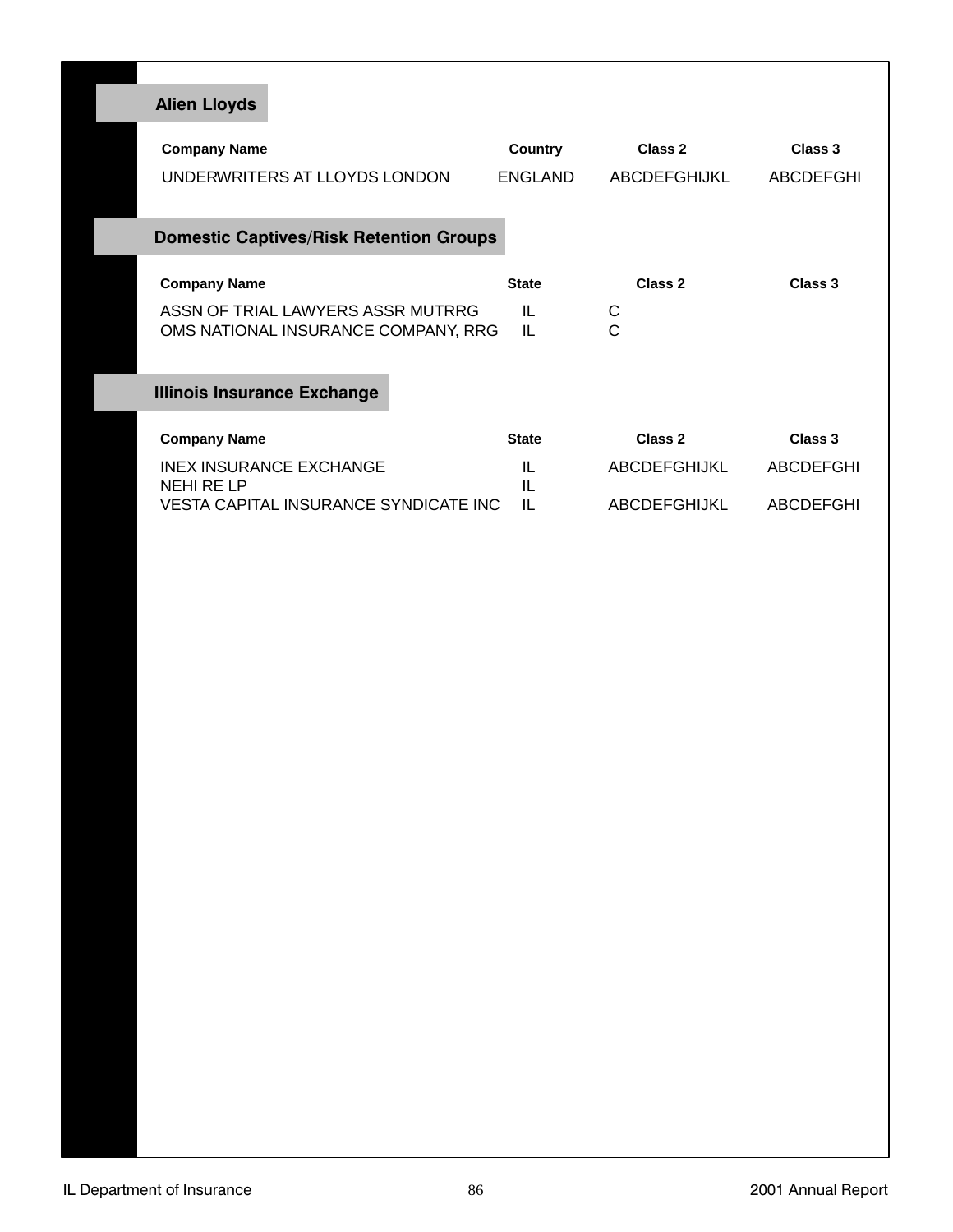#### **Alien Lloyds**

| <b>Company Name</b><br>UNDERWRITERS AT LLOYDS LONDON                                            | Country<br><b>ENGLAND</b> | Class 2<br>ABCDEFGHIJKL | Class 3<br><b>ABCDEFGHI</b> |
|-------------------------------------------------------------------------------------------------|---------------------------|-------------------------|-----------------------------|
| <b>Domestic Captives/Risk Retention Groups</b>                                                  |                           |                         |                             |
| <b>Company Name</b><br>ASSN OF TRIAL LAWYERS ASSR MUTRRG<br>OMS NATIONAL INSURANCE COMPANY, RRG | <b>State</b><br>IL<br>IL  | Class 2<br>С<br>C       | Class 3                     |
| <b>Illinois Insurance Exchange</b>                                                              |                           |                         |                             |
| <b>Company Name</b>                                                                             | <b>State</b>              | Class <sub>2</sub>      | Class 3                     |
| <b>INEX INSURANCE EXCHANGE</b><br><b>NEHI RE LP</b>                                             | IL<br>IL                  | <b>ABCDEFGHIJKL</b>     | <b>ABCDEFGHI</b>            |
| VESTA CAPITAL INSURANCE SYNDICATE INC                                                           | IL                        | ABCDEFGHIJKL            | ABCDEFGHI                   |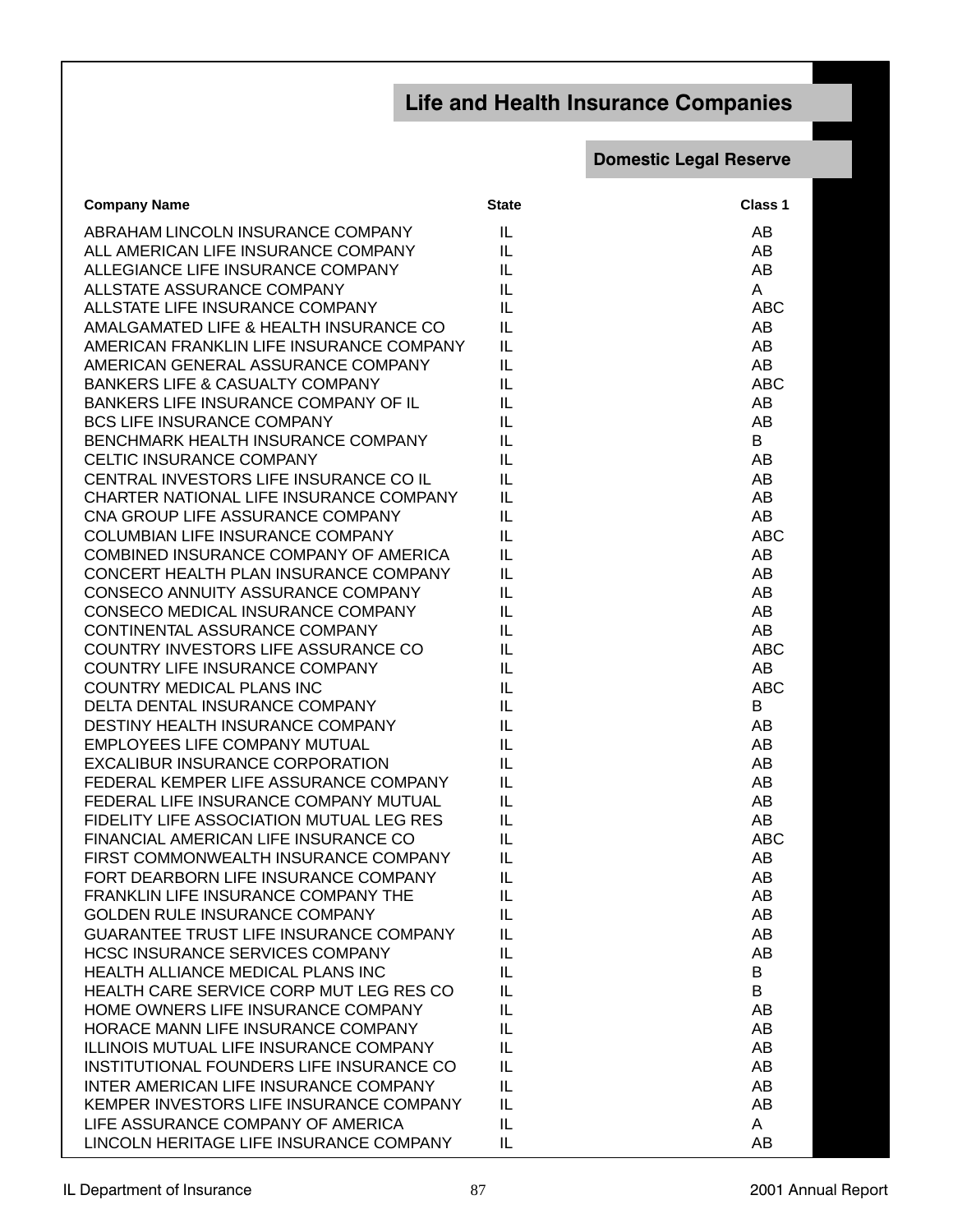### Life and Health Insurance Companies

#### **Domestic Legal Reserve**

| <b>Company Name</b>                           | <b>State</b> | Class 1    |
|-----------------------------------------------|--------------|------------|
| ABRAHAM LINCOLN INSURANCE COMPANY             | IL           | AB         |
| ALL AMERICAN LIFE INSURANCE COMPANY           | IL.          | AB         |
| ALLEGIANCE LIFE INSURANCE COMPANY             | IL.          | AB         |
| ALLSTATE ASSURANCE COMPANY                    | IL.          | A          |
| ALLSTATE LIFE INSURANCE COMPANY               | IL.          | <b>ABC</b> |
| AMALGAMATED LIFE & HEALTH INSURANCE CO        | IL           | AB         |
| AMERICAN FRANKLIN LIFE INSURANCE COMPANY      | IL.          | AB         |
| AMERICAN GENERAL ASSURANCE COMPANY            | IL.          | AB         |
| <b>BANKERS LIFE &amp; CASUALTY COMPANY</b>    | IL.          | <b>ABC</b> |
| BANKERS LIFE INSURANCE COMPANY OF IL          | IL.          | AB         |
| <b>BCS LIFE INSURANCE COMPANY</b>             | IL.          | AB         |
| BENCHMARK HEALTH INSURANCE COMPANY            | IL.          | B          |
| CELTIC INSURANCE COMPANY                      | IL.          | AB         |
| CENTRAL INVESTORS LIFE INSURANCE CO IL        | IL.          | AB         |
| CHARTER NATIONAL LIFE INSURANCE COMPANY       | IL.          | AB         |
|                                               | IL.          | AB         |
| CNA GROUP LIFE ASSURANCE COMPANY              |              |            |
| COLUMBIAN LIFE INSURANCE COMPANY              | IL.          | <b>ABC</b> |
| COMBINED INSURANCE COMPANY OF AMERICA         | IL.          | AB         |
| CONCERT HEALTH PLAN INSURANCE COMPANY         | IL.          | AB         |
| CONSECO ANNUITY ASSURANCE COMPANY             | IL           | AB         |
| CONSECO MEDICAL INSURANCE COMPANY             | IL.          | AB         |
| CONTINENTAL ASSURANCE COMPANY                 | IL.          | AB         |
| COUNTRY INVESTORS LIFE ASSURANCE CO           | IL.          | <b>ABC</b> |
| COUNTRY LIFE INSURANCE COMPANY                | IL.          | <b>AB</b>  |
| COUNTRY MEDICAL PLANS INC                     | IL.          | <b>ABC</b> |
| DELTA DENTAL INSURANCE COMPANY                | IL.          | B          |
| DESTINY HEALTH INSURANCE COMPANY              | IL.          | AB         |
| <b>EMPLOYEES LIFE COMPANY MUTUAL</b>          | IL.          | AB         |
| EXCALIBUR INSURANCE CORPORATION               | IL.          | AB         |
| FEDERAL KEMPER LIFE ASSURANCE COMPANY         | IL.          | AB         |
| FEDERAL LIFE INSURANCE COMPANY MUTUAL         | IL.          | AB         |
| FIDELITY LIFE ASSOCIATION MUTUAL LEG RES      | IL.          | AB         |
| FINANCIAL AMERICAN LIFE INSURANCE CO          | IL.          | <b>ABC</b> |
| FIRST COMMONWEALTH INSURANCE COMPANY          | IL.          | AB         |
| FORT DEARBORN LIFE INSURANCE COMPANY          | IL           | AB         |
| <b>FRANKLIN LIFE INSURANCE COMPANY THE</b>    | IL           | AB         |
| GOLDEN RULE INSURANCE COMPANY                 | IL           | AB         |
| <b>GUARANTEE TRUST LIFE INSURANCE COMPANY</b> | IL           | AB         |
| <b>HCSC INSURANCE SERVICES COMPANY</b>        | IL           | AB         |
| HEALTH ALLIANCE MEDICAL PLANS INC             | IL.          | B          |
|                                               |              |            |
| HEALTH CARE SERVICE CORP MUT LEG RES CO       | IL           | B          |
| HOME OWNERS LIFE INSURANCE COMPANY            | IL           | AB         |
| HORACE MANN LIFE INSURANCE COMPANY            | IL           | AB         |
| ILLINOIS MUTUAL LIFE INSURANCE COMPANY        | IL           | AB         |
| INSTITUTIONAL FOUNDERS LIFE INSURANCE CO      | IL           | AB         |
| INTER AMERICAN LIFE INSURANCE COMPANY         | IL           | <b>AB</b>  |
| KEMPER INVESTORS LIFE INSURANCE COMPANY       | IL           | AB         |
| LIFE ASSURANCE COMPANY OF AMERICA             | IL           | A          |
| LINCOLN HERITAGE LIFE INSURANCE COMPANY       | IL           | <b>AB</b>  |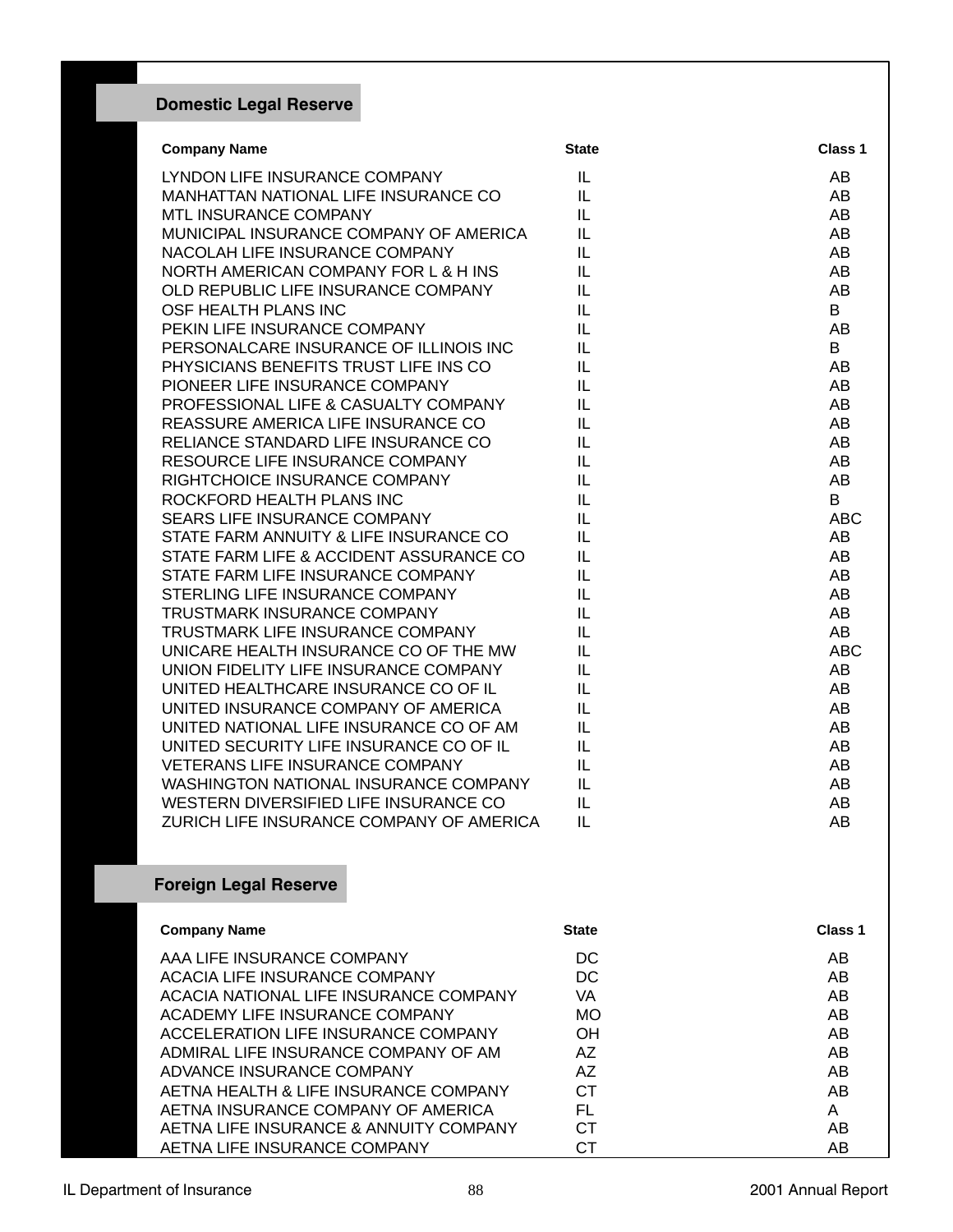#### **Domestic Legal Reserve**

| IL<br>AB<br>LYNDON LIFE INSURANCE COMPANY<br>MANHATTAN NATIONAL LIFE INSURANCE CO<br>IL.<br>AB<br>IL<br>MTL INSURANCE COMPANY<br>AB<br>MUNICIPAL INSURANCE COMPANY OF AMERICA<br>IL<br>AB<br>NACOLAH LIFE INSURANCE COMPANY<br>IL.<br>AB<br>NORTH AMERICAN COMPANY FOR L & H INS<br>IL.<br>AB<br>IL<br>AB<br>OLD REPUBLIC LIFE INSURANCE COMPANY<br>OSF HEALTH PLANS INC<br>IL<br>B<br>IL<br>AB<br>PEKIN LIFE INSURANCE COMPANY<br>PERSONALCARE INSURANCE OF ILLINOIS INC<br>IL<br>B<br>AB<br>PHYSICIANS BENEFITS TRUST LIFE INS CO<br>IL<br>AB<br>PIONEER LIFE INSURANCE COMPANY<br>IL<br>PROFESSIONAL LIFE & CASUALTY COMPANY<br>AB<br>IL<br>IL<br>AB<br>REASSURE AMERICA LIFE INSURANCE CO<br>AB<br>RELIANCE STANDARD LIFE INSURANCE CO<br>IL.<br>IL<br>AB<br>RESOURCE LIFE INSURANCE COMPANY<br>AB<br>RIGHTCHOICE INSURANCE COMPANY<br>IL.<br>B<br>ROCKFORD HEALTH PLANS INC<br>IL<br>SEARS LIFE INSURANCE COMPANY<br>IL.<br><b>ABC</b><br>IL.<br>STATE FARM ANNUITY & LIFE INSURANCE CO<br>AB<br>STATE FARM LIFE & ACCIDENT ASSURANCE CO<br>IL<br>AB<br>STATE FARM LIFE INSURANCE COMPANY<br>IL<br>AB<br>STERLING LIFE INSURANCE COMPANY<br>IL<br>AB<br>TRUSTMARK INSURANCE COMPANY<br>AB<br>IL<br>TRUSTMARK LIFE INSURANCE COMPANY<br>AB<br>IL<br>UNICARE HEALTH INSURANCE CO OF THE MW<br>IL<br><b>ABC</b><br>UNION FIDELITY LIFE INSURANCE COMPANY<br>IL<br>AB<br>UNITED HEALTHCARE INSURANCE CO OF IL<br>IL<br>AB<br>UNITED INSURANCE COMPANY OF AMERICA<br>IL<br>AB<br>UNITED NATIONAL LIFE INSURANCE CO OF AM<br>IL<br>AB<br>UNITED SECURITY LIFE INSURANCE CO OF IL<br>IL<br>AB<br><b>VETERANS LIFE INSURANCE COMPANY</b><br>IL<br>AB<br>WASHINGTON NATIONAL INSURANCE COMPANY<br>IL<br>AB<br>WESTERN DIVERSIFIED LIFE INSURANCE CO<br>AB<br>IL<br>ZURICH LIFE INSURANCE COMPANY OF AMERICA<br>AB<br>IL<br><b>Foreign Legal Reserve</b> | <b>Company Name</b> | <b>State</b> | Class 1 |
|-----------------------------------------------------------------------------------------------------------------------------------------------------------------------------------------------------------------------------------------------------------------------------------------------------------------------------------------------------------------------------------------------------------------------------------------------------------------------------------------------------------------------------------------------------------------------------------------------------------------------------------------------------------------------------------------------------------------------------------------------------------------------------------------------------------------------------------------------------------------------------------------------------------------------------------------------------------------------------------------------------------------------------------------------------------------------------------------------------------------------------------------------------------------------------------------------------------------------------------------------------------------------------------------------------------------------------------------------------------------------------------------------------------------------------------------------------------------------------------------------------------------------------------------------------------------------------------------------------------------------------------------------------------------------------------------------------------------------------------------------------------------------------------------------------------------------------------------------------|---------------------|--------------|---------|
|                                                                                                                                                                                                                                                                                                                                                                                                                                                                                                                                                                                                                                                                                                                                                                                                                                                                                                                                                                                                                                                                                                                                                                                                                                                                                                                                                                                                                                                                                                                                                                                                                                                                                                                                                                                                                                                     |                     |              |         |
|                                                                                                                                                                                                                                                                                                                                                                                                                                                                                                                                                                                                                                                                                                                                                                                                                                                                                                                                                                                                                                                                                                                                                                                                                                                                                                                                                                                                                                                                                                                                                                                                                                                                                                                                                                                                                                                     |                     |              |         |
|                                                                                                                                                                                                                                                                                                                                                                                                                                                                                                                                                                                                                                                                                                                                                                                                                                                                                                                                                                                                                                                                                                                                                                                                                                                                                                                                                                                                                                                                                                                                                                                                                                                                                                                                                                                                                                                     |                     |              |         |
|                                                                                                                                                                                                                                                                                                                                                                                                                                                                                                                                                                                                                                                                                                                                                                                                                                                                                                                                                                                                                                                                                                                                                                                                                                                                                                                                                                                                                                                                                                                                                                                                                                                                                                                                                                                                                                                     |                     |              |         |
|                                                                                                                                                                                                                                                                                                                                                                                                                                                                                                                                                                                                                                                                                                                                                                                                                                                                                                                                                                                                                                                                                                                                                                                                                                                                                                                                                                                                                                                                                                                                                                                                                                                                                                                                                                                                                                                     |                     |              |         |
|                                                                                                                                                                                                                                                                                                                                                                                                                                                                                                                                                                                                                                                                                                                                                                                                                                                                                                                                                                                                                                                                                                                                                                                                                                                                                                                                                                                                                                                                                                                                                                                                                                                                                                                                                                                                                                                     |                     |              |         |
|                                                                                                                                                                                                                                                                                                                                                                                                                                                                                                                                                                                                                                                                                                                                                                                                                                                                                                                                                                                                                                                                                                                                                                                                                                                                                                                                                                                                                                                                                                                                                                                                                                                                                                                                                                                                                                                     |                     |              |         |
|                                                                                                                                                                                                                                                                                                                                                                                                                                                                                                                                                                                                                                                                                                                                                                                                                                                                                                                                                                                                                                                                                                                                                                                                                                                                                                                                                                                                                                                                                                                                                                                                                                                                                                                                                                                                                                                     |                     |              |         |
|                                                                                                                                                                                                                                                                                                                                                                                                                                                                                                                                                                                                                                                                                                                                                                                                                                                                                                                                                                                                                                                                                                                                                                                                                                                                                                                                                                                                                                                                                                                                                                                                                                                                                                                                                                                                                                                     |                     |              |         |
|                                                                                                                                                                                                                                                                                                                                                                                                                                                                                                                                                                                                                                                                                                                                                                                                                                                                                                                                                                                                                                                                                                                                                                                                                                                                                                                                                                                                                                                                                                                                                                                                                                                                                                                                                                                                                                                     |                     |              |         |
|                                                                                                                                                                                                                                                                                                                                                                                                                                                                                                                                                                                                                                                                                                                                                                                                                                                                                                                                                                                                                                                                                                                                                                                                                                                                                                                                                                                                                                                                                                                                                                                                                                                                                                                                                                                                                                                     |                     |              |         |
|                                                                                                                                                                                                                                                                                                                                                                                                                                                                                                                                                                                                                                                                                                                                                                                                                                                                                                                                                                                                                                                                                                                                                                                                                                                                                                                                                                                                                                                                                                                                                                                                                                                                                                                                                                                                                                                     |                     |              |         |
|                                                                                                                                                                                                                                                                                                                                                                                                                                                                                                                                                                                                                                                                                                                                                                                                                                                                                                                                                                                                                                                                                                                                                                                                                                                                                                                                                                                                                                                                                                                                                                                                                                                                                                                                                                                                                                                     |                     |              |         |
|                                                                                                                                                                                                                                                                                                                                                                                                                                                                                                                                                                                                                                                                                                                                                                                                                                                                                                                                                                                                                                                                                                                                                                                                                                                                                                                                                                                                                                                                                                                                                                                                                                                                                                                                                                                                                                                     |                     |              |         |
|                                                                                                                                                                                                                                                                                                                                                                                                                                                                                                                                                                                                                                                                                                                                                                                                                                                                                                                                                                                                                                                                                                                                                                                                                                                                                                                                                                                                                                                                                                                                                                                                                                                                                                                                                                                                                                                     |                     |              |         |
|                                                                                                                                                                                                                                                                                                                                                                                                                                                                                                                                                                                                                                                                                                                                                                                                                                                                                                                                                                                                                                                                                                                                                                                                                                                                                                                                                                                                                                                                                                                                                                                                                                                                                                                                                                                                                                                     |                     |              |         |
|                                                                                                                                                                                                                                                                                                                                                                                                                                                                                                                                                                                                                                                                                                                                                                                                                                                                                                                                                                                                                                                                                                                                                                                                                                                                                                                                                                                                                                                                                                                                                                                                                                                                                                                                                                                                                                                     |                     |              |         |
|                                                                                                                                                                                                                                                                                                                                                                                                                                                                                                                                                                                                                                                                                                                                                                                                                                                                                                                                                                                                                                                                                                                                                                                                                                                                                                                                                                                                                                                                                                                                                                                                                                                                                                                                                                                                                                                     |                     |              |         |
|                                                                                                                                                                                                                                                                                                                                                                                                                                                                                                                                                                                                                                                                                                                                                                                                                                                                                                                                                                                                                                                                                                                                                                                                                                                                                                                                                                                                                                                                                                                                                                                                                                                                                                                                                                                                                                                     |                     |              |         |
|                                                                                                                                                                                                                                                                                                                                                                                                                                                                                                                                                                                                                                                                                                                                                                                                                                                                                                                                                                                                                                                                                                                                                                                                                                                                                                                                                                                                                                                                                                                                                                                                                                                                                                                                                                                                                                                     |                     |              |         |
|                                                                                                                                                                                                                                                                                                                                                                                                                                                                                                                                                                                                                                                                                                                                                                                                                                                                                                                                                                                                                                                                                                                                                                                                                                                                                                                                                                                                                                                                                                                                                                                                                                                                                                                                                                                                                                                     |                     |              |         |
|                                                                                                                                                                                                                                                                                                                                                                                                                                                                                                                                                                                                                                                                                                                                                                                                                                                                                                                                                                                                                                                                                                                                                                                                                                                                                                                                                                                                                                                                                                                                                                                                                                                                                                                                                                                                                                                     |                     |              |         |
|                                                                                                                                                                                                                                                                                                                                                                                                                                                                                                                                                                                                                                                                                                                                                                                                                                                                                                                                                                                                                                                                                                                                                                                                                                                                                                                                                                                                                                                                                                                                                                                                                                                                                                                                                                                                                                                     |                     |              |         |
|                                                                                                                                                                                                                                                                                                                                                                                                                                                                                                                                                                                                                                                                                                                                                                                                                                                                                                                                                                                                                                                                                                                                                                                                                                                                                                                                                                                                                                                                                                                                                                                                                                                                                                                                                                                                                                                     |                     |              |         |
|                                                                                                                                                                                                                                                                                                                                                                                                                                                                                                                                                                                                                                                                                                                                                                                                                                                                                                                                                                                                                                                                                                                                                                                                                                                                                                                                                                                                                                                                                                                                                                                                                                                                                                                                                                                                                                                     |                     |              |         |
|                                                                                                                                                                                                                                                                                                                                                                                                                                                                                                                                                                                                                                                                                                                                                                                                                                                                                                                                                                                                                                                                                                                                                                                                                                                                                                                                                                                                                                                                                                                                                                                                                                                                                                                                                                                                                                                     |                     |              |         |
|                                                                                                                                                                                                                                                                                                                                                                                                                                                                                                                                                                                                                                                                                                                                                                                                                                                                                                                                                                                                                                                                                                                                                                                                                                                                                                                                                                                                                                                                                                                                                                                                                                                                                                                                                                                                                                                     |                     |              |         |
|                                                                                                                                                                                                                                                                                                                                                                                                                                                                                                                                                                                                                                                                                                                                                                                                                                                                                                                                                                                                                                                                                                                                                                                                                                                                                                                                                                                                                                                                                                                                                                                                                                                                                                                                                                                                                                                     |                     |              |         |
|                                                                                                                                                                                                                                                                                                                                                                                                                                                                                                                                                                                                                                                                                                                                                                                                                                                                                                                                                                                                                                                                                                                                                                                                                                                                                                                                                                                                                                                                                                                                                                                                                                                                                                                                                                                                                                                     |                     |              |         |
|                                                                                                                                                                                                                                                                                                                                                                                                                                                                                                                                                                                                                                                                                                                                                                                                                                                                                                                                                                                                                                                                                                                                                                                                                                                                                                                                                                                                                                                                                                                                                                                                                                                                                                                                                                                                                                                     |                     |              |         |
|                                                                                                                                                                                                                                                                                                                                                                                                                                                                                                                                                                                                                                                                                                                                                                                                                                                                                                                                                                                                                                                                                                                                                                                                                                                                                                                                                                                                                                                                                                                                                                                                                                                                                                                                                                                                                                                     |                     |              |         |
|                                                                                                                                                                                                                                                                                                                                                                                                                                                                                                                                                                                                                                                                                                                                                                                                                                                                                                                                                                                                                                                                                                                                                                                                                                                                                                                                                                                                                                                                                                                                                                                                                                                                                                                                                                                                                                                     |                     |              |         |
|                                                                                                                                                                                                                                                                                                                                                                                                                                                                                                                                                                                                                                                                                                                                                                                                                                                                                                                                                                                                                                                                                                                                                                                                                                                                                                                                                                                                                                                                                                                                                                                                                                                                                                                                                                                                                                                     |                     |              |         |
|                                                                                                                                                                                                                                                                                                                                                                                                                                                                                                                                                                                                                                                                                                                                                                                                                                                                                                                                                                                                                                                                                                                                                                                                                                                                                                                                                                                                                                                                                                                                                                                                                                                                                                                                                                                                                                                     |                     |              |         |
|                                                                                                                                                                                                                                                                                                                                                                                                                                                                                                                                                                                                                                                                                                                                                                                                                                                                                                                                                                                                                                                                                                                                                                                                                                                                                                                                                                                                                                                                                                                                                                                                                                                                                                                                                                                                                                                     |                     |              |         |
|                                                                                                                                                                                                                                                                                                                                                                                                                                                                                                                                                                                                                                                                                                                                                                                                                                                                                                                                                                                                                                                                                                                                                                                                                                                                                                                                                                                                                                                                                                                                                                                                                                                                                                                                                                                                                                                     |                     |              |         |
|                                                                                                                                                                                                                                                                                                                                                                                                                                                                                                                                                                                                                                                                                                                                                                                                                                                                                                                                                                                                                                                                                                                                                                                                                                                                                                                                                                                                                                                                                                                                                                                                                                                                                                                                                                                                                                                     |                     |              |         |
| Class <sub>1</sub><br><b>Company Name</b><br><b>State</b>                                                                                                                                                                                                                                                                                                                                                                                                                                                                                                                                                                                                                                                                                                                                                                                                                                                                                                                                                                                                                                                                                                                                                                                                                                                                                                                                                                                                                                                                                                                                                                                                                                                                                                                                                                                           |                     |              |         |
| AAA LIFE INSURANCE COMPANY<br>DC<br>AB                                                                                                                                                                                                                                                                                                                                                                                                                                                                                                                                                                                                                                                                                                                                                                                                                                                                                                                                                                                                                                                                                                                                                                                                                                                                                                                                                                                                                                                                                                                                                                                                                                                                                                                                                                                                              |                     |              |         |

| AAA LIFE INSURANCE COMPANY             | DC. | AB |
|----------------------------------------|-----|----|
| ACACIA LIFE INSURANCE COMPANY          | DC. | AB |
| ACACIA NATIONAL LIFE INSURANCE COMPANY | VA  | AB |
| ACADEMY LIFE INSURANCE COMPANY         | MO. | AB |
| ACCELERATION LIFE INSURANCE COMPANY    | OН  | AB |
| ADMIRAL LIFE INSURANCE COMPANY OF AM   | AZ. | AB |
| ADVANCE INSURANCE COMPANY              | AZ. | AB |
| AETNA HEALTH & LIFE INSURANCE COMPANY  | СT  | AB |
| AETNA INSURANCE COMPANY OF AMERICA     | FL. | A  |
| AETNA LIFE INSURANCE & ANNUITY COMPANY | СT  | AB |
| AETNA LIFE INSURANCE COMPANY           |     | AΒ |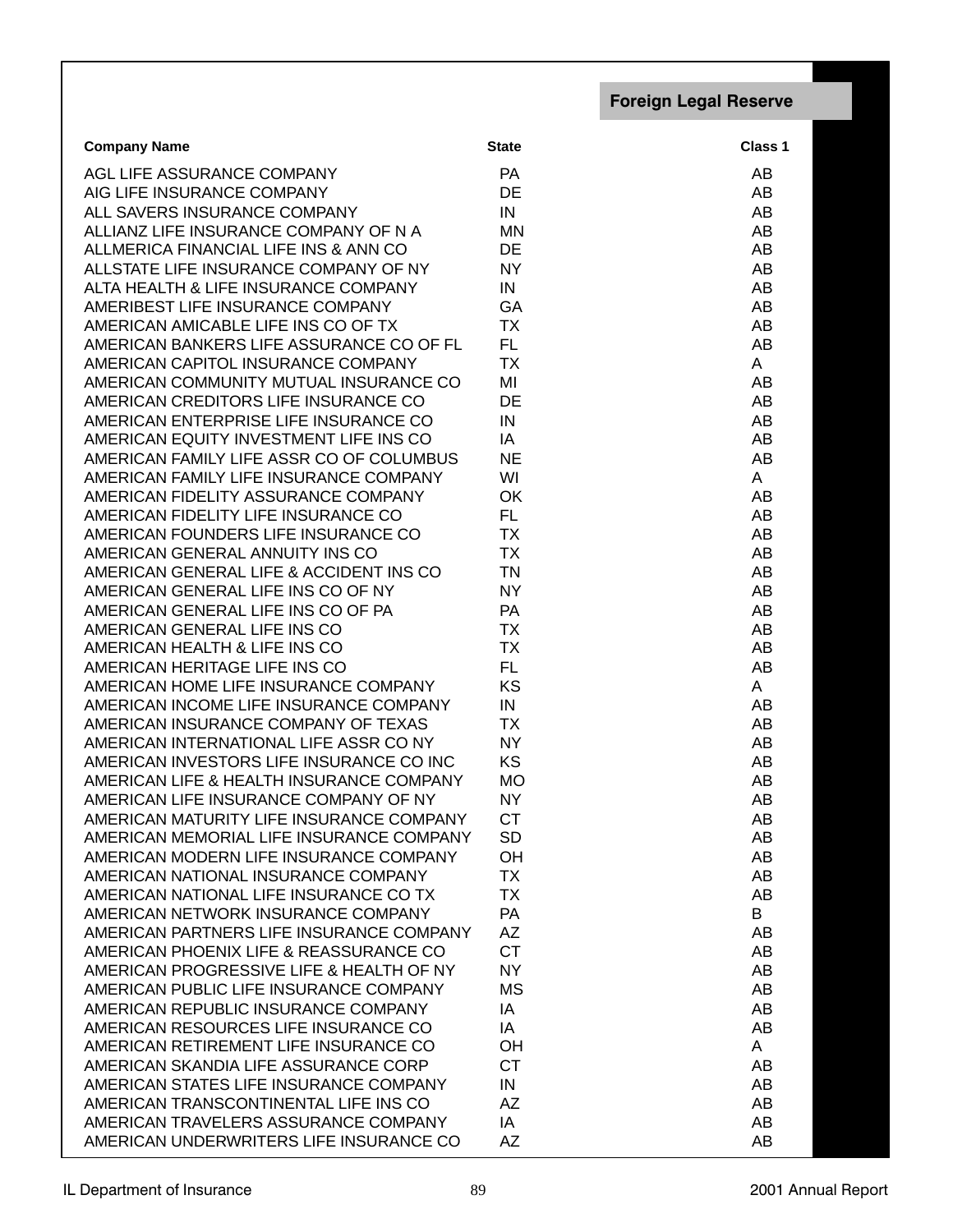| <b>Company Name</b><br>Class 1<br><b>State</b><br>PA<br>AB<br>AGL LIFE ASSURANCE COMPANY<br>DE<br>AIG LIFE INSURANCE COMPANY<br>AB<br>ALL SAVERS INSURANCE COMPANY<br>IN<br>AB<br>ALLIANZ LIFE INSURANCE COMPANY OF N A<br><b>MN</b><br>AB<br>DE<br>ALLMERICA FINANCIAL LIFE INS & ANN CO<br>AB<br>ALLSTATE LIFE INSURANCE COMPANY OF NY<br><b>NY</b><br>AB<br>AB<br>ALTA HEALTH & LIFE INSURANCE COMPANY<br>IN<br>AMERIBEST LIFE INSURANCE COMPANY<br>AB<br>GA<br>AMERICAN AMICABLE LIFE INS CO OF TX<br><b>TX</b><br>AB<br>AMERICAN BANKERS LIFE ASSURANCE CO OF FL<br><b>FL</b><br>AB<br>AMERICAN CAPITOL INSURANCE COMPANY<br>A<br><b>TX</b><br>AMERICAN COMMUNITY MUTUAL INSURANCE CO<br>AB<br>MI<br>AMERICAN CREDITORS LIFE INSURANCE CO<br>DE<br>AB<br>AMERICAN ENTERPRISE LIFE INSURANCE CO<br>AB<br>IN<br>AMERICAN EQUITY INVESTMENT LIFE INS CO<br>AB<br>ΙA<br>AMERICAN FAMILY LIFE ASSR CO OF COLUMBUS<br>AB<br><b>NE</b><br>AMERICAN FAMILY LIFE INSURANCE COMPANY<br>WI<br>A<br>AMERICAN FIDELITY ASSURANCE COMPANY<br>OK<br>AB<br>FL.<br>AB<br>AMERICAN FIDELITY LIFE INSURANCE CO<br>AMERICAN FOUNDERS LIFE INSURANCE CO<br><b>TX</b><br>AB<br>AB<br>AMERICAN GENERAL ANNUITY INS CO<br><b>TX</b><br>AMERICAN GENERAL LIFE & ACCIDENT INS CO<br><b>TN</b><br>AB<br><b>NY</b><br>AB<br>AMERICAN GENERAL LIFE INS CO OF NY<br>AB<br>AMERICAN GENERAL LIFE INS CO OF PA<br>PA<br><b>TX</b><br>AB<br>AMERICAN GENERAL LIFE INS CO<br><b>TX</b><br>AB<br>AMERICAN HEALTH & LIFE INS CO<br><b>FL</b><br>AB<br>AMERICAN HERITAGE LIFE INS CO<br>KS<br>AMERICAN HOME LIFE INSURANCE COMPANY<br>A<br>AMERICAN INCOME LIFE INSURANCE COMPANY<br>IN<br>AB<br>AMERICAN INSURANCE COMPANY OF TEXAS<br><b>TX</b><br>AB<br>AB<br>AMERICAN INTERNATIONAL LIFE ASSR CO NY<br><b>NY</b><br>AMERICAN INVESTORS LIFE INSURANCE CO INC<br>KS<br>AB<br>AB<br>AMERICAN LIFE & HEALTH INSURANCE COMPANY<br>МO<br>AMERICAN LIFE INSURANCE COMPANY OF NY<br>ΝY<br>AB<br>AMERICAN MATURITY LIFE INSURANCE COMPANY<br><b>CT</b><br>AB<br><b>SD</b><br>AMERICAN MEMORIAL LIFE INSURANCE COMPANY<br>AB<br>AMERICAN MODERN LIFE INSURANCE COMPANY<br>OH<br>AB<br>AMERICAN NATIONAL INSURANCE COMPANY<br><b>TX</b><br>AB<br>AMERICAN NATIONAL LIFE INSURANCE CO TX<br>AB<br><b>TX</b><br>B<br>AMERICAN NETWORK INSURANCE COMPANY<br>PA<br>AMERICAN PARTNERS LIFE INSURANCE COMPANY<br>AZ<br>AB<br><b>CT</b><br>AMERICAN PHOENIX LIFE & REASSURANCE CO<br>AB<br>AMERICAN PROGRESSIVE LIFE & HEALTH OF NY<br>AB<br><b>NY</b><br>AB<br>AMERICAN PUBLIC LIFE INSURANCE COMPANY<br>MS<br>AMERICAN REPUBLIC INSURANCE COMPANY<br>AB<br>IA.<br>AMERICAN RESOURCES LIFE INSURANCE CO<br>AB<br>IA<br>AMERICAN RETIREMENT LIFE INSURANCE CO<br>OН<br>A<br><b>CT</b><br>AMERICAN SKANDIA LIFE ASSURANCE CORP<br>AB<br>AMERICAN STATES LIFE INSURANCE COMPANY<br>IN<br>AB<br>AMERICAN TRANSCONTINENTAL LIFE INS CO<br>AZ<br>AB<br>AMERICAN TRAVELERS ASSURANCE COMPANY<br>IA<br>AB |                                         |           | <b>Foreign Legal Reserve</b> |
|-------------------------------------------------------------------------------------------------------------------------------------------------------------------------------------------------------------------------------------------------------------------------------------------------------------------------------------------------------------------------------------------------------------------------------------------------------------------------------------------------------------------------------------------------------------------------------------------------------------------------------------------------------------------------------------------------------------------------------------------------------------------------------------------------------------------------------------------------------------------------------------------------------------------------------------------------------------------------------------------------------------------------------------------------------------------------------------------------------------------------------------------------------------------------------------------------------------------------------------------------------------------------------------------------------------------------------------------------------------------------------------------------------------------------------------------------------------------------------------------------------------------------------------------------------------------------------------------------------------------------------------------------------------------------------------------------------------------------------------------------------------------------------------------------------------------------------------------------------------------------------------------------------------------------------------------------------------------------------------------------------------------------------------------------------------------------------------------------------------------------------------------------------------------------------------------------------------------------------------------------------------------------------------------------------------------------------------------------------------------------------------------------------------------------------------------------------------------------------------------------------------------------------------------------------------------------------------------------------------------------------------------------------------------------------------------------------------------------------------------------------------------------------------------------------------------------------------------------------------------------------------------------------------------------------------------------------|-----------------------------------------|-----------|------------------------------|
|                                                                                                                                                                                                                                                                                                                                                                                                                                                                                                                                                                                                                                                                                                                                                                                                                                                                                                                                                                                                                                                                                                                                                                                                                                                                                                                                                                                                                                                                                                                                                                                                                                                                                                                                                                                                                                                                                                                                                                                                                                                                                                                                                                                                                                                                                                                                                                                                                                                                                                                                                                                                                                                                                                                                                                                                                                                                                                                                                       |                                         |           |                              |
|                                                                                                                                                                                                                                                                                                                                                                                                                                                                                                                                                                                                                                                                                                                                                                                                                                                                                                                                                                                                                                                                                                                                                                                                                                                                                                                                                                                                                                                                                                                                                                                                                                                                                                                                                                                                                                                                                                                                                                                                                                                                                                                                                                                                                                                                                                                                                                                                                                                                                                                                                                                                                                                                                                                                                                                                                                                                                                                                                       |                                         |           |                              |
|                                                                                                                                                                                                                                                                                                                                                                                                                                                                                                                                                                                                                                                                                                                                                                                                                                                                                                                                                                                                                                                                                                                                                                                                                                                                                                                                                                                                                                                                                                                                                                                                                                                                                                                                                                                                                                                                                                                                                                                                                                                                                                                                                                                                                                                                                                                                                                                                                                                                                                                                                                                                                                                                                                                                                                                                                                                                                                                                                       |                                         |           |                              |
|                                                                                                                                                                                                                                                                                                                                                                                                                                                                                                                                                                                                                                                                                                                                                                                                                                                                                                                                                                                                                                                                                                                                                                                                                                                                                                                                                                                                                                                                                                                                                                                                                                                                                                                                                                                                                                                                                                                                                                                                                                                                                                                                                                                                                                                                                                                                                                                                                                                                                                                                                                                                                                                                                                                                                                                                                                                                                                                                                       |                                         |           |                              |
|                                                                                                                                                                                                                                                                                                                                                                                                                                                                                                                                                                                                                                                                                                                                                                                                                                                                                                                                                                                                                                                                                                                                                                                                                                                                                                                                                                                                                                                                                                                                                                                                                                                                                                                                                                                                                                                                                                                                                                                                                                                                                                                                                                                                                                                                                                                                                                                                                                                                                                                                                                                                                                                                                                                                                                                                                                                                                                                                                       |                                         |           |                              |
|                                                                                                                                                                                                                                                                                                                                                                                                                                                                                                                                                                                                                                                                                                                                                                                                                                                                                                                                                                                                                                                                                                                                                                                                                                                                                                                                                                                                                                                                                                                                                                                                                                                                                                                                                                                                                                                                                                                                                                                                                                                                                                                                                                                                                                                                                                                                                                                                                                                                                                                                                                                                                                                                                                                                                                                                                                                                                                                                                       |                                         |           |                              |
|                                                                                                                                                                                                                                                                                                                                                                                                                                                                                                                                                                                                                                                                                                                                                                                                                                                                                                                                                                                                                                                                                                                                                                                                                                                                                                                                                                                                                                                                                                                                                                                                                                                                                                                                                                                                                                                                                                                                                                                                                                                                                                                                                                                                                                                                                                                                                                                                                                                                                                                                                                                                                                                                                                                                                                                                                                                                                                                                                       |                                         |           |                              |
|                                                                                                                                                                                                                                                                                                                                                                                                                                                                                                                                                                                                                                                                                                                                                                                                                                                                                                                                                                                                                                                                                                                                                                                                                                                                                                                                                                                                                                                                                                                                                                                                                                                                                                                                                                                                                                                                                                                                                                                                                                                                                                                                                                                                                                                                                                                                                                                                                                                                                                                                                                                                                                                                                                                                                                                                                                                                                                                                                       |                                         |           |                              |
|                                                                                                                                                                                                                                                                                                                                                                                                                                                                                                                                                                                                                                                                                                                                                                                                                                                                                                                                                                                                                                                                                                                                                                                                                                                                                                                                                                                                                                                                                                                                                                                                                                                                                                                                                                                                                                                                                                                                                                                                                                                                                                                                                                                                                                                                                                                                                                                                                                                                                                                                                                                                                                                                                                                                                                                                                                                                                                                                                       |                                         |           |                              |
|                                                                                                                                                                                                                                                                                                                                                                                                                                                                                                                                                                                                                                                                                                                                                                                                                                                                                                                                                                                                                                                                                                                                                                                                                                                                                                                                                                                                                                                                                                                                                                                                                                                                                                                                                                                                                                                                                                                                                                                                                                                                                                                                                                                                                                                                                                                                                                                                                                                                                                                                                                                                                                                                                                                                                                                                                                                                                                                                                       |                                         |           |                              |
|                                                                                                                                                                                                                                                                                                                                                                                                                                                                                                                                                                                                                                                                                                                                                                                                                                                                                                                                                                                                                                                                                                                                                                                                                                                                                                                                                                                                                                                                                                                                                                                                                                                                                                                                                                                                                                                                                                                                                                                                                                                                                                                                                                                                                                                                                                                                                                                                                                                                                                                                                                                                                                                                                                                                                                                                                                                                                                                                                       |                                         |           |                              |
|                                                                                                                                                                                                                                                                                                                                                                                                                                                                                                                                                                                                                                                                                                                                                                                                                                                                                                                                                                                                                                                                                                                                                                                                                                                                                                                                                                                                                                                                                                                                                                                                                                                                                                                                                                                                                                                                                                                                                                                                                                                                                                                                                                                                                                                                                                                                                                                                                                                                                                                                                                                                                                                                                                                                                                                                                                                                                                                                                       |                                         |           |                              |
|                                                                                                                                                                                                                                                                                                                                                                                                                                                                                                                                                                                                                                                                                                                                                                                                                                                                                                                                                                                                                                                                                                                                                                                                                                                                                                                                                                                                                                                                                                                                                                                                                                                                                                                                                                                                                                                                                                                                                                                                                                                                                                                                                                                                                                                                                                                                                                                                                                                                                                                                                                                                                                                                                                                                                                                                                                                                                                                                                       |                                         |           |                              |
|                                                                                                                                                                                                                                                                                                                                                                                                                                                                                                                                                                                                                                                                                                                                                                                                                                                                                                                                                                                                                                                                                                                                                                                                                                                                                                                                                                                                                                                                                                                                                                                                                                                                                                                                                                                                                                                                                                                                                                                                                                                                                                                                                                                                                                                                                                                                                                                                                                                                                                                                                                                                                                                                                                                                                                                                                                                                                                                                                       |                                         |           |                              |
|                                                                                                                                                                                                                                                                                                                                                                                                                                                                                                                                                                                                                                                                                                                                                                                                                                                                                                                                                                                                                                                                                                                                                                                                                                                                                                                                                                                                                                                                                                                                                                                                                                                                                                                                                                                                                                                                                                                                                                                                                                                                                                                                                                                                                                                                                                                                                                                                                                                                                                                                                                                                                                                                                                                                                                                                                                                                                                                                                       |                                         |           |                              |
|                                                                                                                                                                                                                                                                                                                                                                                                                                                                                                                                                                                                                                                                                                                                                                                                                                                                                                                                                                                                                                                                                                                                                                                                                                                                                                                                                                                                                                                                                                                                                                                                                                                                                                                                                                                                                                                                                                                                                                                                                                                                                                                                                                                                                                                                                                                                                                                                                                                                                                                                                                                                                                                                                                                                                                                                                                                                                                                                                       |                                         |           |                              |
|                                                                                                                                                                                                                                                                                                                                                                                                                                                                                                                                                                                                                                                                                                                                                                                                                                                                                                                                                                                                                                                                                                                                                                                                                                                                                                                                                                                                                                                                                                                                                                                                                                                                                                                                                                                                                                                                                                                                                                                                                                                                                                                                                                                                                                                                                                                                                                                                                                                                                                                                                                                                                                                                                                                                                                                                                                                                                                                                                       |                                         |           |                              |
|                                                                                                                                                                                                                                                                                                                                                                                                                                                                                                                                                                                                                                                                                                                                                                                                                                                                                                                                                                                                                                                                                                                                                                                                                                                                                                                                                                                                                                                                                                                                                                                                                                                                                                                                                                                                                                                                                                                                                                                                                                                                                                                                                                                                                                                                                                                                                                                                                                                                                                                                                                                                                                                                                                                                                                                                                                                                                                                                                       |                                         |           |                              |
|                                                                                                                                                                                                                                                                                                                                                                                                                                                                                                                                                                                                                                                                                                                                                                                                                                                                                                                                                                                                                                                                                                                                                                                                                                                                                                                                                                                                                                                                                                                                                                                                                                                                                                                                                                                                                                                                                                                                                                                                                                                                                                                                                                                                                                                                                                                                                                                                                                                                                                                                                                                                                                                                                                                                                                                                                                                                                                                                                       |                                         |           |                              |
|                                                                                                                                                                                                                                                                                                                                                                                                                                                                                                                                                                                                                                                                                                                                                                                                                                                                                                                                                                                                                                                                                                                                                                                                                                                                                                                                                                                                                                                                                                                                                                                                                                                                                                                                                                                                                                                                                                                                                                                                                                                                                                                                                                                                                                                                                                                                                                                                                                                                                                                                                                                                                                                                                                                                                                                                                                                                                                                                                       |                                         |           |                              |
|                                                                                                                                                                                                                                                                                                                                                                                                                                                                                                                                                                                                                                                                                                                                                                                                                                                                                                                                                                                                                                                                                                                                                                                                                                                                                                                                                                                                                                                                                                                                                                                                                                                                                                                                                                                                                                                                                                                                                                                                                                                                                                                                                                                                                                                                                                                                                                                                                                                                                                                                                                                                                                                                                                                                                                                                                                                                                                                                                       |                                         |           |                              |
|                                                                                                                                                                                                                                                                                                                                                                                                                                                                                                                                                                                                                                                                                                                                                                                                                                                                                                                                                                                                                                                                                                                                                                                                                                                                                                                                                                                                                                                                                                                                                                                                                                                                                                                                                                                                                                                                                                                                                                                                                                                                                                                                                                                                                                                                                                                                                                                                                                                                                                                                                                                                                                                                                                                                                                                                                                                                                                                                                       |                                         |           |                              |
|                                                                                                                                                                                                                                                                                                                                                                                                                                                                                                                                                                                                                                                                                                                                                                                                                                                                                                                                                                                                                                                                                                                                                                                                                                                                                                                                                                                                                                                                                                                                                                                                                                                                                                                                                                                                                                                                                                                                                                                                                                                                                                                                                                                                                                                                                                                                                                                                                                                                                                                                                                                                                                                                                                                                                                                                                                                                                                                                                       |                                         |           |                              |
|                                                                                                                                                                                                                                                                                                                                                                                                                                                                                                                                                                                                                                                                                                                                                                                                                                                                                                                                                                                                                                                                                                                                                                                                                                                                                                                                                                                                                                                                                                                                                                                                                                                                                                                                                                                                                                                                                                                                                                                                                                                                                                                                                                                                                                                                                                                                                                                                                                                                                                                                                                                                                                                                                                                                                                                                                                                                                                                                                       |                                         |           |                              |
|                                                                                                                                                                                                                                                                                                                                                                                                                                                                                                                                                                                                                                                                                                                                                                                                                                                                                                                                                                                                                                                                                                                                                                                                                                                                                                                                                                                                                                                                                                                                                                                                                                                                                                                                                                                                                                                                                                                                                                                                                                                                                                                                                                                                                                                                                                                                                                                                                                                                                                                                                                                                                                                                                                                                                                                                                                                                                                                                                       |                                         |           |                              |
|                                                                                                                                                                                                                                                                                                                                                                                                                                                                                                                                                                                                                                                                                                                                                                                                                                                                                                                                                                                                                                                                                                                                                                                                                                                                                                                                                                                                                                                                                                                                                                                                                                                                                                                                                                                                                                                                                                                                                                                                                                                                                                                                                                                                                                                                                                                                                                                                                                                                                                                                                                                                                                                                                                                                                                                                                                                                                                                                                       |                                         |           |                              |
|                                                                                                                                                                                                                                                                                                                                                                                                                                                                                                                                                                                                                                                                                                                                                                                                                                                                                                                                                                                                                                                                                                                                                                                                                                                                                                                                                                                                                                                                                                                                                                                                                                                                                                                                                                                                                                                                                                                                                                                                                                                                                                                                                                                                                                                                                                                                                                                                                                                                                                                                                                                                                                                                                                                                                                                                                                                                                                                                                       |                                         |           |                              |
|                                                                                                                                                                                                                                                                                                                                                                                                                                                                                                                                                                                                                                                                                                                                                                                                                                                                                                                                                                                                                                                                                                                                                                                                                                                                                                                                                                                                                                                                                                                                                                                                                                                                                                                                                                                                                                                                                                                                                                                                                                                                                                                                                                                                                                                                                                                                                                                                                                                                                                                                                                                                                                                                                                                                                                                                                                                                                                                                                       |                                         |           |                              |
|                                                                                                                                                                                                                                                                                                                                                                                                                                                                                                                                                                                                                                                                                                                                                                                                                                                                                                                                                                                                                                                                                                                                                                                                                                                                                                                                                                                                                                                                                                                                                                                                                                                                                                                                                                                                                                                                                                                                                                                                                                                                                                                                                                                                                                                                                                                                                                                                                                                                                                                                                                                                                                                                                                                                                                                                                                                                                                                                                       |                                         |           |                              |
|                                                                                                                                                                                                                                                                                                                                                                                                                                                                                                                                                                                                                                                                                                                                                                                                                                                                                                                                                                                                                                                                                                                                                                                                                                                                                                                                                                                                                                                                                                                                                                                                                                                                                                                                                                                                                                                                                                                                                                                                                                                                                                                                                                                                                                                                                                                                                                                                                                                                                                                                                                                                                                                                                                                                                                                                                                                                                                                                                       |                                         |           |                              |
|                                                                                                                                                                                                                                                                                                                                                                                                                                                                                                                                                                                                                                                                                                                                                                                                                                                                                                                                                                                                                                                                                                                                                                                                                                                                                                                                                                                                                                                                                                                                                                                                                                                                                                                                                                                                                                                                                                                                                                                                                                                                                                                                                                                                                                                                                                                                                                                                                                                                                                                                                                                                                                                                                                                                                                                                                                                                                                                                                       |                                         |           |                              |
|                                                                                                                                                                                                                                                                                                                                                                                                                                                                                                                                                                                                                                                                                                                                                                                                                                                                                                                                                                                                                                                                                                                                                                                                                                                                                                                                                                                                                                                                                                                                                                                                                                                                                                                                                                                                                                                                                                                                                                                                                                                                                                                                                                                                                                                                                                                                                                                                                                                                                                                                                                                                                                                                                                                                                                                                                                                                                                                                                       |                                         |           |                              |
|                                                                                                                                                                                                                                                                                                                                                                                                                                                                                                                                                                                                                                                                                                                                                                                                                                                                                                                                                                                                                                                                                                                                                                                                                                                                                                                                                                                                                                                                                                                                                                                                                                                                                                                                                                                                                                                                                                                                                                                                                                                                                                                                                                                                                                                                                                                                                                                                                                                                                                                                                                                                                                                                                                                                                                                                                                                                                                                                                       |                                         |           |                              |
|                                                                                                                                                                                                                                                                                                                                                                                                                                                                                                                                                                                                                                                                                                                                                                                                                                                                                                                                                                                                                                                                                                                                                                                                                                                                                                                                                                                                                                                                                                                                                                                                                                                                                                                                                                                                                                                                                                                                                                                                                                                                                                                                                                                                                                                                                                                                                                                                                                                                                                                                                                                                                                                                                                                                                                                                                                                                                                                                                       |                                         |           |                              |
|                                                                                                                                                                                                                                                                                                                                                                                                                                                                                                                                                                                                                                                                                                                                                                                                                                                                                                                                                                                                                                                                                                                                                                                                                                                                                                                                                                                                                                                                                                                                                                                                                                                                                                                                                                                                                                                                                                                                                                                                                                                                                                                                                                                                                                                                                                                                                                                                                                                                                                                                                                                                                                                                                                                                                                                                                                                                                                                                                       |                                         |           |                              |
|                                                                                                                                                                                                                                                                                                                                                                                                                                                                                                                                                                                                                                                                                                                                                                                                                                                                                                                                                                                                                                                                                                                                                                                                                                                                                                                                                                                                                                                                                                                                                                                                                                                                                                                                                                                                                                                                                                                                                                                                                                                                                                                                                                                                                                                                                                                                                                                                                                                                                                                                                                                                                                                                                                                                                                                                                                                                                                                                                       |                                         |           |                              |
|                                                                                                                                                                                                                                                                                                                                                                                                                                                                                                                                                                                                                                                                                                                                                                                                                                                                                                                                                                                                                                                                                                                                                                                                                                                                                                                                                                                                                                                                                                                                                                                                                                                                                                                                                                                                                                                                                                                                                                                                                                                                                                                                                                                                                                                                                                                                                                                                                                                                                                                                                                                                                                                                                                                                                                                                                                                                                                                                                       |                                         |           |                              |
|                                                                                                                                                                                                                                                                                                                                                                                                                                                                                                                                                                                                                                                                                                                                                                                                                                                                                                                                                                                                                                                                                                                                                                                                                                                                                                                                                                                                                                                                                                                                                                                                                                                                                                                                                                                                                                                                                                                                                                                                                                                                                                                                                                                                                                                                                                                                                                                                                                                                                                                                                                                                                                                                                                                                                                                                                                                                                                                                                       |                                         |           |                              |
|                                                                                                                                                                                                                                                                                                                                                                                                                                                                                                                                                                                                                                                                                                                                                                                                                                                                                                                                                                                                                                                                                                                                                                                                                                                                                                                                                                                                                                                                                                                                                                                                                                                                                                                                                                                                                                                                                                                                                                                                                                                                                                                                                                                                                                                                                                                                                                                                                                                                                                                                                                                                                                                                                                                                                                                                                                                                                                                                                       |                                         |           |                              |
|                                                                                                                                                                                                                                                                                                                                                                                                                                                                                                                                                                                                                                                                                                                                                                                                                                                                                                                                                                                                                                                                                                                                                                                                                                                                                                                                                                                                                                                                                                                                                                                                                                                                                                                                                                                                                                                                                                                                                                                                                                                                                                                                                                                                                                                                                                                                                                                                                                                                                                                                                                                                                                                                                                                                                                                                                                                                                                                                                       |                                         |           |                              |
|                                                                                                                                                                                                                                                                                                                                                                                                                                                                                                                                                                                                                                                                                                                                                                                                                                                                                                                                                                                                                                                                                                                                                                                                                                                                                                                                                                                                                                                                                                                                                                                                                                                                                                                                                                                                                                                                                                                                                                                                                                                                                                                                                                                                                                                                                                                                                                                                                                                                                                                                                                                                                                                                                                                                                                                                                                                                                                                                                       |                                         |           |                              |
|                                                                                                                                                                                                                                                                                                                                                                                                                                                                                                                                                                                                                                                                                                                                                                                                                                                                                                                                                                                                                                                                                                                                                                                                                                                                                                                                                                                                                                                                                                                                                                                                                                                                                                                                                                                                                                                                                                                                                                                                                                                                                                                                                                                                                                                                                                                                                                                                                                                                                                                                                                                                                                                                                                                                                                                                                                                                                                                                                       |                                         |           |                              |
|                                                                                                                                                                                                                                                                                                                                                                                                                                                                                                                                                                                                                                                                                                                                                                                                                                                                                                                                                                                                                                                                                                                                                                                                                                                                                                                                                                                                                                                                                                                                                                                                                                                                                                                                                                                                                                                                                                                                                                                                                                                                                                                                                                                                                                                                                                                                                                                                                                                                                                                                                                                                                                                                                                                                                                                                                                                                                                                                                       |                                         |           |                              |
|                                                                                                                                                                                                                                                                                                                                                                                                                                                                                                                                                                                                                                                                                                                                                                                                                                                                                                                                                                                                                                                                                                                                                                                                                                                                                                                                                                                                                                                                                                                                                                                                                                                                                                                                                                                                                                                                                                                                                                                                                                                                                                                                                                                                                                                                                                                                                                                                                                                                                                                                                                                                                                                                                                                                                                                                                                                                                                                                                       |                                         |           |                              |
|                                                                                                                                                                                                                                                                                                                                                                                                                                                                                                                                                                                                                                                                                                                                                                                                                                                                                                                                                                                                                                                                                                                                                                                                                                                                                                                                                                                                                                                                                                                                                                                                                                                                                                                                                                                                                                                                                                                                                                                                                                                                                                                                                                                                                                                                                                                                                                                                                                                                                                                                                                                                                                                                                                                                                                                                                                                                                                                                                       |                                         |           |                              |
|                                                                                                                                                                                                                                                                                                                                                                                                                                                                                                                                                                                                                                                                                                                                                                                                                                                                                                                                                                                                                                                                                                                                                                                                                                                                                                                                                                                                                                                                                                                                                                                                                                                                                                                                                                                                                                                                                                                                                                                                                                                                                                                                                                                                                                                                                                                                                                                                                                                                                                                                                                                                                                                                                                                                                                                                                                                                                                                                                       |                                         |           |                              |
|                                                                                                                                                                                                                                                                                                                                                                                                                                                                                                                                                                                                                                                                                                                                                                                                                                                                                                                                                                                                                                                                                                                                                                                                                                                                                                                                                                                                                                                                                                                                                                                                                                                                                                                                                                                                                                                                                                                                                                                                                                                                                                                                                                                                                                                                                                                                                                                                                                                                                                                                                                                                                                                                                                                                                                                                                                                                                                                                                       |                                         |           |                              |
|                                                                                                                                                                                                                                                                                                                                                                                                                                                                                                                                                                                                                                                                                                                                                                                                                                                                                                                                                                                                                                                                                                                                                                                                                                                                                                                                                                                                                                                                                                                                                                                                                                                                                                                                                                                                                                                                                                                                                                                                                                                                                                                                                                                                                                                                                                                                                                                                                                                                                                                                                                                                                                                                                                                                                                                                                                                                                                                                                       |                                         |           |                              |
|                                                                                                                                                                                                                                                                                                                                                                                                                                                                                                                                                                                                                                                                                                                                                                                                                                                                                                                                                                                                                                                                                                                                                                                                                                                                                                                                                                                                                                                                                                                                                                                                                                                                                                                                                                                                                                                                                                                                                                                                                                                                                                                                                                                                                                                                                                                                                                                                                                                                                                                                                                                                                                                                                                                                                                                                                                                                                                                                                       |                                         |           |                              |
|                                                                                                                                                                                                                                                                                                                                                                                                                                                                                                                                                                                                                                                                                                                                                                                                                                                                                                                                                                                                                                                                                                                                                                                                                                                                                                                                                                                                                                                                                                                                                                                                                                                                                                                                                                                                                                                                                                                                                                                                                                                                                                                                                                                                                                                                                                                                                                                                                                                                                                                                                                                                                                                                                                                                                                                                                                                                                                                                                       |                                         |           |                              |
|                                                                                                                                                                                                                                                                                                                                                                                                                                                                                                                                                                                                                                                                                                                                                                                                                                                                                                                                                                                                                                                                                                                                                                                                                                                                                                                                                                                                                                                                                                                                                                                                                                                                                                                                                                                                                                                                                                                                                                                                                                                                                                                                                                                                                                                                                                                                                                                                                                                                                                                                                                                                                                                                                                                                                                                                                                                                                                                                                       |                                         |           |                              |
|                                                                                                                                                                                                                                                                                                                                                                                                                                                                                                                                                                                                                                                                                                                                                                                                                                                                                                                                                                                                                                                                                                                                                                                                                                                                                                                                                                                                                                                                                                                                                                                                                                                                                                                                                                                                                                                                                                                                                                                                                                                                                                                                                                                                                                                                                                                                                                                                                                                                                                                                                                                                                                                                                                                                                                                                                                                                                                                                                       |                                         |           |                              |
|                                                                                                                                                                                                                                                                                                                                                                                                                                                                                                                                                                                                                                                                                                                                                                                                                                                                                                                                                                                                                                                                                                                                                                                                                                                                                                                                                                                                                                                                                                                                                                                                                                                                                                                                                                                                                                                                                                                                                                                                                                                                                                                                                                                                                                                                                                                                                                                                                                                                                                                                                                                                                                                                                                                                                                                                                                                                                                                                                       | AMERICAN UNDERWRITERS LIFE INSURANCE CO | <b>AZ</b> | AB                           |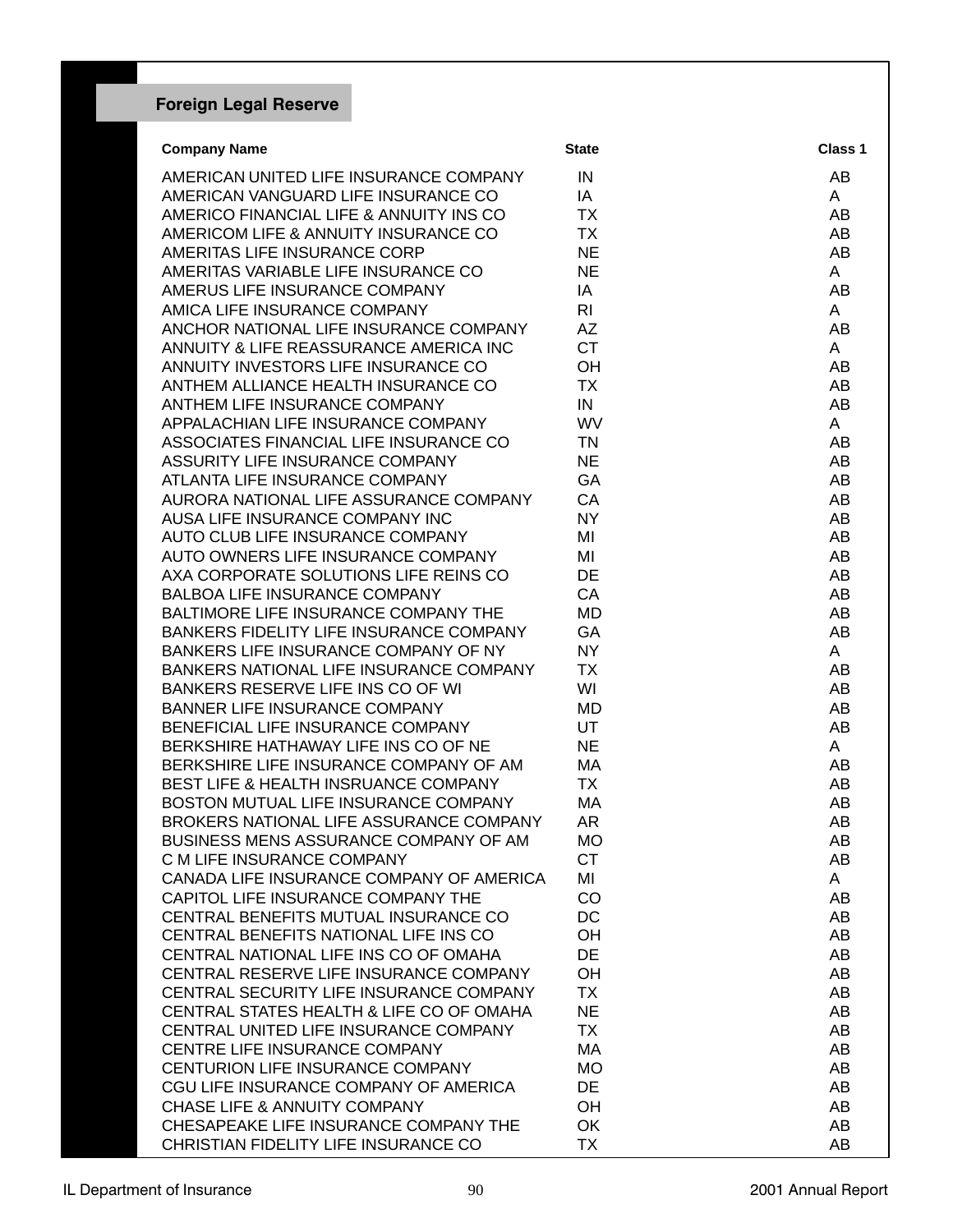| <b>Company Name</b>                                                       | <b>State</b>    | Class 1      |
|---------------------------------------------------------------------------|-----------------|--------------|
| AMERICAN UNITED LIFE INSURANCE COMPANY                                    | IN              | AB           |
| AMERICAN VANGUARD LIFE INSURANCE CO                                       | IA              | A            |
| AMERICO FINANCIAL LIFE & ANNUITY INS CO                                   | <b>TX</b>       | AB           |
| AMERICOM LIFE & ANNUITY INSURANCE CO                                      | <b>TX</b>       | AB           |
| AMERITAS LIFE INSURANCE CORP                                              | <b>NE</b>       | AB           |
| AMERITAS VARIABLE LIFE INSURANCE CO                                       | <b>NE</b>       | A            |
| AMERUS LIFE INSURANCE COMPANY                                             | IA              | AB           |
| AMICA LIFE INSURANCE COMPANY                                              | R <sub>l</sub>  | A            |
| ANCHOR NATIONAL LIFE INSURANCE COMPANY                                    | AZ              | AB           |
| ANNUITY & LIFE REASSURANCE AMERICA INC                                    | <b>CT</b>       | A            |
| ANNUITY INVESTORS LIFE INSURANCE CO                                       | OH              | AB           |
| ANTHEM ALLIANCE HEALTH INSURANCE CO                                       | <b>TX</b>       | AB           |
| ANTHEM LIFE INSURANCE COMPANY                                             | IN              | AB           |
| APPALACHIAN LIFE INSURANCE COMPANY                                        | <b>WV</b>       | $\mathsf{A}$ |
| ASSOCIATES FINANCIAL LIFE INSURANCE CO                                    | <b>TN</b>       | AB           |
| ASSURITY LIFE INSURANCE COMPANY                                           | <b>NE</b>       | AB           |
| ATLANTA LIFE INSURANCE COMPANY                                            | GA              | AB           |
| AURORA NATIONAL LIFE ASSURANCE COMPANY                                    | CA              | AB           |
| AUSA LIFE INSURANCE COMPANY INC                                           | NY              | AB           |
| AUTO CLUB LIFE INSURANCE COMPANY                                          | MI              | AB           |
| AUTO OWNERS LIFE INSURANCE COMPANY                                        | MI              | AB           |
| AXA CORPORATE SOLUTIONS LIFE REINS CO                                     | <b>DE</b>       | AB           |
| <b>BALBOA LIFE INSURANCE COMPANY</b>                                      | CA              | AB           |
| BALTIMORE LIFE INSURANCE COMPANY THE                                      | <b>MD</b>       | AB           |
| BANKERS FIDELITY LIFE INSURANCE COMPANY                                   | GA              | AB           |
| BANKERS LIFE INSURANCE COMPANY OF NY                                      | NY              | A            |
| BANKERS NATIONAL LIFE INSURANCE COMPANY                                   | <b>TX</b>       | AB           |
| BANKERS RESERVE LIFE INS CO OF WI<br><b>BANNER LIFE INSURANCE COMPANY</b> | WI<br><b>MD</b> | AB<br>AB     |
| BENEFICIAL LIFE INSURANCE COMPANY                                         | UT              | AB           |
| BERKSHIRE HATHAWAY LIFE INS CO OF NE                                      | <b>NE</b>       | A            |
| BERKSHIRE LIFE INSURANCE COMPANY OF AM                                    | МA              | AB           |
| BEST LIFE & HEALTH INSRUANCE COMPANY                                      | <b>TX</b>       | AB           |
| BOSTON MUTUAL LIFE INSURANCE COMPANY                                      | МA              | AB           |
| BROKERS NATIONAL LIFE ASSURANCE COMPANY                                   | AR.             | AB           |
| BUSINESS MENS ASSURANCE COMPANY OF AM                                     | МO              | AB           |
| C M LIFE INSURANCE COMPANY                                                | <b>CT</b>       | AВ           |
| CANADA LIFE INSURANCE COMPANY OF AMERICA                                  | MI              | A            |
| CAPITOL LIFE INSURANCE COMPANY THE                                        | CO              | AB           |
| CENTRAL BENEFITS MUTUAL INSURANCE CO                                      | <b>DC</b>       | AB           |
| CENTRAL BENEFITS NATIONAL LIFE INS CO                                     | OН              | AB           |
| CENTRAL NATIONAL LIFE INS CO OF OMAHA                                     | <b>DE</b>       | AB           |
| CENTRAL RESERVE LIFE INSURANCE COMPANY                                    | OH              | AB           |
| CENTRAL SECURITY LIFE INSURANCE COMPANY                                   | <b>TX</b>       | AB           |
| CENTRAL STATES HEALTH & LIFE CO OF OMAHA                                  | <b>NE</b>       | AB           |
| CENTRAL UNITED LIFE INSURANCE COMPANY                                     | TX              | AB           |
| CENTRE LIFE INSURANCE COMPANY                                             | МA              | AB           |
| CENTURION LIFE INSURANCE COMPANY                                          | MO              | AB           |
| CGU LIFE INSURANCE COMPANY OF AMERICA                                     | <b>DE</b>       | AB           |
| <b>CHASE LIFE &amp; ANNUITY COMPANY</b>                                   | OH              | AB           |
| CHESAPEAKE LIFE INSURANCE COMPANY THE                                     | OK              | AB           |
| CHRISTIAN FIDELITY LIFE INSURANCE CO                                      | <b>TX</b>       | AB           |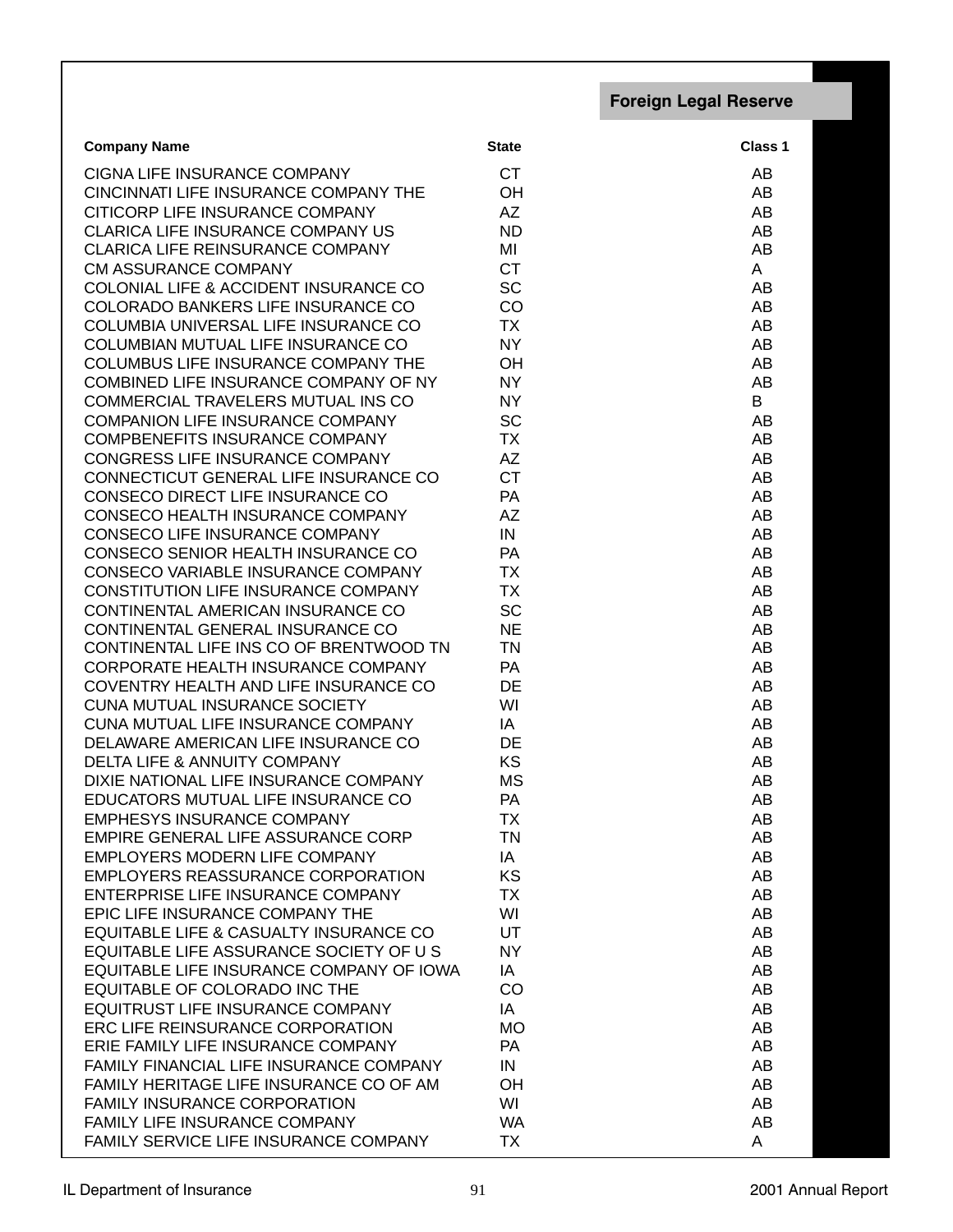|                                          |              | <b>Foreign Legal Reserve</b> |
|------------------------------------------|--------------|------------------------------|
| <b>Company Name</b>                      | <b>State</b> | Class 1                      |
| CIGNA LIFE INSURANCE COMPANY             | <b>CT</b>    | AB                           |
| CINCINNATI LIFE INSURANCE COMPANY THE    | OH           | AB                           |
| CITICORP LIFE INSURANCE COMPANY          | <b>AZ</b>    | AB                           |
| CLARICA LIFE INSURANCE COMPANY US        | <b>ND</b>    | AB                           |
| CLARICA LIFE REINSURANCE COMPANY         | MI           | AB                           |
| CM ASSURANCE COMPANY                     | <b>CT</b>    | A                            |
| COLONIAL LIFE & ACCIDENT INSURANCE CO    | <b>SC</b>    | AB                           |
| COLORADO BANKERS LIFE INSURANCE CO       | CO           | AB                           |
| COLUMBIA UNIVERSAL LIFE INSURANCE CO     | <b>TX</b>    | AB                           |
| COLUMBIAN MUTUAL LIFE INSURANCE CO       | <b>NY</b>    | AB                           |
| COLUMBUS LIFE INSURANCE COMPANY THE      | OH           | AB                           |
| COMBINED LIFE INSURANCE COMPANY OF NY    | <b>NY</b>    | AB                           |
| COMMERCIAL TRAVELERS MUTUAL INS CO       | <b>NY</b>    | B                            |
| <b>COMPANION LIFE INSURANCE COMPANY</b>  | SC           | AB                           |
| <b>COMPBENEFITS INSURANCE COMPANY</b>    | <b>TX</b>    | AB                           |
| CONGRESS LIFE INSURANCE COMPANY          | AZ           | AB                           |
| CONNECTICUT GENERAL LIFE INSURANCE CO    | <b>CT</b>    | AB                           |
| CONSECO DIRECT LIFE INSURANCE CO         | PA           | AB                           |
| CONSECO HEALTH INSURANCE COMPANY         | AZ           | AB                           |
| CONSECO LIFE INSURANCE COMPANY           | IN           | AB                           |
| CONSECO SENIOR HEALTH INSURANCE CO       | PA           | AB                           |
| CONSECO VARIABLE INSURANCE COMPANY       | <b>TX</b>    | AB                           |
| CONSTITUTION LIFE INSURANCE COMPANY      | <b>TX</b>    | AB                           |
| CONTINENTAL AMERICAN INSURANCE CO        | <b>SC</b>    | AB                           |
| CONTINENTAL GENERAL INSURANCE CO         | <b>NE</b>    | AB                           |
| CONTINENTAL LIFE INS CO OF BRENTWOOD TN  | <b>TN</b>    | AB                           |
| CORPORATE HEALTH INSURANCE COMPANY       | <b>PA</b>    | AB                           |
| COVENTRY HEALTH AND LIFE INSURANCE CO    |              | AB                           |
| <b>CUNA MUTUAL INSURANCE SOCIETY</b>     | DE<br>WI     | AB                           |
|                                          |              |                              |
| CUNA MUTUAL LIFE INSURANCE COMPANY       | IA           | AB                           |
| DELAWARE AMERICAN LIFE INSURANCE CO      | DE           | AB                           |
| <b>DELTA LIFE &amp; ANNUITY COMPANY</b>  | KS           | AB                           |
| DIXIE NATIONAL LIFE INSURANCE COMPANY    | <b>MS</b>    | AB                           |
| EDUCATORS MUTUAL LIFE INSURANCE CO       | <b>PA</b>    | AB                           |
| <b>EMPHESYS INSURANCE COMPANY</b>        | <b>TX</b>    | AB                           |
| EMPIRE GENERAL LIFE ASSURANCE CORP       | <b>TN</b>    | AB                           |
| <b>EMPLOYERS MODERN LIFE COMPANY</b>     | IA           | AB                           |
| EMPLOYERS REASSURANCE CORPORATION        | <b>KS</b>    | AB                           |
| ENTERPRISE LIFE INSURANCE COMPANY        | TX           | AB                           |
| EPIC LIFE INSURANCE COMPANY THE          | WI           | AB                           |
| EQUITABLE LIFE & CASUALTY INSURANCE CO   | UT           | AB                           |
| EQUITABLE LIFE ASSURANCE SOCIETY OF U S  | NY.          | AB                           |
| EQUITABLE LIFE INSURANCE COMPANY OF IOWA | IA           | AB                           |
| EQUITABLE OF COLORADO INC THE            | CO           | AB                           |
| EQUITRUST LIFE INSURANCE COMPANY         | IA           | AB                           |
| ERC LIFE REINSURANCE CORPORATION         | <b>MO</b>    | AB                           |
| ERIE FAMILY LIFE INSURANCE COMPANY       | PA           | AB                           |
| FAMILY FINANCIAL LIFE INSURANCE COMPANY  | IN           | AB                           |
| FAMILY HERITAGE LIFE INSURANCE CO OF AM  | OH           | AB                           |
| FAMILY INSURANCE CORPORATION             | WI           | AB                           |
| <b>FAMILY LIFE INSURANCE COMPANY</b>     | <b>WA</b>    | AB                           |
| FAMILY SERVICE LIFE INSURANCE COMPANY    | <b>TX</b>    | A                            |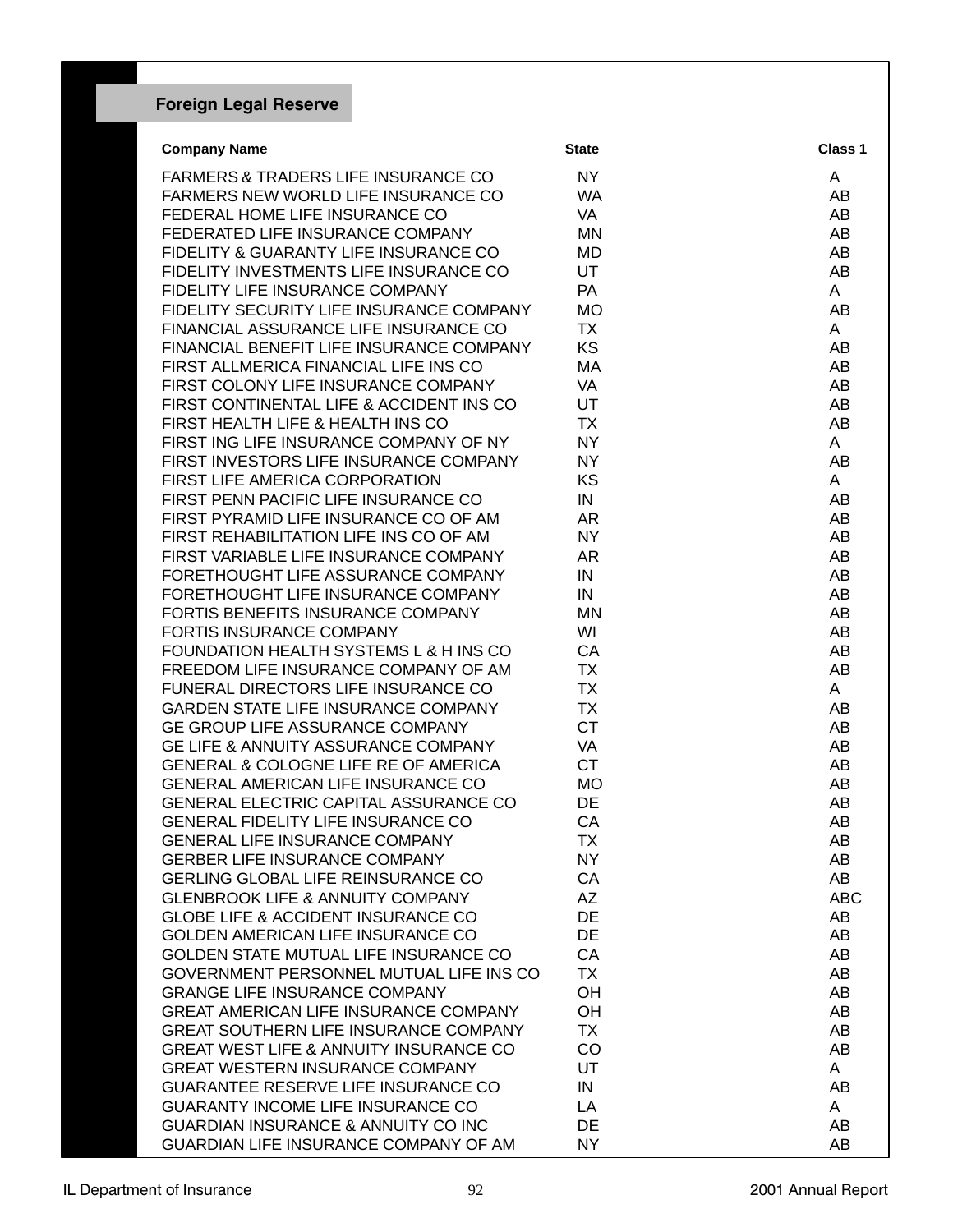| <b>Company Name</b>                               | <b>State</b> | Class 1    |
|---------------------------------------------------|--------------|------------|
| <b>FARMERS &amp; TRADERS LIFE INSURANCE CO</b>    | <b>NY</b>    | A          |
| FARMERS NEW WORLD LIFE INSURANCE CO               | <b>WA</b>    | AB         |
| FEDERAL HOME LIFE INSURANCE CO                    | <b>VA</b>    | AB         |
| FEDERATED LIFE INSURANCE COMPANY                  | <b>MN</b>    | AB         |
| FIDELITY & GUARANTY LIFE INSURANCE CO             | MD           | AB         |
| FIDELITY INVESTMENTS LIFE INSURANCE CO            | <b>UT</b>    | AB         |
| FIDELITY LIFE INSURANCE COMPANY                   | PA           | A          |
| FIDELITY SECURITY LIFE INSURANCE COMPANY          | <b>MO</b>    | AB         |
| FINANCIAL ASSURANCE LIFE INSURANCE CO             | <b>TX</b>    | A          |
| FINANCIAL BENEFIT LIFE INSURANCE COMPANY          | <b>KS</b>    | AB         |
| FIRST ALLMERICA FINANCIAL LIFE INS CO             | MA           | AB         |
| FIRST COLONY LIFE INSURANCE COMPANY               | VA           | AB         |
| FIRST CONTINENTAL LIFE & ACCIDENT INS CO          | UT           | AB         |
| FIRST HEALTH LIFE & HEALTH INS CO                 | <b>TX</b>    | AB         |
| FIRST ING LIFE INSURANCE COMPANY OF NY            | <b>NY</b>    | A          |
| FIRST INVESTORS LIFE INSURANCE COMPANY            | NY           | AB         |
| FIRST LIFE AMERICA CORPORATION                    | KS           | A          |
| FIRST PENN PACIFIC LIFE INSURANCE CO              | IN           | AB         |
| FIRST PYRAMID LIFE INSURANCE CO OF AM             | <b>AR</b>    | AB         |
| FIRST REHABILITATION LIFE INS CO OF AM            | <b>NY</b>    | AB         |
| FIRST VARIABLE LIFE INSURANCE COMPANY             | <b>AR</b>    | AB         |
| FORETHOUGHT LIFE ASSURANCE COMPANY                | IN           | AB         |
| FORETHOUGHT LIFE INSURANCE COMPANY                | IN           | AB         |
| FORTIS BENEFITS INSURANCE COMPANY                 | MN           | AB         |
| <b>FORTIS INSURANCE COMPANY</b>                   | WI           | AB         |
| FOUNDATION HEALTH SYSTEMS L & H INS CO            | CA           | AB         |
| FREEDOM LIFE INSURANCE COMPANY OF AM              | <b>TX</b>    | AB         |
| FUNERAL DIRECTORS LIFE INSURANCE CO               | <b>TX</b>    | A          |
| <b>GARDEN STATE LIFE INSURANCE COMPANY</b>        | <b>TX</b>    | AB         |
| GE GROUP LIFE ASSURANCE COMPANY                   | <b>CT</b>    | AB         |
| <b>GE LIFE &amp; ANNUITY ASSURANCE COMPANY</b>    | <b>VA</b>    | AB         |
| <b>GENERAL &amp; COLOGNE LIFE RE OF AMERICA</b>   | <b>CT</b>    | AB         |
| GENERAL AMERICAN LIFE INSURANCE CO                | <b>MO</b>    | AB         |
| GENERAL ELECTRIC CAPITAL ASSURANCE CO             | DE           | AB         |
| <b>GENERAL FIDELITY LIFE INSURANCE CO</b>         | CA           | AB         |
| <b>GENERAL LIFE INSURANCE COMPANY</b>             | TХ           | AB         |
| <b>GERBER LIFE INSURANCE COMPANY</b>              | NY.          | AB         |
| <b>GERLING GLOBAL LIFE REINSURANCE CO</b>         | CA           | AB         |
| <b>GLENBROOK LIFE &amp; ANNUITY COMPANY</b>       | <b>AZ</b>    | <b>ABC</b> |
| <b>GLOBE LIFE &amp; ACCIDENT INSURANCE CO.</b>    | <b>DE</b>    | AB         |
| GOLDEN AMERICAN LIFE INSURANCE CO                 | <b>DE</b>    | AB         |
| GOLDEN STATE MUTUAL LIFE INSURANCE CO             | CA           | AB         |
| GOVERNMENT PERSONNEL MUTUAL LIFE INS CO           | <b>TX</b>    | AB         |
| <b>GRANGE LIFE INSURANCE COMPANY</b>              | OH           | AB         |
| <b>GREAT AMERICAN LIFE INSURANCE COMPANY</b>      | OH           | AB         |
| <b>GREAT SOUTHERN LIFE INSURANCE COMPANY</b>      | <b>TX</b>    | AB         |
| <b>GREAT WEST LIFE &amp; ANNUITY INSURANCE CO</b> | CO           | AB         |
| <b>GREAT WESTERN INSURANCE COMPANY</b>            | UT           | A          |
|                                                   |              |            |
| GUARANTEE RESERVE LIFE INSURANCE CO               | IN           | AB         |
| <b>GUARANTY INCOME LIFE INSURANCE CO</b>          | LA           | A          |
| <b>GUARDIAN INSURANCE &amp; ANNUITY CO INC</b>    | DE           | AB         |
| GUARDIAN LIFE INSURANCE COMPANY OF AM             | <b>NY</b>    | AB         |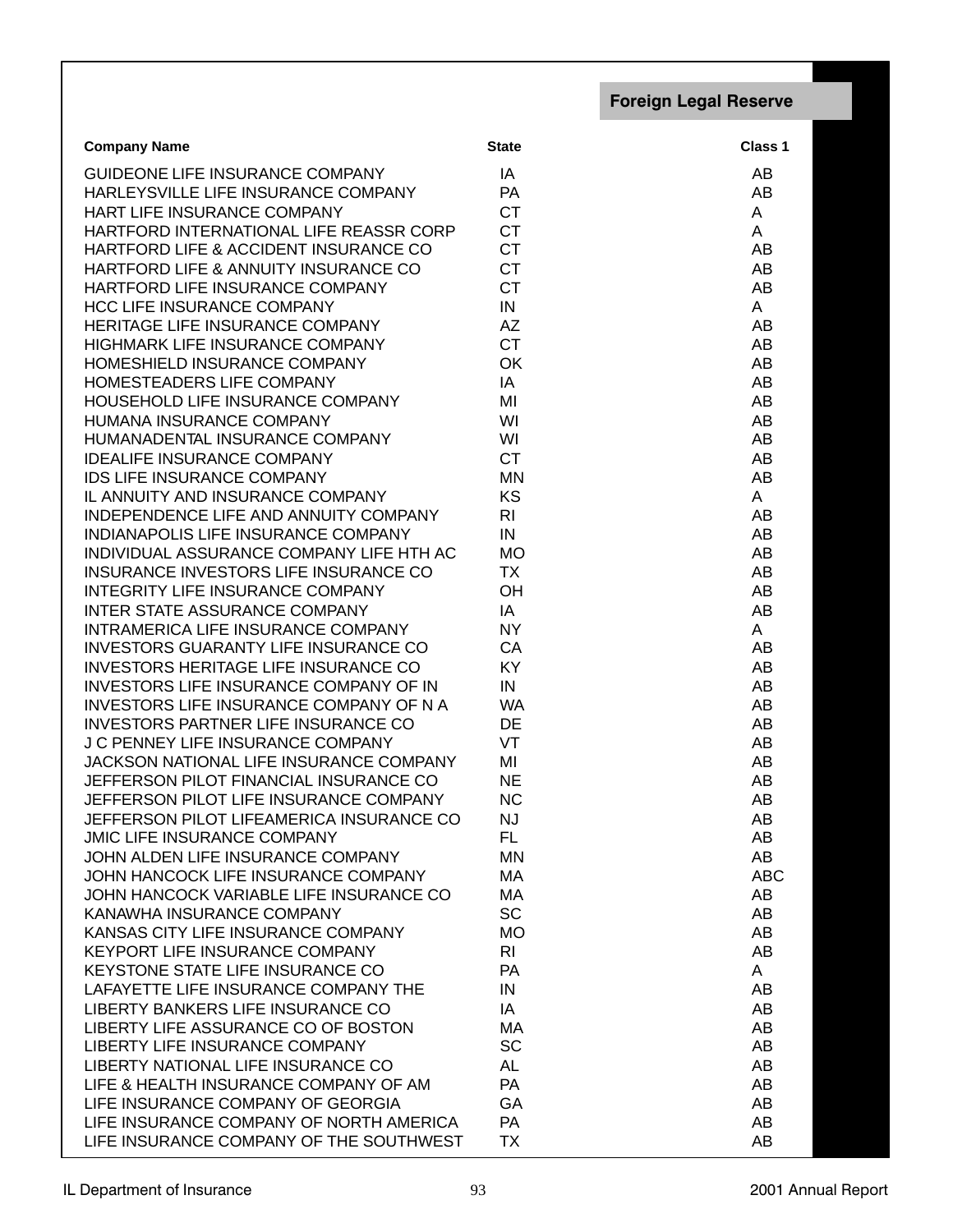|                                                                           |                | <b>Foreign Legal Reserve</b> |
|---------------------------------------------------------------------------|----------------|------------------------------|
| <b>Company Name</b>                                                       | <b>State</b>   | Class 1                      |
| GUIDEONE LIFE INSURANCE COMPANY                                           | IA             | AB                           |
| HARLEYSVILLE LIFE INSURANCE COMPANY                                       | PA             | AB                           |
| HART LIFE INSURANCE COMPANY                                               | <b>CT</b>      | A                            |
| HARTFORD INTERNATIONAL LIFE REASSR CORP                                   | <b>CT</b>      | A                            |
| HARTFORD LIFE & ACCIDENT INSURANCE CO                                     | <b>CT</b>      | AB                           |
| HARTFORD LIFE & ANNUITY INSURANCE CO                                      | <b>CT</b>      | AB                           |
| HARTFORD LIFE INSURANCE COMPANY                                           | <b>CT</b>      | AB                           |
| <b>HCC LIFE INSURANCE COMPANY</b>                                         | IN             | A                            |
| HERITAGE LIFE INSURANCE COMPANY                                           | <b>AZ</b>      | AB                           |
| HIGHMARK LIFE INSURANCE COMPANY                                           | <b>CT</b>      | AB                           |
| HOMESHIELD INSURANCE COMPANY                                              | OK             | AB                           |
| HOMESTEADERS LIFE COMPANY                                                 | IA             |                              |
|                                                                           |                | AB                           |
| HOUSEHOLD LIFE INSURANCE COMPANY                                          | MI<br>WI       | AB                           |
| HUMANA INSURANCE COMPANY                                                  | WI             | AB                           |
| HUMANADENTAL INSURANCE COMPANY                                            |                | AB                           |
| <b>IDEALIFE INSURANCE COMPANY</b>                                         | <b>CT</b>      | AB                           |
| <b>IDS LIFE INSURANCE COMPANY</b>                                         | <b>MN</b>      | AB                           |
| IL ANNUITY AND INSURANCE COMPANY<br>INDEPENDENCE LIFE AND ANNUITY COMPANY | KS             | A                            |
|                                                                           | R <sub>l</sub> | AB                           |
| INDIANAPOLIS LIFE INSURANCE COMPANY                                       | IN             | AB                           |
| INDIVIDUAL ASSURANCE COMPANY LIFE HTH AC                                  | <b>MO</b>      | AB                           |
| INSURANCE INVESTORS LIFE INSURANCE CO                                     | <b>TX</b>      | AB                           |
| INTEGRITY LIFE INSURANCE COMPANY                                          | OH             | AB                           |
| <b>INTER STATE ASSURANCE COMPANY</b>                                      | IA             | AB                           |
| INTRAMERICA LIFE INSURANCE COMPANY                                        | <b>NY</b>      | A                            |
| <b>INVESTORS GUARANTY LIFE INSURANCE CO</b>                               | CA             | AB                           |
| <b>INVESTORS HERITAGE LIFE INSURANCE CO</b>                               | KY             | AB                           |
| <b>INVESTORS LIFE INSURANCE COMPANY OF IN</b>                             | IN             | AB                           |
| <b>INVESTORS LIFE INSURANCE COMPANY OF N A</b>                            | <b>WA</b>      | AB                           |
| <b>INVESTORS PARTNER LIFE INSURANCE CO</b>                                | DE             | AB                           |
| J C PENNEY LIFE INSURANCE COMPANY                                         | <b>VT</b>      | AB                           |
| JACKSON NATIONAL LIFE INSURANCE COMPANY                                   | MI             | AB                           |
| JEFFERSON PILOT FINANCIAL INSURANCE CO                                    | <b>NE</b>      | AB                           |
| JEFFERSON PILOT LIFE INSURANCE COMPANY                                    | <b>NC</b>      | AВ                           |
| JEFFERSON PILOT LIFEAMERICA INSURANCE CO                                  | <b>NJ</b>      | AB                           |
| <b>JMIC LIFE INSURANCE COMPANY</b>                                        | FL.            | AB                           |
| JOHN ALDEN LIFE INSURANCE COMPANY                                         | MN             | AB                           |
| JOHN HANCOCK LIFE INSURANCE COMPANY                                       | МA             | <b>ABC</b>                   |
| JOHN HANCOCK VARIABLE LIFE INSURANCE CO                                   | МA             | AB                           |
| KANAWHA INSURANCE COMPANY                                                 | <b>SC</b>      | AB                           |
| KANSAS CITY LIFE INSURANCE COMPANY                                        | <b>MO</b>      | AB                           |
| <b>KEYPORT LIFE INSURANCE COMPANY</b>                                     | R <sub>l</sub> | AB                           |
| KEYSTONE STATE LIFE INSURANCE CO                                          | PA             | A                            |
| LAFAYETTE LIFE INSURANCE COMPANY THE                                      | IN             | AB                           |
| LIBERTY BANKERS LIFE INSURANCE CO                                         | IA             | AB                           |
| LIBERTY LIFE ASSURANCE CO OF BOSTON                                       | МA             | AB                           |
| <b>LIBERTY LIFE INSURANCE COMPANY</b>                                     | <b>SC</b>      | AB                           |
| LIBERTY NATIONAL LIFE INSURANCE CO                                        | AL             | AB                           |
| LIFE & HEALTH INSURANCE COMPANY OF AM                                     | PA             | AB                           |
| LIFE INSURANCE COMPANY OF GEORGIA                                         | GA             | AB                           |
| LIFE INSURANCE COMPANY OF NORTH AMERICA                                   | PA             | AB                           |
| LIFE INSURANCE COMPANY OF THE SOUTHWEST                                   | <b>TX</b>      | AB                           |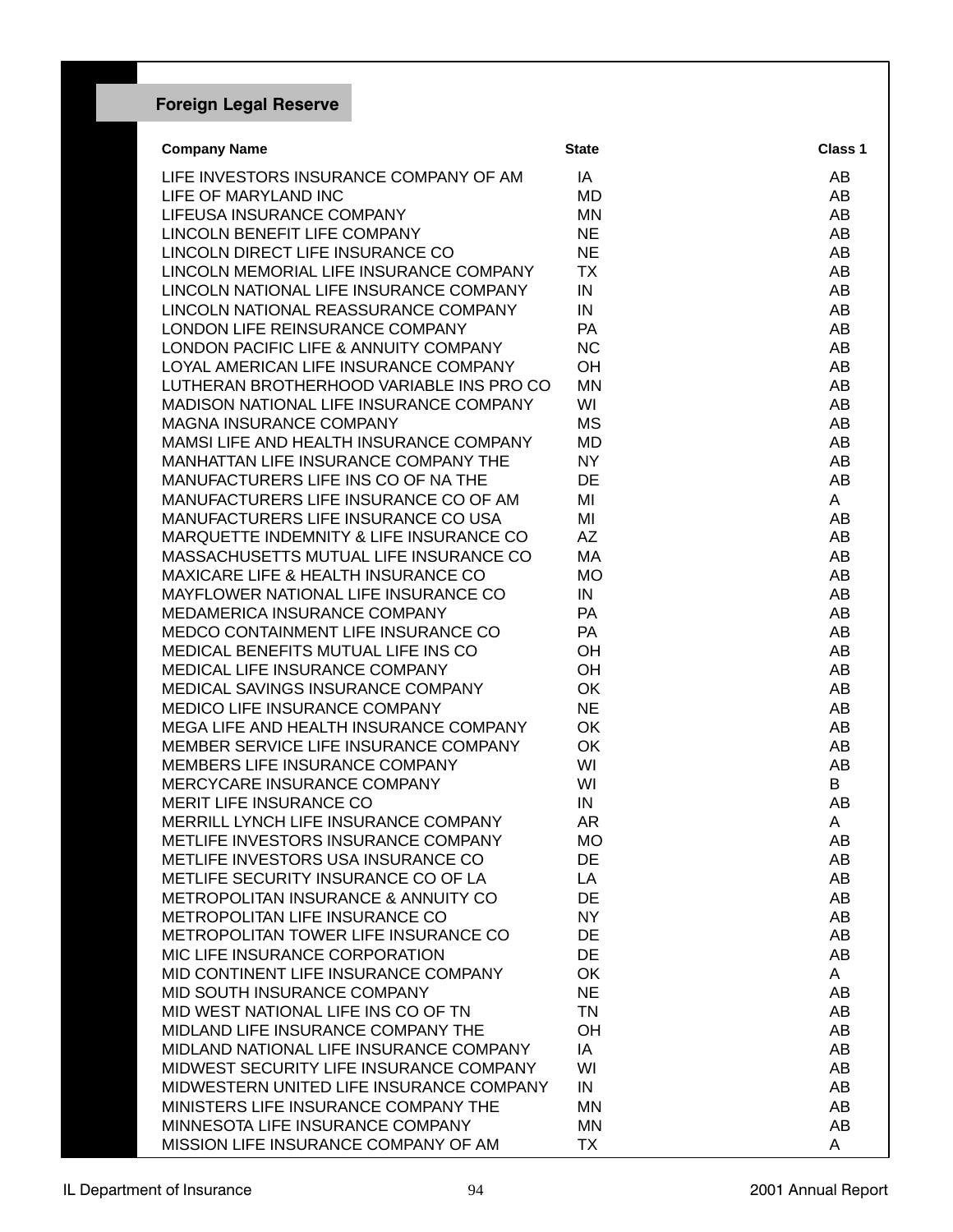| <b>Company Name</b>                      | <b>State</b> | Class 1   |
|------------------------------------------|--------------|-----------|
| LIFE INVESTORS INSURANCE COMPANY OF AM   | IA           | AB        |
| LIFE OF MARYLAND INC                     | <b>MD</b>    | AB        |
| LIFEUSA INSURANCE COMPANY                | MN           | AB        |
| LINCOLN BENEFIT LIFE COMPANY             | <b>NE</b>    | AB        |
| LINCOLN DIRECT LIFE INSURANCE CO         | <b>NE</b>    | AB        |
| LINCOLN MEMORIAL LIFE INSURANCE COMPANY  | <b>TX</b>    | AB        |
| LINCOLN NATIONAL LIFE INSURANCE COMPANY  | IN           | AB        |
| LINCOLN NATIONAL REASSURANCE COMPANY     | IN           | AB        |
| LONDON LIFE REINSURANCE COMPANY          | PA           | AB        |
| LONDON PACIFIC LIFE & ANNUITY COMPANY    | <b>NC</b>    | AB        |
| LOYAL AMERICAN LIFE INSURANCE COMPANY    | OH           | AB        |
| LUTHERAN BROTHERHOOD VARIABLE INS PRO CO | MN           | AB        |
| MADISON NATIONAL LIFE INSURANCE COMPANY  | WI           | AB        |
| <b>MAGNA INSURANCE COMPANY</b>           | <b>MS</b>    | AB        |
| MAMSI LIFE AND HEALTH INSURANCE COMPANY  | MD           | AB        |
| MANHATTAN LIFE INSURANCE COMPANY THE     | NY.          | AB        |
| MANUFACTURERS LIFE INS CO OF NA THE      | DE           | AB        |
| MANUFACTURERS LIFE INSURANCE CO OF AM    | MI           | A         |
| MANUFACTURERS LIFE INSURANCE CO USA      | MI           | AB        |
| MARQUETTE INDEMNITY & LIFE INSURANCE CO  | AZ           | AB        |
| MASSACHUSETTS MUTUAL LIFE INSURANCE CO   | МA           | AB        |
| MAXICARE LIFE & HEALTH INSURANCE CO      | <b>MO</b>    | AB        |
| MAYFLOWER NATIONAL LIFE INSURANCE CO     | IN           | AB        |
| MEDAMERICA INSURANCE COMPANY             | PA           | AB        |
| MEDCO CONTAINMENT LIFE INSURANCE CO      | PA           | AB        |
| MEDICAL BENEFITS MUTUAL LIFE INS CO      | OH           | AB        |
| MEDICAL LIFE INSURANCE COMPANY           | OH           | AB        |
| MEDICAL SAVINGS INSURANCE COMPANY        | OK           | AB        |
| <b>MEDICO LIFE INSURANCE COMPANY</b>     | <b>NE</b>    | AB        |
| MEGA LIFE AND HEALTH INSURANCE COMPANY   | OK           | AB        |
| MEMBER SERVICE LIFE INSURANCE COMPANY    | OK           | AB        |
| MEMBERS LIFE INSURANCE COMPANY           | WI           | AB        |
| MERCYCARE INSURANCE COMPANY              | WI           | B         |
| MERIT LIFE INSURANCE CO                  | IN           | AB        |
| MERRILL LYNCH LIFE INSURANCE COMPANY     | <b>AR</b>    | A         |
| METLIFE INVESTORS INSURANCE COMPANY      | <b>MO</b>    | <b>AB</b> |
| METLIFE INVESTORS USA INSURANCE CO       | DE           | AB        |
| METLIFE SECURITY INSURANCE CO OF LA      | LA           | AB        |
| METROPOLITAN INSURANCE & ANNUITY CO      | DE           | AB        |
| METROPOLITAN LIFE INSURANCE CO           | <b>NY</b>    | AB        |
| METROPOLITAN TOWER LIFE INSURANCE CO     | DE           | AB        |
| MIC LIFE INSURANCE CORPORATION           | DE           | AB        |
| MID CONTINENT LIFE INSURANCE COMPANY     | OK           | A         |
| MID SOUTH INSURANCE COMPANY              | <b>NE</b>    | AB        |
| MID WEST NATIONAL LIFE INS CO OF TN      | <b>TN</b>    | AB        |
| MIDLAND LIFE INSURANCE COMPANY THE       | OH           | AB        |
| MIDLAND NATIONAL LIFE INSURANCE COMPANY  | IA.          | AB        |
| MIDWEST SECURITY LIFE INSURANCE COMPANY  | WI           | AB        |
| MIDWESTERN UNITED LIFE INSURANCE COMPANY | IN           | AB        |
| MINISTERS LIFE INSURANCE COMPANY THE     | ΜN           | AB        |
| MINNESOTA LIFE INSURANCE COMPANY         | MN           | AB        |
| MISSION LIFE INSURANCE COMPANY OF AM     | <b>TX</b>    | A         |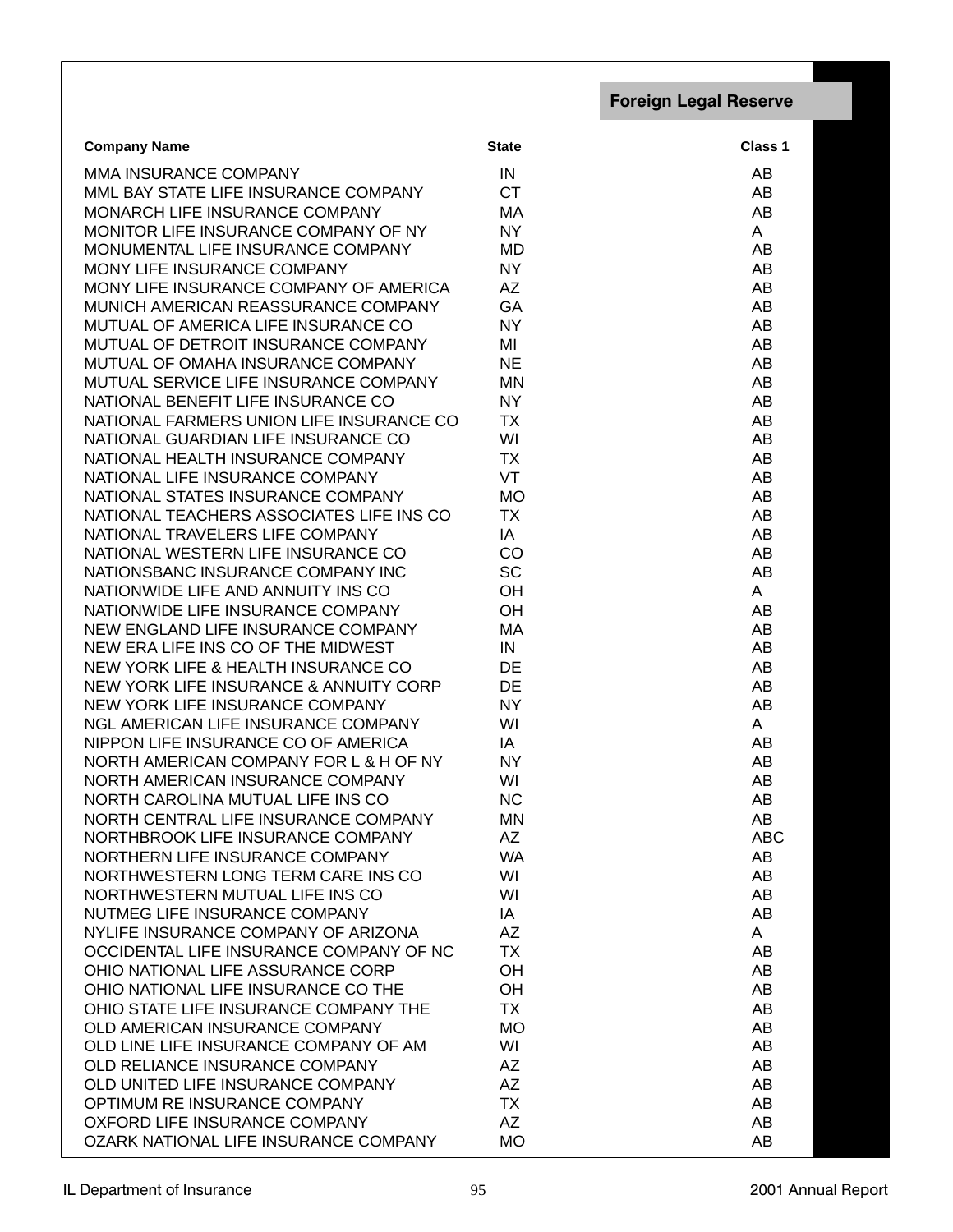|                                          |              | <b>Foreign Legal Reserve</b> |
|------------------------------------------|--------------|------------------------------|
| <b>Company Name</b>                      | <b>State</b> | Class 1                      |
| MMA INSURANCE COMPANY                    | IN           | AB                           |
| MML BAY STATE LIFE INSURANCE COMPANY     | <b>CT</b>    | AB                           |
| MONARCH LIFE INSURANCE COMPANY           | MA           | AB                           |
| MONITOR LIFE INSURANCE COMPANY OF NY     | <b>NY</b>    | A                            |
| MONUMENTAL LIFE INSURANCE COMPANY        | <b>MD</b>    | AB                           |
| MONY LIFE INSURANCE COMPANY              | <b>NY</b>    | AB                           |
| MONY LIFE INSURANCE COMPANY OF AMERICA   | AZ           | AB                           |
| MUNICH AMERICAN REASSURANCE COMPANY      | GA           | AB                           |
| MUTUAL OF AMERICA LIFE INSURANCE CO      | <b>NY</b>    | AB                           |
| MUTUAL OF DETROIT INSURANCE COMPANY      | MI           | AB                           |
| MUTUAL OF OMAHA INSURANCE COMPANY        | <b>NE</b>    | AB                           |
| MUTUAL SERVICE LIFE INSURANCE COMPANY    | <b>MN</b>    | AB                           |
| NATIONAL BENEFIT LIFE INSURANCE CO       | <b>NY</b>    | AB                           |
| NATIONAL FARMERS UNION LIFE INSURANCE CO | <b>TX</b>    | AB                           |
| NATIONAL GUARDIAN LIFE INSURANCE CO      | WI           | AB                           |
| NATIONAL HEALTH INSURANCE COMPANY        | <b>TX</b>    | AB                           |
| NATIONAL LIFE INSURANCE COMPANY          | VT           | AB                           |
| NATIONAL STATES INSURANCE COMPANY        | <b>MO</b>    | AB                           |
| NATIONAL TEACHERS ASSOCIATES LIFE INS CO | <b>TX</b>    | AB                           |
| NATIONAL TRAVELERS LIFE COMPANY          | IA           | AB                           |
| NATIONAL WESTERN LIFE INSURANCE CO       | CO           | AB                           |
| NATIONSBANC INSURANCE COMPANY INC        | <b>SC</b>    | AB                           |
| NATIONWIDE LIFE AND ANNUITY INS CO       | OH           | A                            |
| NATIONWIDE LIFE INSURANCE COMPANY        | OH           | AB                           |
| NEW ENGLAND LIFE INSURANCE COMPANY       | MA           | AB                           |
| NEW ERA LIFE INS CO OF THE MIDWEST       | IN           | AB                           |
| NEW YORK LIFE & HEALTH INSURANCE CO      | DE           | AB                           |
| NEW YORK LIFE INSURANCE & ANNUITY CORP   | DE           | AB                           |
| NEW YORK LIFE INSURANCE COMPANY          | <b>NY</b>    | AB                           |
| NGL AMERICAN LIFE INSURANCE COMPANY      | WI           | A                            |
| NIPPON LIFE INSURANCE CO OF AMERICA      | IA           | AB                           |
| NORTH AMERICAN COMPANY FOR L & H OF NY   | <b>NY</b>    | AB                           |
| NORTH AMERICAN INSURANCE COMPANY         | WI           | AB                           |
| NORTH CAROLINA MUTUAL LIFE INS CO        | <b>NC</b>    | AB                           |
| NORTH CENTRAL LIFE INSURANCE COMPANY     | MN           | AB                           |
| NORTHBROOK LIFE INSURANCE COMPANY        | AZ           | <b>ABC</b>                   |
| NORTHERN LIFE INSURANCE COMPANY          | <b>WA</b>    | AB                           |
| NORTHWESTERN LONG TERM CARE INS CO       | WI           | AB                           |
| NORTHWESTERN MUTUAL LIFE INS CO          | WI           | AB                           |
| NUTMEG LIFE INSURANCE COMPANY            | IA           | AB                           |
| NYLIFE INSURANCE COMPANY OF ARIZONA      | AZ           | $\mathsf{A}$                 |
| OCCIDENTAL LIFE INSURANCE COMPANY OF NC  | <b>TX</b>    | AB                           |
| OHIO NATIONAL LIFE ASSURANCE CORP        | OH           | AB                           |
| OHIO NATIONAL LIFE INSURANCE CO THE      | OH           | AB                           |
| OHIO STATE LIFE INSURANCE COMPANY THE    | TX           | AB                           |
|                                          |              |                              |
| OLD AMERICAN INSURANCE COMPANY           | <b>MO</b>    | AB<br>AB                     |
| OLD LINE LIFE INSURANCE COMPANY OF AM    | WI           |                              |
| OLD RELIANCE INSURANCE COMPANY           | AZ           | AB                           |
| OLD UNITED LIFE INSURANCE COMPANY        | AZ           | AB                           |
| OPTIMUM RE INSURANCE COMPANY             | <b>TX</b>    | AB                           |
| OXFORD LIFE INSURANCE COMPANY            | AZ           | AB                           |
| OZARK NATIONAL LIFE INSURANCE COMPANY    | <b>MO</b>    | AB                           |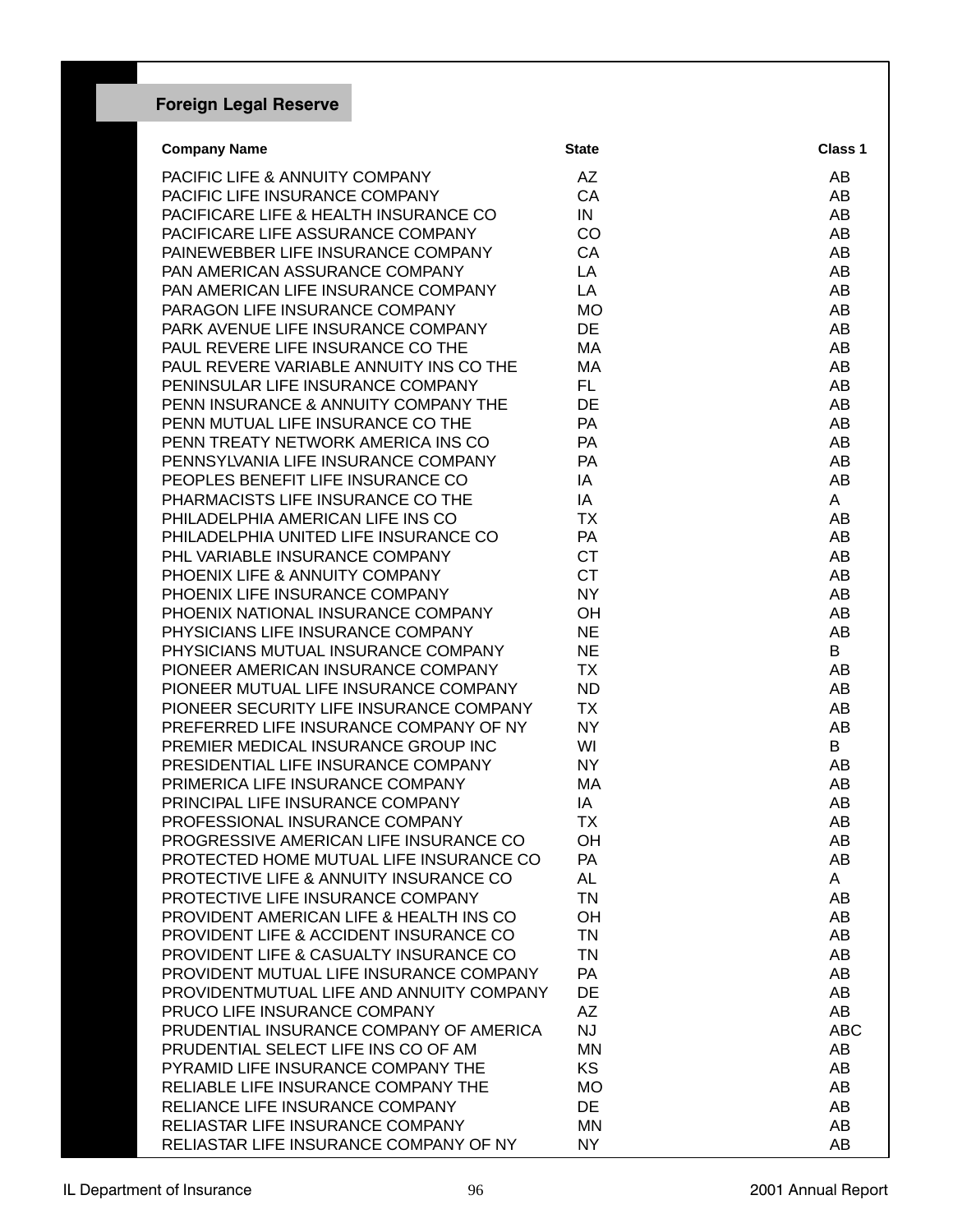| <b>Company Name</b>                      | <b>State</b> | Class 1    |
|------------------------------------------|--------------|------------|
| PACIFIC LIFE & ANNUITY COMPANY           | <b>AZ</b>    | AB         |
| PACIFIC LIFE INSURANCE COMPANY           | CA           | AB         |
| PACIFICARE LIFE & HEALTH INSURANCE CO    | IN           | AB         |
| PACIFICARE LIFE ASSURANCE COMPANY        | CO           | AB         |
| PAINEWEBBER LIFE INSURANCE COMPANY       | CA           | AB         |
| PAN AMERICAN ASSURANCE COMPANY           | LA           | AB         |
| PAN AMERICAN LIFE INSURANCE COMPANY      | LA           | AB         |
| PARAGON LIFE INSURANCE COMPANY           | <b>MO</b>    | AB         |
| PARK AVENUE LIFE INSURANCE COMPANY       | <b>DE</b>    | AB         |
| PAUL REVERE LIFE INSURANCE CO THE        | МA           | AB         |
| PAUL REVERE VARIABLE ANNUITY INS CO THE  | МA           | AB         |
| PENINSULAR LIFE INSURANCE COMPANY        | FL.          | AB         |
| PENN INSURANCE & ANNUITY COMPANY THE     | DE           | AB         |
| PENN MUTUAL LIFE INSURANCE CO THE        | <b>PA</b>    | AB         |
| PENN TREATY NETWORK AMERICA INS CO       | PA           | AB         |
| PENNSYLVANIA LIFE INSURANCE COMPANY      | PA           | AB         |
| PEOPLES BENEFIT LIFE INSURANCE CO        | IA           | AB         |
| PHARMACISTS LIFE INSURANCE CO THE        | IA           | A          |
| PHILADELPHIA AMERICAN LIFE INS CO        | <b>TX</b>    | AB         |
| PHILADELPHIA UNITED LIFE INSURANCE CO    | PA           | AB         |
| PHL VARIABLE INSURANCE COMPANY           | <b>CT</b>    | AB         |
| PHOENIX LIFE & ANNUITY COMPANY           | <b>CT</b>    | AB         |
| PHOENIX LIFE INSURANCE COMPANY           | <b>NY</b>    | AB         |
| PHOENIX NATIONAL INSURANCE COMPANY       | OH           | AB         |
| PHYSICIANS LIFE INSURANCE COMPANY        | <b>NE</b>    | AB         |
| PHYSICIANS MUTUAL INSURANCE COMPANY      | <b>NE</b>    | B          |
| PIONEER AMERICAN INSURANCE COMPANY       | <b>TX</b>    | AB         |
| PIONEER MUTUAL LIFE INSURANCE COMPANY    | <b>ND</b>    | AB         |
| PIONEER SECURITY LIFE INSURANCE COMPANY  | <b>TX</b>    | AB         |
| PREFERRED LIFE INSURANCE COMPANY OF NY   | NY           | AB         |
| PREMIER MEDICAL INSURANCE GROUP INC      | WI           | B          |
| PRESIDENTIAL LIFE INSURANCE COMPANY      | <b>NY</b>    | AB         |
| PRIMERICA LIFE INSURANCE COMPANY         | МA           | AB         |
| PRINCIPAL LIFE INSURANCE COMPANY         | IA           | AB         |
| PROFESSIONAL INSURANCE COMPANY           | <b>TX</b>    | AB         |
| PROGRESSIVE AMERICAN LIFE INSURANCE CO   | OH           | AB         |
| PROTECTED HOME MUTUAL LIFE INSURANCE CO  | PA           | AB         |
| PROTECTIVE LIFE & ANNUITY INSURANCE CO   | AL           | A          |
| PROTECTIVE LIFE INSURANCE COMPANY        | <b>TN</b>    | AB         |
| PROVIDENT AMERICAN LIFE & HEALTH INS CO  | OH           | AB         |
| PROVIDENT LIFE & ACCIDENT INSURANCE CO   | <b>TN</b>    | AB         |
| PROVIDENT LIFE & CASUALTY INSURANCE CO   | <b>TN</b>    | AB         |
| PROVIDENT MUTUAL LIFE INSURANCE COMPANY  | PA           | AB         |
| PROVIDENTMUTUAL LIFE AND ANNUITY COMPANY | DE           | AB         |
| PRUCO LIFE INSURANCE COMPANY             | AZ           | AB         |
| PRUDENTIAL INSURANCE COMPANY OF AMERICA  | <b>NJ</b>    | <b>ABC</b> |
| PRUDENTIAL SELECT LIFE INS CO OF AM      | <b>MN</b>    | AB         |
| PYRAMID LIFE INSURANCE COMPANY THE       | <b>KS</b>    | AB         |
| RELIABLE LIFE INSURANCE COMPANY THE      | <b>MO</b>    | AB         |
| <b>RELIANCE LIFE INSURANCE COMPANY</b>   | <b>DE</b>    | AB         |
| RELIASTAR LIFE INSURANCE COMPANY         | <b>MN</b>    | AB         |
| RELIASTAR LIFE INSURANCE COMPANY OF NY   | <b>NY</b>    | AB         |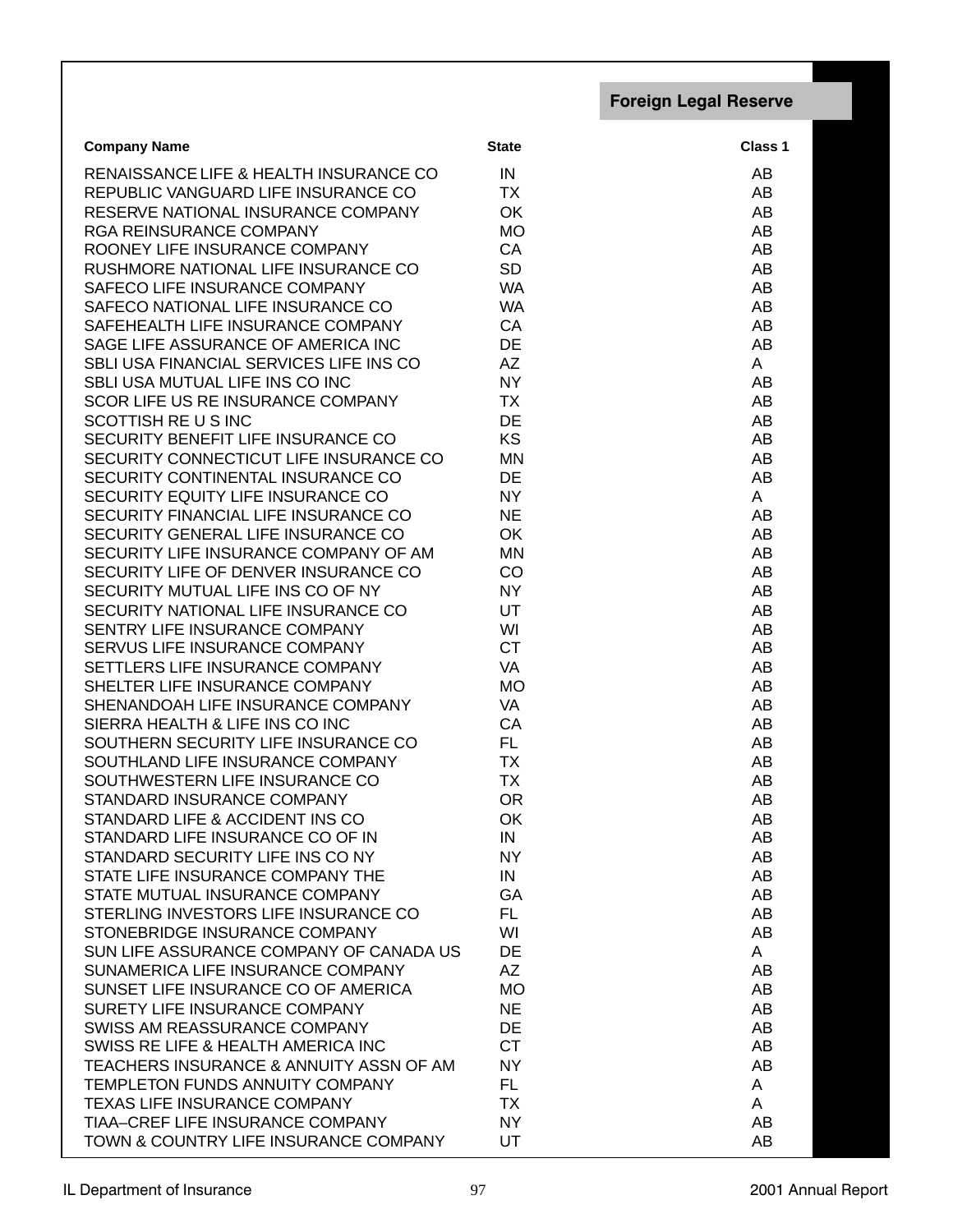|                                         |              | <b>Foreign Legal Reserve</b> |
|-----------------------------------------|--------------|------------------------------|
| <b>Company Name</b>                     | <b>State</b> | Class 1                      |
| RENAISSANCE LIFE & HEALTH INSURANCE CO  | IN           | AB                           |
| REPUBLIC VANGUARD LIFE INSURANCE CO     | <b>TX</b>    | AB                           |
| RESERVE NATIONAL INSURANCE COMPANY      | OK           | AB                           |
| <b>RGA REINSURANCE COMPANY</b>          | <b>MO</b>    | AB                           |
| ROONEY LIFE INSURANCE COMPANY           | CA           | AB                           |
| RUSHMORE NATIONAL LIFE INSURANCE CO     | <b>SD</b>    | AB                           |
| SAFECO LIFE INSURANCE COMPANY           | <b>WA</b>    | AB                           |
| SAFECO NATIONAL LIFE INSURANCE CO       | <b>WA</b>    | AB                           |
| SAFEHEALTH LIFE INSURANCE COMPANY       | CA           | AB                           |
| SAGE LIFE ASSURANCE OF AMERICA INC      | DE           | AB                           |
| SBLI USA FINANCIAL SERVICES LIFE INS CO | AZ           |                              |
|                                         |              | A                            |
| SBLI USA MUTUAL LIFE INS CO INC         | <b>NY</b>    | AВ                           |
| SCOR LIFE US RE INSURANCE COMPANY       | <b>TX</b>    | AB                           |
| <b>SCOTTISH RE U S INC</b>              | DE           | AB                           |
| SECURITY BENEFIT LIFE INSURANCE CO      | <b>KS</b>    | AB                           |
| SECURITY CONNECTICUT LIFE INSURANCE CO  | <b>MN</b>    | AB                           |
| SECURITY CONTINENTAL INSURANCE CO       | DE           | AB                           |
| SECURITY EQUITY LIFE INSURANCE CO       | <b>NY</b>    | A                            |
| SECURITY FINANCIAL LIFE INSURANCE CO    | <b>NE</b>    | AВ                           |
| SECURITY GENERAL LIFE INSURANCE CO      | OK           | AB                           |
| SECURITY LIFE INSURANCE COMPANY OF AM   | <b>MN</b>    | AB                           |
| SECURITY LIFE OF DENVER INSURANCE CO    | CO           | AB                           |
| SECURITY MUTUAL LIFE INS CO OF NY       | <b>NY</b>    | AB                           |
| SECURITY NATIONAL LIFE INSURANCE CO     | UT           | AB                           |
| SENTRY LIFE INSURANCE COMPANY           | WI           | AB                           |
| SERVUS LIFE INSURANCE COMPANY           | <b>CT</b>    | AB                           |
| SETTLERS LIFE INSURANCE COMPANY         | VA           | AB                           |
| SHELTER LIFE INSURANCE COMPANY          | <b>MO</b>    | AB                           |
| SHENANDOAH LIFE INSURANCE COMPANY       | VA           | AB                           |
| SIERRA HEALTH & LIFE INS CO INC         | CA           | AB                           |
| SOUTHERN SECURITY LIFE INSURANCE CO     | FL.          | AB                           |
| SOUTHLAND LIFE INSURANCE COMPANY        | <b>TX</b>    | AB                           |
| SOUTHWESTERN LIFE INSURANCE CO          | TX           | AB                           |
| STANDARD INSURANCE COMPANY              | <b>OR</b>    | AB                           |
| STANDARD LIFE & ACCIDENT INS CO         | OK           | AB                           |
| STANDARD LIFE INSURANCE CO OF IN        | IN           | AB                           |
| STANDARD SECURITY LIFE INS CO NY        | <b>NY</b>    | AB                           |
| STATE LIFE INSURANCE COMPANY THE        | IN           | AB                           |
| STATE MUTUAL INSURANCE COMPANY          | GA           | AB                           |
| STERLING INVESTORS LIFE INSURANCE CO    | FL.          | AB                           |
| STONEBRIDGE INSURANCE COMPANY           | WI           | AB                           |
| SUN LIFE ASSURANCE COMPANY OF CANADA US | DE           | A                            |
| SUNAMERICA LIFE INSURANCE COMPANY       | AZ           | AB                           |
| SUNSET LIFE INSURANCE CO OF AMERICA     | <b>MO</b>    | AB                           |
| SURETY LIFE INSURANCE COMPANY           | <b>NE</b>    | AB                           |
| SWISS AM REASSURANCE COMPANY            | DE           | AB                           |
| SWISS RE LIFE & HEALTH AMERICA INC      | <b>CT</b>    | AB                           |
| TEACHERS INSURANCE & ANNUITY ASSN OF AM | <b>NY</b>    | AB                           |
|                                         |              |                              |
| TEMPLETON FUNDS ANNUITY COMPANY         | FL.          | A                            |
| TEXAS LIFE INSURANCE COMPANY            | TX           | A                            |
| TIAA-CREF LIFE INSURANCE COMPANY        | NY           | AВ                           |
| TOWN & COUNTRY LIFE INSURANCE COMPANY   | UT           | AB                           |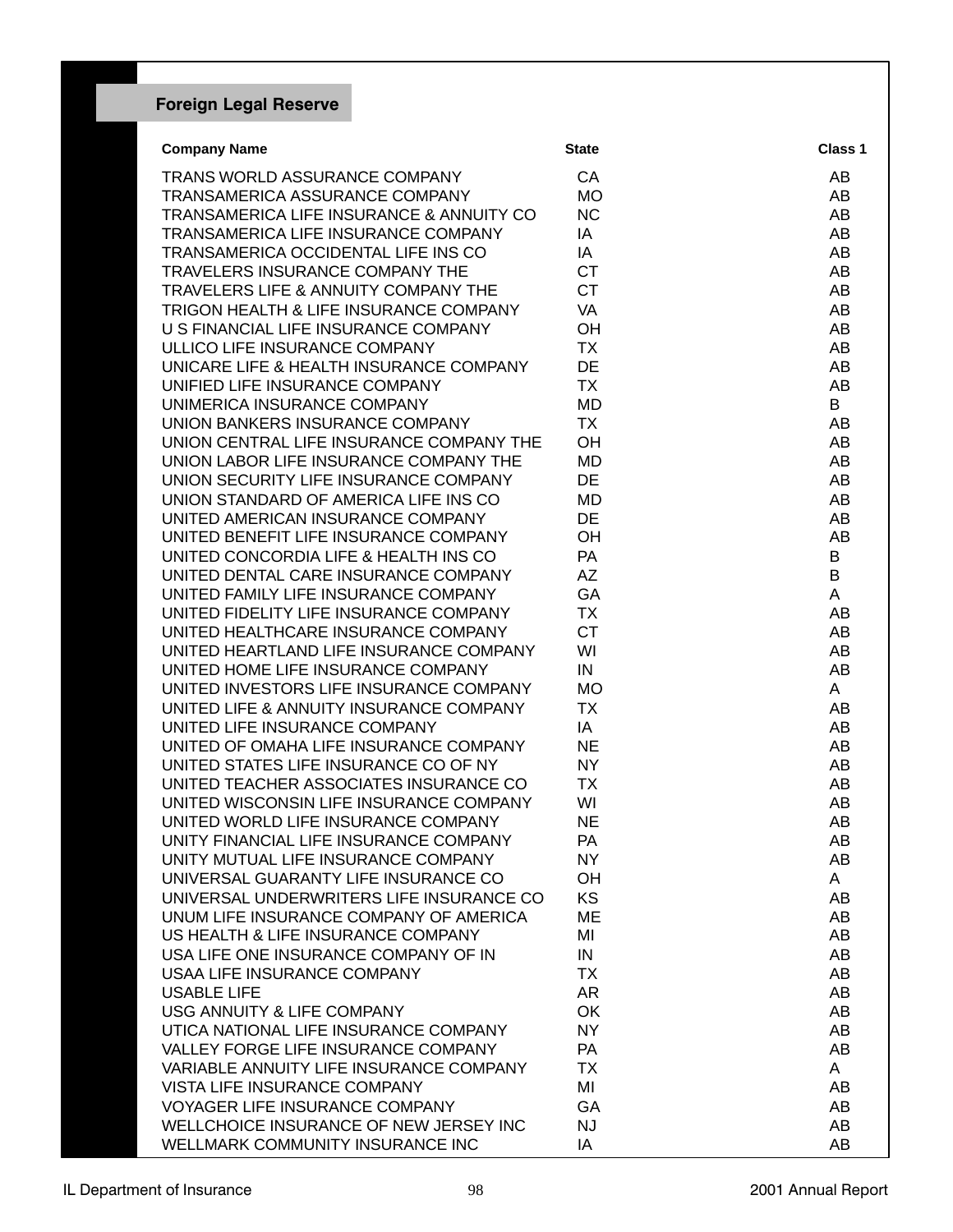| <b>Company Name</b>                      | <b>State</b> | Class 1 |
|------------------------------------------|--------------|---------|
| TRANS WORLD ASSURANCE COMPANY            | CA           | AB      |
| TRANSAMERICA ASSURANCE COMPANY           | <b>MO</b>    | AB      |
| TRANSAMERICA LIFE INSURANCE & ANNUITY CO | <b>NC</b>    | AB      |
| TRANSAMERICA LIFE INSURANCE COMPANY      | IA           | AB      |
| TRANSAMERICA OCCIDENTAL LIFE INS CO      | IA           | AB      |
| TRAVELERS INSURANCE COMPANY THE          | <b>CT</b>    | AB      |
| TRAVELERS LIFE & ANNUITY COMPANY THE     | <b>CT</b>    | AB      |
| TRIGON HEALTH & LIFE INSURANCE COMPANY   | VA           | AB      |
| U S FINANCIAL LIFE INSURANCE COMPANY     | OH           | AB      |
| ULLICO LIFE INSURANCE COMPANY            | <b>TX</b>    | AB      |
| UNICARE LIFE & HEALTH INSURANCE COMPANY  | DE           | AB      |
| UNIFIED LIFE INSURANCE COMPANY           | <b>TX</b>    | AB      |
| UNIMERICA INSURANCE COMPANY              | MD           | B       |
| UNION BANKERS INSURANCE COMPANY          | <b>TX</b>    | AB      |
| UNION CENTRAL LIFE INSURANCE COMPANY THE | OH           | AB      |
| UNION LABOR LIFE INSURANCE COMPANY THE   | MD           | AB      |
| UNION SECURITY LIFE INSURANCE COMPANY    | DE           | AB      |
| UNION STANDARD OF AMERICA LIFE INS CO    | MD           | AB      |
| UNITED AMERICAN INSURANCE COMPANY        | <b>DE</b>    | AB      |
| UNITED BENEFIT LIFE INSURANCE COMPANY    | OH           | AB      |
| UNITED CONCORDIA LIFE & HEALTH INS CO    | <b>PA</b>    | B       |
| UNITED DENTAL CARE INSURANCE COMPANY     | AZ           | B       |
| UNITED FAMILY LIFE INSURANCE COMPANY     | GA           | A       |
| UNITED FIDELITY LIFE INSURANCE COMPANY   | <b>TX</b>    | AB      |
| UNITED HEALTHCARE INSURANCE COMPANY      | <b>CT</b>    | AB      |
| UNITED HEARTLAND LIFE INSURANCE COMPANY  | WI           | AB      |
| UNITED HOME LIFE INSURANCE COMPANY       | IN           | AB      |
| UNITED INVESTORS LIFE INSURANCE COMPANY  | <b>MO</b>    | A       |
| UNITED LIFE & ANNUITY INSURANCE COMPANY  | <b>TX</b>    | AB      |
| UNITED LIFE INSURANCE COMPANY            | IA           | AB      |
| UNITED OF OMAHA LIFE INSURANCE COMPANY   | <b>NE</b>    | AB      |
| UNITED STATES LIFE INSURANCE CO OF NY    | <b>NY</b>    | AB      |
| UNITED TEACHER ASSOCIATES INSURANCE CO   | <b>TX</b>    | AB      |
| UNITED WISCONSIN LIFE INSURANCE COMPANY  | WI           | AB      |
| UNITED WORLD LIFE INSURANCE COMPANY      | <b>NE</b>    | AB      |
| UNITY FINANCIAL LIFE INSURANCE COMPANY   | PA           | AB      |
| UNITY MUTUAL LIFE INSURANCE COMPANY      | NY           | AB      |
| UNIVERSAL GUARANTY LIFE INSURANCE CO     | OH           | A       |
| UNIVERSAL UNDERWRITERS LIFE INSURANCE CO | <b>KS</b>    | AB      |
| UNUM LIFE INSURANCE COMPANY OF AMERICA   | ME           | AB      |
| US HEALTH & LIFE INSURANCE COMPANY       | MI           | AB      |
| USA LIFE ONE INSURANCE COMPANY OF IN     | IN           | AB      |
| USAA LIFE INSURANCE COMPANY              | TX           | AB      |
| <b>USABLE LIFE</b>                       | AR           | AB      |
| USG ANNUITY & LIFE COMPANY               | OK           | AB      |
| UTICA NATIONAL LIFE INSURANCE COMPANY    | <b>NY</b>    | AB      |
| VALLEY FORGE LIFE INSURANCE COMPANY      | PA           | AB      |
| VARIABLE ANNUITY LIFE INSURANCE COMPANY  | TX           | A       |
| VISTA LIFE INSURANCE COMPANY             | MI           | AB      |
| <b>VOYAGER LIFE INSURANCE COMPANY</b>    | GA           | AB      |
| WELLCHOICE INSURANCE OF NEW JERSEY INC   | <b>NJ</b>    | AB      |
| WELLMARK COMMUNITY INSURANCE INC         | IA.          | AB      |
|                                          |              |         |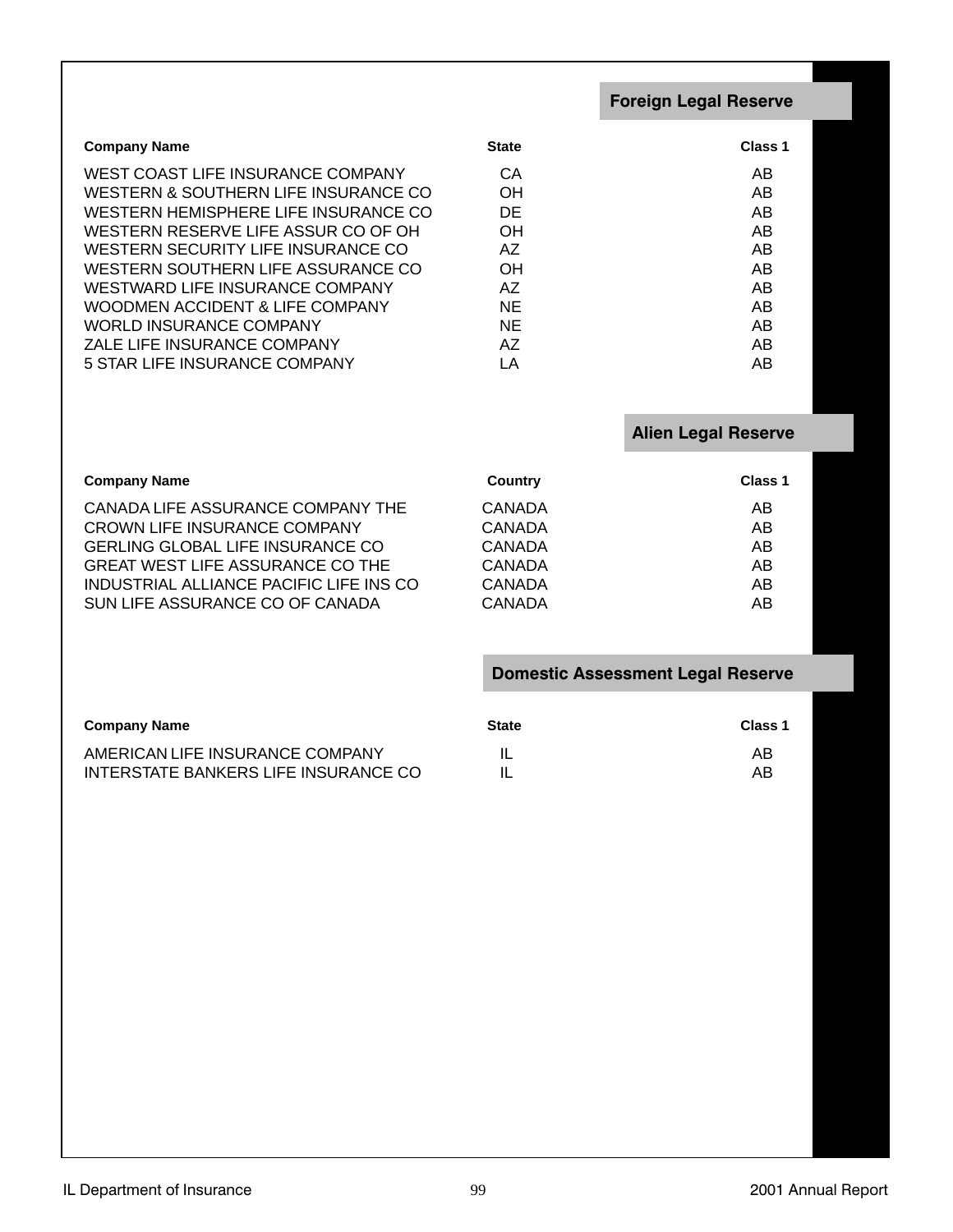|                                      |              | <b>Foreign Legal Reserve</b> |
|--------------------------------------|--------------|------------------------------|
| <b>Company Name</b>                  | <b>State</b> | Class <sub>1</sub>           |
| WEST COAST LIFE INSURANCE COMPANY    | CА           | AB.                          |
| WESTERN & SOUTHERN LIFE INSURANCE CO | OH           | AB.                          |
| WESTERN HEMISPHERE LIFE INSURANCE CO | DE.          | AB                           |
| WESTERN RESERVE LIFE ASSUR CO OF OH  | OΗ           | AB                           |
| WESTERN SECURITY LIFE INSURANCE CO   | AZ.          | AB                           |
| WESTERN SOUTHERN LIFE ASSURANCE CO   | OH           | AB                           |
| WESTWARD LIFE INSURANCE COMPANY      | <b>AZ</b>    | AB                           |
| WOODMEN ACCIDENT & LIFE COMPANY      | NE.          | AB                           |
| <b>WORLD INSURANCE COMPANY</b>       | <b>NE</b>    | AB                           |
| ZALE LIFE INSURANCE COMPANY          | AZ           | AB                           |
| 5 STAR LIFE INSURANCE COMPANY        | LA           | AB                           |

#### Alien Legal Reserve

| <b>Company Name</b>                     | Country | Class 1 |
|-----------------------------------------|---------|---------|
| CANADA LIFE ASSURANCE COMPANY THE       | CANADA  | AΒ      |
| CROWN LIFE INSURANCE COMPANY            | CANADA  | AB      |
| <b>GERLING GLOBAL LIFE INSURANCE CO</b> | CANADA  | AB      |
| <b>GREAT WEST LIFE ASSURANCE CO THE</b> | CANADA  | AB      |
| INDUSTRIAL ALLIANCE PACIFIC LIFE INS CO | CANADA  | AB      |
| SUN LIFE ASSURANCE CO OF CANADA         | CANADA  | AΒ      |

#### Domestic Assessment Legal Reserve

| <b>Company Name</b>                  | <b>State</b> | Class 1 |
|--------------------------------------|--------------|---------|
| AMERICAN LIFE INSURANCE COMPANY      |              | AΒ      |
| INTERSTATE BANKERS LIFE INSURANCE CO |              | AΒ      |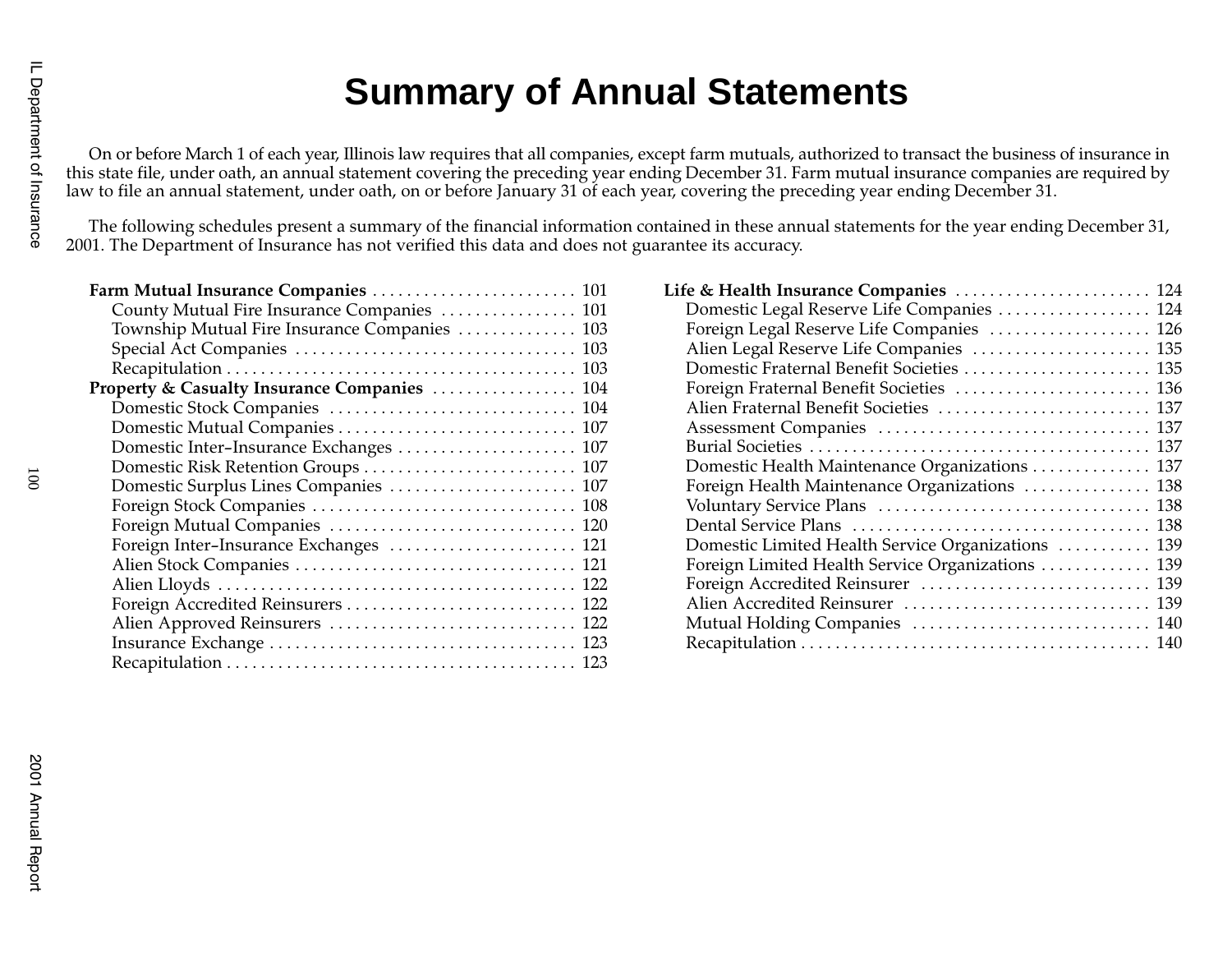# **Summary of Annual Statements**

On or before March 1 of each year, Illinois law requires that all companies, except farm mutuals, authorized to transact the business of insurance in this state file, under oath, an annual statement covering the preceding year ending December 31. Farm mutual insurance companies are required by law to file an annual statement, under oath, on or before January 31 of each year, covering the preceding year ending December 31.

The following schedules present a summary of the financial information contained in these annual statements for the year ending December 31, 2001. The Department of Insurance has not verified this data and does not guarantee its accuracy.

 $101$ 

| County Mutual Fire Insurance Companies  101   |  |
|-----------------------------------------------|--|
| Township Mutual Fire Insurance Companies  103 |  |
|                                               |  |
| 103                                           |  |
| Property & Casualty Insurance Companies  104  |  |
|                                               |  |
|                                               |  |
| Domestic Inter-Insurance Exchanges  107       |  |
|                                               |  |
| Domestic Surplus Lines Companies  107         |  |
|                                               |  |
|                                               |  |
| Foreign Inter-Insurance Exchanges  121        |  |
|                                               |  |
|                                               |  |
| Foreign Accredited Reinsurers  122            |  |
|                                               |  |
|                                               |  |
| 123                                           |  |
|                                               |  |

Earn Mutual Incurrence Companies

| Life & Health Insurance Companies $\dots\dots\dots\dots\dots\dots\dots$ 124 |     |
|-----------------------------------------------------------------------------|-----|
| Domestic Legal Reserve Life Companies  124                                  |     |
| Foreign Legal Reserve Life Companies  126                                   |     |
| Alien Legal Reserve Life Companies  135                                     |     |
| Domestic Fraternal Benefit Societies  135                                   |     |
| Foreign Fraternal Benefit Societies  136                                    |     |
| Alien Fraternal Benefit Societies  137                                      |     |
|                                                                             | 137 |
|                                                                             | 137 |
| Domestic Health Maintenance Organizations  137                              |     |
| Foreign Health Maintenance Organizations                                    | 138 |
| Voluntary Service Plans                                                     | 138 |
|                                                                             | 138 |
| Domestic Limited Health Service Organizations                               | 139 |
| Foreign Limited Health Service Organizations                                | 139 |
| Foreign Accredited Reinsurer                                                | 139 |
| Alien Accredited Reinsurer                                                  | 139 |
| Mutual Holding Companies  140                                               |     |
|                                                                             |     |
|                                                                             |     |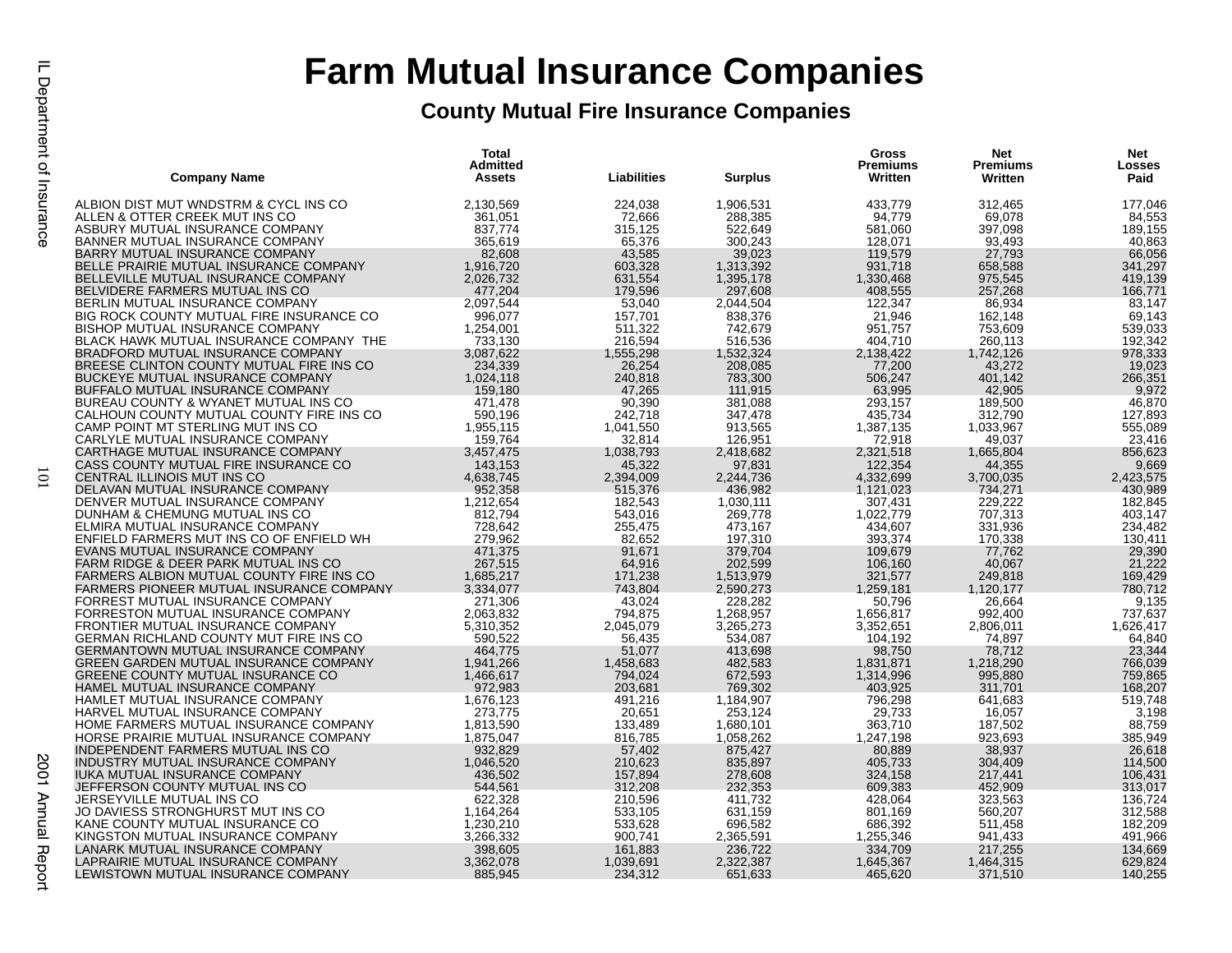# **Farm Mutual Insurance Companies**

# **County Mutual Fire Insurance Companies**

|                                                                     | <b>Total</b><br>Admitted |                      |                     | Gross<br><b>Premiums</b> | <b>Net</b><br><b>Premiums</b> | <b>Net</b><br>Losses         |
|---------------------------------------------------------------------|--------------------------|----------------------|---------------------|--------------------------|-------------------------------|------------------------------|
| <b>Company Name</b>                                                 | <b>Assets</b>            | <b>Liabilities</b>   | Surplus             | Written                  | Written                       | Paid                         |
| ALBION DIST MUT WNDSTRM & CYCL INS CO                               | 2.130.569                | 224.038              | 1,906,531           | 433.779                  | 312,465                       | 177,046                      |
| ALLEN & OTTER CREEK MUT INS CO                                      | 361,051                  | 72,666               | 288,385             | 94,779                   | 69,078                        | 84,553                       |
| ASBURY MUTUAL INSURANCE COMPANY                                     | 837,774                  | 315,125              | 522,649             | 581,060                  | 397,098                       | 189,155                      |
| BANNER MUTUAL INSURANCE COMPANY                                     | 365,619                  | 65,376               | 300,243             | 128,071                  | 93,493                        | 40,863                       |
| BARRY MUTUAL INSURANCE COMPANY                                      | 82,608                   | 43,585               | 39,023              | 119,579                  | 27,793                        | 66,056                       |
| BELLE PRAIRIE MUTUAL INSURANCE COMPANY                              | 1,916,720                | 603,328              | 1,313,392           | 931,718                  | 658,588                       | 341,297                      |
| BELLEVILLE MUTUAL INSURANCE COMPANY                                 | 2,026,732                | 631,554              | 1,395,178           | 1,330,468                | 975,545                       | 419,139                      |
| BELVIDERE FARMERS MUTUAL INS CO                                     | 477,204                  | 179,596              | 297,608             | 408,555                  | 257,268                       | 166,771                      |
| BERLIN MUTUAL INSURANCE COMPANY                                     | 2,097,544                | 53,040               | 2,044,504           | 122,347                  | 86,934                        | 83,147                       |
| BIG ROCK COUNTY MUTUAL FIRE INSURANCE CO                            | 996,077                  | 157,701              | 838,376             | 21,946                   | 162,148                       | 69,143                       |
| BISHOP MUTUAL INSURANCE COMPANY                                     | 1,254,001                | 511,322              | 742,679             | 951,757                  | 753,609                       | 539,033                      |
| BLACK HAWK MUTUAL INSURANCE COMPANY THE                             | 733,130                  | 216,594              | 516,536             | 404,710                  | 260,113                       | 192,342                      |
| BRADFORD MUTUAL INSURANCE COMPANY                                   | 3,087,622                | 1,555,298            | 1,532,324           | 2,138,422                | 1,742,126                     | 978,333                      |
| BREESE CLINTON COUNTY MUTUAL FIRE INS CO                            | 234,339                  | 26,254               | 208,085             | 77,200                   | 43,272                        | 19,023<br>19,023<br>266,351  |
| BUCKEYE MUTUAL INSURANCE COMPANY                                    | 1,024,118                | 240,818              | 783,300             | 506,247                  | 401,142                       |                              |
| BUFFALO MUTUAL INSURANCE COMPANY                                    | 159,180                  | 47,265               | 111,915             | 63,995                   | 42,905                        | 9,972                        |
| BUREAU COUNTY & WYANET MUTUAL INS CO                                | 471.478                  | 90.390               | 381.088             | 293.157                  | 189,500                       | 46,870                       |
| CALHOUN COUNTY MUTUAL COUNTY FIRE INS CO                            | 590.196                  | 242.718              | 347.478             | 435,734                  | 312,790                       | 127,893<br>555,089           |
| CAMP POINT MT STERLING MUT INS CO                                   | 1,955,115                | 1,041,550            | 913,565             | 1,387,135                | 1,033,967                     |                              |
| CARLYLE MUTUAL INSURANCE COMPANY                                    | 159,764                  | 32,814               | 126,951             | 72,918                   | 49,037                        | 23,416                       |
| CARTHAGE MUTUAL INSURANCE COMPANY                                   | 3,457,475                | 1,038,793            | 2,418,682           | 2,321,518                | 1,665,804                     | 856,623                      |
| CASS COUNTY MUTUAL FIRE INSURANCE CO<br>CENTRAL ILLINOIS MUT INS CO | 143,153<br>4,638,745     | 45,322               | 97,831<br>2,244,736 | 122,354                  | 44,355                        | 9,669                        |
| DELAVAN MUTUAL INSURANCE COMPANY                                    | 952,358                  | 2,394,009<br>515,376 | 436.982             | 4,332,699<br>1,121,023   | 3,700,035<br>734,271          | 2,423,575<br>430,989         |
| DENVER MUTUAL INSURANCE COMPANY                                     | 1,212,654                | 182,543              | 1,030,111           | 307,431                  | 229,222                       | 182,845                      |
| DUNHAM & CHEMUNG MUTUAL INS CO                                      | 812,794                  | 543,016              | 269,778             | 1,022,779                | 707,313                       | 403,147                      |
| ELMIRA MUTUAL INSURANCE COMPANY                                     | 728,642                  | 255,475              | 473,167             | 434,607                  | 331,936                       | 234,482                      |
| ENFIELD FARMERS MUT INS CO OF ENFIELD WH                            | 279.962                  | 82,652               | 197.310             | 393,374                  | 170,338                       | 130,411                      |
| EVANS MUTUAL INSURANCE COMPANY                                      | 471,375                  | 91,671               | 379,704             | 109,679                  | 77,762                        | 29,390                       |
| FARM RIDGE & DEER PARK MUTUAL INS CO                                | 267,515                  | 64,916               | 202,599             | 106,160                  | 40,067                        | 21,222                       |
| FARMERS ALBION MUTUAL COUNTY FIRE INS CO                            | 1,685,217                | 171,238              | 1,513,979           | 321,577                  | 249,818                       | 169,429                      |
| FARMERS PIONEER MUTUAL INSURANCE COMPANY                            | 3,334,077                | 743,804              | 2,590,273           | 1,259,181                | 1,120,177                     | 780,712                      |
| FORREST MUTUAL INSURANCE COMPANY                                    | 271,306                  | 43,024               | 228,282             | 50,796                   | 26,664                        | 9,135                        |
| FORRESTON MUTUAL INSURANCE COMPANY                                  | 2,063,832                | 794,875              | 1,268,957           | 1,656,817                | 992,400                       | 737,637                      |
| FRONTIER MUTUAL INSURANCE COMPANY                                   | 5,310,352                | 2,045,079            | 3,265,273           | 3,352,651                | 2,806,011                     | 1,626,417                    |
| GERMAN RICHLAND COUNTY MUT FIRE INS CO                              | 590,522                  | 56,435               | 534,087             | 104,192                  | 74,897                        | 64,840                       |
| <b>GERMANTOWN MUTUAL INSURANCE COMPANY</b>                          | 464,775                  | 51,077               | 413,698             | 98,750                   | 78,712                        |                              |
| GREEN GARDEN MUTUAL INSURANCE COMPANY                               | 1,941,266                | 1,458,683            | 482,583             | 1,831,871                | 1,218,290                     |                              |
| GREENE COUNTY MUTUAL INSURANCE CO                                   | 1,466,617                | 794,024              | 672,593             | 1,314,996                | 995,880                       | 23,344<br>766,039<br>759,865 |
| HAMEL MUTUAL INSURANCE COMPANY                                      | 972,983                  | 203.681              | 769.302             | 403.925                  | 311.701                       | 168,207                      |
| HAMLET MUTUAL INSURANCE COMPANY                                     | 1,676,123                | 491,216              | 1,184,907           | 796,298                  | 641,683                       | 519,748                      |
| HARVEL MUTUAL INSURANCE COMPANY                                     | 273,775                  | 20.651               | 253,124             | 29,733                   | 16,057                        | 3,198                        |
| HOME FARMERS MUTUAL INSURANCE COMPANY                               | 1,813,590                | 133,489              | 1,680,101           | 363.710                  | 187,502                       | 88,759                       |
| HORSE PRAIRIE MUTUAL INSURANCE COMPANY                              | 1,875,047                | 816,785              | 1,058,262           | 1,247,198                | 923,693                       | 385,949                      |
| INDEPENDENT FARMERS MUTUAL INS CO                                   | 932,829                  | 57,402               | 875,427             | 80,889                   | 38,937                        | 26,618                       |
| INDUSTRY MUTUAL INSURANCE COMPANY                                   | 1,046,520                | 210,623              | 835,897             | 405,733                  | 304,409                       | 114,500                      |
| <b>IUKA MUTUAL INSURANCE COMPANY</b>                                | 436,502                  | 157,894              | 278,608             | 324,158                  | 217,441                       | 106,431                      |
| JEFFERSON COUNTY MUTUAL INS CO                                      | 544,561                  | 312,208              | 232,353             | 609,383                  | 452,909                       | 313,017                      |
| JERSEYVILLE MUTUAL INS CO                                           | 622,328                  | 210,596              | 411,732             | 428,064                  | 323,563                       | 136,724                      |
| JO DAVIESS STRONGHURST MUT INS CO                                   | 1,164,264                | 533,105              | 631,159             | 801,169                  | 560,207                       | 312,588                      |
| KANE COUNTY MUTUAL INSURANCE CO                                     | 1,230,210                | 533,628              | 696,582             | 686,392                  | 511,458                       | 182,209                      |
| KINGSTON MUTUAL INSURANCE COMPANY                                   | 3,266,332                | 900,741              | 2,365,591           | 1,255,346                | 941,433                       | 491,966                      |
| LANARK MUTUAL INSURANCE COMPANY                                     | 398,605                  | 161,883              | 236,722             | 334,709                  | 217,255                       | 134,669                      |
| LAPRAIRIE MUTUAL INSURANCE COMPANY                                  | 3,362,078                | 1,039,691            | 2,322,387           | 1,645,367                | 1,464,315                     | 629,824<br>140,255           |
| LEWISTOWN MUTUAL INSURANCE COMPANY                                  | 885,945                  | 234,312              | 651,633             | 465,620                  | 371,510                       |                              |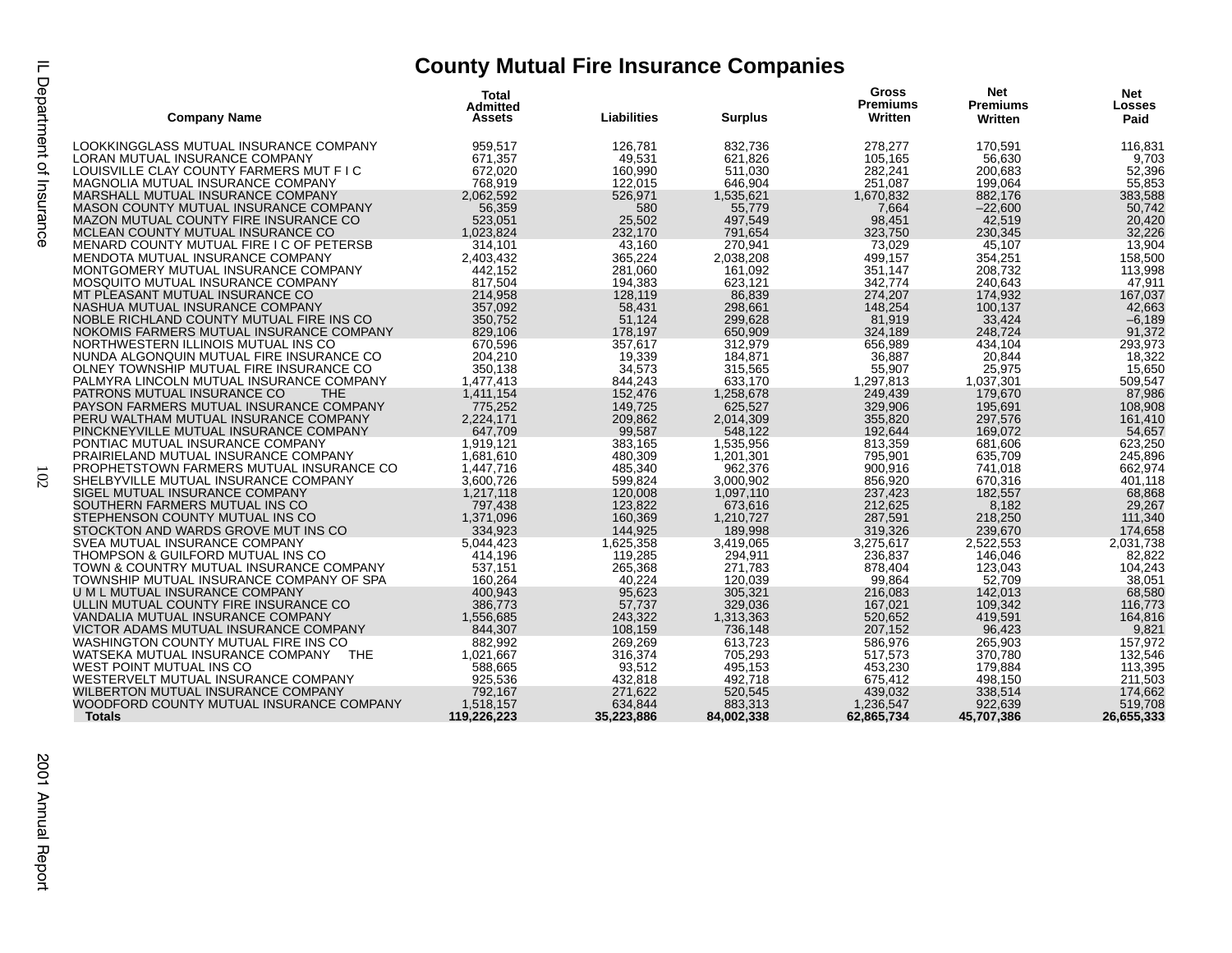# **County Mutual Fire Insurance Companies**

|                                                                                 | Total<br><b>Admitted</b> |                    |                      | Gross<br><b>Premiums</b> | <b>Net</b><br><b>Premiums</b> | <b>Net</b><br>Losses |
|---------------------------------------------------------------------------------|--------------------------|--------------------|----------------------|--------------------------|-------------------------------|----------------------|
| <b>Company Name</b>                                                             | <b>Assets</b>            | <b>Liabilities</b> | <b>Surplus</b>       | Written                  | Written                       | Paid                 |
| LOOKKINGGLASS MUTUAL INSURANCE COMPANY                                          | 959,517                  | 126.781            | 832.736              | 278,277                  | 170,591                       | 116,831              |
| <b>LORAN MUTUAL INSURANCE COMPANY</b>                                           | 671,357                  | 49,531             | 621,826              | 105,165                  | 56,630                        | 9,703                |
| LOUISVILLE CLAY COUNTY FARMERS MUT F I C                                        | 672,020                  | 160,990            | 511,030              | 282,241                  | 200,683                       | 52,396               |
| MAGNOLIA MUTUAL INSURANCE COMPANY                                               | 768,919                  | 122.015            | 646.904              | 251,087                  | 199.064                       | 55,853               |
| MARSHALL MUTUAL INSURANCE COMPANY                                               | 2,062,592                | 526,971            | 1,535,621            | 1,670,832                | 882,176                       | 383,588              |
| MASON COUNTY MUTUAL INSURANCE COMPANY<br>MAZON MUTUAL COUNTY FIRE INSURANCE CO  | 56,359<br>523,051        | 580                | 55,779<br>497,549    | 7,664                    | $-22,600$                     | 50,742               |
| MCLEAN COUNTY MUTUAL INSURANCE CO                                               | 1,023,824                | 25,502<br>232,170  | 791,654              | 98,451<br>323,750        | 42,519<br>230,345             | 20,420<br>32,226     |
| MENARD COUNTY MUTUAL FIRE I C OF PETERSB                                        | 314.101                  | 43,160             | 270.941              | 73,029                   | 45,107                        | 13,904               |
| MENDOTA MUTUAL INSURANCE COMPANY                                                | 2,403,432                | 365,224            | 2,038,208            | 499,157                  | 354,251                       | 158,500              |
| MONTGOMERY MUTUAL INSURANCE COMPANY                                             | 442,152                  | 281,060            | 161,092              | 351,147                  | 208,732                       | 113,998              |
| MOSQUITO MUTUAL INSURANCE COMPANY                                               | 817,504                  | 194,383            | 623,121              | 342,774                  | 240,643                       | 47,911               |
| MT PLEASANT MUTUAL INSURANCE CO                                                 | 214,958                  | 128,119            | 86,839               | 274,207                  | 174,932                       | 167,037              |
| NASHUA MUTUAL INSURANCE COMPANY                                                 | 357,092                  | 58,431             | 298.661              | 148,254                  | 100,137                       | 42,663               |
| NOBLE RICHLAND COUNTY MUTUAL FIRE INS CO                                        | 350,752                  | 51,124             | 299.628              | 81,919                   | 33,424                        | $-6,189$             |
| NOKOMIS FARMERS MUTUAL INSURANCE COMPANY                                        | 829,106                  | 178,197            | 650,909              | 324,189                  | 248,724                       | 91,372               |
| NORTHWESTERN ILLINOIS MUTUAL INS CO                                             | 670,596                  | 357,617            | 312,979              | 656,989                  | 434,104                       | 293,973              |
| NUNDA ALGONQUIN MUTUAL FIRE INSURANCE CO                                        | 204,210                  | 19,339             | 184.871              | 36,887                   | 20,844                        | 18,322               |
| OLNEY TOWNSHIP MUTUAL FIRE INSURANCE CO                                         | 350,138                  | 34,573             | 315,565              | 55,907                   | 25,975                        | 15,650               |
| PALMYRA LINCOLN MUTUAL INSURANCE COMPANY                                        | 1,477,413                | 844,243            | 633,170              | 1,297,813                | 1,037,301                     | 509,547              |
| PATRONS MUTUAL INSURANCE CO<br><b>THE</b>                                       | 1,411,154                | 152,476            | 1,258,678            | 249,439                  | 179,670                       | 87,986               |
| PAYSON FARMERS MUTUAL INSURANCE COMPANY                                         | 775,252                  | 149,725            | 625,527              | 329.906                  | 195,691<br>297,576            | 108,908<br>161,410   |
| PERU WALTHAM MUTUAL INSURANCE COMPANY<br>PINCKNEYVILLE MUTUAL INSURANCE COMPANY | 2,224,171<br>647.709     | 209,862<br>99,587  | 2,014,309<br>548.122 | 355,820<br>192.644       | 169.072                       | 54,657               |
| PONTIAC MUTUAL INSURANCE COMPANY                                                | 1.919.121                | 383,165            | 1,535,956            | 813,359                  | 681,606                       | 623,250              |
| PRAIRIELAND MUTUAL INSURANCE COMPANY                                            | 1,681,610                | 480,309            | 1,201,301            | 795,901                  | 635,709                       | 245,896              |
| PROPHETSTOWN FARMERS MUTUAL INSURANCE CO                                        | 1,447,716                | 485,340            | 962,376              | 900,916                  | 741,018                       | 662,974              |
| SHELBYVILLE MUTUAL INSURANCE COMPANY                                            | 3,600,726                | 599,824            | 3,000,902            | 856,920                  | 670,316                       | 401,118              |
| SIGEL MUTUAL INSURANCE COMPANY                                                  | 1,217,118                | 120,008            | 1,097,110            | 237,423                  | 182,557                       | 68,868               |
| SOUTHERN FARMERS MUTUAL INS CO                                                  | 797,438                  | 123,822            | 673,616              | 212,625                  | 8,182                         | 29,267               |
| STEPHENSON COUNTY MUTUAL INS CO                                                 | 1,371,096                | 160,369            | 1.210.727            | 287,591                  | 218,250                       | 111,340              |
| STOCKTON AND WARDS GROVE MUT INS CO                                             | 334.923                  | 144.925            | 189.998              | 319,326                  | 239.670                       | 174,658              |
| <b>SVEA MUTUAL INSURANCE COMPANY</b>                                            | 5.044.423                | 1,625,358          | 3.419.065            | 3,275,617                | 2,522,553                     | 2,031,738            |
| THOMPSON & GUILFORD MUTUAL INS CO                                               | 414,196                  | 119,285            | 294,911              | 236,837                  | 146,046                       | 82,822               |
| TOWN & COUNTRY MUTUAL INSURANCE COMPANY                                         | 537,151                  | 265,368            | 271,783              | 878,404                  | 123,043                       | 104,243              |
| TOWNSHIP MUTUAL INSURANCE COMPANY OF SPA                                        | 160,264                  | 40,224             | 120.039              | 99,864                   | 52,709                        | 38,051               |
| U M L MUTUAL INSURANCE COMPANY                                                  | 400,943                  | 95,623             | 305.321              | 216,083                  | 142,013                       | 68,580               |
| ULLIN MUTUAL COUNTY FIRE INSURANCE CO                                           | 386,773<br>1,556,685     | 57,737             | 329,036              | 167,021<br>520,652       | 109,342                       | 116,773              |
| VANDALIA MUTUAL INSURANCE COMPANY<br>VICTOR ADAMS MUTUAL INSURANCE COMPANY      | 844,307                  | 243,322<br>108,159 | 1,313,363<br>736,148 | 207,152                  | 419,591<br>96,423             | 164,816<br>9,821     |
| WASHINGTON COUNTY MUTUAL FIRE INS CO                                            | 882,992                  | 269,269            | 613,723              | 586,976                  | 265,903                       | 157,972              |
| WATSEKA MUTUAL INSURANCE COMPANY<br>THE                                         | 1,021,667                | 316,374            | 705,293              | 517,573                  | 370,780                       | 132,546              |
| WEST POINT MUTUAL INS CO                                                        | 588,665                  | 93,512             | 495,153              | 453,230                  | 179,884                       | 113,395              |
| WESTERVELT MUTUAL INSURANCE COMPANY                                             | 925,536                  | 432,818            | 492,718              | 675,412                  | 498,150                       | 211,503              |
| WILBERTON MUTUAL INSURANCE COMPANY                                              | 792,167                  | 271,622            | 520.545              | 439,032                  | 338,514                       | 174,662              |
| WOODFORD COUNTY MUTUAL INSURANCE COMPANY                                        | 1.518.157                | 634.844            | 883.313              | 1,236,547                | 922.639                       | 519.708              |
| <b>Totals</b>                                                                   | 119,226,223              | 35,223,886         | 84,002,338           | 62,865,734               | 45,707,386                    | 26,655,333           |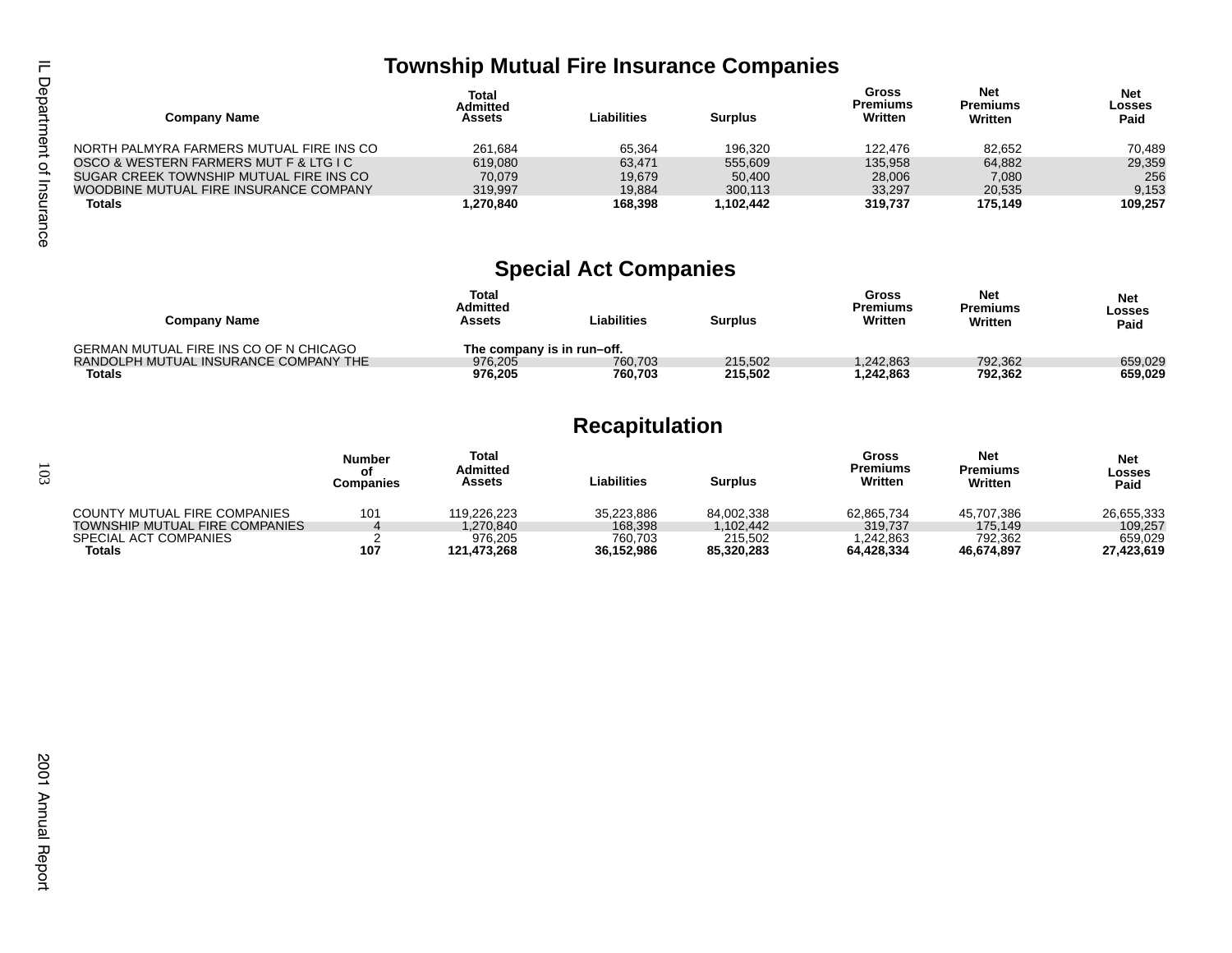# **Township Mutual Fire Insurance Companies**

| <b>Company Name</b>                      | Total<br>Admitted<br>Assets | Liabilities | <b>Surplus</b> | Gross<br>Premiums<br>Written | <b>Net</b><br><b>Premiums</b><br>Written | <b>Net</b><br>Losses<br>Paid |
|------------------------------------------|-----------------------------|-------------|----------------|------------------------------|------------------------------------------|------------------------------|
| NORTH PALMYRA FARMERS MUTUAL FIRE INS CO | 261.684                     | 65.364      | 196.320        | 122.476                      | 82.652                                   | 70.489                       |
| OSCO & WESTERN FARMERS MUT F & LTG I C   | 619,080                     | 63.471      | 555.609        | 135.958                      | 64.882                                   | 29,359                       |
| SUGAR CREEK TOWNSHIP MUTUAL FIRE INS CO  | 70.079                      | 19.679      | 50.400         | 28,006                       | 7,080                                    | 256                          |
| WOODBINE MUTUAL FIRE INSURANCE COMPANY   | 319.997                     | 19.884      | 300.113        | 33.297                       | 20.535                                   | 9.153                        |
| Totals                                   | 1,270,840                   | 168.398     | 1.102.442      | 319.737                      | 175.149                                  | 109.257                      |

# **Special Act Companies**

|                                        | Total<br>Admitted          |             |         | Gross<br>Premiums | <b>Net</b><br>Premiums | <b>Net</b><br>Losses |
|----------------------------------------|----------------------------|-------------|---------|-------------------|------------------------|----------------------|
| Company Name                           | Assets                     | iabilities. | Surplus | Written           | Written                | Paid                 |
| GERMAN MUTUAL FIRE INS CO OF N CHICAGO | The company is in run-off. |             |         |                   |                        |                      |
| RANDOLPH MUTUAL INSURANCE COMPANY THE  | 976.205                    | 760.703     | 215.502 | .242.863          | 792.362                | 659.029              |
| Totals                                 | 976.205                    | 760.703     | 215.502 | .242.863          | 792.362                | 659.029              |

## **Recapitulation**

|                                | Number<br>Οt<br>Companies | <b>Total</b><br><b>Admitted</b><br><b>Assets</b> | Liabilities | <b>Surplus</b> | Gross<br>Premiums<br>Written | <b>Net</b><br><b>Premiums</b><br>Written | <b>Net</b><br>Losses<br>Paid |
|--------------------------------|---------------------------|--------------------------------------------------|-------------|----------------|------------------------------|------------------------------------------|------------------------------|
| COUNTY MUTUAL FIRE COMPANIES   | 101                       | 119.226.223                                      | 35.223.886  | 84.002.338     | 62.865.734                   | 45.707.386                               | 26.655.333                   |
| TOWNSHIP MUTUAL FIRE COMPANIES |                           | .270.840                                         | 168.398     | .102.442       | 319.737                      | 175.149                                  | 109.257                      |
| SPECIAL ACT COMPANIES          |                           | 976.205                                          | 760.703     | 215.502        | 1.242.863                    | 792.362                                  | 659.029                      |
| Totals                         | 107                       | 121.473.268                                      | 36.152.986  | 85,320,283     | 64.428.334                   | 46.674.897                               | 27,423,619                   |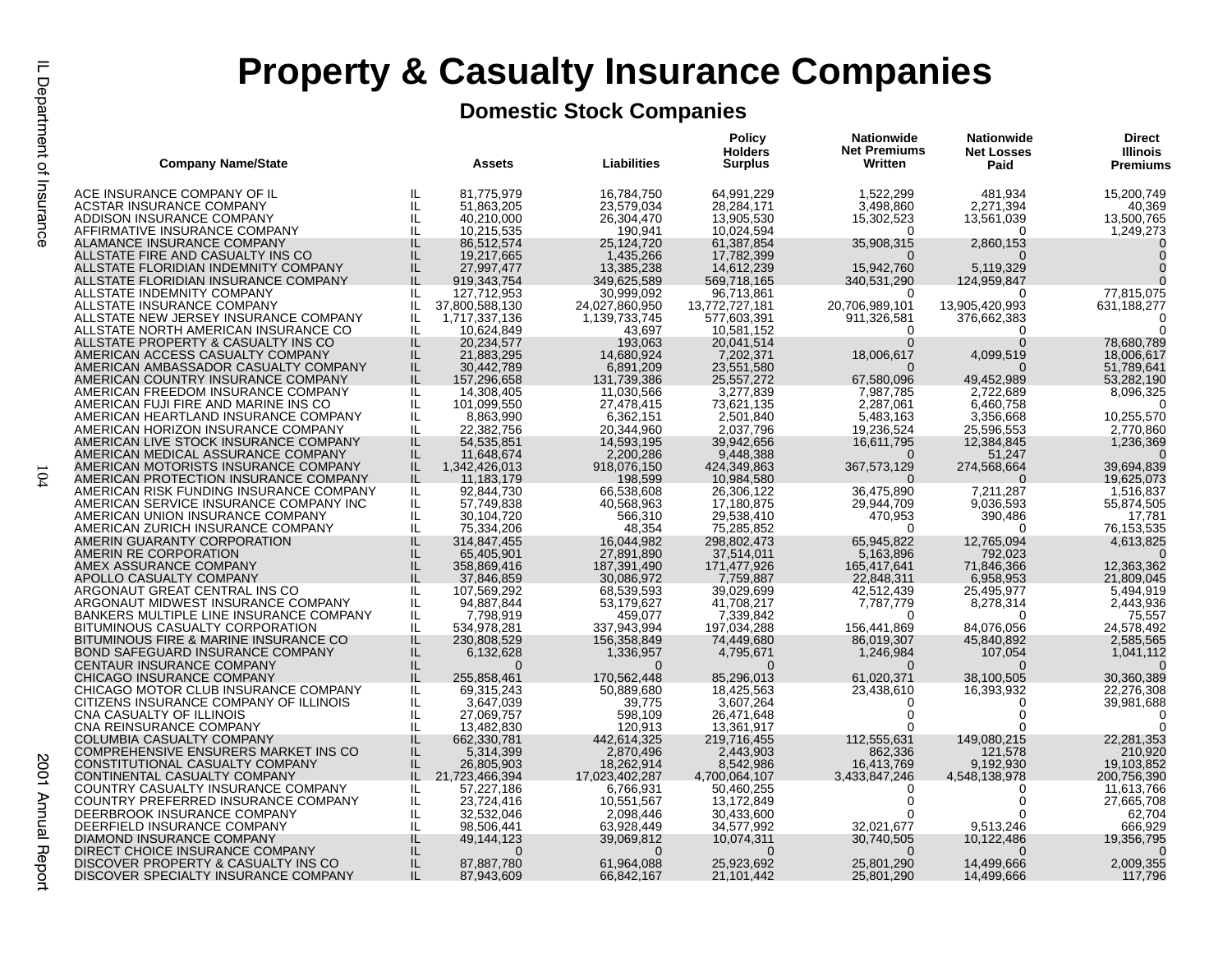# **Property & Casualty Insurance Companies**

# **Domestic Stock Companies**

| ACE INSURANCE COMPANY OF IL<br>81,775,979<br>16,784,750<br>1,522,299<br>15,200,749<br>64,991,229<br>481,934<br>IL<br><b>ACSTAR INSURANCE COMPANY</b><br>51,863,205<br>23,579,034<br>28,284,171<br>3,498,860<br>2,271,394<br>IL<br>40,369<br>ADDISON INSURANCE COMPANY<br>13,905,530<br>IL<br>40,210,000<br>26,304,470<br>13.561.039<br>13,500,765<br>15,302,523<br>AFFIRMATIVE INSURANCE COMPANY<br>10,215,535<br>10,024,594<br>190,941<br>1,249,273<br>IL<br>ALAMANCE INSURANCE COMPANY<br>IL<br>25.124.720<br>61,387,854<br>35,908,315<br>2,860,153<br>86,512,574<br>ALLSTATE FIRE AND CASUALTY INS CO<br>17,782,399<br>IL<br>19,217,665<br>1,435,266<br>27,997,477<br>14,612,239<br>ALLSTATE FLORIDIAN INDEMNITY COMPANY<br>IL<br>13,385,238<br>15,942,760<br>5,119,329<br>569,718,165<br>ALLSTATE FLORIDIAN INSURANCE COMPANY<br>919, 343, 754<br>349,625,589<br>IL<br>340,531,290<br>124,959,847<br>127,712,953<br>77,815,075<br>ALLSTATE INDEMNITY COMPANY<br>IL<br>30.999.092<br>96,713,861<br><sup>0</sup><br>$\Omega$<br>ALLSTATE INSURANCE COMPANY<br>37,800,588,130<br>24,027,860,950<br>13,772,727,181<br>20,706,989,101<br>631,188,277<br>IL<br>13,905,420,993<br>ALLSTATE NEW JERSEY INSURANCE COMPANY<br>1,717,337,136<br>IL<br>1,139,733,745<br>577,603,391<br>911,326,581<br>376,662,383<br>ALLSTATE NORTH AMERICAN INSURANCE CO<br>10,624,849<br>43.697<br>10.581.152<br>IL<br>$\Omega$<br>∩<br>ALLSTATE PROPERTY & CASUALTY INS CO<br>IL<br>20,234,577<br>193,063<br>20,041,514<br>$\Omega$<br>78,680,789<br>∩<br>IL<br>AMERICAN ACCESS CASUALTY COMPANY<br>21,883,295<br>14,680,924<br>7,202,371<br>18,006,617<br>4,099,519<br>18,006,617<br>AMERICAN AMBASSADOR CASUALTY COMPANY<br>IL<br>30,442,789<br>23,551,580<br>51,789,641<br>6,891,209<br>IL<br>AMERICAN COUNTRY INSURANCE COMPANY<br>157,296,658<br>131,739,386<br>25,557,272<br>67,580,096<br>49,452,989<br>53,282,190<br>AMERICAN FREEDOM INSURANCE COMPANY<br>IL.<br>14,308,405<br>11,030,566<br>3,277,839<br>7,987,785<br>2,722,689<br>8,096,325<br>IL<br>AMERICAN FUJI FIRE AND MARINE INS CO<br>101,099,550<br>27,478,415<br>73,621,135<br>2,287,061<br>6,460,758<br>AMERICAN HEARTLAND INSURANCE COMPANY<br>6,362,151<br>2,501,840<br>10,255,570<br>IL<br>8,863,990<br>5,483,163<br>3,356,668<br>AMERICAN HORIZON INSURANCE COMPANY<br>IL<br>22,382,756<br>20,344,960<br>2,037,796<br>25,596,553<br>2,770,860<br>19,236,524<br>AMERICAN LIVE STOCK INSURANCE COMPANY<br>54,535,851<br>14,593,195<br>39,942,656<br>IL<br>12,384,845<br>1,236,369<br>16,611,795<br>IL<br>AMERICAN MEDICAL ASSURANCE COMPANY<br>9,448,388<br>11,648,674<br>2,200,286<br>51,247<br>AMERICAN MOTORISTS INSURANCE COMPANY<br>IL<br>1,342,426,013<br>424,349,863<br>274,568,664<br>39,694,839<br>918,076,150<br>367,573,129<br>10,984,580<br>19,625,073<br>AMERICAN PROTECTION INSURANCE COMPANY<br>IL<br>198,599<br>11,183,179<br>AMERICAN RISK FUNDING INSURANCE COMPANY<br>92.844.730<br>66,538,608<br>26,306,122<br>7,211,287<br>1,516,837<br>IL<br>36,475,890<br>AMERICAN SERVICE INSURANCE COMPANY INC<br>40,568,963<br>9,036,593<br>IL<br>57,749,838<br>17,180,875<br>29,944,709<br>55,874,505<br>AMERICAN UNION INSURANCE COMPANY<br>29,538,410<br>30,104,720<br>566,310<br>470,953<br>390,486<br>17,781<br>IL<br>AMERICAN ZURICH INSURANCE COMPANY<br>IL<br>75,334,206<br>48,354<br>75,285,852<br>76,153,535<br>n<br>n<br>314,847,455<br>16,044,982<br>298,802,473<br>AMERIN GUARANTY CORPORATION<br>IL<br>65,945,822<br>12,765,094<br>4,613,825<br>AMERIN RE CORPORATION<br>IL<br>65,405,901<br>27,891,890<br>37,514,011<br>792,023<br>5,163,896<br>IL<br>AMEX ASSURANCE COMPANY<br>358,869,416<br>187,391,490<br>171,477,926<br>165,417,641<br>71,846,366<br>12,363,362<br>APOLLO CASUALTY COMPANY<br>37,846,859<br>30,086,972<br>6.958.953<br>21.809.045<br>7,759,887<br>22.848.311<br>ARGONAUT GREAT CENTRAL INS CO<br>107,569,292<br>68,539,593<br>39,029,699<br>42,512,439<br>25,495,977<br>5,494,919<br>IL<br>ARGONAUT MIDWEST INSURANCE COMPANY<br>IL.<br>41,708,217<br>94,887,844<br>53,179,627<br>8,278,314<br>2,443,936<br>7,787,779<br>BANKERS MULTIPLE LINE INSURANCE COMPANY<br>IL<br>7,339,842<br>7,798,919<br>459,077<br>75,557<br>BITUMINOUS CASUALTY CORPORATION<br>337,943,994<br>197,034,288<br>24,578,492<br>IL<br>534,978,281<br>156,441,869<br>84,076,056<br>IL<br>156,358,849<br>74,449,680<br>BITUMINOUS FIRE & MARINE INSURANCE CO<br>230,808,529<br>86,019,307<br>45,840,892<br>2,585,565<br>IL<br>BOND SAFEGUARD INSURANCE COMPANY<br>6,132,628<br>107,054<br>1,041,112<br>1,336,957<br>4,795,671<br>1,246,984<br>IL<br>CENTAUR INSURANCE COMPANY<br>CHICAGO INSURANCE COMPANY<br>IL<br>61,020,371<br>30,360,389<br>255,858,461<br>170,562,448<br>85,296,013<br>38,100,505<br>18,425,563<br>CHICAGO MOTOR CLUB INSURANCE COMPANY<br>50.889.680<br>22,276,308<br>IL<br>69,315,243<br>23,438,610<br>16,393,932<br>CITIZENS INSURANCE COMPANY OF ILLINOIS<br>3,607,264<br>3,647,039<br>39,775<br>IL<br>39,981,688<br>598.109<br>CNA CASUALTY OF ILLINOIS<br>IL<br>27.069.757<br>26,471,648<br>∩<br>CNA REINSURANCE COMPANY<br>13,482,830<br>13,361,917<br>IL<br>120,913<br>COLUMBIA CASUALTY COMPANY<br>IL<br>662.330.781<br>22.281.353<br>442,614,325<br>219,716,455<br>112,555,631<br>149.080.215<br>2,443,903<br>862,336<br>COMPREHENSIVE ENSURERS MARKET INS CO<br>IL<br>5,314,399<br>2,870,496<br>121,578<br>210,920<br>CONSTITUTIONAL CASUALTY COMPANY<br>IL<br>26,805,903<br>18,262,914<br>8,542,986<br>16.413.769<br>9,192,930<br>19,103,852<br>CONTINENTAL CASUALTY COMPANY<br>21,723,466,394<br>17,023,402,287<br>4,700,064,107<br>4,548,138,978<br>200,756,390<br>Ш<br>3,433,847,246<br>COUNTRY CASUALTY INSURANCE COMPANY<br>50,460,255<br>57,227,186<br>6,766,931<br>11,613,766<br>IL<br>∩<br>∩<br>13,172,849<br>COUNTRY PREFERRED INSURANCE COMPANY<br>23,724,416<br>10,551,567<br>$\Omega$<br>27,665,708<br>IL<br>0<br>DEERBROOK INSURANCE COMPANY<br>IL<br>32,532,046<br>2,098,446<br>30,433,600<br>62,704<br>DEERFIELD INSURANCE COMPANY<br>63,928,449<br>34,577,992<br>9.513.246<br>666.929<br>IL<br>98.506.441<br>32,021,677<br>DIAMOND INSURANCE COMPANY<br>10,074,311<br>30,740,505<br>10,122,486<br>19,356,795<br>49,144,123<br>39,069,812<br>DIRECT CHOICE INSURANCE COMPANY<br>DISCOVER PROPERTY & CASUALTY INS CO<br>IL<br>87,887,780<br>61,964,088<br>25,923,692<br>25,801,290<br>14,499,666<br>2,009,355<br>DISCOVER SPECIALTY INSURANCE COMPANY<br>21,101,442<br>14,499,666<br>117,796<br>87,943,609<br>66,842,167<br>25,801,290 | <b>Company Name/State</b> | Assets | <b>Liabilities</b> | <b>Policy</b><br><b>Holders</b><br><b>Surplus</b> | <b>Nationwide</b><br><b>Net Premiums</b><br>Written | <b>Nationwide</b><br><b>Net Losses</b><br>Paid | <b>Direct</b><br><b>Illinois</b><br><b>Premiums</b> |
|-------------------------------------------------------------------------------------------------------------------------------------------------------------------------------------------------------------------------------------------------------------------------------------------------------------------------------------------------------------------------------------------------------------------------------------------------------------------------------------------------------------------------------------------------------------------------------------------------------------------------------------------------------------------------------------------------------------------------------------------------------------------------------------------------------------------------------------------------------------------------------------------------------------------------------------------------------------------------------------------------------------------------------------------------------------------------------------------------------------------------------------------------------------------------------------------------------------------------------------------------------------------------------------------------------------------------------------------------------------------------------------------------------------------------------------------------------------------------------------------------------------------------------------------------------------------------------------------------------------------------------------------------------------------------------------------------------------------------------------------------------------------------------------------------------------------------------------------------------------------------------------------------------------------------------------------------------------------------------------------------------------------------------------------------------------------------------------------------------------------------------------------------------------------------------------------------------------------------------------------------------------------------------------------------------------------------------------------------------------------------------------------------------------------------------------------------------------------------------------------------------------------------------------------------------------------------------------------------------------------------------------------------------------------------------------------------------------------------------------------------------------------------------------------------------------------------------------------------------------------------------------------------------------------------------------------------------------------------------------------------------------------------------------------------------------------------------------------------------------------------------------------------------------------------------------------------------------------------------------------------------------------------------------------------------------------------------------------------------------------------------------------------------------------------------------------------------------------------------------------------------------------------------------------------------------------------------------------------------------------------------------------------------------------------------------------------------------------------------------------------------------------------------------------------------------------------------------------------------------------------------------------------------------------------------------------------------------------------------------------------------------------------------------------------------------------------------------------------------------------------------------------------------------------------------------------------------------------------------------------------------------------------------------------------------------------------------------------------------------------------------------------------------------------------------------------------------------------------------------------------------------------------------------------------------------------------------------------------------------------------------------------------------------------------------------------------------------------------------------------------------------------------------------------------------------------------------------------------------------------------------------------------------------------------------------------------------------------------------------------------------------------------------------------------------------------------------------------------------------------------------------------------------------------------------------------------------------------------------------------------------------------------------------------------------------------------------------------------------------------------------------------------------------------------------------------------------------------------------------------------------------------------------------------------------------------------------------------------------------------------------------------------------------------------------------------------------------------------------------------------------------------------------------------------------------------------------------------------------------------------------------------------------------------------------------------------------------------------------------------------------------------------------------------------------------------------------------------------------------------------------------------------------------------------------------------------------------------------------------------------------------------------------------------------------------------------------------------------------------------------------------------------------------------------------------------------------------------------------------------------------------------------------------------------------------|---------------------------|--------|--------------------|---------------------------------------------------|-----------------------------------------------------|------------------------------------------------|-----------------------------------------------------|
|                                                                                                                                                                                                                                                                                                                                                                                                                                                                                                                                                                                                                                                                                                                                                                                                                                                                                                                                                                                                                                                                                                                                                                                                                                                                                                                                                                                                                                                                                                                                                                                                                                                                                                                                                                                                                                                                                                                                                                                                                                                                                                                                                                                                                                                                                                                                                                                                                                                                                                                                                                                                                                                                                                                                                                                                                                                                                                                                                                                                                                                                                                                                                                                                                                                                                                                                                                                                                                                                                                                                                                                                                                                                                                                                                                                                                                                                                                                                                                                                                                                                                                                                                                                                                                                                                                                                                                                                                                                                                                                                                                                                                                                                                                                                                                                                                                                                                                                                                                                                                                                                                                                                                                                                                                                                                                                                                                                                                                                                                                                                                                                                                                                                                                                                                                                                                                                                                                                                                                                                                                                                                                                                                                                                                                                                                                                                                                                                                                                                                                                                                             |                           |        |                    |                                                   |                                                     |                                                |                                                     |
|                                                                                                                                                                                                                                                                                                                                                                                                                                                                                                                                                                                                                                                                                                                                                                                                                                                                                                                                                                                                                                                                                                                                                                                                                                                                                                                                                                                                                                                                                                                                                                                                                                                                                                                                                                                                                                                                                                                                                                                                                                                                                                                                                                                                                                                                                                                                                                                                                                                                                                                                                                                                                                                                                                                                                                                                                                                                                                                                                                                                                                                                                                                                                                                                                                                                                                                                                                                                                                                                                                                                                                                                                                                                                                                                                                                                                                                                                                                                                                                                                                                                                                                                                                                                                                                                                                                                                                                                                                                                                                                                                                                                                                                                                                                                                                                                                                                                                                                                                                                                                                                                                                                                                                                                                                                                                                                                                                                                                                                                                                                                                                                                                                                                                                                                                                                                                                                                                                                                                                                                                                                                                                                                                                                                                                                                                                                                                                                                                                                                                                                                                             |                           |        |                    |                                                   |                                                     |                                                |                                                     |
|                                                                                                                                                                                                                                                                                                                                                                                                                                                                                                                                                                                                                                                                                                                                                                                                                                                                                                                                                                                                                                                                                                                                                                                                                                                                                                                                                                                                                                                                                                                                                                                                                                                                                                                                                                                                                                                                                                                                                                                                                                                                                                                                                                                                                                                                                                                                                                                                                                                                                                                                                                                                                                                                                                                                                                                                                                                                                                                                                                                                                                                                                                                                                                                                                                                                                                                                                                                                                                                                                                                                                                                                                                                                                                                                                                                                                                                                                                                                                                                                                                                                                                                                                                                                                                                                                                                                                                                                                                                                                                                                                                                                                                                                                                                                                                                                                                                                                                                                                                                                                                                                                                                                                                                                                                                                                                                                                                                                                                                                                                                                                                                                                                                                                                                                                                                                                                                                                                                                                                                                                                                                                                                                                                                                                                                                                                                                                                                                                                                                                                                                                             |                           |        |                    |                                                   |                                                     |                                                |                                                     |
|                                                                                                                                                                                                                                                                                                                                                                                                                                                                                                                                                                                                                                                                                                                                                                                                                                                                                                                                                                                                                                                                                                                                                                                                                                                                                                                                                                                                                                                                                                                                                                                                                                                                                                                                                                                                                                                                                                                                                                                                                                                                                                                                                                                                                                                                                                                                                                                                                                                                                                                                                                                                                                                                                                                                                                                                                                                                                                                                                                                                                                                                                                                                                                                                                                                                                                                                                                                                                                                                                                                                                                                                                                                                                                                                                                                                                                                                                                                                                                                                                                                                                                                                                                                                                                                                                                                                                                                                                                                                                                                                                                                                                                                                                                                                                                                                                                                                                                                                                                                                                                                                                                                                                                                                                                                                                                                                                                                                                                                                                                                                                                                                                                                                                                                                                                                                                                                                                                                                                                                                                                                                                                                                                                                                                                                                                                                                                                                                                                                                                                                                                             |                           |        |                    |                                                   |                                                     |                                                |                                                     |
|                                                                                                                                                                                                                                                                                                                                                                                                                                                                                                                                                                                                                                                                                                                                                                                                                                                                                                                                                                                                                                                                                                                                                                                                                                                                                                                                                                                                                                                                                                                                                                                                                                                                                                                                                                                                                                                                                                                                                                                                                                                                                                                                                                                                                                                                                                                                                                                                                                                                                                                                                                                                                                                                                                                                                                                                                                                                                                                                                                                                                                                                                                                                                                                                                                                                                                                                                                                                                                                                                                                                                                                                                                                                                                                                                                                                                                                                                                                                                                                                                                                                                                                                                                                                                                                                                                                                                                                                                                                                                                                                                                                                                                                                                                                                                                                                                                                                                                                                                                                                                                                                                                                                                                                                                                                                                                                                                                                                                                                                                                                                                                                                                                                                                                                                                                                                                                                                                                                                                                                                                                                                                                                                                                                                                                                                                                                                                                                                                                                                                                                                                             |                           |        |                    |                                                   |                                                     |                                                |                                                     |
|                                                                                                                                                                                                                                                                                                                                                                                                                                                                                                                                                                                                                                                                                                                                                                                                                                                                                                                                                                                                                                                                                                                                                                                                                                                                                                                                                                                                                                                                                                                                                                                                                                                                                                                                                                                                                                                                                                                                                                                                                                                                                                                                                                                                                                                                                                                                                                                                                                                                                                                                                                                                                                                                                                                                                                                                                                                                                                                                                                                                                                                                                                                                                                                                                                                                                                                                                                                                                                                                                                                                                                                                                                                                                                                                                                                                                                                                                                                                                                                                                                                                                                                                                                                                                                                                                                                                                                                                                                                                                                                                                                                                                                                                                                                                                                                                                                                                                                                                                                                                                                                                                                                                                                                                                                                                                                                                                                                                                                                                                                                                                                                                                                                                                                                                                                                                                                                                                                                                                                                                                                                                                                                                                                                                                                                                                                                                                                                                                                                                                                                                                             |                           |        |                    |                                                   |                                                     |                                                |                                                     |
|                                                                                                                                                                                                                                                                                                                                                                                                                                                                                                                                                                                                                                                                                                                                                                                                                                                                                                                                                                                                                                                                                                                                                                                                                                                                                                                                                                                                                                                                                                                                                                                                                                                                                                                                                                                                                                                                                                                                                                                                                                                                                                                                                                                                                                                                                                                                                                                                                                                                                                                                                                                                                                                                                                                                                                                                                                                                                                                                                                                                                                                                                                                                                                                                                                                                                                                                                                                                                                                                                                                                                                                                                                                                                                                                                                                                                                                                                                                                                                                                                                                                                                                                                                                                                                                                                                                                                                                                                                                                                                                                                                                                                                                                                                                                                                                                                                                                                                                                                                                                                                                                                                                                                                                                                                                                                                                                                                                                                                                                                                                                                                                                                                                                                                                                                                                                                                                                                                                                                                                                                                                                                                                                                                                                                                                                                                                                                                                                                                                                                                                                                             |                           |        |                    |                                                   |                                                     |                                                |                                                     |
|                                                                                                                                                                                                                                                                                                                                                                                                                                                                                                                                                                                                                                                                                                                                                                                                                                                                                                                                                                                                                                                                                                                                                                                                                                                                                                                                                                                                                                                                                                                                                                                                                                                                                                                                                                                                                                                                                                                                                                                                                                                                                                                                                                                                                                                                                                                                                                                                                                                                                                                                                                                                                                                                                                                                                                                                                                                                                                                                                                                                                                                                                                                                                                                                                                                                                                                                                                                                                                                                                                                                                                                                                                                                                                                                                                                                                                                                                                                                                                                                                                                                                                                                                                                                                                                                                                                                                                                                                                                                                                                                                                                                                                                                                                                                                                                                                                                                                                                                                                                                                                                                                                                                                                                                                                                                                                                                                                                                                                                                                                                                                                                                                                                                                                                                                                                                                                                                                                                                                                                                                                                                                                                                                                                                                                                                                                                                                                                                                                                                                                                                                             |                           |        |                    |                                                   |                                                     |                                                |                                                     |
|                                                                                                                                                                                                                                                                                                                                                                                                                                                                                                                                                                                                                                                                                                                                                                                                                                                                                                                                                                                                                                                                                                                                                                                                                                                                                                                                                                                                                                                                                                                                                                                                                                                                                                                                                                                                                                                                                                                                                                                                                                                                                                                                                                                                                                                                                                                                                                                                                                                                                                                                                                                                                                                                                                                                                                                                                                                                                                                                                                                                                                                                                                                                                                                                                                                                                                                                                                                                                                                                                                                                                                                                                                                                                                                                                                                                                                                                                                                                                                                                                                                                                                                                                                                                                                                                                                                                                                                                                                                                                                                                                                                                                                                                                                                                                                                                                                                                                                                                                                                                                                                                                                                                                                                                                                                                                                                                                                                                                                                                                                                                                                                                                                                                                                                                                                                                                                                                                                                                                                                                                                                                                                                                                                                                                                                                                                                                                                                                                                                                                                                                                             |                           |        |                    |                                                   |                                                     |                                                |                                                     |
|                                                                                                                                                                                                                                                                                                                                                                                                                                                                                                                                                                                                                                                                                                                                                                                                                                                                                                                                                                                                                                                                                                                                                                                                                                                                                                                                                                                                                                                                                                                                                                                                                                                                                                                                                                                                                                                                                                                                                                                                                                                                                                                                                                                                                                                                                                                                                                                                                                                                                                                                                                                                                                                                                                                                                                                                                                                                                                                                                                                                                                                                                                                                                                                                                                                                                                                                                                                                                                                                                                                                                                                                                                                                                                                                                                                                                                                                                                                                                                                                                                                                                                                                                                                                                                                                                                                                                                                                                                                                                                                                                                                                                                                                                                                                                                                                                                                                                                                                                                                                                                                                                                                                                                                                                                                                                                                                                                                                                                                                                                                                                                                                                                                                                                                                                                                                                                                                                                                                                                                                                                                                                                                                                                                                                                                                                                                                                                                                                                                                                                                                                             |                           |        |                    |                                                   |                                                     |                                                |                                                     |
|                                                                                                                                                                                                                                                                                                                                                                                                                                                                                                                                                                                                                                                                                                                                                                                                                                                                                                                                                                                                                                                                                                                                                                                                                                                                                                                                                                                                                                                                                                                                                                                                                                                                                                                                                                                                                                                                                                                                                                                                                                                                                                                                                                                                                                                                                                                                                                                                                                                                                                                                                                                                                                                                                                                                                                                                                                                                                                                                                                                                                                                                                                                                                                                                                                                                                                                                                                                                                                                                                                                                                                                                                                                                                                                                                                                                                                                                                                                                                                                                                                                                                                                                                                                                                                                                                                                                                                                                                                                                                                                                                                                                                                                                                                                                                                                                                                                                                                                                                                                                                                                                                                                                                                                                                                                                                                                                                                                                                                                                                                                                                                                                                                                                                                                                                                                                                                                                                                                                                                                                                                                                                                                                                                                                                                                                                                                                                                                                                                                                                                                                                             |                           |        |                    |                                                   |                                                     |                                                |                                                     |
|                                                                                                                                                                                                                                                                                                                                                                                                                                                                                                                                                                                                                                                                                                                                                                                                                                                                                                                                                                                                                                                                                                                                                                                                                                                                                                                                                                                                                                                                                                                                                                                                                                                                                                                                                                                                                                                                                                                                                                                                                                                                                                                                                                                                                                                                                                                                                                                                                                                                                                                                                                                                                                                                                                                                                                                                                                                                                                                                                                                                                                                                                                                                                                                                                                                                                                                                                                                                                                                                                                                                                                                                                                                                                                                                                                                                                                                                                                                                                                                                                                                                                                                                                                                                                                                                                                                                                                                                                                                                                                                                                                                                                                                                                                                                                                                                                                                                                                                                                                                                                                                                                                                                                                                                                                                                                                                                                                                                                                                                                                                                                                                                                                                                                                                                                                                                                                                                                                                                                                                                                                                                                                                                                                                                                                                                                                                                                                                                                                                                                                                                                             |                           |        |                    |                                                   |                                                     |                                                |                                                     |
|                                                                                                                                                                                                                                                                                                                                                                                                                                                                                                                                                                                                                                                                                                                                                                                                                                                                                                                                                                                                                                                                                                                                                                                                                                                                                                                                                                                                                                                                                                                                                                                                                                                                                                                                                                                                                                                                                                                                                                                                                                                                                                                                                                                                                                                                                                                                                                                                                                                                                                                                                                                                                                                                                                                                                                                                                                                                                                                                                                                                                                                                                                                                                                                                                                                                                                                                                                                                                                                                                                                                                                                                                                                                                                                                                                                                                                                                                                                                                                                                                                                                                                                                                                                                                                                                                                                                                                                                                                                                                                                                                                                                                                                                                                                                                                                                                                                                                                                                                                                                                                                                                                                                                                                                                                                                                                                                                                                                                                                                                                                                                                                                                                                                                                                                                                                                                                                                                                                                                                                                                                                                                                                                                                                                                                                                                                                                                                                                                                                                                                                                                             |                           |        |                    |                                                   |                                                     |                                                |                                                     |
|                                                                                                                                                                                                                                                                                                                                                                                                                                                                                                                                                                                                                                                                                                                                                                                                                                                                                                                                                                                                                                                                                                                                                                                                                                                                                                                                                                                                                                                                                                                                                                                                                                                                                                                                                                                                                                                                                                                                                                                                                                                                                                                                                                                                                                                                                                                                                                                                                                                                                                                                                                                                                                                                                                                                                                                                                                                                                                                                                                                                                                                                                                                                                                                                                                                                                                                                                                                                                                                                                                                                                                                                                                                                                                                                                                                                                                                                                                                                                                                                                                                                                                                                                                                                                                                                                                                                                                                                                                                                                                                                                                                                                                                                                                                                                                                                                                                                                                                                                                                                                                                                                                                                                                                                                                                                                                                                                                                                                                                                                                                                                                                                                                                                                                                                                                                                                                                                                                                                                                                                                                                                                                                                                                                                                                                                                                                                                                                                                                                                                                                                                             |                           |        |                    |                                                   |                                                     |                                                |                                                     |
|                                                                                                                                                                                                                                                                                                                                                                                                                                                                                                                                                                                                                                                                                                                                                                                                                                                                                                                                                                                                                                                                                                                                                                                                                                                                                                                                                                                                                                                                                                                                                                                                                                                                                                                                                                                                                                                                                                                                                                                                                                                                                                                                                                                                                                                                                                                                                                                                                                                                                                                                                                                                                                                                                                                                                                                                                                                                                                                                                                                                                                                                                                                                                                                                                                                                                                                                                                                                                                                                                                                                                                                                                                                                                                                                                                                                                                                                                                                                                                                                                                                                                                                                                                                                                                                                                                                                                                                                                                                                                                                                                                                                                                                                                                                                                                                                                                                                                                                                                                                                                                                                                                                                                                                                                                                                                                                                                                                                                                                                                                                                                                                                                                                                                                                                                                                                                                                                                                                                                                                                                                                                                                                                                                                                                                                                                                                                                                                                                                                                                                                                                             |                           |        |                    |                                                   |                                                     |                                                |                                                     |
|                                                                                                                                                                                                                                                                                                                                                                                                                                                                                                                                                                                                                                                                                                                                                                                                                                                                                                                                                                                                                                                                                                                                                                                                                                                                                                                                                                                                                                                                                                                                                                                                                                                                                                                                                                                                                                                                                                                                                                                                                                                                                                                                                                                                                                                                                                                                                                                                                                                                                                                                                                                                                                                                                                                                                                                                                                                                                                                                                                                                                                                                                                                                                                                                                                                                                                                                                                                                                                                                                                                                                                                                                                                                                                                                                                                                                                                                                                                                                                                                                                                                                                                                                                                                                                                                                                                                                                                                                                                                                                                                                                                                                                                                                                                                                                                                                                                                                                                                                                                                                                                                                                                                                                                                                                                                                                                                                                                                                                                                                                                                                                                                                                                                                                                                                                                                                                                                                                                                                                                                                                                                                                                                                                                                                                                                                                                                                                                                                                                                                                                                                             |                           |        |                    |                                                   |                                                     |                                                |                                                     |
|                                                                                                                                                                                                                                                                                                                                                                                                                                                                                                                                                                                                                                                                                                                                                                                                                                                                                                                                                                                                                                                                                                                                                                                                                                                                                                                                                                                                                                                                                                                                                                                                                                                                                                                                                                                                                                                                                                                                                                                                                                                                                                                                                                                                                                                                                                                                                                                                                                                                                                                                                                                                                                                                                                                                                                                                                                                                                                                                                                                                                                                                                                                                                                                                                                                                                                                                                                                                                                                                                                                                                                                                                                                                                                                                                                                                                                                                                                                                                                                                                                                                                                                                                                                                                                                                                                                                                                                                                                                                                                                                                                                                                                                                                                                                                                                                                                                                                                                                                                                                                                                                                                                                                                                                                                                                                                                                                                                                                                                                                                                                                                                                                                                                                                                                                                                                                                                                                                                                                                                                                                                                                                                                                                                                                                                                                                                                                                                                                                                                                                                                                             |                           |        |                    |                                                   |                                                     |                                                |                                                     |
|                                                                                                                                                                                                                                                                                                                                                                                                                                                                                                                                                                                                                                                                                                                                                                                                                                                                                                                                                                                                                                                                                                                                                                                                                                                                                                                                                                                                                                                                                                                                                                                                                                                                                                                                                                                                                                                                                                                                                                                                                                                                                                                                                                                                                                                                                                                                                                                                                                                                                                                                                                                                                                                                                                                                                                                                                                                                                                                                                                                                                                                                                                                                                                                                                                                                                                                                                                                                                                                                                                                                                                                                                                                                                                                                                                                                                                                                                                                                                                                                                                                                                                                                                                                                                                                                                                                                                                                                                                                                                                                                                                                                                                                                                                                                                                                                                                                                                                                                                                                                                                                                                                                                                                                                                                                                                                                                                                                                                                                                                                                                                                                                                                                                                                                                                                                                                                                                                                                                                                                                                                                                                                                                                                                                                                                                                                                                                                                                                                                                                                                                                             |                           |        |                    |                                                   |                                                     |                                                |                                                     |
|                                                                                                                                                                                                                                                                                                                                                                                                                                                                                                                                                                                                                                                                                                                                                                                                                                                                                                                                                                                                                                                                                                                                                                                                                                                                                                                                                                                                                                                                                                                                                                                                                                                                                                                                                                                                                                                                                                                                                                                                                                                                                                                                                                                                                                                                                                                                                                                                                                                                                                                                                                                                                                                                                                                                                                                                                                                                                                                                                                                                                                                                                                                                                                                                                                                                                                                                                                                                                                                                                                                                                                                                                                                                                                                                                                                                                                                                                                                                                                                                                                                                                                                                                                                                                                                                                                                                                                                                                                                                                                                                                                                                                                                                                                                                                                                                                                                                                                                                                                                                                                                                                                                                                                                                                                                                                                                                                                                                                                                                                                                                                                                                                                                                                                                                                                                                                                                                                                                                                                                                                                                                                                                                                                                                                                                                                                                                                                                                                                                                                                                                                             |                           |        |                    |                                                   |                                                     |                                                |                                                     |
|                                                                                                                                                                                                                                                                                                                                                                                                                                                                                                                                                                                                                                                                                                                                                                                                                                                                                                                                                                                                                                                                                                                                                                                                                                                                                                                                                                                                                                                                                                                                                                                                                                                                                                                                                                                                                                                                                                                                                                                                                                                                                                                                                                                                                                                                                                                                                                                                                                                                                                                                                                                                                                                                                                                                                                                                                                                                                                                                                                                                                                                                                                                                                                                                                                                                                                                                                                                                                                                                                                                                                                                                                                                                                                                                                                                                                                                                                                                                                                                                                                                                                                                                                                                                                                                                                                                                                                                                                                                                                                                                                                                                                                                                                                                                                                                                                                                                                                                                                                                                                                                                                                                                                                                                                                                                                                                                                                                                                                                                                                                                                                                                                                                                                                                                                                                                                                                                                                                                                                                                                                                                                                                                                                                                                                                                                                                                                                                                                                                                                                                                                             |                           |        |                    |                                                   |                                                     |                                                |                                                     |
|                                                                                                                                                                                                                                                                                                                                                                                                                                                                                                                                                                                                                                                                                                                                                                                                                                                                                                                                                                                                                                                                                                                                                                                                                                                                                                                                                                                                                                                                                                                                                                                                                                                                                                                                                                                                                                                                                                                                                                                                                                                                                                                                                                                                                                                                                                                                                                                                                                                                                                                                                                                                                                                                                                                                                                                                                                                                                                                                                                                                                                                                                                                                                                                                                                                                                                                                                                                                                                                                                                                                                                                                                                                                                                                                                                                                                                                                                                                                                                                                                                                                                                                                                                                                                                                                                                                                                                                                                                                                                                                                                                                                                                                                                                                                                                                                                                                                                                                                                                                                                                                                                                                                                                                                                                                                                                                                                                                                                                                                                                                                                                                                                                                                                                                                                                                                                                                                                                                                                                                                                                                                                                                                                                                                                                                                                                                                                                                                                                                                                                                                                             |                           |        |                    |                                                   |                                                     |                                                |                                                     |
|                                                                                                                                                                                                                                                                                                                                                                                                                                                                                                                                                                                                                                                                                                                                                                                                                                                                                                                                                                                                                                                                                                                                                                                                                                                                                                                                                                                                                                                                                                                                                                                                                                                                                                                                                                                                                                                                                                                                                                                                                                                                                                                                                                                                                                                                                                                                                                                                                                                                                                                                                                                                                                                                                                                                                                                                                                                                                                                                                                                                                                                                                                                                                                                                                                                                                                                                                                                                                                                                                                                                                                                                                                                                                                                                                                                                                                                                                                                                                                                                                                                                                                                                                                                                                                                                                                                                                                                                                                                                                                                                                                                                                                                                                                                                                                                                                                                                                                                                                                                                                                                                                                                                                                                                                                                                                                                                                                                                                                                                                                                                                                                                                                                                                                                                                                                                                                                                                                                                                                                                                                                                                                                                                                                                                                                                                                                                                                                                                                                                                                                                                             |                           |        |                    |                                                   |                                                     |                                                |                                                     |
|                                                                                                                                                                                                                                                                                                                                                                                                                                                                                                                                                                                                                                                                                                                                                                                                                                                                                                                                                                                                                                                                                                                                                                                                                                                                                                                                                                                                                                                                                                                                                                                                                                                                                                                                                                                                                                                                                                                                                                                                                                                                                                                                                                                                                                                                                                                                                                                                                                                                                                                                                                                                                                                                                                                                                                                                                                                                                                                                                                                                                                                                                                                                                                                                                                                                                                                                                                                                                                                                                                                                                                                                                                                                                                                                                                                                                                                                                                                                                                                                                                                                                                                                                                                                                                                                                                                                                                                                                                                                                                                                                                                                                                                                                                                                                                                                                                                                                                                                                                                                                                                                                                                                                                                                                                                                                                                                                                                                                                                                                                                                                                                                                                                                                                                                                                                                                                                                                                                                                                                                                                                                                                                                                                                                                                                                                                                                                                                                                                                                                                                                                             |                           |        |                    |                                                   |                                                     |                                                |                                                     |
|                                                                                                                                                                                                                                                                                                                                                                                                                                                                                                                                                                                                                                                                                                                                                                                                                                                                                                                                                                                                                                                                                                                                                                                                                                                                                                                                                                                                                                                                                                                                                                                                                                                                                                                                                                                                                                                                                                                                                                                                                                                                                                                                                                                                                                                                                                                                                                                                                                                                                                                                                                                                                                                                                                                                                                                                                                                                                                                                                                                                                                                                                                                                                                                                                                                                                                                                                                                                                                                                                                                                                                                                                                                                                                                                                                                                                                                                                                                                                                                                                                                                                                                                                                                                                                                                                                                                                                                                                                                                                                                                                                                                                                                                                                                                                                                                                                                                                                                                                                                                                                                                                                                                                                                                                                                                                                                                                                                                                                                                                                                                                                                                                                                                                                                                                                                                                                                                                                                                                                                                                                                                                                                                                                                                                                                                                                                                                                                                                                                                                                                                                             |                           |        |                    |                                                   |                                                     |                                                |                                                     |
|                                                                                                                                                                                                                                                                                                                                                                                                                                                                                                                                                                                                                                                                                                                                                                                                                                                                                                                                                                                                                                                                                                                                                                                                                                                                                                                                                                                                                                                                                                                                                                                                                                                                                                                                                                                                                                                                                                                                                                                                                                                                                                                                                                                                                                                                                                                                                                                                                                                                                                                                                                                                                                                                                                                                                                                                                                                                                                                                                                                                                                                                                                                                                                                                                                                                                                                                                                                                                                                                                                                                                                                                                                                                                                                                                                                                                                                                                                                                                                                                                                                                                                                                                                                                                                                                                                                                                                                                                                                                                                                                                                                                                                                                                                                                                                                                                                                                                                                                                                                                                                                                                                                                                                                                                                                                                                                                                                                                                                                                                                                                                                                                                                                                                                                                                                                                                                                                                                                                                                                                                                                                                                                                                                                                                                                                                                                                                                                                                                                                                                                                                             |                           |        |                    |                                                   |                                                     |                                                |                                                     |
|                                                                                                                                                                                                                                                                                                                                                                                                                                                                                                                                                                                                                                                                                                                                                                                                                                                                                                                                                                                                                                                                                                                                                                                                                                                                                                                                                                                                                                                                                                                                                                                                                                                                                                                                                                                                                                                                                                                                                                                                                                                                                                                                                                                                                                                                                                                                                                                                                                                                                                                                                                                                                                                                                                                                                                                                                                                                                                                                                                                                                                                                                                                                                                                                                                                                                                                                                                                                                                                                                                                                                                                                                                                                                                                                                                                                                                                                                                                                                                                                                                                                                                                                                                                                                                                                                                                                                                                                                                                                                                                                                                                                                                                                                                                                                                                                                                                                                                                                                                                                                                                                                                                                                                                                                                                                                                                                                                                                                                                                                                                                                                                                                                                                                                                                                                                                                                                                                                                                                                                                                                                                                                                                                                                                                                                                                                                                                                                                                                                                                                                                                             |                           |        |                    |                                                   |                                                     |                                                |                                                     |
|                                                                                                                                                                                                                                                                                                                                                                                                                                                                                                                                                                                                                                                                                                                                                                                                                                                                                                                                                                                                                                                                                                                                                                                                                                                                                                                                                                                                                                                                                                                                                                                                                                                                                                                                                                                                                                                                                                                                                                                                                                                                                                                                                                                                                                                                                                                                                                                                                                                                                                                                                                                                                                                                                                                                                                                                                                                                                                                                                                                                                                                                                                                                                                                                                                                                                                                                                                                                                                                                                                                                                                                                                                                                                                                                                                                                                                                                                                                                                                                                                                                                                                                                                                                                                                                                                                                                                                                                                                                                                                                                                                                                                                                                                                                                                                                                                                                                                                                                                                                                                                                                                                                                                                                                                                                                                                                                                                                                                                                                                                                                                                                                                                                                                                                                                                                                                                                                                                                                                                                                                                                                                                                                                                                                                                                                                                                                                                                                                                                                                                                                                             |                           |        |                    |                                                   |                                                     |                                                |                                                     |
|                                                                                                                                                                                                                                                                                                                                                                                                                                                                                                                                                                                                                                                                                                                                                                                                                                                                                                                                                                                                                                                                                                                                                                                                                                                                                                                                                                                                                                                                                                                                                                                                                                                                                                                                                                                                                                                                                                                                                                                                                                                                                                                                                                                                                                                                                                                                                                                                                                                                                                                                                                                                                                                                                                                                                                                                                                                                                                                                                                                                                                                                                                                                                                                                                                                                                                                                                                                                                                                                                                                                                                                                                                                                                                                                                                                                                                                                                                                                                                                                                                                                                                                                                                                                                                                                                                                                                                                                                                                                                                                                                                                                                                                                                                                                                                                                                                                                                                                                                                                                                                                                                                                                                                                                                                                                                                                                                                                                                                                                                                                                                                                                                                                                                                                                                                                                                                                                                                                                                                                                                                                                                                                                                                                                                                                                                                                                                                                                                                                                                                                                                             |                           |        |                    |                                                   |                                                     |                                                |                                                     |
|                                                                                                                                                                                                                                                                                                                                                                                                                                                                                                                                                                                                                                                                                                                                                                                                                                                                                                                                                                                                                                                                                                                                                                                                                                                                                                                                                                                                                                                                                                                                                                                                                                                                                                                                                                                                                                                                                                                                                                                                                                                                                                                                                                                                                                                                                                                                                                                                                                                                                                                                                                                                                                                                                                                                                                                                                                                                                                                                                                                                                                                                                                                                                                                                                                                                                                                                                                                                                                                                                                                                                                                                                                                                                                                                                                                                                                                                                                                                                                                                                                                                                                                                                                                                                                                                                                                                                                                                                                                                                                                                                                                                                                                                                                                                                                                                                                                                                                                                                                                                                                                                                                                                                                                                                                                                                                                                                                                                                                                                                                                                                                                                                                                                                                                                                                                                                                                                                                                                                                                                                                                                                                                                                                                                                                                                                                                                                                                                                                                                                                                                                             |                           |        |                    |                                                   |                                                     |                                                |                                                     |
|                                                                                                                                                                                                                                                                                                                                                                                                                                                                                                                                                                                                                                                                                                                                                                                                                                                                                                                                                                                                                                                                                                                                                                                                                                                                                                                                                                                                                                                                                                                                                                                                                                                                                                                                                                                                                                                                                                                                                                                                                                                                                                                                                                                                                                                                                                                                                                                                                                                                                                                                                                                                                                                                                                                                                                                                                                                                                                                                                                                                                                                                                                                                                                                                                                                                                                                                                                                                                                                                                                                                                                                                                                                                                                                                                                                                                                                                                                                                                                                                                                                                                                                                                                                                                                                                                                                                                                                                                                                                                                                                                                                                                                                                                                                                                                                                                                                                                                                                                                                                                                                                                                                                                                                                                                                                                                                                                                                                                                                                                                                                                                                                                                                                                                                                                                                                                                                                                                                                                                                                                                                                                                                                                                                                                                                                                                                                                                                                                                                                                                                                                             |                           |        |                    |                                                   |                                                     |                                                |                                                     |
|                                                                                                                                                                                                                                                                                                                                                                                                                                                                                                                                                                                                                                                                                                                                                                                                                                                                                                                                                                                                                                                                                                                                                                                                                                                                                                                                                                                                                                                                                                                                                                                                                                                                                                                                                                                                                                                                                                                                                                                                                                                                                                                                                                                                                                                                                                                                                                                                                                                                                                                                                                                                                                                                                                                                                                                                                                                                                                                                                                                                                                                                                                                                                                                                                                                                                                                                                                                                                                                                                                                                                                                                                                                                                                                                                                                                                                                                                                                                                                                                                                                                                                                                                                                                                                                                                                                                                                                                                                                                                                                                                                                                                                                                                                                                                                                                                                                                                                                                                                                                                                                                                                                                                                                                                                                                                                                                                                                                                                                                                                                                                                                                                                                                                                                                                                                                                                                                                                                                                                                                                                                                                                                                                                                                                                                                                                                                                                                                                                                                                                                                                             |                           |        |                    |                                                   |                                                     |                                                |                                                     |
|                                                                                                                                                                                                                                                                                                                                                                                                                                                                                                                                                                                                                                                                                                                                                                                                                                                                                                                                                                                                                                                                                                                                                                                                                                                                                                                                                                                                                                                                                                                                                                                                                                                                                                                                                                                                                                                                                                                                                                                                                                                                                                                                                                                                                                                                                                                                                                                                                                                                                                                                                                                                                                                                                                                                                                                                                                                                                                                                                                                                                                                                                                                                                                                                                                                                                                                                                                                                                                                                                                                                                                                                                                                                                                                                                                                                                                                                                                                                                                                                                                                                                                                                                                                                                                                                                                                                                                                                                                                                                                                                                                                                                                                                                                                                                                                                                                                                                                                                                                                                                                                                                                                                                                                                                                                                                                                                                                                                                                                                                                                                                                                                                                                                                                                                                                                                                                                                                                                                                                                                                                                                                                                                                                                                                                                                                                                                                                                                                                                                                                                                                             |                           |        |                    |                                                   |                                                     |                                                |                                                     |
|                                                                                                                                                                                                                                                                                                                                                                                                                                                                                                                                                                                                                                                                                                                                                                                                                                                                                                                                                                                                                                                                                                                                                                                                                                                                                                                                                                                                                                                                                                                                                                                                                                                                                                                                                                                                                                                                                                                                                                                                                                                                                                                                                                                                                                                                                                                                                                                                                                                                                                                                                                                                                                                                                                                                                                                                                                                                                                                                                                                                                                                                                                                                                                                                                                                                                                                                                                                                                                                                                                                                                                                                                                                                                                                                                                                                                                                                                                                                                                                                                                                                                                                                                                                                                                                                                                                                                                                                                                                                                                                                                                                                                                                                                                                                                                                                                                                                                                                                                                                                                                                                                                                                                                                                                                                                                                                                                                                                                                                                                                                                                                                                                                                                                                                                                                                                                                                                                                                                                                                                                                                                                                                                                                                                                                                                                                                                                                                                                                                                                                                                                             |                           |        |                    |                                                   |                                                     |                                                |                                                     |
|                                                                                                                                                                                                                                                                                                                                                                                                                                                                                                                                                                                                                                                                                                                                                                                                                                                                                                                                                                                                                                                                                                                                                                                                                                                                                                                                                                                                                                                                                                                                                                                                                                                                                                                                                                                                                                                                                                                                                                                                                                                                                                                                                                                                                                                                                                                                                                                                                                                                                                                                                                                                                                                                                                                                                                                                                                                                                                                                                                                                                                                                                                                                                                                                                                                                                                                                                                                                                                                                                                                                                                                                                                                                                                                                                                                                                                                                                                                                                                                                                                                                                                                                                                                                                                                                                                                                                                                                                                                                                                                                                                                                                                                                                                                                                                                                                                                                                                                                                                                                                                                                                                                                                                                                                                                                                                                                                                                                                                                                                                                                                                                                                                                                                                                                                                                                                                                                                                                                                                                                                                                                                                                                                                                                                                                                                                                                                                                                                                                                                                                                                             |                           |        |                    |                                                   |                                                     |                                                |                                                     |
|                                                                                                                                                                                                                                                                                                                                                                                                                                                                                                                                                                                                                                                                                                                                                                                                                                                                                                                                                                                                                                                                                                                                                                                                                                                                                                                                                                                                                                                                                                                                                                                                                                                                                                                                                                                                                                                                                                                                                                                                                                                                                                                                                                                                                                                                                                                                                                                                                                                                                                                                                                                                                                                                                                                                                                                                                                                                                                                                                                                                                                                                                                                                                                                                                                                                                                                                                                                                                                                                                                                                                                                                                                                                                                                                                                                                                                                                                                                                                                                                                                                                                                                                                                                                                                                                                                                                                                                                                                                                                                                                                                                                                                                                                                                                                                                                                                                                                                                                                                                                                                                                                                                                                                                                                                                                                                                                                                                                                                                                                                                                                                                                                                                                                                                                                                                                                                                                                                                                                                                                                                                                                                                                                                                                                                                                                                                                                                                                                                                                                                                                                             |                           |        |                    |                                                   |                                                     |                                                |                                                     |
|                                                                                                                                                                                                                                                                                                                                                                                                                                                                                                                                                                                                                                                                                                                                                                                                                                                                                                                                                                                                                                                                                                                                                                                                                                                                                                                                                                                                                                                                                                                                                                                                                                                                                                                                                                                                                                                                                                                                                                                                                                                                                                                                                                                                                                                                                                                                                                                                                                                                                                                                                                                                                                                                                                                                                                                                                                                                                                                                                                                                                                                                                                                                                                                                                                                                                                                                                                                                                                                                                                                                                                                                                                                                                                                                                                                                                                                                                                                                                                                                                                                                                                                                                                                                                                                                                                                                                                                                                                                                                                                                                                                                                                                                                                                                                                                                                                                                                                                                                                                                                                                                                                                                                                                                                                                                                                                                                                                                                                                                                                                                                                                                                                                                                                                                                                                                                                                                                                                                                                                                                                                                                                                                                                                                                                                                                                                                                                                                                                                                                                                                                             |                           |        |                    |                                                   |                                                     |                                                |                                                     |
|                                                                                                                                                                                                                                                                                                                                                                                                                                                                                                                                                                                                                                                                                                                                                                                                                                                                                                                                                                                                                                                                                                                                                                                                                                                                                                                                                                                                                                                                                                                                                                                                                                                                                                                                                                                                                                                                                                                                                                                                                                                                                                                                                                                                                                                                                                                                                                                                                                                                                                                                                                                                                                                                                                                                                                                                                                                                                                                                                                                                                                                                                                                                                                                                                                                                                                                                                                                                                                                                                                                                                                                                                                                                                                                                                                                                                                                                                                                                                                                                                                                                                                                                                                                                                                                                                                                                                                                                                                                                                                                                                                                                                                                                                                                                                                                                                                                                                                                                                                                                                                                                                                                                                                                                                                                                                                                                                                                                                                                                                                                                                                                                                                                                                                                                                                                                                                                                                                                                                                                                                                                                                                                                                                                                                                                                                                                                                                                                                                                                                                                                                             |                           |        |                    |                                                   |                                                     |                                                |                                                     |
|                                                                                                                                                                                                                                                                                                                                                                                                                                                                                                                                                                                                                                                                                                                                                                                                                                                                                                                                                                                                                                                                                                                                                                                                                                                                                                                                                                                                                                                                                                                                                                                                                                                                                                                                                                                                                                                                                                                                                                                                                                                                                                                                                                                                                                                                                                                                                                                                                                                                                                                                                                                                                                                                                                                                                                                                                                                                                                                                                                                                                                                                                                                                                                                                                                                                                                                                                                                                                                                                                                                                                                                                                                                                                                                                                                                                                                                                                                                                                                                                                                                                                                                                                                                                                                                                                                                                                                                                                                                                                                                                                                                                                                                                                                                                                                                                                                                                                                                                                                                                                                                                                                                                                                                                                                                                                                                                                                                                                                                                                                                                                                                                                                                                                                                                                                                                                                                                                                                                                                                                                                                                                                                                                                                                                                                                                                                                                                                                                                                                                                                                                             |                           |        |                    |                                                   |                                                     |                                                |                                                     |
|                                                                                                                                                                                                                                                                                                                                                                                                                                                                                                                                                                                                                                                                                                                                                                                                                                                                                                                                                                                                                                                                                                                                                                                                                                                                                                                                                                                                                                                                                                                                                                                                                                                                                                                                                                                                                                                                                                                                                                                                                                                                                                                                                                                                                                                                                                                                                                                                                                                                                                                                                                                                                                                                                                                                                                                                                                                                                                                                                                                                                                                                                                                                                                                                                                                                                                                                                                                                                                                                                                                                                                                                                                                                                                                                                                                                                                                                                                                                                                                                                                                                                                                                                                                                                                                                                                                                                                                                                                                                                                                                                                                                                                                                                                                                                                                                                                                                                                                                                                                                                                                                                                                                                                                                                                                                                                                                                                                                                                                                                                                                                                                                                                                                                                                                                                                                                                                                                                                                                                                                                                                                                                                                                                                                                                                                                                                                                                                                                                                                                                                                                             |                           |        |                    |                                                   |                                                     |                                                |                                                     |
|                                                                                                                                                                                                                                                                                                                                                                                                                                                                                                                                                                                                                                                                                                                                                                                                                                                                                                                                                                                                                                                                                                                                                                                                                                                                                                                                                                                                                                                                                                                                                                                                                                                                                                                                                                                                                                                                                                                                                                                                                                                                                                                                                                                                                                                                                                                                                                                                                                                                                                                                                                                                                                                                                                                                                                                                                                                                                                                                                                                                                                                                                                                                                                                                                                                                                                                                                                                                                                                                                                                                                                                                                                                                                                                                                                                                                                                                                                                                                                                                                                                                                                                                                                                                                                                                                                                                                                                                                                                                                                                                                                                                                                                                                                                                                                                                                                                                                                                                                                                                                                                                                                                                                                                                                                                                                                                                                                                                                                                                                                                                                                                                                                                                                                                                                                                                                                                                                                                                                                                                                                                                                                                                                                                                                                                                                                                                                                                                                                                                                                                                                             |                           |        |                    |                                                   |                                                     |                                                |                                                     |
|                                                                                                                                                                                                                                                                                                                                                                                                                                                                                                                                                                                                                                                                                                                                                                                                                                                                                                                                                                                                                                                                                                                                                                                                                                                                                                                                                                                                                                                                                                                                                                                                                                                                                                                                                                                                                                                                                                                                                                                                                                                                                                                                                                                                                                                                                                                                                                                                                                                                                                                                                                                                                                                                                                                                                                                                                                                                                                                                                                                                                                                                                                                                                                                                                                                                                                                                                                                                                                                                                                                                                                                                                                                                                                                                                                                                                                                                                                                                                                                                                                                                                                                                                                                                                                                                                                                                                                                                                                                                                                                                                                                                                                                                                                                                                                                                                                                                                                                                                                                                                                                                                                                                                                                                                                                                                                                                                                                                                                                                                                                                                                                                                                                                                                                                                                                                                                                                                                                                                                                                                                                                                                                                                                                                                                                                                                                                                                                                                                                                                                                                                             |                           |        |                    |                                                   |                                                     |                                                |                                                     |
|                                                                                                                                                                                                                                                                                                                                                                                                                                                                                                                                                                                                                                                                                                                                                                                                                                                                                                                                                                                                                                                                                                                                                                                                                                                                                                                                                                                                                                                                                                                                                                                                                                                                                                                                                                                                                                                                                                                                                                                                                                                                                                                                                                                                                                                                                                                                                                                                                                                                                                                                                                                                                                                                                                                                                                                                                                                                                                                                                                                                                                                                                                                                                                                                                                                                                                                                                                                                                                                                                                                                                                                                                                                                                                                                                                                                                                                                                                                                                                                                                                                                                                                                                                                                                                                                                                                                                                                                                                                                                                                                                                                                                                                                                                                                                                                                                                                                                                                                                                                                                                                                                                                                                                                                                                                                                                                                                                                                                                                                                                                                                                                                                                                                                                                                                                                                                                                                                                                                                                                                                                                                                                                                                                                                                                                                                                                                                                                                                                                                                                                                                             |                           |        |                    |                                                   |                                                     |                                                |                                                     |
|                                                                                                                                                                                                                                                                                                                                                                                                                                                                                                                                                                                                                                                                                                                                                                                                                                                                                                                                                                                                                                                                                                                                                                                                                                                                                                                                                                                                                                                                                                                                                                                                                                                                                                                                                                                                                                                                                                                                                                                                                                                                                                                                                                                                                                                                                                                                                                                                                                                                                                                                                                                                                                                                                                                                                                                                                                                                                                                                                                                                                                                                                                                                                                                                                                                                                                                                                                                                                                                                                                                                                                                                                                                                                                                                                                                                                                                                                                                                                                                                                                                                                                                                                                                                                                                                                                                                                                                                                                                                                                                                                                                                                                                                                                                                                                                                                                                                                                                                                                                                                                                                                                                                                                                                                                                                                                                                                                                                                                                                                                                                                                                                                                                                                                                                                                                                                                                                                                                                                                                                                                                                                                                                                                                                                                                                                                                                                                                                                                                                                                                                                             |                           |        |                    |                                                   |                                                     |                                                |                                                     |
|                                                                                                                                                                                                                                                                                                                                                                                                                                                                                                                                                                                                                                                                                                                                                                                                                                                                                                                                                                                                                                                                                                                                                                                                                                                                                                                                                                                                                                                                                                                                                                                                                                                                                                                                                                                                                                                                                                                                                                                                                                                                                                                                                                                                                                                                                                                                                                                                                                                                                                                                                                                                                                                                                                                                                                                                                                                                                                                                                                                                                                                                                                                                                                                                                                                                                                                                                                                                                                                                                                                                                                                                                                                                                                                                                                                                                                                                                                                                                                                                                                                                                                                                                                                                                                                                                                                                                                                                                                                                                                                                                                                                                                                                                                                                                                                                                                                                                                                                                                                                                                                                                                                                                                                                                                                                                                                                                                                                                                                                                                                                                                                                                                                                                                                                                                                                                                                                                                                                                                                                                                                                                                                                                                                                                                                                                                                                                                                                                                                                                                                                                             |                           |        |                    |                                                   |                                                     |                                                |                                                     |
|                                                                                                                                                                                                                                                                                                                                                                                                                                                                                                                                                                                                                                                                                                                                                                                                                                                                                                                                                                                                                                                                                                                                                                                                                                                                                                                                                                                                                                                                                                                                                                                                                                                                                                                                                                                                                                                                                                                                                                                                                                                                                                                                                                                                                                                                                                                                                                                                                                                                                                                                                                                                                                                                                                                                                                                                                                                                                                                                                                                                                                                                                                                                                                                                                                                                                                                                                                                                                                                                                                                                                                                                                                                                                                                                                                                                                                                                                                                                                                                                                                                                                                                                                                                                                                                                                                                                                                                                                                                                                                                                                                                                                                                                                                                                                                                                                                                                                                                                                                                                                                                                                                                                                                                                                                                                                                                                                                                                                                                                                                                                                                                                                                                                                                                                                                                                                                                                                                                                                                                                                                                                                                                                                                                                                                                                                                                                                                                                                                                                                                                                                             |                           |        |                    |                                                   |                                                     |                                                |                                                     |
|                                                                                                                                                                                                                                                                                                                                                                                                                                                                                                                                                                                                                                                                                                                                                                                                                                                                                                                                                                                                                                                                                                                                                                                                                                                                                                                                                                                                                                                                                                                                                                                                                                                                                                                                                                                                                                                                                                                                                                                                                                                                                                                                                                                                                                                                                                                                                                                                                                                                                                                                                                                                                                                                                                                                                                                                                                                                                                                                                                                                                                                                                                                                                                                                                                                                                                                                                                                                                                                                                                                                                                                                                                                                                                                                                                                                                                                                                                                                                                                                                                                                                                                                                                                                                                                                                                                                                                                                                                                                                                                                                                                                                                                                                                                                                                                                                                                                                                                                                                                                                                                                                                                                                                                                                                                                                                                                                                                                                                                                                                                                                                                                                                                                                                                                                                                                                                                                                                                                                                                                                                                                                                                                                                                                                                                                                                                                                                                                                                                                                                                                                             |                           |        |                    |                                                   |                                                     |                                                |                                                     |
|                                                                                                                                                                                                                                                                                                                                                                                                                                                                                                                                                                                                                                                                                                                                                                                                                                                                                                                                                                                                                                                                                                                                                                                                                                                                                                                                                                                                                                                                                                                                                                                                                                                                                                                                                                                                                                                                                                                                                                                                                                                                                                                                                                                                                                                                                                                                                                                                                                                                                                                                                                                                                                                                                                                                                                                                                                                                                                                                                                                                                                                                                                                                                                                                                                                                                                                                                                                                                                                                                                                                                                                                                                                                                                                                                                                                                                                                                                                                                                                                                                                                                                                                                                                                                                                                                                                                                                                                                                                                                                                                                                                                                                                                                                                                                                                                                                                                                                                                                                                                                                                                                                                                                                                                                                                                                                                                                                                                                                                                                                                                                                                                                                                                                                                                                                                                                                                                                                                                                                                                                                                                                                                                                                                                                                                                                                                                                                                                                                                                                                                                                             |                           |        |                    |                                                   |                                                     |                                                |                                                     |
|                                                                                                                                                                                                                                                                                                                                                                                                                                                                                                                                                                                                                                                                                                                                                                                                                                                                                                                                                                                                                                                                                                                                                                                                                                                                                                                                                                                                                                                                                                                                                                                                                                                                                                                                                                                                                                                                                                                                                                                                                                                                                                                                                                                                                                                                                                                                                                                                                                                                                                                                                                                                                                                                                                                                                                                                                                                                                                                                                                                                                                                                                                                                                                                                                                                                                                                                                                                                                                                                                                                                                                                                                                                                                                                                                                                                                                                                                                                                                                                                                                                                                                                                                                                                                                                                                                                                                                                                                                                                                                                                                                                                                                                                                                                                                                                                                                                                                                                                                                                                                                                                                                                                                                                                                                                                                                                                                                                                                                                                                                                                                                                                                                                                                                                                                                                                                                                                                                                                                                                                                                                                                                                                                                                                                                                                                                                                                                                                                                                                                                                                                             |                           |        |                    |                                                   |                                                     |                                                |                                                     |
|                                                                                                                                                                                                                                                                                                                                                                                                                                                                                                                                                                                                                                                                                                                                                                                                                                                                                                                                                                                                                                                                                                                                                                                                                                                                                                                                                                                                                                                                                                                                                                                                                                                                                                                                                                                                                                                                                                                                                                                                                                                                                                                                                                                                                                                                                                                                                                                                                                                                                                                                                                                                                                                                                                                                                                                                                                                                                                                                                                                                                                                                                                                                                                                                                                                                                                                                                                                                                                                                                                                                                                                                                                                                                                                                                                                                                                                                                                                                                                                                                                                                                                                                                                                                                                                                                                                                                                                                                                                                                                                                                                                                                                                                                                                                                                                                                                                                                                                                                                                                                                                                                                                                                                                                                                                                                                                                                                                                                                                                                                                                                                                                                                                                                                                                                                                                                                                                                                                                                                                                                                                                                                                                                                                                                                                                                                                                                                                                                                                                                                                                                             |                           |        |                    |                                                   |                                                     |                                                |                                                     |
|                                                                                                                                                                                                                                                                                                                                                                                                                                                                                                                                                                                                                                                                                                                                                                                                                                                                                                                                                                                                                                                                                                                                                                                                                                                                                                                                                                                                                                                                                                                                                                                                                                                                                                                                                                                                                                                                                                                                                                                                                                                                                                                                                                                                                                                                                                                                                                                                                                                                                                                                                                                                                                                                                                                                                                                                                                                                                                                                                                                                                                                                                                                                                                                                                                                                                                                                                                                                                                                                                                                                                                                                                                                                                                                                                                                                                                                                                                                                                                                                                                                                                                                                                                                                                                                                                                                                                                                                                                                                                                                                                                                                                                                                                                                                                                                                                                                                                                                                                                                                                                                                                                                                                                                                                                                                                                                                                                                                                                                                                                                                                                                                                                                                                                                                                                                                                                                                                                                                                                                                                                                                                                                                                                                                                                                                                                                                                                                                                                                                                                                                                             |                           |        |                    |                                                   |                                                     |                                                |                                                     |
|                                                                                                                                                                                                                                                                                                                                                                                                                                                                                                                                                                                                                                                                                                                                                                                                                                                                                                                                                                                                                                                                                                                                                                                                                                                                                                                                                                                                                                                                                                                                                                                                                                                                                                                                                                                                                                                                                                                                                                                                                                                                                                                                                                                                                                                                                                                                                                                                                                                                                                                                                                                                                                                                                                                                                                                                                                                                                                                                                                                                                                                                                                                                                                                                                                                                                                                                                                                                                                                                                                                                                                                                                                                                                                                                                                                                                                                                                                                                                                                                                                                                                                                                                                                                                                                                                                                                                                                                                                                                                                                                                                                                                                                                                                                                                                                                                                                                                                                                                                                                                                                                                                                                                                                                                                                                                                                                                                                                                                                                                                                                                                                                                                                                                                                                                                                                                                                                                                                                                                                                                                                                                                                                                                                                                                                                                                                                                                                                                                                                                                                                                             |                           |        |                    |                                                   |                                                     |                                                |                                                     |
|                                                                                                                                                                                                                                                                                                                                                                                                                                                                                                                                                                                                                                                                                                                                                                                                                                                                                                                                                                                                                                                                                                                                                                                                                                                                                                                                                                                                                                                                                                                                                                                                                                                                                                                                                                                                                                                                                                                                                                                                                                                                                                                                                                                                                                                                                                                                                                                                                                                                                                                                                                                                                                                                                                                                                                                                                                                                                                                                                                                                                                                                                                                                                                                                                                                                                                                                                                                                                                                                                                                                                                                                                                                                                                                                                                                                                                                                                                                                                                                                                                                                                                                                                                                                                                                                                                                                                                                                                                                                                                                                                                                                                                                                                                                                                                                                                                                                                                                                                                                                                                                                                                                                                                                                                                                                                                                                                                                                                                                                                                                                                                                                                                                                                                                                                                                                                                                                                                                                                                                                                                                                                                                                                                                                                                                                                                                                                                                                                                                                                                                                                             |                           |        |                    |                                                   |                                                     |                                                |                                                     |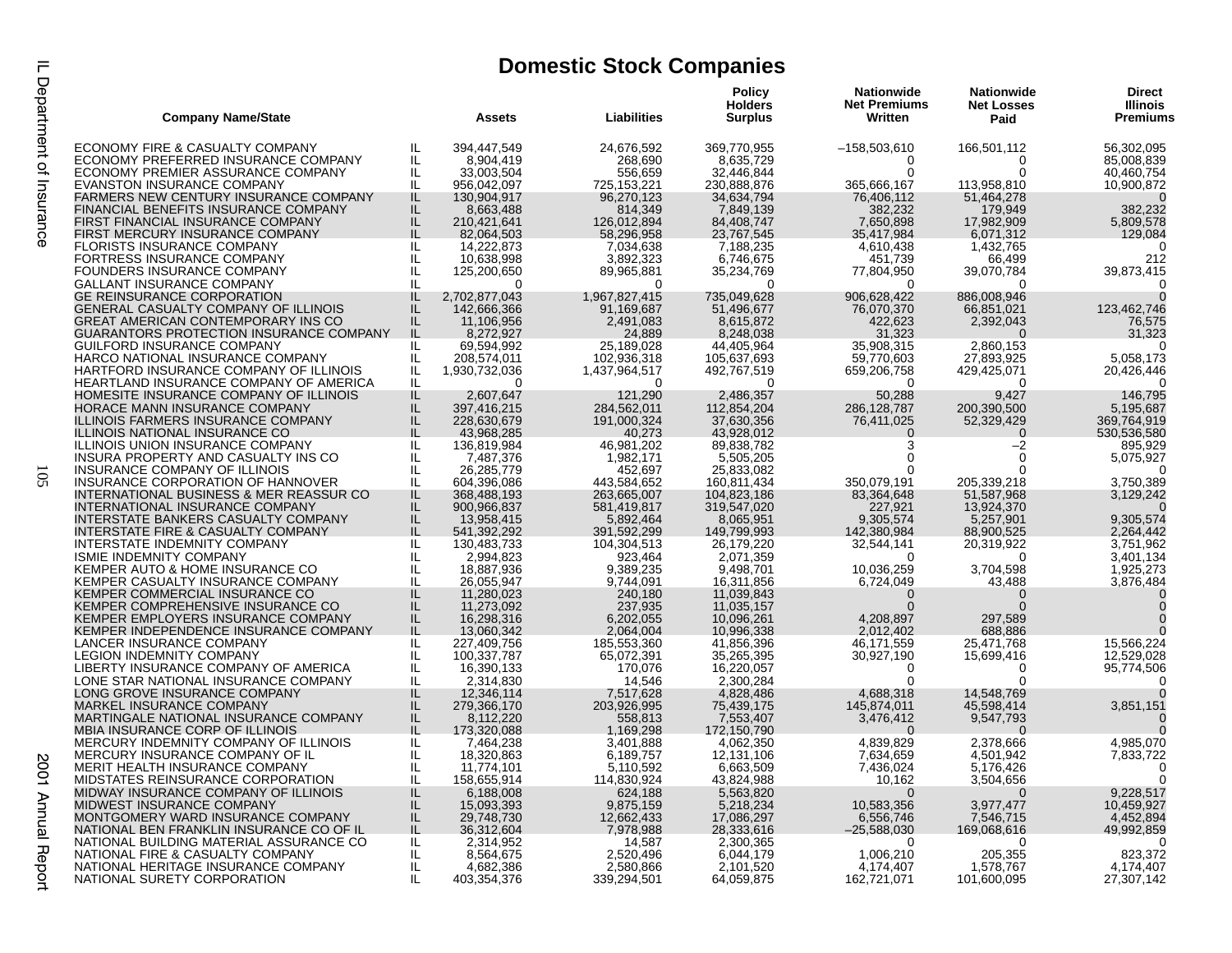### **Domestic Stock Companies**

**Premiums Illinois Direct**

|                         |                                                                         |            |                           | Domestic Stock Companies |                                                   |                                                     |                                                |                                             |
|-------------------------|-------------------------------------------------------------------------|------------|---------------------------|--------------------------|---------------------------------------------------|-----------------------------------------------------|------------------------------------------------|---------------------------------------------|
| Department of Insurance | <b>Company Name/State</b>                                               |            | Assets                    | <b>Liabilities</b>       | <b>Policy</b><br><b>Holders</b><br><b>Surplus</b> | <b>Nationwide</b><br><b>Net Premiums</b><br>Written | <b>Nationwide</b><br><b>Net Losses</b><br>Paid | <b>Direct</b><br><b>Illinois</b><br>Premium |
|                         | ECONOMY FIRE & CASUALTY COMPANY                                         | IL.        | 394,447,549               | 24.676.592               | 369,770,955                                       | $-158,503,610$                                      | 166,501,112                                    | 56,302,095                                  |
|                         | ECONOMY PREFERRED INSURANCE COMPANY                                     | IL.        | 8,904,419                 | 268,690                  | 8,635,729                                         |                                                     | $\Omega$                                       | 85,008,839                                  |
|                         | ECONOMY PREMIER ASSURANCE COMPANY                                       | IL.        | 33,003,504                | 556,659                  | 32,446,844                                        | $\Omega$                                            |                                                | 40,460,754                                  |
|                         | EVANSTON INSURANCE COMPANY                                              | IL.        | 956,042,097               | 725, 153, 221            | 230,888,876                                       | 365,666,167                                         | 113,958,810                                    | 10,900,872                                  |
|                         | FARMERS NEW CENTURY INSURANCE COMPANY                                   | IL.        | 130,904,917               | 96,270,123               | 34,634,794                                        | 76,406,112                                          | 51,464,278                                     |                                             |
|                         | FINANCIAL BENEFITS INSURANCE COMPANY                                    |            | 8,663,488                 | 814,349                  | 7,849,139                                         | 382,232                                             | 179,949                                        | 382,232                                     |
|                         | FIRST FINANCIAL INSURANCE COMPANY                                       | IL.        | 210,421,641               | 126,012,894              | 84,408,747                                        | 7,650,898                                           | 17,982,909                                     | 5,809,578                                   |
|                         | FIRST MERCURY INSURANCE COMPANY                                         |            | 82,064,503                | 58,296,958               | 23,767,545                                        | 35,417,984                                          | 6,071,312                                      | 129,084                                     |
|                         | FLORISTS INSURANCE COMPANY                                              | IL         | 14,222,873                | 7,034,638                | 7,188,235                                         | 4,610,438                                           | 1,432,765                                      |                                             |
|                         | FORTRESS INSURANCE COMPANY                                              | IL.<br>IL  | 10,638,998                | 3,892,323                | 6,746,675                                         | 451,739                                             | 66,499                                         | 212                                         |
|                         | FOUNDERS INSURANCE COMPANY<br>GALLANT INSURANCE COMPANY                 | IL         | 125,200,650               | 89,965,881<br>$\Omega$   | 35,234,769                                        | 77,804,950                                          | 39,070,784                                     | 39,873,415                                  |
|                         | <b>GE REINSURANCE CORPORATION</b>                                       | IL         | 2,702,877,043             | 1,967,827,415            | 735,049,628                                       | 906,628,422                                         | 886,008,946                                    |                                             |
|                         | GENERAL CASUALTY COMPANY OF ILLINOIS                                    | IL.        | 142,666,366               | 91,169,687               | 51,496,677                                        | 76,070,370                                          | 66,851,021                                     | 123,462,746                                 |
|                         | GREAT AMERICAN CONTEMPORARY INS CO                                      | IL.        | 11,106,956                | 2,491,083                | 8,615,872                                         | 422,623                                             | 2,392,043                                      | 76,575                                      |
|                         | GUARANTORS PROTECTION INSURANCE COMPANY                                 | IL.        | 8,272,927                 | 24,889                   | 8,248,038                                         | 31,323                                              |                                                | 31,323                                      |
|                         | GUILFORD INSURANCE COMPANY                                              | IL.        | 69,594,992                | 25,189,028               | 44,405,964                                        | 35,908,315                                          | 2,860,153                                      |                                             |
|                         | HARCO NATIONAL INSURANCE COMPANY                                        | IL.        | 208,574,011               | 102,936,318              | 105,637,693                                       | 59,770,603                                          | 27,893,925                                     | 5,058,173                                   |
|                         | HARTFORD INSURANCE COMPANY OF ILLINOIS                                  | lL<br>IL   | 1,930,732,036             | 1,437,964,517            | 492,767,519                                       | 659,206,758                                         | 429,425,071                                    | 20,426,446                                  |
|                         | HEARTLAND INSURANCE COMPANY OF AMERICA                                  |            |                           | ∩                        |                                                   |                                                     | 0                                              |                                             |
|                         | HOMESITE INSURANCE COMPANY OF ILLINOIS                                  | IL.        | 2,607,647                 | 121,290                  | 2,486,357                                         | 50,288                                              | 9,427                                          | 146,795                                     |
|                         | HORACE MANN INSURANCE COMPANY                                           | IL.        | 397.416.215               | 284,562,011              | 112,854,204                                       | 286,128,787                                         | 200,390,500                                    | 5,195,687                                   |
|                         | ILLINOIS FARMERS INSURANCE COMPANY                                      | IL.        | 228,630,679               | 191,000,324              | 37,630,356                                        | 76,411,025                                          | 52,329,429                                     | 369,764,919                                 |
|                         | ILLINOIS NATIONAL INSURANCE CO                                          |            | 43,968,285                | 40,273                   | 43,928,012<br>89.838.782                          |                                                     | $\Omega$                                       | 530,536,580                                 |
|                         | ILLINOIS UNION INSURANCE COMPANY                                        | IL.        | 136,819,984               | 46,981,202               |                                                   | 3<br>$\Omega$                                       | -2                                             | 895,929                                     |
|                         | INSURA PROPERTY AND CASUALTY INS CO<br>INSURANCE COMPANY OF ILLINOIS    | IL.<br>IL  | 7,487,376<br>26,285,779   | 1,982,171<br>452,697     | 5,505,205<br>25,833,082                           | $\Omega$                                            |                                                | 5,075,927<br>0                              |
| 502                     | INSURANCE CORPORATION OF HANNOVER                                       | IL.        | 604,396,086               | 443,584,652              | 160,811,434                                       | 350,079,191                                         | 205,339,218                                    | 3,750,389                                   |
|                         | INTERNATIONAL BUSINESS & MER REASSUR CO                                 | IL.        | 368,488,193               | 263,665,007              | 104,823,186                                       | 83,364,648                                          | 51,587,968                                     | 3,129,242                                   |
|                         | INTERNATIONAL INSURANCE COMPANY                                         | IL         | 900,966,837               | 581,419,817              | 319,547,020                                       | 227,921                                             | 13,924,370                                     | 0                                           |
|                         | INTERSTATE BANKERS CASUALTY COMPANY                                     | IL.        | 13,958,415                | 5,892,464                | 8,065,951                                         | 9,305,574                                           | 5,257,901                                      | 9,305,574                                   |
|                         | <b>INTERSTATE FIRE &amp; CASUALTY COMPANY</b>                           | IL.        | 541,392,292               | 391,592,299              | 149,799,993                                       | 142,380,984                                         | 88,900,525                                     | 2,264,442                                   |
|                         | INTERSTATE INDEMNITY COMPANY                                            | IL.        | 130,483,733               | 104,304,513              | 26,179,220                                        | 32,544,141                                          | 20,319,922                                     | 3,751,962                                   |
|                         | ISMIE INDEMNITY COMPANY                                                 | IL.        | 2,994,823                 | 923,464                  | 2,071,359                                         | $\Omega$                                            | $\Omega$                                       | 3,401,134                                   |
|                         | KEMPER AUTO & HOME INSURANCE CO                                         | IL.        | 18,887,936                | 9,389,235                | 9,498,701                                         | 10,036,259                                          | 3,704,598                                      | 1,925,273                                   |
|                         | KEMPER CASUALTY INSURANCE COMPANY                                       | IL         | 26,055,947                | 9,744,091                | 16,311,856                                        | 6,724,049                                           | 43,488                                         | 3,876,484                                   |
|                         | KEMPER COMMERCIAL INSURANCE CO                                          | IL.        | 11,280,023                | 240,180                  | 11,039,843                                        |                                                     |                                                |                                             |
|                         | KEMPER COMPREHENSIVE INSURANCE CO                                       | IL.        | 11,273,092                | 237,935                  | 11,035,157                                        |                                                     |                                                |                                             |
|                         | KEMPER EMPLOYERS INSURANCE COMPANY                                      | IL         | 16,298,316                | 6,202,055                | 10,096,261                                        | 4,208,897                                           | 297,589                                        |                                             |
|                         | KEMPER INDEPENDENCE INSURANCE COMPANY                                   | IL.        | 13,060,342                | 2,064,004                | 10,996,338                                        | 2,012,402                                           | 688,886                                        |                                             |
|                         | LANCER INSURANCE COMPANY                                                | IL.        | 227,409,756               | 185,553,360              | 41,856,396                                        | 46,171,559                                          | 25,471,768                                     | 15,566,224                                  |
|                         | <b>LEGION INDEMNITY COMPANY</b><br>LIBERTY INSURANCE COMPANY OF AMERICA | IL.        | 100,337,787<br>16,390,133 | 65,072,391<br>170,076    | 35,265,395<br>16,220,057                          | 30,927,190                                          | 15,699,416                                     | 12,529,028                                  |
|                         | LONE STAR NATIONAL INSURANCE COMPANY                                    | IL.<br>IL. | 2,314,830                 | 14,546                   | 2,300,284                                         | $\Omega$                                            |                                                | 95,774,506                                  |
|                         | LONG GROVE INSURANCE COMPANY                                            |            | 12,346,114                | 7,517,628                | 4,828,486                                         | 4,688,318                                           | 14,548,769                                     |                                             |
|                         | MARKEL INSURANCE COMPANY                                                | IL.        | 279,366,170               | 203,926,995              | 75,439,175                                        | 145,874,011                                         | 45,598,414                                     | 3,851,151                                   |
|                         | MARTINGALE NATIONAL INSURANCE COMPANY                                   | IL.        | 8,112,220                 | 558,813                  | 7,553,407                                         | 3,476,412                                           | 9,547,793                                      |                                             |
|                         | MBIA INSURANCE CORP OF ILLINOIS                                         |            | 173,320,088               | 1,169,298                | 172,150,790                                       |                                                     |                                                |                                             |
|                         | MERCURY INDEMNITY COMPANY OF ILLINOIS                                   | IL.        | 7,464,238                 | 3,401,888                | 4,062,350                                         | 4,839,829                                           | 2,378,666                                      | 4,985,070                                   |
|                         | MERCURY INSURANCE COMPANY OF IL                                         | IL.        | 18,320,863                | 6,189,757                | 12,131,106                                        | 7,634,659                                           | 4,501,942                                      | 7,833,722                                   |
|                         | MERIT HEALTH INSURANCE COMPANY                                          | IL.        | 11,774,101                | 5,110,592                | 6,663,509                                         | 7,436,024                                           | 5,176,426                                      | 0                                           |
| 2001                    | MIDSTATES REINSURANCE CORPORATION                                       | IL.        | 158,655,914               | 114,830,924              | 43,824,988                                        | 10,162                                              | 3,504,656                                      | 0                                           |
|                         | MIDWAY INSURANCE COMPANY OF ILLINOIS                                    | IL         | 6,188,008                 | 624,188                  | 5,563,820                                         | $\Omega$                                            | $\Omega$                                       | 9,228,517                                   |
| Annual                  | MIDWEST INSURANCE COMPANY                                               | IL.        | 15,093,393                | 9,875,159                | 5,218,234                                         | 10.583.356                                          | 3,977,477                                      | 10,459,927                                  |
|                         | MONTGOMERY WARD INSURANCE COMPANY                                       | IL.        | 29,748,730                | 12,662,433               | 17,086,297                                        | 6,556,746                                           | 7,546,715                                      | 4,452,894                                   |
|                         | NATIONAL BEN FRANKLIN INSURANCE CO OF IL                                | IL.        | 36,312,604                | 7,978,988                | 28,333,616                                        | $-25,588,030$                                       | 169,068,616                                    | 49,992,859                                  |
|                         | NATIONAL BUILDING MATERIAL ASSURANCE CO                                 | IL.        | 2,314,952                 | 14,587                   | 2,300,365                                         | 0                                                   | 0                                              | 0                                           |
|                         | NATIONAL FIRE & CASUALTY COMPANY                                        | IL.        | 8,564,675                 | 2,520,496                | 6,044,179                                         | 1,006,210                                           | 205,355                                        | 823,372                                     |
| Report                  | NATIONAL HERITAGE INSURANCE COMPANY                                     | IL.        | 4,682,386                 | 2,580,866                | 2,101,520                                         | 4,174,407                                           | 1,578,767                                      | 4,174,407                                   |
|                         | NATIONAL SURETY CORPORATION                                             | IL.        | 403,354,376               | 339.294.501              | 64,059,875                                        | 162,721,071                                         | 101,600,095                                    | 27,307,142                                  |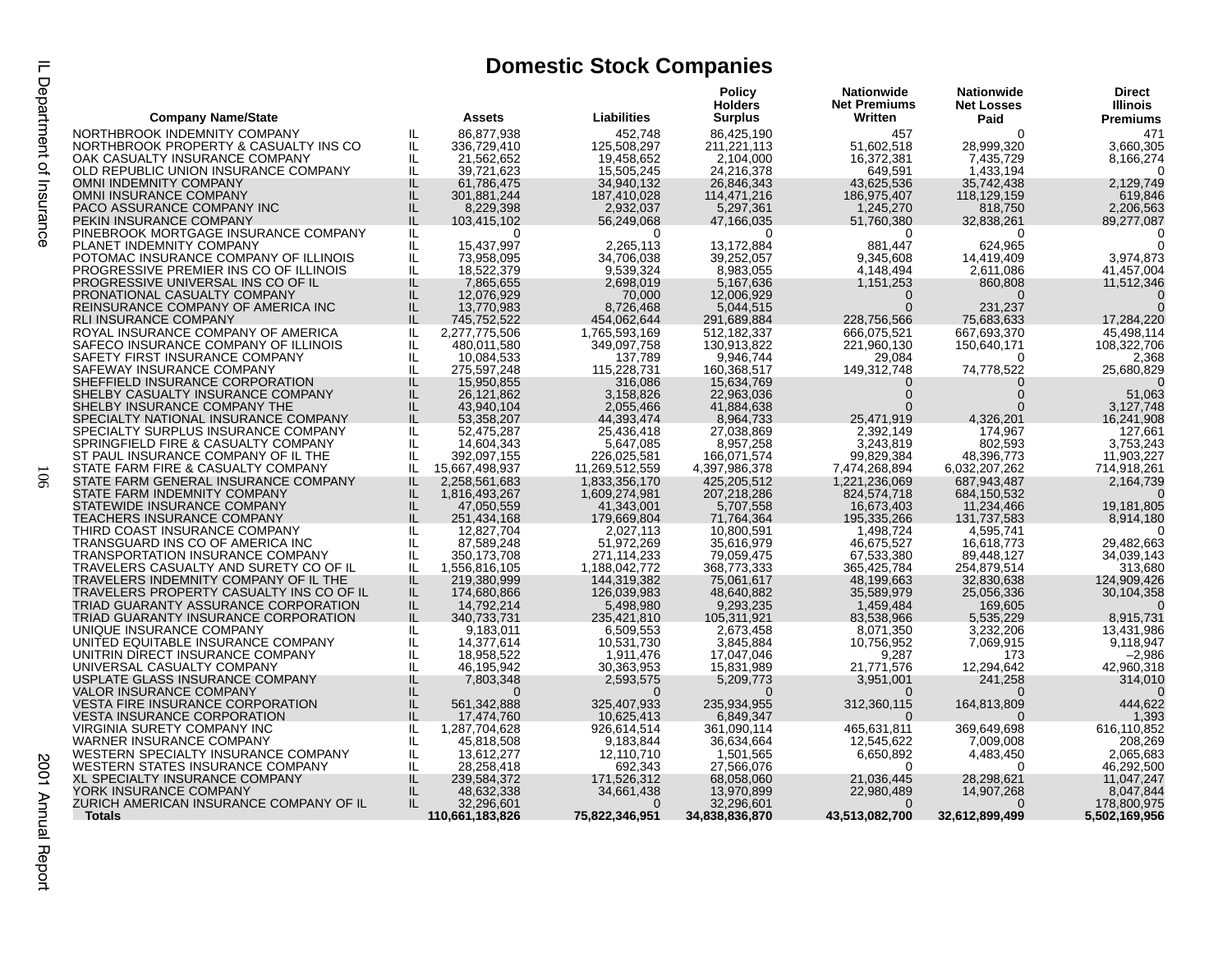# **Domestic Stock Companies**

|                                                                            |          |                              | Liabilities              | <b>Policy</b><br><b>Holders</b> | <b>Nationwide</b><br><b>Net Premiums</b><br>Written | <b>Nationwide</b><br><b>Net Losses</b> | <b>Direct</b><br><b>Illinois</b> |
|----------------------------------------------------------------------------|----------|------------------------------|--------------------------|---------------------------------|-----------------------------------------------------|----------------------------------------|----------------------------------|
| <b>Company Name/State</b>                                                  |          | <b>Assets</b>                |                          | <b>Surplus</b>                  |                                                     | Paid                                   | <b>Premiums</b>                  |
| NORTHBROOK INDEMNITY COMPANY                                               | IL       | 86,877,938                   | 452,748                  | 86,425,190                      | 457                                                 | 0                                      | 471                              |
| NORTHBROOK PROPERTY & CASUALTY INS CO                                      | IL       | 336,729,410                  | 125,508,297              | 211,221,113                     | 51,602,518                                          | 28,999,320                             | 3,660,305                        |
| OAK CASUALTY INSURANCE COMPANY<br>OLD REPUBLIC UNION INSURANCE COMPANY     | IL<br>IL | 21,562,652<br>39,721,623     | 19,458,652<br>15,505,245 | 2,104,000<br>24,216,378         | 16,372,381<br>649,591                               | 7,435,729<br>1,433,194                 | 8,166,274<br>0                   |
| OMNI INDEMNITY COMPANY                                                     | IL       | 61,786,475                   | 34,940,132               | 26,846,343                      | 43,625,536                                          | 35,742,438                             | 2,129,749                        |
| OMNI INSURANCE COMPANY                                                     | IL       | 301,881,244                  | 187,410,028              | 114,471,216                     | 186,975,407                                         | 118,129,159                            | 619,846                          |
| PACO ASSURANCE COMPANY INC                                                 | IL       | 8,229,398                    | 2,932,037                | 5,297,361                       | 1,245,270                                           | 818,750                                | 2,206,563                        |
| PEKIN INSURANCE COMPANY                                                    |          | 103,415,102                  | 56,249,068               | 47,166,035                      | 51,760,380                                          | 32,838,261                             | 89,277,087                       |
| PINEBROOK MORTGAGE INSURANCE COMPANY                                       | IL       | <sup>0</sup>                 | ∩                        | $\Omega$                        | 0                                                   | 0                                      |                                  |
| PLANET INDEMNITY COMPANY                                                   | IL       | 15,437,997                   | 2,265,113                | 13,172,884                      | 881,447                                             | 624,965                                |                                  |
| POTOMAC INSURANCE COMPANY OF ILLINOIS                                      | IL       | 73.958.095                   | 34,706,038               | 39,252,057                      | 9,345,608                                           | 14,419,409                             | 3,974,873                        |
| PROGRESSIVE PREMIER INS CO OF ILLINOIS                                     | IL       | 18,522,379                   | 9,539,324                | 8,983,055                       | 4,148,494                                           | 2,611,086                              | 41,457,004                       |
| PROGRESSIVE UNIVERSAL INS CO OF IL                                         | IL.      | 7,865,655                    | 2,698,019                | 5,167,636                       | 1,151,253                                           | 860,808                                | 11,512,346                       |
| PRONATIONAL CASUALTY COMPANY                                               | IL       | 12,076,929                   | 70,000                   | 12,006,929                      |                                                     | 0                                      |                                  |
| REINSURANCE COMPANY OF AMERICA INC                                         | IL       | 13,770,983                   | 8,726,468                | 5,044,515                       | $\Omega$                                            | 231,237                                |                                  |
| <b>RLI INSURANCE COMPANY</b>                                               |          | 745,752,522                  | 454,062,644              | 291,689,884                     | 228,756,566                                         | 75,683,633                             | 17,284,220                       |
| ROYAL INSURANCE COMPANY OF AMERICA<br>SAFECO INSURANCE COMPANY OF ILLINOIS | IL       | 2,277,775,506<br>480,011,580 | 1,765,593,169            | 512,182,337<br>130,913,822      | 666,075,521<br>221,960,130                          | 667,693,370<br>150,640,171             | 45,498,114                       |
| SAFETY FIRST INSURANCE COMPANY                                             | IL<br>IL | 10,084,533                   | 349,097,758<br>137,789   | 9,946,744                       | 29.084                                              | 0                                      | 108,322,706<br>2,368             |
| SAFEWAY INSURANCE COMPANY                                                  | IL       | 275,597,248                  | 115,228,731              | 160,368,517                     | 149,312,748                                         | 74,778,522                             | 25,680,829                       |
| SHEFFIELD INSURANCE CORPORATION                                            | IL       | 15,950,855                   | 316,086                  | 15,634,769                      | $\Omega$                                            | $\Omega$                               |                                  |
| SHELBY CASUALTY INSURANCE COMPANY                                          | IL       | 26,121,862                   | 3,158,826                | 22,963,036                      | U                                                   | $\Omega$                               | 51,063                           |
| SHELBY INSURANCE COMPANY THE                                               | IL       | 43,940,104                   | 2,055,466                | 41,884,638                      | ŋ                                                   | O                                      | 3,127,748                        |
| SPECIALTY NATIONAL INSURANCE COMPANY                                       | IL       | 53,358,207                   | 44,393,474               | 8,964,733                       | 25,471,919                                          | 4,326,201                              | 16,241,908                       |
| SPECIALTY SURPLUS INSURANCE COMPANY                                        | IL       | 52,475,287                   | 25,436,418               | 27,038,869                      | 2,392,149                                           | 174,967                                | 127,661                          |
| SPRINGFIELD FIRE & CASUALTY COMPANY                                        | IL       | 14,604,343                   | 5,647,085                | 8,957,258                       | 3,243,819                                           | 802,593                                | 3,753,243                        |
| ST PAUL INSURANCE COMPANY OF IL THE                                        | IL       | 392,097,155                  | 226,025,581              | 166,071,574                     | 99,829,384                                          | 48,396,773                             | 11,903,227                       |
| STATE FARM FIRE & CASUALTY COMPANY                                         | IL       | 15,667,498,937               | 11,269,512,559           | 4,397,986,378                   | 7,474,268,894                                       | 6,032,207,262                          | 714,918,261                      |
| STATE FARM GENERAL INSURANCE COMPANY                                       | IL       | 2,258,561,683                | 1,833,356,170            | 425,205,512                     | 1,221,236,069                                       | 687,943,487                            | 2,164,739                        |
| STATE FARM INDEMNITY COMPANY                                               | IL       | 1,816,493,267                | 1,609,274,981            | 207,218,286                     | 824,574,718                                         | 684,150,532                            |                                  |
| STATEWIDE INSURANCE COMPANY                                                | IL       | 47,050,559                   | 41,343,001               | 5,707,558                       | 16,673,403                                          | 11,234,466                             | 19,181,805                       |
| TEACHERS INSURANCE COMPANY                                                 | IL       | 251,434,168                  | 179,669,804              | 71,764,364                      | 195,335,266                                         | 131,737,583                            | 8,914,180                        |
| THIRD COAST INSURANCE COMPANY<br>TRANSGUARD INS CO OF AMERICA INC          | IL<br>IL | 12,827,704<br>87,589,248     | 2,027,113<br>51,972,269  | 10,800,591<br>35,616,979        | 1,498,724<br>46,675,527                             | 4,595,741<br>16,618,773                | 29,482,663                       |
| <b>TRANSPORTATION INSURANCE COMPANY</b>                                    | IL       | 350,173,708                  | 271,114,233              | 79,059,475                      | 67,533,380                                          | 89,448,127                             | 34,039,143                       |
| TRAVELERS CASUALTY AND SURETY CO OF IL                                     | IL       | 1,556,816,105                | 1,188,042,772            | 368,773,333                     | 365,425,784                                         | 254,879,514                            | 313,680                          |
| TRAVELERS INDEMNITY COMPANY OF IL THE                                      | IL       | 219,380,999                  | 144,319,382              | 75,061,617                      | 48,199,663                                          | 32,830,638                             | 124,909,426                      |
| TRAVELERS PROPERTY CASUALTY INS CO OF IL                                   | IL.      | 174,680,866                  | 126,039,983              | 48,640,882                      | 35,589,979                                          | 25,056,336                             | 30,104,358                       |
| TRIAD GUARANTY ASSURANCE CORPORATION                                       | IL       | 14,792,214                   | 5,498,980                | 9,293,235                       | 1,459,484                                           | 169,605                                |                                  |
| TRIAD GUARANTY INSURANCE CORPORATION                                       | IL       | 340,733,731                  | 235,421,810              | 105,311,921                     | 83,538,966                                          | 5,535,229                              | 8,915,731                        |
| UNIQUE INSURANCE COMPANY                                                   | IL       | 9,183,011                    | 6,509,553                | 2,673,458                       | 8,071,350                                           | 3,232,206                              | 13,431,986                       |
| UNITED EQUITABLE INSURANCE COMPANY                                         | IL       | 14,377,614                   | 10,531,730               | 3,845,884                       | 10,756,952                                          | 7,069,915                              | 9,118,947                        |
| UNITRIN DIRECT INSURANCE COMPANY                                           | IL       | 18.958.522                   | 1.911.476                | 17.047.046                      | 9,287                                               | 173                                    | $-2,986$                         |
| UNIVERSAL CASUALTY COMPANY                                                 | IL       | 46,195,942                   | 30,363,953               | 15,831,989                      | 21,771,576                                          | 12,294,642                             | 42,960,318                       |
| USPLATE GLASS INSURANCE COMPANY                                            |          | 7,803,348                    | 2,593,575                | 5,209,773                       | 3,951,001                                           | 241,258                                | 314,010                          |
| VALOR INSURANCE COMPANY<br>VESTA FIRE INSURANCE CORPORATION                | IL<br>IL | 561,342,888                  | 325,407,933              | O<br>235,934,955                | 312,360,115                                         | 0                                      | O<br>444,622                     |
| <b>VESTA INSURANCE CORPORATION</b>                                         |          | 17.474.760                   | 10,625,413               | 6.849.347                       | ∩                                                   | 164,813,809                            | 1,393                            |
| VIRGINIA SURETY COMPANY INC                                                | IL       | 1,287,704,628                | 926,614,514              | 361.090.114                     | 465,631,811                                         | 369,649,698                            | 616,110,852                      |
| WARNER INSURANCE COMPANY                                                   | IL.      | 45,818,508                   | 9,183,844                | 36,634,664                      | 12,545,622                                          | 7,009,008                              | 208,269                          |
| WESTERN SPECIALTY INSURANCE COMPANY                                        | IL       | 13,612,277                   | 12,110,710               | 1,501,565                       | 6,650,892                                           | 4,483,450                              | 2,065,683                        |
| WESTERN STATES INSURANCE COMPANY                                           | IL       | 28,258,418                   | 692,343                  | 27,566,076                      | 0                                                   | 0                                      | 46,292,500                       |
| XL SPECIALTY INSURANCE COMPANY                                             | IL       | 239,584,372                  | 171,526,312              | 68,058,060                      | 21,036,445                                          | 28,298,621                             | 11,047,247                       |
| YORK INSURANCE COMPANY                                                     |          | 48,632,338                   | 34,661,438               | 13,970,899                      | 22,980,489                                          | 14,907,268                             | 8,047,844                        |
| ZURICH AMERICAN INSURANCE COMPANY OF IL                                    | IL       | 32,296,601                   |                          | 32,296,601                      |                                                     |                                        | 178,800,975                      |
| <b>Totals</b>                                                              |          | 110,661,183,826              | 75,822,346,951           | 34,838,836,870                  | 43,513,082,700                                      | 32,612,899,499                         | 5,502,169,956                    |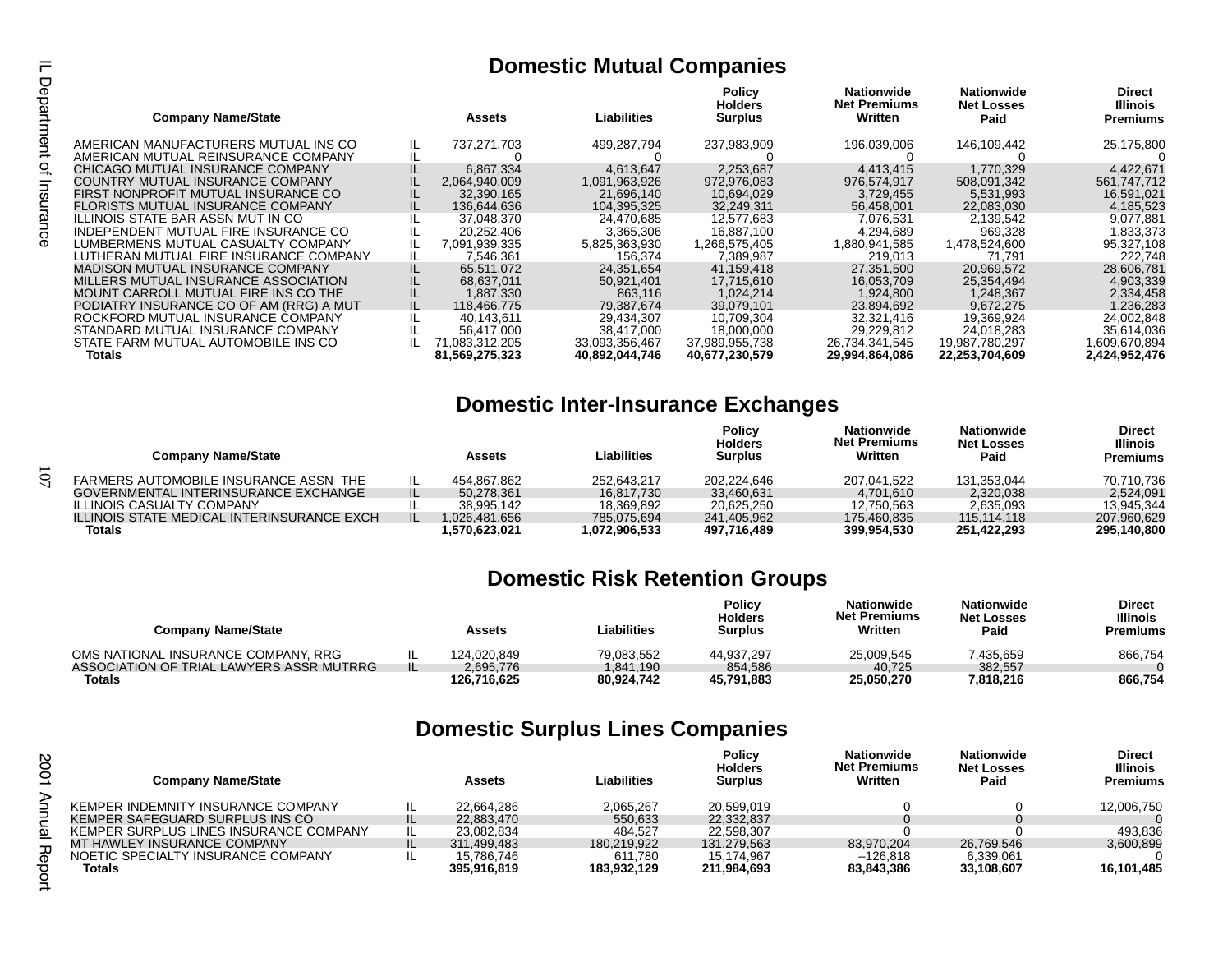### **Domestic Mutual Companies**

|                                                                             |                |                | <b>Policy</b><br><b>Holders</b> | Nationwide<br><b>Net Premiums</b> | <b>Nationwide</b><br><b>Net Losses</b> | <b>Direct</b><br><b>Illinois</b> |
|-----------------------------------------------------------------------------|----------------|----------------|---------------------------------|-----------------------------------|----------------------------------------|----------------------------------|
| <b>Company Name/State</b>                                                   | Assets         | Liabilities    | <b>Surplus</b>                  | Written                           | Paid                                   | <b>Premiums</b>                  |
| AMERICAN MANUFACTURERS MUTUAL INS CO<br>AMERICAN MUTUAL REINSURANCE COMPANY | 737.271.703    | 499,287,794    | 237,983,909                     | 196,039,006                       | 146.109.442                            | 25,175,800                       |
| CHICAGO MUTUAL INSURANCE COMPANY                                            | 6.867.334      | 4.613.647      | 2.253.687                       | 4.413.415                         | 1.770.329                              | 4,422,671                        |
| COUNTRY MUTUAL INSURANCE COMPANY                                            | 2.064.940.009  | 1.091.963.926  | 972.976.083                     | 976.574.917                       | 508.091.342                            | 561,747,712                      |
| FIRST NONPROFIT MUTUAL INSURANCE CO                                         | 32.390.165     | 21,696,140     | 10.694.029                      | 3,729,455                         | 5,531,993                              | 16,591,021                       |
| FLORISTS MUTUAL INSURANCE COMPANY                                           | 136.644.636    | 104,395,325    | 32.249.311                      | 56.458.001                        | 22.083.030                             | 4,185,523                        |
| ILLINOIS STATE BAR ASSN MUT IN CO                                           | 37.048.370     | 24.470.685     | 12.577.683                      | 7.076.531                         | 2.139.542                              | 9.077.881                        |
| INDEPENDENT MUTUAL FIRE INSURANCE CO                                        | 20.252.406     | 3.365.306      | 16.887.100                      | 4.294.689                         | 969.328                                | 1.833.373                        |
| LUMBERMENS MUTUAL CASUALTY COMPANY                                          | 7,091,939,335  | 5,825,363,930  | 1,266,575,405                   | 1,880,941,585                     | 1,478,524,600                          | 95,327,108                       |
| LUTHERAN MUTUAL FIRE INSURANCE COMPANY                                      | 7.546.361      | 156.374        | 7.389.987                       | 219.013                           | 71.791                                 | 222.748                          |
| MADISON MUTUAL INSURANCE COMPANY                                            | 65.511.072     | 24.351.654     | 41.159.418                      | 27.351.500                        | 20.969.572                             | 28,606,781                       |
| MILLERS MUTUAL INSURANCE ASSOCIATION                                        | 68,637,011     | 50,921,401     | 17,715,610                      | 16,053,709                        | 25,354,494                             | 4,903,339                        |
| MOUNT CARROLL MUTUAL FIRE INS CO THE                                        | 1,887,330      | 863,116        | 1.024.214                       | 1,924,800                         | 1,248,367                              | 2,334,458                        |
| PODIATRY INSURANCE CO OF AM (RRG) A MUT                                     | 118.466.775    | 79.387.674     | 39.079.101                      | 23.894.692                        | 9.672.275                              | 1.236.283                        |
| ROCKFORD MUTUAL INSURANCE COMPANY                                           | 40.143.611     | 29,434,307     | 10,709,304                      | 32,321,416                        | 19,369,924                             | 24,002,848                       |
| STANDARD MUTUAL INSURANCE COMPANY                                           | 56,417,000     | 38,417,000     | 18.000.000                      | 29,229,812                        | 24.018.283                             | 35,614,036                       |
| STATE FARM MUTUAL AUTOMOBILE INS CO                                         | 71.083.312.205 | 33.093.356.467 | 37.989.955.738                  | 26.734.341.545                    | 19.987.780.297                         | .609.670.894                     |
| Totals                                                                      | 81,569,275,323 | 40,892,044,746 | 40,677,230,579                  | 29,994,864,086                    | 22,253,704,609                         | 2,424,952,476                    |

## **Domestic Inter-Insurance Exchanges**

| $\overline{\phantom{0}}$ | <b>Company Name/State</b>                  | Assets        | Liabilities   | <b>Policy</b><br><b>Holders</b><br><b>Surplus</b> | <b>Nationwide</b><br><b>Net Premiums</b><br>Written | <b>Nationwide</b><br><b>Net Losses</b><br>Paid | Direct<br><b>Illinois</b><br>Premiums |
|--------------------------|--------------------------------------------|---------------|---------------|---------------------------------------------------|-----------------------------------------------------|------------------------------------------------|---------------------------------------|
| ⊂                        | FARMERS AUTOMOBILE INSURANCE ASSN THE      | 454.867.862   | 252.643.217   | 202.224.646                                       | 207.041.522                                         | 131.353.044                                    | 70.710.736                            |
|                          | GOVERNMENTAL INTERINSURANCE EXCHANGE       | 50.278.361    | 16.817.730    | 33.460.631                                        | 4.701.610                                           | 2.320.038                                      | 2.524.091                             |
|                          | <b>ILLINOIS CASUALTY COMPANY</b>           | 38.995.142    | 18.369.892    | 20.625.250                                        | 12.750.563                                          | 2.635.093                                      | 13.945.344                            |
|                          | ILLINOIS STATE MEDICAL INTERINSURANCE EXCH | 1.026.481.656 | 785.075.694   | 241.405.962                                       | 175.460.835                                         | 115.114.118                                    | 207.960.629                           |
|                          | Totals                                     | 1.570.623.021 | 1.072.906.533 | 497,716,489                                       | 399.954.530                                         | 251.422.293                                    | 295.140.800                           |

### **Domestic Risk Retention Groups**

| <b>Company Name/State</b>                |     | Assets      | Liabilities | <b>Policy</b><br><b>Holders</b><br>Surplus | <b>Nationwide</b><br><b>Net Premiums</b><br>Written | <b>Nationwide</b><br><b>Net Losses</b><br>Paid | <b>Direct</b><br><b>Illinois</b><br>Premiums |
|------------------------------------------|-----|-------------|-------------|--------------------------------------------|-----------------------------------------------------|------------------------------------------------|----------------------------------------------|
| OMS NATIONAL INSURANCE COMPANY, RRG      | . . | 124.020.849 | 79.083.552  | 44.937.297                                 | 25.009.545                                          | .435.659                                       | 866.754                                      |
| ASSOCIATION OF TRIAL LAWYERS ASSR MUTRRG |     | 2.695.776   | 1.841.190   | 854.586                                    | 40.725                                              | 382.557                                        |                                              |
| Totals                                   |     | 126.716.625 | 80.924.742  | 45.791.883                                 | 25,050,270                                          | 7,818,216                                      | 866,754                                      |

### **Domestic Surplus Lines Companies**

| <b>Company Name/State</b>              |    | Assets      | Liabilities | <b>Policy</b><br><b>Holders</b><br><b>Surplus</b> | <b>Nationwide</b><br><b>Net Premiums</b><br>Written | <b>Nationwide</b><br><b>Net Losses</b><br>Paid | <b>Direct</b><br><b>Illinois</b><br>Premiums |
|----------------------------------------|----|-------------|-------------|---------------------------------------------------|-----------------------------------------------------|------------------------------------------------|----------------------------------------------|
| KEMPER INDEMNITY INSURANCE COMPANY     |    | 22.664.286  | 2.065.267   | 20.599.019                                        |                                                     |                                                | 12,006,750                                   |
| KEMPER SAFEGUARD SURPLUS INS CO        | IL | 22.883.470  | 550.633     | 22.332.837                                        |                                                     |                                                |                                              |
| KEMPER SURPLUS LINES INSURANCE COMPANY |    | 23.082.834  | 484.527     | 22.598.307                                        |                                                     |                                                | 493.836                                      |
| MT HAWLEY INSURANCE COMPANY            |    | 311.499.483 | 180.219.922 | 131.279.563                                       | 83.970.204                                          | 26.769.546                                     | 3.600.899                                    |
| NOETIC SPECIALTY INSURANCE COMPANY     |    | 15.786.746  | 611.780     | 15.174.967                                        | $-126.818$                                          | 6.339.061                                      |                                              |
| Totals                                 |    | 395.916.819 | 183.932.129 | 211.984.693                                       | 83.843.386                                          | 33.108.607                                     | 16.101.485                                   |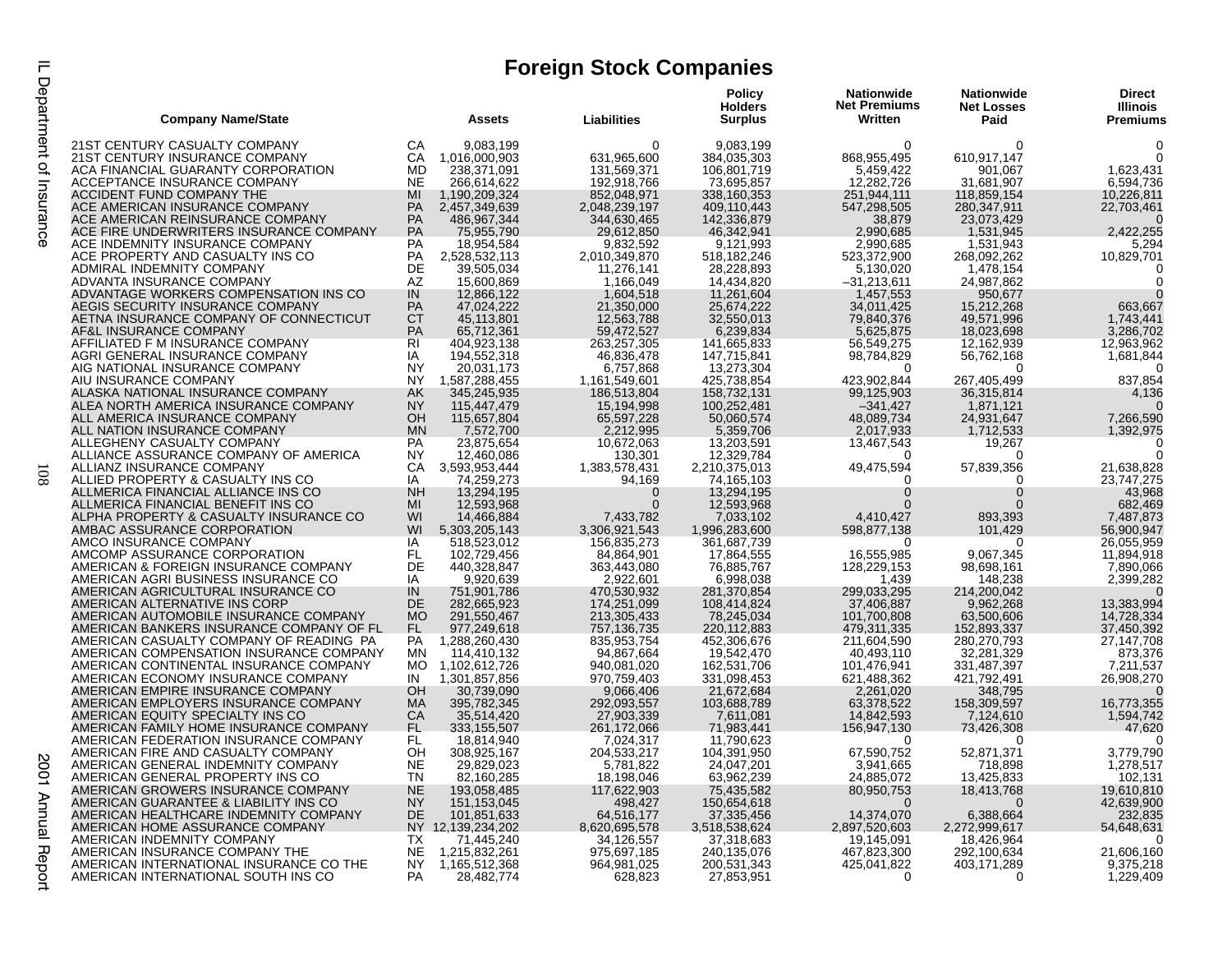# IL Department of Insurance 2010 - 108 - 108 - 108 - 108 - 108 - 108 - 108 - 108 - 108 - 108 - 108 - 108 - 108 IL Department of Insurance

| <b>Company Name/State</b>                                                         |                        | <b>Assets</b>                | <b>Liabilities</b>           | <b>Policy</b><br><b>Holders</b><br><b>Surplus</b> | Nationwide<br><b>Net Premiums</b><br>Written | <b>Nationwide</b><br><b>Net Losses</b><br>Paid | <b>Direct</b><br>Illinois<br>Premiums |
|-----------------------------------------------------------------------------------|------------------------|------------------------------|------------------------------|---------------------------------------------------|----------------------------------------------|------------------------------------------------|---------------------------------------|
| 21ST CENTURY CASUALTY COMPANY                                                     | CА                     | 9,083,199                    | 0                            | 9,083,199                                         | $\Omega$                                     | ∩                                              |                                       |
| 21ST CENTURY INSURANCE COMPANY                                                    | CА                     | 1,016,000,903                | 631,965,600                  | 384,035,303                                       | 868,955,495                                  | 610,917,147                                    |                                       |
| ACA FINANCIAL GUARANTY CORPORATION<br>ACCEPTANCE INSURANCE COMPANY                | <b>MD</b><br><b>NE</b> | 238,371,091<br>266,614,622   | 131,569,371<br>192,918,766   | 106,801,719<br>73,695,857                         | 5,459,422<br>12,282,726                      | 901,067<br>31.681.907                          | 1,623,431<br>6,594,736                |
| ACCIDENT FUND COMPANY THE                                                         | MI                     | 1,190,209,324                | 852,048,971                  | 338,160,353                                       | 251,944,111                                  | 118,859,154                                    | 10,226,811                            |
| ACE AMERICAN INSURANCE COMPANY                                                    | PA                     | 2,457,349,639                | 2,048,239,197                | 409,110,443                                       | 547,298,505                                  | 280,347,911                                    | 22,703,461                            |
| ACE AMERICAN REINSURANCE COMPANY<br>ACE FIRE UNDERWRITERS INSURANCE COMPANY       | PA                     | 486,967,344                  | 344,630,465                  | 142,336,879                                       | 38,879                                       | 23,073,429                                     |                                       |
|                                                                                   | <b>PA</b>              | 75,955,790                   | 29,612,850                   | 46,342,941                                        | 2,990,685                                    | 1,531,945                                      | 2,422,255                             |
| ACE INDEMNITY INSURANCE COMPANY                                                   | PA                     | 18,954,584                   | 9,832,592                    | 9,121,993                                         | 2,990,685                                    | 1,531,943                                      | 5,294                                 |
| ACE PROPERTY AND CASUALTY INS CO<br>ADMIRAL INDEMNITY COMPANY                     | PA<br>DE               | 2,528,532,113<br>39,505,034  | 2,010,349,870<br>11,276,141  | 518,182,246<br>28,228,893                         | 523,372,900<br>5,130,020                     | 268,092,262<br>1,478,154                       | 10,829,701                            |
| ADVANTA INSURANCE COMPANY                                                         | AZ                     | 15,600,869                   | 1,166,049                    | 14,434,820                                        | $-31,213,611$                                | 24,987,862                                     |                                       |
|                                                                                   | IN                     | 12,866,122                   | 1,604,518                    | 11,261,604                                        | 1,457,553                                    | 950,677                                        |                                       |
| ADVANTAGE WORKERS COMPENSATION INS CO<br>AEGIS SECURITY INSURANCE COMPANY         | PA                     | 47,024,222                   | 21,350,000                   | 25,674,222                                        | 34,011,425                                   | 15,212,268                                     | 663,667                               |
| AETNA INSURANCE COMPANY OF CONNECTICUT                                            | <b>CT</b>              | 45,113,801                   | 12,563,788                   | 32,550,013                                        | 79,840,376                                   | 49,571,996                                     | 1,743,441                             |
| AF&L INSURANCE COMPANY                                                            | PA                     | 65,712,361                   | 59,472,527                   | 6,239,834                                         | 5,625,875                                    | 18,023,698                                     | 3,286,702                             |
| AFFILIATED F M INSURANCE COMPANY                                                  | RI                     | 404,923,138                  | 263,257,305                  | 141,665,833                                       | 56,549,275                                   | 12,162,939                                     | 12,963,962                            |
| AGRI GENERAL INSURANCE COMPANY<br>AIG NATIONAL INSURANCE COMPANY                  | ΙA<br>NY               | 194,552,318<br>20,031,173    | 46,836,478<br>6,757,868      | 147,715,841<br>13,273,304                         | 98,784,829                                   | 56,762,168                                     | 1,681,844                             |
| AIU INSURANCE COMPANY                                                             | NY                     | 1,587,288,455                | 1,161,549,601                | 425,738,854                                       | 423,902,844                                  | 267,405,499                                    | 837,854                               |
| ALASKA NATIONAL INSURANCE COMPANY                                                 | AK                     | 345,245,935                  | 186,513,804                  | 158,732,131                                       | 99,125,903                                   | 36,315,814                                     | 4,136                                 |
| ALEA NORTH AMERICA INSURANCE COMPANY                                              | <b>NY</b>              | 115,447,479                  | 15,194,998                   | 100,252,481                                       | $-341,427$                                   | 1,871,121                                      |                                       |
| ALL AMERICA INSURANCE COMPANY                                                     | OH                     | 115,657,804                  | 65,597,228                   | 50,060,574                                        | 48,089,734                                   | 24,931,647                                     | 7,266,590                             |
| ALL NATION INSURANCE COMPANY                                                      | <b>MN</b><br>PA        | 7,572,700                    | 2,212,995                    | 5,359,706                                         | 2,017,933                                    | 1,712,533                                      | 1,392,975                             |
| ALLEGHENY CASUALTY COMPANY<br>ALLIANCE ASSURANCE COMPANY OF AMERICA               | <b>NY</b>              | 23,875,654<br>12,460,086     | 10,672,063<br>130,301        | 13,203,591<br>12,329,784                          | 13,467,543                                   | 19,267<br>$\Omega$                             |                                       |
| ALLIANZ INSURANCE COMPANY                                                         | CА                     | 3,593,953,444                | 1,383,578,431                | 2,210,375,013                                     | 49,475,594                                   | 57,839,356                                     | 21,638,828                            |
| ALLIED PROPERTY & CASUALTY INS CO                                                 | IA                     | 74,259,273                   | 94,169                       | 74,165,103                                        | 0                                            | $\Omega$                                       | 23,747,275                            |
| ALLMERICA FINANCIAL ALLIANCE INS CO                                               | <b>NH</b>              | 13,294,195                   | $\Omega$                     | 13,294,195                                        | $\Omega$                                     | $\Omega$                                       | 43,968                                |
| ALLMERICA FINANCIAL BENEFIT INS CO                                                | MI                     | 12,593,968                   | $\Omega$                     | 12,593,968                                        |                                              | ∩                                              | 682,469                               |
| ALPHA PROPERTY & CASUALTY INSURANCE CO<br>AMBAC ASSURANCE CORPORATION             | WI<br>WI               | 14,466,884                   | 7,433,782                    | 7,033,102                                         | 4,410,427                                    | 893,393                                        | 7,487,873                             |
| AMCO INSURANCE COMPANY                                                            | ΙA                     | 5,303,205,143<br>518,523,012 | 3,306,921,543<br>156,835,273 | 1,996,283,600<br>361,687,739                      | 598,877,138                                  | 101,429<br>O                                   | 56,900,947<br>26,055,959              |
| AMCOMP ASSURANCE CORPORATION                                                      | <b>FL</b>              | 102,729,456                  | 84,864,901                   | 17,864,555                                        | 16,555,985                                   | 9,067,345                                      | 11,894,918                            |
| AMERICAN & FOREIGN INSURANCE COMPANY                                              | DE                     | 440,328,847                  | 363,443,080                  | 76,885,767                                        | 128,229,153                                  | 98,698,161                                     | 7,890,066                             |
| AMERICAN AGRI BUSINESS INSURANCE CO                                               | ΙA                     | 9,920,639                    | 2,922,601                    | 6,998,038                                         | 1,439                                        | 148,238                                        | 2,399,282                             |
| AMERICAN AGRICULTURAL INSURANCE CO                                                | IN                     | 751,901,786                  | 470,530,932                  | 281,370,854                                       | 299,033,295                                  | 214,200,042                                    |                                       |
| AMERICAN ALTERNATIVE INS CORP                                                     | DE<br><b>MO</b>        | 282,665,923                  | 174,251,099                  | 108,414,824                                       | 37,406,887                                   | 9,962,268                                      | 13,383,994                            |
| AMERICAN AUTOMOBILE INSURANCE COMPANY<br>AMERICAN BANKERS INSURANCE COMPANY OF FL | FL.                    | 291,550,467<br>977,249,618   | 213,305,433<br>757,136,735   | 78,245,034<br>220,112,883                         | 101,700,808<br>479,311,335                   | 63,500,606<br>152,893,337                      | 14,728,334<br>37,450,392              |
| AMERICAN CASUALTY COMPANY OF READING PA                                           | PA                     | 1,288,260,430                | 835,953,754                  | 452,306,676                                       | 211,604,590                                  | 280,270,793                                    | 27,147,708                            |
| AMERICAN COMPENSATION INSURANCE COMPANY                                           | <b>MN</b>              | 114,410,132                  | 94,867,664                   | 19,542,470                                        | 40,493,110                                   | 32,281,329                                     | 873,376                               |
| AMERICAN CONTINENTAL INSURANCE COMPANY<br>AMERICAN ECONOMY INSURANCE COMPANY      | <b>MO</b>              | 1,102,612,726                | 940,081,020                  | 162,531,706                                       | 101,476,941                                  | 331,487,397                                    | 7,211,537                             |
|                                                                                   | IN                     | 1,301,857,856                | 970,759,403                  | 331,098,453                                       | 621,488,362                                  | 421,792,491                                    | 26,908,270                            |
| AMERICAN EMPIRE INSURANCE COMPANY                                                 | ΟH<br><b>MA</b>        | 30,739,090<br>395,782,345    | 9,066,406<br>292,093,557     | 21,672,684<br>103,688,789                         | 2,261,020<br>63,378,522                      | 348,795<br>158,309,597                         |                                       |
| AMERICAN EMPLOYERS INSURANCE COMPANY<br>AMERICAN EQUITY SPECIALTY INS CO          | CA                     | 35,514,420                   | 27,903,339                   | 7,611,081                                         | 14,842,593                                   | 7,124,610                                      | 16,773,355<br>1,594,742               |
| AMERICAN FAMILY HOME INSURANCE COMPANY                                            | <b>FL</b>              | 333, 155, 507                | 261,172,066                  | 71,983,441                                        | 156,947,130                                  | 73,426,308                                     | 47,620                                |
| AMERICAN FEDERATION INSURANCE COMPANY                                             | FL                     | 18,814,940                   | 7,024,317                    | 11,790,623                                        | ∩                                            | $\Omega$                                       |                                       |
| AMERICAN FIRE AND CASUALTY COMPANY                                                | OН                     | 308,925,167                  | 204,533,217                  | 104,391,950                                       | 67,590,752                                   | 52,871,371                                     | 3,779,790                             |
| AMERICAN GENERAL INDEMNITY COMPANY                                                | NE                     | 29,829,023                   | 5,781,822                    | 24,047,201                                        | 3,941,665                                    | 718,898                                        | 1,278,517                             |
| AMERICAN GENERAL PROPERTY INS CO<br>AMERICAN GROWERS INSURANCE COMPANY            | <b>TN</b><br><b>NE</b> | 82,160,285<br>193,058,485    | 18,198,046<br>117,622,903    | 63,962,239<br>75,435,582                          | 24,885,072<br>80,950,753                     | 13,425,833<br>18,413,768                       | 102,131<br>19,610,810                 |
| AMERICAN GUARANTEE & LIABILITY INS CO                                             | <b>NY</b>              | 151, 153, 045                | 498,427                      | 150,654,618                                       |                                              |                                                | 42,639,900                            |
| AMERICAN HEALTHCARE INDEMNITY COMPANY                                             | DE                     | 101,851,633                  | 64,516,177                   | 37,335,456                                        | 14,374,070                                   | 6,388,664                                      | 232,835                               |
| AMERICAN HOME ASSURANCE COMPANY                                                   | <b>NY</b>              | 12,139,234,202               | 8,620,695,578                | 3,518,538,624                                     | 2,897,520,603                                | 2,272,999,617                                  | 54,648,631                            |
| AMERICAN INDEMNITY COMPANY                                                        | тх                     | 71,445,240                   | 34,126,557                   | 37,318,683                                        | 19,145,091                                   | 18,426,964                                     |                                       |
| AMERICAN INSURANCE COMPANY THE                                                    | NE                     | 1,215,832,261                | 975,697,185                  | 240,135,076                                       | 467,823,300                                  | 292,100,634                                    | 21,606,160                            |
| AMERICAN INTERNATIONAL INSURANCE CO THE<br>AMERICAN INTERNATIONAL SOUTH INS CO    | NY<br>PA               | 1,165,512,368<br>28,482,774  | 964, 981, 025<br>628,823     | 200,531,343<br>27,853,951                         | 425,041,822<br>$\Omega$                      | 403,171,289<br>$\Omega$                        | 9,375,218<br>1,229,409                |

**Foreign Stock Companies**

ent of Insurance

108

2001 Annual Report 2001 Annual Report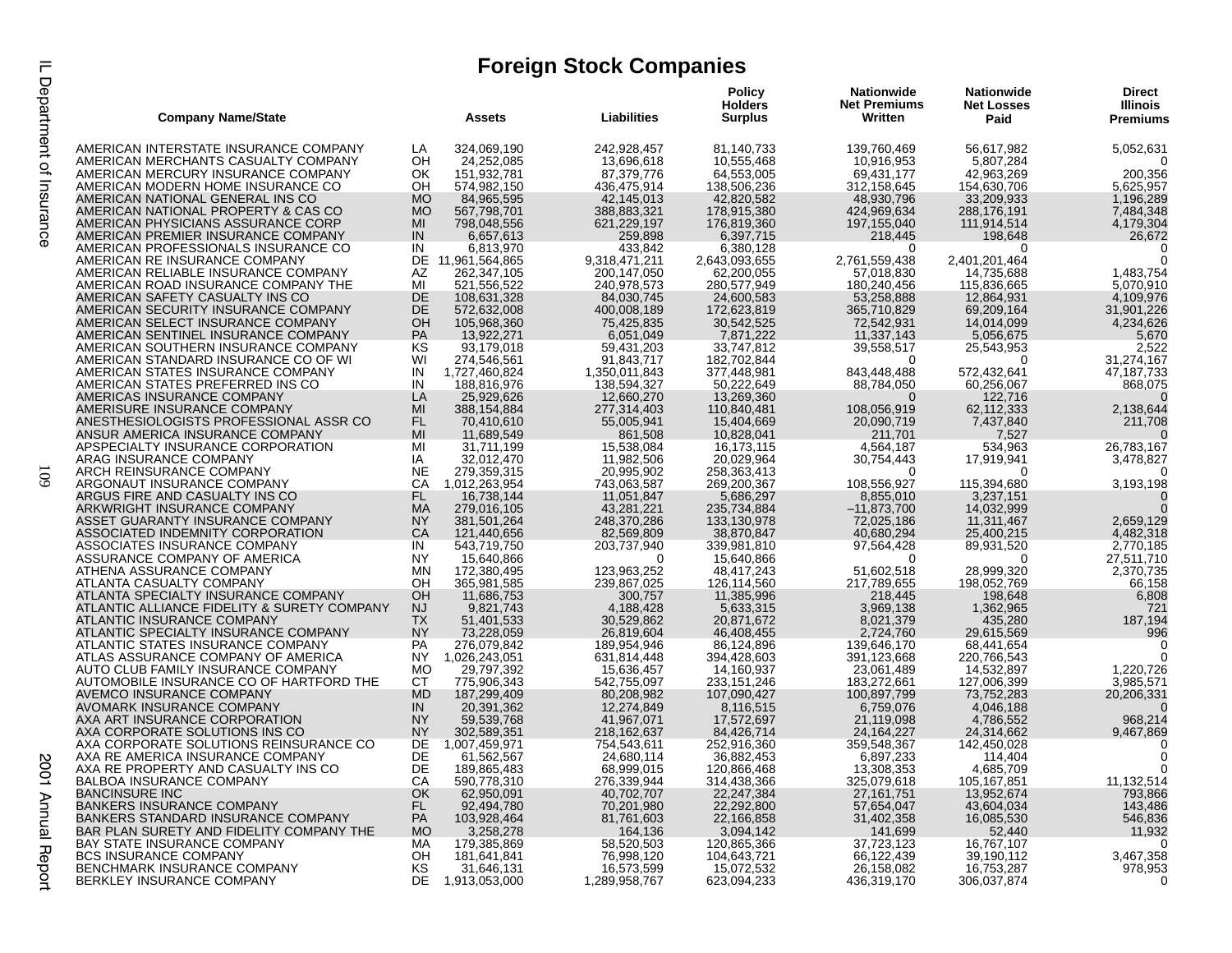| <b>Company Name/State</b>                                              |                 | Assets                      | Liabilities                 | <b>Policy</b><br><b>Holders</b><br><b>Surplus</b> | <b>Nationwide</b><br>Net Premiums<br>Written | Nationwide<br><b>Net Losses</b><br>Paid | <b>Direct</b><br><b>Illinois</b><br><b>Premiums</b> |
|------------------------------------------------------------------------|-----------------|-----------------------------|-----------------------------|---------------------------------------------------|----------------------------------------------|-----------------------------------------|-----------------------------------------------------|
| AMERICAN INTERSTATE INSURANCE COMPANY                                  | LA              | 324,069,190                 | 242,928,457                 | 81,140,733                                        | 139,760,469                                  | 56,617,982                              | 5,052,631                                           |
| AMERICAN MERCHANTS CASUALTY COMPANY                                    | OH              | 24,252,085                  | 13,696,618                  | 10,555,468                                        | 10,916,953                                   | 5,807,284                               |                                                     |
| AMERICAN MERCURY INSURANCE COMPANY                                     | OK              | 151,932,781                 | 87,379,776                  | 64,553,005                                        | 69,431,177                                   | 42,963,269                              | 200,356                                             |
| AMERICAN MODERN HOME INSURANCE CO<br>AMERICAN NATIONAL GENERAL INS CO  | OH<br><b>MO</b> | 574,982,150<br>84,965,595   | 436,475,914                 | 138,506,236                                       | 312,158,645                                  | 154,630,706<br>33,209,933               | 5,625,957                                           |
| AMERICAN NATIONAL PROPERTY & CAS CO                                    | <b>MO</b>       | 567,798,701                 | 42,145,013<br>388,883,321   | 42,820,582<br>178,915,380                         | 48,930,796<br>424,969,634                    | 288,176,191                             | 1,196,289<br>7,484,348                              |
| AMERICAN PHYSICIANS ASSURANCE CORP                                     | MI              | 798,048,556                 | 621,229,197                 | 176,819,360                                       | 197,155,040                                  | 111,914,514                             | 4,179,304                                           |
| AMERICAN PREMIER INSURANCE COMPANY                                     | IN              | 6,657,613                   | 259,898                     | 6,397,715                                         | 218,445                                      | 198,648                                 | 26,672                                              |
| AMERICAN PROFESSIONALS INSURANCE CO                                    | IN              | 6,813,970                   | 433,842                     | 6,380,128                                         |                                              | 0                                       |                                                     |
| AMERICAN RE INSURANCE COMPANY                                          | DE              | 11,961,564,865              | 9,318,471,211               | 2,643,093,655                                     | 2,761,559,438                                | 2,401,201,464                           |                                                     |
| AMERICAN RELIABLE INSURANCE COMPANY                                    | AZ              | 262,347,105                 | 200,147,050                 | 62,200,055                                        | 57,018,830                                   | 14,735,688                              | 1,483,754                                           |
| AMERICAN ROAD INSURANCE COMPANY THE<br>AMERICAN SAFETY CASUALTY INS CO | MI<br>DE        | 521,556,522<br>108,631,328  | 240,978,573<br>84,030,745   | 280,577,949<br>24,600,583                         | 180,240,456<br>53,258,888                    | 115,836,665<br>12,864,931               | 5,070,910<br>4,109,976                              |
| AMERICAN SECURITY INSURANCE COMPANY                                    | DE              | 572,632,008                 | 400,008,189                 | 172,623,819                                       | 365,710,829                                  | 69,209,164                              | 31,901,226                                          |
| AMERICAN SELECT INSURANCE COMPANY                                      | OH              | 105,968,360                 | 75,425,835                  | 30,542,525                                        | 72,542,931                                   | 14,014,099                              | 4,234,626                                           |
| AMERICAN SENTINEL INSURANCE COMPANY                                    | PA              | 13,922,271                  | 6,051,049                   | 7,871,222                                         | 11,337,143                                   | 5,056,675                               | 5,670                                               |
| AMERICAN SOUTHERN INSURANCE COMPANY                                    | KS              | 93,179,018                  | 59,431,203                  | 33,747,812                                        | 39,558,517                                   | 25,543,953                              | 2,522                                               |
| AMERICAN STANDARD INSURANCE CO OF WI                                   | WI              | 274,546,561                 | 91,843,717                  | 182,702,844                                       |                                              | Ω                                       | 31,274,167                                          |
| AMERICAN STATES INSURANCE COMPANY                                      | IN              | 1,727,460,824               | 1,350,011,843               | 377,448,981                                       | 843,448,488                                  | 572,432,641                             | 47, 187, 733                                        |
| AMERICAN STATES PREFERRED INS CO<br>AMERICAS INSURANCE COMPANY         | IN<br>LA        | 188,816,976<br>25,929,626   | 138,594,327<br>12,660,270   | 50,222,649<br>13,269,360                          | 88,784,050                                   | 60,256,067<br>122,716                   | 868,075                                             |
| AMERISURE INSURANCE COMPANY                                            | MI              | 388,154,884                 | 277,314,403                 | 110,840,481                                       | 108,056,919                                  | 62,112,333                              | 2,138,644                                           |
| ANESTHESIOLOGISTS PROFESSIONAL ASSR CO                                 | <b>FL</b>       | 70,410,610                  | 55,005,941                  | 15,404,669                                        | 20,090,719                                   | 7,437,840                               | 211,708                                             |
| ANSUR AMERICA INSURANCE COMPANY                                        | MI              | 11,689,549                  | 861,508                     | 10,828,041                                        | 211,701                                      | 7,527                                   |                                                     |
| APSPECIALTY INSURANCE CORPORATION                                      | MI              | 31,711,199                  | 15,538,084                  | 16,173,115                                        | 4,564,187                                    | 534,963                                 | 26,783,167                                          |
| ARAG INSURANCE COMPANY                                                 | IA              | 32,012,470                  | 11,982,506                  | 20,029,964                                        | 30,754,443                                   | 17,919,941                              | 3,478,827                                           |
| ARCH REINSURANCE COMPANY                                               | <b>NE</b>       | 279,359,315                 | 20,995,902                  | 258,363,413                                       |                                              | ŋ                                       |                                                     |
| ARGONAUT INSURANCE COMPANY<br>ARGUS FIRE AND CASUALTY INS CO           | CA<br>FL        | 1,012,263,954<br>16,738,144 | 743,063,587<br>11,051,847   | 269,200,367<br>5,686,297                          | 108,556,927<br>8,855,010                     | 115,394,680<br>3,237,151                | 3,193,198                                           |
| ARKWRIGHT INSURANCE COMPANY                                            | MA              | 279,016,105                 | 43,281,221                  | 235,734,884                                       | $-11,873,700$                                | 14,032,999                              |                                                     |
| ASSET GUARANTY INSURANCE COMPANY                                       | NY              | 381,501,264                 | 248,370,286                 | 133,130,978                                       | 72,025,186                                   | 11,311,467                              | 2,659,129                                           |
| ASSOCIATED INDEMNITY CORPORATION                                       | CA              | 121,440,656                 | 82,569,809                  | 38,870,847                                        | 40,680,294                                   | 25,400,215                              | 4,482,318                                           |
| ASSOCIATES INSURANCE COMPANY                                           | IN              | 543,719,750                 | 203,737,940                 | 339,981,810                                       | 97,564,428                                   | 89,931,520                              | 2,770,185                                           |
| ASSURANCE COMPANY OF AMERICA                                           | <b>NY</b>       | 15,640,866                  | $\Omega$                    | 15,640,866                                        | ∩                                            | 0                                       | 27,511,710                                          |
| ATHENA ASSURANCE COMPANY                                               | MN              | 172,380,495                 | 123,963,252                 | 48,417,243                                        | 51,602,518                                   | 28,999,320                              | 2,370,735                                           |
| ATLANTA CASUALTY COMPANY<br>ATLANTA SPECIALTY INSURANCE COMPANY        | OΗ<br>OH        | 365,981,585<br>11,686,753   | 239,867,025<br>300,757      | 126,114,560<br>11,385,996                         | 217,789,655<br>218,445                       | 198,052,769<br>198,648                  | 66,158<br>6,808                                     |
| ATLANTIC ALLIANCE FIDELITY & SURETY COMPANY                            | <b>NJ</b>       | 9,821,743                   | 4,188,428                   | 5,633,315                                         | 3,969,138                                    | 1,362,965                               | 721                                                 |
|                                                                        | <b>TX</b>       | 51,401,533                  | 30,529,862                  | 20,871,672                                        | 8,021,379                                    | 435,280                                 | 187,194                                             |
| ATLANTIC INSURANCE COMPANY<br>ATLANTIC SPECIALTY INSURANCE COMPANY     | <b>NY</b>       | 73,228,059                  | 26,819,604                  | 46,408,455                                        | 2,724,760                                    | 29,615,569                              | 996                                                 |
| ATLANTIC STATES INSURANCE COMPANY                                      | PA              | 276,079,842                 | 189,954,946                 | 86,124,896                                        | 139,646,170                                  | 68,441,654                              | O                                                   |
| ATLAS ASSURANCE COMPANY OF AMERICA                                     | <b>NY</b>       | 1,026,243,051               | 631,814,448                 | 394,428,603                                       | 391,123,668                                  | 220,766,543                             |                                                     |
| AUTO CLUB FAMILY INSURANCE COMPANY                                     | <b>MO</b><br>СT | 29,797,392<br>775,906,343   | 15,636,457<br>542,755,097   | 14,160,937                                        | 23,061,489                                   | 14,532,897                              | 1,220,726                                           |
| AUTOMOBILE INSURANCE CO OF HARTFORD THE<br>AVEMCO INSURANCE COMPANY    | <b>MD</b>       | 187,299,409                 | 80,208,982                  | 233, 151, 246<br>107,090,427                      | 183,272,661<br>100,897,799                   | 127,006,399<br>73,752,283               | 3,985,571<br>20,206,331                             |
| AVOMARK INSURANCE COMPANY                                              | IN              | 20,391,362                  | 12,274,849                  | 8,116,515                                         | 6,759,076                                    | 4,046,188                               |                                                     |
| AXA ART INSURANCE CORPORATION                                          | <b>NY</b>       | 59,539,768                  | 41,967,071                  | 17,572,697                                        | 21,119,098                                   | 4,786,552                               | 968,214                                             |
| AXA CORPORATE SOLUTIONS INS CO                                         | <b>NY</b>       | 302,589,351                 | 218,162,637                 | 84,426,714                                        | 24, 164, 227                                 | 24,314,662                              | 9,467,869                                           |
| AXA CORPORATE SOLUTIONS REINSURANCE CO                                 | DE              | 1,007,459,971               | 754,543,611                 | 252,916,360                                       | 359,548,367                                  | 142,450,028                             |                                                     |
| AXA RE AMERICA INSURANCE COMPANY                                       | DE              | 61,562,567                  | 24,680,114                  | 36,882,453                                        | 6,897,233                                    | 114,404                                 | 0                                                   |
| AXA RE PROPERTY AND CASUALTY INS CO                                    | DE<br>CA        | 189,865,483<br>590,778,310  | 68,999,015                  | 120,866,468                                       | 13,308,353<br>325,079,618                    | 4,685,709                               |                                                     |
| BALBOA INSURANCE COMPANY<br><b>BANCINSURE INC</b>                      | OK              | 62,950,091                  | 276,339,944<br>40,702,707   | 314,438,366<br>22,247,384                         | 27, 161, 751                                 | 105,167,851<br>13,952,674               | 11,132,514<br>793,866                               |
| <b>BANKERS INSURANCE COMPANY</b>                                       | <b>FL</b>       | 92,494,780                  | 70,201,980                  | 22,292,800                                        | 57,654,047                                   | 43,604,034                              | 143,486                                             |
| <b>BANKERS STANDARD INSURANCE COMPANY</b>                              | PA              | 103,928,464                 | 81,761,603                  | 22,166,858                                        | 31,402,358                                   | 16,085,530                              | 546,836                                             |
| BAR PLAN SURETY AND FIDELITY COMPANY THE                               | <b>MO</b>       | 3,258,278                   | 164,136                     | 3,094,142                                         | 141,699                                      | 52,440                                  | 11,932                                              |
| BAY STATE INSURANCE COMPANY                                            | MA              | 179,385,869                 | 58,520,503                  | 120,865,366                                       | 37,723,123                                   | 16,767,107                              |                                                     |
| <b>BCS INSURANCE COMPANY</b>                                           | OH              | 181.641.841                 | 76,998,120                  | 104,643,721                                       | 66,122,439                                   | 39,190,112                              | 3,467,358                                           |
| BENCHMARK INSURANCE COMPANY<br>BERKLEY INSURANCE COMPANY               | ΚS<br>DE        | 31,646,131<br>1,913,053,000 | 16,573,599<br>1,289,958,767 | 15,072,532<br>623,094,233                         | 26,158,082<br>436,319,170                    | 16,753,287<br>306,037,874               | 978,953<br>$\Omega$                                 |
|                                                                        |                 |                             |                             |                                                   |                                              |                                         |                                                     |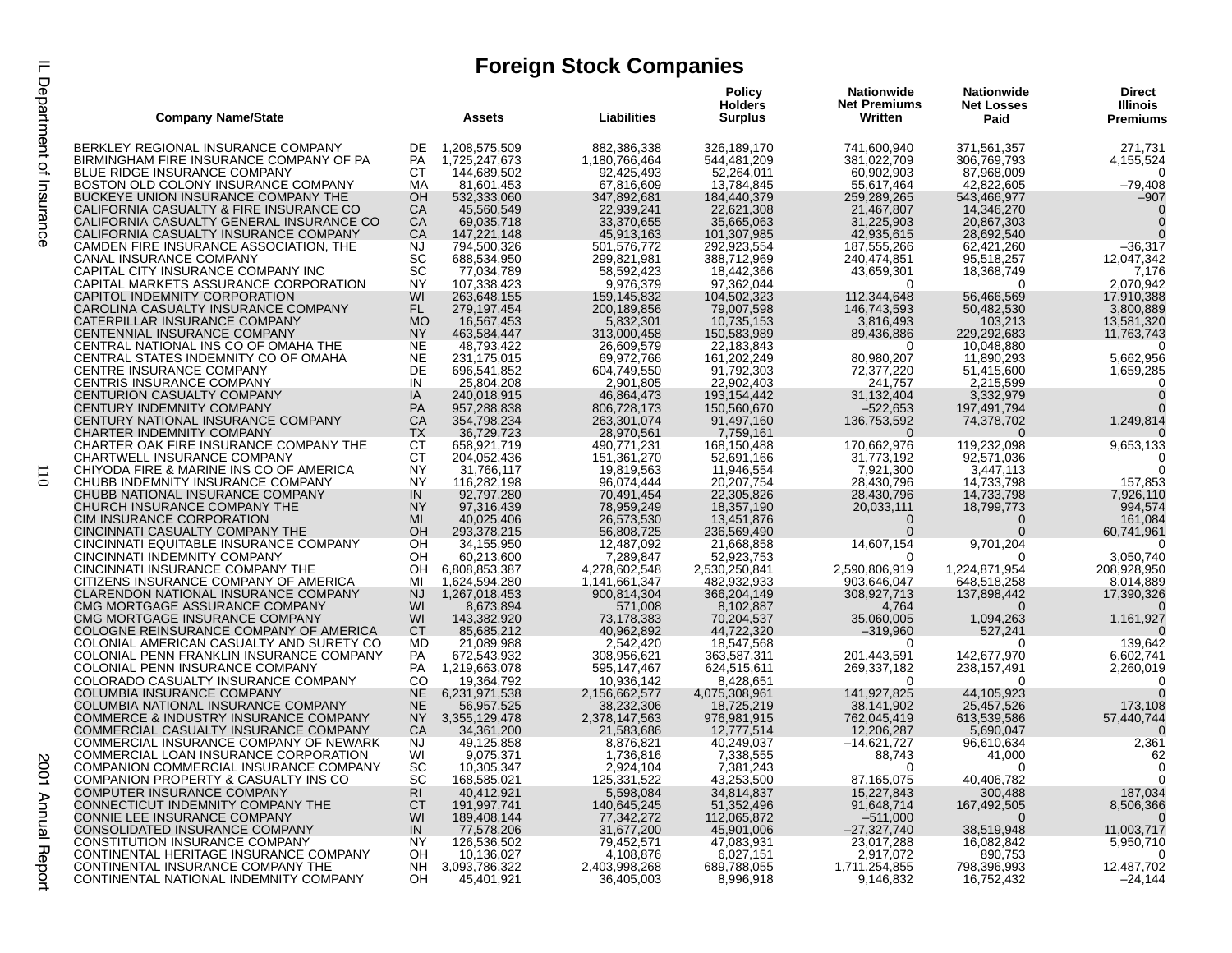| <b>Company Name/State</b>                                                       |                        | Assets                      | <b>Liabilities</b>          | <b>Policy</b><br><b>Holders</b><br><b>Surplus</b> | <b>Nationwide</b><br><b>Net Premiums</b><br>Written | <b>Nationwide</b><br><b>Net Losses</b><br>Paid | <b>Direct</b><br><b>Illinois</b><br>Premiums |
|---------------------------------------------------------------------------------|------------------------|-----------------------------|-----------------------------|---------------------------------------------------|-----------------------------------------------------|------------------------------------------------|----------------------------------------------|
| BERKLEY REGIONAL INSURANCE COMPANY                                              | DE                     | 1,208,575,509               | 882,386,338                 | 326,189,170                                       | 741,600,940                                         | 371,561,357                                    | 271,731                                      |
| BIRMINGHAM FIRE INSURANCE COMPANY OF PA                                         | PA                     | 1,725,247,673               | 1,180,766,464               | 544,481,209                                       | 381,022,709                                         | 306,769,793                                    | 4,155,524                                    |
| BLUE RIDGE INSURANCE COMPANY                                                    | CT                     | 144,689,502                 | 92,425,493                  | 52,264,011                                        | 60,902,903                                          | 87,968,009                                     |                                              |
| BOSTON OLD COLONY INSURANCE COMPANY<br>BUCKEYE UNION INSURANCE COMPANY THE      | МA<br>OH               | 81,601,453<br>532,333,060   | 67,816,609<br>347,892,681   | 13,784,845<br>184,440,379                         | 55,617,464<br>259,289,265                           | 42,822,605<br>543,466,977                      | $-79,408$<br>$-907$                          |
| CALIFORNIA CASUALTY & FIRE INSURANCE CO                                         | CA                     | 45,560,549                  | 22,939,241                  | 22,621,308                                        | 21,467,807                                          | 14,346,270                                     |                                              |
| CALIFORNIA CASUALTY GENERAL INSURANCE CO                                        | СA                     | 69,035,718                  | 33,370,655                  | 35,665,063                                        | 31,225,903                                          | 20,867,303                                     |                                              |
| CALIFORNIA CASUALTY INSURANCE COMPANY                                           | СA                     | 147,221,148                 | 45,913,163                  | 101,307,985                                       | 42,935,615                                          | 28,692,540                                     |                                              |
| CAMDEN FIRE INSURANCE ASSOCIATION, THE                                          | NJ                     | 794,500,326                 | 501,576,772                 | 292,923,554                                       | 187,555,266                                         | 62,421,260                                     | $-36,317$                                    |
| CANAL INSURANCE COMPANY<br>CAPITAL CITY INSURANCE COMPANY INC                   | SC<br>šč               | 688,534,950<br>77,034,789   | 299,821,981<br>58,592,423   | 388,712,969<br>18,442,366                         | 240,474,851<br>43,659,301                           | 95,518,257<br>18,368,749                       | 12,047,342<br>7,176                          |
| CAPITAL MARKETS ASSURANCE CORPORATION                                           | NY                     | 107,338,423                 | 9,976,379                   | 97,362,044                                        | n                                                   |                                                | 2,070,942                                    |
| CAPITOL INDEMNITY CORPORATION                                                   | WI                     | 263,648,155                 | 159,145,832                 | 104,502,323                                       | 112,344,648                                         | 56,466,569                                     | 17,910,388                                   |
| CAROLINA CASUALTY INSURANCE COMPANY                                             | <b>FL</b>              | 279,197,454                 | 200,189,856                 | 79,007,598                                        | 146,743,593                                         | 50,482,530                                     | 3,800,889                                    |
| CATERPILLAR INSURANCE COMPANY                                                   | <b>MO</b>              | 16,567,453                  | 5,832,301                   | 10,735,153                                        | 3,816,493                                           | 103,213                                        | 13,581,320                                   |
| CENTENNIAL INSURANCE COMPANY<br>CENTRAL NATIONAL INS CO OF OMAHA THE            | NY<br><b>NE</b>        | 463,584,447<br>48,793,422   | 313,000,458<br>26,609,579   | 150,583,989<br>22,183,843                         | 89,436,886                                          | 229,292,683<br>10,048,880                      | 11,763,743                                   |
| CENTRAL STATES INDEMNITY CO OF OMAHA                                            | <b>NE</b>              | 231,175,015                 | 69,972,766                  | 161,202,249                                       | 80,980,207                                          | 11,890,293                                     | 5,662,956                                    |
| CENTRE INSURANCE COMPANY                                                        | DE                     | 696,541,852                 | 604,749,550                 | 91,792,303                                        | 72,377,220                                          | 51,415,600                                     | 1,659,285                                    |
| CENTRIS INSURANCE COMPANY                                                       | IN                     | 25,804,208                  | 2,901,805                   | 22,902,403                                        | 241,757                                             | 2,215,599                                      |                                              |
| CENTURION CASUALTY COMPANY                                                      | IA                     | 240,018,915                 | 46,864,473                  | 193,154,442                                       | 31,132,404                                          | 3,332,979                                      |                                              |
| CENTURY INDEMNITY COMPANY<br>CENTURY NATIONAL INSURANCE COMPANY                 | PA<br>СA               | 957,288,838<br>354,798,234  | 806,728,173<br>263,301,074  | 150,560,670<br>91,497,160                         | -522,653<br>136,753,592                             | 197,491,794<br>74,378,702                      | 1,249,814                                    |
| CHARTER INDEMNITY COMPANY                                                       | ТX                     | 36,729,723                  | 28,970,561                  | 7,759,161                                         |                                                     |                                                |                                              |
| CHARTER OAK FIRE INSURANCE COMPANY THE                                          | CT                     | 658,921,719                 | 490,771,231                 | 168,150,488                                       | 170,662,976                                         | 119,232,098                                    | 9,653,133                                    |
| CHARTWELL INSURANCE COMPANY                                                     | СT                     | 204,052,436                 | 151,361,270                 | 52,691,166                                        | 31,773,192                                          | 92,571,036                                     |                                              |
| CHIYODA FIRE & MARINE INS CO OF AMERICA                                         | NY                     | 31,766,117                  | 19,819,563                  | 11,946,554                                        | 7,921,300                                           | 3,447,113                                      |                                              |
| CHUBB INDEMNITY INSURANCE COMPANY<br>CHUBB NATIONAL INSURANCE COMPANY           | NY<br>IN               | 116,282,198<br>92,797,280   | 96,074,444<br>70,491,454    | 20,207,754<br>22,305,826                          | 28,430,796<br>28,430,796                            | 14,733,798<br>14,733,798                       | 157,853<br>7,926,110                         |
| CHURCH INSURANCE COMPANY THE                                                    | <b>NY</b>              | 97,316,439                  | 78,959,249                  | 18,357,190                                        | 20,033,111                                          | 18,799,773                                     | 994,574                                      |
| CIM INSURANCE CORPORATION                                                       | MI                     | 40,025,406                  | 26,573,530                  | 13,451,876                                        | $\Omega$                                            |                                                | 161,084                                      |
| CINCINNATI CASUALTY COMPANY THE                                                 | OН                     | 293,378,215                 | 56,808,725                  | 236,569,490                                       |                                                     |                                                | 60,741,961                                   |
| CINCINNATI EQUITABLE INSURANCE COMPANY                                          | OН                     | 34,155,950                  | 12,487,092                  | 21,668,858                                        | 14,607,154                                          | 9,701,204<br>∩                                 | ∩                                            |
| CINCINNATI INDEMNITY COMPANY<br>CINCINNATI INSURANCE COMPANY THE                | OН<br>OН               | 60,213,600<br>6,808,853,387 | 7,289,847<br>4,278,602,548  | 52,923,753<br>2,530,250,841                       | 2,590,806,919                                       | 1,224,871,954                                  | 3,050,740<br>208,928,950                     |
| CITIZENS INSURANCE COMPANY OF AMERICA                                           | мі                     | 1,624,594,280               | 1,141,661,347               | 482,932,933                                       | 903,646,047                                         | 648,518,258                                    | 8,014,889                                    |
| CLARENDON NATIONAL INSURANCE COMPANY                                            | <b>NJ</b>              | 1,267,018,453               | 900,814,304                 | 366,204,149                                       | 308,927,713                                         | 137,898,442                                    | 17,390,326                                   |
| CMG MORTGAGE ASSURANCE COMPANY                                                  | WI                     | 8,673,894                   | 571,008                     | 8,102,887                                         | 4,764                                               |                                                |                                              |
| CMG MORTGAGE INSURANCE COMPANY<br>COLOGNE REINSURANCE COMPANY OF AMERICA        | WI                     | 143,382,920                 | 73,178,383                  | 70,204,537                                        | 35,060,005                                          | 1,094,263                                      | 1,161,927                                    |
| COLONIAL AMERICAN CASUALTY AND SURETY CO                                        | СT<br><b>MD</b>        | 85,685,212<br>21,089,988    | 40,962,892<br>2,542,420     | 44,722,320<br>18,547,568                          | –319,960<br>$\Omega$                                | 527,241                                        | 139,642                                      |
| COLONIAL PENN FRANKLIN INSURANCE COMPANY                                        | PA                     | 672,543,932                 | 308,956,621                 | 363,587,311                                       | 201,443,591                                         | 142,677,970                                    | 6,602,741                                    |
| COLONIAL PENN INSURANCE COMPANY                                                 | PA                     | 1,219,663,078               | 595, 147, 467               | 624,515,611                                       | 269,337,182                                         | 238,157,491                                    | 2,260,019                                    |
| COLORADO CASUALTY INSURANCE COMPANY                                             | CO                     | 19,364,792                  | 10,936,142                  | 8,428,651                                         |                                                     |                                                |                                              |
| COLUMBIA INSURANCE COMPANY<br>COLUMBIA NATIONAL INSURANCE COMPANY               | <b>NE</b><br><b>NE</b> | 6,231,971,538               | 2,156,662,577               | 4,075,308,961<br>18,725,219                       | 141,927,825                                         | 44,105,923                                     |                                              |
| COMMERCE & INDUSTRY INSURANCE COMPANY                                           | <b>NY</b>              | 56,957,525<br>3,355,129,478 | 38,232,306<br>2,378,147,563 | 976,981,915                                       | 38,141,902<br>762,045,419                           | 25,457,526<br>613,539,586                      | 173,108<br>57,440,744                        |
| COMMERCIAL CASUALTY INSURANCE COMPANY                                           | СA                     | 34, 361, 200                | 21,583,686                  | 12,777,514                                        | 12,206,287                                          | 5,690,047                                      |                                              |
| COMMERCIAL INSURANCE COMPANY OF NEWARK                                          | NJ                     | 49,125,858                  | 8,876,821                   | 40,249,037                                        | $-14,621,727$                                       | 96.610.634                                     | 2,361                                        |
| COMMERCIAL LOAN INSURANCE CORPORATION                                           | WI                     | 9,075,371                   | 1,736,816                   | 7,338,555                                         | 88,743                                              | 41,000                                         | 62                                           |
| COMPANION COMMERCIAL INSURANCE COMPANY<br>COMPANION PROPERTY & CASUALTY INS CO  | SC<br>SC               | 10,305,347<br>168,585,021   | 2,924,104<br>125,331,522    | 7,381,243<br>43,253,500                           | 87,165,075                                          | 40,406,782                                     |                                              |
| COMPUTER INSURANCE COMPANY                                                      | <b>RI</b>              | 40,412,921                  | 5,598,084                   | 34,814,837                                        | 15,227,843                                          | 300,488                                        | 187,034                                      |
| CONNECTICUT INDEMNITY COMPANY THE                                               | СT                     | 191,997,741                 | 140,645,245                 | 51,352,496                                        | 91,648,714                                          | 167,492,505                                    | 8,506,366                                    |
| CONNIE LEE INSURANCE COMPANY                                                    | WI                     | 189,408,144                 | 77,342,272                  | 112,065,872                                       | $-511,000$                                          |                                                |                                              |
| CONSOLIDATED INSURANCE COMPANY                                                  | IN                     | 77,578,206                  | 31,677,200                  | 45,901,006                                        | $-27,327,740$                                       | 38,519,948                                     | 11,003,717                                   |
| <b>CONSTITUTION INSURANCE COMPANY</b><br>CONTINENTAL HERITAGE INSURANCE COMPANY | <b>NY</b><br>OН        | 126,536,502<br>10,136,027   | 79,452,571<br>4,108,876     | 47.083.931<br>6,027,151                           | 23,017,288<br>2,917,072                             | 16.082.842<br>890,753                          | 5,950,710                                    |
| CONTINENTAL INSURANCE COMPANY THE                                               | NΗ                     | 3,093,786,322               | 2,403,998,268               | 689,788,055                                       | 1,711,254,855                                       | 798,396,993                                    | 12,487,702                                   |
| CONTINENTAL NATIONAL INDEMNITY COMPANY                                          | OН                     | 45,401,921                  | 36,405,003                  | 8,996,918                                         | 9,146,832                                           | 16,752,432                                     | -24,144                                      |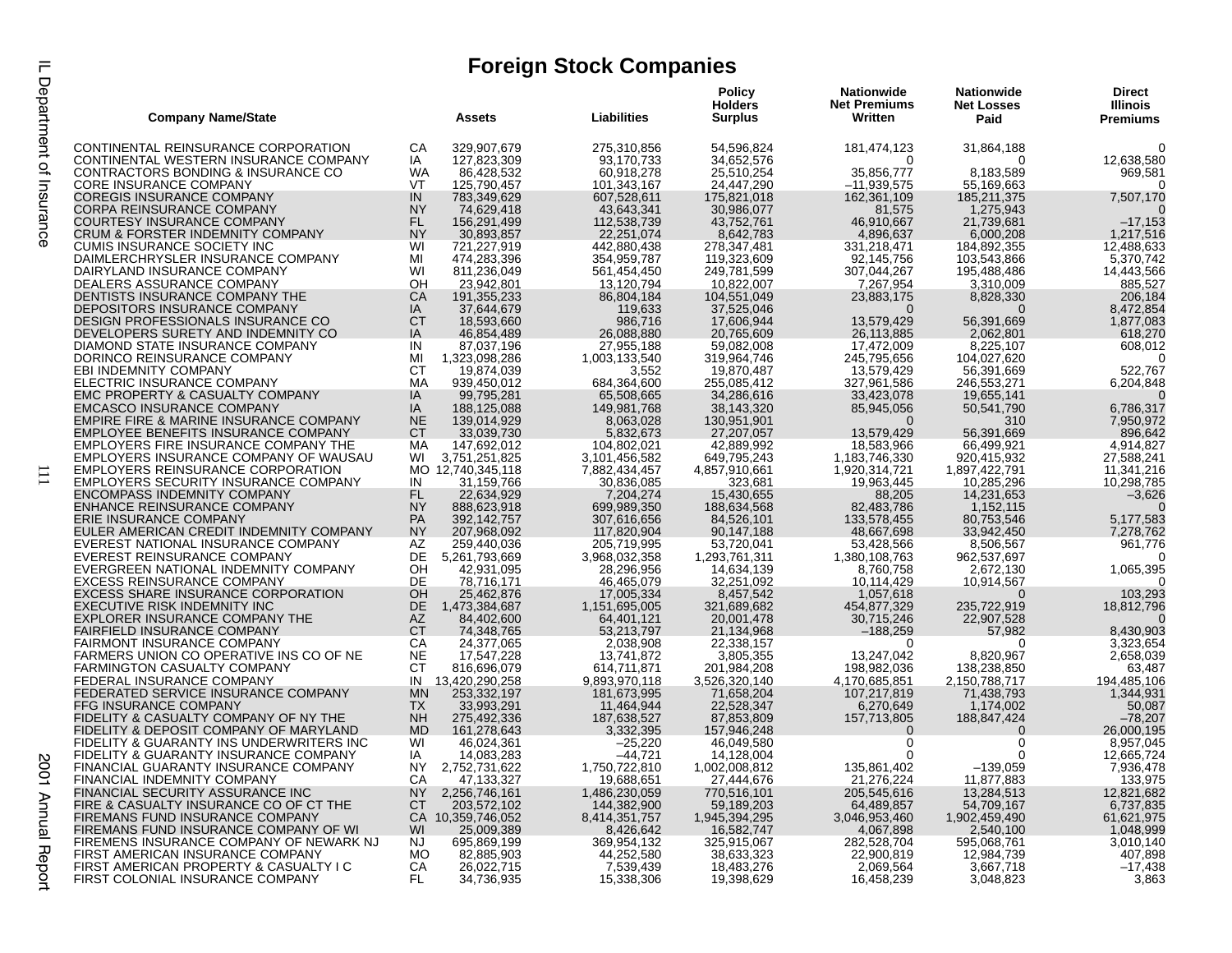|                            |                                                                                 |                        |                              | <b>Foreign Stock Companies</b> |                                                   |                                              |                                                |                                                     |
|----------------------------|---------------------------------------------------------------------------------|------------------------|------------------------------|--------------------------------|---------------------------------------------------|----------------------------------------------|------------------------------------------------|-----------------------------------------------------|
| IL Department of Insurance | <b>Company Name/State</b>                                                       |                        | Assets                       | Liabilities                    | <b>Policy</b><br><b>Holders</b><br><b>Surplus</b> | Nationwide<br><b>Net Premiums</b><br>Written | <b>Nationwide</b><br><b>Net Losses</b><br>Paid | <b>Direct</b><br><b>Illinois</b><br><b>Premiums</b> |
|                            | CONTINENTAL REINSURANCE CORPORATION                                             | CА                     | 329,907,679                  | 275,310,856                    | 54.596.824                                        | 181,474,123                                  | 31,864,188                                     |                                                     |
|                            | CONTINENTAL WESTERN INSURANCE COMPANY                                           | IA                     | 127,823,309                  | 93,170,733                     | 34,652,576                                        |                                              |                                                | 12,638,580                                          |
|                            | CONTRACTORS BONDING & INSURANCE CO                                              | <b>WA</b>              | 86,428,532                   | 60,918,278                     | 25,510,254                                        | 35.856.777                                   | 8,183,589                                      | 969,581                                             |
|                            | <b>CORE INSURANCE COMPANY</b>                                                   | VT                     | 125,790,457                  | 101,343,167                    | 24,447,290                                        | $-11,939,575$                                | 55,169,663                                     |                                                     |
|                            | COREGIS INSURANCE COMPANY<br>CORPA REINSURANCE COMPANY                          | IN<br><b>NY</b>        | 783,349,629<br>74,629,418    | 607,528,611                    | 175,821,018<br>30,986,077                         | 162,361,109<br>81,575                        | 185,211,375<br>1,275,943                       | 7,507,170                                           |
|                            | <b>COURTESY INSURANCE COMPANY</b>                                               | FL.                    | 156,291,499                  | 43,643,341<br>112,538,739      | 43,752,761                                        | 46,910,667                                   | 21,739,681                                     | $-17,153$                                           |
|                            | CRUM & FORSTER INDEMNITY COMPANY                                                | <b>NY</b>              | 30,893,857                   | 22,251,074                     | 8,642,783                                         | 4,896,637                                    | 6,000,208                                      | 1,217,516                                           |
|                            | <b>CUMIS INSURANCE SOCIETY INC</b><br>DAIMLERCHRYSLER INSURANCE COMPANY         | WI                     | 721,227,919                  | 442,880,438                    | 278,347,481                                       | 331,218,471                                  | 184,892,355                                    | 12,488,633                                          |
|                            | DAIRYLAND INSURANCE COMPANY                                                     | MI<br>WI               | 474,283,396<br>811,236,049   | 354,959,787<br>561,454,450     | 119,323,609<br>249,781,599                        | 92,145,756<br>307,044,267                    | 103,543,866<br>195,488,486                     | 5,370,742<br>14,443,566                             |
|                            | DEALERS ASSURANCE COMPANY                                                       | OH                     | 23,942,801                   | 13,120,794                     | 10,822,007                                        | 7,267,954                                    | 3,310,009                                      | 885,527                                             |
|                            | DENTISTS INSURANCE COMPANY THE                                                  | CA                     | 191,355,233                  | 86,804,184                     | 104,551,049                                       | 23,883,175                                   | 8,828,330                                      | 206,184                                             |
|                            | DEPOSITORS INSURANCE COMPANY                                                    | IA                     | 37,644,679                   | 119,633                        | 37,525,046                                        |                                              |                                                | 8,472,854                                           |
|                            | DESIGN PROFESSIONALS INSURANCE CO<br>DEVELOPERS SURETY AND INDEMNITY CO         | <b>CT</b><br>IA        | 18,593,660<br>46,854,489     | 986,716<br>26,088,880          | 17,606,944<br>20,765,609                          | 13,579,429<br>26,113,885                     | 56,391,669<br>2,062,801                        | 1,877,083<br>618,270                                |
|                            | DIAMOND STATE INSURANCE COMPANY                                                 | IN                     | 87,037,196                   | 27,955,188                     | 59,082,008                                        | 17,472,009                                   | 8,225,107                                      | 608,012                                             |
|                            | DORINCO REINSURANCE COMPANY                                                     | MI                     | 1,323,098,286                | 1,003,133,540                  | 319,964,746                                       | 245,795,656                                  | 104,027,620                                    |                                                     |
|                            | <b>EBI INDEMNITY COMPANY</b>                                                    | <b>CT</b>              | 19,874,039                   | 3,552                          | 19,870,487                                        | 13,579,429                                   | 56,391,669                                     | 522,767                                             |
|                            | ELECTRIC INSURANCE COMPANY<br>EMC PROPERTY & CASUALTY COMPANY                   | MA<br>IA               | 939,450,012<br>99,795,281    | 684,364,600<br>65,508,665      | 255,085,412<br>34,286,616                         | 327,961,586<br>33,423,078                    | 246,553,271<br>19,655,141                      | 6,204,848                                           |
|                            | <b>EMCASCO INSURANCE COMPANY</b>                                                | IA                     | 188,125,088                  | 149,981,768                    | 38,143,320                                        | 85,945,056                                   | 50,541,790                                     | 6,786,317                                           |
|                            | EMPIRE FIRE & MARINE INSURANCE COMPANY                                          | <b>NE</b>              | 139,014,929                  | 8,063,028                      | 130,951,901                                       |                                              | 310                                            | 7,950,972                                           |
|                            | EMPLOYEE BENEFITS INSURANCE COMPANY                                             | <b>CT</b>              | 33,039,730                   | 5,832,673                      | 27,207,057                                        | 13,579,429                                   | 56,391,669                                     | 896,642                                             |
|                            | EMPLOYERS FIRE INSURANCE COMPANY THE<br>EMPLOYERS INSURANCE COMPANY OF WAUSAU   | МA<br>WI               | 147,692,012<br>3,751,251,825 | 104,802,021<br>3,101,456,582   | 42,889,992<br>649,795,243                         | 18,583,966<br>1,183,746,330                  | 66,499,921<br>920,415,932                      | 4,914,827<br>27,588,241                             |
|                            | EMPLOYERS REINSURANCE CORPORATION                                               | MO.                    | 12,740,345,118               | 7,882,434,457                  | 4,857,910,661                                     | 1,920,314,721                                | 1,897,422,791                                  | 11,341,216                                          |
| $\overline{111}$           | EMPLOYERS SECURITY INSURANCE COMPANY                                            | IN                     | 31,159,766                   | 30,836,085                     | 323,681                                           | 19,963,445                                   | 10,285,296                                     | 10,298,785                                          |
|                            | <b>ENCOMPASS INDEMNITY COMPANY</b>                                              | FL.                    | 22,634,929                   | 7,204,274                      | 15,430,655                                        | 88,205                                       | 14,231,653                                     | $-3,626$                                            |
|                            | ENHANCE REINSURANCE COMPANY<br>ERIE INSURANCE COMPANY                           | <b>NY</b><br><b>PA</b> | 888,623,918<br>392, 142, 757 | 699,989,350<br>307,616,656     | 188,634,568<br>84,526,101                         | 82,483,786<br>133,578,455                    | 1,152,115                                      | 5,177,583                                           |
|                            | EULER AMERICAN CREDIT INDEMNITY COMPANY                                         | <b>NY</b>              | 207,968,092                  | 117,820,904                    | 90,147,188                                        | 48,667,698                                   | 80,753,546<br>33,942,450                       | 7,278,762                                           |
|                            | EVEREST NATIONAL INSURANCE COMPANY                                              | AZ                     | 259,440,036                  | 205,719,995                    | 53,720,041                                        | 53,428,566                                   | 8,506,567                                      | 961,776                                             |
|                            | EVEREST REINSURANCE COMPANY                                                     | DE                     | 5,261,793,669                | 3,968,032,358                  | 1,293,761,311                                     | 1,380,108,763                                | 962,537,697                                    |                                                     |
|                            | EVERGREEN NATIONAL INDEMNITY COMPANY<br><b>EXCESS REINSURANCE COMPANY</b>       | OH<br>DE               | 42,931,095<br>78,716,171     | 28,296,956<br>46,465,079       | 14,634,139<br>32,251,092                          | 8,760,758<br>10,114,429                      | 2,672,130<br>10,914,567                        | 1,065,395                                           |
|                            | EXCESS SHARE INSURANCE CORPORATION                                              | OH                     | 25,462,876                   | 17,005,334                     | 8,457,542                                         | 1,057,618                                    |                                                | 103,293                                             |
|                            | EXECUTIVE RISK INDEMNITY INC                                                    | <b>DE</b>              | 1,473,384,687                | 1,151,695,005                  | 321,689,682                                       | 454,877,329                                  | 235,722,919                                    | 18,812,796                                          |
|                            | EXPLORER INSURANCE COMPANY THE                                                  | $\mathsf{A}\mathsf{Z}$ | 84,402,600                   | 64,401,121                     | 20,001,478                                        | 30,715,246                                   | 22,907,528                                     |                                                     |
|                            | FAIRFIELD INSURANCE COMPANY<br>FAIRMONT INSURANCE COMPANY                       | <b>CT</b><br>СA        | 74,348,765<br>24,377,065     | 53,213,797<br>2,038,908        | 21,134,968<br>22,338,157                          | $-188,259$<br>$\Omega$                       | 57,982                                         | 8,430,903<br>3,323,654                              |
|                            | FARMERS UNION CO OPERATIVE INS CO OF NE                                         | <b>NE</b>              | 17,547,228                   | 13,741,872                     | 3,805,355                                         | 13,247,042                                   | 8,820,967                                      | 2,658,039                                           |
|                            | FARMINGTON CASUALTY COMPANY                                                     | <b>CT</b>              | 816,696,079                  | 614,711,871                    | 201,984,208                                       | 198,982,036                                  | 138,238,850                                    | 63,487                                              |
|                            | FEDERAL INSURANCE COMPANY                                                       | IN                     | 13,420,290,258               | 9,893,970,118                  | 3,526,320,140                                     | 4,170,685,851                                | 2,150,788,717                                  | 194,485,106                                         |
|                            | FEDERATED SERVICE INSURANCE COMPANY<br>FFG INSURANCE COMPANY                    | <b>MN</b><br>ТX        | 253,332,197<br>33,993,291    | 181,673,995<br>11,464,944      | 71,658,204<br>22,528,347                          | 107,217,819<br>6,270,649                     | 71,438,793<br>1,174,002                        | 1,344,931<br>50,087                                 |
|                            | FIDELITY & CASUALTY COMPANY OF NY THE                                           | <b>NH</b>              | 275,492,336                  | 187,638,527                    | 87,853,809                                        | 157,713,805                                  | 188,847,424                                    | –78,207                                             |
|                            | FIDELITY & DEPOSIT COMPANY OF MARYLAND                                          | <b>MD</b>              | 161,278,643                  | 3,332,395                      | 157,946,248                                       |                                              |                                                | 26,000,195                                          |
|                            | FIDELITY & GUARANTY INS UNDERWRITERS INC                                        | WI                     | 46,024,361                   | $-25,220$                      | 46,049,580                                        | 0                                            | 0                                              | 8,957,045                                           |
|                            | FIDELITY & GUARANTY INSURANCE COMPANY<br>FINANCIAL GUARANTY INSURANCE COMPANY   | IA<br>ΝY               | 14,083,283<br>2,752,731,622  | $-44,721$<br>1,750,722,810     | 14,128,004<br>1,002,008,812                       | $\Omega$<br>135,861,402                      | $\Omega$<br>$-139,059$                         | 12,665,724<br>7,936,478                             |
| 2001                       | FINANCIAL INDEMNITY COMPANY                                                     | СA                     | 47, 133, 327                 | 19,688,651                     | 27,444,676                                        | 21,276,224                                   | 11,877,883                                     | 133,975                                             |
|                            | FINANCIAL SECURITY ASSURANCE INC                                                | <b>NY</b>              | 2,256,746,161                | 1,486,230,059                  | 770,516,101                                       | 205,545,616                                  | 13,284,513                                     | 12,821,682                                          |
| Annual                     | FIRE & CASUALTY INSURANCE CO OF CT THE                                          | СT                     | 203,572,102                  | 144,382,900                    | 59,189,203                                        | 64,489,857                                   | 54,709,167                                     | 6,737,835                                           |
|                            | <b>FIREMANS FUND INSURANCE COMPANY</b><br>FIREMANS FUND INSURANCE COMPANY OF WI | CA<br>WI               | 10,359,746,052<br>25,009,389 | 8,414,351,757<br>8,426,642     | 1,945,394,295<br>16,582,747                       | 3,046,953,460<br>4,067,898                   | 1,902,459,490<br>2,540,100                     | 61,621,975<br>1,048,999                             |
|                            | FIREMENS INSURANCE COMPANY OF NEWARK NJ                                         | NJ.                    | 695,869,199                  | 369,954,132                    | 325,915,067                                       | 282,528,704                                  | 595,068,761                                    | 3.010.140                                           |
|                            | FIRST AMERICAN INSURANCE COMPANY                                                | <b>MO</b>              | 82,885,903                   | 44,252,580                     | 38,633,323                                        | 22,900,819                                   | 12,984,739                                     | 407,898                                             |
| Report                     | FIRST AMERICAN PROPERTY & CASUALTY I C                                          | СA                     | 26,022,715                   | 7,539,439                      | 18,483,276                                        | 2,069,564                                    | 3,667,718                                      | $-17,438$                                           |
|                            | FIRST COLONIAL INSURANCE COMPANY                                                | FL.                    | 34,736,935                   | 15,338,306                     | 19,398,629                                        | 16,458,239                                   | 3,048,823                                      | 3,863                                               |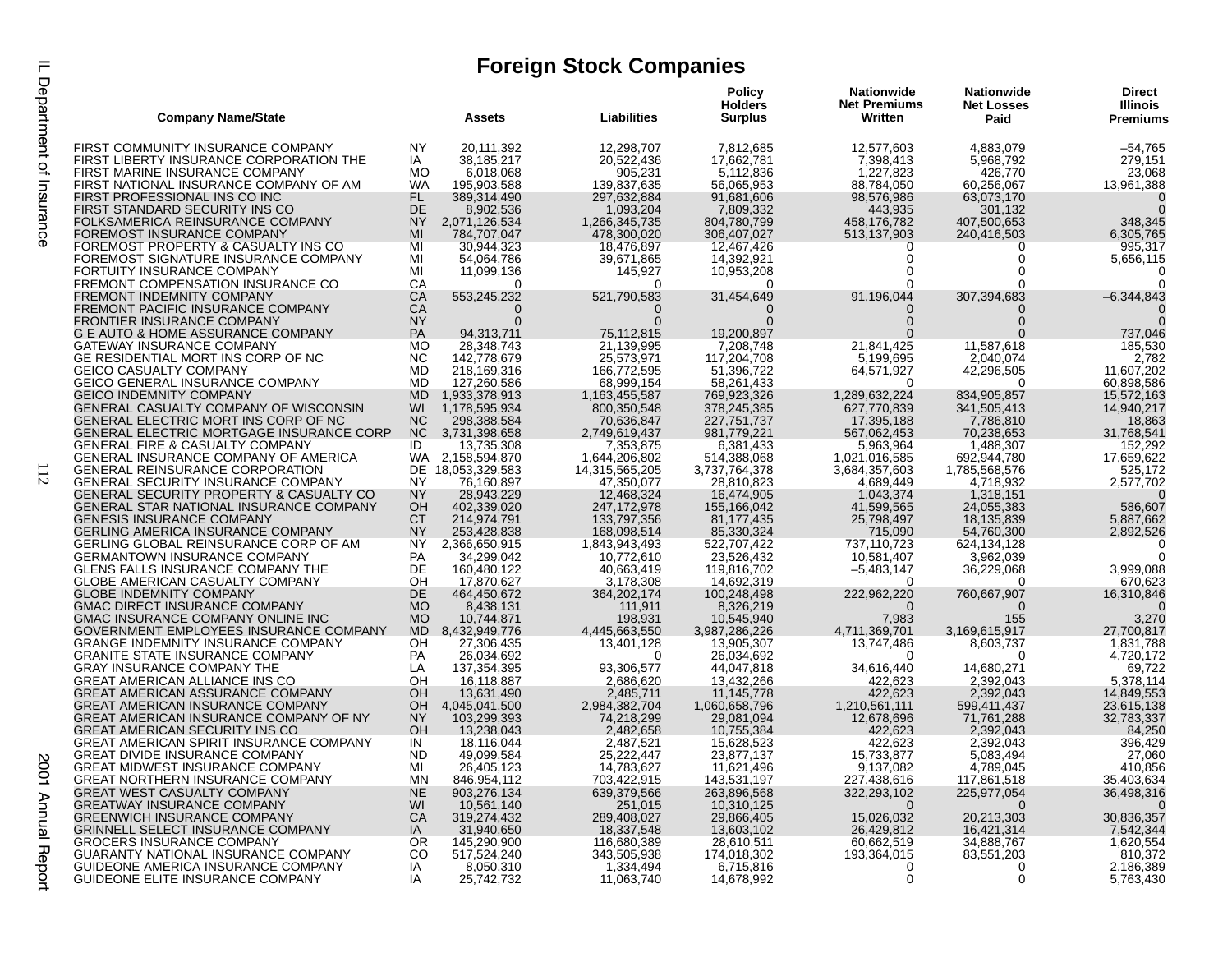| <b>Company Name/State</b>                                                          |                        | <b>Assets</b>               | <b>Liabilities</b>         | <b>Policy</b><br><b>Holders</b><br><b>Surplus</b> | <b>Nationwide</b><br><b>Net Premiums</b><br>Written | <b>Nationwide</b><br><b>Net Losses</b><br>Paid | Direct<br><b>Illinois</b><br><b>Premiums</b> |
|------------------------------------------------------------------------------------|------------------------|-----------------------------|----------------------------|---------------------------------------------------|-----------------------------------------------------|------------------------------------------------|----------------------------------------------|
| FIRST COMMUNITY INSURANCE COMPANY                                                  | <b>NY</b>              | 20,111,392                  | 12,298,707                 | 7,812,685                                         | 12,577,603                                          | 4,883,079                                      | $-54,765$                                    |
| FIRST LIBERTY INSURANCE CORPORATION THE                                            | IA                     | 38,185,217                  | 20,522,436                 | 17,662,781                                        | 7,398,413                                           | 5,968,792                                      | 279,151                                      |
| FIRST MARINE INSURANCE COMPANY                                                     | <b>MO</b>              | 6,018,068                   | 905,231                    | 5,112,836                                         | 1,227,823                                           | 426,770                                        | 23,068                                       |
| FIRST NATIONAL INSURANCE COMPANY OF AM                                             | <b>WA</b>              | 195,903,588                 | 139,837,635                | 56,065,953                                        | 88,784,050                                          | 60,256,067                                     | 13,961,388                                   |
| FIRST PROFESSIONAL INS CO INC<br>FIRST STANDARD SECURITY INS CO                    | FL.<br>DE              | 389,314,490<br>8,902,536    | 297,632,884<br>1,093,204   | 91,681,606<br>7,809,332                           | 98,576,986<br>443,935                               | 63,073,170<br>301,132                          | $\Omega$                                     |
| FOLKSAMERICA REINSURANCE COMPANY                                                   | <b>NY</b>              | 2,071,126,534               | 1,266,345,735              | 804,780,799                                       | 458,176,782                                         | 407,500,653                                    | 348,345                                      |
| FOREMOST INSURANCE COMPANY                                                         | MI                     | 784,707,047                 | 478,300,020                | 306,407,027                                       | 513,137,903                                         | 240,416,503                                    | 6,305,765                                    |
| FOREMOST PROPERTY & CASUALTY INS CO                                                | MI                     | 30,944,323                  | 18,476,897                 | 12,467,426                                        | $\Omega$                                            | 0                                              | 995,317                                      |
| FOREMOST SIGNATURE INSURANCE COMPANY                                               | MI                     | 54,064,786                  | 39,671,865                 | 14,392,921                                        | $\Omega$                                            | $\Omega$                                       | 5,656,115                                    |
| FORTUITY INSURANCE COMPANY<br>FREMONT COMPENSATION INSURANCE CO                    | MI<br>CA               | 11,099,136                  | 145,927<br>0               | 10,953,208                                        | $\Omega$<br>∩                                       | $\Omega$                                       | ∩                                            |
| FREMONT INDEMNITY COMPANY                                                          | CA                     | 553,245,232                 | 521,790,583                | 31,454,649                                        | 91,196,044                                          | 307,394,683                                    | $-6,344,843$                                 |
| FREMONT PACIFIC INSURANCE COMPANY                                                  | CA                     |                             | O                          |                                                   |                                                     |                                                |                                              |
| FRONTIER INSURANCE COMPANY                                                         | <b>NY</b>              |                             | $\Omega$                   |                                                   | $\Omega$                                            |                                                | $\Omega$                                     |
| <b>G E AUTO &amp; HOME ASSURANCE COMPANY</b>                                       | PA                     | 94,313,711                  | 75,112,815                 | 19,200,897                                        | U                                                   |                                                | 737,046                                      |
| GATEWAY INSURANCE COMPANY                                                          | <b>MO</b>              | 28,348,743                  | 21,139,995                 | 7,208,748                                         | 21,841,425                                          | 11,587,618                                     | 185,530                                      |
| GE RESIDENTIAL MORT INS CORP OF NC<br><b>GEICO CASUALTY COMPANY</b>                | <b>NC</b><br><b>MD</b> | 142,778,679<br>218,169,316  | 25,573,971<br>166,772,595  | 117,204,708<br>51,396,722                         | 5,199,695<br>64,571,927                             | 2.040.074<br>42,296,505                        | 2,782<br>11,607,202                          |
| GEICO GENERAL INSURANCE COMPANY                                                    | <b>MD</b>              | 127,260,586                 | 68,999,154                 | 58,261,433                                        | $\Omega$                                            | $\Omega$                                       | 60,898,586                                   |
| <b>GEICO INDEMNITY COMPANY</b>                                                     | <b>MD</b>              | 1,933,378,913               | 1,163,455,587              | 769,923,326                                       | 1,289,632,224                                       | 834,905,857                                    | 15,572,163                                   |
| GENERAL CASUALTY COMPANY OF WISCONSIN                                              | <b>WI</b>              | 1,178,595,934               | 800,350,548                | 378,245,385                                       | 627,770,839                                         | 341,505,413                                    | 14,940,217                                   |
| GENERAL ELECTRIC MORT INS CORP OF NC                                               | <b>NC</b>              | 298,388,584                 | 70,636,847                 | 227,751,737                                       | 17,395,188                                          | 7,786,810                                      | 18,863                                       |
| GENERAL ELECTRIC MORTGAGE INSURANCE CORP                                           | <b>NC</b>              | 3,731,398,658               | 2,749,619,437              | 981,779,221                                       | 567,062,453                                         | 70,238,653                                     | 31,768,541                                   |
| <b>GENERAL FIRE &amp; CASUALTY COMPANY</b><br>GENERAL INSURANCE COMPANY OF AMERICA | ID<br><b>WA</b>        | 13,735,308<br>2,158,594,870 | 7,353,875<br>1.644.206.802 | 6,381,433<br>514,388,068                          | 5,963,964<br>1,021,016,585                          | 1,488,307<br>692,944,780                       | 152,292<br>17,659,622                        |
| GENERAL REINSURANCE CORPORATION                                                    | DE.                    | 18,053,329,583              | 14,315,565,205             | 3,737,764,378                                     | 3,684,357,603                                       | 1,785,568,576                                  | 525,172                                      |
| <b>GENERAL SECURITY INSURANCE COMPANY</b>                                          | NY                     | 76,160,897                  | 47,350,077                 | 28,810,823                                        | 4,689,449                                           | 4,718,932                                      | 2,577,702                                    |
| GENERAL SECURITY PROPERTY & CASUALTY CO                                            | NY                     | 28,943,229                  | 12,468,324                 | 16,474,905                                        | 1,043,374                                           | 1,318,151                                      |                                              |
| GENERAL STAR NATIONAL INSURANCE COMPANY                                            | OH                     | 402,339,020                 | 247, 172, 978              | 155,166,042                                       | 41,599,565                                          | 24,055,383                                     | 586,607                                      |
| <b>GENESIS INSURANCE COMPANY</b>                                                   | СT<br>NY               | 214,974,791<br>253,428,838  | 133,797,356<br>168,098,514 | 81,177,435                                        | 25,798,497<br>715,090                               | 18,135,839                                     | 5,887,662<br>2,892,526                       |
| <b>GERLING AMERICA INSURANCE COMPANY</b><br>GERLING GLOBAL REINSURANCE CORP OF AM  | <b>NY</b>              | 2,366,650,915               | 1,843,943,493              | 85,330,324<br>522,707,422                         | 737,110,723                                         | 54,760,300<br>624, 134, 128                    |                                              |
| <b>GERMANTOWN INSURANCE COMPANY</b>                                                | PA                     | 34,299,042                  | 10,772,610                 | 23,526,432                                        | 10,581,407                                          | 3,962,039                                      | $\Omega$                                     |
| GLENS FALLS INSURANCE COMPANY THE                                                  | DE                     | 160,480,122                 | 40,663,419                 | 119,816,702                                       | $-5,483,147$                                        | 36,229,068                                     | 3,999,088                                    |
| <b>GLOBE AMERICAN CASUALTY COMPANY</b>                                             | OΗ                     | 17,870,627                  | 3,178,308                  | 14,692,319                                        | $\Omega$                                            | $\Omega$                                       | 670,623                                      |
| <b>GLOBE INDEMNITY COMPANY</b>                                                     | DE                     | 464,450,672                 | 364,202,174                | 100,248,498                                       | 222,962,220                                         | 760,667,907                                    | 16,310,846                                   |
| GMAC DIRECT INSURANCE COMPANY<br>GMAC INSURANCE COMPANY ONLINE INC                 | <b>MO</b><br><b>MO</b> | 8,438,131<br>10,744,871     | 111,911<br>198,931         | 8,326,219<br>10,545,940                           | $\Omega$<br>7.983                                   | ∩<br>155                                       | 3,270                                        |
| GOVERNMENT EMPLOYEES INSURANCE COMPANY                                             | <b>MD</b>              | 8,432,949,776               | 4,445,663,550              | 3,987,286,226                                     | 4,711,369,701                                       | 3,169,615,917                                  | 27,700,817                                   |
| <b>GRANGE INDEMNITY INSURANCE COMPANY</b>                                          | OΗ                     | 27,306,435                  | 13,401,128                 | 13,905,307                                        | 13,747,486                                          | 8,603,737                                      | 1,831,788                                    |
| GRANITE STATE INSURANCE COMPANY                                                    | PA                     | 26,034,692                  | 0                          | 26,034,692                                        | ∩                                                   | $\Omega$                                       | 4,720,172                                    |
| GRAY INSURANCE COMPANY THE                                                         | LA                     | 137,354,395                 | 93,306,577                 | 44,047,818                                        | 34,616,440                                          | 14,680,271                                     | 69,722                                       |
| <b>GREAT AMERICAN ALLIANCE INS CO</b>                                              | OH                     | 16,118,887                  | 2,686,620                  | 13,432,266                                        | 422,623                                             | 2,392,043                                      | 5,378,114                                    |
| <b>GREAT AMERICAN ASSURANCE COMPANY</b><br><b>GREAT AMERICAN INSURANCE COMPANY</b> | OH<br>OH               | 13,631,490<br>4,045,041,500 | 2,485,711<br>2,984,382,704 | 11,145,778<br>1,060,658,796                       | 422,623<br>1,210,561,111                            | 2,392,043<br>599,411,437                       | 14,849,553<br>23,615,138                     |
| GREAT AMERICAN INSURANCE COMPANY OF NY                                             | <b>NY</b>              | 103,299,393                 | 74,218,299                 | 29,081,094                                        | 12,678,696                                          | 71,761,288                                     | 32,783,337                                   |
| <b>GREAT AMERICAN SECURITY INS CO</b>                                              | OH                     | 13,238,043                  | 2,482,658                  | 10,755,384                                        | 422,623                                             | 2,392,043                                      | 84,250                                       |
| GREAT AMERICAN SPIRIT INSURANCE COMPANY                                            | IN                     | 18,116,044                  | 2,487,521                  | 15,628,523                                        | 422,623                                             | 2,392,043                                      | 396,429                                      |
| GREAT DIVIDE INSURANCE COMPANY                                                     | <b>ND</b>              | 49,099,584                  | 25,222,447                 | 23,877,137                                        | 15,733,877                                          | 5,083,494                                      | 27,060                                       |
| <b>GREAT MIDWEST INSURANCE COMPANY</b><br><b>GREAT NORTHERN INSURANCE COMPANY</b>  | МI<br><b>MN</b>        | 26,405,123<br>846,954,112   | 14,783,627<br>703,422,915  | 11,621,496<br>143,531,197                         | 9,137,082<br>227,438,616                            | 4,789,045<br>117.861.518                       | 410,856<br>35,403,634                        |
| <b>GREAT WEST CASUALTY COMPANY</b>                                                 | <b>NE</b>              | 903,276,134                 | 639,379,566                | 263,896,568                                       | 322,293,102                                         | 225,977,054                                    | 36,498,316                                   |
| <b>GREATWAY INSURANCE COMPANY</b>                                                  | WI                     | 10,561,140                  | 251,015                    | 10,310,125                                        |                                                     |                                                |                                              |
| <b>GREENWICH INSURANCE COMPANY</b>                                                 | СA                     | 319,274,432                 | 289,408,027                | 29,866,405                                        | 15,026,032                                          | 20,213,303                                     | 30,836,357                                   |
| GRINNELL SELECT INSURANCE COMPANY                                                  | IA                     | 31,940,650                  | 18,337,548                 | 13,603,102                                        | 26,429,812                                          | 16,421,314                                     | 7,542,344                                    |
| <b>GROCERS INSURANCE COMPANY</b><br>GUARANTY NATIONAL INSURANCE COMPANY            | <b>OR</b><br>CO        | 145,290,900<br>517,524,240  | 116,680,389<br>343,505,938 | 28,610,511<br>174,018,302                         | 60,662,519                                          | 34,888,767<br>83,551,203                       | 1,620,554<br>810,372                         |
| GUIDEONE AMERICA INSURANCE COMPANY                                                 | ΙA                     | 8,050,310                   | 1,334,494                  | 6,715,816                                         | 193,364,015<br>$\Omega$                             | $\Omega$                                       | 2,186,389                                    |
| GUIDEONE ELITE INSURANCE COMPANY                                                   | IA                     | 25,742,732                  | 11,063,740                 | 14,678,992                                        | 0                                                   | $\Omega$                                       | 5,763,430                                    |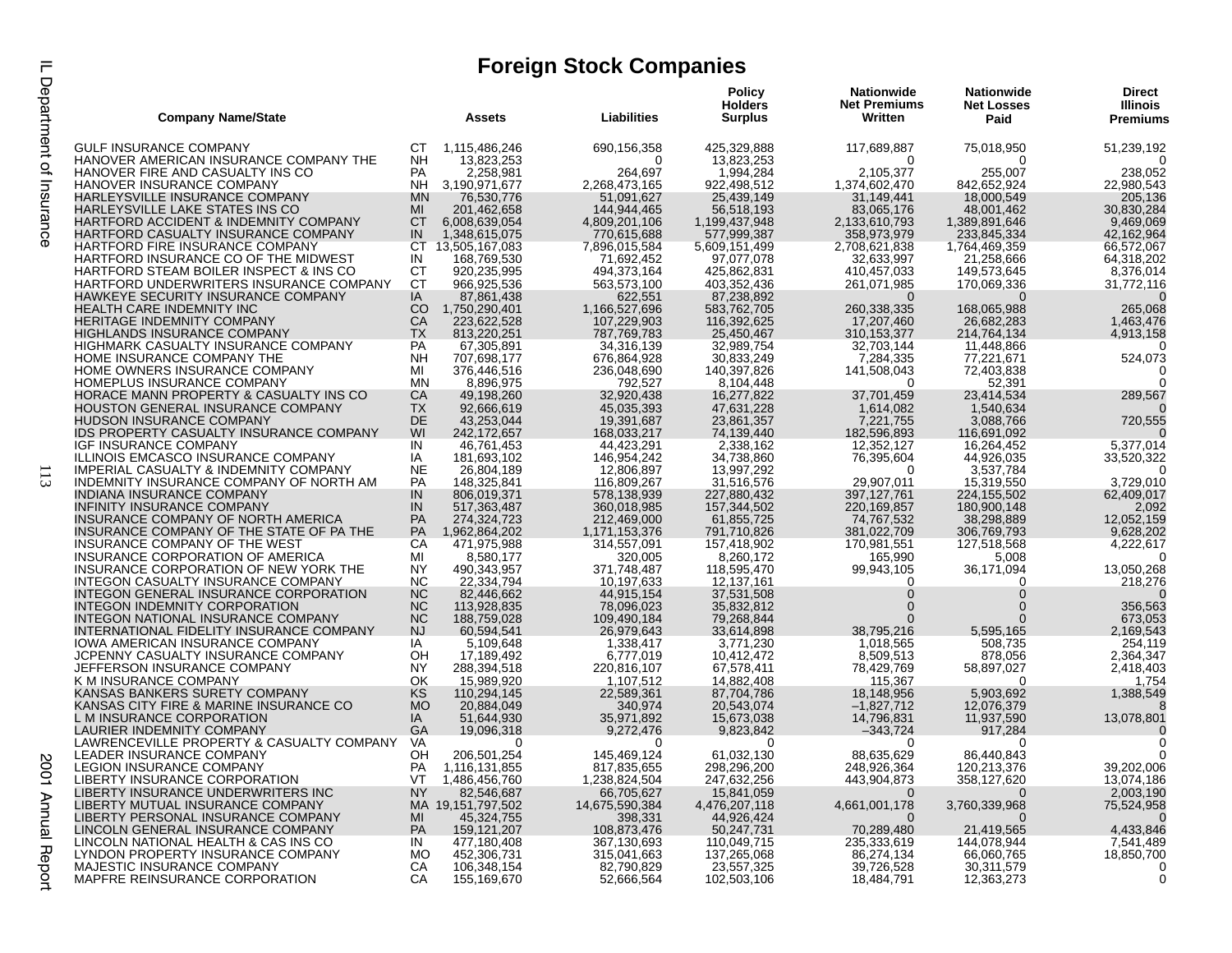| <b>Company Name/State</b>                                                      |                        | <b>Assets</b>                   | Liabilities                  | <b>Policy</b><br><b>Holders</b><br><b>Surplus</b> | <b>Nationwide</b><br><b>Net Premiums</b><br>Written | <b>Nationwide</b><br><b>Net Losses</b><br>Paid | <b>Direct</b><br><b>Illinois</b><br><b>Premiums</b> |
|--------------------------------------------------------------------------------|------------------------|---------------------------------|------------------------------|---------------------------------------------------|-----------------------------------------------------|------------------------------------------------|-----------------------------------------------------|
| GULF INSURANCE COMPANY                                                         | СT                     | 1,115,486,246                   | 690,156,358                  | 425,329,888                                       | 117,689,887                                         | 75.018.950                                     | 51,239,192                                          |
| HANOVER AMERICAN INSURANCE COMPANY THE                                         | <b>NH</b>              | 13,823,253                      | $\Omega$                     | 13,823,253                                        | $\Omega$                                            | ∩                                              |                                                     |
| HANOVER FIRE AND CASUALTY INS CO                                               | <b>PA</b>              | 2,258,981                       | 264,697                      | 1,994,284                                         | 2,105,377                                           | 255,007                                        | 238,052                                             |
| HANOVER INSURANCE COMPANY<br>HARLEYSVILLE INSURANCE COMPANY                    | NΗ<br><b>MN</b>        | 3,190,971,677<br>76,530,776     | 2,268,473,165<br>51,091,627  | 922,498,512<br>25,439,149                         | 1,374,602,470<br>31,149,441                         | 842,652,924<br>18,000,549                      | 22,980,543<br>205,136                               |
| HARLEYSVILLE LAKE STATES INS CO                                                | MI                     | 201,462,658                     | 144,944,465                  | 56,518,193                                        | 83,065,176                                          | 48,001,462                                     | 30,830,284                                          |
| HARTFORD ACCIDENT & INDEMNITY COMPANY                                          | СT                     | 6,008,639,054                   | 4,809,201,106                | 1,199,437,948                                     | 2,133,610,793                                       | 1,389,891,646                                  | 9,469,069                                           |
| HARTFORD CASUALTY INSURANCE COMPANY                                            | IN                     | 1,348,615,075                   | 770,615,688                  | 577,999,387                                       | 358,973,979                                         | 233,845,334                                    | 42,162,964                                          |
| HARTFORD FIRE INSURANCE COMPANY                                                | <b>CT</b>              | 13,505,167,083                  | 7,896,015,584                | 5,609,151,499                                     | 2,708,621,838                                       | 1,764,469,359                                  | 66,572,067                                          |
| HARTFORD INSURANCE CO OF THE MIDWEST<br>HARTFORD STEAM BOILER INSPECT & INS CO | IN                     | 168,769,530                     | 71,692,452                   | 97,077,078                                        | 32,633,997                                          | 21,258,666                                     | 64,318,202                                          |
|                                                                                | СT                     | 920, 235, 995                   | 494,373,164                  | 425,862,831                                       | 410,457,033                                         | 149,573,645                                    | 8,376,014                                           |
| HARTFORD UNDERWRITERS INSURANCE COMPANY<br>HAWKEYE SECURITY INSURANCE COMPANY  | <b>CT</b><br>IA        | 966,925,536<br>87,861,438       | 563,573,100<br>622,551       | 403,352,436<br>87,238,892                         | 261,071,985<br>$\Omega$                             | 170,069,336                                    | 31,772,116                                          |
| HEALTH CARE INDEMNITY INC                                                      | CO                     | 1,750,290,401                   | 1,166,527,696                | 583,762,705                                       | 260,338,335                                         | 168,065,988                                    | 265,068                                             |
| HERITAGE INDEMNITY COMPANY                                                     | CA                     | 223,622,528                     | 107,229,903                  | 116,392,625                                       | 17,207,460                                          | 26,682,283                                     | 1,463,476                                           |
| <b>HIGHLANDS INSURANCE COMPANY</b>                                             | <b>TX</b>              | 813,220,251                     | 787,769,783                  | 25,450,467                                        | 310, 153, 377                                       | 214,764,134                                    | 4,913,158                                           |
| HIGHMARK CASUALTY INSURANCE COMPANY                                            | PA                     | 67,305,891                      | 34,316,139                   | 32,989,754                                        | 32,703,144                                          | 11,448,866                                     |                                                     |
| HOME INSURANCE COMPANY THE                                                     | <b>NH</b>              | 707,698,177                     | 676,864,928                  | 30,833,249                                        | 7,284,335                                           | 77,221,671                                     | 524,073                                             |
| HOME OWNERS INSURANCE COMPANY                                                  | MI                     | 376,446,516                     | 236,048,690                  | 140,397,826                                       | 141,508,043                                         | 72,403,838                                     |                                                     |
| HOMEPLUS INSURANCE COMPANY<br>HORACE MANN PROPERTY & CASUALTY INS CO           | ΜN<br>CA               | 8,896,975<br>49,198,260         | 792,527<br>32,920,438        | 8,104,448<br>16,277,822                           | <sup>0</sup>                                        | 52,391<br>23,414,534                           | 289,567                                             |
| HOUSTON GENERAL INSURANCE COMPANY                                              | <b>TX</b>              | 92,666,619                      | 45,035,393                   | 47,631,228                                        | 37,701,459<br>1,614,082                             | 1,540,634                                      |                                                     |
|                                                                                | DE                     | 43,253,044                      | 19,391,687                   | 23,861,357                                        | 7,221,755                                           | 3,088,766                                      | 720,555                                             |
| HUDSON INSURANCE COMPANY<br>IDS PROPERTY CASUALTY INSURANCE COMPANY            | WI                     | 242,172,657                     | 168,033,217                  | 74,139,440                                        | 182,596,893                                         | 116,691,092                                    |                                                     |
| IGF INSURANCE COMPANY                                                          | IN                     | 46,761,453                      | 44,423,291                   | 2,338,162                                         | 12,352,127                                          | 16,264,452                                     | 5,377,014                                           |
| ILLINOIS EMCASCO INSURANCE COMPANY                                             | IA                     | 181,693,102                     | 146,954,242                  | 34,738,860                                        | 76,395,604                                          | 44,926,035                                     | 33,520,322                                          |
| IMPERIAL CASUALTY & INDEMNITY COMPANY                                          | <b>NE</b>              | 26,804,189                      | 12,806,897                   | 13,997,292                                        | O                                                   | 3,537,784                                      |                                                     |
| INDEMNITY INSURANCE COMPANY OF NORTH AM<br><b>INDIANA INSURANCE COMPANY</b>    | PA                     | 148,325,841                     | 116,809,267                  | 31,516,576                                        | 29,907,011                                          | 15,319,550                                     | 3,729,010                                           |
| INFINITY INSURANCE COMPANY                                                     | IN<br>IN               | 806,019,371<br>517,363,487      | 578,138,939<br>360,018,985   | 227,880,432<br>157,344,502                        | 397, 127, 761<br>220,169,857                        | 224,155,502<br>180,900,148                     | 62,409,017<br>2,092                                 |
| INSURANCE COMPANY OF NORTH AMERICA                                             | PA                     | 274,324,723                     | 212,469,000                  | 61,855,725                                        | 74,767,532                                          | 38,298,889                                     | 12,052,159                                          |
| INSURANCE COMPANY OF THE STATE OF PA THE                                       | <b>PA</b>              | 1,962,864,202                   | 1,171,153,376                | 791,710,826                                       | 381,022,709                                         | 306,769,793                                    | 9,628,202                                           |
| INSURANCE COMPANY OF THE WEST                                                  | СA                     | 471,975,988                     | 314,557,091                  | 157,418,902                                       | 170,981,551                                         | 127,518,568                                    | 4,222,617                                           |
| INSURANCE CORPORATION OF AMERICA                                               | MI                     | 8,580,177                       | 320,005                      | 8,260,172                                         | 165,990                                             | 5,008                                          |                                                     |
| INSURANCE CORPORATION OF NEW YORK THE                                          | NY                     | 490,343,957                     | 371,748,487                  | 118,595,470                                       | 99,943,105                                          | 36, 171, 094                                   | 13,050,268                                          |
| INTEGON CASUALTY INSURANCE COMPANY                                             | <b>NC</b>              | 22,334,794                      | 10,197,633                   | 12,137,161                                        | $\Omega$                                            | $\Omega$<br>$\Omega$                           | 218,276                                             |
| INTEGON GENERAL INSURANCE CORPORATION<br><b>INTEGON INDEMNITY CORPORATION</b>  | <b>NC</b><br><b>NC</b> | 82,446,662<br>113,928,835       | 44,915,154<br>78,096,023     | 37,531,508<br>35,832,812                          | $\Omega$<br>$\Omega$                                | $\Omega$                                       | 356,563                                             |
| INTEGON NATIONAL INSURANCE COMPANY                                             | <b>NC</b>              | 188,759,028                     | 109,490,184                  | 79,268,844                                        |                                                     |                                                | 673,053                                             |
| INTERNATIONAL FIDELITY INSURANCE COMPANY                                       | <b>NJ</b>              | 60,594,541                      | 26,979,643                   | 33,614,898                                        | 38,795,216                                          | 5,595,165                                      | 2,169,543                                           |
| IOWA AMERICAN INSURANCE COMPANY                                                | IA                     | 5,109,648                       | 1,338,417                    | 3,771,230                                         | 1,018,565                                           | 508,735                                        | 254,119                                             |
| JCPENNY CASUALTY INSURANCE COMPANY                                             | OΗ                     | 17,189,492                      | 6,777,019                    | 10,412,472                                        | 8,509,513                                           | 878,056                                        | 2,364,347                                           |
| JEFFERSON INSURANCE COMPANY                                                    | NY                     | 288,394,518                     | 220,816,107                  | 67,578,411                                        | 78,429,769                                          | 58,897,027                                     | 2,418,403                                           |
| K M INSURANCE COMPANY                                                          | OK                     | 15,989,920                      | 1,107,512                    | 14,882,408                                        | 115,367                                             |                                                | 1,754                                               |
| KANSAS BANKERS SURETY COMPANY<br>KANSAS CITY FIRE & MARINE INSURANCE CO        | KS<br><b>MO</b>        | 110,294,145<br>20,884,049       | 22,589,361<br>340,974        | 87,704,786<br>20,543,074                          | 18,148,956<br>$-1,827,712$                          | 5,903,692<br>12,076,379                        | 1,388,549                                           |
| L M INSURANCE CORPORATION                                                      | IA                     | 51,644,930                      | 35,971,892                   | 15,673,038                                        | 14,796,831                                          | 11,937,590                                     | 13,078,801                                          |
| LAURIER INDEMNITY COMPANY                                                      | GA                     | 19,096,318                      | 9,272,476                    | 9,823,842                                         | $-343,724$                                          | 917,284                                        |                                                     |
| LAWRENCEVILLE PROPERTY & CASUALTY COMPANY                                      | VA                     | $\Omega$                        | O                            | $\Omega$                                          | $\Omega$                                            | $\Omega$                                       |                                                     |
| LEADER INSURANCE COMPANY                                                       | OΗ                     | 206,501,254                     | 145,469,124                  | 61,032,130                                        | 88,635,629                                          | 86,440,843                                     |                                                     |
| <b>LEGION INSURANCE COMPANY</b>                                                | <b>PA</b>              | 1,116,131,855                   | 817,835,655                  | 298,296,200                                       | 248,926,364                                         | 120,213,376                                    | 39,202,006                                          |
| LIBERTY INSURANCE CORPORATION                                                  | VT                     | 1,486,456,760                   | 1,238,824,504                | 247,632,256                                       | 443,904,873                                         | 358,127,620                                    | 13,074,186                                          |
| LIBERTY INSURANCE UNDERWRITERS INC<br>LIBERTY MUTUAL INSURANCE COMPANY         | <b>NY</b>              | 82,546,687<br>MA 19,151,797,502 | 66,705,627<br>14,675,590,384 | 15,841,059<br>4,476,207,118                       | $\Omega$                                            |                                                | 2,003,190                                           |
| LIBERTY PERSONAL INSURANCE COMPANY                                             | MI                     | 45,324,755                      | 398,331                      | 44,926,424                                        | 4,661,001,178                                       | 3,760,339,968                                  | 75,524,958                                          |
| LINCOLN GENERAL INSURANCE COMPANY                                              | PA                     | 159, 121, 207                   | 108,873,476                  | 50,247,731                                        | 70,289,480                                          | 21,419,565                                     | 4,433,846                                           |
| LINCOLN NATIONAL HEALTH & CAS INS CO                                           | IN                     | 477,180,408                     | 367,130,693                  | 110,049,715                                       | 235,333,619                                         | 144,078,944                                    | 7,541,489                                           |
| LYNDON PROPERTY INSURANCE COMPANY                                              | <b>MO</b>              | 452,306,731                     | 315,041,663                  | 137,265,068                                       | 86,274,134                                          | 66,060,765                                     | 18,850,700                                          |
| MAJESTIC INSURANCE COMPANY                                                     | СA                     | 106,348,154                     | 82,790,829                   | 23,557,325                                        | 39,726,528                                          | 30,311,579                                     |                                                     |
| MAPFRE REINSURANCE CORPORATION                                                 | СA                     | 155,169,670                     | 52,666,564                   | 102,503,106                                       | 18,484,791                                          | 12,363,273                                     |                                                     |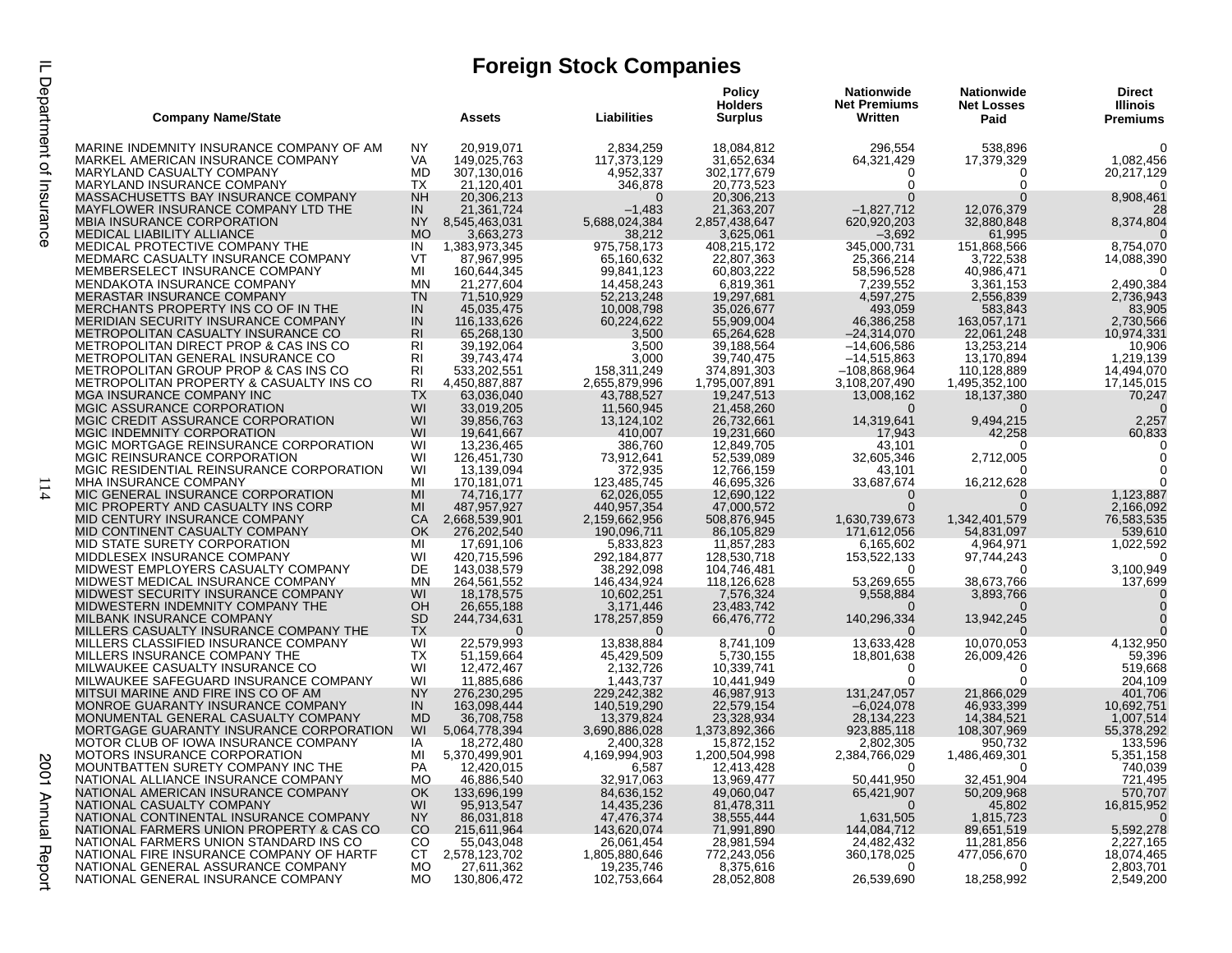| 20,919,071<br>MARINE INDEMNITY INSURANCE COMPANY OF AM<br>NY<br>2,834,259<br>18,084,812<br>296,554<br>538,896<br>$\Omega$<br>MARKEL AMERICAN INSURANCE COMPANY<br>149,025,763<br>117,373,129<br>31,652,634<br>VA<br>64,321,429<br>17,379,329<br>1,082,456<br>MARYLAND CASUALTY COMPANY<br><b>MD</b><br>307,130,016<br>4,952,337<br>302, 177, 679<br>0<br>20,217,129<br>MARYLAND INSURANCE COMPANY<br><b>TX</b><br>0<br>21.120.401<br>346.878<br>20.773.523<br>$\Omega$<br>MASSACHUSETTS BAY INSURANCE COMPANY<br><b>NH</b><br>20,306,213<br>20,306,213<br>8,908,461<br>ი<br>MAYFLOWER INSURANCE COMPANY LTD THE<br>21,361,724<br>21,363,207<br>$-1,483$<br>$-1,827,712$<br>12,076,379<br>IN<br>28<br><b>MBIA INSURANCE CORPORATION</b><br>NY<br>8,545,463,031<br>5,688,024,384<br>2,857,438,647<br>620,920,203<br>32,880,848<br>8,374,804<br>MEDICAL LIABILITY ALLIANCE<br>MO<br>3,663,273<br>38,212<br>3,625,061<br>$-3,692$<br>61,995<br>MEDICAL PROTECTIVE COMPANY THE<br>1,383,973,345<br>975,758,173<br>408,215,172<br>8,754,070<br>IN<br>345,000,731<br>151,868,566<br>MEDMARC CASUALTY INSURANCE COMPANY<br>VT<br>87,967,995<br>3,722,538<br>65,160,632<br>22,807,363<br>25,366,214<br>14,088,390<br>MEMBERSELECT INSURANCE COMPANY<br>MI<br>160,644,345<br>99,841,123<br>58,596,528<br>40,986,471<br>60,803,222<br>MENDAKOTA INSURANCE COMPANY<br>14,458,243<br><b>MN</b><br>21,277,604<br>6,819,361<br>7,239,552<br>3,361,153<br>2,490,384<br><b>MERASTAR INSURANCE COMPANY</b><br><b>TN</b><br>71,510,929<br>52,213,248<br>19,297,681<br>2,736,943<br>4,597,275<br>2,556,839<br>IN<br>MERCHANTS PROPERTY INS CO OF IN THE<br>45,035,475<br>10,008,798<br>35,026,677<br>583,843<br>83,905<br>493,059<br>MERIDIAN SECURITY INSURANCE COMPANY<br>2,730,566<br>IN<br>116,133,626<br>60,224,622<br>55,909,004<br>46,386,258<br>163,057,171<br>METROPOLITAN CASUALTY INSURANCE CO<br><b>RI</b><br>22,061,248<br>65,268,130<br>3,500<br>65,264,628<br>$-24,314,070$<br>10,974,331<br>METROPOLITAN DIRECT PROP & CAS INS CO<br>3,500<br>39,188,564<br>RI<br>39,192,064<br>$-14.606.586$<br>13,253,214<br>10,906<br>METROPOLITAN GENERAL INSURANCE CO<br>3,000<br>39,740,475<br>13,170,894<br>1,219,139<br>RI<br>39,743,474<br>$-14,515,863$<br>METROPOLITAN GROUP PROP & CAS INS CO<br>374,891,303<br>533,202,551<br>14,494,070<br>RI<br>158,311,249<br>$-108,868,964$<br>110,128,889<br>METROPOLITAN PROPERTY & CASUALTY INS CO<br><b>RI</b><br>4,450,887,887<br>2,655,879,996<br>1,795,007,891<br>3,108,207,490<br>1,495,352,100<br>17,145,015<br><b>MGA INSURANCE COMPANY INC</b><br>ТX<br>63,036,040<br>43,788,527<br>19,247,513<br>13,008,162<br>18,137,380<br>70,247<br>MGIC ASSURANCE CORPORATION<br>WI<br>11,560,945<br>21,458,260<br>33,019,205<br>ŋ<br>MGIC CREDIT ASSURANCE CORPORATION<br>26,732,661<br>WI<br>39,856,763<br>13,124,102<br>14,319,641<br>9,494,215<br>2,257<br>MGIC INDEMNITY CORPORATION<br>WI<br>19,641,667<br>410,007<br>19,231,660<br>60,833<br>17,943<br>42,258<br>MGIC MORTGAGE REINSURANCE CORPORATION<br>12.849.705<br>WI<br>13,236,465<br>386.760<br>43.101<br>ი<br>MGIC REINSURANCE CORPORATION<br>52,539,089<br>WI<br>126,451,730<br>73,912,641<br>32,605,346<br>2,712,005<br>MGIC RESIDENTIAL REINSURANCE CORPORATION<br>WI<br>13,139,094<br>372,935<br>12,766,159<br>43,101<br>MHA INSURANCE COMPANY<br>MI<br>170,181,071<br>123,485,745<br>46,695,326<br>16,212,628<br>33,687,674<br>MIC GENERAL INSURANCE CORPORATION<br>MI<br>74,716,177<br>62,026,055<br>12,690,122<br>1,123,887<br>$\Omega$<br>ŋ<br>MIC PROPERTY AND CASUALTY INS CORP<br>MI<br>47,000,572<br>487,957,927<br>440,957,354<br>2,166,092<br>$\Omega$<br>MID CENTURY INSURANCE COMPANY<br>2,668,539,901<br>508,876,945<br>76,583,535<br>CA<br>2,159,662,956<br>1,630,739,673<br>1,342,401,579<br>MID CONTINENT CASUALTY COMPANY<br>171,612,056<br>OK<br>276,202,540<br>86,105,829<br>54,831,097<br>539,610<br>190,096,711<br>MID STATE SURETY CORPORATION<br>17,691,106<br>1,022,592<br>MI<br>5,833,823<br>11,857,283<br>6,165,602<br>4,964,971<br>MIDDLESEX INSURANCE COMPANY<br>WI<br>420,715,596<br>292,184,877<br>128,530,718<br>153,522,133<br>97,744,243<br>MIDWEST EMPLOYERS CASUALTY COMPANY<br>38,292,098<br>104,746,481<br>DE<br>143,038,579<br>3,100,949<br>MIDWEST MEDICAL INSURANCE COMPANY<br>MN<br>264,561,552<br>146,434,924<br>118,126,628<br>53,269,655<br>38,673,766<br>137,699<br>MIDWEST SECURITY INSURANCE COMPANY<br>WI<br>18,178,575<br>10,602,251<br>7,576,324<br>3,893,766<br>9,558,884<br>MIDWESTERN INDEMNITY COMPANY THE<br>OH<br>26,655,188<br>23,483,742<br>3,171,446<br>MILBANK INSURANCE COMPANY<br><b>SD</b><br>244,734,631<br>178,257,859<br>66,476,772<br>140,296,334<br>13,942,245<br>MILLERS CASUALTY INSURANCE COMPANY THE<br>ТX<br>MILLERS CLASSIFIED INSURANCE COMPANY<br>WI<br>22,579,993<br>13,838,884<br>13,633,428<br>10,070,053<br>4,132,950<br>8,741,109<br>MILLERS INSURANCE COMPANY THE<br>ТX<br>45,429,509<br>5,730,155<br>59,396<br>51,159,664<br>18,801,638<br>26,009,426<br>MILWAUKEE CASUALTY INSURANCE CO<br>WI<br>10,339,741<br>519,668<br>12,472,467<br>2,132,726<br>$\Omega$<br>MILWAUKEE SAFEGUARD INSURANCE COMPANY<br>11,885,686<br>204,109<br>WI<br>1,443,737<br>10,441,949<br>⋂<br>ი<br>MITSUI MARINE AND FIRE INS CO OF AM<br>NY<br>276,230,295<br>229,242,382<br>46,987,913<br>401,706<br>131,247,057<br>21,866,029<br>MONROE GUARANTY INSURANCE COMPANY<br>IN<br>163,098,444<br>$-6,024,078$<br>140,519,290<br>22,579,154<br>46,933,399<br>10,692,751<br>23,328,934<br>28,134,223<br>14,384,521<br>1,007,514<br>MONUMENTAL GENERAL CASUALTY COMPANY<br><b>MD</b><br>36,708,758<br>13,379,824<br>MORTGAGE GUARANTY INSURANCE CORPORATION<br>WI<br>923,885,118<br>5,064,778,394<br>3,690,886,028<br>1,373,892,366<br>108,307,969<br>55,378,292<br>MOTOR CLUB OF IOWA INSURANCE COMPANY<br>133,596<br>IA<br>18,272,480<br>2,400,328<br>15,872,152<br>2,802,305<br>950,732<br>MOTORS INSURANCE CORPORATION<br>5,370,499,901<br>4,169,994,903<br>1,200,504,998<br>5,351,158<br>MI<br>2,384,766,029<br>1,486,469,301<br>MOUNTBATTEN SURETY COMPANY INC THE<br>12,420,015<br>740,039<br>6,587<br>12,413,428<br>PA<br>NATIONAL ALLIANCE INSURANCE COMPANY<br>МO<br>46,886,540<br>32,917,063<br>13,969,477<br>50,441,950<br>32,451,904<br>721,495<br>NATIONAL AMERICAN INSURANCE COMPANY<br>OK<br>133,696,199<br>84,636,152<br>49,060,047<br>50,209,968<br>570,707<br>65,421,907<br>NATIONAL CASUALTY COMPANY<br>45,802<br>WI<br>95,913,547<br>14,435,236<br>81,478,311<br>16,815,952<br>NATIONAL CONTINENTAL INSURANCE COMPANY<br>NY<br>86,031,818<br>47,476,374<br>38,555,444<br>1,631,505<br>1,815,723<br>0<br>NATIONAL FARMERS UNION PROPERTY & CAS CO<br>CO<br>215,611,964<br>71,991,890<br>144,084,712<br>143,620,074<br>89,651,519<br>5,592,278<br>NATIONAL FARMERS UNION STANDARD INS CO<br>11,281,856<br>CO<br>55,043,048<br>26,061,454<br>28,981,594<br>24,482,432<br>2,227,165<br><b>CT</b><br>NATIONAL FIRE INSURANCE COMPANY OF HARTF<br>2,578,123,702<br>1,805,880,646<br>772,243,056<br>360,178,025<br>477,056,670<br>18,074,465<br>МO<br>2,803,701<br>NATIONAL GENERAL ASSURANCE COMPANY<br>27,611,362<br>19,235,746<br>8,375,616<br>∩<br>NATIONAL GENERAL INSURANCE COMPANY<br><b>MO</b><br>102,753,664<br>28,052,808<br>26,539,690<br>18,258,992<br>2,549,200<br>130,806,472 | <b>Company Name/State</b> | <b>Assets</b> | <b>Liabilities</b> | <b>Policy</b><br><b>Holders</b><br><b>Surplus</b> | Nationwide<br><b>Net Premiums</b><br>Written | <b>Nationwide</b><br><b>Net Losses</b><br>Paid | Direct<br><b>Illinois</b><br><b>Premiums</b> |
|--------------------------------------------------------------------------------------------------------------------------------------------------------------------------------------------------------------------------------------------------------------------------------------------------------------------------------------------------------------------------------------------------------------------------------------------------------------------------------------------------------------------------------------------------------------------------------------------------------------------------------------------------------------------------------------------------------------------------------------------------------------------------------------------------------------------------------------------------------------------------------------------------------------------------------------------------------------------------------------------------------------------------------------------------------------------------------------------------------------------------------------------------------------------------------------------------------------------------------------------------------------------------------------------------------------------------------------------------------------------------------------------------------------------------------------------------------------------------------------------------------------------------------------------------------------------------------------------------------------------------------------------------------------------------------------------------------------------------------------------------------------------------------------------------------------------------------------------------------------------------------------------------------------------------------------------------------------------------------------------------------------------------------------------------------------------------------------------------------------------------------------------------------------------------------------------------------------------------------------------------------------------------------------------------------------------------------------------------------------------------------------------------------------------------------------------------------------------------------------------------------------------------------------------------------------------------------------------------------------------------------------------------------------------------------------------------------------------------------------------------------------------------------------------------------------------------------------------------------------------------------------------------------------------------------------------------------------------------------------------------------------------------------------------------------------------------------------------------------------------------------------------------------------------------------------------------------------------------------------------------------------------------------------------------------------------------------------------------------------------------------------------------------------------------------------------------------------------------------------------------------------------------------------------------------------------------------------------------------------------------------------------------------------------------------------------------------------------------------------------------------------------------------------------------------------------------------------------------------------------------------------------------------------------------------------------------------------------------------------------------------------------------------------------------------------------------------------------------------------------------------------------------------------------------------------------------------------------------------------------------------------------------------------------------------------------------------------------------------------------------------------------------------------------------------------------------------------------------------------------------------------------------------------------------------------------------------------------------------------------------------------------------------------------------------------------------------------------------------------------------------------------------------------------------------------------------------------------------------------------------------------------------------------------------------------------------------------------------------------------------------------------------------------------------------------------------------------------------------------------------------------------------------------------------------------------------------------------------------------------------------------------------------------------------------------------------------------------------------------------------------------------------------------------------------------------------------------------------------------------------------------------------------------------------------------------------------------------------------------------------------------------------------------------------------------------------------------------------------------------------------------------------------------------------------------------------------------------------------------------------------------------------------------------------------------------------------------------------------------------------------------------------------------------------------------------------------------------------------------------------------------------------------------------------------------------------------------------------------------------------------------------------------------------------------------------------------------------------------------------------------------------------------------------------------------------------------------------------------------------------------------------------------------------------------------------------------------------------------------------------------------------------------------------------------------------------------------------------------------------------------------------------------------------------------------------------------------------------------------------------------------------------------------------------------------------------------------------------------------------------------------------------------------------------------------------------------------------------------------------------------------------------------------------------------------------------------------------------------------------------------------------------------------------------------------------------------------------------------------------|---------------------------|---------------|--------------------|---------------------------------------------------|----------------------------------------------|------------------------------------------------|----------------------------------------------|
|                                                                                                                                                                                                                                                                                                                                                                                                                                                                                                                                                                                                                                                                                                                                                                                                                                                                                                                                                                                                                                                                                                                                                                                                                                                                                                                                                                                                                                                                                                                                                                                                                                                                                                                                                                                                                                                                                                                                                                                                                                                                                                                                                                                                                                                                                                                                                                                                                                                                                                                                                                                                                                                                                                                                                                                                                                                                                                                                                                                                                                                                                                                                                                                                                                                                                                                                                                                                                                                                                                                                                                                                                                                                                                                                                                                                                                                                                                                                                                                                                                                                                                                                                                                                                                                                                                                                                                                                                                                                                                                                                                                                                                                                                                                                                                                                                                                                                                                                                                                                                                                                                                                                                                                                                                                                                                                                                                                                                                                                                                                                                                                                                                                                                                                                                                                                                                                                                                                                                                                                                                                                                                                                                                                                                                                                                                                                                                                                                                                                                                                                                                                                                                                                                                                                                                                                                                                                                                                                                                                                                                                                                                                                                                                                                                                                                                                                                                    |                           |               |                    |                                                   |                                              |                                                |                                              |
|                                                                                                                                                                                                                                                                                                                                                                                                                                                                                                                                                                                                                                                                                                                                                                                                                                                                                                                                                                                                                                                                                                                                                                                                                                                                                                                                                                                                                                                                                                                                                                                                                                                                                                                                                                                                                                                                                                                                                                                                                                                                                                                                                                                                                                                                                                                                                                                                                                                                                                                                                                                                                                                                                                                                                                                                                                                                                                                                                                                                                                                                                                                                                                                                                                                                                                                                                                                                                                                                                                                                                                                                                                                                                                                                                                                                                                                                                                                                                                                                                                                                                                                                                                                                                                                                                                                                                                                                                                                                                                                                                                                                                                                                                                                                                                                                                                                                                                                                                                                                                                                                                                                                                                                                                                                                                                                                                                                                                                                                                                                                                                                                                                                                                                                                                                                                                                                                                                                                                                                                                                                                                                                                                                                                                                                                                                                                                                                                                                                                                                                                                                                                                                                                                                                                                                                                                                                                                                                                                                                                                                                                                                                                                                                                                                                                                                                                                                    |                           |               |                    |                                                   |                                              |                                                |                                              |
|                                                                                                                                                                                                                                                                                                                                                                                                                                                                                                                                                                                                                                                                                                                                                                                                                                                                                                                                                                                                                                                                                                                                                                                                                                                                                                                                                                                                                                                                                                                                                                                                                                                                                                                                                                                                                                                                                                                                                                                                                                                                                                                                                                                                                                                                                                                                                                                                                                                                                                                                                                                                                                                                                                                                                                                                                                                                                                                                                                                                                                                                                                                                                                                                                                                                                                                                                                                                                                                                                                                                                                                                                                                                                                                                                                                                                                                                                                                                                                                                                                                                                                                                                                                                                                                                                                                                                                                                                                                                                                                                                                                                                                                                                                                                                                                                                                                                                                                                                                                                                                                                                                                                                                                                                                                                                                                                                                                                                                                                                                                                                                                                                                                                                                                                                                                                                                                                                                                                                                                                                                                                                                                                                                                                                                                                                                                                                                                                                                                                                                                                                                                                                                                                                                                                                                                                                                                                                                                                                                                                                                                                                                                                                                                                                                                                                                                                                                    |                           |               |                    |                                                   |                                              |                                                |                                              |
|                                                                                                                                                                                                                                                                                                                                                                                                                                                                                                                                                                                                                                                                                                                                                                                                                                                                                                                                                                                                                                                                                                                                                                                                                                                                                                                                                                                                                                                                                                                                                                                                                                                                                                                                                                                                                                                                                                                                                                                                                                                                                                                                                                                                                                                                                                                                                                                                                                                                                                                                                                                                                                                                                                                                                                                                                                                                                                                                                                                                                                                                                                                                                                                                                                                                                                                                                                                                                                                                                                                                                                                                                                                                                                                                                                                                                                                                                                                                                                                                                                                                                                                                                                                                                                                                                                                                                                                                                                                                                                                                                                                                                                                                                                                                                                                                                                                                                                                                                                                                                                                                                                                                                                                                                                                                                                                                                                                                                                                                                                                                                                                                                                                                                                                                                                                                                                                                                                                                                                                                                                                                                                                                                                                                                                                                                                                                                                                                                                                                                                                                                                                                                                                                                                                                                                                                                                                                                                                                                                                                                                                                                                                                                                                                                                                                                                                                                                    |                           |               |                    |                                                   |                                              |                                                |                                              |
|                                                                                                                                                                                                                                                                                                                                                                                                                                                                                                                                                                                                                                                                                                                                                                                                                                                                                                                                                                                                                                                                                                                                                                                                                                                                                                                                                                                                                                                                                                                                                                                                                                                                                                                                                                                                                                                                                                                                                                                                                                                                                                                                                                                                                                                                                                                                                                                                                                                                                                                                                                                                                                                                                                                                                                                                                                                                                                                                                                                                                                                                                                                                                                                                                                                                                                                                                                                                                                                                                                                                                                                                                                                                                                                                                                                                                                                                                                                                                                                                                                                                                                                                                                                                                                                                                                                                                                                                                                                                                                                                                                                                                                                                                                                                                                                                                                                                                                                                                                                                                                                                                                                                                                                                                                                                                                                                                                                                                                                                                                                                                                                                                                                                                                                                                                                                                                                                                                                                                                                                                                                                                                                                                                                                                                                                                                                                                                                                                                                                                                                                                                                                                                                                                                                                                                                                                                                                                                                                                                                                                                                                                                                                                                                                                                                                                                                                                                    |                           |               |                    |                                                   |                                              |                                                |                                              |
|                                                                                                                                                                                                                                                                                                                                                                                                                                                                                                                                                                                                                                                                                                                                                                                                                                                                                                                                                                                                                                                                                                                                                                                                                                                                                                                                                                                                                                                                                                                                                                                                                                                                                                                                                                                                                                                                                                                                                                                                                                                                                                                                                                                                                                                                                                                                                                                                                                                                                                                                                                                                                                                                                                                                                                                                                                                                                                                                                                                                                                                                                                                                                                                                                                                                                                                                                                                                                                                                                                                                                                                                                                                                                                                                                                                                                                                                                                                                                                                                                                                                                                                                                                                                                                                                                                                                                                                                                                                                                                                                                                                                                                                                                                                                                                                                                                                                                                                                                                                                                                                                                                                                                                                                                                                                                                                                                                                                                                                                                                                                                                                                                                                                                                                                                                                                                                                                                                                                                                                                                                                                                                                                                                                                                                                                                                                                                                                                                                                                                                                                                                                                                                                                                                                                                                                                                                                                                                                                                                                                                                                                                                                                                                                                                                                                                                                                                                    |                           |               |                    |                                                   |                                              |                                                |                                              |
|                                                                                                                                                                                                                                                                                                                                                                                                                                                                                                                                                                                                                                                                                                                                                                                                                                                                                                                                                                                                                                                                                                                                                                                                                                                                                                                                                                                                                                                                                                                                                                                                                                                                                                                                                                                                                                                                                                                                                                                                                                                                                                                                                                                                                                                                                                                                                                                                                                                                                                                                                                                                                                                                                                                                                                                                                                                                                                                                                                                                                                                                                                                                                                                                                                                                                                                                                                                                                                                                                                                                                                                                                                                                                                                                                                                                                                                                                                                                                                                                                                                                                                                                                                                                                                                                                                                                                                                                                                                                                                                                                                                                                                                                                                                                                                                                                                                                                                                                                                                                                                                                                                                                                                                                                                                                                                                                                                                                                                                                                                                                                                                                                                                                                                                                                                                                                                                                                                                                                                                                                                                                                                                                                                                                                                                                                                                                                                                                                                                                                                                                                                                                                                                                                                                                                                                                                                                                                                                                                                                                                                                                                                                                                                                                                                                                                                                                                                    |                           |               |                    |                                                   |                                              |                                                |                                              |
|                                                                                                                                                                                                                                                                                                                                                                                                                                                                                                                                                                                                                                                                                                                                                                                                                                                                                                                                                                                                                                                                                                                                                                                                                                                                                                                                                                                                                                                                                                                                                                                                                                                                                                                                                                                                                                                                                                                                                                                                                                                                                                                                                                                                                                                                                                                                                                                                                                                                                                                                                                                                                                                                                                                                                                                                                                                                                                                                                                                                                                                                                                                                                                                                                                                                                                                                                                                                                                                                                                                                                                                                                                                                                                                                                                                                                                                                                                                                                                                                                                                                                                                                                                                                                                                                                                                                                                                                                                                                                                                                                                                                                                                                                                                                                                                                                                                                                                                                                                                                                                                                                                                                                                                                                                                                                                                                                                                                                                                                                                                                                                                                                                                                                                                                                                                                                                                                                                                                                                                                                                                                                                                                                                                                                                                                                                                                                                                                                                                                                                                                                                                                                                                                                                                                                                                                                                                                                                                                                                                                                                                                                                                                                                                                                                                                                                                                                                    |                           |               |                    |                                                   |                                              |                                                |                                              |
|                                                                                                                                                                                                                                                                                                                                                                                                                                                                                                                                                                                                                                                                                                                                                                                                                                                                                                                                                                                                                                                                                                                                                                                                                                                                                                                                                                                                                                                                                                                                                                                                                                                                                                                                                                                                                                                                                                                                                                                                                                                                                                                                                                                                                                                                                                                                                                                                                                                                                                                                                                                                                                                                                                                                                                                                                                                                                                                                                                                                                                                                                                                                                                                                                                                                                                                                                                                                                                                                                                                                                                                                                                                                                                                                                                                                                                                                                                                                                                                                                                                                                                                                                                                                                                                                                                                                                                                                                                                                                                                                                                                                                                                                                                                                                                                                                                                                                                                                                                                                                                                                                                                                                                                                                                                                                                                                                                                                                                                                                                                                                                                                                                                                                                                                                                                                                                                                                                                                                                                                                                                                                                                                                                                                                                                                                                                                                                                                                                                                                                                                                                                                                                                                                                                                                                                                                                                                                                                                                                                                                                                                                                                                                                                                                                                                                                                                                                    |                           |               |                    |                                                   |                                              |                                                |                                              |
|                                                                                                                                                                                                                                                                                                                                                                                                                                                                                                                                                                                                                                                                                                                                                                                                                                                                                                                                                                                                                                                                                                                                                                                                                                                                                                                                                                                                                                                                                                                                                                                                                                                                                                                                                                                                                                                                                                                                                                                                                                                                                                                                                                                                                                                                                                                                                                                                                                                                                                                                                                                                                                                                                                                                                                                                                                                                                                                                                                                                                                                                                                                                                                                                                                                                                                                                                                                                                                                                                                                                                                                                                                                                                                                                                                                                                                                                                                                                                                                                                                                                                                                                                                                                                                                                                                                                                                                                                                                                                                                                                                                                                                                                                                                                                                                                                                                                                                                                                                                                                                                                                                                                                                                                                                                                                                                                                                                                                                                                                                                                                                                                                                                                                                                                                                                                                                                                                                                                                                                                                                                                                                                                                                                                                                                                                                                                                                                                                                                                                                                                                                                                                                                                                                                                                                                                                                                                                                                                                                                                                                                                                                                                                                                                                                                                                                                                                                    |                           |               |                    |                                                   |                                              |                                                |                                              |
|                                                                                                                                                                                                                                                                                                                                                                                                                                                                                                                                                                                                                                                                                                                                                                                                                                                                                                                                                                                                                                                                                                                                                                                                                                                                                                                                                                                                                                                                                                                                                                                                                                                                                                                                                                                                                                                                                                                                                                                                                                                                                                                                                                                                                                                                                                                                                                                                                                                                                                                                                                                                                                                                                                                                                                                                                                                                                                                                                                                                                                                                                                                                                                                                                                                                                                                                                                                                                                                                                                                                                                                                                                                                                                                                                                                                                                                                                                                                                                                                                                                                                                                                                                                                                                                                                                                                                                                                                                                                                                                                                                                                                                                                                                                                                                                                                                                                                                                                                                                                                                                                                                                                                                                                                                                                                                                                                                                                                                                                                                                                                                                                                                                                                                                                                                                                                                                                                                                                                                                                                                                                                                                                                                                                                                                                                                                                                                                                                                                                                                                                                                                                                                                                                                                                                                                                                                                                                                                                                                                                                                                                                                                                                                                                                                                                                                                                                                    |                           |               |                    |                                                   |                                              |                                                |                                              |
|                                                                                                                                                                                                                                                                                                                                                                                                                                                                                                                                                                                                                                                                                                                                                                                                                                                                                                                                                                                                                                                                                                                                                                                                                                                                                                                                                                                                                                                                                                                                                                                                                                                                                                                                                                                                                                                                                                                                                                                                                                                                                                                                                                                                                                                                                                                                                                                                                                                                                                                                                                                                                                                                                                                                                                                                                                                                                                                                                                                                                                                                                                                                                                                                                                                                                                                                                                                                                                                                                                                                                                                                                                                                                                                                                                                                                                                                                                                                                                                                                                                                                                                                                                                                                                                                                                                                                                                                                                                                                                                                                                                                                                                                                                                                                                                                                                                                                                                                                                                                                                                                                                                                                                                                                                                                                                                                                                                                                                                                                                                                                                                                                                                                                                                                                                                                                                                                                                                                                                                                                                                                                                                                                                                                                                                                                                                                                                                                                                                                                                                                                                                                                                                                                                                                                                                                                                                                                                                                                                                                                                                                                                                                                                                                                                                                                                                                                                    |                           |               |                    |                                                   |                                              |                                                |                                              |
|                                                                                                                                                                                                                                                                                                                                                                                                                                                                                                                                                                                                                                                                                                                                                                                                                                                                                                                                                                                                                                                                                                                                                                                                                                                                                                                                                                                                                                                                                                                                                                                                                                                                                                                                                                                                                                                                                                                                                                                                                                                                                                                                                                                                                                                                                                                                                                                                                                                                                                                                                                                                                                                                                                                                                                                                                                                                                                                                                                                                                                                                                                                                                                                                                                                                                                                                                                                                                                                                                                                                                                                                                                                                                                                                                                                                                                                                                                                                                                                                                                                                                                                                                                                                                                                                                                                                                                                                                                                                                                                                                                                                                                                                                                                                                                                                                                                                                                                                                                                                                                                                                                                                                                                                                                                                                                                                                                                                                                                                                                                                                                                                                                                                                                                                                                                                                                                                                                                                                                                                                                                                                                                                                                                                                                                                                                                                                                                                                                                                                                                                                                                                                                                                                                                                                                                                                                                                                                                                                                                                                                                                                                                                                                                                                                                                                                                                                                    |                           |               |                    |                                                   |                                              |                                                |                                              |
|                                                                                                                                                                                                                                                                                                                                                                                                                                                                                                                                                                                                                                                                                                                                                                                                                                                                                                                                                                                                                                                                                                                                                                                                                                                                                                                                                                                                                                                                                                                                                                                                                                                                                                                                                                                                                                                                                                                                                                                                                                                                                                                                                                                                                                                                                                                                                                                                                                                                                                                                                                                                                                                                                                                                                                                                                                                                                                                                                                                                                                                                                                                                                                                                                                                                                                                                                                                                                                                                                                                                                                                                                                                                                                                                                                                                                                                                                                                                                                                                                                                                                                                                                                                                                                                                                                                                                                                                                                                                                                                                                                                                                                                                                                                                                                                                                                                                                                                                                                                                                                                                                                                                                                                                                                                                                                                                                                                                                                                                                                                                                                                                                                                                                                                                                                                                                                                                                                                                                                                                                                                                                                                                                                                                                                                                                                                                                                                                                                                                                                                                                                                                                                                                                                                                                                                                                                                                                                                                                                                                                                                                                                                                                                                                                                                                                                                                                                    |                           |               |                    |                                                   |                                              |                                                |                                              |
|                                                                                                                                                                                                                                                                                                                                                                                                                                                                                                                                                                                                                                                                                                                                                                                                                                                                                                                                                                                                                                                                                                                                                                                                                                                                                                                                                                                                                                                                                                                                                                                                                                                                                                                                                                                                                                                                                                                                                                                                                                                                                                                                                                                                                                                                                                                                                                                                                                                                                                                                                                                                                                                                                                                                                                                                                                                                                                                                                                                                                                                                                                                                                                                                                                                                                                                                                                                                                                                                                                                                                                                                                                                                                                                                                                                                                                                                                                                                                                                                                                                                                                                                                                                                                                                                                                                                                                                                                                                                                                                                                                                                                                                                                                                                                                                                                                                                                                                                                                                                                                                                                                                                                                                                                                                                                                                                                                                                                                                                                                                                                                                                                                                                                                                                                                                                                                                                                                                                                                                                                                                                                                                                                                                                                                                                                                                                                                                                                                                                                                                                                                                                                                                                                                                                                                                                                                                                                                                                                                                                                                                                                                                                                                                                                                                                                                                                                                    |                           |               |                    |                                                   |                                              |                                                |                                              |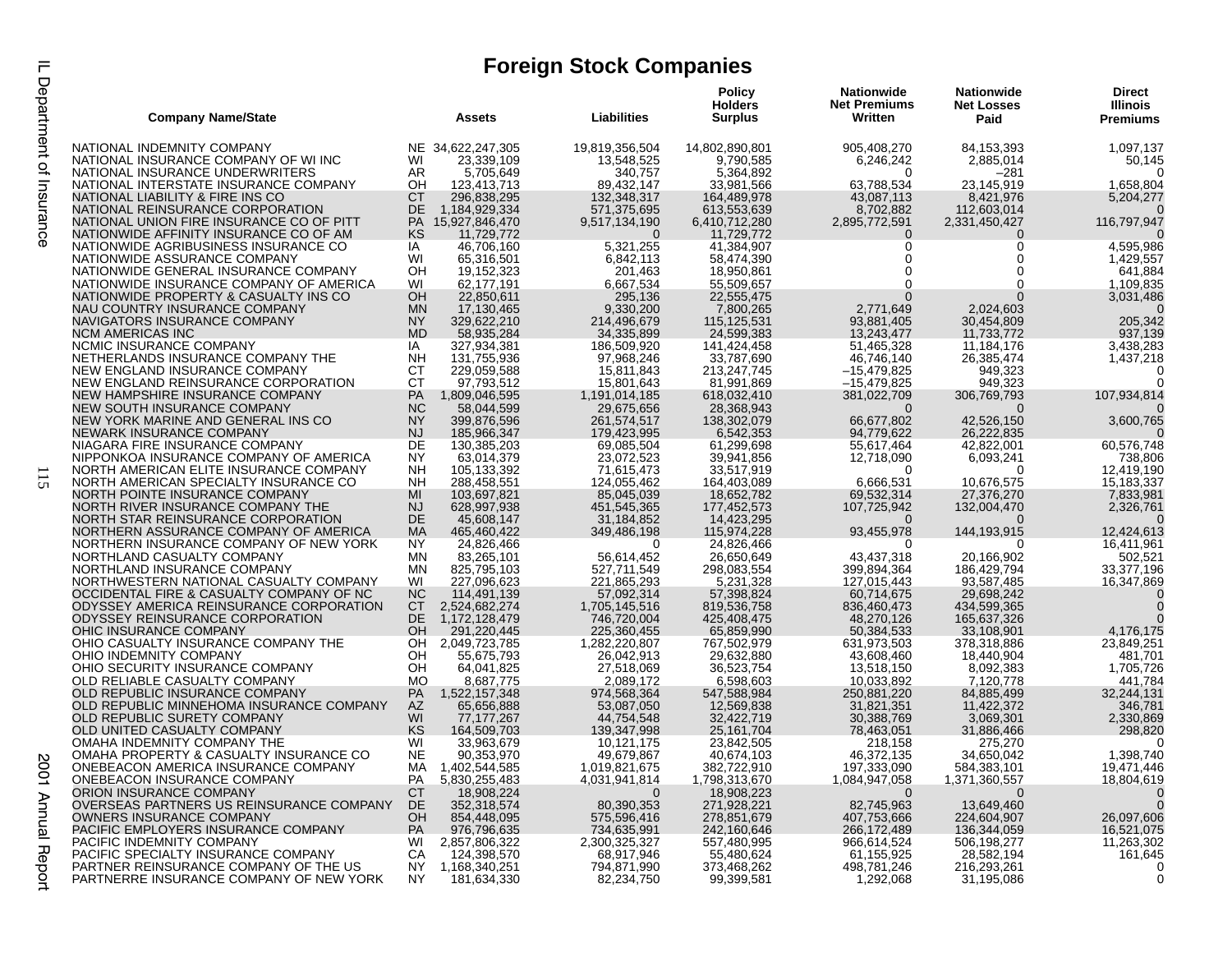| <b>Company Name/State</b>                                                           |                        | <b>Assets</b>                  | Liabilities                    | <b>Policy</b><br><b>Holders</b><br>Surplus | <b>Nationwide</b><br><b>Net Premiums</b><br>Written | <b>Nationwide</b><br><b>Net Losses</b><br>Paid | <b>Direct</b><br><b>Illinois</b><br><b>Premiums</b> |
|-------------------------------------------------------------------------------------|------------------------|--------------------------------|--------------------------------|--------------------------------------------|-----------------------------------------------------|------------------------------------------------|-----------------------------------------------------|
| NATIONAL INDEMNITY COMPANY                                                          |                        | NE 34,622,247,305              | 19,819,356,504                 | 14,802,890,801                             | 905,408,270                                         | 84,153,393                                     | 1,097,137                                           |
| NATIONAL INSURANCE COMPANY OF WI INC                                                | WI                     | 23,339,109                     | 13,548,525                     | 9,790,585                                  | 6,246,242                                           | 2,885,014                                      | 50,145                                              |
| NATIONAL INSURANCE UNDERWRITERS<br>NATIONAL INTERSTATE INSURANCE COMPANY            | AR<br>OΗ               | 5,705,649<br>123,413,713       | 340,757<br>89,432,147          | 5,364,892<br>33,981,566                    | O<br>63,788,534                                     | –281<br>23,145,919                             | 1,658,804                                           |
| NATIONAL LIABILITY & FIRE INS CO                                                    | <b>CT</b>              | 296,838,295                    | 132,348,317                    | 164,489,978                                | 43,087,113                                          | 8,421,976                                      | 5,204,277                                           |
| NATIONAL REINSURANCE CORPORATION                                                    | DE                     | 1,184,929,334                  | 571,375,695                    | 613,553,639                                | 8,702,882                                           | 112,603,014                                    |                                                     |
| NATIONAL UNION FIRE INSURANCE CO OF PITT                                            | <b>PA</b>              | 15,927,846,470                 | 9,517,134,190                  | 6,410,712,280                              | 2,895,772,591                                       | 2,331,450,427                                  | 116,797,947                                         |
| NATIONWIDE AFFINITY INSURANCE CO OF AM                                              | ΚS                     | 11,729,772                     | $\Omega$                       | 11,729,772                                 | $\Omega$                                            |                                                |                                                     |
| NATIONWIDE AGRIBUSINESS INSURANCE CO<br>NATIONWIDE ASSURANCE COMPANY                | IA<br>WI               | 46,706,160                     | 5,321,255                      | 41,384,907                                 | 0<br>$\Omega$                                       | 0<br>$\Omega$                                  | 4,595,986                                           |
| NATIONWIDE GENERAL INSURANCE COMPANY                                                | OH                     | 65,316,501<br>19,152,323       | 6,842,113<br>201,463           | 58,474,390<br>18,950,861                   | 0                                                   | $\Omega$                                       | 1,429,557<br>641,884                                |
| NATIONWIDE INSURANCE COMPANY OF AMERICA                                             | WI                     | 62,177,191                     | 6,667,534                      | 55,509,657                                 | U                                                   | O                                              | 1,109,835                                           |
| NATIONWIDE PROPERTY & CASUALTY INS CO                                               | OH                     | 22,850,611                     | 295,136                        | 22,555,475                                 | $\Omega$                                            | ∩                                              | 3,031,486                                           |
| NAU COUNTRY INSURANCE COMPANY                                                       | <b>MN</b>              | 17,130,465                     | 9,330,200                      | 7,800,265                                  | 2,771,649                                           | 2,024,603                                      |                                                     |
| NAVIGATORS INSURANCE COMPANY                                                        | NY                     | 329,622,210                    | 214,496,679                    | 115,125,531                                | 93,881,405                                          | 30,454,809                                     | 205,342                                             |
| <b>NCM AMERICAS INC</b><br>NCMIC INSURANCE COMPANY                                  | <b>MD</b><br>IA        | 58,935,284<br>327,934,381      | 34,335,899<br>186,509,920      | 24.599.383<br>141.424.458                  | 13,243,477<br>51,465,328                            | 11,733,772<br>11,184,176                       | 937,139<br>3,438,283                                |
| NETHERLANDS INSURANCE COMPANY THE                                                   | <b>NH</b>              | 131,755,936                    | 97,968,246                     | 33,787,690                                 | 46,746,140                                          | 26,385,474                                     | 1,437,218                                           |
| NEW ENGLAND INSURANCE COMPANY                                                       | CT                     | 229,059,588                    | 15,811,843                     | 213,247,745                                | –15,479,825                                         | 949,323                                        |                                                     |
| NEW ENGLAND REINSURANCE CORPORATION                                                 | <b>CT</b>              | 97,793,512                     | 15,801,643                     | 81,991,869                                 | $-15,479,825$                                       | 949,323                                        |                                                     |
| NEW HAMPSHIRE INSURANCE COMPANY                                                     | PA                     | 1,809,046,595                  | 1,191,014,185                  | 618,032,410                                | 381,022,709                                         | 306,769,793                                    | 107,934,814                                         |
| NEW SOUTH INSURANCE COMPANY                                                         | <b>NC</b>              | 58,044,599                     | 29,675,656                     | 28,368,943                                 | ∩                                                   | ∩                                              |                                                     |
| NEW YORK MARINE AND GENERAL INS CO<br><b>NEWARK INSURANCE COMPANY</b>               | <b>NY</b><br><b>NJ</b> | 399,876,596<br>185,966,347     | 261,574,517<br>179,423,995     | 138,302,079<br>6,542,353                   | 66,677,802<br>94,779,622                            | 42,526,150<br>26,222,835                       | 3,600,765                                           |
| NIAGARA FIRE INSURANCE COMPANY                                                      | DE                     | 130,385,203                    | 69,085,504                     | 61,299,698                                 | 55,617,464                                          | 42,822,001                                     | 60,576,748                                          |
| NIPPONKOA INSURANCE COMPANY OF AMERICA                                              | <b>NY</b>              | 63,014,379                     | 23,072,523                     | 39,941,856                                 | 12,718,090                                          | 6,093,241                                      | 738,806                                             |
| NORTH AMERICAN ELITE INSURANCE COMPANY                                              | <b>NH</b>              | 105,133,392                    | 71,615,473                     | 33,517,919                                 |                                                     |                                                | 12,419,190                                          |
| NORTH AMERICAN SPECIALTY INSURANCE CO                                               | NH                     | 288,458,551                    | 124,055,462                    | 164,403,089                                | 6,666,531                                           | 10,676,575                                     | 15,183,337                                          |
| NORTH POINTE INSURANCE COMPANY                                                      | MI                     | 103,697,821                    | 85,045,039                     | 18,652,782                                 | 69,532,314                                          | 27,376,270                                     | 7,833,981                                           |
| NORTH RIVER INSURANCE COMPANY THE<br>NORTH STAR REINSURANCE CORPORATION             | <b>NJ</b><br>DE        | 628,997,938<br>45,608,147      | 451,545,365<br>31,184,852      | 177,452,573<br>14,423,295                  | 107,725,942                                         | 132,004,470                                    | 2,326,761                                           |
| NORTHERN ASSURANCE COMPANY OF AMERICA                                               | MA                     | 465,460,422                    | 349,486,198                    | 115,974,228                                | 93,455,978                                          | 144,193,915                                    | 12,424,613                                          |
| NORTHERN INSURANCE COMPANY OF NEW YORK                                              | NY                     | 24,826,466                     | 0                              | 24,826,466                                 |                                                     |                                                | 16,411,961                                          |
| NORTHLAND CASUALTY COMPANY                                                          | MN                     | 83,265,101                     | 56,614,452                     | 26,650,649                                 | 43,437,318                                          | 20,166,902                                     | 502,521                                             |
| NORTHLAND INSURANCE COMPANY                                                         | ΜN                     | 825,795,103                    | 527,711,549                    | 298,083,554                                | 399,894,364                                         | 186,429,794                                    | 33,377,196                                          |
| NORTHWESTERN NATIONAL CASUALTY COMPANY                                              | WI                     | 227,096,623                    | 221,865,293                    | 5,231,328                                  | 127,015,443                                         | 93,587,485                                     | 16,347,869                                          |
| OCCIDENTAL FIRE & CASUALTY COMPANY OF NC<br>ODYSSEY AMERICA REINSURANCE CORPORATION | <b>NC</b><br>СT        | 114,491,139<br>2,524,682,274   | 57,092,314<br>1,705,145,516    | 57,398,824<br>819,536,758                  | 60,714,675<br>836,460,473                           | 29,698,242<br>434,599,365                      |                                                     |
| ODYSSEY REINSURANCE CORPORATION                                                     | DE                     | 1,172,128,479                  | 746,720,004                    | 425,408,475                                | 48,270,126                                          | 165,637,326                                    |                                                     |
| OHIC INSURANCE COMPANY                                                              | OH                     | 291,220,445                    | 225,360,455                    | 65,859,990                                 | 50,384,533                                          | 33,108,901                                     | 4,176,175                                           |
| OHIO CASUALTY INSURANCE COMPANY THE                                                 | OΗ                     | 2,049,723,785                  | 1,282,220,807                  | 767,502,979                                | 631,973,503                                         | 378,318,886                                    | 23,849,251                                          |
| OHIO INDEMNITY COMPANY                                                              | OH                     | 55,675,793                     | 26,042,913                     | 29,632,880                                 | 43,608,460                                          | 18,440,904                                     | 481,701                                             |
| OHIO SECURITY INSURANCE COMPANY                                                     | OΗ<br><b>MO</b>        | 64,041,825<br>8,687,775        | 27,518,069<br>2,089,172        | 36,523,754                                 | 13,518,150                                          | 8,092,383                                      | 1,705,726                                           |
| OLD RELIABLE CASUALTY COMPANY<br>OLD REPUBLIC INSURANCE COMPANY                     | PA                     | 1,522,157,348                  | 974,568,364                    | 6,598,603<br>547,588,984                   | 10,033,892<br>250,881,220                           | 7,120,778<br>84,885,499                        | 441,784<br>32,244,131                               |
| OLD REPUBLIC MINNEHOMA INSURANCE COMPANY                                            | <b>AZ</b>              | 65,656,888                     | 53,087,050                     | 12,569,838                                 | 31,821,351                                          | 11,422,372                                     | 346,781                                             |
| OLD REPUBLIC SURETY COMPANY                                                         | WI                     | 77, 177, 267                   | 44,754,548                     | 32,422,719                                 | 30,388,769                                          | 3,069,301                                      | 2,330,869                                           |
| OLD UNITED CASUALTY COMPANY                                                         | ΚS                     | 164,509,703                    | 139,347,998                    | 25,161,704                                 | 78,463,051                                          | 31,886,466                                     | 298,820                                             |
| OMAHA INDEMNITY COMPANY THE                                                         | WI                     | 33,963,679                     | 10,121,175                     | 23,842,505                                 | 218,158                                             | 275,270                                        |                                                     |
| OMAHA PROPERTY & CASUALTY INSURANCE CO                                              | <b>NE</b><br>MA        | 90,353,970                     | 49,679,867                     | 40,674,103<br>382,722,910                  | 46,372,135<br>197,333,090                           | 34,650,042<br>584,383,101                      | 1,398,740                                           |
| ONEBEACON AMERICA INSURANCE COMPANY<br>ONEBEACON INSURANCE COMPANY                  | PA                     | 1,402,544,585<br>5,830,255,483 | 1,019,821,675<br>4,031,941,814 | 1,798,313,670                              | 1,084,947,058                                       | 1,371,360,557                                  | 19,471,446<br>18,804,619                            |
| ORION INSURANCE COMPANY                                                             | СT                     | 18,908,224                     | $\Omega$                       | 18,908,223                                 | $\Omega$                                            | $\Omega$                                       | ∩                                                   |
| OVERSEAS PARTNERS US REINSURANCE COMPANY                                            | DE                     | 352,318,574                    | 80,390,353                     | 271,928,221                                | 82,745,963                                          | 13,649,460                                     |                                                     |
| OWNERS INSURANCE COMPANY                                                            | OH                     | 854,448,095                    | 575,596,416                    | 278,851,679                                | 407,753,666                                         | 224,604,907                                    | 26,097,606                                          |
| PACIFIC EMPLOYERS INSURANCE COMPANY                                                 | PA                     | 976,796,635                    | 734,635,991                    | 242,160,646                                | 266,172,489                                         | 136,344,059                                    | 16,521,075                                          |
| PACIFIC INDEMNITY COMPANY<br>PACIFIC SPECIALTY INSURANCE COMPANY                    | WI<br>CA               | 2,857,806,322<br>124,398,570   | 2,300,325,327<br>68,917,946    | 557,480,995<br>55,480,624                  | 966,614,524<br>61,155,925                           | 506,198,277<br>28,582,194                      | 11,263,302<br>161,645                               |
| PARTNER REINSURANCE COMPANY OF THE US                                               | NY                     | 1,168,340,251                  | 794,871,990                    | 373,468,262                                | 498,781,246                                         | 216,293,261                                    |                                                     |
| PARTNERRE INSURANCE COMPANY OF NEW YORK                                             | NY                     | 181,634,330                    | 82,234,750                     | 99,399,581                                 | 1,292,068                                           | 31,195,086                                     |                                                     |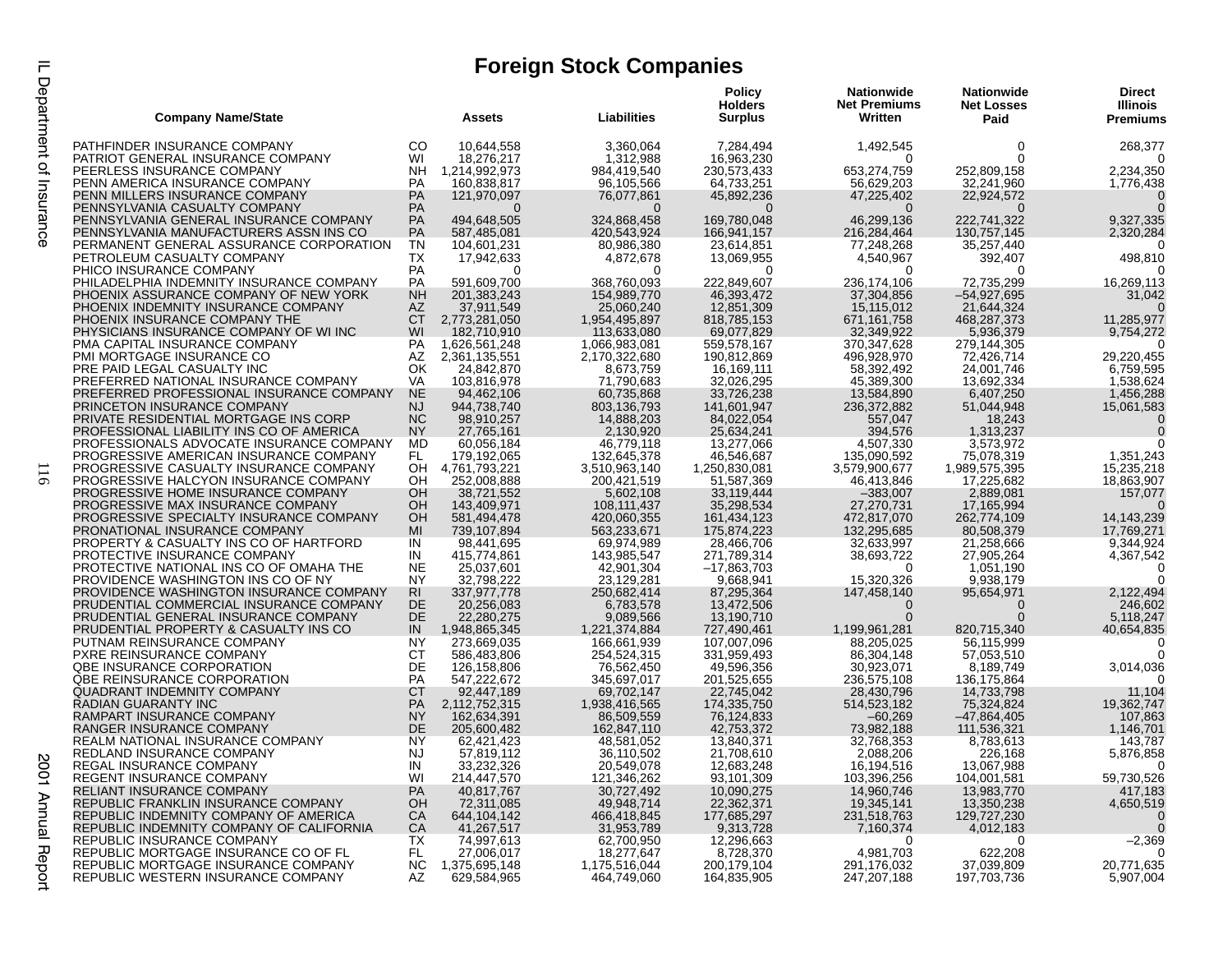| <b>Company Name/State</b>                                                        |                 | <b>Assets</b>              | <b>Liabilities</b>         | <b>Policy</b><br><b>Holders</b><br><b>Surplus</b> | <b>Nationwide</b><br><b>Net Premiums</b><br>Written | <b>Nationwide</b><br><b>Net Losses</b><br>Paid | <b>Direct</b><br><b>Illinois</b><br><b>Premiums</b> |
|----------------------------------------------------------------------------------|-----------------|----------------------------|----------------------------|---------------------------------------------------|-----------------------------------------------------|------------------------------------------------|-----------------------------------------------------|
| PATHFINDER INSURANCE COMPANY                                                     | CO              | 10,644,558                 | 3,360,064                  | 7,284,494                                         | 1,492,545                                           | $\Omega$                                       | 268,377                                             |
| PATRIOT GENERAL INSURANCE COMPANY                                                | WI              | 18,276,217                 | 1,312,988                  | 16,963,230                                        | n                                                   | $\Omega$                                       |                                                     |
| PEERLESS INSURANCE COMPANY                                                       | <b>NH</b>       | 1,214,992,973              | 984,419,540                | 230,573,433                                       | 653,274,759                                         | 252,809,158                                    | 2,234,350                                           |
| PENN AMERICA INSURANCE COMPANY                                                   | PA              | 160,838,817                | 96,105,566                 | 64,733,251                                        | 56,629,203                                          | 32,241,960                                     | 1,776,438                                           |
| PENN MILLERS INSURANCE COMPANY                                                   | PA              | 121,970,097                | 76,077,861                 | 45,892,236                                        | 47,225,402                                          | 22,924,572                                     |                                                     |
| PENNSYLVANIA CASUALTY COMPANY                                                    | PA              |                            |                            |                                                   |                                                     |                                                |                                                     |
| PENNSYLVANIA GENERAL INSURANCE COMPANY<br>PENNSYLVANIA MANUFACTURERS ASSN INS CO | PA<br>PA        | 494,648,505<br>587,485,081 | 324,868,458<br>420,543,924 | 169,780,048<br>166,941,157                        | 46,299,136<br>216,284,464                           | 222,741,322<br>130,757,145                     | 9,327,335                                           |
| PERMANENT GENERAL ASSURANCE CORPORATION                                          | <b>TN</b>       | 104,601,231                | 80,986,380                 | 23,614,851                                        | 77,248,268                                          | 35,257,440                                     | 2,320,284                                           |
|                                                                                  | ТX              | 17,942,633                 | 4,872,678                  | 13,069,955                                        | 4,540,967                                           | 392,407                                        | 498,810                                             |
| PETROLEUM CASUALTY COMPANY<br>PHICO INSURANCE COMPANY                            | PA              |                            |                            |                                                   |                                                     |                                                |                                                     |
| PHILADELPHIA INDEMNITY INSURANCE COMPANY                                         | PA              | 591.609.700                | 368.760.093                | 222.849.607                                       | 236,174,106                                         | 72,735,299                                     | 16,269,113                                          |
| PHOENIX ASSURANCE COMPANY OF NEW YORK                                            | <b>NH</b>       | 201,383,243                | 154,989,770                | 46,393,472                                        | 37,304,856                                          | $-54,927,695$                                  | 31,042                                              |
| PHOENIX INDEMNITY INSURANCE COMPANY                                              | <b>AZ</b>       | 37,911,549                 | 25,060,240                 | 12,851,309                                        | 15,115,012                                          | 21,644,324                                     |                                                     |
| PHOENIX INSURANCE COMPANY THE                                                    | <b>CT</b>       | 2,773,281,050              | 1,954,495,897              | 818,785,153                                       | 671,161,758                                         | 468,287,373                                    | 11,285,977                                          |
| PHYSICIANS INSURANCE COMPANY OF WI INC                                           | WI              | 182,710,910                | 113,633,080                | 69,077,829                                        | 32,349,922                                          | 5,936,379                                      | 9,754,272                                           |
| PMA CAPITAL INSURANCE COMPANY                                                    | <b>PA</b>       | 1,626,561,248              | 1,066,983,081              | 559,578,167                                       | 370,347,628                                         | 279,144,305                                    |                                                     |
| PMI MORTGAGE INSURANCE CO                                                        | AZ              | 2,361,135,551              | 2,170,322,680              | 190,812,869                                       | 496,928,970                                         | 72,426,714                                     | 29,220,455                                          |
| PRE PAID LEGAL CASUALTY INC                                                      | OK              | 24,842,870                 | 8,673,759                  | 16,169,111                                        | 58,392,492                                          | 24,001,746                                     | 6,759,595                                           |
| PREFERRED NATIONAL INSURANCE COMPANY                                             | VA<br><b>NE</b> | 103,816,978                | 71,790,683                 | 32,026,295                                        | 45,389,300                                          | 13,692,334                                     | 1,538,624                                           |
| PREFERRED PROFESSIONAL INSURANCE COMPANY                                         | NJ              | 94,462,106<br>944,738,740  | 60,735,868<br>803,136,793  | 33,726,238<br>141,601,947                         | 13,584,890<br>236,372,882                           | 6,407,250<br>51,044,948                        | 1,456,288                                           |
| PRINCETON INSURANCE COMPANY<br>PRIVATE RESIDENTIAL MORTGAGE INS CORP             | <b>NC</b>       | 98,910,257                 | 14,888,203                 | 84,022,054                                        | 557,047                                             | 18,243                                         | 15,061,583                                          |
| PROFESSIONAL LIABILITY INS CO OF AMERICA                                         | <b>NY</b>       | 27,765,161                 | 2,130,920                  | 25,634,241                                        | 394,576                                             | 1,313,237                                      |                                                     |
| PROFESSIONALS ADVOCATE INSURANCE COMPANY                                         | <b>MD</b>       | 60,056,184                 | 46,779,118                 | 13,277,066                                        | 4,507,330                                           | 3,573,972                                      |                                                     |
| PROGRESSIVE AMERICAN INSURANCE COMPANY                                           | FL              | 179,192,065                | 132,645,378                | 46,546,687                                        | 135,090,592                                         | 75,078,319                                     | 1,351,243                                           |
| PROGRESSIVE CASUALTY INSURANCE COMPANY                                           | OΗ              | 4,761,793,221              | 3,510,963,140              | 1,250,830,081                                     | 3,579,900,677                                       | 1,989,575,395                                  | 15,235,218                                          |
| PROGRESSIVE HALCYON INSURANCE COMPANY                                            | OH              | 252,008,888                | 200,421,519                | 51,587,369                                        | 46,413,846                                          | 17,225,682                                     | 18,863,907                                          |
| PROGRESSIVE HOME INSURANCE COMPANY                                               | OH              | 38,721,552                 | 5,602,108                  | 33,119,444                                        | –383,007                                            | 2,889,081                                      | 157,077                                             |
| PROGRESSIVE MAX INSURANCE COMPANY                                                | OH              | 143,409,971                | 108,111,437                | 35,298,534                                        | 27,270,731                                          | 17,165,994                                     |                                                     |
| PROGRESSIVE SPECIALTY INSURANCE COMPANY                                          | OН              | 581,494,478                | 420,060,355                | 161,434,123                                       | 472,817,070                                         | 262,774,109                                    | 14,143,239                                          |
| PRONATIONAL INSURANCE COMPANY                                                    | MI              | 739,107,894                | 563,233,671                | 175,874,223                                       | 132,295,685                                         | 80,508,379                                     | 17,769,271                                          |
| PROPERTY & CASUALTY INS CO OF HARTFORD                                           | IN              | 98,441,695                 | 69,974,989                 | 28,466,706                                        | 32,633,997                                          | 21,258,666                                     | 9,344,924                                           |
| PROTECTIVE INSURANCE COMPANY                                                     | IN<br>NE        | 415,774,861                | 143,985,547                | 271,789,314                                       | 38,693,722                                          | 27,905,264                                     | 4,367,542                                           |
| PROTECTIVE NATIONAL INS CO OF OMAHA THE<br>PROVIDENCE WASHINGTON INS CO OF NY    | NY              | 25,037,601<br>32,798,222   | 42,901,304<br>23,129,281   | $-17,863,703$<br>9,668,941                        | 15,320,326                                          | 1,051,190<br>9,938,179                         |                                                     |
| PROVIDENCE WASHINGTON INSURANCE COMPANY                                          | <b>RI</b>       | 337, 977, 778              | 250,682,414                | 87,295,364                                        | 147,458,140                                         | 95,654,971                                     | 2,122,494                                           |
| PRUDENTIAL COMMERCIAL INSURANCE COMPANY                                          | DE              | 20,256,083                 | 6,783,578                  | 13,472,506                                        |                                                     | $\Omega$                                       | 246,602                                             |
| PRUDENTIAL GENERAL INSURANCE COMPANY                                             | <b>DE</b>       | 22,280,275                 | 9,089,566                  | 13,190,710                                        |                                                     |                                                | 5,118,247                                           |
| PRUDENTIAL PROPERTY & CASUALTY INS CO                                            | IN              | 1,948,865,345              | 1,221,374,884              | 727,490,461                                       | 1,199,961,281                                       | 820,715,340                                    | 40,654,835                                          |
| PUTNAM REINSURANCE COMPANY                                                       | ΝY              | 273,669,035                | 166,661,939                | 107,007,096                                       | 88,205,025                                          | 56,115,999                                     |                                                     |
| PXRE REINSURANCE COMPANY                                                         | <b>CT</b>       | 586,483,806                | 254,524,315                | 331,959,493                                       | 86,304,148                                          | 57,053,510                                     |                                                     |
| <b>QBE INSURANCE CORPORATION</b>                                                 | DE              | 126,158,806                | 76,562,450                 | 49,596,356                                        | 30,923,071                                          | 8,189,749                                      | 3,014,036                                           |
| QBE REINSURANCE CORPORATION                                                      | PA              | 547,222,672                | 345,697,017                | 201,525,655                                       | 236,575,108                                         | 136,175,864                                    |                                                     |
| QUADRANT INDEMNITY COMPANY                                                       | CT              | 92,447,189                 | 69,702,147                 | 22,745,042                                        | 28,430,796                                          | 14,733,798                                     | 11,104                                              |
| RADIAN GUARANTY INC                                                              | PA              | 2,112,752,315              | 1,938,416,565              | 174,335,750                                       | 514,523,182                                         | 75,324,824                                     | 19,362,747                                          |
| RAMPART INSURANCE COMPANY                                                        | <b>NY</b>       | 162,634,391                | 86,509,559                 | 76,124,833                                        | -60,269                                             | $-47,864,405$                                  | 107,863                                             |
| RANGER INSURANCE COMPANY                                                         | DE              | 205,600,482                | 162,847,110                | 42,753,372                                        | 73,982,188                                          | 111,536,321                                    | 1,146,701                                           |
| REALM NATIONAL INSURANCE COMPANY                                                 | NY<br>NJ        | 62,421,423                 | 48,581,052                 | 13,840,371                                        | 32,768,353                                          | 8,783,613                                      | 143,787<br>5,876,858                                |
| REDLAND INSURANCE COMPANY<br>REGAL INSURANCE COMPANY                             | IN              | 57,819,112<br>33,232,326   | 36,110,502<br>20,549,078   | 21,708,610<br>12,683,248                          | 2,088,206<br>16,194,516                             | 226,168<br>13,067,988                          |                                                     |
| REGENT INSURANCE COMPANY                                                         | WI              | 214,447,570                | 121,346,262                | 93,101,309                                        | 103,396,256                                         | 104,001,581                                    | 59,730,526                                          |
| RELIANT INSURANCE COMPANY                                                        | <b>PA</b>       | 40,817,767                 | 30,727,492                 | 10,090,275                                        | 14,960,746                                          | 13,983,770                                     | 417,183                                             |
|                                                                                  | OН              | 72,311,085                 | 49,948,714                 | 22,362,371                                        | 19,345,141                                          | 13,350,238                                     | 4,650,519                                           |
| REPUBLIC FRANKLIN INSURANCE COMPANY<br>REPUBLIC INDEMNITY COMPANY OF AMERICA     | СA              | 644,104,142                | 466,418,845                | 177,685,297                                       | 231,518,763                                         | 129,727,230                                    |                                                     |
| REPUBLIC INDEMNITY COMPANY OF CALIFORNIA                                         | CA              | 41,267,517                 | 31,953,789                 | 9,313,728                                         | 7,160,374                                           | 4,012,183                                      |                                                     |
| REPUBLIC INSURANCE COMPANY                                                       | ТX              | 74,997,613                 | 62,700,950                 | 12,296,663                                        | 0                                                   | 0                                              | $-2,369$                                            |
| REPUBLIC MORTGAGE INSURANCE CO OF FL                                             | FL              | 27,006,017                 | 18,277,647                 | 8,728,370                                         | 4,981,703                                           | 622,208                                        |                                                     |
| REPUBLIC MORTGAGE INSURANCE COMPANY                                              | <b>NC</b>       | 1,375,695,148              | 1,175,516,044              | 200.179.104                                       | 291,176,032                                         | 37.039.809                                     | 20,771,635                                          |
| REPUBLIC WESTERN INSURANCE COMPANY                                               | AZ              | 629,584,965                | 464,749,060                | 164,835,905                                       | 247,207,188                                         | 197,703,736                                    | 5,907,004                                           |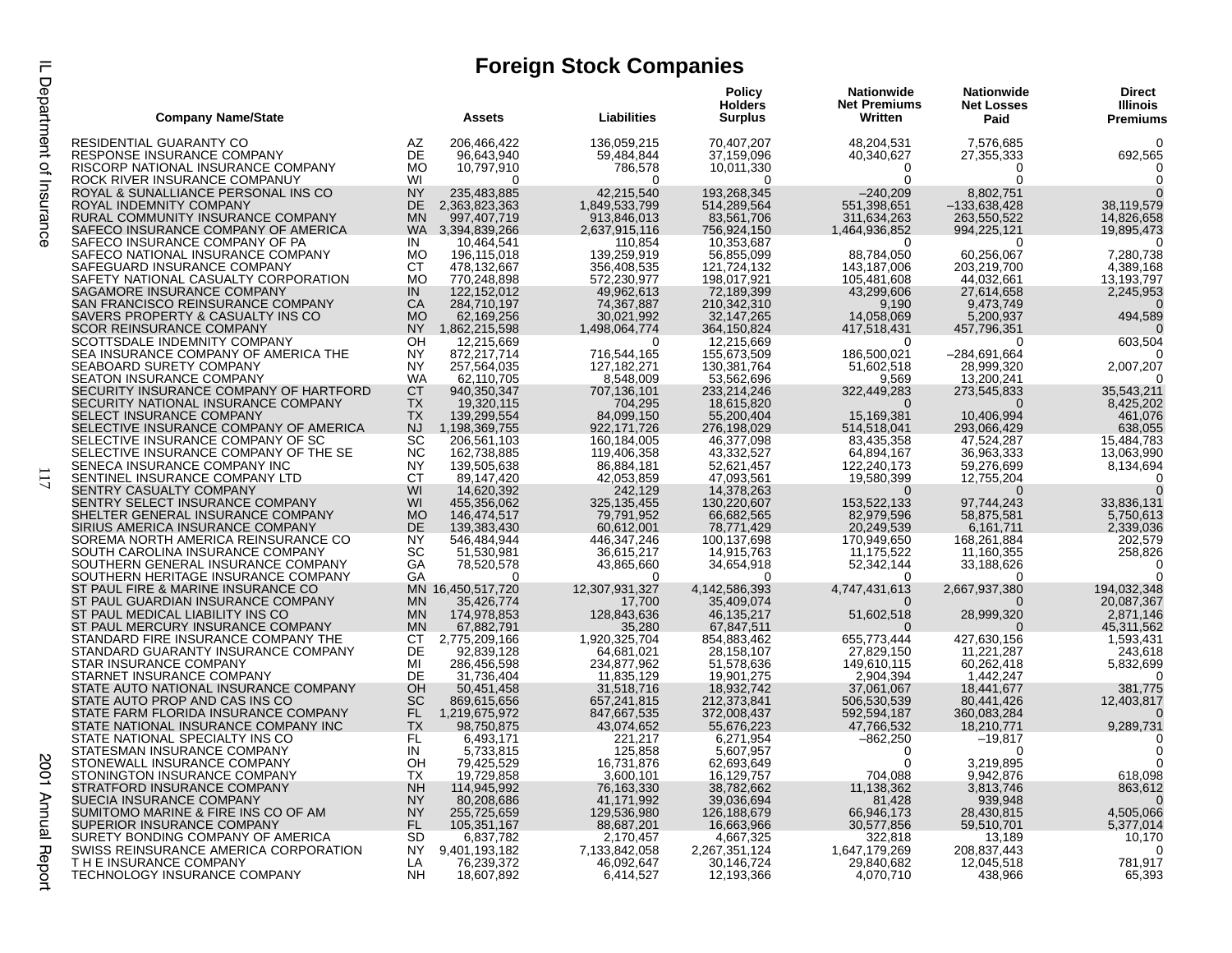$11\,$ 

| RESIDENTIAL GUARANTY CO<br>206,466,422<br>136,059,215<br>70,407,207<br>48,204,531<br>7,576,685<br>AΖ<br>0<br>RESPONSE INSURANCE COMPANY<br>DE<br>96,643,940<br>37,159,096<br>59,484,844<br>692,565<br>40,340,627<br>27,355,333<br>RISCORP NATIONAL INSURANCE COMPANY<br><b>MO</b><br>10,797,910<br>786,578<br>10,011,330<br>∩<br><sup>0</sup><br>$\Omega$<br>ROCK RIVER INSURANCE COMPANUY<br>WI<br>$\Omega$<br>$\Omega$<br>$\Omega$<br>∩<br>ROYAL & SUNALLIANCE PERSONAL INS CO<br><b>NY</b><br>42,215,540<br>193,268,345<br>$-240,209$<br>235,483,885<br>8,802,751<br>ROYAL INDEMNITY COMPANY<br>514,289,564<br><b>DE</b><br>2,363,823,363<br>1,849,533,799<br>551,398,651<br>$-133,638,428$<br>38,119,579<br>RURAL COMMUNITY INSURANCE COMPANY<br><b>MN</b><br>997,407,719<br>83,561,706<br>311,634,263<br>263,550,522<br>913,846,013<br>14,826,658<br>SAFECO INSURANCE COMPANY OF AMERICA<br>3,394,839,266<br>756,924,150<br><b>WA</b><br>2,637,915,116<br>1,464,936,852<br>994.225.121<br>19,895,473<br>SAFECO INSURANCE COMPANY OF PA<br>10,464,541<br>10,353,687<br>IN<br>110,854<br>0<br>0<br>C<br>SAFECO NATIONAL INSURANCE COMPANY<br>MO<br>196,115,018<br>139,259,919<br>56,855,099<br>88,784,050<br>60,256,067<br>7,280,738<br>SAFEGUARD INSURANCE COMPANY<br>356,408,535<br>203,219,700<br>4,389,168<br>СT<br>478,132,667<br>121,724,132<br>143,187,006<br>SAFETY NATIONAL CASUALTY CORPORATION<br>770,248,898<br><b>MO</b><br>572,230,977<br>198,017,921<br>105,481,608<br>44,032,661<br>13,193,797<br>SAGAMORE INSURANCE COMPANY<br>122, 152, 012<br>49,962,613<br>72,189,399<br>43,299,606<br>27,614,658<br>2,245,953<br>IN<br>SAN FRANCISCO REINSURANCE COMPANY<br>CA<br>284,710,197<br>74,367,887<br>210,342,310<br>9,473,749<br>9,190<br>SAVERS PROPERTY & CASUALTY INS CO<br>30,021,992<br>32,147,265<br><b>MO</b><br>62,169,256<br>14,058,069<br>5,200,937<br>494,589<br><b>SCOR REINSURANCE COMPANY</b><br><b>NY</b><br>1,862,215,598<br>1,498,064,774<br>364,150,824<br>417,518,431<br>457,796,351<br>SCOTTSDALE INDEMNITY COMPANY<br>OΗ<br>603,504<br>12,215,669<br>12,215,669<br>$\Omega$<br>∩<br>0<br>SEA INSURANCE COMPANY OF AMERICA THE<br>NY<br>872,217,714<br>716,544,165<br>155,673,509<br>186,500,021<br>–284,691,664<br>SEABOARD SURETY COMPANY<br>127, 182, 271<br><b>NY</b><br>257,564,035<br>130,381,764<br>28,999,320<br>2,007,207<br>51,602,518<br>SEATON INSURANCE COMPANY<br><b>WA</b><br>53,562,696<br>13,200,241<br>62,110,705<br>8,548,009<br>9,569<br>SECURITY INSURANCE COMPANY OF HARTFORD<br><b>CT</b><br>940,350,347<br>707,136,101<br>233,214,246<br>322,449,283<br>273,545,833<br>35,543,211<br>SECURITY NATIONAL INSURANCE COMPANY<br>SELECT INSURANCE COMPANY<br><b>TX</b><br>19.320.115<br>704.295<br>18,615,820<br>8,425,202<br>$\Omega$<br>C<br><b>TX</b><br>139,299,554<br>84,099,150<br>55,200,404<br>461,076<br>15,169,381<br>10,406,994<br>SELECTIVE INSURANCE COMPANY OF AMERICA<br><b>NJ</b><br>1,198,369,755<br>922,171,726<br>276,198,029<br>514,518,041<br>293,066,429<br>638,055<br>SELECTIVE INSURANCE COMPANY OF SC<br>SELECTIVE INSURANCE COMPANY OF THE SE<br>206,561,103<br>15,484,783<br>SC<br>160,184,005<br>46,377,098<br>83,435,358<br>47,524,287<br><b>NC</b><br>162,738,885<br>119,406,358<br>43,332,527<br>64,894,167<br>13,063,990<br>36,963,333<br>SENECA INSURANCE COMPANY INC<br>NY<br>52,621,457<br>59,276,699<br>8,134,694<br>139,505,638<br>86,884,181<br>122,240,173<br>SENTINEL INSURANCE COMPANY LTD<br><b>CT</b><br>89,147,420<br>42,053,859<br>47,093,561<br>19,580,399<br>12,755,204<br>C<br>SENTRY CASUALTY COMPANY<br>WI<br>14,620,392<br>242,129<br>14,378,263<br>$\Omega$<br>$\Omega$<br>SENTRY SELECT INSURANCE COMPANY<br>WI<br>33,836,131<br>455,356,062<br>325, 135, 455<br>130,220,607<br>153,522,133<br>97,744,243<br>SHELTER GENERAL INSURANCE COMPANY<br><b>MO</b><br>79,791,952<br>66,682,565<br>82,979,596<br>58,875,581<br>5,750,613<br>146,474,517<br>SIRIUS AMERICA INSURANCE COMPANY<br><b>DE</b><br>139,383,430<br>60,612,001<br>78,771,429<br>20,249,539<br>6,161,711<br>2,339,036<br>SOREMA NORTH AMERICA REINSURANCE CO<br>NY<br>546,484,944<br>446,347,246<br>100,137,698<br>170,949,650<br>168,261,884<br>202,579<br>SOUTH CAROLINA INSURANCE COMPANY<br><b>SC</b><br>258,826<br>51,530,981<br>36,615,217<br>14,915,763<br>11,175,522<br>11,160,355<br>SOUTHERN GENERAL INSURANCE COMPANY<br>GA<br>34,654,918<br>78,520,578<br>43,865,660<br>52,342,144<br>33,188,626<br>SOUTHERN HERITAGE INSURANCE COMPANY<br>GA<br>$\Omega$<br>$\Omega$<br>$\cap$<br>ST PAUL FIRE & MARINE INSURANCE CO<br><b>MN</b><br>194,032,348<br>16,450,517,720<br>12,307,931,327<br>4,142,586,393<br>4,747,431,613<br>2,667,937,380<br>ST PAUL GUARDIAN INSURANCE COMPANY<br><b>MN</b><br>35,426,774<br>17,700<br>35,409,074<br>20,087,367<br>ST PAUL MEDICAL LIABILITY INS CO<br>174,978,853<br>46,135,217<br><b>MN</b><br>128,843,636<br>51,602,518<br>28,999,320<br>2,871,146<br>ST PAUL MERCURY INSURANCE COMPANY<br><b>MN</b><br>67,882,791<br>35,280<br>67,847,511<br>45,311,562<br>STANDARD FIRE INSURANCE COMPANY THE<br>2,775,209,166<br>1,920,325,704<br>854,883,462<br>655,773,444<br>427,630,156<br>CТ<br>1,593,431<br>STANDARD GUARANTY INSURANCE COMPANY<br>DE<br>92,839,128<br>64,681,021<br>28,158,107<br>27,829,150<br>11,221,287<br>243,618<br>STAR INSURANCE COMPANY<br>MI<br>286,456,598<br>234,877,962<br>51,578,636<br>149,610,115<br>60,262,418<br>5,832,699<br>STARNET INSURANCE COMPANY<br>DE<br>31,736,404<br>11,835,129<br>19,901,275<br>2,904,394<br>1,442,247<br>C<br>STATE AUTO NATIONAL INSURANCE COMPANY<br>31,518,716<br>18,932,742<br>OH<br>50,451,458<br>37,061,067<br>18,441,677<br>381,775<br>STATE AUTO PROP AND CAS INS CO<br><b>SC</b><br>869,615,656<br>657,241,815<br>212,373,841<br>506,530,539<br>80,441,426<br>12,403,817<br>STATE FARM FLORIDA INSURANCE COMPANY<br>FL.<br>1,219,675,972<br>847,667,535<br>372,008,437<br>592,594,187<br>360,083,284<br>STATE NATIONAL INSURANCE COMPANY INC<br>TX<br>98,750,875<br>43,074,652<br>55,676,223<br>47,766,532<br>18,210,771<br>9,289,731<br>STATE NATIONAL SPECIALTY INS CO<br><b>FL</b><br>6,493,171<br>221,217<br>6,271,954<br>–862,250<br>$-19,817$<br>STATESMAN INSURANCE COMPANY<br>125,858<br>IN<br>5,733,815<br>5,607,957<br>$\Omega$<br>∩<br>O<br>STONEWALL INSURANCE COMPANY<br>OH<br>16,731,876<br>79,425,529<br>62,693,649<br>$\Omega$<br>3,219,895<br>STONINGTON INSURANCE COMPANY<br><b>TX</b><br>19,729,858<br>3,600,101<br>16,129,757<br>9.942.876<br>704.088<br>618.098<br>STRATFORD INSURANCE COMPANY<br><b>NH</b><br>114,945,992<br>76,163,330<br>38,782,662<br>11,138,362<br>863,612<br>3,813,746<br>SUECIA INSURANCE COMPANY<br><b>NY</b><br>41,171,992<br>39,036,694<br>939,948<br>80,208,686<br>81,428<br>SUMITOMO MARINE & FIRE INS CO OF AM<br><b>NY</b><br>255,725,659<br>129,536,980<br>126,188,679<br>28,430,815<br>4,505,066<br>66,946,173<br>SUPERIOR INSURANCE COMPANY<br><b>FL</b><br>105,351,167<br>16,663,966<br>59,510,701<br>5,377,014<br>88,687,201<br>30,577,856<br>SURETY BONDING COMPANY OF AMERICA<br>322,818<br>10,170<br>SD<br>6,837,782<br>2,170,457<br>4,667,325<br>13,189<br>SWISS REINSURANCE AMERICA CORPORATION<br>NY<br>9,401,193,182<br>7,133,842,058<br>2,267,351,124<br>1,647,179,269<br>208,837,443<br>C<br>THE INSURANCE COMPANY<br>76,239,372<br>46,092,647<br>30,146,724<br>29.840.682<br>12,045,518<br>781.917<br>LA<br>65,393<br>TECHNOLOGY INSURANCE COMPANY<br><b>NH</b><br>18,607,892<br>6,414,527<br>12,193,366<br>4,070,710<br>438,966 | <b>Company Name/State</b> | <b>Assets</b> | Liabilities | <b>Policy</b><br><b>Holders</b><br><b>Surplus</b> | <b>Nationwide</b><br><b>Net Premiums</b><br>Written | <b>Nationwide</b><br><b>Net Losses</b><br>Paid | <b>Direct</b><br><b>Illinois</b><br><b>Premiums</b> |
|-----------------------------------------------------------------------------------------------------------------------------------------------------------------------------------------------------------------------------------------------------------------------------------------------------------------------------------------------------------------------------------------------------------------------------------------------------------------------------------------------------------------------------------------------------------------------------------------------------------------------------------------------------------------------------------------------------------------------------------------------------------------------------------------------------------------------------------------------------------------------------------------------------------------------------------------------------------------------------------------------------------------------------------------------------------------------------------------------------------------------------------------------------------------------------------------------------------------------------------------------------------------------------------------------------------------------------------------------------------------------------------------------------------------------------------------------------------------------------------------------------------------------------------------------------------------------------------------------------------------------------------------------------------------------------------------------------------------------------------------------------------------------------------------------------------------------------------------------------------------------------------------------------------------------------------------------------------------------------------------------------------------------------------------------------------------------------------------------------------------------------------------------------------------------------------------------------------------------------------------------------------------------------------------------------------------------------------------------------------------------------------------------------------------------------------------------------------------------------------------------------------------------------------------------------------------------------------------------------------------------------------------------------------------------------------------------------------------------------------------------------------------------------------------------------------------------------------------------------------------------------------------------------------------------------------------------------------------------------------------------------------------------------------------------------------------------------------------------------------------------------------------------------------------------------------------------------------------------------------------------------------------------------------------------------------------------------------------------------------------------------------------------------------------------------------------------------------------------------------------------------------------------------------------------------------------------------------------------------------------------------------------------------------------------------------------------------------------------------------------------------------------------------------------------------------------------------------------------------------------------------------------------------------------------------------------------------------------------------------------------------------------------------------------------------------------------------------------------------------------------------------------------------------------------------------------------------------------------------------------------------------------------------------------------------------------------------------------------------------------------------------------------------------------------------------------------------------------------------------------------------------------------------------------------------------------------------------------------------------------------------------------------------------------------------------------------------------------------------------------------------------------------------------------------------------------------------------------------------------------------------------------------------------------------------------------------------------------------------------------------------------------------------------------------------------------------------------------------------------------------------------------------------------------------------------------------------------------------------------------------------------------------------------------------------------------------------------------------------------------------------------------------------------------------------------------------------------------------------------------------------------------------------------------------------------------------------------------------------------------------------------------------------------------------------------------------------------------------------------------------------------------------------------------------------------------------------------------------------------------------------------------------------------------------------------------------------------------------------------------------------------------------------------------------------------------------------------------------------------------------------------------------------------------------------------------------------------------------------------------------------------------------------------------------------------------------------------------------------------------------------------------------------------------------------------------------------------------------------------------------------------------------------------------------------------------------------------------------------------------------------------------------------------------------------------------------------------------------------------------------------------------------------------------------------------------------------------------------------------------------------------------------------------------------------------------------------------------------------------------------------------------------------------------------------------------------------------------------------------------------------------------------------------------------------------------------------------------------------------------------------------------------------------------------------------------------------------------------------------------------------------------------------------------------------------------------------------------------------------------------------------------------------------------------------------------------------------------------|---------------------------|---------------|-------------|---------------------------------------------------|-----------------------------------------------------|------------------------------------------------|-----------------------------------------------------|
|                                                                                                                                                                                                                                                                                                                                                                                                                                                                                                                                                                                                                                                                                                                                                                                                                                                                                                                                                                                                                                                                                                                                                                                                                                                                                                                                                                                                                                                                                                                                                                                                                                                                                                                                                                                                                                                                                                                                                                                                                                                                                                                                                                                                                                                                                                                                                                                                                                                                                                                                                                                                                                                                                                                                                                                                                                                                                                                                                                                                                                                                                                                                                                                                                                                                                                                                                                                                                                                                                                                                                                                                                                                                                                                                                                                                                                                                                                                                                                                                                                                                                                                                                                                                                                                                                                                                                                                                                                                                                                                                                                                                                                                                                                                                                                                                                                                                                                                                                                                                                                                                                                                                                                                                                                                                                                                                                                                                                                                                                                                                                                                                                                                                                                                                                                                                                                                                                                                                                                                                                                                                                                                                                                                                                                                                                                                                                                                                                                                                                                                                                                                                                                                                                                                                                                                                                                                                                                                                                                                                                                                                                                                                                                                                                                                                                                                                                                                                                                                                                                                                                                                               |                           |               |             |                                                   |                                                     |                                                |                                                     |
|                                                                                                                                                                                                                                                                                                                                                                                                                                                                                                                                                                                                                                                                                                                                                                                                                                                                                                                                                                                                                                                                                                                                                                                                                                                                                                                                                                                                                                                                                                                                                                                                                                                                                                                                                                                                                                                                                                                                                                                                                                                                                                                                                                                                                                                                                                                                                                                                                                                                                                                                                                                                                                                                                                                                                                                                                                                                                                                                                                                                                                                                                                                                                                                                                                                                                                                                                                                                                                                                                                                                                                                                                                                                                                                                                                                                                                                                                                                                                                                                                                                                                                                                                                                                                                                                                                                                                                                                                                                                                                                                                                                                                                                                                                                                                                                                                                                                                                                                                                                                                                                                                                                                                                                                                                                                                                                                                                                                                                                                                                                                                                                                                                                                                                                                                                                                                                                                                                                                                                                                                                                                                                                                                                                                                                                                                                                                                                                                                                                                                                                                                                                                                                                                                                                                                                                                                                                                                                                                                                                                                                                                                                                                                                                                                                                                                                                                                                                                                                                                                                                                                                                               |                           |               |             |                                                   |                                                     |                                                |                                                     |
|                                                                                                                                                                                                                                                                                                                                                                                                                                                                                                                                                                                                                                                                                                                                                                                                                                                                                                                                                                                                                                                                                                                                                                                                                                                                                                                                                                                                                                                                                                                                                                                                                                                                                                                                                                                                                                                                                                                                                                                                                                                                                                                                                                                                                                                                                                                                                                                                                                                                                                                                                                                                                                                                                                                                                                                                                                                                                                                                                                                                                                                                                                                                                                                                                                                                                                                                                                                                                                                                                                                                                                                                                                                                                                                                                                                                                                                                                                                                                                                                                                                                                                                                                                                                                                                                                                                                                                                                                                                                                                                                                                                                                                                                                                                                                                                                                                                                                                                                                                                                                                                                                                                                                                                                                                                                                                                                                                                                                                                                                                                                                                                                                                                                                                                                                                                                                                                                                                                                                                                                                                                                                                                                                                                                                                                                                                                                                                                                                                                                                                                                                                                                                                                                                                                                                                                                                                                                                                                                                                                                                                                                                                                                                                                                                                                                                                                                                                                                                                                                                                                                                                                               |                           |               |             |                                                   |                                                     |                                                |                                                     |
|                                                                                                                                                                                                                                                                                                                                                                                                                                                                                                                                                                                                                                                                                                                                                                                                                                                                                                                                                                                                                                                                                                                                                                                                                                                                                                                                                                                                                                                                                                                                                                                                                                                                                                                                                                                                                                                                                                                                                                                                                                                                                                                                                                                                                                                                                                                                                                                                                                                                                                                                                                                                                                                                                                                                                                                                                                                                                                                                                                                                                                                                                                                                                                                                                                                                                                                                                                                                                                                                                                                                                                                                                                                                                                                                                                                                                                                                                                                                                                                                                                                                                                                                                                                                                                                                                                                                                                                                                                                                                                                                                                                                                                                                                                                                                                                                                                                                                                                                                                                                                                                                                                                                                                                                                                                                                                                                                                                                                                                                                                                                                                                                                                                                                                                                                                                                                                                                                                                                                                                                                                                                                                                                                                                                                                                                                                                                                                                                                                                                                                                                                                                                                                                                                                                                                                                                                                                                                                                                                                                                                                                                                                                                                                                                                                                                                                                                                                                                                                                                                                                                                                                               |                           |               |             |                                                   |                                                     |                                                |                                                     |
|                                                                                                                                                                                                                                                                                                                                                                                                                                                                                                                                                                                                                                                                                                                                                                                                                                                                                                                                                                                                                                                                                                                                                                                                                                                                                                                                                                                                                                                                                                                                                                                                                                                                                                                                                                                                                                                                                                                                                                                                                                                                                                                                                                                                                                                                                                                                                                                                                                                                                                                                                                                                                                                                                                                                                                                                                                                                                                                                                                                                                                                                                                                                                                                                                                                                                                                                                                                                                                                                                                                                                                                                                                                                                                                                                                                                                                                                                                                                                                                                                                                                                                                                                                                                                                                                                                                                                                                                                                                                                                                                                                                                                                                                                                                                                                                                                                                                                                                                                                                                                                                                                                                                                                                                                                                                                                                                                                                                                                                                                                                                                                                                                                                                                                                                                                                                                                                                                                                                                                                                                                                                                                                                                                                                                                                                                                                                                                                                                                                                                                                                                                                                                                                                                                                                                                                                                                                                                                                                                                                                                                                                                                                                                                                                                                                                                                                                                                                                                                                                                                                                                                                               |                           |               |             |                                                   |                                                     |                                                |                                                     |
|                                                                                                                                                                                                                                                                                                                                                                                                                                                                                                                                                                                                                                                                                                                                                                                                                                                                                                                                                                                                                                                                                                                                                                                                                                                                                                                                                                                                                                                                                                                                                                                                                                                                                                                                                                                                                                                                                                                                                                                                                                                                                                                                                                                                                                                                                                                                                                                                                                                                                                                                                                                                                                                                                                                                                                                                                                                                                                                                                                                                                                                                                                                                                                                                                                                                                                                                                                                                                                                                                                                                                                                                                                                                                                                                                                                                                                                                                                                                                                                                                                                                                                                                                                                                                                                                                                                                                                                                                                                                                                                                                                                                                                                                                                                                                                                                                                                                                                                                                                                                                                                                                                                                                                                                                                                                                                                                                                                                                                                                                                                                                                                                                                                                                                                                                                                                                                                                                                                                                                                                                                                                                                                                                                                                                                                                                                                                                                                                                                                                                                                                                                                                                                                                                                                                                                                                                                                                                                                                                                                                                                                                                                                                                                                                                                                                                                                                                                                                                                                                                                                                                                                               |                           |               |             |                                                   |                                                     |                                                |                                                     |
|                                                                                                                                                                                                                                                                                                                                                                                                                                                                                                                                                                                                                                                                                                                                                                                                                                                                                                                                                                                                                                                                                                                                                                                                                                                                                                                                                                                                                                                                                                                                                                                                                                                                                                                                                                                                                                                                                                                                                                                                                                                                                                                                                                                                                                                                                                                                                                                                                                                                                                                                                                                                                                                                                                                                                                                                                                                                                                                                                                                                                                                                                                                                                                                                                                                                                                                                                                                                                                                                                                                                                                                                                                                                                                                                                                                                                                                                                                                                                                                                                                                                                                                                                                                                                                                                                                                                                                                                                                                                                                                                                                                                                                                                                                                                                                                                                                                                                                                                                                                                                                                                                                                                                                                                                                                                                                                                                                                                                                                                                                                                                                                                                                                                                                                                                                                                                                                                                                                                                                                                                                                                                                                                                                                                                                                                                                                                                                                                                                                                                                                                                                                                                                                                                                                                                                                                                                                                                                                                                                                                                                                                                                                                                                                                                                                                                                                                                                                                                                                                                                                                                                                               |                           |               |             |                                                   |                                                     |                                                |                                                     |
|                                                                                                                                                                                                                                                                                                                                                                                                                                                                                                                                                                                                                                                                                                                                                                                                                                                                                                                                                                                                                                                                                                                                                                                                                                                                                                                                                                                                                                                                                                                                                                                                                                                                                                                                                                                                                                                                                                                                                                                                                                                                                                                                                                                                                                                                                                                                                                                                                                                                                                                                                                                                                                                                                                                                                                                                                                                                                                                                                                                                                                                                                                                                                                                                                                                                                                                                                                                                                                                                                                                                                                                                                                                                                                                                                                                                                                                                                                                                                                                                                                                                                                                                                                                                                                                                                                                                                                                                                                                                                                                                                                                                                                                                                                                                                                                                                                                                                                                                                                                                                                                                                                                                                                                                                                                                                                                                                                                                                                                                                                                                                                                                                                                                                                                                                                                                                                                                                                                                                                                                                                                                                                                                                                                                                                                                                                                                                                                                                                                                                                                                                                                                                                                                                                                                                                                                                                                                                                                                                                                                                                                                                                                                                                                                                                                                                                                                                                                                                                                                                                                                                                                               |                           |               |             |                                                   |                                                     |                                                |                                                     |
|                                                                                                                                                                                                                                                                                                                                                                                                                                                                                                                                                                                                                                                                                                                                                                                                                                                                                                                                                                                                                                                                                                                                                                                                                                                                                                                                                                                                                                                                                                                                                                                                                                                                                                                                                                                                                                                                                                                                                                                                                                                                                                                                                                                                                                                                                                                                                                                                                                                                                                                                                                                                                                                                                                                                                                                                                                                                                                                                                                                                                                                                                                                                                                                                                                                                                                                                                                                                                                                                                                                                                                                                                                                                                                                                                                                                                                                                                                                                                                                                                                                                                                                                                                                                                                                                                                                                                                                                                                                                                                                                                                                                                                                                                                                                                                                                                                                                                                                                                                                                                                                                                                                                                                                                                                                                                                                                                                                                                                                                                                                                                                                                                                                                                                                                                                                                                                                                                                                                                                                                                                                                                                                                                                                                                                                                                                                                                                                                                                                                                                                                                                                                                                                                                                                                                                                                                                                                                                                                                                                                                                                                                                                                                                                                                                                                                                                                                                                                                                                                                                                                                                                               |                           |               |             |                                                   |                                                     |                                                |                                                     |
|                                                                                                                                                                                                                                                                                                                                                                                                                                                                                                                                                                                                                                                                                                                                                                                                                                                                                                                                                                                                                                                                                                                                                                                                                                                                                                                                                                                                                                                                                                                                                                                                                                                                                                                                                                                                                                                                                                                                                                                                                                                                                                                                                                                                                                                                                                                                                                                                                                                                                                                                                                                                                                                                                                                                                                                                                                                                                                                                                                                                                                                                                                                                                                                                                                                                                                                                                                                                                                                                                                                                                                                                                                                                                                                                                                                                                                                                                                                                                                                                                                                                                                                                                                                                                                                                                                                                                                                                                                                                                                                                                                                                                                                                                                                                                                                                                                                                                                                                                                                                                                                                                                                                                                                                                                                                                                                                                                                                                                                                                                                                                                                                                                                                                                                                                                                                                                                                                                                                                                                                                                                                                                                                                                                                                                                                                                                                                                                                                                                                                                                                                                                                                                                                                                                                                                                                                                                                                                                                                                                                                                                                                                                                                                                                                                                                                                                                                                                                                                                                                                                                                                                               |                           |               |             |                                                   |                                                     |                                                |                                                     |
|                                                                                                                                                                                                                                                                                                                                                                                                                                                                                                                                                                                                                                                                                                                                                                                                                                                                                                                                                                                                                                                                                                                                                                                                                                                                                                                                                                                                                                                                                                                                                                                                                                                                                                                                                                                                                                                                                                                                                                                                                                                                                                                                                                                                                                                                                                                                                                                                                                                                                                                                                                                                                                                                                                                                                                                                                                                                                                                                                                                                                                                                                                                                                                                                                                                                                                                                                                                                                                                                                                                                                                                                                                                                                                                                                                                                                                                                                                                                                                                                                                                                                                                                                                                                                                                                                                                                                                                                                                                                                                                                                                                                                                                                                                                                                                                                                                                                                                                                                                                                                                                                                                                                                                                                                                                                                                                                                                                                                                                                                                                                                                                                                                                                                                                                                                                                                                                                                                                                                                                                                                                                                                                                                                                                                                                                                                                                                                                                                                                                                                                                                                                                                                                                                                                                                                                                                                                                                                                                                                                                                                                                                                                                                                                                                                                                                                                                                                                                                                                                                                                                                                                               |                           |               |             |                                                   |                                                     |                                                |                                                     |
|                                                                                                                                                                                                                                                                                                                                                                                                                                                                                                                                                                                                                                                                                                                                                                                                                                                                                                                                                                                                                                                                                                                                                                                                                                                                                                                                                                                                                                                                                                                                                                                                                                                                                                                                                                                                                                                                                                                                                                                                                                                                                                                                                                                                                                                                                                                                                                                                                                                                                                                                                                                                                                                                                                                                                                                                                                                                                                                                                                                                                                                                                                                                                                                                                                                                                                                                                                                                                                                                                                                                                                                                                                                                                                                                                                                                                                                                                                                                                                                                                                                                                                                                                                                                                                                                                                                                                                                                                                                                                                                                                                                                                                                                                                                                                                                                                                                                                                                                                                                                                                                                                                                                                                                                                                                                                                                                                                                                                                                                                                                                                                                                                                                                                                                                                                                                                                                                                                                                                                                                                                                                                                                                                                                                                                                                                                                                                                                                                                                                                                                                                                                                                                                                                                                                                                                                                                                                                                                                                                                                                                                                                                                                                                                                                                                                                                                                                                                                                                                                                                                                                                                               |                           |               |             |                                                   |                                                     |                                                |                                                     |
|                                                                                                                                                                                                                                                                                                                                                                                                                                                                                                                                                                                                                                                                                                                                                                                                                                                                                                                                                                                                                                                                                                                                                                                                                                                                                                                                                                                                                                                                                                                                                                                                                                                                                                                                                                                                                                                                                                                                                                                                                                                                                                                                                                                                                                                                                                                                                                                                                                                                                                                                                                                                                                                                                                                                                                                                                                                                                                                                                                                                                                                                                                                                                                                                                                                                                                                                                                                                                                                                                                                                                                                                                                                                                                                                                                                                                                                                                                                                                                                                                                                                                                                                                                                                                                                                                                                                                                                                                                                                                                                                                                                                                                                                                                                                                                                                                                                                                                                                                                                                                                                                                                                                                                                                                                                                                                                                                                                                                                                                                                                                                                                                                                                                                                                                                                                                                                                                                                                                                                                                                                                                                                                                                                                                                                                                                                                                                                                                                                                                                                                                                                                                                                                                                                                                                                                                                                                                                                                                                                                                                                                                                                                                                                                                                                                                                                                                                                                                                                                                                                                                                                                               |                           |               |             |                                                   |                                                     |                                                |                                                     |
|                                                                                                                                                                                                                                                                                                                                                                                                                                                                                                                                                                                                                                                                                                                                                                                                                                                                                                                                                                                                                                                                                                                                                                                                                                                                                                                                                                                                                                                                                                                                                                                                                                                                                                                                                                                                                                                                                                                                                                                                                                                                                                                                                                                                                                                                                                                                                                                                                                                                                                                                                                                                                                                                                                                                                                                                                                                                                                                                                                                                                                                                                                                                                                                                                                                                                                                                                                                                                                                                                                                                                                                                                                                                                                                                                                                                                                                                                                                                                                                                                                                                                                                                                                                                                                                                                                                                                                                                                                                                                                                                                                                                                                                                                                                                                                                                                                                                                                                                                                                                                                                                                                                                                                                                                                                                                                                                                                                                                                                                                                                                                                                                                                                                                                                                                                                                                                                                                                                                                                                                                                                                                                                                                                                                                                                                                                                                                                                                                                                                                                                                                                                                                                                                                                                                                                                                                                                                                                                                                                                                                                                                                                                                                                                                                                                                                                                                                                                                                                                                                                                                                                                               |                           |               |             |                                                   |                                                     |                                                |                                                     |
|                                                                                                                                                                                                                                                                                                                                                                                                                                                                                                                                                                                                                                                                                                                                                                                                                                                                                                                                                                                                                                                                                                                                                                                                                                                                                                                                                                                                                                                                                                                                                                                                                                                                                                                                                                                                                                                                                                                                                                                                                                                                                                                                                                                                                                                                                                                                                                                                                                                                                                                                                                                                                                                                                                                                                                                                                                                                                                                                                                                                                                                                                                                                                                                                                                                                                                                                                                                                                                                                                                                                                                                                                                                                                                                                                                                                                                                                                                                                                                                                                                                                                                                                                                                                                                                                                                                                                                                                                                                                                                                                                                                                                                                                                                                                                                                                                                                                                                                                                                                                                                                                                                                                                                                                                                                                                                                                                                                                                                                                                                                                                                                                                                                                                                                                                                                                                                                                                                                                                                                                                                                                                                                                                                                                                                                                                                                                                                                                                                                                                                                                                                                                                                                                                                                                                                                                                                                                                                                                                                                                                                                                                                                                                                                                                                                                                                                                                                                                                                                                                                                                                                                               |                           |               |             |                                                   |                                                     |                                                |                                                     |
|                                                                                                                                                                                                                                                                                                                                                                                                                                                                                                                                                                                                                                                                                                                                                                                                                                                                                                                                                                                                                                                                                                                                                                                                                                                                                                                                                                                                                                                                                                                                                                                                                                                                                                                                                                                                                                                                                                                                                                                                                                                                                                                                                                                                                                                                                                                                                                                                                                                                                                                                                                                                                                                                                                                                                                                                                                                                                                                                                                                                                                                                                                                                                                                                                                                                                                                                                                                                                                                                                                                                                                                                                                                                                                                                                                                                                                                                                                                                                                                                                                                                                                                                                                                                                                                                                                                                                                                                                                                                                                                                                                                                                                                                                                                                                                                                                                                                                                                                                                                                                                                                                                                                                                                                                                                                                                                                                                                                                                                                                                                                                                                                                                                                                                                                                                                                                                                                                                                                                                                                                                                                                                                                                                                                                                                                                                                                                                                                                                                                                                                                                                                                                                                                                                                                                                                                                                                                                                                                                                                                                                                                                                                                                                                                                                                                                                                                                                                                                                                                                                                                                                                               |                           |               |             |                                                   |                                                     |                                                |                                                     |
|                                                                                                                                                                                                                                                                                                                                                                                                                                                                                                                                                                                                                                                                                                                                                                                                                                                                                                                                                                                                                                                                                                                                                                                                                                                                                                                                                                                                                                                                                                                                                                                                                                                                                                                                                                                                                                                                                                                                                                                                                                                                                                                                                                                                                                                                                                                                                                                                                                                                                                                                                                                                                                                                                                                                                                                                                                                                                                                                                                                                                                                                                                                                                                                                                                                                                                                                                                                                                                                                                                                                                                                                                                                                                                                                                                                                                                                                                                                                                                                                                                                                                                                                                                                                                                                                                                                                                                                                                                                                                                                                                                                                                                                                                                                                                                                                                                                                                                                                                                                                                                                                                                                                                                                                                                                                                                                                                                                                                                                                                                                                                                                                                                                                                                                                                                                                                                                                                                                                                                                                                                                                                                                                                                                                                                                                                                                                                                                                                                                                                                                                                                                                                                                                                                                                                                                                                                                                                                                                                                                                                                                                                                                                                                                                                                                                                                                                                                                                                                                                                                                                                                                               |                           |               |             |                                                   |                                                     |                                                |                                                     |
|                                                                                                                                                                                                                                                                                                                                                                                                                                                                                                                                                                                                                                                                                                                                                                                                                                                                                                                                                                                                                                                                                                                                                                                                                                                                                                                                                                                                                                                                                                                                                                                                                                                                                                                                                                                                                                                                                                                                                                                                                                                                                                                                                                                                                                                                                                                                                                                                                                                                                                                                                                                                                                                                                                                                                                                                                                                                                                                                                                                                                                                                                                                                                                                                                                                                                                                                                                                                                                                                                                                                                                                                                                                                                                                                                                                                                                                                                                                                                                                                                                                                                                                                                                                                                                                                                                                                                                                                                                                                                                                                                                                                                                                                                                                                                                                                                                                                                                                                                                                                                                                                                                                                                                                                                                                                                                                                                                                                                                                                                                                                                                                                                                                                                                                                                                                                                                                                                                                                                                                                                                                                                                                                                                                                                                                                                                                                                                                                                                                                                                                                                                                                                                                                                                                                                                                                                                                                                                                                                                                                                                                                                                                                                                                                                                                                                                                                                                                                                                                                                                                                                                                               |                           |               |             |                                                   |                                                     |                                                |                                                     |
|                                                                                                                                                                                                                                                                                                                                                                                                                                                                                                                                                                                                                                                                                                                                                                                                                                                                                                                                                                                                                                                                                                                                                                                                                                                                                                                                                                                                                                                                                                                                                                                                                                                                                                                                                                                                                                                                                                                                                                                                                                                                                                                                                                                                                                                                                                                                                                                                                                                                                                                                                                                                                                                                                                                                                                                                                                                                                                                                                                                                                                                                                                                                                                                                                                                                                                                                                                                                                                                                                                                                                                                                                                                                                                                                                                                                                                                                                                                                                                                                                                                                                                                                                                                                                                                                                                                                                                                                                                                                                                                                                                                                                                                                                                                                                                                                                                                                                                                                                                                                                                                                                                                                                                                                                                                                                                                                                                                                                                                                                                                                                                                                                                                                                                                                                                                                                                                                                                                                                                                                                                                                                                                                                                                                                                                                                                                                                                                                                                                                                                                                                                                                                                                                                                                                                                                                                                                                                                                                                                                                                                                                                                                                                                                                                                                                                                                                                                                                                                                                                                                                                                                               |                           |               |             |                                                   |                                                     |                                                |                                                     |
|                                                                                                                                                                                                                                                                                                                                                                                                                                                                                                                                                                                                                                                                                                                                                                                                                                                                                                                                                                                                                                                                                                                                                                                                                                                                                                                                                                                                                                                                                                                                                                                                                                                                                                                                                                                                                                                                                                                                                                                                                                                                                                                                                                                                                                                                                                                                                                                                                                                                                                                                                                                                                                                                                                                                                                                                                                                                                                                                                                                                                                                                                                                                                                                                                                                                                                                                                                                                                                                                                                                                                                                                                                                                                                                                                                                                                                                                                                                                                                                                                                                                                                                                                                                                                                                                                                                                                                                                                                                                                                                                                                                                                                                                                                                                                                                                                                                                                                                                                                                                                                                                                                                                                                                                                                                                                                                                                                                                                                                                                                                                                                                                                                                                                                                                                                                                                                                                                                                                                                                                                                                                                                                                                                                                                                                                                                                                                                                                                                                                                                                                                                                                                                                                                                                                                                                                                                                                                                                                                                                                                                                                                                                                                                                                                                                                                                                                                                                                                                                                                                                                                                                               |                           |               |             |                                                   |                                                     |                                                |                                                     |
|                                                                                                                                                                                                                                                                                                                                                                                                                                                                                                                                                                                                                                                                                                                                                                                                                                                                                                                                                                                                                                                                                                                                                                                                                                                                                                                                                                                                                                                                                                                                                                                                                                                                                                                                                                                                                                                                                                                                                                                                                                                                                                                                                                                                                                                                                                                                                                                                                                                                                                                                                                                                                                                                                                                                                                                                                                                                                                                                                                                                                                                                                                                                                                                                                                                                                                                                                                                                                                                                                                                                                                                                                                                                                                                                                                                                                                                                                                                                                                                                                                                                                                                                                                                                                                                                                                                                                                                                                                                                                                                                                                                                                                                                                                                                                                                                                                                                                                                                                                                                                                                                                                                                                                                                                                                                                                                                                                                                                                                                                                                                                                                                                                                                                                                                                                                                                                                                                                                                                                                                                                                                                                                                                                                                                                                                                                                                                                                                                                                                                                                                                                                                                                                                                                                                                                                                                                                                                                                                                                                                                                                                                                                                                                                                                                                                                                                                                                                                                                                                                                                                                                                               |                           |               |             |                                                   |                                                     |                                                |                                                     |
|                                                                                                                                                                                                                                                                                                                                                                                                                                                                                                                                                                                                                                                                                                                                                                                                                                                                                                                                                                                                                                                                                                                                                                                                                                                                                                                                                                                                                                                                                                                                                                                                                                                                                                                                                                                                                                                                                                                                                                                                                                                                                                                                                                                                                                                                                                                                                                                                                                                                                                                                                                                                                                                                                                                                                                                                                                                                                                                                                                                                                                                                                                                                                                                                                                                                                                                                                                                                                                                                                                                                                                                                                                                                                                                                                                                                                                                                                                                                                                                                                                                                                                                                                                                                                                                                                                                                                                                                                                                                                                                                                                                                                                                                                                                                                                                                                                                                                                                                                                                                                                                                                                                                                                                                                                                                                                                                                                                                                                                                                                                                                                                                                                                                                                                                                                                                                                                                                                                                                                                                                                                                                                                                                                                                                                                                                                                                                                                                                                                                                                                                                                                                                                                                                                                                                                                                                                                                                                                                                                                                                                                                                                                                                                                                                                                                                                                                                                                                                                                                                                                                                                                               |                           |               |             |                                                   |                                                     |                                                |                                                     |
|                                                                                                                                                                                                                                                                                                                                                                                                                                                                                                                                                                                                                                                                                                                                                                                                                                                                                                                                                                                                                                                                                                                                                                                                                                                                                                                                                                                                                                                                                                                                                                                                                                                                                                                                                                                                                                                                                                                                                                                                                                                                                                                                                                                                                                                                                                                                                                                                                                                                                                                                                                                                                                                                                                                                                                                                                                                                                                                                                                                                                                                                                                                                                                                                                                                                                                                                                                                                                                                                                                                                                                                                                                                                                                                                                                                                                                                                                                                                                                                                                                                                                                                                                                                                                                                                                                                                                                                                                                                                                                                                                                                                                                                                                                                                                                                                                                                                                                                                                                                                                                                                                                                                                                                                                                                                                                                                                                                                                                                                                                                                                                                                                                                                                                                                                                                                                                                                                                                                                                                                                                                                                                                                                                                                                                                                                                                                                                                                                                                                                                                                                                                                                                                                                                                                                                                                                                                                                                                                                                                                                                                                                                                                                                                                                                                                                                                                                                                                                                                                                                                                                                                               |                           |               |             |                                                   |                                                     |                                                |                                                     |
|                                                                                                                                                                                                                                                                                                                                                                                                                                                                                                                                                                                                                                                                                                                                                                                                                                                                                                                                                                                                                                                                                                                                                                                                                                                                                                                                                                                                                                                                                                                                                                                                                                                                                                                                                                                                                                                                                                                                                                                                                                                                                                                                                                                                                                                                                                                                                                                                                                                                                                                                                                                                                                                                                                                                                                                                                                                                                                                                                                                                                                                                                                                                                                                                                                                                                                                                                                                                                                                                                                                                                                                                                                                                                                                                                                                                                                                                                                                                                                                                                                                                                                                                                                                                                                                                                                                                                                                                                                                                                                                                                                                                                                                                                                                                                                                                                                                                                                                                                                                                                                                                                                                                                                                                                                                                                                                                                                                                                                                                                                                                                                                                                                                                                                                                                                                                                                                                                                                                                                                                                                                                                                                                                                                                                                                                                                                                                                                                                                                                                                                                                                                                                                                                                                                                                                                                                                                                                                                                                                                                                                                                                                                                                                                                                                                                                                                                                                                                                                                                                                                                                                                               |                           |               |             |                                                   |                                                     |                                                |                                                     |
|                                                                                                                                                                                                                                                                                                                                                                                                                                                                                                                                                                                                                                                                                                                                                                                                                                                                                                                                                                                                                                                                                                                                                                                                                                                                                                                                                                                                                                                                                                                                                                                                                                                                                                                                                                                                                                                                                                                                                                                                                                                                                                                                                                                                                                                                                                                                                                                                                                                                                                                                                                                                                                                                                                                                                                                                                                                                                                                                                                                                                                                                                                                                                                                                                                                                                                                                                                                                                                                                                                                                                                                                                                                                                                                                                                                                                                                                                                                                                                                                                                                                                                                                                                                                                                                                                                                                                                                                                                                                                                                                                                                                                                                                                                                                                                                                                                                                                                                                                                                                                                                                                                                                                                                                                                                                                                                                                                                                                                                                                                                                                                                                                                                                                                                                                                                                                                                                                                                                                                                                                                                                                                                                                                                                                                                                                                                                                                                                                                                                                                                                                                                                                                                                                                                                                                                                                                                                                                                                                                                                                                                                                                                                                                                                                                                                                                                                                                                                                                                                                                                                                                                               |                           |               |             |                                                   |                                                     |                                                |                                                     |
|                                                                                                                                                                                                                                                                                                                                                                                                                                                                                                                                                                                                                                                                                                                                                                                                                                                                                                                                                                                                                                                                                                                                                                                                                                                                                                                                                                                                                                                                                                                                                                                                                                                                                                                                                                                                                                                                                                                                                                                                                                                                                                                                                                                                                                                                                                                                                                                                                                                                                                                                                                                                                                                                                                                                                                                                                                                                                                                                                                                                                                                                                                                                                                                                                                                                                                                                                                                                                                                                                                                                                                                                                                                                                                                                                                                                                                                                                                                                                                                                                                                                                                                                                                                                                                                                                                                                                                                                                                                                                                                                                                                                                                                                                                                                                                                                                                                                                                                                                                                                                                                                                                                                                                                                                                                                                                                                                                                                                                                                                                                                                                                                                                                                                                                                                                                                                                                                                                                                                                                                                                                                                                                                                                                                                                                                                                                                                                                                                                                                                                                                                                                                                                                                                                                                                                                                                                                                                                                                                                                                                                                                                                                                                                                                                                                                                                                                                                                                                                                                                                                                                                                               |                           |               |             |                                                   |                                                     |                                                |                                                     |
|                                                                                                                                                                                                                                                                                                                                                                                                                                                                                                                                                                                                                                                                                                                                                                                                                                                                                                                                                                                                                                                                                                                                                                                                                                                                                                                                                                                                                                                                                                                                                                                                                                                                                                                                                                                                                                                                                                                                                                                                                                                                                                                                                                                                                                                                                                                                                                                                                                                                                                                                                                                                                                                                                                                                                                                                                                                                                                                                                                                                                                                                                                                                                                                                                                                                                                                                                                                                                                                                                                                                                                                                                                                                                                                                                                                                                                                                                                                                                                                                                                                                                                                                                                                                                                                                                                                                                                                                                                                                                                                                                                                                                                                                                                                                                                                                                                                                                                                                                                                                                                                                                                                                                                                                                                                                                                                                                                                                                                                                                                                                                                                                                                                                                                                                                                                                                                                                                                                                                                                                                                                                                                                                                                                                                                                                                                                                                                                                                                                                                                                                                                                                                                                                                                                                                                                                                                                                                                                                                                                                                                                                                                                                                                                                                                                                                                                                                                                                                                                                                                                                                                                               |                           |               |             |                                                   |                                                     |                                                |                                                     |
|                                                                                                                                                                                                                                                                                                                                                                                                                                                                                                                                                                                                                                                                                                                                                                                                                                                                                                                                                                                                                                                                                                                                                                                                                                                                                                                                                                                                                                                                                                                                                                                                                                                                                                                                                                                                                                                                                                                                                                                                                                                                                                                                                                                                                                                                                                                                                                                                                                                                                                                                                                                                                                                                                                                                                                                                                                                                                                                                                                                                                                                                                                                                                                                                                                                                                                                                                                                                                                                                                                                                                                                                                                                                                                                                                                                                                                                                                                                                                                                                                                                                                                                                                                                                                                                                                                                                                                                                                                                                                                                                                                                                                                                                                                                                                                                                                                                                                                                                                                                                                                                                                                                                                                                                                                                                                                                                                                                                                                                                                                                                                                                                                                                                                                                                                                                                                                                                                                                                                                                                                                                                                                                                                                                                                                                                                                                                                                                                                                                                                                                                                                                                                                                                                                                                                                                                                                                                                                                                                                                                                                                                                                                                                                                                                                                                                                                                                                                                                                                                                                                                                                                               |                           |               |             |                                                   |                                                     |                                                |                                                     |
|                                                                                                                                                                                                                                                                                                                                                                                                                                                                                                                                                                                                                                                                                                                                                                                                                                                                                                                                                                                                                                                                                                                                                                                                                                                                                                                                                                                                                                                                                                                                                                                                                                                                                                                                                                                                                                                                                                                                                                                                                                                                                                                                                                                                                                                                                                                                                                                                                                                                                                                                                                                                                                                                                                                                                                                                                                                                                                                                                                                                                                                                                                                                                                                                                                                                                                                                                                                                                                                                                                                                                                                                                                                                                                                                                                                                                                                                                                                                                                                                                                                                                                                                                                                                                                                                                                                                                                                                                                                                                                                                                                                                                                                                                                                                                                                                                                                                                                                                                                                                                                                                                                                                                                                                                                                                                                                                                                                                                                                                                                                                                                                                                                                                                                                                                                                                                                                                                                                                                                                                                                                                                                                                                                                                                                                                                                                                                                                                                                                                                                                                                                                                                                                                                                                                                                                                                                                                                                                                                                                                                                                                                                                                                                                                                                                                                                                                                                                                                                                                                                                                                                                               |                           |               |             |                                                   |                                                     |                                                |                                                     |
|                                                                                                                                                                                                                                                                                                                                                                                                                                                                                                                                                                                                                                                                                                                                                                                                                                                                                                                                                                                                                                                                                                                                                                                                                                                                                                                                                                                                                                                                                                                                                                                                                                                                                                                                                                                                                                                                                                                                                                                                                                                                                                                                                                                                                                                                                                                                                                                                                                                                                                                                                                                                                                                                                                                                                                                                                                                                                                                                                                                                                                                                                                                                                                                                                                                                                                                                                                                                                                                                                                                                                                                                                                                                                                                                                                                                                                                                                                                                                                                                                                                                                                                                                                                                                                                                                                                                                                                                                                                                                                                                                                                                                                                                                                                                                                                                                                                                                                                                                                                                                                                                                                                                                                                                                                                                                                                                                                                                                                                                                                                                                                                                                                                                                                                                                                                                                                                                                                                                                                                                                                                                                                                                                                                                                                                                                                                                                                                                                                                                                                                                                                                                                                                                                                                                                                                                                                                                                                                                                                                                                                                                                                                                                                                                                                                                                                                                                                                                                                                                                                                                                                                               |                           |               |             |                                                   |                                                     |                                                |                                                     |
|                                                                                                                                                                                                                                                                                                                                                                                                                                                                                                                                                                                                                                                                                                                                                                                                                                                                                                                                                                                                                                                                                                                                                                                                                                                                                                                                                                                                                                                                                                                                                                                                                                                                                                                                                                                                                                                                                                                                                                                                                                                                                                                                                                                                                                                                                                                                                                                                                                                                                                                                                                                                                                                                                                                                                                                                                                                                                                                                                                                                                                                                                                                                                                                                                                                                                                                                                                                                                                                                                                                                                                                                                                                                                                                                                                                                                                                                                                                                                                                                                                                                                                                                                                                                                                                                                                                                                                                                                                                                                                                                                                                                                                                                                                                                                                                                                                                                                                                                                                                                                                                                                                                                                                                                                                                                                                                                                                                                                                                                                                                                                                                                                                                                                                                                                                                                                                                                                                                                                                                                                                                                                                                                                                                                                                                                                                                                                                                                                                                                                                                                                                                                                                                                                                                                                                                                                                                                                                                                                                                                                                                                                                                                                                                                                                                                                                                                                                                                                                                                                                                                                                                               |                           |               |             |                                                   |                                                     |                                                |                                                     |
|                                                                                                                                                                                                                                                                                                                                                                                                                                                                                                                                                                                                                                                                                                                                                                                                                                                                                                                                                                                                                                                                                                                                                                                                                                                                                                                                                                                                                                                                                                                                                                                                                                                                                                                                                                                                                                                                                                                                                                                                                                                                                                                                                                                                                                                                                                                                                                                                                                                                                                                                                                                                                                                                                                                                                                                                                                                                                                                                                                                                                                                                                                                                                                                                                                                                                                                                                                                                                                                                                                                                                                                                                                                                                                                                                                                                                                                                                                                                                                                                                                                                                                                                                                                                                                                                                                                                                                                                                                                                                                                                                                                                                                                                                                                                                                                                                                                                                                                                                                                                                                                                                                                                                                                                                                                                                                                                                                                                                                                                                                                                                                                                                                                                                                                                                                                                                                                                                                                                                                                                                                                                                                                                                                                                                                                                                                                                                                                                                                                                                                                                                                                                                                                                                                                                                                                                                                                                                                                                                                                                                                                                                                                                                                                                                                                                                                                                                                                                                                                                                                                                                                                               |                           |               |             |                                                   |                                                     |                                                |                                                     |
|                                                                                                                                                                                                                                                                                                                                                                                                                                                                                                                                                                                                                                                                                                                                                                                                                                                                                                                                                                                                                                                                                                                                                                                                                                                                                                                                                                                                                                                                                                                                                                                                                                                                                                                                                                                                                                                                                                                                                                                                                                                                                                                                                                                                                                                                                                                                                                                                                                                                                                                                                                                                                                                                                                                                                                                                                                                                                                                                                                                                                                                                                                                                                                                                                                                                                                                                                                                                                                                                                                                                                                                                                                                                                                                                                                                                                                                                                                                                                                                                                                                                                                                                                                                                                                                                                                                                                                                                                                                                                                                                                                                                                                                                                                                                                                                                                                                                                                                                                                                                                                                                                                                                                                                                                                                                                                                                                                                                                                                                                                                                                                                                                                                                                                                                                                                                                                                                                                                                                                                                                                                                                                                                                                                                                                                                                                                                                                                                                                                                                                                                                                                                                                                                                                                                                                                                                                                                                                                                                                                                                                                                                                                                                                                                                                                                                                                                                                                                                                                                                                                                                                                               |                           |               |             |                                                   |                                                     |                                                |                                                     |
|                                                                                                                                                                                                                                                                                                                                                                                                                                                                                                                                                                                                                                                                                                                                                                                                                                                                                                                                                                                                                                                                                                                                                                                                                                                                                                                                                                                                                                                                                                                                                                                                                                                                                                                                                                                                                                                                                                                                                                                                                                                                                                                                                                                                                                                                                                                                                                                                                                                                                                                                                                                                                                                                                                                                                                                                                                                                                                                                                                                                                                                                                                                                                                                                                                                                                                                                                                                                                                                                                                                                                                                                                                                                                                                                                                                                                                                                                                                                                                                                                                                                                                                                                                                                                                                                                                                                                                                                                                                                                                                                                                                                                                                                                                                                                                                                                                                                                                                                                                                                                                                                                                                                                                                                                                                                                                                                                                                                                                                                                                                                                                                                                                                                                                                                                                                                                                                                                                                                                                                                                                                                                                                                                                                                                                                                                                                                                                                                                                                                                                                                                                                                                                                                                                                                                                                                                                                                                                                                                                                                                                                                                                                                                                                                                                                                                                                                                                                                                                                                                                                                                                                               |                           |               |             |                                                   |                                                     |                                                |                                                     |
|                                                                                                                                                                                                                                                                                                                                                                                                                                                                                                                                                                                                                                                                                                                                                                                                                                                                                                                                                                                                                                                                                                                                                                                                                                                                                                                                                                                                                                                                                                                                                                                                                                                                                                                                                                                                                                                                                                                                                                                                                                                                                                                                                                                                                                                                                                                                                                                                                                                                                                                                                                                                                                                                                                                                                                                                                                                                                                                                                                                                                                                                                                                                                                                                                                                                                                                                                                                                                                                                                                                                                                                                                                                                                                                                                                                                                                                                                                                                                                                                                                                                                                                                                                                                                                                                                                                                                                                                                                                                                                                                                                                                                                                                                                                                                                                                                                                                                                                                                                                                                                                                                                                                                                                                                                                                                                                                                                                                                                                                                                                                                                                                                                                                                                                                                                                                                                                                                                                                                                                                                                                                                                                                                                                                                                                                                                                                                                                                                                                                                                                                                                                                                                                                                                                                                                                                                                                                                                                                                                                                                                                                                                                                                                                                                                                                                                                                                                                                                                                                                                                                                                                               |                           |               |             |                                                   |                                                     |                                                |                                                     |
|                                                                                                                                                                                                                                                                                                                                                                                                                                                                                                                                                                                                                                                                                                                                                                                                                                                                                                                                                                                                                                                                                                                                                                                                                                                                                                                                                                                                                                                                                                                                                                                                                                                                                                                                                                                                                                                                                                                                                                                                                                                                                                                                                                                                                                                                                                                                                                                                                                                                                                                                                                                                                                                                                                                                                                                                                                                                                                                                                                                                                                                                                                                                                                                                                                                                                                                                                                                                                                                                                                                                                                                                                                                                                                                                                                                                                                                                                                                                                                                                                                                                                                                                                                                                                                                                                                                                                                                                                                                                                                                                                                                                                                                                                                                                                                                                                                                                                                                                                                                                                                                                                                                                                                                                                                                                                                                                                                                                                                                                                                                                                                                                                                                                                                                                                                                                                                                                                                                                                                                                                                                                                                                                                                                                                                                                                                                                                                                                                                                                                                                                                                                                                                                                                                                                                                                                                                                                                                                                                                                                                                                                                                                                                                                                                                                                                                                                                                                                                                                                                                                                                                                               |                           |               |             |                                                   |                                                     |                                                |                                                     |
|                                                                                                                                                                                                                                                                                                                                                                                                                                                                                                                                                                                                                                                                                                                                                                                                                                                                                                                                                                                                                                                                                                                                                                                                                                                                                                                                                                                                                                                                                                                                                                                                                                                                                                                                                                                                                                                                                                                                                                                                                                                                                                                                                                                                                                                                                                                                                                                                                                                                                                                                                                                                                                                                                                                                                                                                                                                                                                                                                                                                                                                                                                                                                                                                                                                                                                                                                                                                                                                                                                                                                                                                                                                                                                                                                                                                                                                                                                                                                                                                                                                                                                                                                                                                                                                                                                                                                                                                                                                                                                                                                                                                                                                                                                                                                                                                                                                                                                                                                                                                                                                                                                                                                                                                                                                                                                                                                                                                                                                                                                                                                                                                                                                                                                                                                                                                                                                                                                                                                                                                                                                                                                                                                                                                                                                                                                                                                                                                                                                                                                                                                                                                                                                                                                                                                                                                                                                                                                                                                                                                                                                                                                                                                                                                                                                                                                                                                                                                                                                                                                                                                                                               |                           |               |             |                                                   |                                                     |                                                |                                                     |
|                                                                                                                                                                                                                                                                                                                                                                                                                                                                                                                                                                                                                                                                                                                                                                                                                                                                                                                                                                                                                                                                                                                                                                                                                                                                                                                                                                                                                                                                                                                                                                                                                                                                                                                                                                                                                                                                                                                                                                                                                                                                                                                                                                                                                                                                                                                                                                                                                                                                                                                                                                                                                                                                                                                                                                                                                                                                                                                                                                                                                                                                                                                                                                                                                                                                                                                                                                                                                                                                                                                                                                                                                                                                                                                                                                                                                                                                                                                                                                                                                                                                                                                                                                                                                                                                                                                                                                                                                                                                                                                                                                                                                                                                                                                                                                                                                                                                                                                                                                                                                                                                                                                                                                                                                                                                                                                                                                                                                                                                                                                                                                                                                                                                                                                                                                                                                                                                                                                                                                                                                                                                                                                                                                                                                                                                                                                                                                                                                                                                                                                                                                                                                                                                                                                                                                                                                                                                                                                                                                                                                                                                                                                                                                                                                                                                                                                                                                                                                                                                                                                                                                                               |                           |               |             |                                                   |                                                     |                                                |                                                     |
|                                                                                                                                                                                                                                                                                                                                                                                                                                                                                                                                                                                                                                                                                                                                                                                                                                                                                                                                                                                                                                                                                                                                                                                                                                                                                                                                                                                                                                                                                                                                                                                                                                                                                                                                                                                                                                                                                                                                                                                                                                                                                                                                                                                                                                                                                                                                                                                                                                                                                                                                                                                                                                                                                                                                                                                                                                                                                                                                                                                                                                                                                                                                                                                                                                                                                                                                                                                                                                                                                                                                                                                                                                                                                                                                                                                                                                                                                                                                                                                                                                                                                                                                                                                                                                                                                                                                                                                                                                                                                                                                                                                                                                                                                                                                                                                                                                                                                                                                                                                                                                                                                                                                                                                                                                                                                                                                                                                                                                                                                                                                                                                                                                                                                                                                                                                                                                                                                                                                                                                                                                                                                                                                                                                                                                                                                                                                                                                                                                                                                                                                                                                                                                                                                                                                                                                                                                                                                                                                                                                                                                                                                                                                                                                                                                                                                                                                                                                                                                                                                                                                                                                               |                           |               |             |                                                   |                                                     |                                                |                                                     |
|                                                                                                                                                                                                                                                                                                                                                                                                                                                                                                                                                                                                                                                                                                                                                                                                                                                                                                                                                                                                                                                                                                                                                                                                                                                                                                                                                                                                                                                                                                                                                                                                                                                                                                                                                                                                                                                                                                                                                                                                                                                                                                                                                                                                                                                                                                                                                                                                                                                                                                                                                                                                                                                                                                                                                                                                                                                                                                                                                                                                                                                                                                                                                                                                                                                                                                                                                                                                                                                                                                                                                                                                                                                                                                                                                                                                                                                                                                                                                                                                                                                                                                                                                                                                                                                                                                                                                                                                                                                                                                                                                                                                                                                                                                                                                                                                                                                                                                                                                                                                                                                                                                                                                                                                                                                                                                                                                                                                                                                                                                                                                                                                                                                                                                                                                                                                                                                                                                                                                                                                                                                                                                                                                                                                                                                                                                                                                                                                                                                                                                                                                                                                                                                                                                                                                                                                                                                                                                                                                                                                                                                                                                                                                                                                                                                                                                                                                                                                                                                                                                                                                                                               |                           |               |             |                                                   |                                                     |                                                |                                                     |
|                                                                                                                                                                                                                                                                                                                                                                                                                                                                                                                                                                                                                                                                                                                                                                                                                                                                                                                                                                                                                                                                                                                                                                                                                                                                                                                                                                                                                                                                                                                                                                                                                                                                                                                                                                                                                                                                                                                                                                                                                                                                                                                                                                                                                                                                                                                                                                                                                                                                                                                                                                                                                                                                                                                                                                                                                                                                                                                                                                                                                                                                                                                                                                                                                                                                                                                                                                                                                                                                                                                                                                                                                                                                                                                                                                                                                                                                                                                                                                                                                                                                                                                                                                                                                                                                                                                                                                                                                                                                                                                                                                                                                                                                                                                                                                                                                                                                                                                                                                                                                                                                                                                                                                                                                                                                                                                                                                                                                                                                                                                                                                                                                                                                                                                                                                                                                                                                                                                                                                                                                                                                                                                                                                                                                                                                                                                                                                                                                                                                                                                                                                                                                                                                                                                                                                                                                                                                                                                                                                                                                                                                                                                                                                                                                                                                                                                                                                                                                                                                                                                                                                                               |                           |               |             |                                                   |                                                     |                                                |                                                     |
|                                                                                                                                                                                                                                                                                                                                                                                                                                                                                                                                                                                                                                                                                                                                                                                                                                                                                                                                                                                                                                                                                                                                                                                                                                                                                                                                                                                                                                                                                                                                                                                                                                                                                                                                                                                                                                                                                                                                                                                                                                                                                                                                                                                                                                                                                                                                                                                                                                                                                                                                                                                                                                                                                                                                                                                                                                                                                                                                                                                                                                                                                                                                                                                                                                                                                                                                                                                                                                                                                                                                                                                                                                                                                                                                                                                                                                                                                                                                                                                                                                                                                                                                                                                                                                                                                                                                                                                                                                                                                                                                                                                                                                                                                                                                                                                                                                                                                                                                                                                                                                                                                                                                                                                                                                                                                                                                                                                                                                                                                                                                                                                                                                                                                                                                                                                                                                                                                                                                                                                                                                                                                                                                                                                                                                                                                                                                                                                                                                                                                                                                                                                                                                                                                                                                                                                                                                                                                                                                                                                                                                                                                                                                                                                                                                                                                                                                                                                                                                                                                                                                                                                               |                           |               |             |                                                   |                                                     |                                                |                                                     |
|                                                                                                                                                                                                                                                                                                                                                                                                                                                                                                                                                                                                                                                                                                                                                                                                                                                                                                                                                                                                                                                                                                                                                                                                                                                                                                                                                                                                                                                                                                                                                                                                                                                                                                                                                                                                                                                                                                                                                                                                                                                                                                                                                                                                                                                                                                                                                                                                                                                                                                                                                                                                                                                                                                                                                                                                                                                                                                                                                                                                                                                                                                                                                                                                                                                                                                                                                                                                                                                                                                                                                                                                                                                                                                                                                                                                                                                                                                                                                                                                                                                                                                                                                                                                                                                                                                                                                                                                                                                                                                                                                                                                                                                                                                                                                                                                                                                                                                                                                                                                                                                                                                                                                                                                                                                                                                                                                                                                                                                                                                                                                                                                                                                                                                                                                                                                                                                                                                                                                                                                                                                                                                                                                                                                                                                                                                                                                                                                                                                                                                                                                                                                                                                                                                                                                                                                                                                                                                                                                                                                                                                                                                                                                                                                                                                                                                                                                                                                                                                                                                                                                                                               |                           |               |             |                                                   |                                                     |                                                |                                                     |
|                                                                                                                                                                                                                                                                                                                                                                                                                                                                                                                                                                                                                                                                                                                                                                                                                                                                                                                                                                                                                                                                                                                                                                                                                                                                                                                                                                                                                                                                                                                                                                                                                                                                                                                                                                                                                                                                                                                                                                                                                                                                                                                                                                                                                                                                                                                                                                                                                                                                                                                                                                                                                                                                                                                                                                                                                                                                                                                                                                                                                                                                                                                                                                                                                                                                                                                                                                                                                                                                                                                                                                                                                                                                                                                                                                                                                                                                                                                                                                                                                                                                                                                                                                                                                                                                                                                                                                                                                                                                                                                                                                                                                                                                                                                                                                                                                                                                                                                                                                                                                                                                                                                                                                                                                                                                                                                                                                                                                                                                                                                                                                                                                                                                                                                                                                                                                                                                                                                                                                                                                                                                                                                                                                                                                                                                                                                                                                                                                                                                                                                                                                                                                                                                                                                                                                                                                                                                                                                                                                                                                                                                                                                                                                                                                                                                                                                                                                                                                                                                                                                                                                                               |                           |               |             |                                                   |                                                     |                                                |                                                     |
|                                                                                                                                                                                                                                                                                                                                                                                                                                                                                                                                                                                                                                                                                                                                                                                                                                                                                                                                                                                                                                                                                                                                                                                                                                                                                                                                                                                                                                                                                                                                                                                                                                                                                                                                                                                                                                                                                                                                                                                                                                                                                                                                                                                                                                                                                                                                                                                                                                                                                                                                                                                                                                                                                                                                                                                                                                                                                                                                                                                                                                                                                                                                                                                                                                                                                                                                                                                                                                                                                                                                                                                                                                                                                                                                                                                                                                                                                                                                                                                                                                                                                                                                                                                                                                                                                                                                                                                                                                                                                                                                                                                                                                                                                                                                                                                                                                                                                                                                                                                                                                                                                                                                                                                                                                                                                                                                                                                                                                                                                                                                                                                                                                                                                                                                                                                                                                                                                                                                                                                                                                                                                                                                                                                                                                                                                                                                                                                                                                                                                                                                                                                                                                                                                                                                                                                                                                                                                                                                                                                                                                                                                                                                                                                                                                                                                                                                                                                                                                                                                                                                                                                               |                           |               |             |                                                   |                                                     |                                                |                                                     |
|                                                                                                                                                                                                                                                                                                                                                                                                                                                                                                                                                                                                                                                                                                                                                                                                                                                                                                                                                                                                                                                                                                                                                                                                                                                                                                                                                                                                                                                                                                                                                                                                                                                                                                                                                                                                                                                                                                                                                                                                                                                                                                                                                                                                                                                                                                                                                                                                                                                                                                                                                                                                                                                                                                                                                                                                                                                                                                                                                                                                                                                                                                                                                                                                                                                                                                                                                                                                                                                                                                                                                                                                                                                                                                                                                                                                                                                                                                                                                                                                                                                                                                                                                                                                                                                                                                                                                                                                                                                                                                                                                                                                                                                                                                                                                                                                                                                                                                                                                                                                                                                                                                                                                                                                                                                                                                                                                                                                                                                                                                                                                                                                                                                                                                                                                                                                                                                                                                                                                                                                                                                                                                                                                                                                                                                                                                                                                                                                                                                                                                                                                                                                                                                                                                                                                                                                                                                                                                                                                                                                                                                                                                                                                                                                                                                                                                                                                                                                                                                                                                                                                                                               |                           |               |             |                                                   |                                                     |                                                |                                                     |
|                                                                                                                                                                                                                                                                                                                                                                                                                                                                                                                                                                                                                                                                                                                                                                                                                                                                                                                                                                                                                                                                                                                                                                                                                                                                                                                                                                                                                                                                                                                                                                                                                                                                                                                                                                                                                                                                                                                                                                                                                                                                                                                                                                                                                                                                                                                                                                                                                                                                                                                                                                                                                                                                                                                                                                                                                                                                                                                                                                                                                                                                                                                                                                                                                                                                                                                                                                                                                                                                                                                                                                                                                                                                                                                                                                                                                                                                                                                                                                                                                                                                                                                                                                                                                                                                                                                                                                                                                                                                                                                                                                                                                                                                                                                                                                                                                                                                                                                                                                                                                                                                                                                                                                                                                                                                                                                                                                                                                                                                                                                                                                                                                                                                                                                                                                                                                                                                                                                                                                                                                                                                                                                                                                                                                                                                                                                                                                                                                                                                                                                                                                                                                                                                                                                                                                                                                                                                                                                                                                                                                                                                                                                                                                                                                                                                                                                                                                                                                                                                                                                                                                                               |                           |               |             |                                                   |                                                     |                                                |                                                     |
|                                                                                                                                                                                                                                                                                                                                                                                                                                                                                                                                                                                                                                                                                                                                                                                                                                                                                                                                                                                                                                                                                                                                                                                                                                                                                                                                                                                                                                                                                                                                                                                                                                                                                                                                                                                                                                                                                                                                                                                                                                                                                                                                                                                                                                                                                                                                                                                                                                                                                                                                                                                                                                                                                                                                                                                                                                                                                                                                                                                                                                                                                                                                                                                                                                                                                                                                                                                                                                                                                                                                                                                                                                                                                                                                                                                                                                                                                                                                                                                                                                                                                                                                                                                                                                                                                                                                                                                                                                                                                                                                                                                                                                                                                                                                                                                                                                                                                                                                                                                                                                                                                                                                                                                                                                                                                                                                                                                                                                                                                                                                                                                                                                                                                                                                                                                                                                                                                                                                                                                                                                                                                                                                                                                                                                                                                                                                                                                                                                                                                                                                                                                                                                                                                                                                                                                                                                                                                                                                                                                                                                                                                                                                                                                                                                                                                                                                                                                                                                                                                                                                                                                               |                           |               |             |                                                   |                                                     |                                                |                                                     |
|                                                                                                                                                                                                                                                                                                                                                                                                                                                                                                                                                                                                                                                                                                                                                                                                                                                                                                                                                                                                                                                                                                                                                                                                                                                                                                                                                                                                                                                                                                                                                                                                                                                                                                                                                                                                                                                                                                                                                                                                                                                                                                                                                                                                                                                                                                                                                                                                                                                                                                                                                                                                                                                                                                                                                                                                                                                                                                                                                                                                                                                                                                                                                                                                                                                                                                                                                                                                                                                                                                                                                                                                                                                                                                                                                                                                                                                                                                                                                                                                                                                                                                                                                                                                                                                                                                                                                                                                                                                                                                                                                                                                                                                                                                                                                                                                                                                                                                                                                                                                                                                                                                                                                                                                                                                                                                                                                                                                                                                                                                                                                                                                                                                                                                                                                                                                                                                                                                                                                                                                                                                                                                                                                                                                                                                                                                                                                                                                                                                                                                                                                                                                                                                                                                                                                                                                                                                                                                                                                                                                                                                                                                                                                                                                                                                                                                                                                                                                                                                                                                                                                                                               |                           |               |             |                                                   |                                                     |                                                |                                                     |
|                                                                                                                                                                                                                                                                                                                                                                                                                                                                                                                                                                                                                                                                                                                                                                                                                                                                                                                                                                                                                                                                                                                                                                                                                                                                                                                                                                                                                                                                                                                                                                                                                                                                                                                                                                                                                                                                                                                                                                                                                                                                                                                                                                                                                                                                                                                                                                                                                                                                                                                                                                                                                                                                                                                                                                                                                                                                                                                                                                                                                                                                                                                                                                                                                                                                                                                                                                                                                                                                                                                                                                                                                                                                                                                                                                                                                                                                                                                                                                                                                                                                                                                                                                                                                                                                                                                                                                                                                                                                                                                                                                                                                                                                                                                                                                                                                                                                                                                                                                                                                                                                                                                                                                                                                                                                                                                                                                                                                                                                                                                                                                                                                                                                                                                                                                                                                                                                                                                                                                                                                                                                                                                                                                                                                                                                                                                                                                                                                                                                                                                                                                                                                                                                                                                                                                                                                                                                                                                                                                                                                                                                                                                                                                                                                                                                                                                                                                                                                                                                                                                                                                                               |                           |               |             |                                                   |                                                     |                                                |                                                     |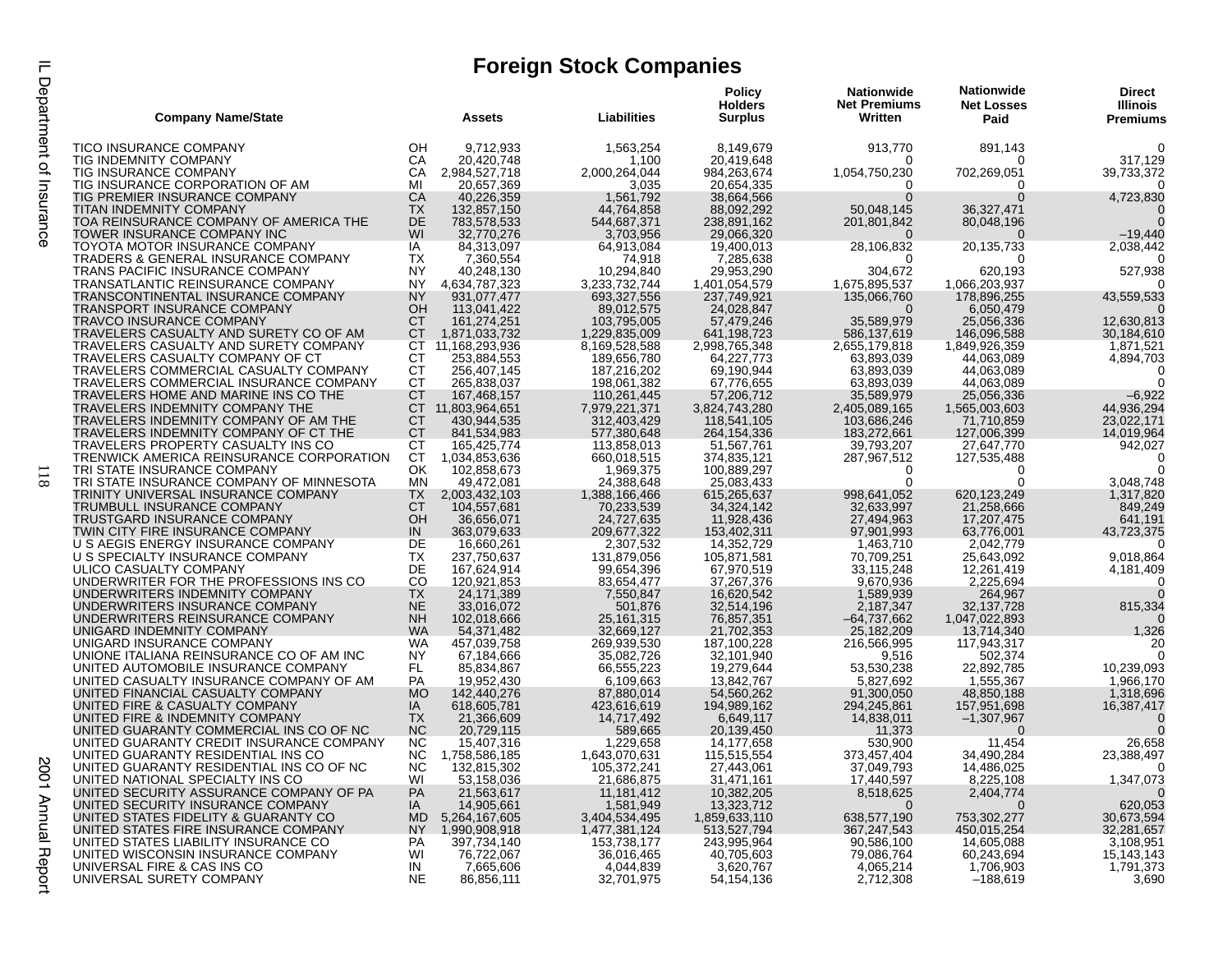| <b>Company Name/State</b>                                                       |                                                          | Assets                     | <b>Liabilities</b>             | <b>Policy</b><br><b>Holders</b><br><b>Surplus</b> | Nationwide<br><b>Net Premiums</b><br>Written | <b>Nationwide</b><br><b>Net Losses</b><br>Paid | <b>Direct</b><br>Illinois<br>Premiums |
|---------------------------------------------------------------------------------|----------------------------------------------------------|----------------------------|--------------------------------|---------------------------------------------------|----------------------------------------------|------------------------------------------------|---------------------------------------|
| <b>TICO INSURANCE COMPANY</b>                                                   | OH                                                       | 9,712,933                  | 1,563,254                      | 8,149,679                                         | 913,770                                      | 891,143                                        | O                                     |
| <b>TIG INDEMNITY COMPANY</b>                                                    | CA                                                       | 20,420,748                 | 1.100                          | 20,419,648                                        |                                              | 0<br>0                                         | 317.129                               |
| TIG INSURANCE COMPANY<br>TIG INSURANCE CORPORATION OF AM                        | CA<br>2,984,527,718<br>МI                                | 20,657,369                 | 2,000,264,044<br>3,035         | 984,263,674<br>20,654,335                         | 1,054,750,230                                | 702,269,051<br>O<br>0                          | 39,733,372                            |
| TIG PREMIER INSURANCE COMPANY                                                   | CA                                                       | 40,226,359                 | 1,561,792                      | 38,664,566                                        |                                              | $\Omega$<br>$\Omega$                           | 4,723,830                             |
| TITAN INDEMNITY COMPANY                                                         | ТX                                                       | 132,857,150                | 44,764,858                     | 88,092,292                                        | 50,048,145                                   | 36,327,471                                     |                                       |
| TOA REINSURANCE COMPANY OF AMERICA THE<br>TOWER INSURANCE COMPANY INC           | <b>DE</b><br>WI                                          | 783,578,533<br>32,770,276  | 544,687,371<br>3,703,956       | 238,891,162<br>29,066,320                         | 201,801,842                                  | 80,048,196<br>O                                | $-19,440$                             |
| TOYOTA MOTOR INSURANCE COMPANY                                                  | IA                                                       | 84,313,097                 | 64,913,084                     | 19,400,013                                        | 28,106,832                                   | 20,135,733                                     | 2,038,442                             |
| TRADERS & GENERAL INSURANCE COMPANY                                             | <b>TX</b>                                                | 7,360,554                  | 74,918                         | 7,285,638                                         |                                              | 0<br>$\Omega$                                  |                                       |
| TRANS PACIFIC INSURANCE COMPANY                                                 | NY                                                       | 40,248,130                 | 10,294,840                     | 29,953,290                                        | 304,672                                      | 620,193                                        | 527,938                               |
| TRANSATLANTIC REINSURANCE COMPANY                                               | <b>NY</b><br>4,634,787,323<br><b>NY</b>                  | 931,077,477                | 3,233,732,744<br>693,327,556   | 1,401,054,579<br>237,749,921                      | 1,675,895,537<br>135,066,760                 | 1,066,203,937<br>178,896,255                   | 43,559,533                            |
| TRANSCONTINENTAL INSURANCE COMPANY<br>TRANSPORT INSURANCE COMPANY               | OH                                                       | 113,041,422                | 89,012,575                     | 24,028,847                                        |                                              | 6,050,479<br>$\Omega$                          |                                       |
| <b>TRAVCO INSURANCE COMPANY</b>                                                 | СT                                                       | 161,274,251                | 103,795,005                    | 57,479,246                                        | 35,589,979                                   | 25,056,336                                     | 12,630,813                            |
| TRAVELERS CASUALTY AND SURETY CO OF AM<br>TRAVELERS CASUALTY AND SURETY COMPANY | <b>CT</b><br>1,871,033,732                               |                            | 1,229,835,009                  | 641,198,723                                       | 586,137,619                                  | 146,096,588                                    | 30,184,610                            |
| TRAVELERS CASUALTY COMPANY OF CT                                                | 11,168,293,936<br>CТ<br>СT                               | 253,884,553                | 8,169,528,588<br>189,656,780   | 2,998,765,348<br>64,227,773                       | 2,655,179,818<br>63,893,039                  | 1,849,926,359<br>44,063,089                    | 1,871,521<br>4,894,703                |
| TRAVELERS COMMERCIAL CASUALTY COMPANY                                           | СT                                                       | 256,407,145                | 187,216,202                    | 69,190,944                                        | 63,893,039                                   | 44,063,089                                     |                                       |
| TRAVELERS COMMERCIAL INSURANCE COMPANY                                          | <b>CT</b>                                                | 265,838,037                | 198,061,382                    | 67,776,655                                        | 63,893,039                                   | 44,063,089                                     |                                       |
| TRAVELERS HOME AND MARINE INS CO THE<br>TRAVELERS INDEMNITY COMPANY THE         | <b>CT</b><br>CT.<br>11,803,964,651                       | 167,468,157                | 110,261,445<br>7,979,221,371   | 57,206,712<br>3,824,743,280                       | 35,589,979<br>2,405,089,165                  | 25,056,336<br>1,565,003,603                    | $-6,922$<br>44,936,294                |
| TRAVELERS INDEMNITY COMPANY OF AM THE                                           | <b>CT</b>                                                | 430,944,535                | 312,403,429                    | 118,541,105                                       | 103,686,246                                  | 71,710,859                                     | 23,022,171                            |
| TRAVELERS INDEMNITY COMPANY OF CT THE                                           | <b>CT</b>                                                | 841,534,983                | 577,380,648                    | 264, 154, 336                                     | 183,272,661                                  | 127,006,399                                    | 14,019,964                            |
| TRAVELERS PROPERTY CASUALTY INS CO                                              | СT                                                       | 165,425,774                | 113,858,013                    | 51,567,761                                        | 39,793,207                                   | 27,647,770                                     | 942,027                               |
| TRENWICK AMERICA REINSURANCE CORPORATION<br>TRI STATE INSURANCE COMPANY         | <b>CT</b><br>1,034,853,636<br>OK                         | 102,858,673                | 660,018,515<br>1,969,375       | 374,835,121<br>100,889,297                        | 287,967,512                                  | 127,535,488<br>0<br>0                          |                                       |
| TRI STATE INSURANCE COMPANY OF MINNESOTA                                        | MΝ                                                       | 49,472,081                 | 24,388,648                     | 25,083,433                                        |                                              | 0<br>0                                         | 3,048,748                             |
| TRINITY UNIVERSAL INSURANCE COMPANY                                             | 2,003,432,103<br>ТX                                      |                            | 1,388,166,466                  | 615,265,637                                       | 998,641,052                                  | 620,123,249                                    | 1,317,820                             |
| TRUMBULL INSURANCE COMPANY                                                      | <b>CT</b>                                                | 104,557,681                | 70,233,539                     | 34,324,142                                        | 32,633,997                                   | 21,258,666                                     | 849,249                               |
| TRUSTGARD INSURANCE COMPANY<br>TWIN CITY FIRE INSURANCE COMPANY                 | OH<br>IN                                                 | 36,656,071<br>363,079,633  | 24,727,635<br>209,677,322      | 11,928,436<br>153,402,311                         | 27,494,963<br>97,901,993                     | 17,207,475<br>63,776,001                       | 641,191<br>43,723,375                 |
| U S AEGIS ENERGY INSURANCE COMPANY                                              | DE                                                       | 16,660,261                 | 2,307,532                      | 14,352,729                                        | 1,463,710                                    | 2,042,779                                      |                                       |
| U S SPECIALTY INSURANCE COMPANY                                                 | <b>TX</b>                                                | 237,750,637                | 131,879,056                    | 105,871,581                                       | 70,709,251                                   | 25,643,092                                     | 9,018,864                             |
| ULICO CASUALTY COMPANY<br>UNDERWRITER FOR THE PROFESSIONS INS CO.               | DE<br>CO                                                 | 167,624,914<br>120,921,853 | 99,654,396                     | 67,970,519                                        | 33,115,248                                   | 12,261,419                                     | 4,181,409<br>U                        |
| UNDERWRITERS INDEMNITY COMPANY                                                  | <b>TX</b>                                                | 24,171,389                 | 83,654,477<br>7,550,847        | 37,267,376<br>16,620,542                          | 9,670,936<br>1,589,939                       | 2,225,694<br>264,967                           |                                       |
| UNDERWRITERS INSURANCE COMPANY                                                  | <b>NE</b>                                                | 33,016,072                 | 501,876                        | 32,514,196                                        | 2,187,347                                    | 32,137,728                                     | 815,334                               |
| UNDERWRITERS REINSURANCE COMPANY                                                | <b>NH</b>                                                | 102,018,666                | 25,161,315                     | 76,857,351                                        | $-64,737,662$                                | 1,047,022,893                                  |                                       |
| UNIGARD INDEMNITY COMPANY                                                       | <b>WA</b>                                                | 54,371,482                 | 32,669,127                     | 21,702,353                                        | 25,182,209                                   | 13,714,340                                     | 1,326<br>20                           |
| UNIGARD INSURANCE COMPANY<br>UNIONE ITALIANA REINSURANCE CO OF AM INC           | <b>WA</b><br>NY                                          | 457,039,758<br>67,184,666  | 269,939,530<br>35,082,726      | 187,100,228<br>32,101,940                         | 216,566,995<br>9,516                         | 117,943,317<br>502,374                         |                                       |
| UNITED AUTOMOBILE INSURANCE COMPANY                                             | FL                                                       | 85,834,867                 | 66,555,223                     | 19,279,644                                        | 53,530,238                                   | 22,892,785                                     | 10,239,093                            |
| UNITED CASUALTY INSURANCE COMPANY OF AM                                         | PA                                                       | 19,952,430                 | 6,109,663                      | 13,842,767                                        | 5,827,692                                    | 1,555,367                                      | 1,966,170                             |
| UNITED FINANCIAL CASUALTY COMPANY<br>UNITED FIRE & CASUALTY COMPANY             | <b>MO</b><br>IA                                          | 142,440,276<br>618,605,781 | 87.880.014<br>423,616,619      | 54,560,262<br>194,989,162                         | 91,300,050<br>294,245,861                    | 48,850,188<br>157,951,698                      | 1,318,696<br>16,387,417               |
| UNITED FIRE & INDEMNITY COMPANY                                                 | ТX                                                       | 21,366,609                 | 14,717,492                     | 6,649,117                                         | 14,838,011                                   | $-1,307,967$                                   |                                       |
| UNITED GUARANTY COMMERCIAL INS CO OF NC                                         | <b>NC</b>                                                | 20,729,115                 | 589,665                        | 20,139,450                                        | 11,373                                       |                                                |                                       |
| UNITED GUARANTY CREDIT INSURANCE COMPANY                                        | <b>NC</b>                                                | 15,407,316                 | 1,229,658                      | 14,177,658                                        | 530,900                                      | 11,454                                         | 26,658                                |
| UNITED GUARANTY RESIDENTIAL INS CO<br>UNITED GUARANTY RESIDENTIAL INS CO OF NC  | <b>NC</b><br>1,758,586,185<br><b>NC</b>                  | 132,815,302                | 1,643,070,631<br>105,372,241   | 115,515,554<br>27,443,061                         | 373,457,404<br>37,049,793                    | 34,490,284<br>14,486,025                       | 23,388,497<br>C                       |
| UNITED NATIONAL SPECIALTY INS CO                                                | WI                                                       | 53,158,036                 | 21,686,875                     | 31,471,161                                        | 17,440,597                                   | 8,225,108                                      | 1,347,073                             |
| UNITED SECURITY ASSURANCE COMPANY OF PA                                         | PA                                                       | 21,563,617                 | 11, 181, 412                   | 10,382,205                                        | 8,518,625                                    | 2,404,774                                      |                                       |
| UNITED SECURITY INSURANCE COMPANY                                               | IA                                                       | 14,905,661                 | 1,581,949                      | 13,323,712                                        |                                              |                                                | 620,053                               |
| UNITED STATES FIDELITY & GUARANTY CO<br>UNITED STATES FIRE INSURANCE COMPANY    | <b>MD</b><br>5,264,167,605<br><b>NY</b><br>1,990,908,918 |                            | 3,404,534,495<br>1,477,381,124 | 1,859,633,110<br>513,527,794                      | 638,577,190<br>367,247,543                   | 753,302,277<br>450,015,254                     | 30,673,594<br>32,281,657              |
| UNITED STATES LIABILITY INSURANCE CO                                            | PA                                                       | 397,734,140                | 153,738,177                    | 243,995,964                                       | 90,586,100                                   | 14,605,088                                     | 3,108,951                             |
| UNITED WISCONSIN INSURANCE COMPANY                                              | WI                                                       | 76,722,067                 | 36,016,465                     | 40,705,603                                        | 79,086,764                                   | 60,243,694                                     | 15,143,143                            |
| UNIVERSAL FIRE & CAS INS CO<br>UNIVERSAL SURETY COMPANY                         | IN<br><b>NE</b>                                          | 7,665,606<br>86,856,111    | 4,044,839<br>32,701,975        | 3,620,767<br>54,154,136                           | 4,065,214<br>2,712,308                       | 1,706,903<br>$-188,619$                        | 1,791,373<br>3,690                    |
|                                                                                 |                                                          |                            |                                |                                                   |                                              |                                                |                                       |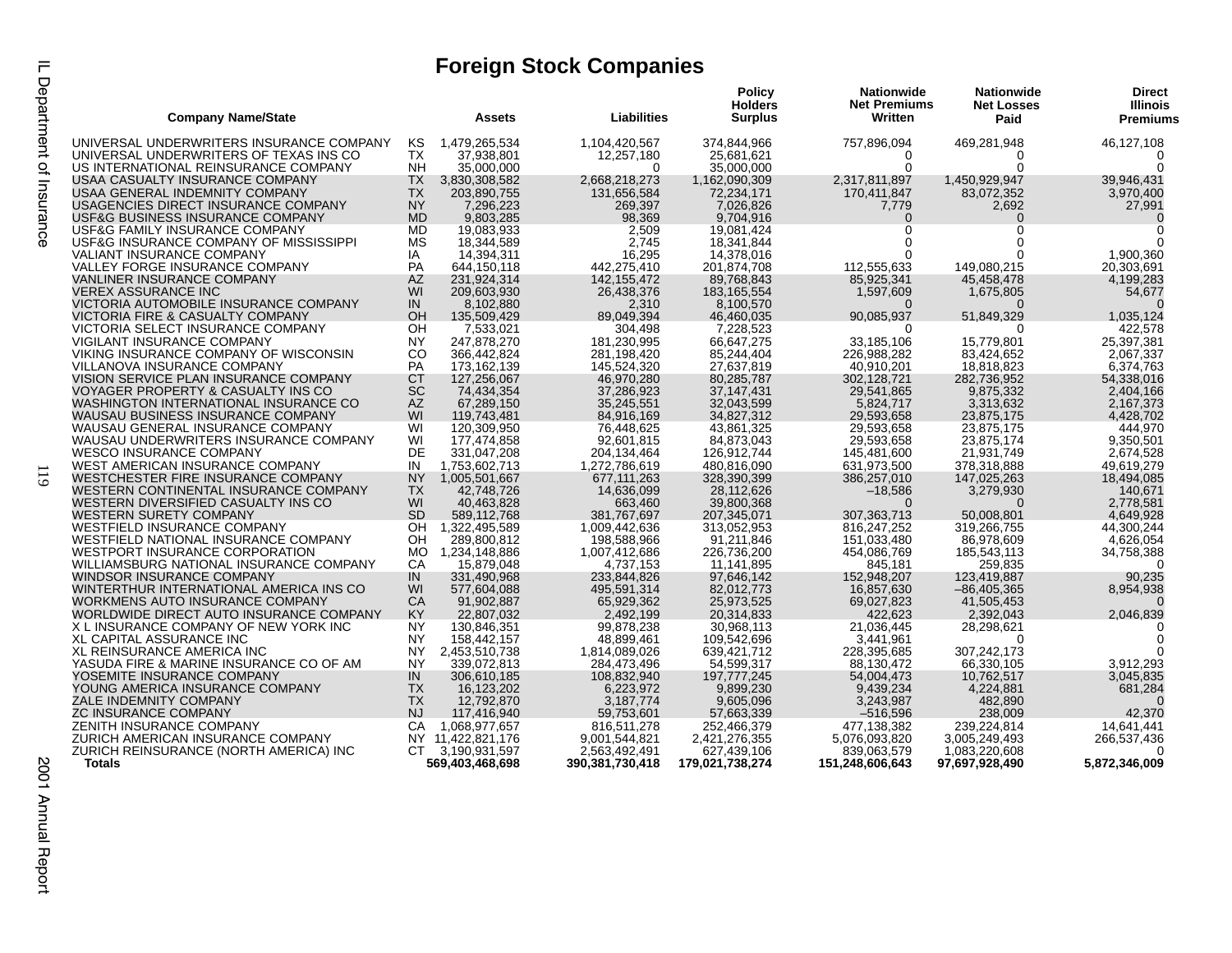| <b>Company Name/State</b>                                                      |                        | <b>Assets</b>                   | Liabilities                  | <b>Policy</b><br><b>Holders</b><br><b>Surplus</b> | <b>Nationwide</b><br><b>Net Premiums</b><br>Written | <b>Nationwide</b><br><b>Net Losses</b><br>Paid | <b>Direct</b><br><b>Illinois</b><br>Premiums |
|--------------------------------------------------------------------------------|------------------------|---------------------------------|------------------------------|---------------------------------------------------|-----------------------------------------------------|------------------------------------------------|----------------------------------------------|
| UNIVERSAL UNDERWRITERS INSURANCE COMPANY                                       | KS                     | 1,479,265,534                   | 1,104,420,567                | 374,844,966                                       | 757,896,094                                         | 469,281,948                                    | 46,127,108                                   |
| UNIVERSAL UNDERWRITERS OF TEXAS INS CO<br>US INTERNATIONAL REINSURANCE COMPANY | <b>TX</b><br><b>NH</b> | 37,938,801<br>35.000.000        | 12,257,180<br><sup>0</sup>   | 25,681,621<br>35.000.000                          | $\Omega$                                            | $\Omega$                                       |                                              |
| USAA CASUALTY INSURANCE COMPANY                                                | <b>TX</b>              | 3,830,308,582                   | 2,668,218,273                | 1,162,090,309                                     | 2,317,811,897                                       | 1,450,929,947                                  | 39,946,431                                   |
| USAA GENERAL INDEMNITY COMPANY                                                 | <b>TX</b>              | 203,890,755                     | 131.656.584                  | 72,234,171                                        | 170,411,847                                         | 83,072,352                                     | 3,970,400                                    |
| USAGENCIES DIRECT INSURANCE COMPANY                                            | <b>NY</b>              | 7,296,223                       | 269.397                      | 7,026,826                                         | 7,779                                               | 2,692                                          | 27,991                                       |
| USF&G BUSINESS INSURANCE COMPANY                                               | <b>MD</b><br><b>MD</b> | 9,803,285                       | 98,369                       | 9,704,916                                         |                                                     | $\Omega$                                       |                                              |
| USF&G FAMILY INSURANCE COMPANY<br>USF&G INSURANCE COMPANY OF MISSISSIPPI       | <b>MS</b>              | 19,083,933<br>18,344,589        | 2,509<br>2,745               | 19,081,424<br>18,341,844                          | $\Omega$<br>$\Omega$                                | O                                              |                                              |
| VALIANT INSURANCE COMPANY                                                      | IA                     | 14,394,311                      | 16.295                       | 14,378,016                                        |                                                     |                                                | 1,900,360                                    |
| VALLEY FORGE INSURANCE COMPANY                                                 | PA                     | 644,150,118                     | 442,275,410                  | 201,874,708                                       | 112,555,633                                         | 149,080,215                                    | 20,303,691                                   |
| VANLINER INSURANCE COMPANY                                                     | AZ                     | 231,924,314                     | 142.155.472                  | 89,768,843                                        | 85,925,341                                          | 45,458,478                                     | 4,199,283                                    |
| <b>VEREX ASSURANCE INC</b>                                                     | WI                     | 209,603,930                     | 26,438,376                   | 183, 165, 554                                     | 1,597,609                                           | 1,675,805                                      | 54,677                                       |
| VICTORIA AUTOMOBILE INSURANCE COMPANY<br>VICTORIA FIRE & CASUALTY COMPANY      | IN.<br>OH              | 8,102,880<br>135,509,429        | 2,310<br>89,049,394          | 8,100,570<br>46,460,035                           | 90,085,937                                          | 51,849,329                                     | 1,035,124                                    |
| VICTORIA SELECT INSURANCE COMPANY                                              | OH                     | 7,533,021                       | 304,498                      | 7,228,523                                         |                                                     | ∩                                              | 422,578                                      |
| VIGILANT INSURANCE COMPANY                                                     | NY                     | 247.878.270                     | 181,230,995                  | 66,647,275                                        | 33,185,106                                          | 15,779,801                                     | 25,397,381                                   |
| VIKING INSURANCE COMPANY OF WISCONSIN                                          | CO                     | 366,442,824                     | 281,198,420                  | 85,244,404                                        | 226,988,282                                         | 83,424,652                                     | 2,067,337                                    |
| VILLANOVA INSURANCE COMPANY                                                    | PA                     | 173,162,139                     | 145,524,320                  | 27,637,819                                        | 40,910,201                                          | 18,818,823                                     | 6,374,763                                    |
| VISION SERVICE PLAN INSURANCE COMPANY                                          | <b>CT</b>              | 127,256,067                     | 46,970,280                   | 80,285,787                                        | 302,128,721                                         | 282,736,952                                    | 54,338,016                                   |
| VOYAGER PROPERTY & CASUALTY INS CO<br>WASHINGTON INTERNATIONAL INSURANCE CO    | <b>SC</b><br><b>AZ</b> | 74,434,354<br>67,289,150        | 37,286,923<br>35,245,551     | 37, 147, 431<br>32,043,599                        | 29,541,865<br>5,824,717                             | 9,875,332<br>3,313,632                         | 2,404,166<br>2,167,373                       |
| WAUSAU BUSINESS INSURANCE COMPANY                                              | WI                     | 119,743,481                     | 84,916,169                   | 34,827,312                                        | 29,593,658                                          | 23,875,175                                     | 4,428,702                                    |
| WAUSAU GENERAL INSURANCE COMPANY                                               | WI                     | 120,309,950                     | 76,448,625                   | 43,861,325                                        | 29,593,658                                          | 23,875,175                                     | 444,970                                      |
| WAUSAU UNDERWRITERS INSURANCE COMPANY                                          | WI                     | 177,474,858                     | 92,601,815                   | 84,873,043                                        | 29,593,658                                          | 23,875,174                                     | 9,350,501                                    |
| <b>WESCO INSURANCE COMPANY</b>                                                 | DE                     | 331,047,208                     | 204,134,464                  | 126,912,744                                       | 145,481,600                                         | 21,931,749                                     | 2,674,528                                    |
| WEST AMERICAN INSURANCE COMPANY                                                | IN                     | 1,753,602,713                   | 1,272,786,619                | 480,816,090                                       | 631,973,500                                         | 378,318,888                                    | 49,619,279                                   |
| WESTCHESTER FIRE INSURANCE COMPANY<br>WESTERN CONTINENTAL INSURANCE COMPANY    | <b>NY</b><br><b>TX</b> | 1,005,501,667<br>42,748,726     | 677,111,263<br>14,636,099    | 328,390,399<br>28,112,626                         | 386,257,010<br>$-18,586$                            | 147,025,263<br>3,279,930                       | 18,494,085<br>140,671                        |
| WESTERN DIVERSIFIED CASUALTY INS CO                                            | WI                     | 40,463,828                      | 663,460                      | 39,800,368                                        |                                                     |                                                | 2,778,581                                    |
| WESTERN SURETY COMPANY                                                         | <b>SD</b>              | 589,112,768                     | 381,767,697                  | 207,345,071                                       | 307,363,713                                         | 50,008,801                                     | 4,649,928                                    |
| WESTFIELD INSURANCE COMPANY                                                    | OH                     | 1,322,495,589                   | 1,009,442,636                | 313,052,953                                       | 816,247,252                                         | 319,266,755                                    | 44,300,244                                   |
| WESTFIELD NATIONAL INSURANCE COMPANY                                           | OH                     | 289,800,812                     | 198,588,966                  | 91,211,846                                        | 151,033,480                                         | 86,978,609                                     | 4,626,054                                    |
| WESTPORT INSURANCE CORPORATION<br>WILLIAMSBURG NATIONAL INSURANCE COMPANY      | <b>MO</b>              | 1.234.148.886                   | 1,007,412,686                | 226,736,200                                       | 454.086.769                                         | 185.543.113                                    | 34,758,388                                   |
| WINDSOR INSURANCE COMPANY                                                      | СA<br>IN               | 15,879,048<br>331,490,968       | 4,737,153<br>233.844.826     | 11,141,895<br>97,646,142                          | 845,181<br>152.948.207                              | 259,835<br>123.419.887                         | 90.235                                       |
| WINTERTHUR INTERNATIONAL AMERICA INS CO                                        | WI                     | 577,604,088                     | 495,591,314                  | 82,012,773                                        | 16,857,630                                          | $-86,405,365$                                  | 8,954,938                                    |
| WORKMENS AUTO INSURANCE COMPANY                                                | CA                     | 91,902,887                      | 65,929,362                   | 25,973,525                                        | 69,027,823                                          | 41,505,453                                     |                                              |
| WORLDWIDE DIRECT AUTO INSURANCE COMPANY                                        | <b>KY</b>              | 22,807,032                      | 2,492,199                    | 20,314,833                                        | 422,623                                             | 2,392,043                                      | 2,046,839                                    |
| X L INSURANCE COMPANY OF NEW YORK INC                                          | NY                     | 130,846,351                     | 99,878,238                   | 30,968,113                                        | 21,036,445                                          | 28,298,621                                     |                                              |
| <b>XL CAPITAL ASSURANCE INC</b><br><b>XL REINSURANCE AMERICA INC</b>           | NY<br>NY               | 158,442,157<br>2,453,510,738    | 48.899.461<br>1,814,089,026  | 109,542,696<br>639,421,712                        | 3,441,961<br>228,395,685                            | $\Omega$<br>307,242,173                        |                                              |
| YASUDA FIRE & MARINE INSURANCE CO OF AM                                        | ΝY                     | 339,072,813                     | 284,473,496                  | 54,599,317                                        | 88,130,472                                          | 66,330,105                                     | 3,912,293                                    |
| YOSEMITE INSURANCE COMPANY                                                     | IN                     | 306,610,185                     | 108,832,940                  | 197,777,245                                       | 54,004,473                                          | 10,762,517                                     | 3,045,835                                    |
| YOUNG AMERICA INSURANCE COMPANY                                                | <b>TX</b>              | 16.123.202                      | 6.223.972                    | 9.899.230                                         | 9,439,234                                           | 4.224.881                                      | 681,284                                      |
| ZALE INDEMNITY COMPANY                                                         | <b>TX</b>              | 12,792,870                      | 3,187,774                    | 9,605,096                                         | 3,243,987                                           | 482,890                                        |                                              |
| <b>ZC INSURANCE COMPANY</b>                                                    | NJ                     | 117,416,940                     | 59,753,601                   | 57,663,339                                        | $-516,596$                                          | 238,009                                        | 42,370                                       |
| ZENITH INSURANCE COMPANY<br>ZURICH AMERICAN INSURANCE COMPANY                  | CA<br>NY.              | 1,068,977,657<br>11,422,821,176 | 816,511,278<br>9,001,544,821 | 252,466,379<br>2,421,276,355                      | 477,138,382<br>5,076,093,820                        | 239,224,814<br>3,005,249,493                   | 14,641,441<br>266,537,436                    |
| ZURICH REINSURANCE (NORTH AMERICA) INC                                         | CT.                    | 3,190,931,597                   | 2,563,492,491                | 627,439,106                                       | 839,063,579                                         | 1,083,220,608                                  |                                              |
| <b>Totals</b>                                                                  |                        | 569,403,468,698                 | 390,381,730,418              | 179,021,738,274                                   | 151,248,606,643                                     | 97,697,928,490                                 | 5,872,346,009                                |

 $611$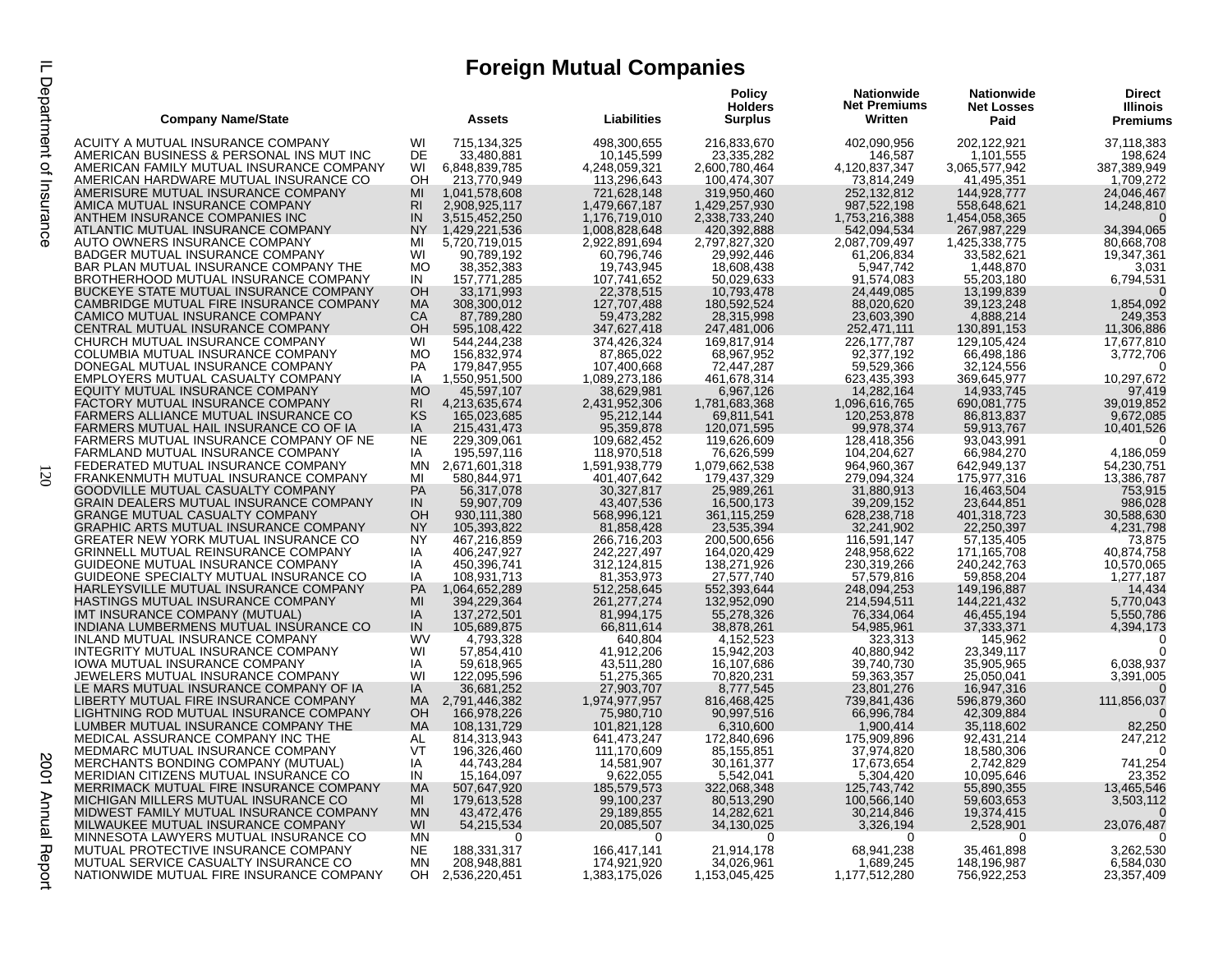#### **Foreign Mutual Companies**

 $120\,$ 

| <b>Company Name/State</b>                                                       |                        | <b>Assets</b>                  | <b>Liabilities</b>           | <b>Policy</b><br><b>Holders</b><br><b>Surplus</b> | <b>Nationwide</b><br><b>Net Premiums</b><br>Written | Nationwide<br><b>Net Losses</b><br>Paid | <b>Direct</b><br>Illinois<br>Premiums |
|---------------------------------------------------------------------------------|------------------------|--------------------------------|------------------------------|---------------------------------------------------|-----------------------------------------------------|-----------------------------------------|---------------------------------------|
| ACUITY A MUTUAL INSURANCE COMPANY                                               | WI                     | 715,134,325                    | 498,300,655                  | 216,833,670                                       | 402,090,956                                         | 202,122,921                             | 37,118,383                            |
| AMERICAN BUSINESS & PERSONAL INS MUT INC                                        | DE                     | 33,480,881                     | 10,145,599                   | 23,335,282                                        | 146,587                                             | 1,101,555                               | 198,624                               |
| AMERICAN FAMILY MUTUAL INSURANCE COMPANY                                        | WI                     | 6,848,839,785                  | 4,248,059,321                | 2,600,780,464                                     | 4,120,837,347                                       | 3,065,577,942                           | 387,389,949                           |
| AMERICAN HARDWARE MUTUAL INSURANCE CO                                           | OH<br>MI               | 213,770,949                    | 113,296,643                  | 100,474,307                                       | 73,814,249<br>252.132.812                           | 41,495,351<br>144.928.777               | 1,709,272                             |
| AMERISURE MUTUAL INSURANCE COMPANY<br>AMICA MUTUAL INSURANCE COMPANY            | R <sub>l</sub>         | 1,041,578,608<br>2,908,925,117 | 721,628,148<br>1,479,667,187 | 319,950,460<br>1,429,257,930                      | 987,522,198                                         | 558,648,621                             | 24,046,467<br>14,248,810              |
| ANTHEM INSURANCE COMPANIES INC                                                  | IN                     | 3,515,452,250                  | 1,176,719,010                | 2,338,733,240                                     | 1,753,216,388                                       | 1,454,058,365                           | $\Omega$                              |
| ATLANTIC MUTUAL INSURANCE COMPANY                                               | <b>NY</b>              | 1,429,221,536                  | 1,008,828,648                | 420,392,888                                       | 542,094,534                                         | 267,987,229                             | 34,394,065                            |
| AUTO OWNERS INSURANCE COMPANY                                                   | MI                     | 5,720,719,015                  | 2,922,891,694                | 2,797,827,320                                     | 2,087,709,497                                       | 1,425,338,775                           | 80,668,708                            |
| <b>BADGER MUTUAL INSURANCE COMPANY</b>                                          | WI                     | 90,789,192                     | 60,796,746                   | 29,992,446                                        | 61,206,834                                          | 33,582,621                              | 19,347,361                            |
| BAR PLAN MUTUAL INSURANCE COMPANY THE                                           | <b>MO</b>              | 38,352,383                     | 19,743,945                   | 18,608,438                                        | 5,947,742                                           | 1,448,870                               | 3,031                                 |
| BROTHERHOOD MUTUAL INSURANCE COMPANY<br>BUCKEYE STATE MUTUAL INSURANCE COMPANY  | IN<br>OH               | 157,771,285<br>33,171,993      | 107,741,652<br>22,378,515    | 50,029,633<br>10,793,478                          | 91,574,083<br>24,449,085                            | 55,203,180<br>13,199,839                | 6,794,531                             |
| CAMBRIDGE MUTUAL FIRE INSURANCE COMPANY                                         | <b>MA</b>              | 308,300,012                    | 127,707,488                  | 180,592,524                                       | 88,020,620                                          | 39,123,248                              | 1,854,092                             |
| CAMICO MUTUAL INSURANCE COMPANY                                                 | CA                     | 87,789,280                     | 59,473,282                   | 28,315,998                                        | 23,603,390                                          | 4,888,214                               | 249,353                               |
| CENTRAL MUTUAL INSURANCE COMPANY                                                | OH                     | 595,108,422                    | 347,627,418                  | 247.481.006                                       | 252,471,111                                         | 130,891,153                             | 11,306,886                            |
| CHURCH MUTUAL INSURANCE COMPANY                                                 | WI                     | 544,244,238                    | 374,426,324                  | 169,817,914                                       | 226, 177, 787                                       | 129,105,424                             | 17,677,810                            |
| COLUMBIA MUTUAL INSURANCE COMPANY                                               | <b>MO</b>              | 156,832,974                    | 87,865,022                   | 68,967,952                                        | 92,377,192                                          | 66,498,186                              | 3,772,706                             |
| DONEGAL MUTUAL INSURANCE COMPANY                                                | PA                     | 179,847,955                    | 107,400,668                  | 72,447,287                                        | 59,529,366                                          | 32,124,556                              | ∩                                     |
| EMPLOYERS MUTUAL CASUALTY COMPANY<br>EQUITY MUTUAL INSURANCE COMPANY            | IA<br><b>MO</b>        | 1,550,951,500<br>45,597,107    | 1,089,273,186<br>38,629,981  | 461,678,314<br>6,967,126                          | 623,435,393<br>14,282,164                           | 369.645.977<br>14,933,745               | 10,297,672<br>97,419                  |
| FACTORY MUTUAL INSURANCE COMPANY                                                | R <sub>l</sub>         | 4,213,635,674                  | 2,431,952,306                | 1,781,683,368                                     | 1,096,616,765                                       | 690,081,775                             | 39,019,852                            |
| FARMERS ALLIANCE MUTUAL INSURANCE CO                                            | KS                     | 165,023,685                    | 95,212,144                   | 69,811,541                                        | 120,253,878                                         | 86,813,837                              | 9,672,085                             |
| FARMERS MUTUAL HAIL INSURANCE CO OF IA                                          | IA                     | 215,431,473                    | 95,359,878                   | 120,071,595                                       | 99,978,374                                          | 59,913,767                              | 10,401,526                            |
| FARMERS MUTUAL INSURANCE COMPANY OF NE                                          | <b>NE</b>              | 229,309,061                    | 109,682,452                  | 119,626,609                                       | 128,418,356                                         | 93,043,991                              |                                       |
| FARMLAND MUTUAL INSURANCE COMPANY                                               | IA                     | 195,597,116                    | 118,970,518                  | 76,626,599                                        | 104,204,627                                         | 66,984,270                              | 4,186,059                             |
| FEDERATED MUTUAL INSURANCE COMPANY                                              | <b>MN</b>              | 2,671,601,318                  | 1,591,938,779                | 1,079,662,538                                     | 964,960,367                                         | 642,949,137                             | 54,230,751                            |
| FRANKENMUTH MUTUAL INSURANCE COMPANY<br>GOODVILLE MUTUAL CASUALTY COMPANY       | MI<br>PA               | 580,844,971<br>56,317,078      | 401,407,642<br>30,327,817    | 179,437,329<br>25,989,261                         | 279,094,324<br>31,880,913                           | 175,977,316<br>16,463,504               | 13,386,787<br>753,915                 |
| GRAIN DEALERS MUTUAL INSURANCE COMPANY                                          | IN                     | 59,907,709                     | 43,407,536                   | 16,500,173                                        | 39,209,152                                          | 23,644,851                              | 986,028                               |
| <b>GRANGE MUTUAL CASUALTY COMPANY</b>                                           | OH                     | 930,111,380                    | 568,996,121                  | 361,115,259                                       | 628,238,718                                         | 401,318,723                             | 30,588,630                            |
| GRAPHIC ARTS MUTUAL INSURANCE COMPANY                                           | <b>NY</b>              | 105,393,822                    | 81,858,428                   | 23,535,394                                        | 32,241,902                                          | 22,250,397                              | 4,231,798                             |
| GREATER NEW YORK MUTUAL INSURANCE CO.                                           | NY                     | 467,216,859                    | 266,716,203                  | 200,500,656                                       | 116,591,147                                         | 57,135,405                              | 73,875                                |
| GRINNELL MUTUAL REINSURANCE COMPANY                                             | IA                     | 406,247,927                    | 242,227,497                  | 164,020,429                                       | 248,958,622                                         | 171,165,708                             | 40,874,758                            |
| GUIDEONE MUTUAL INSURANCE COMPANY                                               | IA                     | 450,396,741                    | 312,124,815                  | 138,271,926                                       | 230,319,266                                         | 240,242,763                             | 10,570,065                            |
| GUIDEONE SPECIALTY MUTUAL INSURANCE CO<br>HARLEYSVILLE MUTUAL INSURANCE COMPANY | IA<br>PA               | 108,931,713<br>1,064,652,289   | 81,353,973<br>512,258,645    | 27,577,740<br>552,393,644                         | 57,579,816<br>248,094,253                           | 59,858,204<br>149,196,887               | 1,277,187<br>14,434                   |
| HASTINGS MUTUAL INSURANCE COMPANY                                               | MI                     | 394,229,364                    | 261,277,274                  | 132,952,090                                       | 214,594,511                                         | 144,221,432                             | 5,770,043                             |
| IMT INSURANCE COMPANY (MUTUAL)                                                  | IA                     | 137,272,501                    | 81,994,175                   | 55,278,326                                        | 76,334,064                                          | 46,455,194                              | 5,550,786                             |
| INDIANA LUMBERMENS MUTUAL INSURANCE CO                                          | IN                     | 105,689,875                    | 66,811,614                   | 38,878,261                                        | 54,985,961                                          | 37,333,371                              | 4,394,173                             |
| <b>INLAND MUTUAL INSURANCE COMPANY</b>                                          | <b>WV</b>              | 4,793,328                      | 640,804                      | 4,152,523                                         | 323,313                                             | 145,962                                 |                                       |
| INTEGRITY MUTUAL INSURANCE COMPANY                                              | WI                     | 57,854,410                     | 41,912,206                   | 15,942,203                                        | 40,880,942                                          | 23,349,117                              | $\Omega$                              |
| IOWA MUTUAL INSURANCE COMPANY<br>JEWELERS MUTUAL INSURANCE COMPANY              | IA<br>WI               | 59,618,965                     | 43,511,280                   | 16,107,686                                        | 39,740,730                                          | 35,905,965                              | 6,038,937                             |
| LE MARS MUTUAL INSURANCE COMPANY OF IA                                          | IA                     | 122,095,596<br>36,681,252      | 51,275,365<br>27,903,707     | 70,820,231<br>8,777,545                           | 59,363,357<br>23,801,276                            | 25,050,041<br>16,947,316                | 3,391,005                             |
| LIBERTY MUTUAL FIRE INSURANCE COMPANY                                           | <b>MA</b>              | 2,791,446,382                  | 1,974,977,957                | 816,468,425                                       | 739,841,436                                         | 596,879,360                             | 111,856,037                           |
| LIGHTNING ROD MUTUAL INSURANCE COMPANY                                          | OH                     | 166,978,226                    | 75,980,710                   | 90,997,516                                        | 66,996,784                                          | 42,309,884                              | $\Omega$                              |
| LUMBER MUTUAL INSURANCE COMPANY THE                                             | <b>MA</b>              | 108,131,729                    | 101,821,128                  | 6,310,600                                         | 1,900,414                                           | 35,118,602                              | 82,250                                |
| MEDICAL ASSURANCE COMPANY INC THE                                               | AL                     | 814,313,943                    | 641,473,247                  | 172,840,696                                       | 175,909,896                                         | 92,431,214                              | 247,212                               |
| MEDMARC MUTUAL INSURANCE COMPANY                                                | VT                     | 196,326,460                    | 111,170,609                  | 85,155,851                                        | 37,974,820                                          | 18,580,306                              | $\Omega$                              |
| MERCHANTS BONDING COMPANY (MUTUAL)<br>MERIDIAN CITIZENS MUTUAL INSURANCE CO     | IA<br>IN               | 44,743,284<br>15.164.097       | 14,581,907<br>9,622,055      | 30,161,377<br>5,542,041                           | 17,673,654                                          | 2,742,829<br>10.095.646                 | 741,254<br>23,352                     |
| MERRIMACK MUTUAL FIRE INSURANCE COMPANY                                         | MA                     | 507,647,920                    | 185,579,573                  | 322,068,348                                       | 5,304,420<br>125,743,742                            | 55,890,355                              | 13,465,546                            |
| MICHIGAN MILLERS MUTUAL INSURANCE CO                                            | MI                     | 179,613,528                    | 99,100,237                   | 80,513,290                                        | 100,566,140                                         | 59,603,653                              | 3,503,112                             |
| MIDWEST FAMILY MUTUAL INSURANCE COMPANY                                         | <b>MN</b>              | 43,472,476                     | 29,189,855                   | 14,282,621                                        | 30,214,846                                          | 19,374,415                              |                                       |
| MILWAUKEE MUTUAL INSURANCE COMPANY                                              | WI                     | 54,215,534                     | 20,085,507                   | 34,130,025                                        | 3,326,194                                           | 2,528,901                               | 23,076,487                            |
| MINNESOTA LAWYERS MUTUAL INSURANCE CO                                           | ΜN                     | $\Omega$                       | $\Omega$                     | $\Omega$                                          | $\Omega$                                            | -C                                      | $\Omega$                              |
| MUTUAL PROTECTIVE INSURANCE COMPANY<br>MUTUAL SERVICE CASUALTY INSURANCE CO     | <b>NE</b><br><b>MN</b> | 188,331,317<br>208.948.881     | 166,417,141<br>174,921,920   | 21,914,178                                        | 68,941,238<br>1.689.245                             | 35,461,898<br>148.196.987               | 3,262,530                             |
| NATIONWIDE MUTUAL FIRE INSURANCE COMPANY                                        | OH                     | 2,536,220,451                  | 1,383,175,026                | 34,026,961<br>1,153,045,425                       | 1,177,512,280                                       | 756,922,253                             | 6,584,030<br>23,357,409               |
|                                                                                 |                        |                                |                              |                                                   |                                                     |                                         |                                       |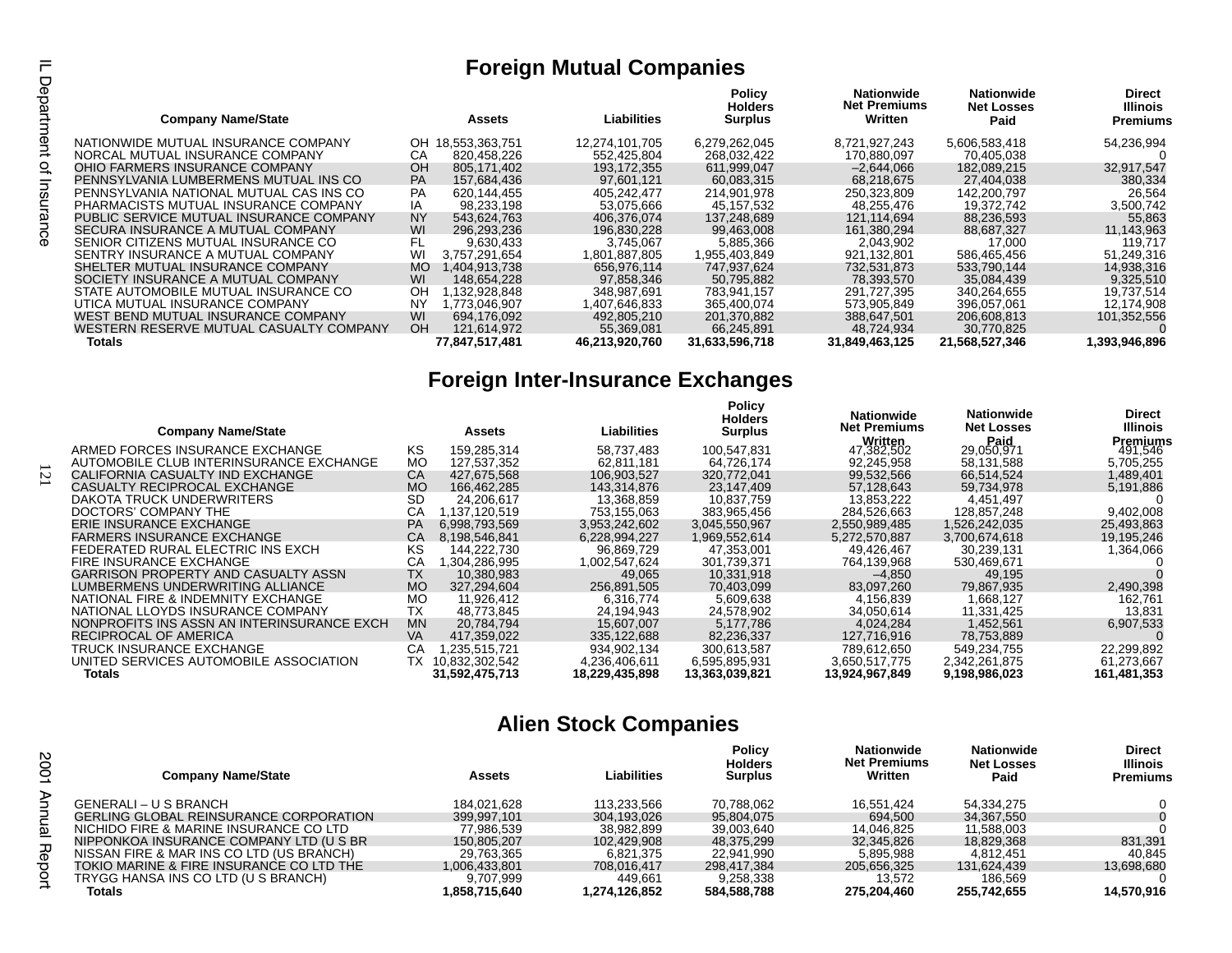#### **Foreign Mutual Companies**

| <b>Company Name/State</b>               |           | Assets         | Liabilities    | <b>Policy</b><br><b>Holders</b><br><b>Surplus</b> | Nationwide<br><b>Net Premiums</b><br>Written | <b>Nationwide</b><br><b>Net Losses</b><br>Paid | Direct<br><b>Illinois</b><br>Premiums |
|-----------------------------------------|-----------|----------------|----------------|---------------------------------------------------|----------------------------------------------|------------------------------------------------|---------------------------------------|
|                                         |           |                |                |                                                   |                                              |                                                |                                       |
| NATIONWIDE MUTUAL INSURANCE COMPANY     | OН        | 18.553.363.751 | 12.274.101.705 | 6.279.262.045                                     | 8.721.927.243                                | 5.606.583.418                                  | 54,236,994                            |
| NORCAL MUTUAL INSURANCE COMPANY         | CА        | 820.458.226    | 552,425,804    | 268,032,422                                       | 170.880.097                                  | 70.405.038                                     |                                       |
| OHIO FARMERS INSURANCE COMPANY          | OΗ        | 805.171.402    | 193.172.355    | 611,999,047                                       | $-2,644,066$                                 | 182,089,215                                    | 32,917,547                            |
| PENNSYLVANIA LUMBERMENS MUTUAL INS CO   | <b>PA</b> | 157,684,436    | 97.601.121     | 60,083,315                                        | 68,218,675                                   | 27,404,038                                     | 380,334                               |
| PENNSYLVANIA NATIONAL MUTUAL CAS INS CO | <b>PA</b> | 620.144.455    | 405.242.477    | 214.901.978                                       | 250.323.809                                  | 142.200.797                                    | 26.564                                |
| PHARMACISTS MUTUAL INSURANCE COMPANY    | IA        | 98.233.198     | 53.075.666     | 45.157.532                                        | 48.255.476                                   | 19.372.742                                     | 3,500,742                             |
| PUBLIC SERVICE MUTUAL INSURANCE COMPANY | <b>NY</b> | 543.624.763    | 406.376.074    | 137,248,689                                       | 121.114.694                                  | 88,236,593                                     | 55,863                                |
| SECURA INSURANCE A MUTUAL COMPANY       | WI        | 296.293.236    | 196.830.228    | 99.463.008                                        | 161.380.294                                  | 88.687.327                                     | 11,143,963                            |
| SENIOR CITIZENS MUTUAL INSURANCE CO     | FL        | 9.630.433      | 3.745.067      | 5.885.366                                         | 2.043.902                                    | 17.000                                         | 119.717                               |
| SENTRY INSURANCE A MUTUAL COMPANY       | WI        | 3.757.291.654  | 1,801,887,805  | 1,955,403,849                                     | 921,132,801                                  | 586,465,456                                    | 51,249,316                            |
| SHELTER MUTUAL INSURANCE COMPANY        | MO        | 1.404.913.738  | 656.976.114    | 747.937.624                                       | 732.531.873                                  | 533,790,144                                    | 14,938,316                            |
| SOCIETY INSURANCE A MUTUAL COMPANY      | WI        | 148.654.228    | 97.858.346     | 50.795.882                                        | 78.393.570                                   | 35.084.439                                     | 9,325,510                             |
| STATE AUTOMOBILE MUTUAL INSURANCE CO    | OН        | .132.928.848   | 348.987.691    | 783.941.157                                       | 291.727.395                                  | 340.264.655                                    | 19.737.514                            |
| UTICA MUTUAL INSURANCE COMPANY          | N٢        | .773.046.907   | .407.646.833   | 365.400.074                                       | 573.905.849                                  | 396.057.061                                    | 12.174.908                            |
| WEST BEND MUTUAL INSURANCE COMPANY      | WI        | 694.176.092    | 492,805,210    | 201,370,882                                       | 388,647,501                                  | 206,608,813                                    | 101,352,556                           |
| WESTERN RESERVE MUTUAL CASUALTY COMPANY | OH        | 121.614.972    | 55.369.081     | 66.245.891                                        | 48.724.934                                   | 30.770.825                                     |                                       |
| Totals                                  |           | 77,847,517,481 | 46,213,920,760 | 31,633,596,718                                    | 31,849,463,125                               | 21,568,527,346                                 | 1,393,946,896                         |

#### **Foreign Inter-Insurance Exchanges**

| <b>Company Name/State</b>                  |           | Assets         | <b>Liabilities</b> | <b>Policy</b><br><b>Holders</b><br><b>Surplus</b> | <b>Nationwide</b><br><b>Net Premiums</b> | Nationwide<br><b>Net Losses</b> | <b>Direct</b><br>Illinois  |
|--------------------------------------------|-----------|----------------|--------------------|---------------------------------------------------|------------------------------------------|---------------------------------|----------------------------|
| ARMED FORCES INSURANCE EXCHANGE            | KS        | 159,285,314    | 58,737,483         | 100,547,831                                       | Written<br>47,382,502                    | Paid<br>29,050,971              | <b>Premiums</b><br>491,546 |
| AUTOMOBILE CLUB INTERINSURANCE EXCHANGE    | <b>MO</b> | 127.537.352    | 62.811.181         | 64,726,174                                        | 92,245,958                               | 58,131,588                      | 5,705,255                  |
| CALIFORNIA CASUALTY IND EXCHANGE           | CA        | 427.675.568    | 106.903.527        | 320.772.041                                       | 99,532,566                               | 66,514,524                      | 1,489,401                  |
| CASUALTY RECIPROCAL EXCHANGE               | МO        | 166.462.285    | 143,314,876        | 23.147.409                                        | 57,128,643                               | 59,734,978                      | 5,191,886                  |
| DAKOTA TRUCK UNDERWRITERS                  | <b>SD</b> | 24.206.617     | 13.368.859         | 10.837.759                                        | 13.853.222                               | 4.451.497                       |                            |
| DOCTORS' COMPANY THE                       | СA        | .137,120,519   | 753,155,063        | 383,965,456                                       | 284,526,663                              | 128,857,248                     | 9,402,008                  |
| ERIE INSURANCE EXCHANGE                    | <b>PA</b> | 6.998.793.569  | 3,953,242,602      | 3,045,550,967                                     | 2,550,989,485                            | 1,526,242,035                   | 25,493,863                 |
| <b>FARMERS INSURANCE EXCHANGE</b>          | CA        | 8.198.546.841  | 6.228.994.227      | 1,969,552,614                                     | 5.272.570.887                            | 3.700.674.618                   | 19,195,246                 |
| FEDERATED RURAL ELECTRIC INS EXCH          | KS        | 144,222,730    | 96,869,729         | 47,353,001                                        | 49,426,467                               | 30,239,131                      | 1,364,066                  |
| FIRE INSURANCE EXCHANGE                    | СA        | .304.286.995   | 1,002,547,624      | 301,739,371                                       | 764,139,968                              | 530,469,671                     |                            |
| GARRISON PROPERTY AND CASUALTY ASSN        | <b>TX</b> | 10.380.983     | 49.065             | 10,331,918                                        | $-4,850$                                 | 49.195                          |                            |
| LUMBERMENS UNDERWRITING ALLIANCE           | <b>MO</b> | 327.294.604    | 256,891,505        | 70,403,099                                        | 83,097,260                               | 79,867,935                      | 2,490,398                  |
| NATIONAL FIRE & INDEMNITY EXCHANGE         | <b>MO</b> | 11,926,412     | 6.316.774          | 5,609,638                                         | 4,156,839                                | 1,668,127                       | 162,761                    |
| NATIONAL LLOYDS INSURANCE COMPANY          | TХ        | 48.773.845     | 24.194.943         | 24.578.902                                        | 34.050.614                               | 11,331,425                      | 13,831                     |
| NONPROFITS INS ASSN AN INTERINSURANCE EXCH | <b>MN</b> | 20.784.794     | 15.607.007         | 5.177.786                                         | 4.024.284                                | 1,452,561                       | 6,907,533                  |
| RECIPROCAL OF AMERICA                      | <b>VA</b> | 417.359.022    | 335,122,688        | 82,236,337                                        | 127.716.916                              | 78,753,889                      |                            |
| TRUCK INSURANCE EXCHANGE                   | СA        | .235.515.721   | 934.902.134        | 300.613.587                                       | 789.612.650                              | 549.234.755                     | 22,299,892                 |
| UNITED SERVICES AUTOMOBILE ASSOCIATION.    | TX.       | 10,832,302,542 | 4.236.406.611      | 6.595.895.931                                     | 3.650.517.775                            | 2,342,261,875                   | 61,273,667                 |
| Totals                                     |           | 31,592,475,713 | 18,229,435,898     | 13.363.039.821                                    | 13,924,967,849                           | 9,198,986,023                   | 161.481.353                |

#### **Alien Stock Companies**

| <b>Company Name/State</b>                     | Assets        | Liabilities   | <b>Policy</b><br><b>Holders</b><br>Surplus | <b>Nationwide</b><br><b>Net Premiums</b><br>Written | <b>Nationwide</b><br><b>Net Losses</b><br>Paid | Direct<br><b>Illinois</b><br><b>Premiums</b> |
|-----------------------------------------------|---------------|---------------|--------------------------------------------|-----------------------------------------------------|------------------------------------------------|----------------------------------------------|
| <b>GENERALI – U S BRANCH</b>                  | 184.021.628   | 113.233.566   | 70.788.062                                 | 16.551.424                                          | 54.334.275                                     | 0                                            |
| <b>GERLING GLOBAL REINSURANCE CORPORATION</b> | 399.997.101   | 304.193.026   | 95.804.075                                 | 694.500                                             | 34.367.550                                     |                                              |
| NICHIDO FIRE & MARINE INSURANCE CO LTD        | 77.986.539    | 38.982.899    | 39,003,640                                 | 14.046.825                                          | 11.588.003                                     |                                              |
| NIPPONKOA INSURANCE COMPANY LTD (U S BR       | 150.805.207   | 102.429.908   | 48.375.299                                 | 32.345.826                                          | 18.829.368                                     | 831.391                                      |
| NISSAN FIRE & MAR INS CO LTD (US BRANCH)      | 29.763.365    | 6.821.375     | 22.941.990                                 | 5.895.988                                           | 4.812.451                                      | 40.845                                       |
| TOKIO MARINE & FIRE INSURANCE CO LTD THE      | 1.006.433.801 | 708.016.417   | 298.417.384                                | 205.656.325                                         | 131.624.439                                    | 13.698.680                                   |
| TRYGG HANSA INS CO LTD (U S BRANCH)           | 9.707.999     | 449.661       | 9.258.338                                  | 13.572                                              | 186.569                                        |                                              |
| Totals                                        | 1.858.715.640 | 1.274.126.852 | 584.588.788                                | 275.204.460                                         | 255.742.655                                    | 14.570.916                                   |

121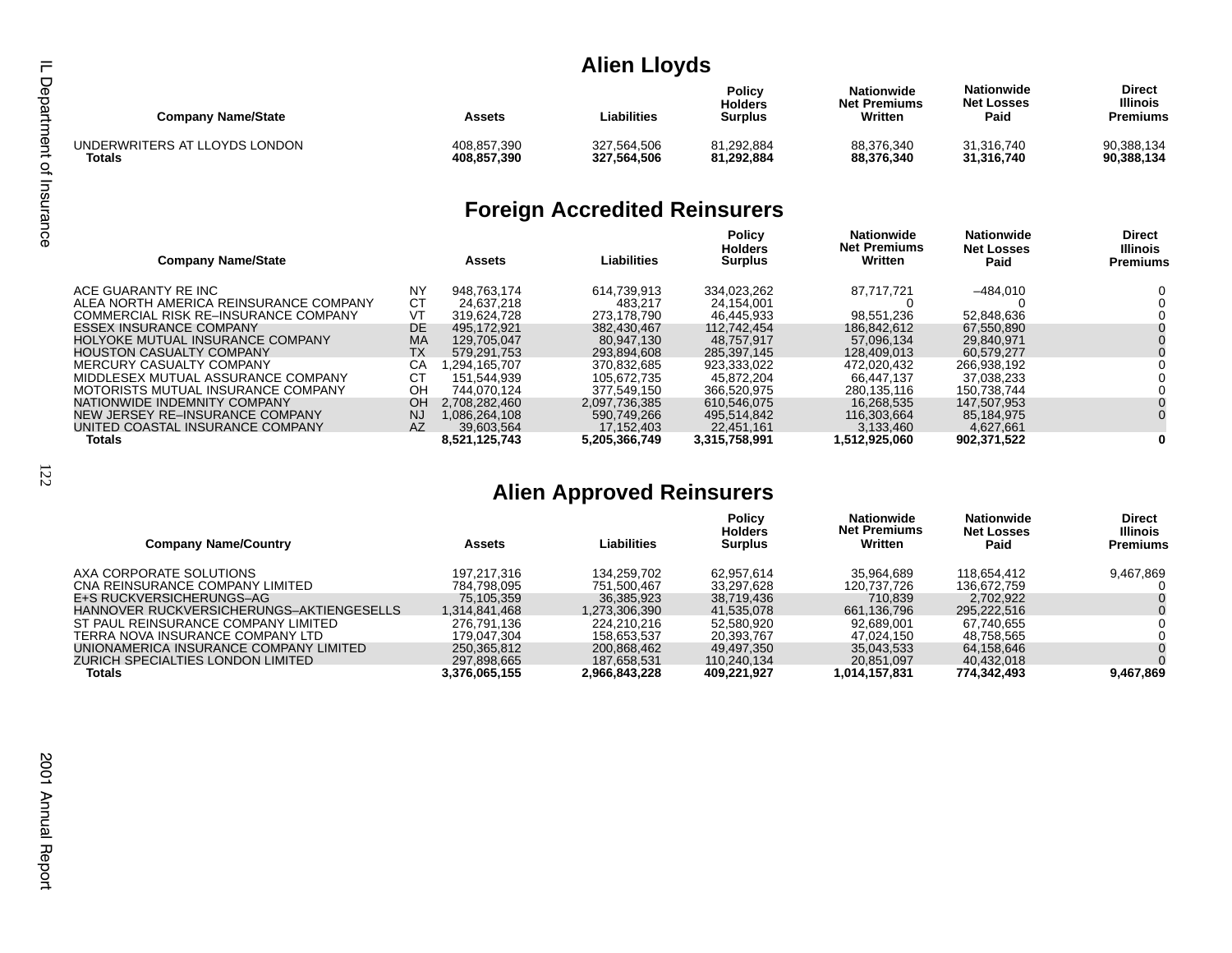## **Alien Lloyds**

| <b>Company Name/State</b>     | Assets      | iabilities. | <b>Policy</b><br><b>Holders</b><br>Surplus | <b>Nationwide</b><br><b>Net Premiums</b><br>Written | <b>Nationwide</b><br><b>Net Losses</b><br>Paid | <b>Direct</b><br><b>Illinois</b><br><b>Premiums</b> |
|-------------------------------|-------------|-------------|--------------------------------------------|-----------------------------------------------------|------------------------------------------------|-----------------------------------------------------|
| UNDERWRITERS AT LLOYDS LONDON | 408.857.390 | 327.564.506 | 81.292.884                                 | 88.376.340                                          | 31.316.740                                     | 90.388.134                                          |
| Totals                        | 408.857.390 | 327.564.506 | 81.292.884                                 | 88.376.340                                          | 31.316.740                                     | 90.388.134                                          |

## **Foreign Accredited Reinsurers**

| <b>Company Name/State</b>              |           | <b>Assets</b> | <b>Liabilities</b> | <b>Policy</b><br><b>Holders</b><br><b>Surplus</b> | <b>Nationwide</b><br><b>Net Premiums</b><br>Written | <b>Nationwide</b><br><b>Net Losses</b><br>Paid | <b>Direct</b><br><b>Illinois</b><br><b>Premiums</b> |
|----------------------------------------|-----------|---------------|--------------------|---------------------------------------------------|-----------------------------------------------------|------------------------------------------------|-----------------------------------------------------|
| ACE GUARANTY RE INC                    | NY        | 948.763.174   | 614.739.913        | 334.023.262                                       | 87.717.721                                          | $-484.010$                                     |                                                     |
| ALEA NORTH AMERICA REINSURANCE COMPANY | <b>CT</b> | 24.637.218    | 483.217            | 24.154.001                                        |                                                     |                                                |                                                     |
| COMMERCIAL RISK RE–INSURANCE COMPANY   | VT        | 319.624.728   | 273.178.790        | 46.445.933                                        | 98.551.236                                          | 52.848.636                                     |                                                     |
| ESSEX INSURANCE COMPANY                | DE        | 495.172.921   | 382.430.467        | 112.742.454                                       | 186.842.612                                         | 67.550.890                                     |                                                     |
| HOLYOKE MUTUAL INSURANCE COMPANY       | <b>MA</b> | 129.705.047   | 80.947.130         | 48.757.917                                        | 57.096.134                                          | 29,840,971                                     |                                                     |
| HOUSTON CASUALTY COMPANY               | тх        | 579.291.753   | 293.894.608        | 285.397.145                                       | 128.409.013                                         | 60.579.277                                     |                                                     |
| MERCURY CASUALTY COMPANY               | СA        | .294.165.707  | 370.832.685        | 923,333,022                                       | 472.020.432                                         | 266.938.192                                    |                                                     |
| MIDDLESEX MUTUAL ASSURANCE COMPANY     | CТ        | 151.544.939   | 105.672.735        | 45.872.204                                        | 66.447.137                                          | 37.038.233                                     |                                                     |
| MOTORISTS MUTUAL INSURANCE COMPANY     | OΗ        | 744.070.124   | 377.549.150        | 366.520.975                                       | 280.135.116                                         | 150.738.744                                    |                                                     |
| NATIONWIDE INDEMNITY COMPANY           | OН        | 2.708.282.460 | 2.097.736.385      | 610.546.075                                       | 16.268.535                                          | 147.507.953                                    |                                                     |
| NEW JERSEY RE–INSURANCE COMPANY        | NJ.       | 1.086.264.108 | 590.749.266        | 495.514.842                                       | 116.303.664                                         | 85.184.975                                     |                                                     |
| UNITED COASTAL INSURANCE COMPANY       | AZ        | 39.603.564    | 17.152.403         | 22.451.161                                        | 3.133,460                                           | 4.627.661                                      |                                                     |
| Totals                                 |           | 8.521.125.743 | 5.205.366.749      | 3.315.758.991                                     | 1.512.925.060                                       | 902.371.522                                    | 0                                                   |

 $122\,$ 

#### **Alien Approved Reinsurers**

| Assets        | Liabilities   | <b>Policy</b><br><b>Holders</b><br><b>Surplus</b> | Nationwide<br><b>Net Premiums</b><br>Written | <b>Nationwide</b><br><b>Net Losses</b><br>Paid | <b>Direct</b><br><b>Illinois</b><br><b>Premiums</b> |
|---------------|---------------|---------------------------------------------------|----------------------------------------------|------------------------------------------------|-----------------------------------------------------|
| 197.217.316   | 134.259.702   | 62.957.614                                        | 35.964.689                                   | 118.654.412                                    | 9,467,869                                           |
| 784.798.095   | 751.500.467   | 33.297.628                                        | 120.737.726                                  | 136.672.759                                    |                                                     |
| 75.105.359    | 36.385.923    | 38.719.436                                        | 710.839                                      | 2.702.922                                      |                                                     |
| 1.314.841.468 | 1.273.306.390 | 41.535.078                                        | 661.136.796                                  | 295.222.516                                    |                                                     |
| 276.791.136   | 224.210.216   | 52.580.920                                        | 92.689.001                                   | 67.740.655                                     | 0                                                   |
| 179.047.304   | 158.653.537   | 20.393.767                                        | 47.024.150                                   | 48.758.565                                     |                                                     |
| 250.365.812   | 200.868.462   | 49.497.350                                        | 35.043.533                                   | 64.158.646                                     |                                                     |
| 297.898.665   | 187.658.531   | 110.240.134                                       | 20.851.097                                   | 40.432.018                                     |                                                     |
| 3.376.065.155 | 2.966.843.228 | 409.221.927                                       | 1.014.157.831                                | 774.342.493                                    | 9.467.869                                           |
|               |               |                                                   |                                              |                                                |                                                     |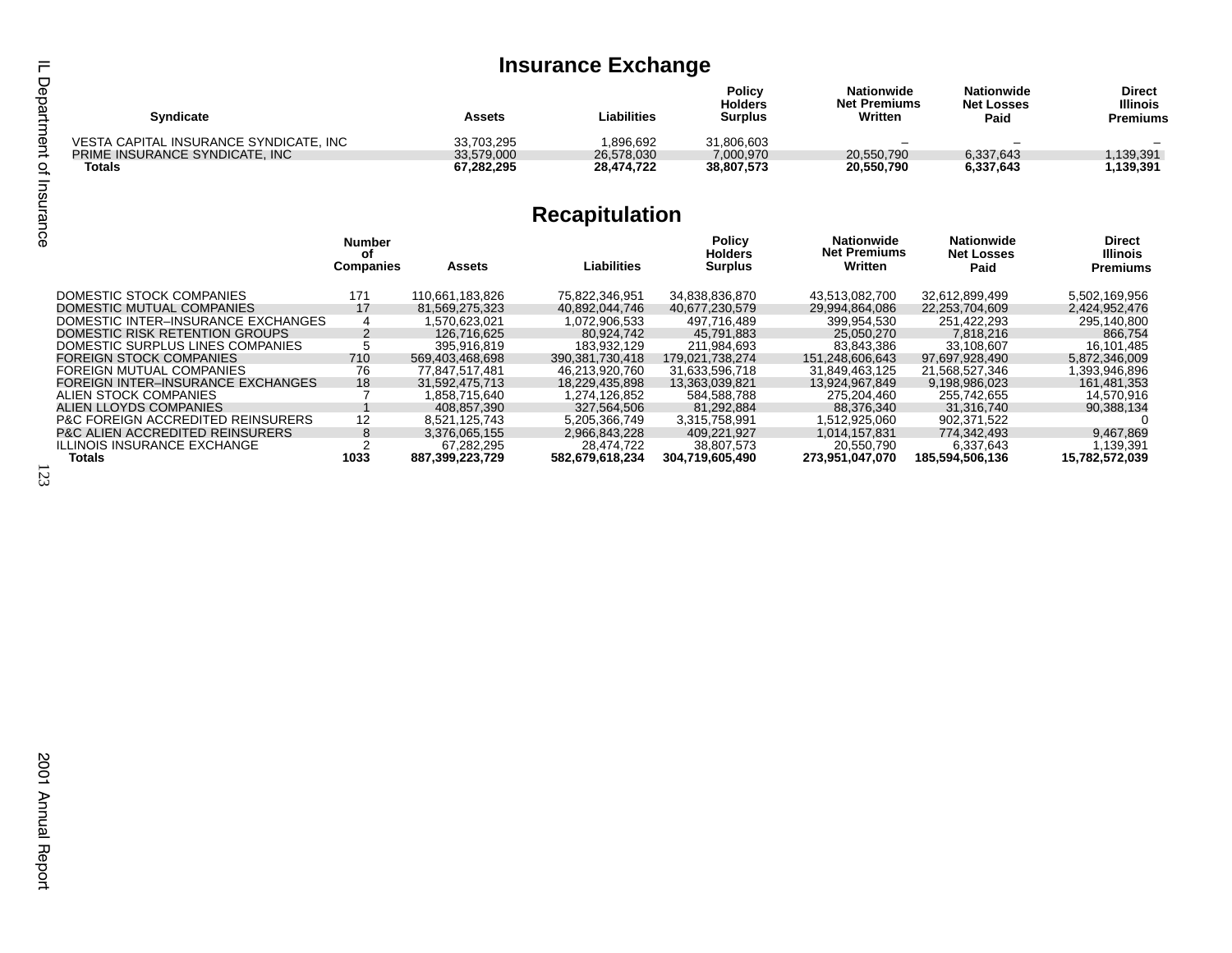## **Insurance Exchange**

| Svndicate                              | Assets     | Liabilities | Policv<br>Holders<br>Surplus | <b>Nationwide</b><br><b>Net Premiums</b><br>Written | <b>Nationwide</b><br><b>Net Losses</b><br>Paid | Direct<br><b>Illinois</b><br>Premiums |
|----------------------------------------|------------|-------------|------------------------------|-----------------------------------------------------|------------------------------------------------|---------------------------------------|
| VESTA CAPITAL INSURANCE SYNDICATE. INC | 33.703.295 | .896.692    | 31.806.603                   | -                                                   | $\overline{\phantom{0}}$                       | $\overline{\phantom{a}}$              |
| PRIME INSURANCE SYNDICATE. INC         | 33.579.000 | 26.578.030  | 7.000.970                    | 20.550.790                                          | 6.337.643                                      | .139.391                              |
| <b>Totals</b>                          | 67,282,295 | 28.474.722  | 38.807.573                   | 20,550,790                                          | 6.337.643                                      | .139.391                              |

# IL Departm ent of Insurance

## **Recapitulation**

|                                    | <b>Number</b><br>Οf |                 |                    | Policy<br><b>Holders</b> | <b>Nationwide</b><br><b>Net Premiums</b> | <b>Nationwide</b><br><b>Net Losses</b> | <b>Direct</b><br><b>Illinois</b> |
|------------------------------------|---------------------|-----------------|--------------------|--------------------------|------------------------------------------|----------------------------------------|----------------------------------|
|                                    | <b>Companies</b>    | <b>Assets</b>   | <b>Liabilities</b> | <b>Surplus</b>           | Written                                  | Paid                                   | <b>Premiums</b>                  |
| DOMESTIC STOCK COMPANIES           | 171                 | 110.661.183.826 | 75.822.346.951     | 34.838.836.870           | 43.513,082,700                           | 32.612.899.499                         | 5,502,169,956                    |
| DOMESTIC MUTUAL COMPANIES          | 17                  | 81.569.275.323  | 40.892.044.746     | 40,677,230,579           | 29.994.864.086                           | 22.253.704.609                         | 2,424,952,476                    |
| DOMESTIC INTER–INSURANCE EXCHANGES |                     | 1.570.623.021   | 1.072.906.533      | 497.716.489              | 399.954.530                              | 251.422.293                            | 295,140,800                      |
| DOMESTIC RISK RETENTION GROUPS     |                     | 126.716.625     | 80.924.742         | 45.791.883               | 25.050.270                               | 7.818.216                              | 866.754                          |
| DOMESTIC SURPLUS LINES COMPANIES   |                     | 395.916.819     | 183.932.129        | 211.984.693              | 83.843.386                               | 33.108.607                             | 16.101.485                       |
| FOREIGN STOCK COMPANIES            | 710                 | 569.403.468.698 | 390.381.730.418    | 179.021.738.274          | 151.248.606.643                          | 97.697.928.490                         | 5,872,346,009                    |
| FOREIGN MUTUAL COMPANIES           | 76                  | 77.847.517.481  | 46.213.920.760     | 31.633.596.718           | 31.849.463.125                           | 21.568.527.346                         | .393,946,896                     |
| FOREIGN INTER–INSURANCE EXCHANGES  | 18                  | 31.592.475.713  | 18.229.435.898     | 13.363.039.821           | 13.924.967.849                           | 9.198.986.023                          | 161,481,353                      |
| ALIEN STOCK COMPANIES              |                     | 1.858.715.640   | 1.274.126.852      | 584.588.788              | 275.204.460                              | 255.742.655                            | 14,570,916                       |
| ALIEN LLOYDS COMPANIES             |                     | 408.857.390     | 327.564.506        | 81.292.884               | 88.376.340                               | 31.316.740                             | 90.388.134                       |
| P&C FOREIGN ACCREDITED REINSURERS  | 12                  | 8.521.125.743   | 5.205.366.749      | 3.315.758.991            | 1.512.925.060                            | 902.371.522                            |                                  |
| P&C ALIEN ACCREDITED REINSURERS    | 8                   | 3.376.065.155   | 2.966.843.228      | 409.221.927              | 1.014.157.831                            | 774.342.493                            | 9.467.869                        |
| ILLINOIS INSURANCE EXCHANGE        |                     | 67.282.295      | 28.474.722         | 38.807.573               | 20.550.790                               | 6.337.643                              | 1,139,391                        |
| Totals                             | 1033                | 887,399,223,729 | 582.679.618.234    | 304,719,605,490          | 273,951,047,070                          | 185,594,506,136                        | 15,782,572,039                   |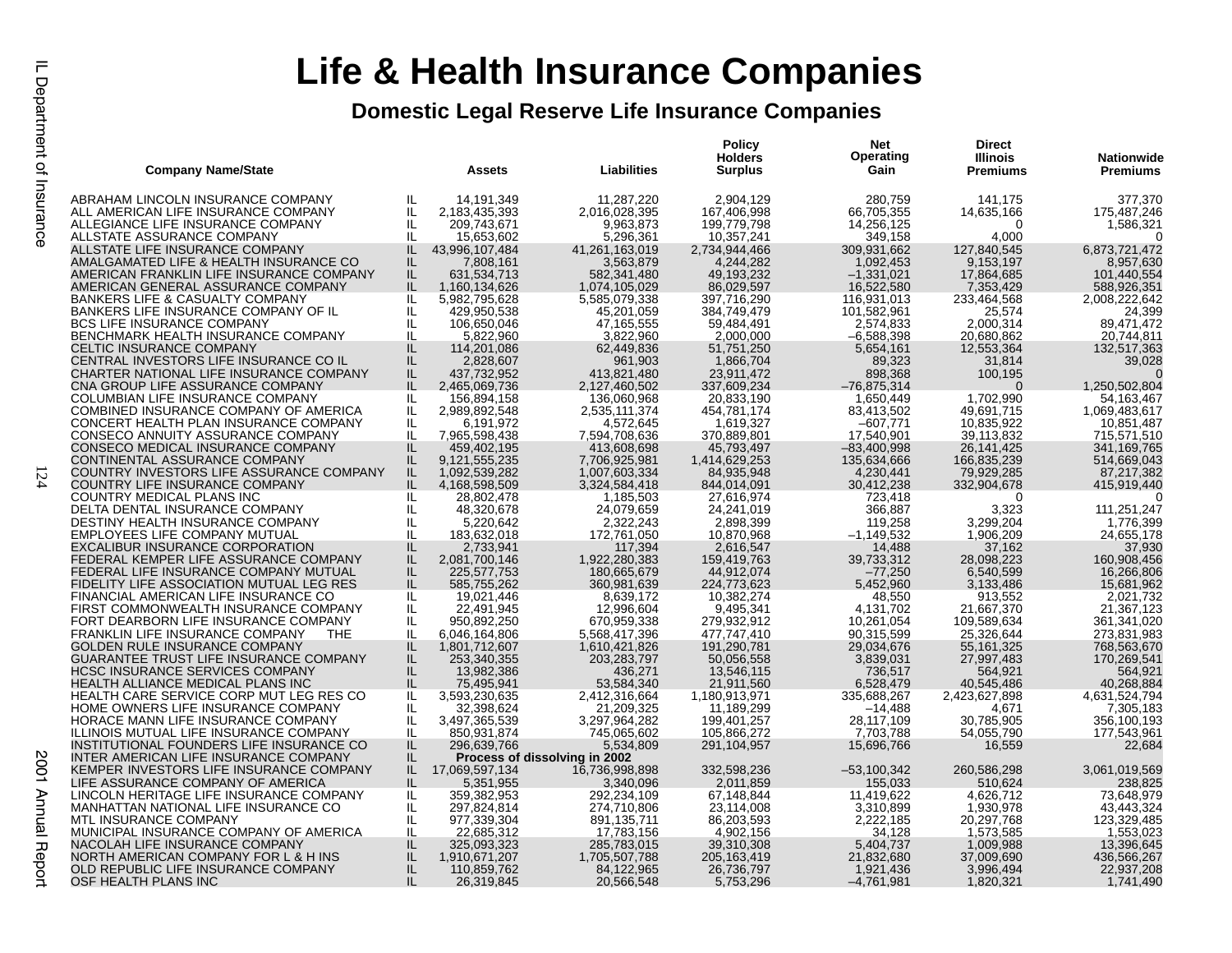# **Life & Health Insurance Companies**

| <b>Company Name/State</b>                                                         | Assets                                   | <b>Liabilities</b>             | <b>Policy</b><br><b>Holders</b><br>Surplus | <b>Net</b><br>Operating<br>Gain | <b>Direct</b><br><b>Illinois</b><br>Premiums | <b>Nationwide</b><br>Premiums |
|-----------------------------------------------------------------------------------|------------------------------------------|--------------------------------|--------------------------------------------|---------------------------------|----------------------------------------------|-------------------------------|
|                                                                                   |                                          |                                |                                            |                                 |                                              |                               |
| ABRAHAM LINCOLN INSURANCE COMPANY                                                 | 14.191.349<br>IL                         | 11.287.220                     | 2,904,129                                  | 280.759                         | 141.175                                      | 377,370                       |
| ALL AMERICAN LIFE INSURANCE COMPANY<br>ALLEGIANCE LIFE INSURANCE COMPANY          | IL<br>2,183,435,393<br>IL<br>209.743.671 | 2,016,028,395<br>9.963.873     | 167,406,998<br>199.779.798                 | 66,705,355<br>14,256,125        | 14,635,166<br>$\Omega$                       | 175,487,246<br>1,586,321      |
| ALLSTATE ASSURANCE COMPANY                                                        | 15,653,602<br>IL                         | 5,296,361                      | 10,357,241                                 | 349,158                         | 4.000                                        | C                             |
| ALLSTATE LIFE INSURANCE COMPANY                                                   | IL<br>43,996,107,484                     | 41.261.163.019                 | 2,734,944,466                              | 309.931.662                     | 127.840.545                                  | 6,873,721,472                 |
| AMALGAMATED LIFE & HEALTH INSURANCE CO                                            | IL<br>7,808,161                          | 3,563,879                      | 4,244,282                                  | 1,092,453                       | 9,153,197                                    | 8,957,630                     |
| AMERICAN FRANKLIN LIFE INSURANCE COMPANY                                          | IL<br>631,534,713                        | 582,341,480                    | 49,193,232                                 | $-1,331,021$                    | 17,864,685                                   | 101,440,554                   |
| AMERICAN GENERAL ASSURANCE COMPANY                                                | IL<br>1,160,134,626                      | 1,074,105,029                  | 86,029,597                                 | 16,522,580                      | 7,353,429                                    | 588,926,351                   |
| <b>BANKERS LIFE &amp; CASUALTY COMPANY</b>                                        | IL<br>5,982,795,628                      | 5,585,079,338                  | 397,716,290                                | 116,931,013                     | 233,464,568                                  | 2,008,222,642                 |
| BANKERS LIFE INSURANCE COMPANY OF IL                                              | IL<br>429,950,538                        | 45,201,059                     | 384,749,479                                | 101,582,961                     | 25,574                                       | 24,399                        |
| <b>BCS LIFE INSURANCE COMPANY</b>                                                 | IL<br>106,650,046                        | 47,165,555                     | 59,484,491                                 | 2,574,833                       | 2,000,314                                    | 89,471,472                    |
| BENCHMARK HEALTH INSURANCE COMPANY<br>CELTIC INSURANCE COMPANY                    | IL<br>5,822,960<br>IL<br>114,201,086     | 3,822,960<br>62,449,836        | 2,000,000<br>51,751,250                    | $-6,588,398$<br>5,654,161       | 20,680,862<br>12,553,364                     | 20,744,811<br>132,517,363     |
| CENTRAL INVESTORS LIFE INSURANCE CO IL                                            | IL<br>2,828,607                          | 961,903                        | 1,866,704                                  | 89,323                          | 31,814                                       | 39,028                        |
| CHARTER NATIONAL LIFE INSURANCE COMPANY                                           | IL<br>437,732,952                        | 413,821,480                    | 23,911,472                                 | 898,368                         | 100,195                                      |                               |
| CNA GROUP LIFE ASSURANCE COMPANY                                                  | IL<br>2,465,069,736                      | 2,127,460,502                  | 337,609,234                                | $-76,875,314$                   |                                              | 1,250,502,804                 |
| COLUMBIAN LIFE INSURANCE COMPANY                                                  | 156,894,158<br>IL                        | 136,060,968                    | 20,833,190                                 | 1,650,449                       | 1,702,990                                    | 54,163,467                    |
| COMBINED INSURANCE COMPANY OF AMERICA                                             | IL<br>2.989.892.548                      | 2.535.111.374                  | 454.781.174                                | 83.413.502                      | 49.691.715                                   | 1,069,483,617                 |
| CONCERT HEALTH PLAN INSURANCE COMPANY                                             | IL<br>6,191,972                          | 4,572,645                      | 1,619,327                                  | –607,771                        | 10,835,922                                   | 10,851,487                    |
| CONSECO ANNUITY ASSURANCE COMPANY                                                 | IL<br>7,965,598,438                      | 7,594,708,636                  | 370,889,801                                | 17.540.901                      | 39,113,832                                   | 715,571,510                   |
| CONSECO MEDICAL INSURANCE COMPANY<br>CONTINENTAL ASSURANCE COMPANY                | 459,402,195<br>IL<br>IL                  | 413,608,698                    | 45,793,497                                 | $-83,400,998$                   | 26, 141, 425                                 | 341,169,765                   |
| COUNTRY INVESTORS LIFE ASSURANCE COMPANY                                          | 9,121,555,235<br>IL<br>1,092,539,282     | 7,706,925,981<br>1,007,603,334 | 1,414,629,253<br>84,935,948                | 135,634,666<br>4,230,441        | 166,835,239<br>79,929,285                    | 514,669,043<br>87,217,382     |
| COUNTRY LIFE INSURANCE COMPANY                                                    | IL<br>4,168,598,509                      | 3,324,584,418                  | 844,014,091                                | 30,412,238                      | 332,904,678                                  | 415,919,440                   |
| COUNTRY MEDICAL PLANS INC                                                         | 28,802,478<br>IL                         | 1,185,503                      | 27,616,974                                 | 723,418                         | 0                                            | 0                             |
| DELTA DENTAL INSURANCE COMPANY                                                    | IL<br>48,320,678                         | 24,079,659                     | 24,241,019                                 | 366,887                         | 3,323                                        | 111,251,247                   |
| DESTINY HEALTH INSURANCE COMPANY                                                  | IL<br>5,220,642                          | 2,322,243                      | 2,898,399                                  | 119,258                         | 3,299,204                                    | 1,776,399                     |
| <b>EMPLOYEES LIFE COMPANY MUTUAL</b>                                              | IL<br>183,632,018                        | 172,761,050                    | 10,870,968                                 | $-1,149,532$                    | 1,906,209                                    | 24,655,178                    |
| EXCALIBUR INSURANCE CORPORATION                                                   | IL<br>2,733,941                          | 117,394                        | 2,616,547                                  | 14,488                          | 37,162                                       | 37,930                        |
| FEDERAL KEMPER LIFE ASSURANCE COMPANY                                             | IL<br>2,081,700,146                      | 1,922,280,383                  | 159,419,763                                | 39,733,312                      | 28,098,223                                   | 160,908,456                   |
| FEDERAL LIFE INSURANCE COMPANY MUTUAL<br>FIDELITY LIFE ASSOCIATION MUTUAL LEG RES | IL<br>225,577,753<br>IL<br>585,755,262   | 180,665,679<br>360,981,639     | 44,912,074<br>224,773,623                  | $-77,250$<br>5,452,960          | 6,540,599<br>3,133,486                       | 16,266,806<br>15,681,962      |
| FINANCIAL AMERICAN LIFE INSURANCE CO                                              | IL<br>19,021,446                         | 8,639,172                      | 10,382,274                                 | 48,550                          | 913,552                                      | 2,021,732                     |
| FIRST COMMONWEALTH INSURANCE COMPANY                                              | 22,491,945<br>IL                         | 12,996,604                     | 9,495,341                                  | 4,131,702                       | 21,667,370                                   | 21,367,123                    |
| FORT DEARBORN LIFE INSURANCE COMPANY                                              | IL<br>950,892,250                        | 670.959.338                    | 279.932.912                                | 10,261,054                      | 109,589,634                                  | 361,341,020                   |
| FRANKLIN LIFE INSURANCE COMPANY<br><b>THE</b>                                     | IL<br>6,046,164,806                      | 5,568,417,396                  | 477,747,410                                | 90,315,599                      | 25,326,644                                   | 273,831,983                   |
| <b>GOLDEN RULE INSURANCE COMPANY</b>                                              | IL<br>1,801,712,607                      | 1,610,421,826                  | 191,290,781                                | 29,034,676                      | 55, 161, 325                                 | 768,563,670                   |
| <b>GUARANTEE TRUST LIFE INSURANCE COMPANY</b>                                     | IL<br>253,340,355                        | 203,283,797                    | 50,056,558                                 | 3,839,031                       | 27,997,483                                   | 170,269,541                   |
| <b>HCSC INSURANCE SERVICES COMPANY</b><br>HEALTH ALLIANCE MEDICAL PLANS INC       | IL<br>13,982,386<br>IL                   | 436,271<br>53,584,340          | 13,546,115<br>21,911,560                   | 736,517<br>6,528,479            | 564,921<br>40,545,486                        | 564,921<br>40,268,884         |
| HEALTH CARE SERVICE CORP MUT LEG RES CO                                           | 75,495,941<br>IL<br>3,593,230,635        | 2,412,316,664                  | 1,180,913,971                              | 335,688,267                     | 2,423,627,898                                | 4,631,524,794                 |
| HOME OWNERS LIFE INSURANCE COMPANY                                                | 32,398,624<br>IL                         | 21,209,325                     | 11,189,299                                 | $-14,488$                       | 4,671                                        | 7,305,183                     |
| HORACE MANN LIFE INSURANCE COMPANY                                                | IL<br>3.497.365.539                      | 3,297,964,282                  | 199,401,257                                | 28,117,109                      | 30,785,905                                   | 356,100,193                   |
| ILLINOIS MUTUAL LIFE INSURANCE COMPANY                                            | IL<br>850,931,874                        | 745,065,602                    | 105,866,272                                | 7,703,788                       | 54,055,790                                   | 177,543,961                   |
| INSTITUTIONAL FOUNDERS LIFE INSURANCE CO                                          | IL<br>296,639,766                        | 5,534,809                      | 291,104,957                                | 15,696,766                      | 16,559                                       | 22,684                        |
| INTER AMERICAN LIFE INSURANCE COMPANY                                             | IL                                       | Process of dissolving in 2002  |                                            |                                 |                                              |                               |
| KEMPER INVESTORS LIFE INSURANCE COMPANY                                           | IL<br>17,069,597,134                     | 16,736,998,898                 | 332,598,236                                | $-53,100,342$                   | 260,586,298                                  | 3,061,019,569                 |
| LIFE ASSURANCE COMPANY OF AMERICA<br>LINCOLN HERITAGE LIFE INSURANCE COMPANY      | IL<br>5,351,955<br>359,382,953<br>IL     | 3,340,096<br>292,234,109       | 2,011,859<br>67,148,844                    | 155,033                         | 510,624                                      | 238,825<br>73,648,979         |
| MANHATTAN NATIONAL LIFE INSURANCE CO                                              | IL<br>297,824,814                        | 274,710,806                    | 23,114,008                                 | 11,419,622<br>3,310,899         | 4,626,712<br>1,930,978                       | 43,443,324                    |
| MTL INSURANCE COMPANY                                                             | IL<br>977,339,304                        | 891,135,711                    | 86,203,593                                 | 2,222,185                       | 20,297,768                                   | 123,329,485                   |
| MUNICIPAL INSURANCE COMPANY OF AMERICA                                            | IL<br>22,685,312                         | 17,783,156                     | 4,902,156                                  | 34,128                          | 1,573,585                                    | 1,553,023                     |
| NACOLAH LIFE INSURANCE COMPANY                                                    | IL<br>325,093,323                        | 285,783,015                    | 39,310,308                                 | 5,404,737                       | 1,009,988                                    | 13,396,645                    |
| NORTH AMERICAN COMPANY FOR L & H INS                                              | IL<br>1,910,671,207                      | 1,705,507,788                  | 205, 163, 419                              | 21,832,680                      | 37,009,690                                   | 436,566,267                   |
| OLD REPUBLIC LIFE INSURANCE COMPANY                                               | IL<br>110,859,762                        | 84,122,965                     | 26,736,797                                 | 1,921,436                       | 3,996,494                                    | 22,937,208                    |
| OSF HEALTH PLANS INC                                                              | IL<br>26,319,845                         | 20,566,548                     | 5,753,296                                  | –4,761,981                      | 1,820,321                                    | 1,741,490                     |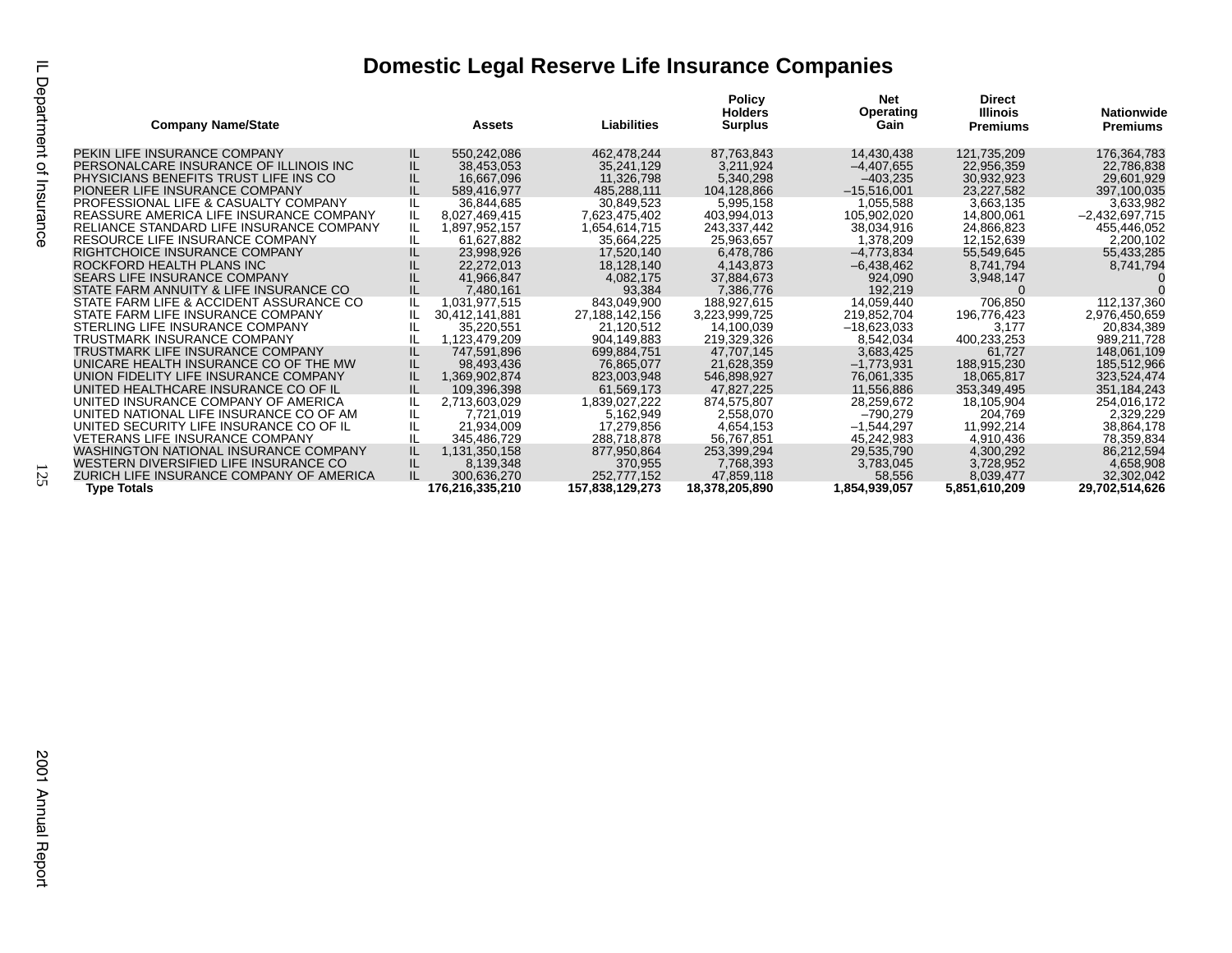| <b>Company Name/State</b>                | <b>Assets</b>   | Liabilities     | <b>Policy</b><br><b>Holders</b><br><b>Surplus</b> | <b>Net</b><br>Operating<br>Gain | <b>Direct</b><br><b>Illinois</b><br><b>Premiums</b> | <b>Nationwide</b><br>Premiums |
|------------------------------------------|-----------------|-----------------|---------------------------------------------------|---------------------------------|-----------------------------------------------------|-------------------------------|
| PEKIN LIFE INSURANCE COMPANY             | 550.242.086     | 462.478.244     | 87.763.843                                        | 14.430.438                      | 121.735.209                                         | 176.364.783                   |
| PERSONALCARE INSURANCE OF ILLINOIS INC   | 38.453.053      | 35.241.129      | 3.211.924                                         | $-4.407.655$                    | 22.956.359                                          | 22.786.838                    |
| PHYSICIANS BENEFITS TRUST LIFE INS CO    | 16.667.096      | 11,326,798      | 5.340.298                                         | $-403.235$                      | 30,932,923                                          | 29.601.929                    |
| PIONEER LIFE INSURANCE COMPANY           | 589.416.977     | 485,288,111     | 104.128.866                                       | $-15.516.001$                   | 23.227.582                                          | 397,100,035                   |
| PROFESSIONAL LIFE & CASUALTY COMPANY     | 36.844.685      | 30.849.523      | 5.995.158                                         | 1.055.588                       | 3.663.135                                           | 3.633.982                     |
| REASSURE AMERICA LIFE INSURANCE COMPANY  | 8,027,469,415   | 7,623,475,402   | 403,994,013                                       | 105.902.020                     | 14.800.061                                          | $-2,432,697,715$              |
| RELIANCE STANDARD LIFE INSURANCE COMPANY | 897,952,157     | 1,654,614,715   | 243,337,442                                       | 38,034,916                      | 24,866,823                                          | 455,446,052                   |
| RESOURCE LIFE INSURANCE COMPANY          | 61.627.882      | 35.664.225      | 25.963.657                                        | 1.378.209                       | 12.152.639                                          | 2.200.102                     |
| RIGHTCHOICE INSURANCE COMPANY            | 23.998.926      | 17,520,140      | 6.478.786                                         | $-4,773,834$                    | 55,549,645                                          | 55,433,285                    |
| ROCKFORD HEALTH PLANS INC                | 22.272.013      | 18,128,140      | 4.143.873                                         | $-6.438.462$                    | 8.741.794                                           | 8,741,794                     |
| <b>SEARS LIFE INSURANCE COMPANY</b>      | 41.966.847      | 4.082.175       | 37,884,673                                        | 924,090                         | 3,948,147                                           |                               |
| STATE FARM ANNUITY & LIFE INSURANCE CO   | 7.480.161       | 93.384          | 7.386.776                                         | 192.219                         |                                                     |                               |
| STATE FARM LIFE & ACCIDENT ASSURANCE CO  | 1.031.977.515   | 843.049.900     | 188.927.615                                       | 14.059.440                      | 706.850                                             | 112,137,360                   |
| STATE FARM LIFE INSURANCE COMPANY        | 30.412.141.881  | 27.188.142.156  | 3.223.999.725                                     | 219,852,704                     | 196.776.423                                         | 2,976,450,659                 |
| STERLING LIFE INSURANCE COMPANY          | 35.220.551      | 21.120.512      | 14.100.039                                        | –18.623.033                     | 3.177                                               | 20,834,389                    |
| TRUSTMARK INSURANCE COMPANY              | 1,123,479,209   | 904,149,883     | 219,329,326                                       | 8,542,034                       | 400,233,253                                         | 989,211,728                   |
| TRUSTMARK LIFE INSURANCE COMPANY         | 747.591.896     | 699.884.751     | 47.707.145                                        | 3.683.425                       | 61.727                                              | 148,061,109                   |
| UNICARE HEALTH INSURANCE CO OF THE MW    | 98.493.436      | 76.865.077      | 21.628.359                                        | $-1.773.931$                    | 188.915.230                                         | 185,512,966                   |
| UNION FIDELITY LIFE INSURANCE COMPANY    | 1.369.902.874   | 823.003.948     | 546,898,927                                       | 76,061,335                      | 18.065.817                                          | 323,524,474                   |
| UNITED HEALTHCARE INSURANCE CO OF IL     | 109,396,398     | 61.569.173      | 47.827.225                                        | 11.556.886                      | 353,349,495                                         | 351, 184, 243                 |
| UNITED INSURANCE COMPANY OF AMERICA      | 2,713,603,029   | 1.839.027.222   | 874.575.807                                       | 28.259.672                      | 18,105,904                                          | 254,016,172                   |
| UNITED NATIONAL LIFE INSURANCE CO OF AM  | 7.721,019       | 5.162.949       | 2.558.070                                         | $-790.279$                      | 204.769                                             | 2.329.229                     |
| UNITED SECURITY LIFE INSURANCE CO OF IL  | 21,934,009      | 17,279,856      | 4.654.153                                         | $-1,544,297$                    | 11,992,214                                          | 38,864,178                    |
| VETERANS LIFE INSURANCE COMPANY          | 345,486,729     | 288.718.878     | 56.767.851                                        | 45,242,983                      | 4.910.436                                           | 78,359,834                    |
| WASHINGTON NATIONAL INSURANCE COMPANY    | 1,131,350,158   | 877,950,864     | 253,399,294                                       | 29,535,790                      | 4,300,292                                           | 86,212,594                    |
| WESTERN DIVERSIFIED LIFE INSURANCE CO    | 8,139,348       | 370.955         | 7.768.393                                         | 3.783.045                       | 3,728,952                                           | 4.658.908                     |
| ZURICH LIFE INSURANCE COMPANY OF AMERICA | 300,636,270     | 252.777.152     | 47.859.118                                        | 58.556                          | 8.039.477                                           | 32.302.042                    |
| <b>Type Totals</b>                       | 176,216,335,210 | 157,838,129,273 | 18,378,205,890                                    | 1,854,939,057                   | 5,851,610,209                                       | 29,702,514,626                |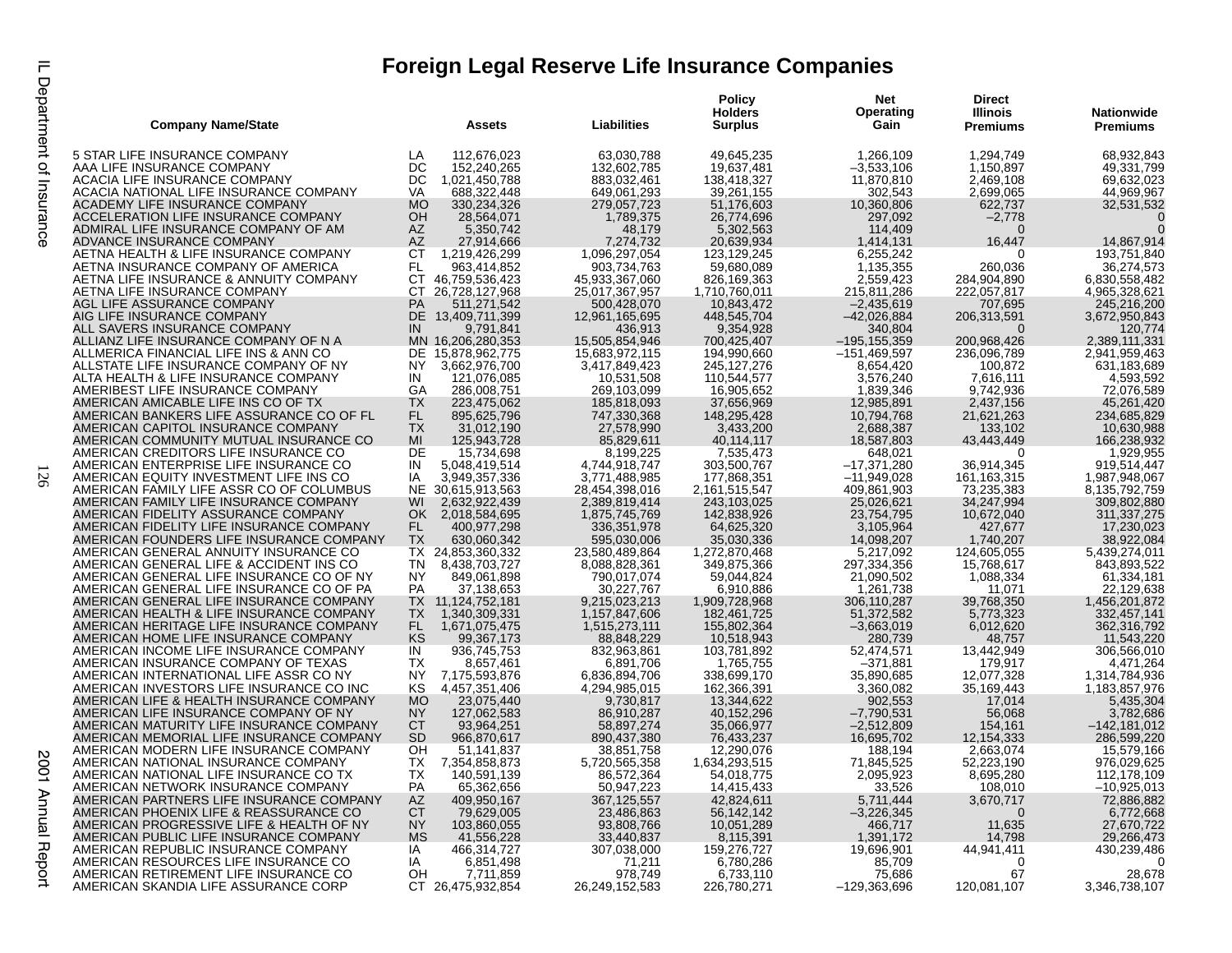| <b>Company Name/State</b>                                                          | Assets                                              | <b>Liabilities</b>               | Policy<br><b>Holders</b><br><b>Surplus</b> | Net<br><b>Operating</b><br>Gain | <b>Direct</b><br><b>Illinois</b><br><b>Premiums</b> | <b>Nationwide</b><br><b>Premiums</b> |
|------------------------------------------------------------------------------------|-----------------------------------------------------|----------------------------------|--------------------------------------------|---------------------------------|-----------------------------------------------------|--------------------------------------|
| 5 STAR LIFE INSURANCE COMPANY                                                      | LA<br>112,676,023                                   | 63,030,788                       | 49,645,235                                 | 1,266,109                       | 1,294,749                                           | 68,932,843                           |
| AAA LIFE INSURANCE COMPANY                                                         | DC<br>152,240,265                                   | 132,602,785                      | 19,637,481                                 | $-3,533,106$                    | 1,150,897                                           | 49,331,799                           |
| ACACIA LIFE INSURANCE COMPANY<br>ACACIA NATIONAL LIFE INSURANCE COMPANY            | DC<br>1,021,450,788<br>VA                           | 883,032,461<br>649,061,293       | 138,418,327<br>39,261,155                  | 11,870,810                      | 2,469,108                                           | 69,632,023                           |
| ACADEMY LIFE INSURANCE COMPANY                                                     | 688,322,448<br><b>MO</b><br>330,234,326             | 279,057,723                      | 51,176,603                                 | 302,543<br>10,360,806           | 2,699,065<br>622,737                                | 44,969,967<br>32,531,532             |
| ACCELERATION LIFE INSURANCE COMPANY                                                | OH<br>28,564,071                                    | 1,789,375                        | 26,774,696                                 | 297,092                         | $-2,778$                                            |                                      |
| ADMIRAL LIFE INSURANCE COMPANY OF AM                                               | <b>AZ</b><br>5,350,742                              | 48,179                           | 5,302,563                                  | 114,409                         | $\Omega$                                            |                                      |
| ADVANCE INSURANCE COMPANY                                                          | <b>AZ</b><br>27,914,666                             | 7,274,732                        | 20,639,934                                 | 1,414,131                       | 16,447                                              | 14,867,914                           |
| AETNA HEALTH & LIFE INSURANCE COMPANY                                              | <b>CT</b><br>1,219,426,299                          | 1,096,297,054                    | 123,129,245                                | 6,255,242                       | ∩                                                   | 193,751,840                          |
| AETNA INSURANCE COMPANY OF AMERICA                                                 | FL<br>963.414.852<br><b>CT</b>                      | 903.734.763                      | 59,680,089                                 | 1,135,355                       | 260.036                                             | 36,274,573                           |
| AETNA LIFE INSURANCE & ANNUITY COMPANY<br>AETNA LIFE INSURANCE COMPANY             | 46,759,536,423<br>CT<br>26,728,127,968              | 45,933,367,060<br>25,017,367,957 | 826,169,363<br>1,710,760,011               | 2,559,423<br>215,811,286        | 284,904,890<br>222,057,817                          | 6,830,558,482<br>4,965,328,621       |
| AGL LIFE ASSURANCE COMPANY                                                         | PA<br>511.271.542                                   | 500,428,070                      | 10,843,472                                 | $-2,435,619$                    | 707.695                                             | 245,216,200                          |
| AIG LIFE INSURANCE COMPANY                                                         | <b>DE</b><br>13,409,711,399                         | 12,961,165,695                   | 448,545,704                                | $-42,026,884$                   | 206,313,591                                         | 3,672,950,843                        |
| ALL SAVERS INSURANCE COMPANY                                                       | IN<br>9,791,841                                     | 436,913                          | 9,354,928                                  | 340,804                         | $\Omega$                                            | 120,774                              |
| ALLIANZ LIFE INSURANCE COMPANY OF N A                                              | MN 16,206,280,353                                   | 15,505,854,946                   | 700,425,407                                | $-195, 155, 359$                | 200,968,426                                         | 2,389,111,33                         |
| ALLMERICA FINANCIAL LIFE INS & ANN CO                                              | 15,878,962,775<br>DE                                | 15,683,972,115                   | 194,990,660                                | $-151,469,597$                  | 236,096,789                                         | 2,941,959,463                        |
| ALLSTATE LIFE INSURANCE COMPANY OF NY<br>ALTA HEALTH & LIFE INSURANCE COMPANY      | 3,662,976,700<br>NY<br>121,076,085<br>IN            | 3,417,849,423<br>10,531,508      | 245, 127, 276<br>110,544,577               | 8,654,420<br>3,576,240          | 100,872<br>7,616,111                                | 631,183,689<br>4,593,592             |
| AMERIBEST LIFE INSURANCE COMPANY                                                   | 286,008,751<br>GA                                   | 269,103,099                      | 16,905,652                                 | 1,839,346                       | 9,742,936                                           | 72,076,589                           |
| AMERICAN AMICABLE LIFE INS CO OF TX                                                | <b>TX</b><br>223,475,062                            | 185,818,093                      | 37,656,969                                 | 12,985,891                      | 2,437,156                                           | 45,261,420                           |
| AMERICAN BANKERS LIFE ASSURANCE CO OF FL                                           | <b>FL</b><br>895,625,796                            | 747,330,368                      | 148,295,428                                | 10,794,768                      | 21,621,263                                          | 234,685,829                          |
| AMERICAN CAPITOL INSURANCE COMPANY                                                 | <b>TX</b><br>31,012,190                             | 27,578,990                       | 3,433,200                                  | 2,688,387                       | 133,102                                             | 10,630,988                           |
| AMERICAN COMMUNITY MUTUAL INSURANCE CO                                             | MI<br>125,943,728                                   | 85,829,611                       | 40,114,117                                 | 18,587,803                      | 43,443,449<br>∩                                     | 166,238,932                          |
| AMERICAN CREDITORS LIFE INSURANCE CO<br>AMERICAN ENTERPRISE LIFE INSURANCE CO      | 15,734,698<br>DE<br>IN<br>5,048,419,514             | 8,199,225<br>4,744,918,747       | 7,535,473<br>303,500,767                   | 648,021<br>$-17,371,280$        | 36,914,345                                          | 1,929,955<br>919,514,447             |
|                                                                                    | IA<br>3,949,357,336                                 | 3,771,488,985                    | 177,868,351                                | $-11,949,028$                   | 161, 163, 315                                       |                                      |
| AMERICAN EQUITY INVESTMENT LIFE INS CO<br>AMERICAN FAMILY LIFE ASSR CO OF COLUMBUS | 30,615,913,563<br><b>NE</b>                         | 28,454,398,016                   | 2,161,515,547                              | 409,861,903                     | 73,235,383                                          | 1,987,948,067<br>8,135,792,759       |
| AMERICAN FAMILY LIFE INSURANCE COMPANY                                             | WI<br>2,632,922,439                                 | 2,389,819,414                    | 243,103,025                                | 25,026,621                      | 34,247,994                                          | 309,802,880                          |
| AMERICAN FIDELITY ASSURANCE COMPANY                                                | OK<br>2,018,584,695                                 | 1,875,745,769                    | 142,838,926                                | 23,754,795                      | 10,672,040                                          | 311, 337, 275                        |
| AMERICAN FIDELITY LIFE INSURANCE COMPANY                                           | <b>FL</b><br>400,977,298                            | 336,351,978                      | 64,625,320                                 | 3,105,964                       | 427,677                                             | 17,230,023                           |
| AMERICAN FOUNDERS LIFE INSURANCE COMPANY<br>AMERICAN GENERAL ANNUITY INSURANCE CO  | 630,060,342<br><b>TX</b><br>24,853,360,332<br>TХ    | 595,030,006<br>23,580,489,864    | 35,030,336<br>1,272,870,468                | 14,098,207<br>5,217,092         | 1,740,207<br>124,605,055                            | 38,922,084<br>5,439,274,011          |
| AMERICAN GENERAL LIFE & ACCIDENT INS CO                                            | <b>TN</b><br>8,438,703,727                          | 8,088,828,361                    | 349,875,366                                | 297,334,356                     | 15,768,617                                          | 843,893,522                          |
| AMERICAN GENERAL LIFE INSURANCE CO OF NY                                           | <b>NY</b><br>849,061,898                            | 790,017,074                      | 59,044,824                                 | 21,090,502                      | 1,088,334                                           | 61,334,181                           |
| AMERICAN GENERAL LIFE INSURANCE CO OF PA                                           | PA<br>37,138,653                                    | 30,227,767                       | 6,910,886                                  | 1,261,738                       | 11,071                                              | 22,129,638                           |
| AMERICAN GENERAL LIFE INSURANCE COMPANY                                            | 11,124,752,181<br><b>TX</b>                         | 9,215,023,213                    | 1,909,728,968                              | 306,110,287                     | 39,768,350                                          | 1,456,201,872                        |
| AMERICAN HEALTH & LIFE INSURANCE COMPANY                                           | <b>TX</b><br>1,340,309,331                          | 1,157,847,606                    | 182,461,725                                | 51,372,582                      | 5,773,323                                           | 332,457,141                          |
| AMERICAN HERITAGE LIFE INSURANCE COMPANY<br>AMERICAN HOME LIFE INSURANCE COMPANY   | FL<br>1,671,075,475<br>KS<br>99,367,173             | 1,515,273,111<br>88,848,229      | 155,802,364<br>10,518,943                  | $-3,663,019$<br>280,739         | 6,012,620<br>48,757                                 | 362,316,792<br>11,543,220            |
| AMERICAN INCOME LIFE INSURANCE COMPANY                                             | IN<br>936.745.753                                   | 832.963.861                      | 103,781,892                                | 52,474,571                      | 13.442.949                                          | 306.566.010                          |
| AMERICAN INSURANCE COMPANY OF TEXAS                                                | ТX<br>8,657,461                                     | 6,891,706                        | 1,765,755                                  | –371,881                        | 179,917                                             | 4,471,264                            |
| AMERICAN INTERNATIONAL LIFE ASSR CO NY                                             | 7,175,593,876<br>NY                                 | 6,836,894,706                    | 338,699,170                                | 35,890,685                      | 12,077,328                                          | 1,314,784,936                        |
| AMERICAN INVESTORS LIFE INSURANCE CO INC                                           | KS<br>4,457,351,406                                 | 4,294,985,015                    | 162,366,391                                | 3,360,082                       | 35,169,443                                          | 1,183,857,976                        |
| AMERICAN LIFE & HEALTH INSURANCE COMPANY                                           | <b>MO</b><br>23,075,440                             | 9,730,817                        | 13,344,622                                 | 902,553                         | 17,014                                              | 5,435,304                            |
| AMERICAN LIFE INSURANCE COMPANY OF NY<br>AMERICAN MATURITY LIFE INSURANCE COMPANY  | <b>NY</b><br>127,062,583<br><b>CT</b><br>93,964,251 | 86,910,287<br>58,897,274         | 40,152,296<br>35,066,977                   | $-7,790,531$<br>$-2,512,809$    | 56,068<br>154,161                                   | 3,782,686<br>$-142, 181, 012$        |
| AMERICAN MEMORIAL LIFE INSURANCE COMPANY                                           | <b>SD</b><br>966,870,617                            | 890,437,380                      | 76,433,237                                 | 16,695,702                      | 12,154,333                                          | 286,599,220                          |
| AMERICAN MODERN LIFE INSURANCE COMPANY                                             | OH<br>51,141,837                                    | 38,851,758                       | 12,290,076                                 | 188,194                         | 2,663,074                                           | 15,579,166                           |
| AMERICAN NATIONAL INSURANCE COMPANY                                                | <b>TX</b><br>7,354,858,873                          | 5,720,565,358                    | 1,634,293,515                              | 71,845,525                      | 52,223,190                                          | 976,029,625                          |
| AMERICAN NATIONAL LIFE INSURANCE CO TX                                             | TX<br>140,591,139                                   | 86,572,364                       | 54,018,775                                 | 2,095,923                       | 8,695,280                                           | 112,178,109                          |
| AMERICAN NETWORK INSURANCE COMPANY                                                 | PA<br>65,362,656                                    | 50,947,223                       | 14,415,433                                 | 33,526                          | 108,010                                             | $-10,925,013$                        |
| AMERICAN PARTNERS LIFE INSURANCE COMPANY<br>AMERICAN PHOENIX LIFE & REASSURANCE CO | AZ<br>409,950,167<br><b>CT</b><br>79,629,005        | 367,125,557<br>23,486,863        | 42,824,611<br>56,142,142                   | 5,711,444<br>–3,226,345         | 3,670,717<br>$\Omega$                               | 72,886,882<br>6,772,668              |
|                                                                                    | 103,860,055<br>NY                                   | 93,808,766                       | 10,051,289                                 | 466,717                         | 11,635                                              | 27,670,722                           |
| AMERICAN PROGRESSIVE LIFE & HEALTH OF NY<br>AMERICAN PUBLIC LIFE INSURANCE COMPANY | <b>MS</b><br>41,556,228                             | 33,440,837                       | 8,115,391                                  | 1,391,172                       | 14,798                                              | 29,266,473                           |
| AMERICAN REPUBLIC INSURANCE COMPANY                                                | IA<br>466,314,727                                   | 307,038,000                      | 159,276,727                                | 19,696,901                      | 44.941.411                                          | 430,239,486                          |
| AMERICAN RESOURCES LIFE INSURANCE CO                                               | IA<br>6,851,498                                     | 71,211                           | 6,780,286                                  | 85,709                          | 0                                                   |                                      |
| AMERICAN RETIREMENT LIFE INSURANCE CO<br>AMERICAN SKANDIA LIFE ASSURANCE CORP      | OΗ<br>7,711,859<br>CT                               | 978,749<br>26,249,152,583        | 6,733,110                                  | 75,686<br>$-129,363,696$        | 67<br>120,081,107                                   | 28,678<br>3,346,738,107              |
|                                                                                    | 26,475,932,854                                      |                                  | 226,780,271                                |                                 |                                                     |                                      |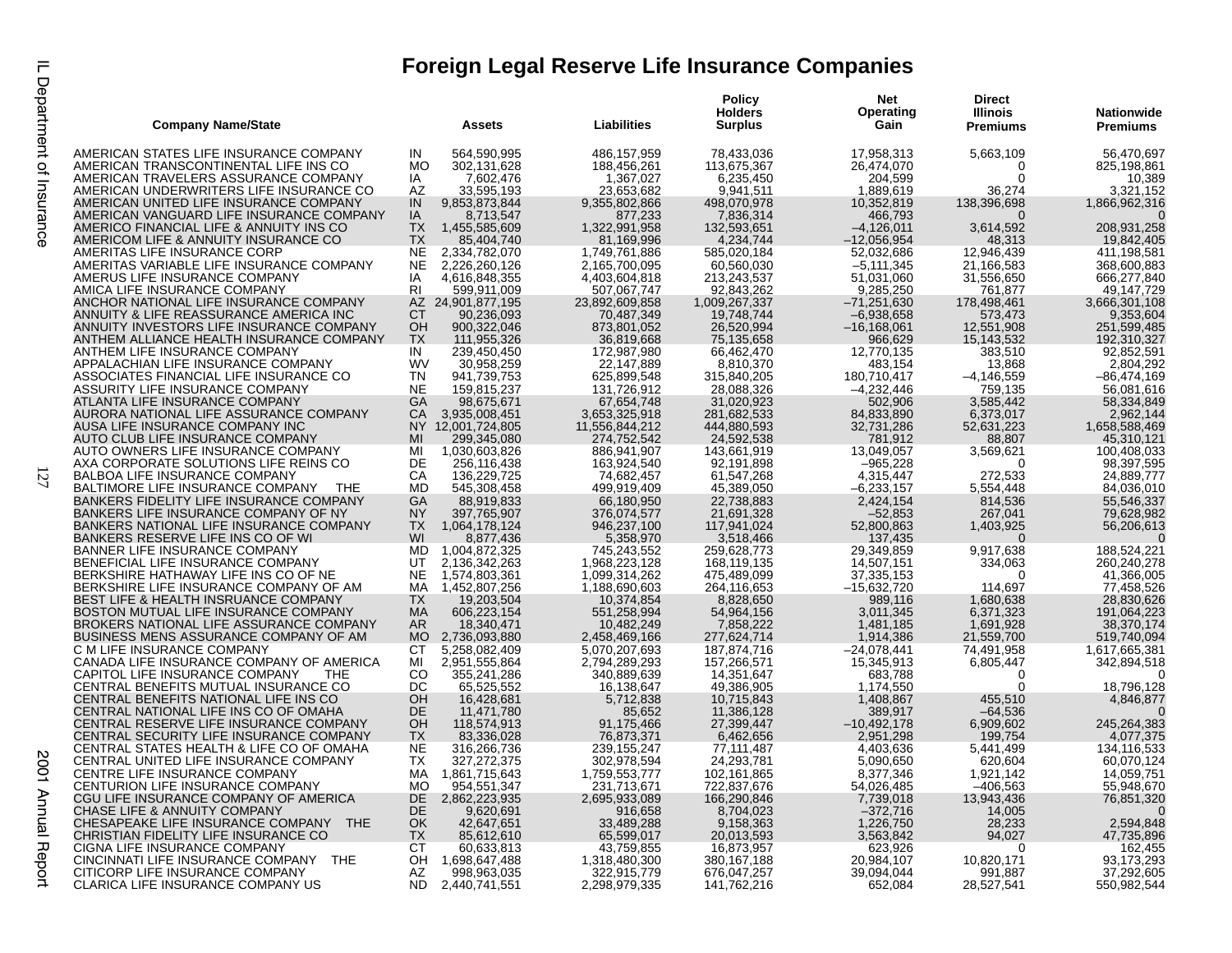| <b>Company Name/State</b>                                                               | Assets                                                | <b>Liabilities</b>            | <b>Policy</b><br><b>Holders</b><br><b>Surplus</b> | <b>Net</b><br>Operating<br>Gain | Direct<br>Illinois<br><b>Premiums</b> | <b>Nationwide</b><br>Premiums |
|-----------------------------------------------------------------------------------------|-------------------------------------------------------|-------------------------------|---------------------------------------------------|---------------------------------|---------------------------------------|-------------------------------|
| AMERICAN STATES LIFE INSURANCE COMPANY                                                  | 564,590,995<br>IN.                                    | 486,157,959                   | 78,433,036                                        | 17,958,313                      | 5,663,109                             | 56,470,697                    |
| AMERICAN TRANSCONTINENTAL LIFE INS CO                                                   | <b>MO</b><br>302,131,628                              | 188,456,261                   | 113,675,367                                       | 26,474,070                      | 0                                     | 825,198,861                   |
| AMERICAN TRAVELERS ASSURANCE COMPANY                                                    | 7,602,476<br>IA                                       | 1.367.027                     | 6,235,450                                         | 204.599                         | $\Omega$                              | 10,389                        |
| AMERICAN UNDERWRITERS LIFE INSURANCE CO<br>AMERICAN UNITED LIFE INSURANCE COMPANY       | ΑZ<br>33,595,193<br>IN<br>9,853,873,844               | 23,653,682<br>9,355,802,866   | 9,941,511<br>498,070,978                          | 1,889,619<br>10,352,819         | 36,274<br>138,396,698                 | 3,321,152<br>1,866,962,316    |
| AMERICAN VANGUARD LIFE INSURANCE COMPANY                                                | 8,713,547<br>IA                                       | 877,233                       | 7,836,314                                         | 466,793                         |                                       |                               |
| AMERICO FINANCIAL LIFE & ANNUITY INS CO                                                 | <b>TX</b><br>1,455,585,609                            | 1,322,991,958                 | 132,593,651                                       | $-4,126,011$                    | 3,614,592                             | 208,931,258                   |
| AMERICOM LIFE & ANNUITY INSURANCE CO                                                    | <b>TX</b><br>85,404,740                               | 81,169,996                    | 4,234,744                                         | $-12,056,954$                   | 48,313                                | 19,842,405                    |
| AMERITAS LIFE INSURANCE CORP                                                            | <b>NE</b><br>2,334,782,070                            | 1,749,761,886                 | 585.020.184                                       | 52,032,686                      | 12.946.439                            | 411,198,58                    |
| AMERITAS VARIABLE LIFE INSURANCE COMPANY                                                | 2,226,260,126<br><b>NE</b>                            | 2,165,700,095                 | 60,560,030                                        | $-5,111,345$                    | 21,166,583                            | 368,600,883                   |
| AMERUS LIFE INSURANCE COMPANY                                                           | IA<br>4,616,848,355                                   | 4,403,604,818                 | 213,243,537                                       | 51,031,060                      | 31,556,650                            | 666,277,840                   |
| AMICA LIFE INSURANCE COMPANY<br>ANCHOR NATIONAL LIFE INSURANCE COMPANY                  | R <sub>l</sub><br>599,911,009<br>24,901,877,195<br>AZ | 507,067,747<br>23,892,609,858 | 92,843,262<br>1,009,267,337                       | 9,285,250<br>$-71,251,630$      | 761,877<br>178,498,461                | 49,147,729<br>3,666,301,108   |
| ANNUITY & LIFE REASSURANCE AMERICA INC                                                  | <b>CT</b><br>90,236,093                               | 70,487,349                    | 19,748,744                                        | $-6,938,658$                    | 573,473                               | 9,353,604                     |
| ANNUITY INVESTORS LIFE INSURANCE COMPANY                                                | 900,322,046<br>OH                                     | 873,801,052                   | 26,520,994                                        | $-16, 168, 061$                 | 12,551,908                            | 251,599,485                   |
| ANTHEM ALLIANCE HEALTH INSURANCE COMPANY                                                | <b>TX</b><br>111,955,326                              | 36,819,668                    | 75,135,658                                        | 966,629                         | 15,143,532                            | 192,310,327                   |
| ANTHEM LIFE INSURANCE COMPANY                                                           | IN<br>239,450,450                                     | 172,987,980                   | 66,462,470                                        | 12,770,135                      | 383.510                               | 92,852,59                     |
| APPALACHIAN LIFE INSURANCE COMPANY                                                      | WV<br>30,958,259                                      | 22,147,889                    | 8,810,370                                         | 483,154                         | 13,868                                | 2,804,292                     |
| ASSOCIATES FINANCIAL LIFE INSURANCE CO                                                  | <b>TN</b><br>941,739,753                              | 625,899,548                   | 315,840,205                                       | 180,710,417                     | $-4, 146, 559$                        | –86,474,169                   |
| ASSURITY LIFE INSURANCE COMPANY                                                         | <b>NE</b><br>159,815,237                              | 131,726,912                   | 28,088,326                                        | $-4.232.446$                    | 759,135                               | 56,081,616                    |
| ATLANTA LIFE INSURANCE COMPANY<br>AURORA NATIONAL LIFE ASSURANCE COMPANY                | GA<br>98,675,671<br>CA<br>3,935,008,451               | 67,654,748<br>3,653,325,918   | 31,020,923<br>281,682,533                         | 502,906<br>84,833,890           | 3,585,442<br>6,373,017                | 58,334,849<br>2,962,144       |
| AUSA LIFE INSURANCE COMPANY INC                                                         | <b>NY</b><br>12,001,724,805                           | 11,556,844,212                | 444,880,593                                       | 32,731,286                      | 52,631,223                            | 1,658,588,469                 |
| AUTO CLUB LIFE INSURANCE COMPANY                                                        | 299,345,080<br>MI                                     | 274,752,542                   | 24,592,538                                        | 781,912                         | 88,807                                | 45,310,121                    |
| AUTO OWNERS LIFE INSURANCE COMPANY                                                      | 1,030,603,826<br>MI                                   | 886,941,907                   | 143,661,919                                       | 13,049,057                      | 3,569,621                             | 100,408,033                   |
| AXA CORPORATE SOLUTIONS LIFE REINS CO                                                   | DE<br>256,116,438                                     | 163,924,540                   | 92,191,898                                        | $-965,228$                      | 0                                     | 98,397,595                    |
| <b>BALBOA LIFE INSURANCE COMPANY</b>                                                    | 136,229,725<br>CA                                     | 74,682,457                    | 61,547,268                                        | 4,315,447                       | 272,533                               | 24,889,777                    |
| BALTIMORE LIFE INSURANCE COMPANY<br><b>THE</b>                                          | MD<br>545,308,458                                     | 499,919,409                   | 45,389,050                                        | $-6,233,157$                    | 5,554,448                             | 84,036,010                    |
| BANKERS FIDELITY LIFE INSURANCE COMPANY<br>BANKERS LIFE INSURANCE COMPANY OF NY         | GA<br>88,919,833<br><b>NY</b><br>397,765,907          | 66,180,950<br>376,074,577     | 22,738,883<br>21,691,328                          | 2,424,154<br>$-52,853$          | 814,536<br>267,041                    | 55,546,337<br>79,628,982      |
| BANKERS NATIONAL LIFE INSURANCE COMPANY                                                 | <b>TX</b><br>1,064,178,124                            | 946,237,100                   | 117,941,024                                       | 52,800,863                      | 1,403,925                             | 56,206,613                    |
| BANKERS RESERVE LIFE INS CO OF WI                                                       | WI<br>8,877,436                                       | 5,358,970                     | 3,518,466                                         | 137,435                         |                                       |                               |
| BANNER LIFE INSURANCE COMPANY                                                           | MD<br>1,004,872,325                                   | 745,243,552                   | 259,628,773                                       | 29,349,859                      | 9,917,638                             | 188,524,221                   |
| BENEFICIAL LIFE INSURANCE COMPANY                                                       | 2,136,342,263<br>UT                                   | 1,968,223,128                 | 168,119,135                                       | 14,507,151                      | 334,063                               | 260,240,278                   |
| BERKSHIRE HATHAWAY LIFE INS CO OF NE                                                    | 1,574,803,361<br>NE                                   | 1,099,314,262                 | 475,489,099                                       | 37,335,153                      | n                                     | 41,366,005                    |
| BERKSHIRE LIFE INSURANCE COMPANY OF AM                                                  | MA<br>1,452,807,256                                   | 1,188,690,603                 | 264,116,653                                       | $-15,632,720$                   | 114,697                               | 77,458,526                    |
| BEST LIFE & HEALTH INSRUANCE COMPANY                                                    | 19,203,504<br>ТX<br><b>MA</b>                         | 10,374,854                    | 8,828,650                                         | 989,116                         | 1,680,638                             | 28,830,626                    |
| BOSTON MUTUAL LIFE INSURANCE COMPANY<br>BROKERS NATIONAL LIFE ASSURANCE COMPANY         | 606,223,154<br>AR<br>18,340,471                       | 551,258,994<br>10,482,249     | 54,964,156<br>7,858,222                           | 3,011,345<br>1,481,185          | 6,371,323<br>1,691,928                | 191,064,223<br>38,370,174     |
| BUSINESS MENS ASSURANCE COMPANY OF AM                                                   | <b>MO</b><br>2,736,093,880                            | 2,458,469,166                 | 277,624,714                                       | 1,914,386                       | 21,559,700                            | 519,740,094                   |
| C M LIFE INSURANCE COMPANY                                                              | CT<br>5,258,082,409                                   | 5,070,207,693                 | 187,874,716                                       | $-24,078,441$                   | 74,491,958                            | 1,617,665,381                 |
| CANADA LIFE INSURANCE COMPANY OF AMERICA                                                | 2,951,555,864<br>MI                                   | 2,794,289,293                 | 157,266,571                                       | 15,345,913                      | 6,805,447                             | 342,894,518                   |
| CAPITOL LIFE INSURANCE COMPANY<br>THE                                                   | CO<br>355,241,286                                     | 340,889,639                   | 14,351,647                                        | 683,788                         | $\Omega$                              |                               |
| CENTRAL BENEFITS MUTUAL INSURANCE CO                                                    | 65,525,552<br>DC                                      | 16,138,647                    | 49,386,905                                        | 1,174,550                       |                                       | 18,796,128                    |
| CENTRAL BENEFITS NATIONAL LIFE INS CO                                                   | OH<br>16,428,681                                      | 5,712,838                     | 10,715,843                                        | 1,408,867                       | 455,510                               | 4,846,877                     |
| CENTRAL NATIONAL LIFE INS CO OF OMAHA<br>CENTRAL RESERVE LIFE INSURANCE COMPANY         | DE<br>11,471,780<br>OH<br>118,574,913                 | 85,652<br>91,175,466          | 11,386,128<br>27,399,447                          | 389,917<br>$-10,492,178$        | -64,536<br>6,909,602                  | 245,264,383                   |
| CENTRAL SECURITY LIFE INSURANCE COMPANY                                                 | <b>TX</b><br>83,336,028                               | 76,873,371                    | 6,462,656                                         | 2,951,298                       | 199,754                               | 4,077,375                     |
| CENTRAL STATES HEALTH & LIFE CO OF OMAHA                                                | 316,266,736<br><b>NE</b>                              | 239,155,247                   | 77,111,487                                        | 4,403,636                       | 5,441,499                             | 134,116,533                   |
| CENTRAL UNITED LIFE INSURANCE COMPANY                                                   | TX<br>327,272,375                                     | 302,978,594                   | 24,293,781                                        | 5,090,650                       | 620,604                               | 60,070,124                    |
| CENTRE LIFE INSURANCE COMPANY                                                           | MA<br>1,861,715,643                                   | 1,759,553,777                 | 102,161,865                                       | 8,377,346                       | 1,921,142                             | 14,059,751                    |
| CENTURION LIFE INSURANCE COMPANY                                                        | 954,551,347<br><b>MO</b>                              | 231,713,671                   | 722,837,676                                       | 54,026,485                      | $-406,563$                            | 55,948,670                    |
| CGU LIFE INSURANCE COMPANY OF AMERICA                                                   | DE<br>2,862,223,935                                   | 2,695,933,089                 | 166,290,846                                       | 7,739,018                       | 13,943,436                            | 76,851,320                    |
| <b>CHASE LIFE &amp; ANNUITY COMPANY</b>                                                 | DE<br>9,620,691                                       | 916,658                       | 8,704,023                                         | $-372,716$                      | 14,005                                |                               |
| CHESAPEAKE LIFE INSURANCE COMPANY<br><b>THE</b><br>CHRISTIAN FIDELITY LIFE INSURANCE CO | OK<br>42,647,651<br><b>TX</b><br>85,612,610           | 33,489,288<br>65,599,017      | 9,158,363<br>20,013,593                           | 1,226,750<br>3,563,842          | 28,233<br>94,027                      | 2,594,848<br>47,735,896       |
| CIGNA LIFE INSURANCE COMPANY                                                            | СT<br>60,633,813                                      | 43,759,855                    | 16,873,957                                        | 623,926                         | ∩                                     | 162,455                       |
| CINCINNATI LIFE INSURANCE COMPANY<br><b>THE</b>                                         | OΗ<br>1,698,647,488                                   | 1,318,480,300                 | 380, 167, 188                                     | 20,984,107                      | 10,820,171                            | 93,173,293                    |
| CITICORP LIFE INSURANCE COMPANY                                                         | 998,963,035<br>AZ                                     | 322,915,779                   | 676,047,257                                       | 39,094,044                      | 991,887                               | 37,292,605                    |
| <b>CLARICA LIFE INSURANCE COMPANY US</b>                                                | <b>ND</b><br>2,440,741,551                            | 2,298,979,335                 | 141,762,216                                       | 652,084                         | 28,527,541                            | 550,982,544                   |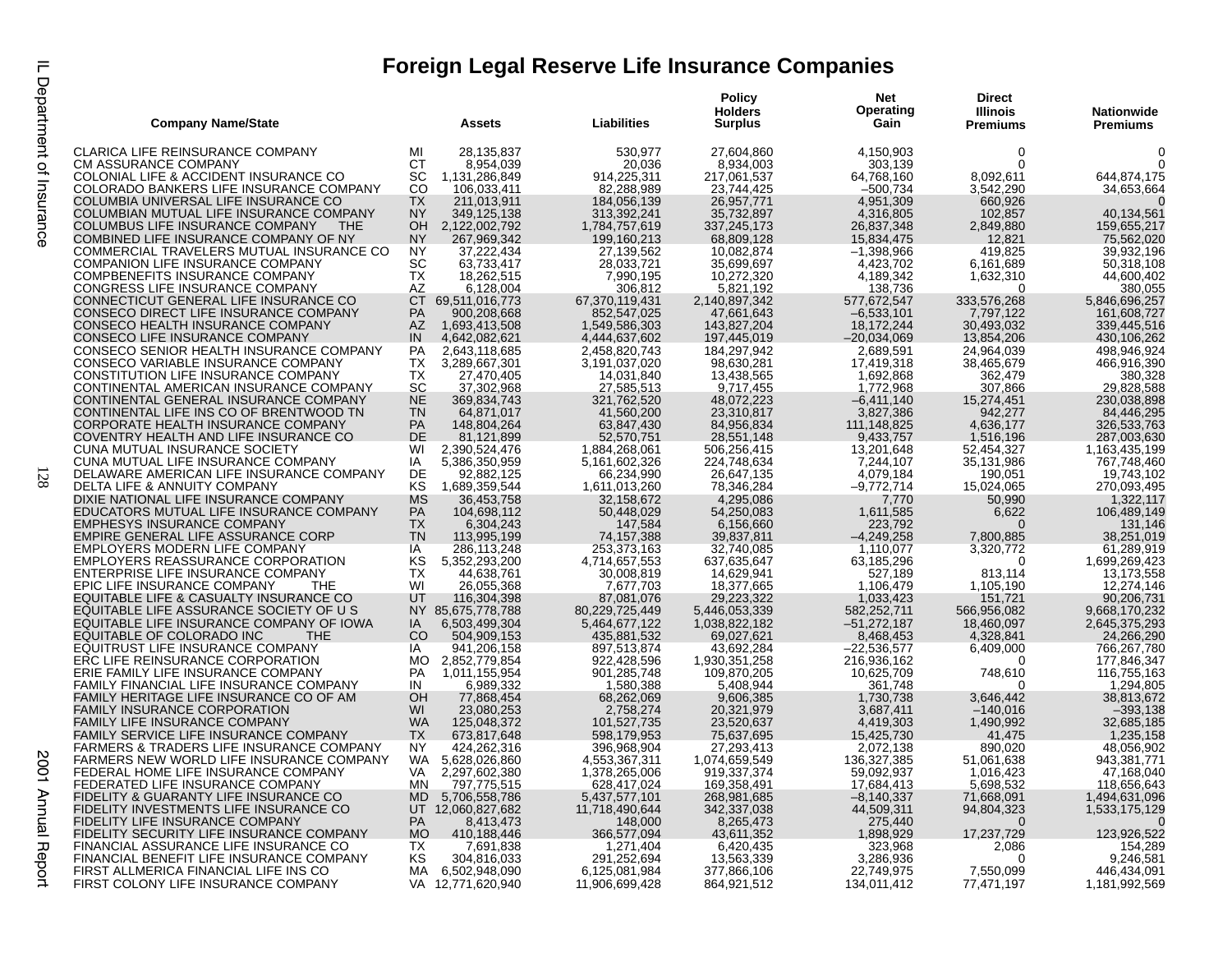| <b>Company Name/State</b>                                                        | Assets                                          | <b>Liabilities</b>              | <b>Policy</b><br><b>Holders</b><br><b>Surplus</b> | <b>Net</b><br><b>Operating</b><br>Gain | Direct<br><b>Illinois</b><br>Premiums | Nationwide<br><b>Premiums</b> |
|----------------------------------------------------------------------------------|-------------------------------------------------|---------------------------------|---------------------------------------------------|----------------------------------------|---------------------------------------|-------------------------------|
| CLARICA LIFE REINSURANCE COMPANY                                                 | 28,135,837<br>MI                                | 530,977                         | 27,604,860                                        | 4,150,903                              | 0                                     |                               |
| CM ASSURANCE COMPANY                                                             | 8,954,039<br>CТ                                 | 20,036                          | 8,934,003                                         | 303,139                                | 0                                     |                               |
| COLONIAL LIFE & ACCIDENT INSURANCE CO<br>COLORADO BANKERS LIFE INSURANCE COMPANY | <b>SC</b><br>1,131,286,849<br>CO<br>106,033,411 | 914,225,311<br>82,288,989       | 217,061,537<br>23,744,425                         | 64,768,160<br>–500.734                 | 8,092,611<br>3,542,290                | 644,874,175<br>34,653,664     |
| COLUMBIA UNIVERSAL LIFE INSURANCE CO                                             | TX<br>211,013,911                               | 184,056,139                     | 26,957,771                                        | 4,951,309                              | 660,926                               |                               |
| COLUMBIAN MUTUAL LIFE INSURANCE COMPANY                                          | <b>NY</b><br>349,125,138                        | 313,392,241                     | 35,732,897                                        | 4,316,805                              | 102,857                               | 40,134,561                    |
| <b>COLUMBUS LIFE INSURANCE COMPANY</b><br><b>THE</b>                             | OH<br>2,122,002,792                             | 1,784,757,619                   | 337,245,173                                       | 26,837,348                             | 2,849,880                             | 159,655,217                   |
| COMBINED LIFE INSURANCE COMPANY OF NY                                            | <b>NY</b><br>267,969,342                        | 199,160,213                     | 68,809,128                                        | 15,834,475                             | 12,821                                | 75,562,020                    |
| COMMERCIAL TRAVELERS MUTUAL INSURANCE CO                                         | 37,222,434<br><b>NY</b>                         | 27,139,562                      | 10,082,874                                        | $-1,398,966$                           | 419,825                               | 39,932,196                    |
| <b>COMPANION LIFE INSURANCE COMPANY</b>                                          | SC<br>63,733,417                                | 28,033,721                      | 35,699,697                                        | 4,423,702                              | 6,161,689                             | 50,318,108                    |
| COMPBENEFITS INSURANCE COMPANY<br>CONGRESS LIFE INSURANCE COMPANY                | TX<br>18,262,515<br>AZ<br>6,128,004             | 7.990.195<br>306,812            | 10,272,320<br>5,821,192                           | 4,189,342<br>138,736                   | 1,632,310<br>ი                        | 44,600,402<br>380,055         |
| CONNECTICUT GENERAL LIFE INSURANCE CO                                            | <b>CT</b><br>69,511,016,773                     | 67,370,119,431                  | 2,140,897,342                                     | 577,672,547                            | 333,576,268                           | 5,846,696,257                 |
| CONSECO DIRECT LIFE INSURANCE COMPANY                                            | <b>PA</b><br>900,208,668                        | 852,547,025                     | 47,661,643                                        | $-6,533,101$                           | 7,797,122                             | 161,608,727                   |
| CONSECO HEALTH INSURANCE COMPANY                                                 | <b>AZ</b><br>1,693,413,508                      | 1,549,586,303                   | 143,827,204                                       | 18,172,244                             | 30,493,032                            | 339,445,516                   |
| CONSECO LIFE INSURANCE COMPANY                                                   | IN<br>4,642,082,621                             | 4,444,637,602                   | 197,445,019                                       | $-20,034,069$                          | 13,854,206                            | 430,106,262                   |
| CONSECO SENIOR HEALTH INSURANCE COMPANY                                          | PA<br>2,643,118,685                             | 2,458,820,743                   | 184,297,942                                       | 2,689,591                              | 24,964,039                            | 498,946,924                   |
| CONSECO VARIABLE INSURANCE COMPANY                                               | ТX<br>3,289,667,301                             | 3,191,037,020                   | 98,630,281                                        | 17,419,318                             | 38,465,679                            | 466,916,390                   |
| CONSTITUTION LIFE INSURANCE COMPANY<br>CONTINENTAL AMERICAN INSURANCE COMPANY    | <b>TX</b><br>27,470,405<br>SC<br>37,302,968     | 14,031,840<br>27,585,513        | 13,438,565<br>9,717,455                           | 1,692,868<br>1,772,968                 | 362,479<br>307,866                    | 380,328<br>29,828,588         |
| CONTINENTAL GENERAL INSURANCE COMPANY                                            | <b>NE</b><br>369,834,743                        | 321,762,520                     | 48,072,223                                        | $-6,411,140$                           | 15,274,451                            | 230,038,898                   |
| CONTINENTAL LIFE INS CO OF BRENTWOOD TN                                          | <b>TN</b><br>64,871,017                         | 41,560,200                      | 23,310,817                                        | 3,827,386                              | 942,277                               | 84,446,295                    |
| CORPORATE HEALTH INSURANCE COMPANY                                               | PA<br>148,804,264                               | 63,847,430                      | 84,956,834                                        | 111,148,825                            | 4,636,177                             | 326,533,763                   |
| COVENTRY HEALTH AND LIFE INSURANCE CO                                            | 81,121,899<br>DF                                | 52,570,751                      | 28,551,148                                        | 9,433,757                              | 1,516,196                             | 287,003,630                   |
| <b>CUNA MUTUAL INSURANCE SOCIETY</b>                                             | 2,390,524,476<br>WI                             | 1,884,268,061                   | 506,256,415                                       | 13,201,648                             | 52,454,327                            | 1,163,435,199                 |
| CUNA MUTUAL LIFE INSURANCE COMPANY                                               | IA<br>5,386,350,959                             | 5,161,602,326                   | 224,748,634                                       | 7,244,107                              | 35,131,986                            | 767,748,460                   |
| DELAWARE AMERICAN LIFE INSURANCE COMPANY<br>DELTA LIFE & ANNUITY COMPANY         | DE<br>92.882.125<br>KS<br>1,689,359,544         | 66.234.990<br>1,611,013,260     | 26,647,135<br>78,346,284                          | 4,079,184<br>$-9,772,714$              | 190,051<br>15,024,065                 | 19,743,102<br>270,093,495     |
| DIXIE NATIONAL LIFE INSURANCE COMPANY                                            | <b>MS</b><br>36,453,758                         | 32,158,672                      | 4,295,086                                         | 7,770                                  | 50,990                                | 1,322,117                     |
| EDUCATORS MUTUAL LIFE INSURANCE COMPANY                                          | PA<br>104,698,112                               | 50,448,029                      | 54,250,083                                        | 1,611,585                              | 6,622                                 | 106,489,149                   |
| <b>EMPHESYS INSURANCE COMPANY</b>                                                | <b>TX</b><br>6,304,243                          | 147,584                         | 6,156,660                                         | 223,792                                | $\Omega$                              | 131,146                       |
| EMPIRE GENERAL LIFE ASSURANCE CORP                                               | 113,995,199<br><b>TN</b>                        | 74,157,388                      | 39,837,811                                        | $-4,249,258$                           | 7,800,885                             | 38,251,019                    |
| EMPLOYERS MODERN LIFE COMPANY                                                    | 286,113,248<br>IA                               | 253,373,163                     | 32,740,085                                        | 1,110,077                              | 3,320,772                             | 61,289,919                    |
| EMPLOYERS REASSURANCE CORPORATION                                                | KS<br>5,352,293,200                             | 4,714,657,553                   | 637,635,647                                       | 63,185,296                             | 0                                     | 1,699,269,423                 |
| ENTERPRISE LIFE INSURANCE COMPANY<br>EPIC LIFE INSURANCE COMPANY<br>THE          | <b>TX</b><br>44.638.761<br>26,055,368<br>WI     | 30.008.819<br>7,677,703         | 14,629,941<br>18,377,665                          | 527,189<br>1,106,479                   | 813,114<br>1,105,190                  | 13,173,558<br>12,274,146      |
| EQUITABLE LIFE & CASUALTY INSURANCE CO                                           | UT<br>116,304,398                               | 87,081,076                      | 29,223,322                                        | 1,033,423                              | 151,721                               | 90,206,731                    |
| EQUITABLE LIFE ASSURANCE SOCIETY OF U S                                          | <b>NY</b><br>85,675,778,788                     | 80,229,725,449                  | 5,446,053,339                                     | 582,252,711                            | 566,956,082                           | 9,668,170,232                 |
| EQUITABLE LIFE INSURANCE COMPANY OF IOWA                                         | IA<br>6,503,499,304                             | 5,464,677,122                   | 1,038,822,182                                     | $-51,272,187$                          | 18,460,097                            | 2,645,375,293                 |
| EQUITABLE OF COLORADO INC<br><b>THE</b>                                          | CO<br>504,909,153                               | 435,881,532                     | 69,027,621                                        | 8,468,453                              | 4,328,841                             | 24,266,290                    |
| EQUITRUST LIFE INSURANCE COMPANY                                                 | IA<br>941,206,158                               | 897,513,874                     | 43,692,284                                        | $-22,536,577$                          | 6,409,000                             | 766,267,780                   |
| ERC LIFE REINSURANCE CORPORATION<br>ERIE FAMILY LIFE INSURANCE COMPANY           | MO.<br>2,852,779,854                            | 922,428,596                     | 1,930,351,258                                     | 216,936,162                            | ი                                     | 177,846,347                   |
| FAMILY FINANCIAL LIFE INSURANCE COMPANY                                          | 1,011,155,954<br><b>PA</b><br>6,989,332<br>IN   | 901,285,748<br>1,580,388        | 109,870,205<br>5,408,944                          | 10,625,709<br>361,748                  | 748,610<br>∩                          | 116,755,163<br>1,294,805      |
| FAMILY HERITAGE LIFE INSURANCE CO OF AM                                          | OH<br>77,868,454                                | 68,262,069                      | 9,606,385                                         | 1,730,738                              | 3,646,442                             | 38,813,672                    |
| FAMILY INSURANCE CORPORATION                                                     | 23,080,253<br>WI                                | 2,758,274                       | 20,321,979                                        | 3,687,411                              | $-140,016$                            | $-393,138$                    |
| <b>FAMILY LIFE INSURANCE COMPANY</b>                                             | <b>WA</b><br>125,048,372                        | 101,527,735                     | 23,520,637                                        | 4,419,303                              | 1,490,992                             | 32,685,185                    |
| FAMILY SERVICE LIFE INSURANCE COMPANY                                            | <b>TX</b><br>673,817,648                        | 598,179,953                     | 75,637,695                                        | 15,425,730                             | 41,475                                | 1,235,158                     |
| FARMERS & TRADERS LIFE INSURANCE COMPANY                                         | 424,262,316<br>NY                               | 396,968,904                     | 27,293,413                                        | 2,072,138                              | 890,020                               | 48,056,902                    |
| FARMERS NEW WORLD LIFE INSURANCE COMPANY                                         | WA<br>5,628,026,860                             | 4,553,367,311                   | 1,074,659,549                                     | 136,327,385                            | 51,061,638                            | 943,381,771                   |
| FEDERAL HOME LIFE INSURANCE COMPANY<br>FEDERATED LIFE INSURANCE COMPANY          | <b>VA</b><br>2,297,602,380<br>797,775,515<br>ΜN | 1,378,265,006<br>628,417,024    | 919,337,374<br>169,358,491                        | 59,092,937<br>17,684,413               | 1,016,423<br>5,698,532                | 47,168,040<br>118,656,643     |
| FIDELITY & GUARANTY LIFE INSURANCE CO                                            | 5,706,558,786<br><b>MD</b>                      | 5,437,577,101                   | 268,981,685                                       | $-8,140,337$                           | 71,668,091                            | 1,494,631,096                 |
| FIDELITY INVESTMENTS LIFE INSURANCE CO                                           | 12,060,827,682<br>UT                            | 11,718,490,644                  | 342,337,038                                       | 44,509,311                             | 94,804,323                            | 1,533,175,129                 |
| FIDELITY LIFE INSURANCE COMPANY                                                  | 8,413,473<br><b>PA</b>                          | 148,000                         | 8,265,473                                         | 275,440                                | $\Omega$                              |                               |
| FIDELITY SECURITY LIFE INSURANCE COMPANY                                         | 410,188,446<br><b>MO</b>                        | 366,577,094                     | 43,611,352                                        | 1,898,929                              | 17,237,729                            | 123,926,522                   |
| FINANCIAL ASSURANCE LIFE INSURANCE CO                                            | ТX<br>7,691,838                                 | 1,271,404                       | 6,420,435                                         | 323,968                                | 2,086                                 | 154,289                       |
| FINANCIAL BENEFIT LIFE INSURANCE COMPANY                                         | KS<br>304,816,033<br>MA                         | 291,252,694                     | 13,563,339                                        | 3,286,936<br>22.749.975                | ∩<br>7.550.099                        | 9,246,581                     |
| FIRST ALLMERICA FINANCIAL LIFE INS CO<br>FIRST COLONY LIFE INSURANCE COMPANY     | 6,502,948,090<br>12,771,620,940<br>VA           | 6,125,081,984<br>11,906,699,428 | 377,866,106<br>864,921,512                        | 134,011,412                            | 77,471,197                            | 446,434,091<br>1,181,992,569  |
|                                                                                  |                                                 |                                 |                                                   |                                        |                                       |                               |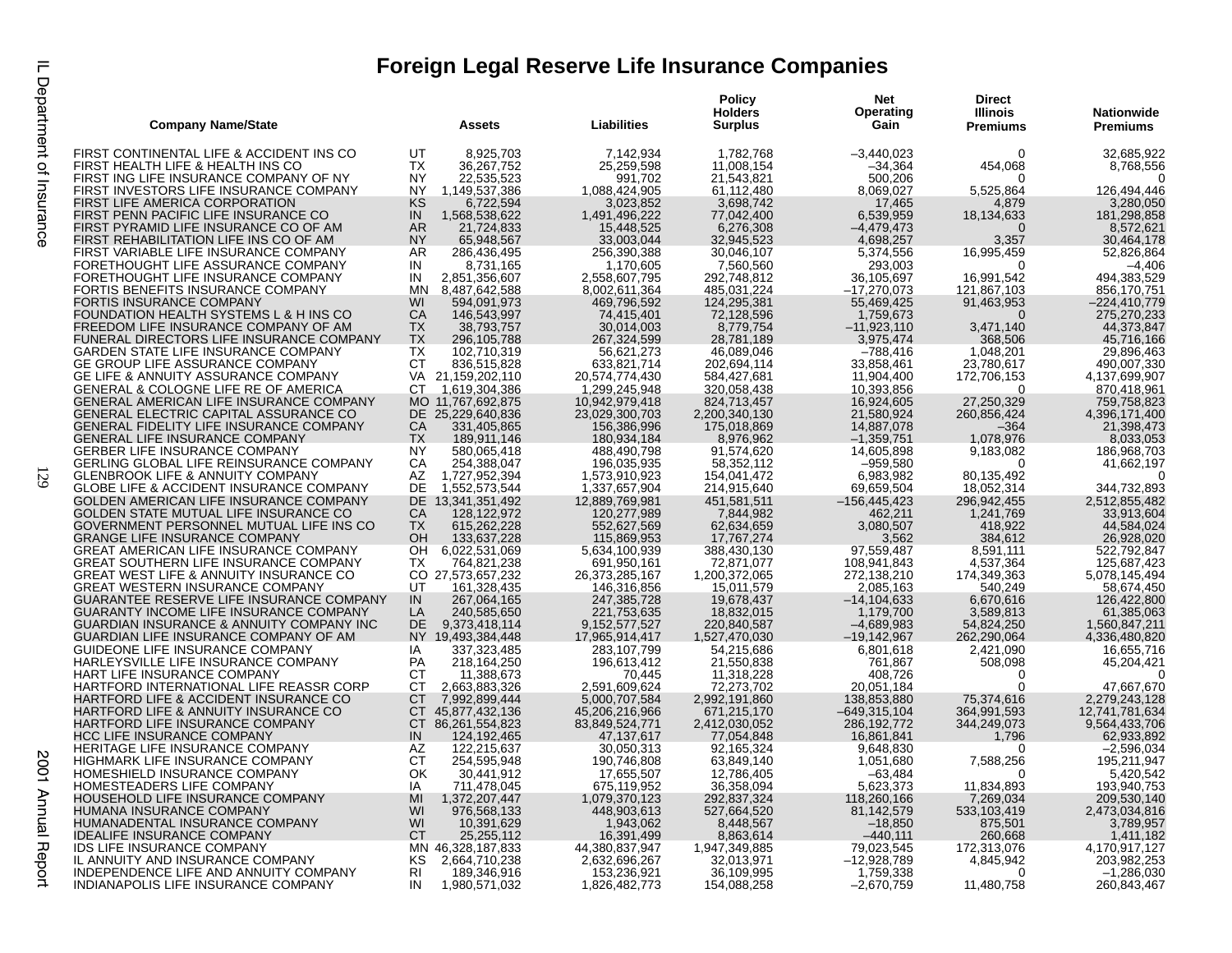| <b>Company Name/State</b>                                                                    | <b>Assets</b>                                             | Liabilities                     | Policy<br><b>Holders</b><br><b>Surplus</b> | Net<br>Operating<br>Gain        | <b>Direct</b><br><b>Illinois</b><br>Premiums | Nationwide<br><b>Premiums</b>   |
|----------------------------------------------------------------------------------------------|-----------------------------------------------------------|---------------------------------|--------------------------------------------|---------------------------------|----------------------------------------------|---------------------------------|
| FIRST CONTINENTAL LIFE & ACCIDENT INS CO                                                     | UT<br>8.925.703                                           | 7.142.934                       | 1,782,768                                  | $-3.440.023$                    | 0                                            | 32.685.922                      |
| FIRST HEALTH LIFE & HEALTH INS CO                                                            | ТX<br>36,267,752                                          | 25,259,598                      | 11,008,154                                 | –34,364                         | 454,068                                      | 8,768,556                       |
| FIRST ING LIFE INSURANCE COMPANY OF NY                                                       | 22,535,523<br>NY                                          | 991,702                         | 21,543,821                                 | 500,206                         |                                              |                                 |
| FIRST INVESTORS LIFE INSURANCE COMPANY<br>FIRST LIFE AMERICA CORPORATION                     | 1,149,537,386<br>NY<br>ΚS<br>6,722,594                    | 1,088,424,905<br>3,023,852      | 61,112,480<br>3,698,742                    | 8,069,027<br>17,465             | 5,525,864<br>4,879                           | 126,494,446<br>3,280,050        |
| FIRST PENN PACIFIC LIFE INSURANCE CO                                                         | 1,568,538,622<br>IN                                       | 1,491,496,222                   | 77,042,400                                 | 6,539,959                       | 18,134,633                                   | 181,298,858                     |
| FIRST PYRAMID LIFE INSURANCE CO OF AM                                                        | <b>AR</b><br>21,724,833                                   | 15,448,525                      | 6,276,308                                  | $-4,479,473$                    | $\Omega$                                     | 8,572,621                       |
| FIRST REHABILITATION LIFE INS CO OF AM                                                       | <b>NY</b><br>65,948,567                                   | 33,003,044                      | 32,945,523                                 | 4,698,257                       | 3,357                                        | 30,464,178                      |
| FIRST VARIABLE LIFE INSURANCE COMPANY                                                        | 286,436,495<br>AR                                         | 256,390,388                     | 30,046,107                                 | 5,374,556                       | 16,995,459                                   | 52,826,864                      |
| FORETHOUGHT LIFE ASSURANCE COMPANY                                                           | IN<br>8,731,165                                           | 1,170,605                       | 7,560,560                                  | 293,003                         | 0                                            | $-4,406$                        |
| FORETHOUGHT LIFE INSURANCE COMPANY<br>FORTIS BENEFITS INSURANCE COMPANY                      | 2,851,356,607<br>IN<br>8,487,642,588<br>MN                | 2,558,607,795<br>8,002,611,364  | 292,748,812<br>485,031,224                 | 36,105,697<br>$-17,270,073$     | 16,991,542<br>121,867,103                    | 494,383,529<br>856,170,751      |
| FORTIS INSURANCE COMPANY                                                                     | 594,091,973<br>WI                                         | 469,796,592                     | 124,295,381                                | 55,469,425                      | 91,463,953                                   | $-224,410,779$                  |
| FOUNDATION HEALTH SYSTEMS L & H INS CO                                                       | CA<br>146,543,997                                         | 74,415,401                      | 72,128,596                                 | 1,759,673                       | 0                                            | 275,270,233                     |
| FREEDOM LIFE INSURANCE COMPANY OF AM                                                         | <b>TX</b><br>38,793,757                                   | 30,014,003                      | 8,779,754                                  | $-11,923,110$                   | 3,471,140                                    | 44,373,847                      |
| FUNERAL DIRECTORS LIFE INSURANCE COMPANY                                                     | <b>TX</b><br>296,105,788                                  | 267,324,599                     | 28,781,189                                 | 3,975,474                       | 368,506                                      | 45,716,166                      |
| GARDEN STATE LIFE INSURANCE COMPANY                                                          | <b>TX</b><br>102,710,319                                  | 56,621,273                      | 46,089,046                                 | $-788,416$                      | 1,048,201                                    | 29,896,463                      |
| GE GROUP LIFE ASSURANCE COMPANY<br><b>GE LIFE &amp; ANNUITY ASSURANCE COMPANY</b>            | <b>CT</b><br>836.515.828<br>VA<br>21,159,202,110          | 633,821,714<br>20,574,774,430   | 202,694,114<br>584,427,681                 | 33,858,461<br>11,904,400        | 23,780,617<br>172,706,153                    | 490,007,330<br>4,137,699,907    |
| <b>GENERAL &amp; COLOGNE LIFE RE OF AMERICA</b>                                              | СT<br>1,619,304,386                                       | 1,299,245,948                   | 320,058,438                                | 10,393,856                      | ŋ                                            | 870,418,961                     |
| GENERAL AMERICAN LIFE INSURANCE COMPANY                                                      | 11,767,692,875<br><b>MO</b>                               | 10,942,979,418                  | 824,713,457                                | 16,924,605                      | 27.250.329                                   | 759,758,823                     |
| GENERAL ELECTRIC CAPITAL ASSURANCE CO                                                        | 25,229,640,836<br>DE.                                     | 23,029,300,703                  | 2,200,340,130                              | 21,580,924                      | 260,856,424                                  | 4,396,171,400                   |
| GENERAL FIDELITY LIFE INSURANCE COMPANY                                                      | CA<br>331,405,865                                         | 156,386,996                     | 175,018,869                                | 14,887,078                      | –364                                         | 21,398,473                      |
| GENERAL LIFE INSURANCE COMPANY                                                               | <b>TX</b><br>189.911.146                                  | 180.934.184                     | 8.976.962                                  | $-1.359.751$                    | 1.078.976                                    | 8,033,053                       |
| GERBER LIFE INSURANCE COMPANY<br>GERLING GLOBAL LIFE REINSURANCE COMPANY                     | NY<br>580,065,418<br>CA<br>254,388,047                    | 488,490,798<br>196,035,935      | 91,574,620<br>58,352,112                   | 14,605,898<br>$-959,580$        | 9,183,082<br>ŋ                               | 186,968,703<br>41,662,197       |
| <b>GLENBROOK LIFE &amp; ANNUITY COMPANY</b>                                                  | 1,727,952,394<br>ΑZ                                       | 1,573,910,923                   | 154,041,472                                | 6,983,982                       | 80,135,492                                   | 0                               |
| GLOBE LIFE & ACCIDENT INSURANCE COMPANY                                                      | DE<br>1,552,573,544                                       | 1,337,657,904                   | 214,915,640                                | 69,659,504                      | 18,052,314                                   | 344,732,893                     |
| GOLDEN AMERICAN LIFE INSURANCE COMPANY                                                       | <b>DE</b><br>13,341,351,492                               | 12,889,769,981                  | 451,581,511                                | $-156, 445, 423$                | 296,942,455                                  | 2,512,855,482                   |
| GOLDEN STATE MUTUAL LIFE INSURANCE CO                                                        | 128,122,972<br>CA                                         | 120,277,989                     | 7,844,982                                  | 462,211                         | 1,241,769                                    | 33,913,604                      |
| GOVERNMENT PERSONNEL MUTUAL LIFE INS CO                                                      | 615,262,228<br><b>TX</b>                                  | 552,627,569                     | 62,634,659                                 | 3,080,507                       | 418,922                                      | 44,584,024                      |
| <b>GRANGE LIFE INSURANCE COMPANY</b><br><b>GREAT AMERICAN LIFE INSURANCE COMPANY</b>         | OH<br>133,637,228<br>6,022,531,069<br>OН                  | 115,869,953<br>5,634,100,939    | 17,767,274<br>388,430,130                  | 3,562<br>97,559,487             | 384,612<br>8,591,111                         | 26,928,020<br>522,792,847       |
| GREAT SOUTHERN LIFE INSURANCE COMPANY                                                        | 764,821,238<br>TХ                                         | 691,950,161                     | 72,871,077                                 | 108,941,843                     | 4,537,364                                    | 125,687,423                     |
| GREAT WEST LIFE & ANNUITY INSURANCE CO                                                       | CO.<br>27,573,657,232                                     | 26,373,285,167                  | 1,200,372,065                              | 272,138,210                     | 174,349,363                                  | 5,078,145,494                   |
| <b>GREAT WESTERN INSURANCE COMPANY</b>                                                       | UT<br>161,328,435                                         | 146,316,856                     | 15,011,579                                 | 2,085,163                       | 540,249                                      | 58,674,450                      |
| <b>GUARANTEE RESERVE LIFE INSURANCE COMPANY</b>                                              | 267,064,165<br>IN                                         | 247,385,728                     | 19,678,437                                 | $-14, 104, 633$                 | 6,670,616                                    | 126,422,800                     |
| GUARANTY INCOME LIFE INSURANCE COMPANY                                                       | LA<br>240,585,650                                         | 221,753,635                     | 18,832,015                                 | 1,179,700                       | 3,589,813                                    | 61,385,063                      |
| <b>GUARDIAN INSURANCE &amp; ANNUITY COMPANY INC</b><br>GUARDIAN LIFE INSURANCE COMPANY OF AM | <b>DE</b><br>9,373,418,114<br>19,493,384,448<br><b>NY</b> | 9,152,577,527<br>17,965,914,417 | 220,840,587<br>1,527,470,030               | $-4,689,983$<br>$-19, 142, 967$ | 54,824,250<br>262,290,064                    | 1,560,847,211<br>4,336,480,820  |
| <b>GUIDEONE LIFE INSURANCE COMPANY</b>                                                       | 337.323.485<br>IA                                         | 283,107,799                     | 54,215,686                                 | 6.801.618                       | 2.421.090                                    | 16,655,716                      |
| HARLEYSVILLE LIFE INSURANCE COMPANY                                                          | PA<br>218,164,250                                         | 196,613,412                     | 21,550,838                                 | 761,867                         | 508,098                                      | 45,204,421                      |
| HART LIFE INSURANCE COMPANY                                                                  | СT<br>11,388,673                                          | 70,445                          | 11,318,228                                 | 408,726                         | 0                                            |                                 |
| HARTFORD INTERNATIONAL LIFE REASSR CORP                                                      | СT<br>2.663.883.326                                       | 2.591.609.624                   | 72,273,702                                 | 20,051,184                      | $\Omega$                                     | 47,667,670                      |
| HARTFORD LIFE & ACCIDENT INSURANCE CO<br>HARTFORD LIFE & ANNUITY INSURANCE CO                | СT<br>7,992,899,444<br>45,877,432,136<br>СT               | 5,000,707,584<br>45,206,216,966 | 2,992,191,860<br>671,215,170               | 138,853,880<br>$-649,315,104$   | 75,374,616<br>364,991,593                    | 2,279,243,128<br>12,741,781,634 |
| HARTFORD LIFE INSURANCE COMPANY                                                              | 86,261,554,823<br>СT                                      | 83,849,524,771                  | 2,412,030,052                              | 286, 192, 772                   | 344,249,073                                  | 9,564,433,706                   |
| HCC LIFE INSURANCE COMPANY                                                                   | IN<br>124,192,465                                         | 47,137,617                      | 77,054,848                                 | 16,861,841                      | 1,796                                        | 62,933,892                      |
| HERITAGE LIFE INSURANCE COMPANY                                                              | 122,215,637<br>AZ<br>CT                                   | 30,050,313                      | 92,165,324                                 | 9,648,830                       | U                                            | $-2,596,034$                    |
| HIGHMARK LIFE INSURANCE COMPANY                                                              | 254,595,948                                               | 190,746,808                     | 63,849,140                                 | 1,051,680                       | 7,588,256                                    | 195,211,947                     |
| HOMESHIELD INSURANCE COMPANY                                                                 | OK<br>30,441,912                                          | 17,655,507                      | 12,786,405                                 | –63,484                         |                                              | 5,420,542                       |
| HOMESTEADERS LIFE COMPANY<br>HOUSEHOLD LIFE INSURANCE COMPANY                                | 711,478,045<br>IA<br>MI<br>1,372,207,447                  | 675,119,952<br>1,079,370,123    | 36,358,094<br>292,837,324                  | 5,623,373<br>118,260,166        | 11,834,893<br>7,269,034                      | 193,940,753<br>209,530,140      |
| HUMANA INSURANCE COMPANY                                                                     | 976,568,133<br>WI                                         | 448,903,613                     | 527,664,520                                | 81,142,579                      | 533,103,419                                  | 2,473,034,816                   |
| HUMANADENTAL INSURANCE COMPANY                                                               | WI<br>10,391,629                                          | 1,943,062                       | 8,448,567                                  | $-18,850$                       | 875,501                                      | 3,789,957                       |
| <b>IDEALIFE INSURANCE COMPANY</b>                                                            | <b>CT</b><br>25,255,112                                   | 16,391,499                      | 8,863,614                                  | $-440,111$                      | 260,668                                      | 1,411,182                       |
| <b>IDS LIFE INSURANCE COMPANY</b>                                                            | MN<br>46,328,187,833                                      | 44,380,837,947                  | 1,947,349,885                              | 79,023,545                      | 172,313,076                                  | 4,170,917,127                   |
| IL ANNUITY AND INSURANCE COMPANY<br>INDEPENDENCE LIFE AND ANNUITY COMPANY                    | 2,664,710,238<br>κs<br>189,346,916<br>RI                  | 2,632,696,267<br>153,236,921    | 32,013,971<br>36,109,995                   | $-12,928,789$<br>1,759,338      | 4,845,942<br>0                               | 203,982,253<br>$-1,286,030$     |
| INDIANAPOLIS LIFE INSURANCE COMPANY                                                          | IN<br>1,980,571,032                                       | 1,826,482,773                   | 154,088,258                                | $-2,670,759$                    | 11,480,758                                   | 260,843,467                     |
|                                                                                              |                                                           |                                 |                                            |                                 |                                              |                                 |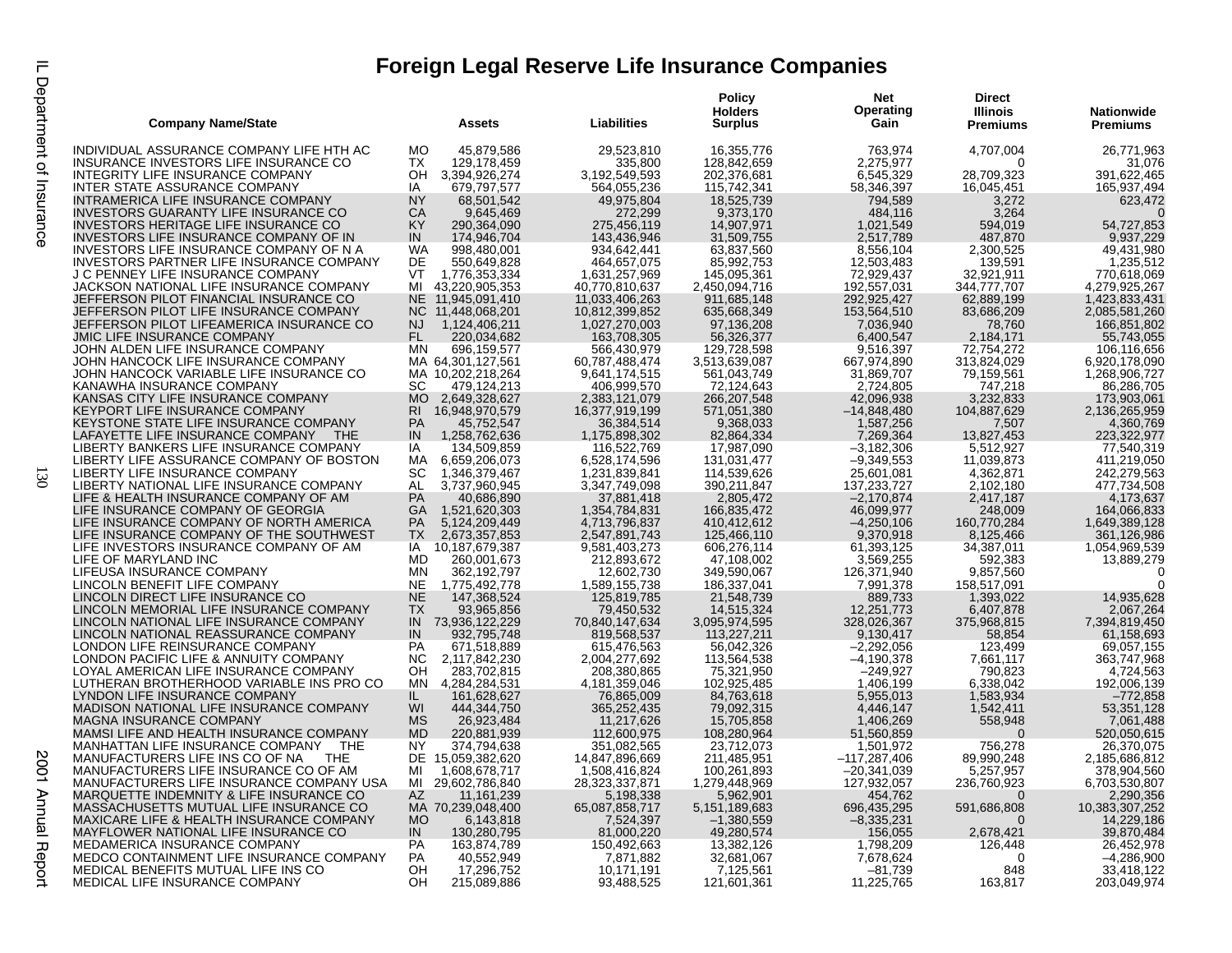| <b>Company Name/State</b>                                                         | Assets                                          | <b>Liabilities</b>              | <b>Policy</b><br><b>Holders</b><br><b>Surplus</b> | <b>Net</b><br>Operating<br>Gain | <b>Direct</b><br><b>Illinois</b><br>Premiums | <b>Nationwide</b><br>Premiums |
|-----------------------------------------------------------------------------------|-------------------------------------------------|---------------------------------|---------------------------------------------------|---------------------------------|----------------------------------------------|-------------------------------|
| INDIVIDUAL ASSURANCE COMPANY LIFE HTH AC                                          | <b>MO</b><br>45,879,586                         | 29,523,810                      | 16,355,776                                        | 763,974                         | 4,707,004                                    | 26,771,963                    |
| INSURANCE INVESTORS LIFE INSURANCE CO                                             | ТX<br>129,178,459                               | 335,800                         | 128,842,659                                       | 2,275,977                       | 0                                            | 31,076                        |
| INTEGRITY LIFE INSURANCE COMPANY<br><b>INTER STATE ASSURANCE COMPANY</b>          | OН<br>3,394,926,274                             | 3,192,549,593                   | 202,376,681                                       | 6,545,329                       | 28,709,323                                   | 391,622,465                   |
| INTRAMERICA LIFE INSURANCE COMPANY                                                | 679.797.577<br>IA<br><b>NY</b><br>68.501.542    | 564,055,236<br>49,975,804       | 115,742,341<br>18.525.739                         | 58,346,397<br>794.589           | 16,045,451<br>3.272                          | 165,937,494<br>623,472        |
| INVESTORS GUARANTY LIFE INSURANCE CO                                              | CA<br>9,645,469                                 | 272,299                         | 9,373,170                                         | 484,116                         | 3,264                                        |                               |
| INVESTORS HERITAGE LIFE INSURANCE CO                                              | KY<br>290,364,090                               | 275,456,119                     | 14,907,971                                        | 1,021,549                       | 594,019                                      | 54,727,853                    |
| <b>INVESTORS LIFE INSURANCE COMPANY OF IN</b>                                     | IN<br>174,946,704                               | 143,436,946                     | 31,509,755                                        | 2,517,789                       | 487,870                                      | 9,937,229                     |
| INVESTORS LIFE INSURANCE COMPANY OF N A                                           | <b>WA</b><br>998,480,001                        | 934,642,441                     | 63,837,560                                        | 8,556,104                       | 2,300,525                                    | 49,431,980                    |
| INVESTORS PARTNER LIFE INSURANCE COMPANY                                          | DE<br>550,649,828                               | 464,657,075                     | 85,992,753                                        | 12,503,483                      | 139,591                                      | 1,235,512                     |
| J C PENNEY LIFE INSURANCE COMPANY<br>JACKSON NATIONAL LIFE INSURANCE COMPANY      | VT<br>1,776,353,334<br>MI<br>43,220,905,353     | 1,631,257,969<br>40,770,810,637 | 145,095,361<br>2,450,094,716                      | 72,929,437<br>192,557,031       | 32,921,911<br>344,777,707                    | 770,618,069<br>4,279,925,267  |
| JEFFERSON PILOT FINANCIAL INSURANCE CO                                            | 11,945,091,410<br><b>NE</b>                     | 11,033,406,263                  | 911,685,148                                       | 292,925,427                     | 62,889,199                                   | 1,423,833,431                 |
| JEFFERSON PILOT LIFE INSURANCE COMPANY                                            | 11,448,068,201<br><b>NC</b>                     | 10,812,399,852                  | 635,668,349                                       | 153,564,510                     | 83,686,209                                   | 2,085,581,260                 |
| JEFFERSON PILOT LIFEAMERICA INSURANCE CO                                          | <b>NJ</b><br>1,124,406,211                      | 1,027,270,003                   | 97,136,208                                        | 7,036,940                       | 78,760                                       | 166,851,802                   |
| JMIC LIFE INSURANCE COMPANY                                                       | FL<br>220,034,682                               | 163,708,305                     | 56,326,377                                        | 6,400,547                       | 2,184,171                                    | 55,743,055                    |
| JOHN ALDEN LIFE INSURANCE COMPANY                                                 | <b>MN</b><br>696.159.577                        | 566,430,979                     | 129,728,598                                       | 9,516,397                       | 72,754,272                                   | 106,116,656                   |
| JOHN HANCOCK LIFE INSURANCE COMPANY                                               | MA 64,301,127,561                               | 60,787,488,474                  | 3,513,639,087                                     | 667,974,890                     | 313,824,029                                  | 6,920,178,090                 |
| JOHN HANCOCK VARIABLE LIFE INSURANCE CO<br>KANAWHA INSURANCE COMPANY              | МA<br>10,202,218,264<br>SC<br>479,124,213       | 9,641,174,515<br>406,999,570    | 561,043,749<br>72,124,643                         | 31,869,707<br>2,724,805         | 79,159,561<br>747,218                        | 1,268,906,727<br>86,286,705   |
| KANSAS CITY LIFE INSURANCE COMPANY                                                | <b>MO</b><br>2,649,328,627                      | 2,383,121,079                   | 266,207,548                                       | 42,096,938                      | 3,232,833                                    | 173,903,061                   |
| <b>KEYPORT LIFE INSURANCE COMPANY</b>                                             | R <sub>l</sub><br>16,948,970,579                | 16,377,919,199                  | 571,051,380                                       | $-14,848,480$                   | 104,887,629                                  | 2,136,265,959                 |
| KEYSTONE STATE LIFE INSURANCE COMPANY                                             | PA<br>45,752,547                                | 36,384,514                      | 9,368,033                                         | 1,587,256                       | 7,507                                        | 4,360,769                     |
| LAFAYETTE LIFE INSURANCE COMPANY<br><b>THE</b>                                    | IN<br>1,258,762,636                             | 1,175,898,302                   | 82,864,334                                        | 7,269,364                       | 13,827,453                                   | 223,322,977                   |
| LIBERTY BANKERS LIFE INSURANCE COMPANY                                            | IA<br>134,509,859                               | 116,522,769                     | 17,987,090                                        | $-3,182,306$                    | 5,512,927                                    | 77,540,319                    |
| LIBERTY LIFE ASSURANCE COMPANY OF BOSTON                                          | МA<br>6,659,206,073                             | 6,528,174,596                   | 131,031,477                                       | $-9,349,553$                    | 11,039,873                                   | 411,219,050                   |
| LIBERTY LIFE INSURANCE COMPANY<br>LIBERTY NATIONAL LIFE INSURANCE COMPANY         | SC<br>1,346,379,467<br>AL<br>3,737,960,945      | 1,231,839,841<br>3,347,749,098  | 114,539,626<br>390,211,847                        | 25,601,081<br>137,233,727       | 4,362,871<br>2,102,180                       | 242,279,563<br>477,734,508    |
| LIFE & HEALTH INSURANCE COMPANY OF AM                                             | PA<br>40,686,890                                | 37,881,418                      | 2,805,472                                         | $-2,170,874$                    | 2,417,187                                    | 4,173,637                     |
| LIFE INSURANCE COMPANY OF GEORGIA                                                 | GA<br>1.521.620.303                             | 1,354,784,831                   | 166.835.472                                       | 46.099.977                      | 248,009                                      | 164,066,833                   |
| LIFE INSURANCE COMPANY OF NORTH AMERICA                                           | <b>PA</b><br>5,124,209,449                      | 4,713,796,837                   | 410,412,612                                       | $-4,250,106$                    | 160,770,284                                  | 1,649,389,128                 |
| LIFE INSURANCE COMPANY OF THE SOUTHWEST                                           | <b>TX</b><br>2,673,357,853                      | 2,547,891,743                   | 125,466,110                                       | 9,370,918                       | 8,125,466                                    | 361,126,986                   |
| LIFE INVESTORS INSURANCE COMPANY OF AM                                            | 10,187,679,387<br>IA                            | 9,581,403,273                   | 606,276,114                                       | 61,393,125                      | 34,387,011                                   | 1,054,969,539                 |
| LIFE OF MARYLAND INC                                                              | MD<br>260,001,673                               | 212,893,672                     | 47,108,002                                        | 3,569,255                       | 592,383                                      | 13,889,279                    |
| LIFEUSA INSURANCE COMPANY<br>LINCOLN BENEFIT LIFE COMPANY                         | MN<br>362,192,797<br><b>NE</b><br>1,775,492,778 | 12,602,730                      | 349,590,067<br>186,337,041                        | 126,371,940<br>7,991,378        | 9,857,560<br>158,517,091                     |                               |
| LINCOLN DIRECT LIFE INSURANCE CO                                                  | <b>NE</b><br>147,368,524                        | 1,589,155,738<br>125,819,785    | 21,548,739                                        | 889,733                         | 1,393,022                                    | 14,935,628                    |
| LINCOLN MEMORIAL LIFE INSURANCE COMPANY                                           | <b>TX</b><br>93,965,856                         | 79,450,532                      | 14,515,324                                        | 12,251,773                      | 6,407,878                                    | 2,067,264                     |
| LINCOLN NATIONAL LIFE INSURANCE COMPANY                                           | 73,936,122,229<br>IN                            | 70,840,147,634                  | 3,095,974,595                                     | 328,026,367                     | 375,968,815                                  | 7,394,819,450                 |
| LINCOLN NATIONAL REASSURANCE COMPANY                                              | IN<br>932,795,748                               | 819,568,537                     | 113,227,211                                       | 9,130,417                       | 58,854                                       | 61,158,693                    |
| LONDON LIFE REINSURANCE COMPANY                                                   | PA<br>671,518,889                               | 615,476,563                     | 56,042,326                                        | $-2,292,056$                    | 123,499                                      | 69,057,155                    |
| LONDON PACIFIC LIFE & ANNUITY COMPANY                                             | <b>NC</b><br>2,117,842,230                      | 2,004,277,692                   | 113,564,538                                       | $-4,190,378$                    | 7,661,117                                    | 363,747,968                   |
| LOYAL AMERICAN LIFE INSURANCE COMPANY<br>LUTHERAN BROTHERHOOD VARIABLE INS PRO CO | OH<br>283,702,815<br><b>MN</b><br>4,284,284,531 | 208,380,865<br>4,181,359,046    | 75,321,950<br>102,925,485                         | -249,927<br>1,406,199           | 790,823<br>6,338,042                         | 4,724,563<br>192,006,139      |
| LYNDON LIFE INSURANCE COMPANY                                                     | 161,628,627<br>IL                               | 76,865,009                      | 84,763,618                                        | 5,955,013                       | 1,583,934                                    | -772,858                      |
| MADISON NATIONAL LIFE INSURANCE COMPANY                                           | WI<br>444.344.750                               | 365,252,435                     | 79,092,315                                        | 4,446,147                       | 1,542,411                                    | 53,351,128                    |
| <b>MAGNA INSURANCE COMPANY</b>                                                    | 26,923,484<br><b>MS</b>                         | 11,217,626                      | 15,705,858                                        | 1,406,269                       | 558,948                                      | 7,061,488                     |
| MAMSI LIFE AND HEALTH INSURANCE COMPANY                                           | <b>MD</b><br>220,881,939                        | 112,600,975                     | 108,280,964                                       | 51,560,859                      | ∩                                            | 520,050,615                   |
| MANHATTAN LIFE INSURANCE COMPANY<br><b>THE</b>                                    | NY<br>374,794,638                               | 351,082,565                     | 23,712,073                                        | 1,501,972                       | 756,278                                      | 26,370,075                    |
| MANUFACTURERS LIFE INS CO OF NA<br><b>THE</b>                                     | DE<br>15,059,382,620                            | 14,847,896,669                  | 211,485,951                                       | $-117,287,406$                  | 89,990,248                                   | 2,185,686,812                 |
| MANUFACTURERS LIFE INSURANCE CO OF AM<br>MANUFACTURERS LIFE INSURANCE COMPANY USA | MI<br>1,608,678,717<br>29,602,786,840<br>МΙ     | 1,508,416,824<br>28,323,337,871 | 100,261,893<br>1,279,448,969                      | $-20,341,039$<br>127,932,057    | 5,257,957                                    | 378,904,560<br>6,703,530,807  |
| MARQUETTE INDEMNITY & LIFE INSURANCE CO                                           | AZ<br>11, 161, 239                              | 5,198,338                       | 5,962,901                                         | 454,762                         | 236,760,923<br>O                             | 2,290,356                     |
| MASSACHUSETTS MUTUAL LIFE INSURANCE CO                                            | <b>MA</b><br>70,239,048,400                     | 65,087,858,717                  | 5,151,189,683                                     | 696,435,295                     | 591,686,808                                  | 10,383,307,252                |
| MAXICARE LIFE & HEALTH INSURANCE COMPANY                                          | <b>MO</b><br>6,143,818                          | 7,524,397                       | $-1,380,559$                                      | $-8,335,231$                    | ∩                                            | 14,229,186                    |
| MAYFLOWER NATIONAL LIFE INSURANCE CO                                              | 130,280,795<br>IN                               | 81.000.220                      | 49,280,574                                        | 156,055                         | 2,678,421                                    | 39,870,484                    |
| MEDAMERICA INSURANCE COMPANY                                                      | <b>PA</b><br>163,874,789                        | 150,492,663                     | 13,382,126                                        | 1,798,209                       | 126,448                                      | 26,452,978                    |
| MEDCO CONTAINMENT LIFE INSURANCE COMPANY                                          | <b>PA</b><br>40,552,949                         | 7,871,882                       | 32,681,067                                        | 7,678,624                       | ∩                                            | $-4,286,900$                  |
| MEDICAL BENEFITS MUTUAL LIFE INS CO<br>MEDICAL LIFE INSURANCE COMPANY             | OH<br>17,296,752<br>OΗ                          | 10,171,191                      | 7,125,561                                         | -81,739                         | 848                                          | 33,418,122                    |
|                                                                                   | 215,089,886                                     | 93,488,525                      | 121,601,361                                       | 11,225,765                      | 163,817                                      | 203,049,974                   |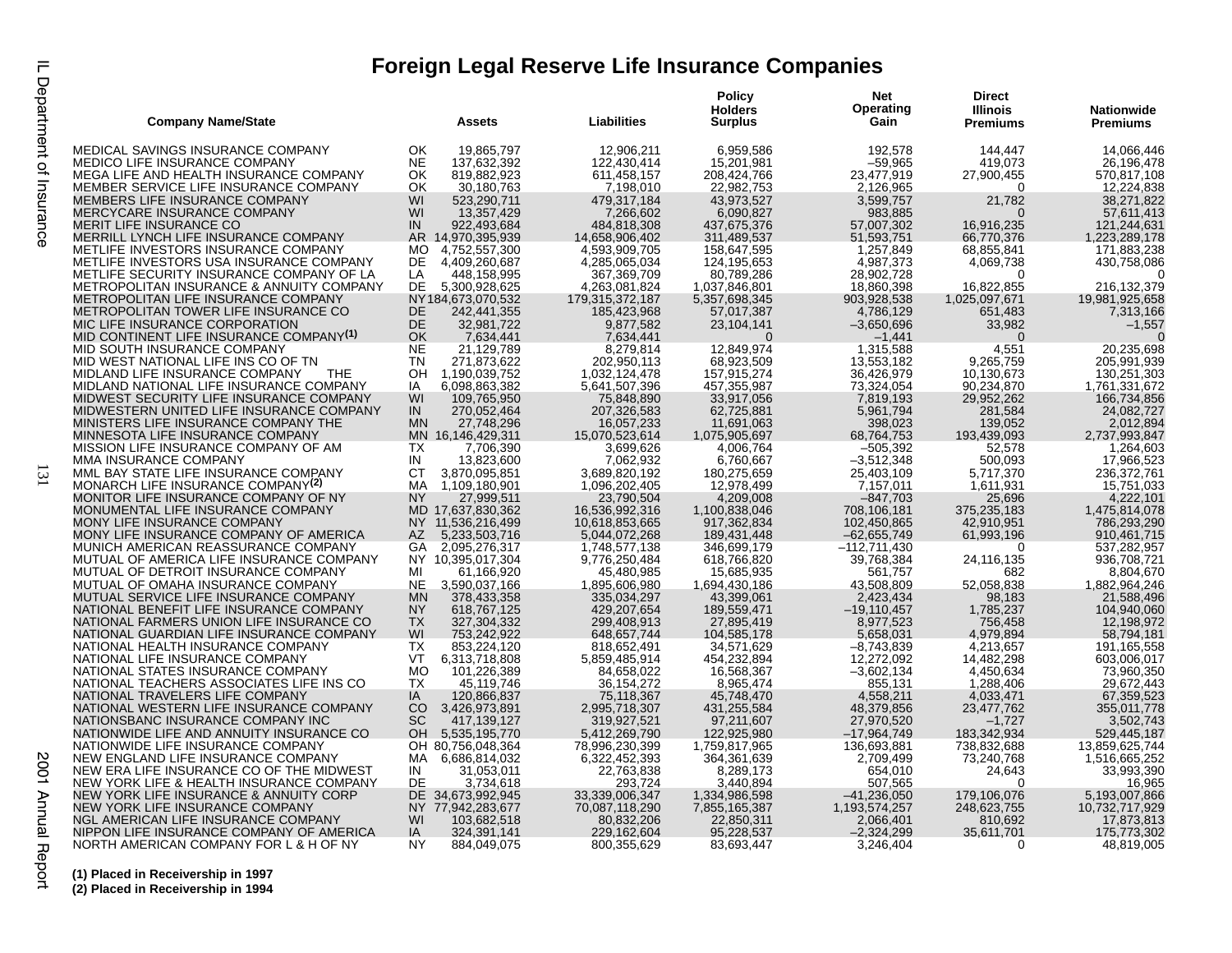| <b>Company Name/State</b>                                                             | <b>Assets</b>                                   | <b>Liabilities</b>             | Policy<br><b>Holders</b><br><b>Surplus</b> | Net<br>Operating<br>Gain | <b>Direct</b><br><b>Illinois</b><br><b>Premiums</b> | <b>Nationwide</b><br><b>Premiums</b> |
|---------------------------------------------------------------------------------------|-------------------------------------------------|--------------------------------|--------------------------------------------|--------------------------|-----------------------------------------------------|--------------------------------------|
| MEDICAL SAVINGS INSURANCE COMPANY                                                     | OK<br>19,865,797                                | 12,906,211                     | 6,959,586                                  | 192,578                  | 144,447                                             | 14,066,446                           |
| <b>MEDICO LIFE INSURANCE COMPANY</b>                                                  | 137.632.392<br>NΕ                               | 122.430.414                    | 15,201,981                                 | -59.965                  | 419.073                                             | 26.196.478                           |
| MEGA LIFE AND HEALTH INSURANCE COMPANY                                                | OK<br>819,882,923                               | 611,458,157                    | 208,424,766                                | 23,477,919               | 27,900,455                                          | 570,817,108                          |
| MEMBER SERVICE LIFE INSURANCE COMPANY                                                 | ΟK<br>30,180,763                                | 7,198,010                      | 22,982,753                                 | 2,126,965                |                                                     | 12,224,838                           |
| <b>MEMBERS LIFE INSURANCE COMPANY</b><br>MERCYCARE INSURANCE COMPANY                  | WI<br>523,290,711<br>WI<br>13,357,429           | 479,317,184<br>7,266,602       | 43,973,527<br>6,090,827                    | 3,599,757<br>983,885     | 21,782                                              | 38,271,822<br>57,611,413             |
| <b>MERIT LIFE INSURANCE CO</b>                                                        | IN<br>922.493.684                               | 484.818.308                    | 437,675,376                                | 57,007,302               | 16,916,235                                          | 121,244,631                          |
| MERRILL LYNCH LIFE INSURANCE COMPANY                                                  | AR.<br>14,970,395,939                           | 14,658,906,402                 | 311,489,537                                | 51,593,751               | 66,770,376                                          | 1,223,289,178                        |
| METLIFE INVESTORS INSURANCE COMPANY                                                   | МO<br>4,752,557,300                             | 4,593,909,705                  | 158,647,595                                | 1,257,849                | 68,855,841                                          | 171,883,238                          |
| METLIFE INVESTORS USA INSURANCE COMPANY                                               | 4,409,260,687<br>DE                             | 4,285,065,034                  | 124,195,653                                | 4,987,373                | 4,069,738                                           | 430,758,086                          |
| METLIFE SECURITY INSURANCE COMPANY OF LA                                              | LA<br>448,158,995                               | 367,369,709                    | 80,789,286                                 | 28,902,728               | ∩                                                   | n                                    |
| METROPOLITAN INSURANCE & ANNUITY COMPANY                                              | DE<br>5,300,928,625                             | 4,263,081,824                  | 1,037,846,801                              | 18,860,398               | 16,822,855                                          | 216,132,379                          |
| METROPOLITAN LIFE INSURANCE COMPANY<br>METROPOLITAN TOWER LIFE INSURANCE CO           | NY184,673,070,532<br>DE<br>242,441,355          | 179,315,372,187<br>185,423,968 | 5,357,698,345<br>57,017,387                | 903,928,538<br>4,786,129 | 1,025,097,671<br>651,483                            | 19,981,925,658<br>7,313,166          |
| MIC LIFE INSURANCE CORPORATION                                                        | DE<br>32,981,722                                | 9,877,582                      | 23,104,141                                 | –3,650,696               | 33,982                                              | $-1,557$                             |
| MID CONTINENT LIFE INSURANCE COMPANY <sup>(1)</sup>                                   | OK<br>7,634,441                                 | 7,634,441                      | ∩                                          | $-1,441$                 | $\Omega$                                            |                                      |
| MID SOUTH INSURANCE COMPANY                                                           | <b>NE</b><br>21,129,789                         | 8,279,814                      | 12,849,974                                 | 1,315,588                | 4,551                                               | 20,235,698                           |
| MID WEST NATIONAL LIFE INS CO OF TN                                                   | 271,873,622<br>ΤN                               | 202,950,113                    | 68,923,509                                 | 13,553,182               | 9,265,759                                           | 205,991,939                          |
| MIDLAND LIFE INSURANCE COMPANY<br><b>THE</b>                                          | OH<br>1,190,039,752                             | 1,032,124,478                  | 157,915,274                                | 36,426,979               | 10,130,673                                          | 130,251,303                          |
| MIDLAND NATIONAL LIFE INSURANCE COMPANY<br>MIDWEST SECURITY LIFE INSURANCE COMPANY    | 6,098,863,382<br>ΙA<br>WI                       | 5,641,507,396                  | 457,355,987                                | 73,324,054               | 90,234,870<br>29,952,262                            | 1,761,331,672                        |
| MIDWESTERN UNITED LIFE INSURANCE COMPANY                                              | 109,765,950<br>IN<br>270,052,464                | 75,848,890<br>207,326,583      | 33,917,056<br>62,725,881                   | 7,819,193<br>5,961,794   | 281,584                                             | 166,734,856<br>24,082,727            |
| MINISTERS LIFE INSURANCE COMPANY THE                                                  | <b>MN</b><br>27,748,296                         | 16,057,233                     | 11,691,063                                 | 398,023                  | 139.052                                             | 2.012.894                            |
| MINNESOTA LIFE INSURANCE COMPANY                                                      | <b>MN</b><br>16,146,429,311                     | 15,070,523,614                 | 1,075,905,697                              | 68,764,753               | 193,439,093                                         | 2,737,993,847                        |
| MISSION LIFE INSURANCE COMPANY OF AM                                                  | ТX<br>7,706,390                                 | 3.699.626                      | 4,006,764                                  | $-505,392$               | 52,578                                              | 1,264,603                            |
| MMA INSURANCE COMPANY                                                                 | IN<br>13,823,600                                | 7,062,932                      | 6,760,667                                  | $-3,512,348$             | 500,093                                             | 17,966,523                           |
| MML BAY STATE LIFE INSURANCE COMPANY                                                  | <b>CT</b><br>3,870,095,851                      | 3,689,820,192                  | 180,275,659                                | 25,403,109               | 5,717,370                                           | 236,372,761                          |
| MONARCH LIFE INSURANCE COMPANY <sup>(2)</sup><br>MONITOR LIFE INSURANCE COMPANY OF NY | MA<br>1,109,180,901<br>NY<br>27,999,511         | 1,096,202,405<br>23,790,504    | 12,978,499<br>4,209,008                    | 7,157,011<br>$-847,703$  | 1,611,931<br>25,696                                 | 15,751,033<br>4,222,101              |
| MONUMENTAL LIFE INSURANCE COMPANY                                                     | <b>MD</b><br>17,637,830,362                     | 16,536,992,316                 | 1,100,838,046                              | 708,106,181              | 375,235,183                                         | 1,475,814,078                        |
| MONY LIFE INSURANCE COMPANY                                                           | 11,536,216,499<br>NY                            | 10,618,853,665                 | 917,362,834                                | 102,450,865              | 42,910,951                                          | 786,293,290                          |
| MONY LIFE INSURANCE COMPANY OF AMERICA                                                | <b>AZ</b><br>5.233,503,716                      | 5,044,072,268                  | 189,431,448                                | $-62,655,749$            | 61.993.196                                          | 910,461,715                          |
| MUNICH AMERICAN REASSURANCE COMPANY                                                   | GA<br>2,095,276,317                             | 1,748,577,138                  | 346,699,179                                | $-112,711,430$           | 0                                                   | 537,282,957                          |
| MUTUAL OF AMERICA LIFE INSURANCE COMPANY                                              | 10,395,017,304<br>ΝY                            | 9,776,250,484                  | 618,766,820                                | 39,768,384               | 24,116,135                                          | 936,708,721                          |
| MUTUAL OF DETROIT INSURANCE COMPANY                                                   | 61,166,920<br>MI                                | 45,480,985                     | 15,685,935                                 | 561,757                  | 682                                                 | 8,804,670                            |
| MUTUAL OF OMAHA INSURANCE COMPANY<br>MUTUAL SERVICE LIFE INSURANCE COMPANY            | NΕ<br>3,590,037,166<br><b>MN</b><br>378,433,358 | 1,895,606,980<br>335,034,297   | 1,694,430,186<br>43,399,061                | 43,508,809<br>2,423,434  | 52,058,838<br>98,183                                | 1,882,964,246<br>21,588,496          |
| NATIONAL BENEFIT LIFE INSURANCE COMPANY                                               | NΥ<br>618,767,125                               | 429,207,654                    | 189,559,471                                | $-19,110,457$            | 1,785,237                                           | 104,940,060                          |
| NATIONAL FARMERS UNION LIFE INSURANCE CO                                              | <b>TX</b><br>327,304,332                        | 299.408.913                    | 27,895,419                                 | 8,977,523                | 756.458                                             | 12,198,972                           |
| NATIONAL GUARDIAN LIFE INSURANCE COMPANY                                              | WI<br>753,242,922                               | 648,657,744                    | 104.585.178                                | 5,658,031                | 4,979,894                                           | 58,794,181                           |
| NATIONAL HEALTH INSURANCE COMPANY                                                     | 853,224,120<br>TX                               | 818,652,491                    | 34,571,629                                 | $-8,743,839$             | 4,213,657                                           | 191,165,558                          |
| NATIONAL LIFE INSURANCE COMPANY                                                       | VT<br>6,313,718,808                             | 5,859,485,914                  | 454,232,894                                | 12,272,092               | 14,482,298                                          | 603,006,017                          |
| NATIONAL STATES INSURANCE COMPANY                                                     | <b>MO</b><br>101,226,389<br>TX                  | 84,658,022                     | 16,568,367                                 | $-3,602,134$             | 4,450,634                                           | 73,960,350                           |
| NATIONAL TEACHERS ASSOCIATES LIFE INS CO<br>NATIONAL TRAVELERS LIFE COMPANY           | 45,119,746<br>120,866,837<br>ΙA                 | 36,154,272<br>75,118,367       | 8,965,474<br>45,748,470                    | 855,131<br>4,558,211     | 1,288,406<br>4,033,471                              | 29,672,443<br>67,359,523             |
| NATIONAL WESTERN LIFE INSURANCE COMPANY                                               | CO<br>3,426,973,891                             | 2,995,718,307                  | 431,255,584                                | 48,379,856               | 23,477,762                                          | 355,011,778                          |
| NATIONSBANC INSURANCE COMPANY INC                                                     | SC<br>417.139.127                               | 319,927,521                    | 97,211,607                                 | 27,970,520               | $-1,727$                                            | 3,502,743                            |
| NATIONWIDE LIFE AND ANNUITY INSURANCE CO                                              | OH<br>5.535.195.770                             | 5.412.269.790                  | 122.925.980                                | $-17.964.749$            | 183.342.934                                         | 529.445.187                          |
| NATIONWIDE LIFE INSURANCE COMPANY                                                     | 80,756,048,364<br>OH.                           | 78,996,230,399                 | 1,759,817,965                              | 136,693,881              | 738,832,688                                         | 13,859,625,744                       |
| NEW ENGLAND LIFE INSURANCE COMPANY                                                    | 6,686,814,032<br>МA                             | 6,322,452,393                  | 364,361,639                                | 2,709,499                | 73,240,768                                          | 1,516,665,252                        |
| NEW ERA LIFE INSURANCE CO OF THE MIDWEST<br>NEW YORK LIFE & HEALTH INSURANCE COMPANY  | IN<br>31,053,011<br>DE<br>3,734,618             | 22,763,838<br>293,724          | 8,289,173<br>3,440,894                     | 654,010<br>507,565       | 24,643<br>$\Omega$                                  | 33,993,390<br>16,965                 |
| NEW YORK LIFE INSURANCE & ANNUITY CORP                                                | DE.<br>34,673,992,945                           | 33,339,006,347                 | 1,334,986,598                              | $-41,236,050$            | 179,106,076                                         | 5,193,007,866                        |
| NEW YORK LIFE INSURANCE COMPANY                                                       | 77,942,283,677<br>NY                            | 70,087,118,290                 | 7,855,165,387                              | 1,193,574,257            | 248,623,755                                         | 10,732,717,929                       |
| NGL AMERICAN LIFE INSURANCE COMPANY                                                   | WI<br>103,682,518                               | 80,832,206                     | 22,850,311                                 | 2,066,401                | 810.692                                             | 17.873.813                           |
| NIPPON LIFE INSURANCE COMPANY OF AMERICA                                              | 324.391.141<br>IA                               | 229,162,604                    | 95,228,537                                 | $-2.324.299$             | 35.611.701                                          | 175.773.302                          |
| NORTH AMERICAN COMPANY FOR L & H OF NY                                                | NY<br>884,049,075                               | 800,355,629                    | 83,693,447                                 | 3,246,404                | $\Omega$                                            | 48,819,005                           |

**(1) Placed in Receivership in 1997 (2) Placed in Receivership in 1994**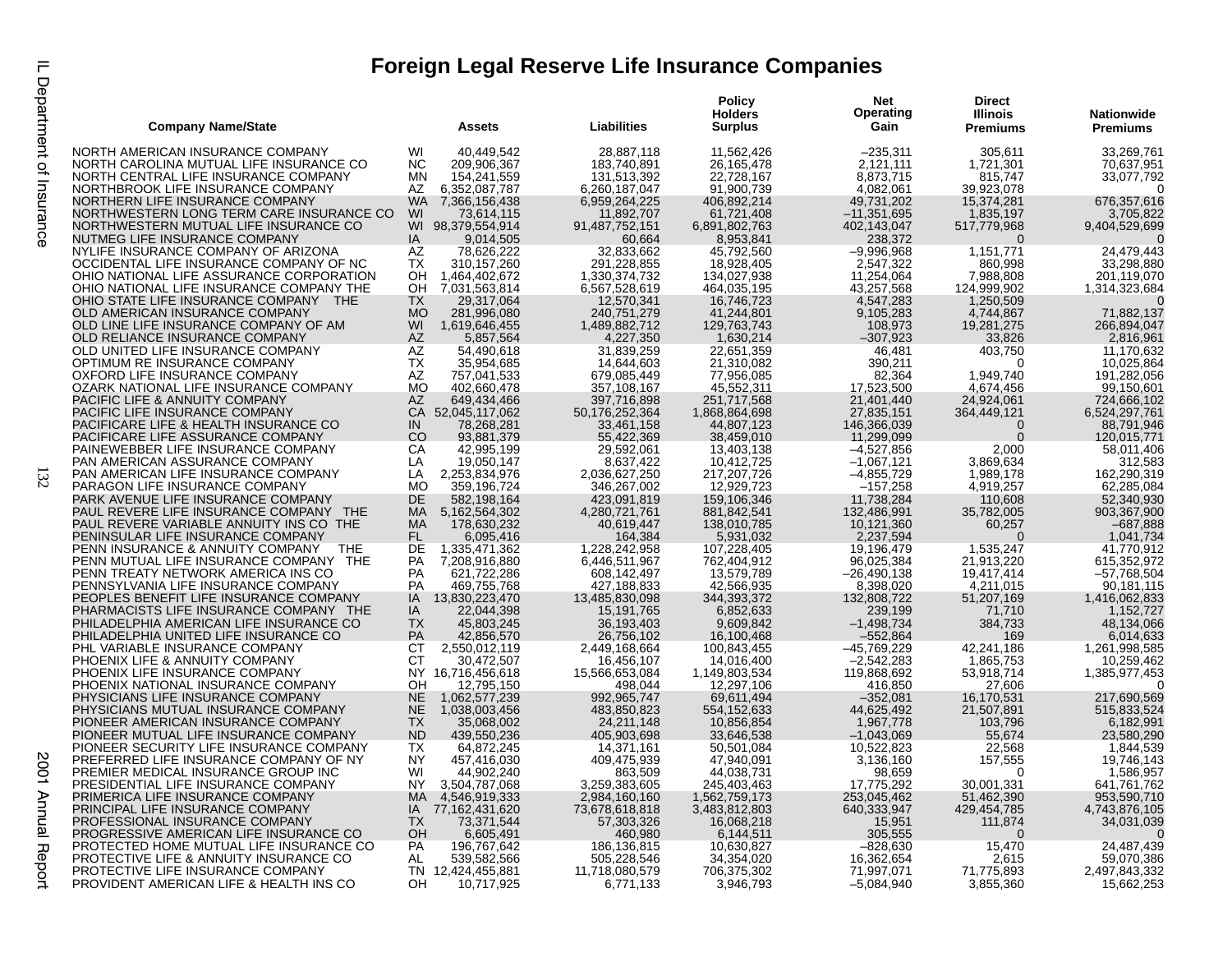| <b>Company Name/State</b>                                                           | Assets                                            | Liabilities                     | <b>Policy</b><br><b>Holders</b><br>Surplus | Net<br>Operating<br>Gain      | <b>Direct</b><br><b>Illinois</b><br><b>Premiums</b> | <b>Nationwide</b><br><b>Premiums</b> |
|-------------------------------------------------------------------------------------|---------------------------------------------------|---------------------------------|--------------------------------------------|-------------------------------|-----------------------------------------------------|--------------------------------------|
| NORTH AMERICAN INSURANCE COMPANY                                                    | WI<br>40,449,542                                  | 28,887,118                      | 11,562,426                                 | $-235,311$                    | 305,611                                             | 33,269,761                           |
| NORTH CAROLINA MUTUAL LIFE INSURANCE CO                                             | 209,906,367<br><b>NC</b>                          | 183,740,891                     | 26,165,478                                 | 2,121,111                     | 1,721,301                                           | 70,637,951                           |
| NORTH CENTRAL LIFE INSURANCE COMPANY                                                | <b>MN</b><br>154,241,559                          | 131,513,392                     | 22,728,167                                 | 8,873,715                     | 815,747                                             | 33,077,792                           |
| NORTHBROOK LIFE INSURANCE COMPANY<br>NORTHERN LIFE INSURANCE COMPANY                | 6,352,087,787<br>AZ<br><b>WA</b><br>7,366,156,438 | 6,260,187,047<br>6,959,264,225  | 91,900,739<br>406,892,214                  | 4,082,061<br>49,731,202       | 39,923,078<br>15,374,281                            | 0<br>676,357,616                     |
| NORTHWESTERN LONG TERM CARE INSURANCE CO                                            | 73,614,115<br>WI                                  | 11,892,707                      | 61,721,408                                 | $-11,351,695$                 | 1,835,197                                           | 3,705,822                            |
| NORTHWESTERN MUTUAL LIFE INSURANCE CO                                               | WI<br>98,379,554,914                              | 91,487,752,151                  | 6,891,802,763                              | 402,143,047                   | 517,779,968                                         | 9,404,529,699                        |
| NUTMEG LIFE INSURANCE COMPANY                                                       | 9,014,505<br>IA                                   | 60,664                          | 8,953,841                                  | 238,372                       |                                                     |                                      |
| NYLIFE INSURANCE COMPANY OF ARIZONA                                                 | AZ<br>78,626,222                                  | 32,833,662                      | 45,792,560                                 | $-9,996,968$                  | 1,151,771                                           | 24,479,443                           |
| OCCIDENTAL LIFE INSURANCE COMPANY OF NC<br>OHIO NATIONAL LIFE ASSURANCE CORPORATION | <b>TX</b><br>310,157,260<br>OH<br>1,464,402,672   | 291,228,855<br>1,330,374,732    | 18,928,405<br>134,027,938                  | 2,547,322<br>11,254,064       | 860,998<br>7,988,808                                | 33,298,880<br>201,119,070            |
| OHIO NATIONAL LIFE INSURANCE COMPANY THE                                            | OΗ<br>7,031,563,814                               | 6,567,528,619                   | 464,035,195                                | 43,257,568                    | 124,999,902                                         | 1,314,323,684                        |
| OHIO STATE LIFE INSURANCE COMPANY THE                                               | 29,317,064<br>TX                                  | 12,570,341                      | 16,746,723                                 | 4,547,283                     | 1,250,509                                           |                                      |
| OLD AMERICAN INSURANCE COMPANY                                                      | <b>MO</b><br>281,996,080                          | 240,751,279                     | 41,244,801                                 | 9,105,283                     | 4,744,867                                           | 71,882,137                           |
| OLD LINE LIFE INSURANCE COMPANY OF AM                                               | WI<br>1,619,646,455                               | 1,489,882,712                   | 129,763,743                                | 108,973                       | 19,281,275                                          | 266,894,047                          |
| OLD RELIANCE INSURANCE COMPANY<br>OLD UNITED LIFE INSURANCE COMPANY                 | AZ<br>5,857,564<br>AZ<br>54,490,618               | 4,227,350<br>31,839,259         | 1,630,214<br>22,651,359                    | $-307,923$<br>46,481          | 33,826<br>403,750                                   | 2,816,96<br>11,170,632               |
| OPTIMUM RE INSURANCE COMPANY                                                        | <b>TX</b><br>35,954,685                           | 14,644,603                      | 21,310,082                                 | 390,211                       | 0                                                   | 10,025,864                           |
| OXFORD LIFE INSURANCE COMPANY                                                       | AZ<br>757,041,533                                 | 679,085,449                     | 77,956,085                                 | 82,364                        | 1,949,740                                           | 191,282,056                          |
| OZARK NATIONAL LIFE INSURANCE COMPANY                                               | <b>MO</b><br>402,660,478                          | 357,108,167                     | 45,552,311                                 | 17,523,500                    | 4,674,456                                           | 99,150,601                           |
| PACIFIC LIFE & ANNUITY COMPANY                                                      | <b>AZ</b><br>649,434,466                          | 397,716,898                     | 251,717,568                                | 21,401,440                    | 24,924,061                                          | 724,666,102                          |
| PACIFIC LIFE INSURANCE COMPANY<br>PACIFICARE LIFE & HEALTH INSURANCE CO             | CA<br>52,045,117,062<br>78,268,281<br>IN          | 50,176,252,364<br>33,461,158    | 1,868,864,698<br>44,807,123                | 27,835,151<br>146,366,039     | 364,449,121<br>$\Omega$                             | 6,524,297,761<br>88,791,946          |
| PACIFICARE LIFE ASSURANCE COMPANY                                                   | CO<br>93.881.379                                  | 55.422.369                      | 38,459,010                                 | 11.299.099                    | $\Omega$                                            | 120,015,771                          |
| PAINEWEBBER LIFE INSURANCE COMPANY                                                  | 42,995,199<br>CA                                  | 29,592,061                      | 13,403,138                                 | $-4,527,856$                  | 2,000                                               | 58,011,406                           |
| PAN AMERICAN ASSURANCE COMPANY                                                      | 19,050,147<br>LA                                  | 8,637,422                       | 10,412,725                                 | $-1,067,121$                  | 3,869,634                                           | 312,583                              |
| PAN AMERICAN LIFE INSURANCE COMPANY                                                 | LA<br>2,253,834,976                               | 2,036,627,250                   | 217,207,726                                | $-4,855,729$                  | 1,989,178                                           | 162,290,319                          |
| PARAGON LIFE INSURANCE COMPANY<br>PARK AVENUE LIFE INSURANCE COMPANY                | 359,196,724<br>МO<br>DE<br>582,198,164            | 346,267,002<br>423,091,819      | 12,929,723<br>159,106,346                  | $-157,258$<br>11,738,284      | 4,919,257<br>110,608                                | 62,285,084<br>52,340,930             |
| PAUL REVERE LIFE INSURANCE COMPANY THE                                              | <b>MA</b><br>5,162,564,302                        | 4,280,721,761                   | 881,842,541                                | 132,486,991                   | 35,782,005                                          | 903,367,900                          |
| PAUL REVERE VARIABLE ANNUITY INS CO THE                                             | 178,630,232<br>МA                                 | 40.619.447                      | 138,010,785                                | 10,121,360                    | 60,257                                              |                                      |
| PENINSULAR LIFE INSURANCE COMPANY                                                   | <b>FL</b><br>6,095,416                            | 164,384                         | 5,931,032                                  | 2,237,594                     | ⋂                                                   | $-687,888$<br>1,041,734              |
| PENN INSURANCE & ANNUITY COMPANY<br>THE                                             | DE<br>1,335,471,362                               | 1,228,242,958                   | 107,228,405                                | 19,196,479                    | 1,535,247                                           | 41,770,912                           |
| PENN MUTUAL LIFE INSURANCE COMPANY<br>THE                                           | PA<br>7,208,916,880<br>PA                         | 6,446,511,967                   | 762,404,912                                | 96,025,384                    | 21,913,220                                          | 615,352,972                          |
| PENN TREATY NETWORK AMERICA INS CO<br>PENNSYLVANIA LIFE INSURANCE COMPANY           | 621,722,286<br>PA<br>469,755,768                  | 608,142,497<br>427,188,833      | 13,579,789<br>42,566,935                   | $-26,490,138$<br>8,398,020    | 19,417,414<br>4,211,015                             | $-57,768,504$<br>90,181,115          |
| PEOPLES BENEFIT LIFE INSURANCE COMPANY                                              | 13,830,223,470<br>IA                              | 13,485,830,098                  | 344,393,372                                | 132,808,722                   | 51,207,169                                          | 1,416,062,833                        |
| PHARMACISTS LIFE INSURANCE COMPANY THE                                              | 22,044,398<br>IA                                  | 15,191,765                      | 6,852,633                                  | 239,199                       | 71,710                                              | 1,152,727                            |
| PHILADELPHIA AMERICAN LIFE INSURANCE CO                                             | <b>TX</b><br>45,803,245                           | 36,193,403                      | 9,609,842                                  | $-1,498,734$                  | 384,733                                             | 48,134,066                           |
| PHILADELPHIA UNITED LIFE INSURANCE CO                                               | PA<br>42,856,570                                  | 26,756,102                      | 16,100,468                                 | $-552,864$                    | 169                                                 | 6,014,633                            |
| PHL VARIABLE INSURANCE COMPANY<br>PHOENIX LIFE & ANNUITY COMPANY                    | СT<br>2,550,012,119<br>СT<br>30,472,507           | 2,449,168,664<br>16,456,107     | 100,843,455<br>14,016,400                  | $-45,769,229$<br>$-2,542,283$ | 42,241,186<br>1,865,753                             | 1,261,998,585<br>10,259,462          |
| PHOENIX LIFE INSURANCE COMPANY                                                      | NY<br>16,716,456,618                              | 15,566,653,084                  | 1,149,803,534                              | 119,868,692                   | 53,918,714                                          | 1,385,977,453                        |
| PHOENIX NATIONAL INSURANCE COMPANY                                                  | 12,795,150<br>OH                                  | 498,044                         | 12,297,106                                 | 416,850                       | 27,606                                              |                                      |
| PHYSICIANS LIFE INSURANCE COMPANY                                                   | <b>NE</b><br>1,062,577,239                        | 992,965,747                     | 69,611,494                                 | $-352.081$                    | 16,170,531                                          | 217,690,569                          |
| PHYSICIANS MUTUAL INSURANCE COMPANY                                                 | 1,038,003,456<br><b>NE</b>                        | 483,850,823                     | 554,152,633                                | 44,625,492                    | 21,507,891                                          | 515,833,524                          |
| PIONEER AMERICAN INSURANCE COMPANY<br>PIONEER MUTUAL LIFE INSURANCE COMPANY         | 35,068,002<br>ТX<br><b>ND</b><br>439,550,236      | 24,211,148<br>405,903,698       | 10,856,854<br>33,646,538                   | 1,967,778<br>$-1,043,069$     | 103,796<br>55,674                                   | 6,182,991<br>23,580,290              |
| PIONEER SECURITY LIFE INSURANCE COMPANY                                             | ТX<br>64,872,245                                  | 14,371,161                      | 50,501,084                                 | 10,522,823                    | 22,568                                              | 1,844,539                            |
| PREFERRED LIFE INSURANCE COMPANY OF NY                                              | NY<br>457,416,030                                 | 409,475,939                     | 47,940,091                                 | 3,136,160                     | 157,555                                             | 19,746,143                           |
| PREMIER MEDICAL INSURANCE GROUP INC                                                 | WI<br>44,902,240                                  | 863,509                         | 44,038,731                                 | 98,659                        | O                                                   | 1,586,957                            |
| PRESIDENTIAL LIFE INSURANCE COMPANY<br>PRIMERICA LIFE INSURANCE COMPANY             | 3.504.787.068<br>NY                               | 3,259,383,605                   | 245.403.463                                | 17.775.292                    | 30,001,331                                          | 641,761,762                          |
| PRINCIPAL LIFE INSURANCE COMPANY                                                    | 4,546,919,333<br>MA<br>77, 162, 431, 620<br>IA    | 2,984,160,160<br>73,678,618,818 | 1,562,759,173<br>3,483,812,803             | 253,045,462<br>640,333,947    | 51,462,390<br>429,454,785                           | 953,590,710<br>4,743,876,105         |
| PROFESSIONAL INSURANCE COMPANY                                                      | 73,371,544<br>TX                                  | 57,303,326                      | 16,068,218                                 | 15,951                        | 111,874                                             | 34,031,039                           |
| PROGRESSIVE AMERICAN LIFE INSURANCE CO                                              | OH<br>6,605,491                                   | 460,980                         | 6,144,511                                  | 305,555                       | U                                                   |                                      |
| PROTECTED HOME MUTUAL LIFE INSURANCE CO                                             | PA<br>196,767,642                                 | 186,136,815                     | 10,630,827                                 | –828.630                      | 15,470                                              | 24,487,439                           |
| PROTECTIVE LIFE & ANNUITY INSURANCE CO<br>PROTECTIVE LIFE INSURANCE COMPANY         | 539,582,566<br>AL<br><b>TN</b><br>12,424,455,881  | 505,228,546<br>11,718,080,579   | 34,354,020<br>706,375,302                  | 16,362,654<br>71,997,071      | 2,615<br>71,775,893                                 | 59,070,386<br>2,497,843,332          |
| PROVIDENT AMERICAN LIFE & HEALTH INS CO                                             | OН<br>10,717,925                                  | 6,771,133                       | 3,946,793                                  | –5,084,940                    | 3,855,360                                           | 15,662,253                           |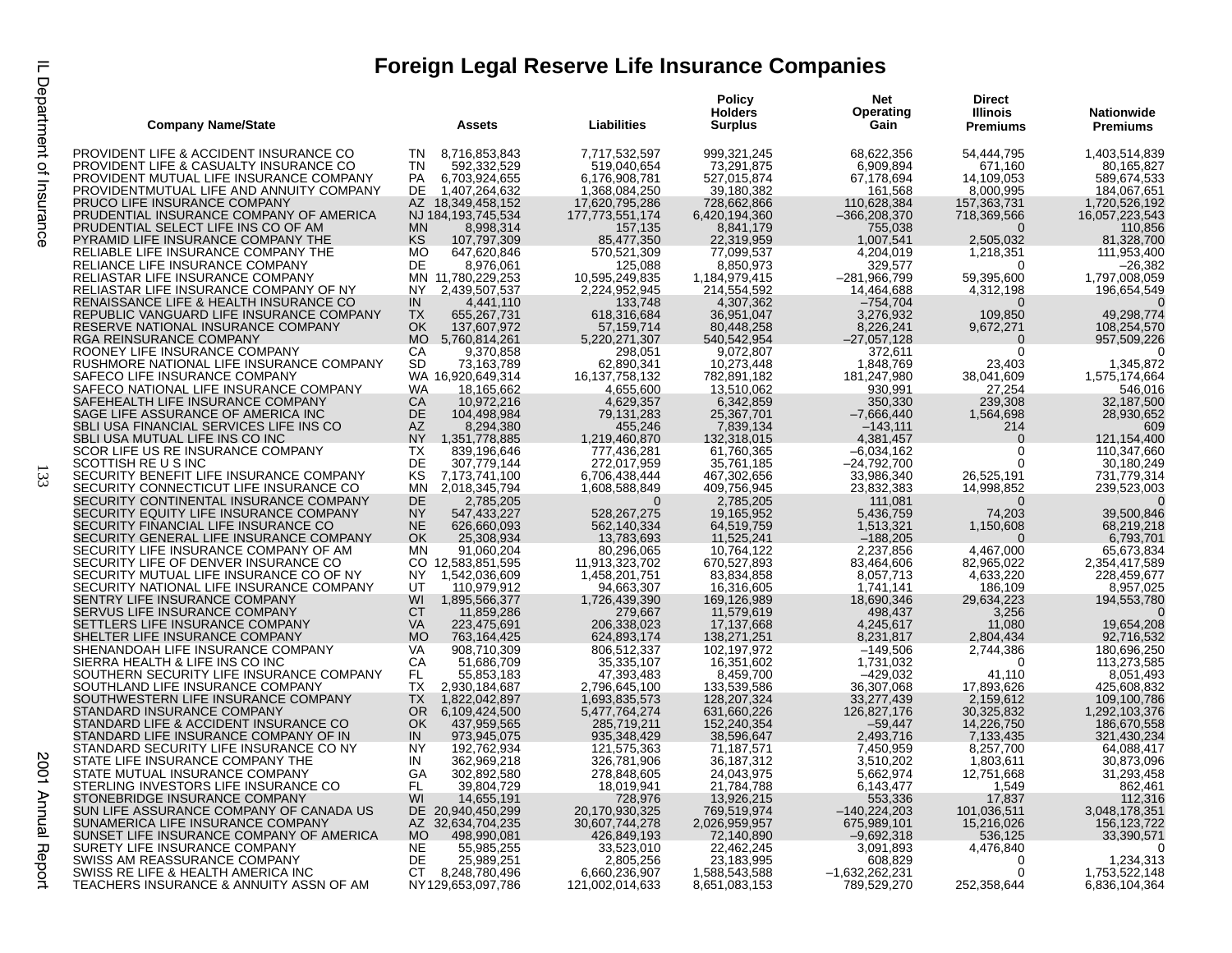| <b>Company Name/State</b>                                                           | <b>Assets</b>                                 | Liabilities                 | <b>Policy</b><br><b>Holders</b><br><b>Surplus</b> | <b>Net</b><br>Operating<br>Gain | <b>Direct</b><br><b>Illinois</b><br>Premiums | <b>Nationwide</b><br><b>Premiums</b> |
|-------------------------------------------------------------------------------------|-----------------------------------------------|-----------------------------|---------------------------------------------------|---------------------------------|----------------------------------------------|--------------------------------------|
| PROVIDENT LIFE & ACCIDENT INSURANCE CO                                              | 8,716,853,843<br>TN                           | 7,717,532,597               | 999,321,245                                       | 68,622,356                      | 54,444,795                                   | 1,403,514,839                        |
| PROVIDENT LIFE & CASUALTY INSURANCE CO                                              | 592,332,529<br>ΤN                             | 519,040,654                 | 73,291,875                                        | 6,909,894                       | 671,160                                      | 80,165,827                           |
| PROVIDENT MUTUAL LIFE INSURANCE COMPANY                                             | 6,703,924,655<br><b>PA</b>                    | 6,176,908,781               | 527,015,874                                       | 67,178,694                      | 14,109,053                                   | 589,674,533                          |
| PROVIDENTMUTUAL LIFE AND ANNUITY COMPANY                                            | DE<br>1,407,264,632                           | 1,368,084,250               | 39,180,382                                        | 161.568                         | 8,000,995                                    | 184,067,651                          |
| PRUCO LIFE INSURANCE COMPANY                                                        | AZ.<br>18,349,458,152                         | 17,620,795,286              | 728,662,866                                       | 110,628,384                     | 157,363,731                                  | 1,720,526,192                        |
| PRUDENTIAL INSURANCE COMPANY OF AMERICA                                             | NJ 184, 193, 745, 534                         | 177,773,551,174             | 6,420,194,360                                     | $-366,208,370$                  | 718,369,566                                  | 16,057,223,543                       |
| PRUDENTIAL SELECT LIFE INS CO OF AM                                                 | 8,998,314<br><b>MN</b>                        | 157,135                     | 8,841,179                                         | 755,038                         |                                              | 110,856                              |
| PYRAMID LIFE INSURANCE COMPANY THE<br>RELIABLE LIFE INSURANCE COMPANY THE           | KS<br>107,797,309<br><b>MO</b><br>647,620,846 | 85,477,350<br>570,521,309   | 22,319,959<br>77,099,537                          | 1,007,541                       | 2,505,032                                    | 81,328,700                           |
| RELIANCE LIFE INSURANCE COMPANY                                                     | DE<br>8,976,061                               | 125.088                     | 8.850.973                                         | 4,204,019<br>329.577            | 1,218,351<br>∩                               | 111,953,400<br>-26,382               |
| RELIASTAR LIFE INSURANCE COMPANY                                                    | MN<br>11,780,229,253                          | 10,595,249,835              | 1,184,979,415                                     | $-281,966,799$                  | 59,395,600                                   | 1,797,008,059                        |
| RELIASTAR LIFE INSURANCE COMPANY OF NY                                              | 2,439,507,537<br>N٢                           | 2,224,952,945               | 214,554,592                                       | 14,464,688                      | 4,312,198                                    | 196,654,549                          |
| RENAISSANCE LIFE & HEALTH INSURANCE CO                                              | IN<br>4,441,110                               | 133,748                     | 4,307,362                                         | $-754,704$                      |                                              |                                      |
| REPUBLIC VANGUARD LIFE INSURANCE COMPANY                                            | TX<br>655,267,731                             | 618,316,684                 | 36,951,047                                        | 3,276,932                       | 109,850                                      | 49,298,774                           |
| RESERVE NATIONAL INSURANCE COMPANY                                                  | OK<br>137,607,972                             | 57,159,714                  | 80,448,258                                        | 8,226,241                       | 9,672,271                                    | 108,254,570                          |
| RGA REINSURANCE COMPANY                                                             | <b>MO</b><br>5,760,814,261                    | 5,220,271,307               | 540,542,954                                       | $-27,057,128$                   |                                              | 957,509,226                          |
| ROONEY LIFE INSURANCE COMPANY                                                       | СA<br>9,370,858                               | 298,051                     | 9,072,807                                         | 372,611                         |                                              |                                      |
| RUSHMORE NATIONAL LIFE INSURANCE COMPANY                                            | <b>SD</b><br>73,163,789                       | 62,890,341                  | 10,273,448                                        | 1,848,769                       | 23.403                                       | 1,345,872                            |
| SAFECO LIFE INSURANCE COMPANY                                                       | <b>WA</b><br>6,920,649,314                    | 16,137,758,132              | 782,891,182                                       | 181,247,980                     | 38,041,609                                   | 1,575,174,664                        |
| SAFECO NATIONAL LIFE INSURANCE COMPANY                                              | WA<br>18,165,662                              | 4,655,600                   | 13,510,062                                        | 930,991                         | 27,254                                       | 546,016                              |
| SAFEHEALTH LIFE INSURANCE COMPANY<br>SAGE LIFE ASSURANCE OF AMERICA INC             | CA<br>10,972,216<br>DE                        | 4,629,357                   | 6,342,859                                         | 350,330                         | 239,308                                      | 32,187,500                           |
| SBLI USA FINANCIAL SERVICES LIFE INS CO                                             | 104,498,984<br><b>AZ</b><br>8.294.380         | 79,131,283<br>455,246       | 25,367,701<br>7,839,134                           | $-7,666,440$<br>$-143,111$      | 1,564,698<br>214                             | 28,930,652<br>609                    |
| SBLI USA MUTUAL LIFE INS CO INC                                                     | <b>NY</b><br>1.351.778.885                    | 1,219,460,870               | 132,318,015                                       | 4,381,457                       |                                              | 121,154,400                          |
| SCOR LIFE US RE INSURANCE COMPANY                                                   | TX<br>839,196,646                             | 777,436,281                 | 61,760,365                                        | -6.034.162                      | ∩                                            | 110,347,660                          |
| SCOTTISH RE U S INC                                                                 | DE<br>307,779,144                             | 272,017,959                 | 35,761,185                                        | $-24,792,700$                   |                                              | 30,180,249                           |
| SECURITY BENEFIT LIFE INSURANCE COMPANY                                             | KS<br>7,173,741,100                           | 6.706.438.444               | 467,302,656                                       | 33,986,340                      | 26,525,191                                   | 731,779,314                          |
| SECURITY CONNECTICUT LIFE INSURANCE CO                                              | MN<br>2,018,345,794                           | 1,608,588,849               | 409,756,945                                       | 23,832,383                      | 14,998,852                                   | 239,523,003                          |
| SECURITY CONTINENTAL INSURANCE COMPANY                                              | <b>DE</b><br>2,785,205                        | $\Omega$                    | 2,785,205                                         | 111,081                         |                                              |                                      |
| SECURITY EQUITY LIFE INSURANCE COMPANY                                              | <b>NY</b><br>547,433,227                      | 528, 267, 275               | 19,165,952                                        | 5,436,759                       | 74,203                                       | 39,500,846                           |
| SECURITY FINANCIAL LIFE INSURANCE CO                                                | <b>NE</b><br>626,660,093                      | 562,140,334                 | 64,519,759                                        | 1,513,321                       | 1,150,608                                    | 68,219,218                           |
| SECURITY GENERAL LIFE INSURANCE COMPANY                                             | OK<br>25,308,934                              | 13,783,693                  | 11,525,241                                        | $-188,205$                      |                                              | 6,793,701                            |
| SECURITY LIFE INSURANCE COMPANY OF AM                                               | ΜN<br>91,060,204                              | 80,296,065                  | 10,764,122                                        | 2,237,856                       | 4,467,000                                    | 65,673,834                           |
| SECURITY LIFE OF DENVER INSURANCE CO                                                | CO<br>12,583,851,595<br>NY                    | 11,913,323,702              | 670,527,893                                       | 83,464,606                      | 82,965,022                                   | 2,354,417,589                        |
| SECURITY MUTUAL LIFE INSURANCE CO OF NY<br>SECURITY NATIONAL LIFE INSURANCE COMPANY | 1,542,036,609<br>UT<br>110,979,912            | 1,458,201,751<br>94,663,307 | 83,834,858<br>16,316,605                          | 8,057,713<br>1,741,141          | 4,633,220<br>186,109                         | 228,459,677<br>8,957,025             |
| SENTRY LIFE INSURANCE COMPANY                                                       | 1,895,566,377<br>WI                           | 1,726,439,390               | 169,126,989                                       | 18,690,346                      | 29,634,223                                   | 194,553,780                          |
| SERVUS LIFE INSURANCE COMPANY                                                       | <b>CT</b><br>11,859,286                       | 279,667                     | 11,579,619                                        | 498,437                         | 3,256                                        |                                      |
| SETTLERS LIFE INSURANCE COMPANY                                                     | VA<br>223,475,691                             | 206,338,023                 | 17,137,668                                        | 4,245,617                       | 11,080                                       | 19,654,208                           |
| SHELTER LIFE INSURANCE COMPANY                                                      | <b>MO</b><br>763,164,425                      | 624,893,174                 | 138,271,251                                       | 8,231,817                       | 2,804,434                                    | 92,716,532                           |
| SHENANDOAH LIFE INSURANCE COMPANY                                                   | VA<br>908,710,309                             | 806,512,337                 | 102,197,972                                       | $-149,506$                      | 2,744,386                                    | 180,696,250                          |
| SIERRA HEALTH & LIFE INS CO INC                                                     | CA<br>51,686,709                              | 35,335,107                  | 16,351,602                                        | 1,731,032                       | O                                            | 113,273,585                          |
| SOUTHERN SECURITY LIFE INSURANCE COMPANY                                            | 55,853,183<br>FL                              | 47,393,483                  | 8,459,700                                         | $-429,032$                      | 41,110                                       | 8,051,493                            |
| SOUTHLAND LIFE INSURANCE COMPANY                                                    | ТX<br>2,930,184,687                           | 2,796,645,100               | 133,539,586                                       | 36,307,068                      | 17,893,626                                   | 425,608,832                          |
| SOUTHWESTERN LIFE INSURANCE COMPANY                                                 | <b>TX</b><br>1,822,042,897                    | 1,693,835,573               | 128,207,324                                       | 33,277,439                      | 2,159,612                                    | 109,100,786                          |
| STANDARD INSURANCE COMPANY                                                          | <b>OR</b><br>6,109,424,500                    | 5,477,764,274               | 631,660,226                                       | 126,827,176                     | 30,325,832                                   | 1,292,103,376                        |
| STANDARD LIFE & ACCIDENT INSURANCE CO<br>STANDARD LIFE INSURANCE COMPANY OF IN      | OK<br>437,959,565<br>973.945.075<br>IN        | 285,719,211<br>935.348.429  | 152,240,354<br>38.596.647                         | –59,447                         | 14,226,750                                   | 186,670,558                          |
| STANDARD SECURITY LIFE INSURANCE CO NY                                              | NY<br>192,762,934                             | 121,575,363                 | 71,187,571                                        | 2,493,716<br>7,450,959          | 7,133,435<br>8,257,700                       | 321,430,234<br>64,088,417            |
| STATE LIFE INSURANCE COMPANY THE                                                    | 362,969,218<br>IN                             | 326,781,906                 | 36,187,312                                        | 3,510,202                       | 1,803,611                                    | 30,873,096                           |
| STATE MUTUAL INSURANCE COMPANY                                                      | 302,892,580<br>GA                             | 278,848,605                 | 24,043,975                                        | 5,662,974                       | 12,751,668                                   | 31,293,458                           |
| STERLING INVESTORS LIFE INSURANCE CO                                                | FL<br>39,804,729                              | 18,019,941                  | 21,784,788                                        | 6,143,477                       | 1,549                                        | 862,461                              |
| STONEBRIDGE INSURANCE COMPANY                                                       | WI<br>14,655,191                              | 728,976                     | 13,926,215                                        | 553,336                         | 17,837                                       | 112,316                              |
| SUN LIFE ASSURANCE COMPANY OF CANADA US                                             | 20,940,450,299<br>DE.                         | 20,170,930,325              | 769,519,974                                       | $-140,224,203$                  | 101,036,511                                  | 3,048,178,351                        |
| SUNAMERICA LIFE INSURANCE COMPANY                                                   | AZ<br>32,634,704,235                          | 30,607,744,278              | 2,026,959,957                                     | 675,989,101                     | 15,216,026                                   | 156,123,722                          |
| SUNSET LIFE INSURANCE COMPANY OF AMERICA                                            | <b>MO</b><br>498,990,081                      | 426,849,193                 | 72,140,890                                        | –9,692,318                      | 536,125                                      | 33,390,571                           |
| SURETY LIFE INSURANCE COMPANY                                                       | NE<br>55,985,255                              | 33,523,010                  | 22,462,245                                        | 3,091,893                       | 4,476,840                                    |                                      |
| SWISS AM REASSURANCE COMPANY                                                        | DE<br>25,989,251                              | 2,805,256                   | 23,183,995                                        | 608,829                         |                                              | 1,234,313                            |
| SWISS RE LIFE & HEALTH AMERICA INC                                                  | СT<br>8.248.780.496                           | 6.660.236.907               | 1.588.543.588                                     | $-1.632.262.231$                | ∩                                            | 1.753.522.148                        |
| TEACHERS INSURANCE & ANNUITY ASSN OF AM                                             | NY129,653,097,786                             | 121,002,014,633             | 8,651,083,153                                     | 789,529,270                     | 252,358,644                                  | 6,836,104,364                        |

 $133$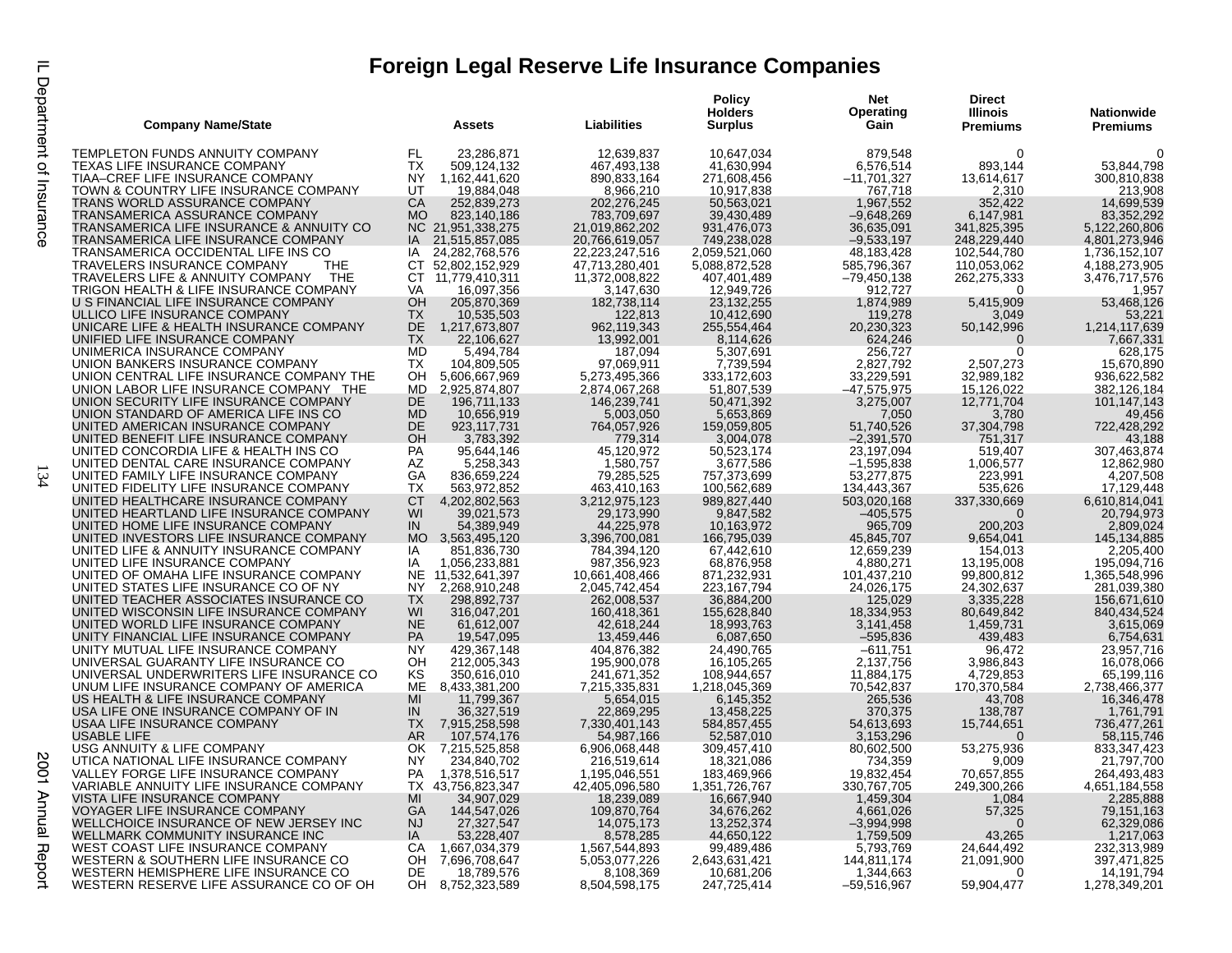| <b>Company Name/State</b>                                                       | Assets                                         | <b>Liabilities</b>           | <b>Policy</b><br>Holders<br><b>Surplus</b> | <b>Net</b><br>Operating<br>Gain | Direct<br><b>Illinois</b><br>Premiums | <b>Nationwide</b><br><b>Premiums</b> |
|---------------------------------------------------------------------------------|------------------------------------------------|------------------------------|--------------------------------------------|---------------------------------|---------------------------------------|--------------------------------------|
| TEMPLETON FUNDS ANNUITY COMPANY                                                 | FL<br>23,286,871                               | 12,639,837                   | 10,647,034                                 | 879,548                         | 0                                     | C                                    |
| <b>TEXAS LIFE INSURANCE COMPANY</b>                                             | ТX<br>509,124,132                              | 467,493,138                  | 41,630,994                                 | 6,576,514                       | 893,144                               | 53,844,798                           |
| TIAA-CREF LIFE INSURANCE COMPANY                                                | 1.162.441.620<br>NY<br>UT                      | 890,833,164                  | 271,608,456                                | $-11,701,327$                   | 13,614,617                            | 300,810,838                          |
| TOWN & COUNTRY LIFE INSURANCE COMPANY<br>TRANS WORLD ASSURANCE COMPANY          | 19,884,048<br>CA<br>252,839,273                | 8,966,210<br>202,276,245     | 10,917,838<br>50,563,021                   | 767,718<br>1,967,552            | 2,310<br>352,422                      | 213,908<br>14,699,539                |
| TRANSAMERICA ASSURANCE COMPANY                                                  | 823,140,186<br><b>MO</b>                       | 783,709,697                  | 39,430,489                                 | $-9,648,269$                    | 6,147,981                             | 83,352,292                           |
| TRANSAMERICA LIFE INSURANCE & ANNUITY CO                                        | NC 21,951,338,275                              | 21,019,862,202               | 931,476,073                                | 36,635,091                      | 341,825,395                           | 5,122,260,806                        |
| TRANSAMERICA LIFE INSURANCE COMPANY                                             | 21,515,857,085<br>IA                           | 20,766,619,057               | 749,238,028                                | $-9,533,197$                    | 248.229.440                           | 4,801,273,946                        |
| TRANSAMERICA OCCIDENTAL LIFE INS CO                                             | 24,282,768,576<br>IA                           | 22,223,247,516               | 2,059,521,060                              | 48,183,428                      | 102,544,780                           | 1,736,152,107                        |
| TRAVELERS INSURANCE COMPANY<br>THE                                              | СT<br>52,802,152,929                           | 47,713,280,401               | 5,088,872,528                              | 585,796,367                     | 110,053,062                           | 4,188,273,905                        |
| TRAVELERS LIFE & ANNUITY COMPANY<br><b>THE</b>                                  | СT<br>11,779,410,311                           | 11,372,008,822               | 407,401,489                                | $-79,450,138$                   | 262,275,333<br>∩                      | 3,476,717,576                        |
| TRIGON HEALTH & LIFE INSURANCE COMPANY<br>U S FINANCIAL LIFE INSURANCE COMPANY  | 16,097,356<br>VA<br>OH<br>205,870,369          | 3,147,630<br>182,738,114     | 12,949,726<br>23,132,255                   | 912,727<br>1,874,989            | 5,415,909                             | 1,957<br>53,468,126                  |
| ULLICO LIFE INSURANCE COMPANY                                                   | TX<br>10,535,503                               | 122,813                      | 10,412,690                                 | 119,278                         | 3,049                                 | 53,22'                               |
| UNICARE LIFE & HEALTH INSURANCE COMPANY                                         | DE<br>1,217,673,807                            | 962,119,343                  | 255,554,464                                | 20,230,323                      | 50,142,996                            | 1,214,117,639                        |
| UNIFIED LIFE INSURANCE COMPANY                                                  | TX<br>22,106,627                               | 13,992,001                   | 8,114,626                                  | 624,246                         | $\Omega$                              | 7,667,33                             |
| UNIMERICA INSURANCE COMPANY                                                     | <b>MD</b><br>5,494,784                         | 187.094                      | 5,307,691                                  | 256,727                         | 0                                     | 628,175                              |
| UNION BANKERS INSURANCE COMPANY                                                 | 104.809.505<br>ТX                              | 97.069.911                   | 7.739.594                                  | 2,827,792                       | 2,507,273                             | 15,670,890                           |
| UNION CENTRAL LIFE INSURANCE COMPANY THE                                        | OH.<br>5,606,667,969                           | 5,273,495,366                | 333,172,603                                | 33,229,591                      | 32,989,182                            | 936,622,582                          |
| UNION LABOR LIFE INSURANCE COMPANY THE<br>UNION SECURITY LIFE INSURANCE COMPANY | MD<br>2,925,874,807<br>DE<br>196,711,133       | 2,874,067,268<br>146,239,741 | 51,807,539<br>50.471.392                   | –47,575,975                     | 15,126,022                            | 382,126,184                          |
| UNION STANDARD OF AMERICA LIFE INS CO                                           | <b>MD</b><br>10,656,919                        | 5,003,050                    | 5,653,869                                  | 3,275,007<br>7,050              | 12,771,704<br>3,780                   | 101,147,143<br>49,456                |
| UNITED AMERICAN INSURANCE COMPANY                                               | DE<br>923, 117, 731                            | 764,057,926                  | 159,059,805                                | 51,740,526                      | 37,304,798                            | 722,428,292                          |
| UNITED BENEFIT LIFE INSURANCE COMPANY                                           | OH<br>3,783,392                                | 779,314                      | 3,004,078                                  | $-2,391,570$                    | 751.317                               | 43,188                               |
| UNITED CONCORDIA LIFE & HEALTH INS CO                                           | <b>PA</b><br>95,644,146                        | 45,120,972                   | 50,523,174                                 | 23,197,094                      | 519,407                               | 307,463,874                          |
| UNITED DENTAL CARE INSURANCE COMPANY                                            | AZ<br>5,258,343                                | 1,580,757                    | 3,677,586                                  | $-1,595,838$                    | 1,006,577                             | 12,862,980                           |
| UNITED FAMILY LIFE INSURANCE COMPANY                                            | GA<br>836,659,224                              | 79,285,525                   | 757,373,699                                | 53,277,875                      | 223,991                               | 4,207,508                            |
| UNITED FIDELITY LIFE INSURANCE COMPANY                                          | тх<br>563,972,852                              | 463,410,163                  | 100,562,689                                | 134,443,367                     | 535,626                               | 17,129,448                           |
| UNITED HEALTHCARE INSURANCE COMPANY<br>UNITED HEARTLAND LIFE INSURANCE COMPANY  | <b>CT</b><br>4,202,802,563<br>WI<br>39,021,573 | 3,212,975,123<br>29,173,990  | 989,827,440<br>9,847,582                   | 503,020,168<br>$-405,575$       | 337,330,669<br>N                      | 6,610,814,041<br>20,794,973          |
| UNITED HOME LIFE INSURANCE COMPANY                                              | IN<br>54,389,949                               | 44,225,978                   | 10,163,972                                 | 965,709                         | 200,203                               | 2,809,024                            |
| UNITED INVESTORS LIFE INSURANCE COMPANY                                         | <b>MO</b><br>3,563,495,120                     | 3,396,700,081                | 166,795,039                                | 45,845,707                      | 9,654,041                             | 145,134,885                          |
| UNITED LIFE & ANNUITY INSURANCE COMPANY                                         | 851,836,730<br>IA                              | 784,394,120                  | 67,442,610                                 | 12,659,239                      | 154,013                               | 2,205,400                            |
| UNITED LIFE INSURANCE COMPANY                                                   | 1,056,233,881<br>IA                            | 987,356,923                  | 68,876,958                                 | 4,880,271                       | 13,195,008                            | 195,094,716                          |
| UNITED OF OMAHA LIFE INSURANCE COMPANY                                          | <b>NE</b><br>11,532,641,397                    | 10,661,408,466               | 871,232,931                                | 101,437,210                     | 99,800,812                            | 1,365,548,996                        |
| UNITED STATES LIFE INSURANCE CO OF NY                                           | 2,268,910,248<br>NY                            | 2,045,742,454                | 223.167.794                                | 24,026,175                      | 24,302,637                            | 281,039,380                          |
| UNITED TEACHER ASSOCIATES INSURANCE CO                                          | 298,892,737<br>ТX<br>WI                        | 262,008,537                  | 36,884,200                                 | 125,029                         | 3,335,228                             | 156,671,610                          |
| UNITED WISCONSIN LIFE INSURANCE COMPANY<br>UNITED WORLD LIFE INSURANCE COMPANY  | 316,047,201<br><b>NE</b><br>61,612,007         | 160,418,361<br>42,618,244    | 155,628,840<br>18,993,763                  | 18,334,953<br>3,141,458         | 80,649,842<br>1,459,731               | 840,434,524<br>3,615,069             |
| UNITY FINANCIAL LIFE INSURANCE COMPANY                                          | PA<br>19,547,095                               | 13,459,446                   | 6,087,650                                  | $-595,836$                      | 439,483                               | 6,754,631                            |
| UNITY MUTUAL LIFE INSURANCE COMPANY                                             | NY<br>429,367,148                              | 404,876,382                  | 24,490,765                                 | $-611,751$                      | 96,472                                | 23,957,716                           |
| UNIVERSAL GUARANTY LIFE INSURANCE CO                                            | 212,005,343<br>OΗ                              | 195,900,078                  | 16,105,265                                 | 2,137,756                       | 3,986,843                             | 16,078,066                           |
| UNIVERSAL UNDERWRITERS LIFE INSURANCE CO                                        | ΚS<br>350,616,010                              | 241,671,352                  | 108,944,657                                | 11,884,175                      | 4,729,853                             | 65,199,116                           |
| UNUM LIFE INSURANCE COMPANY OF AMERICA                                          | ME<br>8,433,381,200                            | 7,215,335,831                | 1,218,045,369                              | 70,542,837                      | 170,370,584                           | 2,738,466,377                        |
| US HEALTH & LIFE INSURANCE COMPANY                                              | MI<br>11,799,367                               | 5,654,015                    | 6,145,352                                  | 265,536                         | 43,708                                | 16,346,478                           |
| USA LIFE ONE INSURANCE COMPANY OF IN<br>USAA LIFE INSURANCE COMPANY             | 36,327,519<br>IN<br>7,915,258,598<br><b>TX</b> | 22,869,295<br>7,330,401,143  | 13,458,225<br>584,857,455                  | 370,375<br>54,613,693           | 138,787<br>15,744,651                 | 1,761,79<br>736,477,261              |
| <b>USABLE LIFE</b>                                                              | AR.<br>107,574,176                             | 54,987,166                   | 52,587,010                                 | 3,153,296                       |                                       | 58,115,746                           |
| USG ANNUITY & LIFE COMPANY                                                      | 7,215,525,858<br>OK                            | 6,906,068,448                | 309,457,410                                | 80,602,500                      | 53,275,936                            | 833, 347, 423                        |
| UTICA NATIONAL LIFE INSURANCE COMPANY                                           | NY<br>234,840,702                              | 216,519,614                  | 18,321,086                                 | 734,359                         | 9,009                                 | 21,797,700                           |
| VALLEY FORGE LIFE INSURANCE COMPANY                                             | 1,378,516,517<br>PA                            | 1,195,046,551                | 183,469,966                                | 19,832,454                      | 70,657,855                            | 264,493,483                          |
| VARIABLE ANNUITY LIFE INSURANCE COMPANY                                         | 43,756,823,347<br>ТX                           | 42,405,096,580               | 1,351,726,767                              | 330,767,705                     | 249,300,266                           | 4,651,184,558                        |
| VISTA LIFE INSURANCE COMPANY                                                    | 34,907,029<br>MI                               | 18,239,089                   | 16,667,940                                 | 1,459,304                       | 1,084                                 | 2,285,888                            |
| VOYAGER LIFE INSURANCE COMPANY<br>WELLCHOICE INSURANCE OF NEW JERSEY INC        | 144,547,026<br>GA                              | 109,870,764                  | 34,676,262                                 | 4,661,026                       | 57,325<br>$\Omega$                    | 79,151,163                           |
| WELLMARK COMMUNITY INSURANCE INC                                                | <b>NJ</b><br>27,327,547<br>IA<br>53,228,407    | 14,075,173<br>8,578,285      | 13,252,374<br>44,650,122                   | $-3,994,998$<br>1,759,509       | 43,265                                | 62,329,086<br>1,217,063              |
| WEST COAST LIFE INSURANCE COMPANY                                               | 1,667,034,379<br>СA                            | 1,567,544,893                | 99,489,486                                 | 5,793,769                       | 24,644,492                            | 232,313,989                          |
| WESTERN & SOUTHERN LIFE INSURANCE CO                                            | 7,696,708,647<br>OН                            | 5,053,077,226                | 2,643,631,421                              | 144,811,174                     | 21,091,900                            | 397,471,825                          |
| WESTERN HEMISPHERE LIFE INSURANCE CO                                            | DE<br>18,789,576                               | 8,108,369                    | 10,681,206                                 | 1,344,663                       | 0                                     | 14,191,794                           |
| WESTERN RESERVE LIFE ASSURANCE CO OF OH                                         | OH.<br>8,752,323,589                           | 8,504,598,175                | 247,725,414                                | $-59,516,967$                   | 59,904,477                            | 1,278,349,201                        |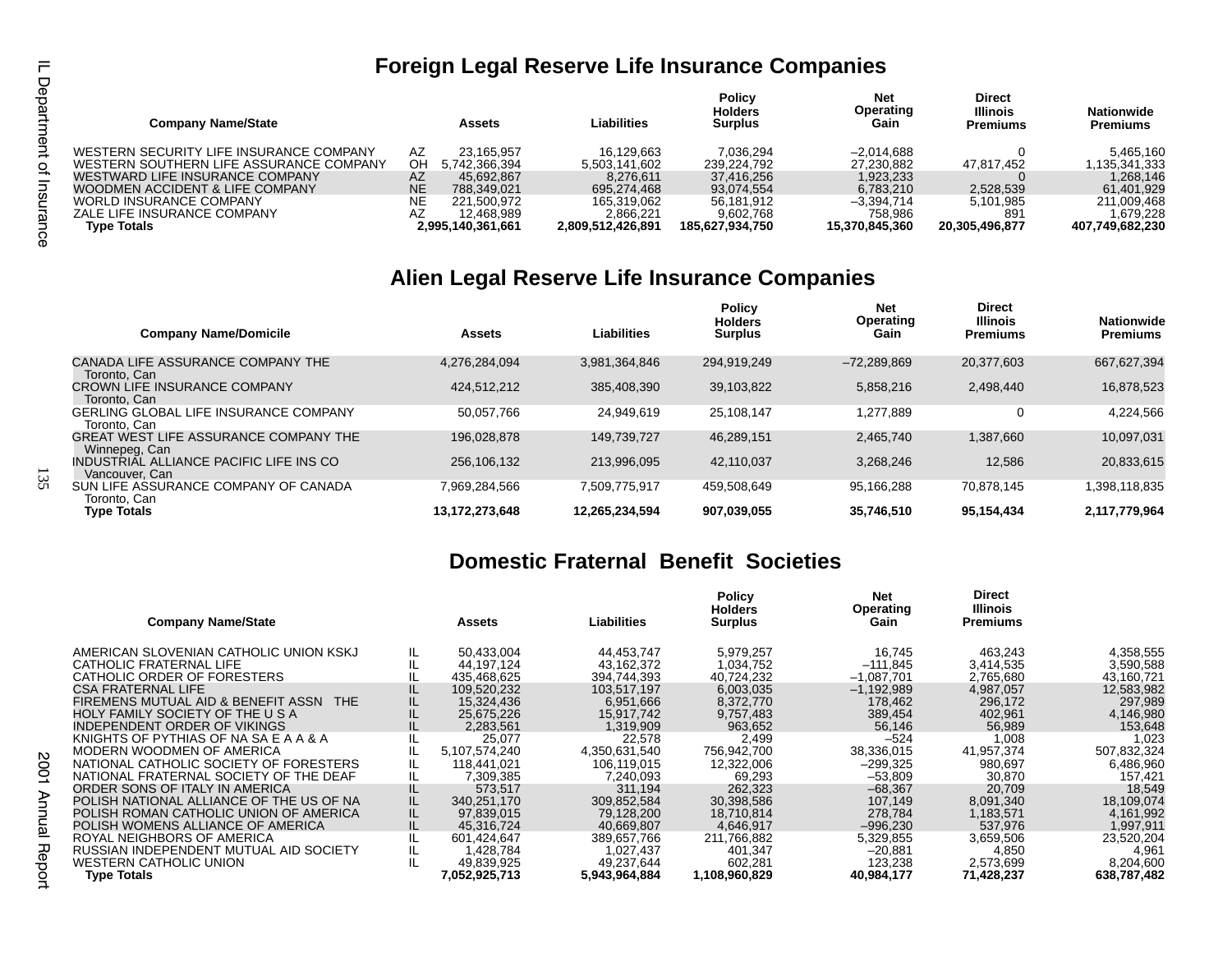| <b>Company Name/State</b>               |           | <b>Assets</b>     | Liabilities       | <b>Policy</b><br><b>Holders</b><br><b>Surplus</b> | <b>Net</b><br>Operating<br>Gain | <b>Direct</b><br><b>Illinois</b><br><b>Premiums</b> | <b>Nationwide</b><br><b>Premiums</b> |
|-----------------------------------------|-----------|-------------------|-------------------|---------------------------------------------------|---------------------------------|-----------------------------------------------------|--------------------------------------|
| WESTERN SECURITY LIFE INSURANCE COMPANY | AZ        | 23.165.957        | 16.129.663        | 7.036.294                                         | $-2.014.688$                    |                                                     | 5,465,160                            |
| WESTERN SOUTHERN LIFE ASSURANCE COMPANY | OН        | 5.742.366.394     | 5.503.141.602     | 239.224.792                                       | 27.230.882                      | 47.817.452                                          | .135.341.333                         |
| WESTWARD LIFE INSURANCE COMPANY         | AZ        | 45.692.867        | 8.276.611         | 37.416.256                                        | 1,923,233                       |                                                     | 1,268,146                            |
| WOODMEN ACCIDENT & LIFE COMPANY         | <b>NE</b> | 788.349.021       | 695.274.468       | 93.074.554                                        | 6.783.210                       | 2.528.539                                           | 61.401.929                           |
| WORLD INSURANCE COMPANY                 | NE        | 221.500.972       | 165.319.062       | 56.181.912                                        | $-3.394.714$                    | 5.101.985                                           | 211.009.468                          |
| ZALE LIFE INSURANCE COMPANY             | AZ        | 12.468.989        | 2.866.221         | 9.602.768                                         | 758.986                         | 891                                                 | 1.679.228                            |
| <b>Type Totals</b>                      |           | 2.995.140.361.661 | 2.809.512.426.891 | 185.627.934.750                                   | 15.370.845.360                  | 20.305.496.877                                      | 407.749.682.230                      |

#### **Alien Legal Reserve Life Insurance Companies**

| <b>Company Name/Domicile</b>                                 | <b>Assets</b>  | <b>Liabilities</b> | <b>Policy</b><br><b>Holders</b><br><b>Surplus</b> | <b>Net</b><br>Operating<br>Gain | <b>Direct</b><br><b>Illinois</b><br>Premiums | <b>Nationwide</b><br><b>Premiums</b> |
|--------------------------------------------------------------|----------------|--------------------|---------------------------------------------------|---------------------------------|----------------------------------------------|--------------------------------------|
| CANADA LIFE ASSURANCE COMPANY THE<br>Toronto, Can            | 4,276,284,094  | 3.981.364.846      | 294,919,249                                       | $-72.289.869$                   | 20.377.603                                   | 667,627,394                          |
| <b>CROWN LIFE INSURANCE COMPANY</b><br>Toronto, Can          | 424.512.212    | 385.408.390        | 39.103.822                                        | 5,858,216                       | 2,498,440                                    | 16,878,523                           |
| <b>GERLING GLOBAL LIFE INSURANCE COMPANY</b><br>Toronto, Can | 50.057.766     | 24.949.619         | 25.108.147                                        | 1.277.889                       | 0                                            | 4,224,566                            |
| GREAT WEST LIFE ASSURANCE COMPANY THE<br>Winnepeg, Can       | 196,028,878    | 149.739.727        | 46.289.151                                        | 2,465,740                       | 1,387,660                                    | 10,097,031                           |
| INDUSTRIAL ALLIANCE PACIFIC LIFE INS CO<br>Vancouver, Can    | 256,106,132    | 213,996,095        | 42,110,037                                        | 3,268,246                       | 12,586                                       | 20,833,615                           |
| SUN LIFE ASSURANCE COMPANY OF CANADA<br>Toronto. Can         | .969.284.566   | 7.509.775.917      | 459,508,649                                       | 95,166,288                      | 70.878.145                                   | 1.398.118.835                        |
| <b>Type Totals</b>                                           | 13.172.273.648 | 12.265.234.594     | 907.039.055                                       | 35.746.510                      | 95,154,434                                   | 2.117.779.964                        |

#### **Domestic Fraternal Benefit Societies**

|                                                                                                                                                                  |                |                                                                      |                                                                       | <b>Policy</b><br><b>Holders</b>                                 | <b>Net</b><br>Operating                                         | <b>Direct</b><br><b>Illinois</b>                          |                                                               |
|------------------------------------------------------------------------------------------------------------------------------------------------------------------|----------------|----------------------------------------------------------------------|-----------------------------------------------------------------------|-----------------------------------------------------------------|-----------------------------------------------------------------|-----------------------------------------------------------|---------------------------------------------------------------|
| <b>Company Name/State</b>                                                                                                                                        |                | Assets                                                               | Liabilities                                                           | <b>Surplus</b>                                                  | Gain                                                            | <b>Premiums</b>                                           |                                                               |
| AMERICAN SLOVENIAN CATHOLIC UNION KSKJ<br>CATHOLIC FRATERNAL LIFE<br>CATHOLIC ORDER OF FORESTERS<br>CSA FRATERNAL LIFE<br>FIREMENS MUTUAL AID & BENEFIT ASSN THE | IL.<br>IL      | 50.433.004<br>44.197.124<br>435.468.625<br>109,520,232<br>15,324,436 | 44.453.747<br>43,162,372<br>394.744.393<br>103.517.197<br>6.951.666   | 5,979,257<br>1,034,752<br>40,724,232<br>6,003,035<br>8,372,770  | 16,745<br>$-111,845$<br>$-1.087.701$<br>$-1,192,989$<br>178.462 | 463.243<br>3,414,535<br>2,765,680<br>4,987,057<br>296,172 | 4,358,555<br>3,590,588<br>43,160,721<br>12,583,982<br>297,989 |
| HOLY FAMILY SOCIETY OF THE U S A<br>INDEPENDENT ORDER OF VIKINGS<br>KNIGHTS OF PYTHIAS OF NA SA E A A & A                                                        |                | 25.675.226<br>2,283,561<br>25,077                                    | 15.917.742<br>1.319.909<br>22.578                                     | 9,757,483<br>963.652<br>2,499                                   | 389.454<br>56.146<br>$-524$                                     | 402,961<br>56,989<br>1,008                                | 4,146,980<br>153,648<br>1,023                                 |
| MODERN WOODMEN OF AMERICA<br>NATIONAL CATHOLIC SOCIETY OF FORESTERS<br>NATIONAL FRATERNAL SOCIETY OF THE DEAF                                                    | IL<br>IL       | 5.107.574.240<br>118.441.021<br>7,309,385                            | 4,350,631,540<br>106.119.015<br>7,240,093                             | 756,942,700<br>12,322,006<br>69,293                             | 38,336,015<br>–299,325<br>$-53,809$                             | 41,957,374<br>980,697<br>30,870                           | 507,832,324<br>6,486,960<br>157,421                           |
| ORDER SONS OF ITALY IN AMERICA<br>POLISH NATIONAL ALLIANCE OF THE US OF NA<br>POLISH ROMAN CATHOLIC UNION OF AMERICA                                             | IL<br>IL<br>IL | 573.517<br>340,251,170<br>97.839.015                                 | 311.194<br>309,852,584<br>79.128.200                                  | 262.323<br>30,398,586<br>18.710.814                             | $-68.367$<br>107,149<br>278.784                                 | 20.709<br>8,091,340<br>1,183,571                          | 18.549<br>18,109,074<br>4,161,992                             |
| POLISH WOMENS ALLIANCE OF AMERICA<br>ROYAL NEIGHBORS OF AMERICA<br>RUSSIAN INDEPENDENT MUTUAL AID SOCIETY<br>WESTERN CATHOLIC UNION<br><b>Type Totals</b>        | IL<br>IL.      | 45.316.724<br>601.424.647<br>.428,784<br>49,839,925<br>7,052,925,713 | 40.669.807<br>389.657.766<br>1.027.437<br>49,237,644<br>5,943,964,884 | 4.646.917<br>211,766,882<br>401,347<br>602,281<br>1,108,960,829 | $-996.230$<br>5,329,855<br>$-20,881$<br>123,238<br>40,984,177   | 537.976<br>3,659,506<br>4,850<br>2,573,699<br>71,428,237  | 1,997,911<br>23,520,204<br>4,961<br>8,204,600<br>638,787,482  |
|                                                                                                                                                                  |                |                                                                      |                                                                       |                                                                 |                                                                 |                                                           |                                                               |

135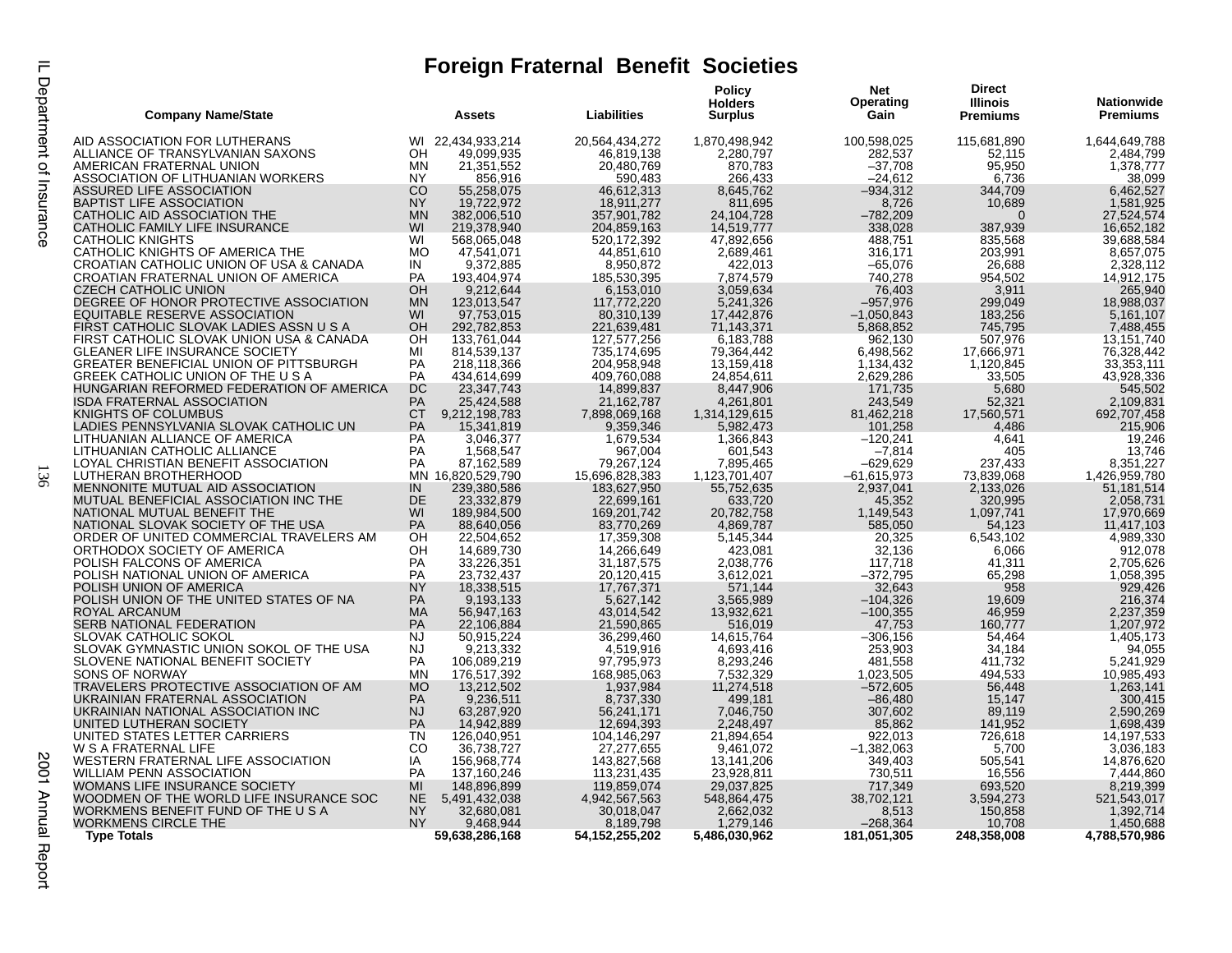## **Foreign Fraternal Benefit Societies**

| <b>Company Name/State</b>                                                          |                        | <b>Assets</b>              | Liabilities                | Policy<br><b>Holders</b><br><b>Surplus</b> | <b>Net</b><br>Operating<br>Gain | Direct<br><b>Illinois</b><br><b>Premiums</b> | <b>Nationwide</b><br><b>Premiums</b> |
|------------------------------------------------------------------------------------|------------------------|----------------------------|----------------------------|--------------------------------------------|---------------------------------|----------------------------------------------|--------------------------------------|
| AID ASSOCIATION FOR LUTHERANS                                                      |                        | WI 22,434,933,214          | 20,564,434,272             | 1,870,498,942                              | 100,598,025                     | 115,681,890                                  | 1,644,649,788                        |
| ALLIANCE OF TRANSYLVANIAN SAXONS                                                   | OH                     | 49,099,935                 | 46,819,138                 | 2,280,797                                  | 282,537                         | 52,115                                       | 2,484,799                            |
| AMERICAN FRATERNAL UNION                                                           | MN                     | 21,351,552                 | 20,480,769                 | 870,783                                    | $-37.708$                       | 95,950                                       | 1,378,777                            |
| ASSOCIATION OF LITHUANIAN WORKERS                                                  | <b>NY</b>              | 856,916                    | 590,483                    | 266,433                                    | $-24,612$                       | 6,736                                        | 38,099                               |
| ASSURED LIFE ASSOCIATION                                                           | CO                     | 55,258,075                 | 46,612,313                 | 8,645,762                                  | $-934,312$                      | 344,709                                      | 6,462,527                            |
| <b>BAPTIST LIFE ASSOCIATION</b><br>CATHOLIC AID ASSOCIATION THE                    | <b>NY</b><br><b>MN</b> | 19,722,972                 | 18,911,277                 | 811,695                                    | 8,726                           | 10,689<br>$\Omega$                           | 1,581,925<br>27,524,574              |
| CATHOLIC FAMILY LIFE INSURANCE                                                     | WI                     | 382,006,510<br>219,378,940 | 357,901,782<br>204,859,163 | 24,104,728<br>14,519,777                   | $-782,209$<br>338.028           | 387,939                                      | 16,652,182                           |
| <b>CATHOLIC KNIGHTS</b>                                                            | WI                     | 568,065,048                | 520, 172, 392              | 47,892,656                                 | 488,751                         | 835,568                                      | 39,688,584                           |
| CATHOLIC KNIGHTS OF AMERICA THE                                                    | <b>MO</b>              | 47,541,071                 | 44,851,610                 | 2,689,461                                  | 316,171                         | 203,991                                      | 8,657,075                            |
| CROATIAN CATHOLIC UNION OF USA & CANADA                                            | IN                     | 9,372,885                  | 8,950,872                  | 422,013                                    | $-65,076$                       | 26,688                                       | 2,328,112                            |
| CROATIAN FRATERNAL UNION OF AMERICA                                                | PA                     | 193,404,974                | 185,530,395                | 7,874,579                                  | 740,278                         | 954,502                                      | 14,912,175                           |
| <b>CZECH CATHOLIC UNION</b>                                                        | OΗ                     | 9,212,644                  | 6,153,010                  | 3.059.634                                  | 76,403                          | 3,911                                        | 265,940                              |
| DEGREE OF HONOR PROTECTIVE ASSOCIATION                                             | <b>MN</b>              | 123,013,547                | 117,772,220                | 5,241,326                                  | $-957,976$                      | 299,049                                      | 18,988,037                           |
| EQUITABLE RESERVE ASSOCIATION                                                      | WI                     | 97,753,015                 | 80,310,139                 | 17,442,876                                 | $-1,050,843$                    | 183,256                                      | 5,161,107                            |
| FIRST CATHOLIC SLOVAK LADIES ASSN U S A                                            | OH                     | 292,782,853                | 221,639,481                | 71,143,371                                 | 5,868,852                       | 745,795                                      | 7,488,455                            |
| FIRST CATHOLIC SLOVAK UNION USA & CANADA                                           | OН                     | 133,761,044                | 127,577,256                | 6,183,788                                  | 962,130                         | 507,976                                      | 13,151,740                           |
| GLEANER LIFE INSURANCE SOCIETY                                                     | MI                     | 814,539,137                | 735,174,695                | 79,364,442                                 | 6,498,562                       | 17,666,971                                   | 76,328,442                           |
| <b>GREATER BENEFICIAL UNION OF PITTSBURGH</b><br>GREEK CATHOLIC UNION OF THE U S A | <b>PA</b><br>PA        | 218,118,366<br>434,614,699 | 204,958,948<br>409,760,088 | 13,159,418<br>24,854,611                   | 1,134,432<br>2,629,286          | 1,120,845<br>33,505                          | 33,353,111<br>43,928,336             |
| HUNGARIAN REFORMED FEDERATION OF AMERICA                                           | <b>DC</b>              | 23,347,743                 | 14.899.837                 | 8.447.906                                  | 171,735                         | 5.680                                        | 545,502                              |
| <b>ISDA FRATERNAL ASSOCIATION</b>                                                  | <b>PA</b>              | 25,424,588                 | 21,162,787                 | 4,261,801                                  | 243,549                         | 52,321                                       | 2,109,831                            |
| KNIGHTS OF COLUMBUS                                                                | <b>CT</b>              | 9,212,198,783              | 7,898,069,168              | 1,314,129,615                              | 81,462,218                      | 17,560,571                                   | 692,707,458                          |
| LADIES PENNSYLVANIA SLOVAK CATHOLIC UN                                             | <b>PA</b>              | 15,341,819                 | 9,359,346                  | 5,982,473                                  | 101.258                         | 4,486                                        | 215,906                              |
| LITHUANIAN ALLIANCE OF AMERICA                                                     | PA                     | 3,046,377                  | 1,679,534                  | 1,366,843                                  | $-120,241$                      | 4,641                                        | 19,246                               |
| LITHUANIAN CATHOLIC ALLIANCE                                                       | PA                     | 1,568,547                  | 967,004                    | 601,543                                    | $-7,814$                        | 405                                          | 13,746                               |
| LOYAL CHRISTIAN BENEFIT ASSOCIATION                                                | PA                     | 87,162,589                 | 79,267,124                 | 7,895,465                                  | $-629.629$                      | 237,433                                      | 8,351,227                            |
| LUTHERAN BROTHERHOOD                                                               |                        | MN 16,820,529,790          | 15,696,828,383             | 1,123,701,407                              | $-61,615,973$                   | 73,839,068                                   | 1,426,959,780                        |
| MENNONITE MUTUAL AID ASSOCIATION                                                   | IN                     | 239,380,586                | 183,627,950                | 55,752,635                                 | 2,937,041                       | 2,133,026                                    | 51,181,514                           |
| MUTUAL BENEFICIAL ASSOCIATION INC THE                                              | <b>DE</b>              | 23,332,879                 | 22,699,161                 | 633,720                                    | 45,352                          | 320,995                                      | 2,058,731                            |
| NATIONAL MUTUAL BENEFIT THE                                                        | WI                     | 189,984,500                | 169,201,742                | 20,782,758                                 | 1,149,543                       | 1,097,741                                    | 17,970,669                           |
| NATIONAL SLOVAK SOCIETY OF THE USA                                                 | PA                     | 88,640,056                 | 83,770,269                 | 4.869.787                                  | 585,050                         | 54,123                                       | 11,417,103                           |
| ORDER OF UNITED COMMERCIAL TRAVELERS AM                                            | OН<br>OH               | 22,504,652                 | 17,359,308                 | 5,145,344                                  | 20,325                          | 6,543,102                                    | 4,989,330                            |
| ORTHODOX SOCIETY OF AMERICA<br>POLISH FALCONS OF AMERICA                           | PA                     | 14,689,730<br>33.226.351   | 14,266,649<br>31,187,575   | 423,081<br>2.038.776                       | 32,136<br>117.718               | 6,066<br>41,311                              | 912,078<br>2,705,626                 |
| POLISH NATIONAL UNION OF AMERICA                                                   | PA                     | 23,732,437                 | 20,120,415                 | 3,612,021                                  | $-372,795$                      | 65,298                                       | 1,058,395                            |
| POLISH UNION OF AMERICA                                                            | NY                     | 18,338,515                 | 17,767,371                 | 571,144                                    | 32,643                          | 958                                          | 929,426                              |
| POLISH UNION OF THE UNITED STATES OF NA                                            | <b>PA</b>              | 9,193,133                  | 5,627,142                  | 3,565,989                                  | $-104,326$                      | 19,609                                       | 216,374                              |
| ROYAL ARCANUM                                                                      | МA                     | 56,947,163                 | 43,014,542                 | 13,932,621                                 | $-100,355$                      | 46,959                                       | 2,237,359                            |
| SERB NATIONAL FEDERATION                                                           | <b>PA</b>              | 22,106,884                 | 21,590,865                 | 516,019                                    | 47,753                          | 160,777                                      | 1,207,972                            |
| SLOVAK CATHOLIC SOKOL                                                              | NJ                     | 50,915,224                 | 36,299,460                 | 14,615,764                                 | $-306, 156$                     | 54,464                                       | 1,405,173                            |
| SLOVAK GYMNASTIC UNION SOKOL OF THE USA                                            | NJ                     | 9,213,332                  | 4,519,916                  | 4,693,416                                  | 253,903                         | 34,184                                       | 94,055                               |
| SLOVENE NATIONAL BENEFIT SOCIETY                                                   | PA                     | 106,089,219                | 97.795.973                 | 8,293,246                                  | 481.558                         | 411.732                                      | 5,241,929                            |
| <b>SONS OF NORWAY</b>                                                              | MN                     | 176,517,392                | 168,985,063                | 7.532.329                                  | 1,023,505                       | 494.533                                      | 10,985,493                           |
| TRAVELERS PROTECTIVE ASSOCIATION OF AM                                             | <b>MO</b>              | 13,212,502                 | 1,937,984                  | 11,274,518                                 | $-572,605$                      | 56,448                                       | 1,263,141                            |
| UKRAINIAN FRATERNAL ASSOCIATION                                                    | <b>PA</b>              | 9,236,511                  | 8,737,330                  | 499.181                                    | $-86.480$                       | 15,147                                       | 300,415                              |
| UKRAINIAN NATIONAL ASSOCIATION INC<br>UNITED LUTHERAN SOCIETY                      | NJ<br>PA               | 63,287,920<br>14,942,889   | 56,241,171<br>12,694,393   | 7,046,750<br>2,248,497                     | 307,602<br>85,862               | 89,119<br>141,952                            | 2,590,269                            |
| UNITED STATES LETTER CARRIERS                                                      | ΤN                     | 126,040,951                | 104,146,297                | 21,894,654                                 | 922,013                         | 726,618                                      | 1,698,439<br>14,197,533              |
| W S A FRATERNAL LIFE                                                               | CО                     | 36,738,727                 | 27,277,655                 | 9,461,072                                  | $-1,382,063$                    | 5,700                                        | 3,036,183                            |
| WESTERN FRATERNAL LIFE ASSOCIATION                                                 | ΙA                     | 156,968,774                | 143,827,568                | 13,141,206                                 | 349,403                         | 505,541                                      | 14,876,620                           |
| <b>WILLIAM PENN ASSOCIATION</b>                                                    | PA                     | 137,160,246                | 113,231,435                | 23,928,811                                 | 730,511                         | 16,556                                       | 7,444,860                            |
| WOMANS LIFE INSURANCE SOCIETY                                                      | MI                     | 148,896,899                | 119,859,074                | 29,037,825                                 | 717,349                         | 693,520                                      | 8,219,399                            |
| WOODMEN OF THE WORLD LIFE INSURANCE SOC                                            | <b>NE</b>              | 5,491,432,038              | 4,942,567,563              | 548,864,475                                | 38.702.121                      | 3,594,273                                    | 521,543,017                          |
| WORKMENS BENEFIT FUND OF THE U S A                                                 | NY                     | 32,680,081                 | 30,018,047                 | 2,662,032                                  | 8,513                           | 150,858                                      | 1,392,714                            |
| <b>WORKMENS CIRCLE THE</b>                                                         | <b>NY</b>              | 9,468,944                  | 8,189,798                  | 1,279,146                                  | $-268,364$                      | 10,708                                       | 1,450,688                            |
| <b>Type Totals</b>                                                                 |                        | 59,638,286,168             | 54,152,255,202             | 5,486,030,962                              | 181,051,305                     | 248,358,008                                  | 4,788,570,986                        |

136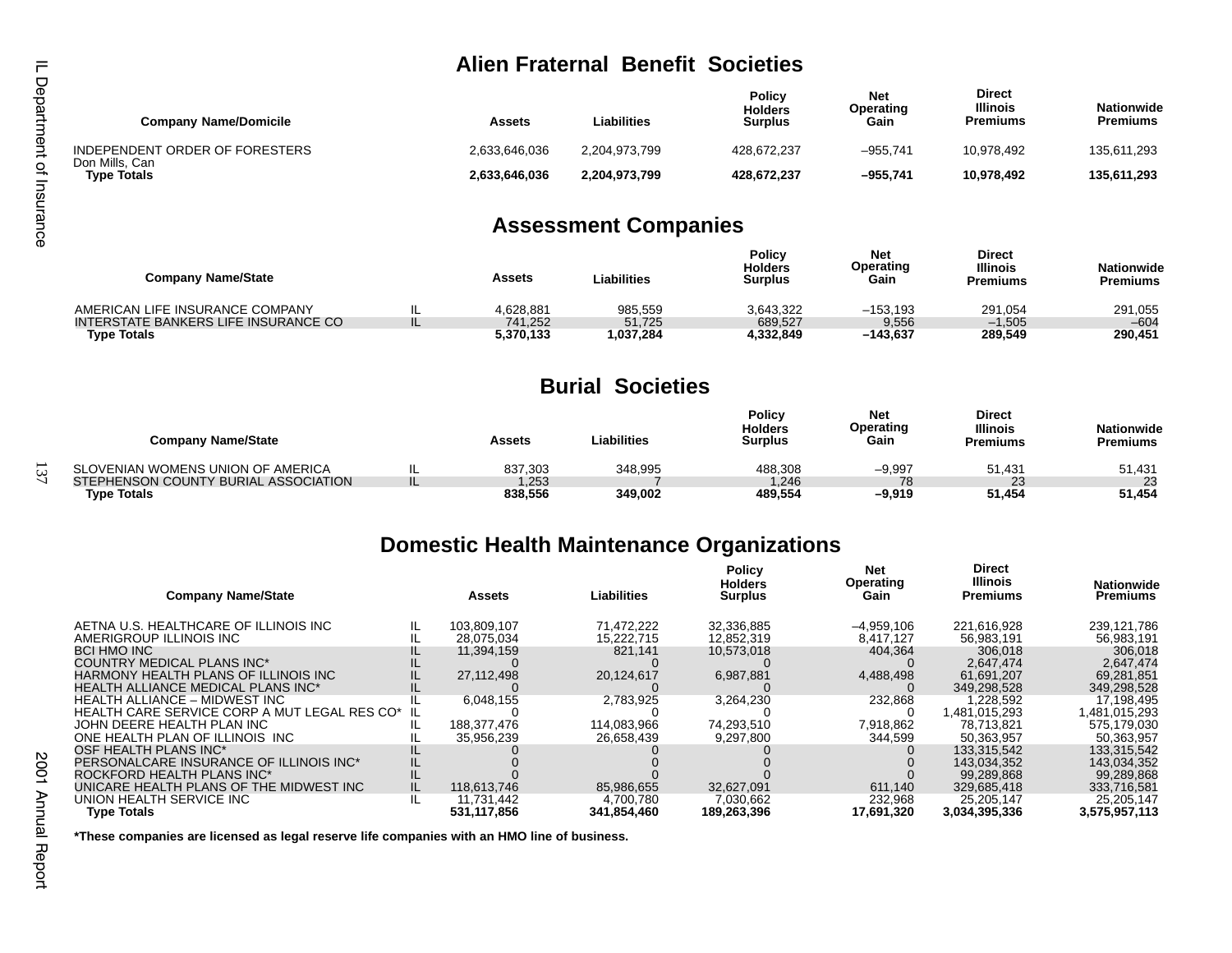#### **Alien Fraternal Benefit Societies**

| <b>Company Name/Domicile</b>                     | Assets        | Liabilities   | Policy<br><b>Holders</b><br><b>Surplus</b> | <b>Net</b><br>Operating<br>Gain | <b>Direct</b><br><b>Illinois</b><br><b>Premiums</b> | <b>Nationwide</b><br><b>Premiums</b> |
|--------------------------------------------------|---------------|---------------|--------------------------------------------|---------------------------------|-----------------------------------------------------|--------------------------------------|
| INDEPENDENT ORDER OF FORESTERS<br>Don Mills, Can | 2.633.646.036 | 2.204.973.799 | 428.672.237                                | $-955.741$                      | 10.978.492                                          | 135.611.293                          |
| <b>Type Totals</b>                               | 2,633,646,036 | 2,204,973,799 | 428.672.237                                | $-955.741$                      | 10.978.492                                          | 135.611.293                          |

#### **Assessment Companies**

| Companv Name/State                   |     | Assets    | .iabilities | <b>Policy</b><br><b>Holders</b><br>Surplus | Net<br>Operating<br>Gain | <b>Direct</b><br><b>Illinois</b><br><b>Premiums</b> | <b>Nationwide</b><br>Premiums |
|--------------------------------------|-----|-----------|-------------|--------------------------------------------|--------------------------|-----------------------------------------------------|-------------------------------|
| AMERICAN LIFE INSURANCE COMPANY      |     | 4.628.881 | 985.559     | 3.643.322                                  | $-153.193$               | 291.054                                             | 291,055                       |
| INTERSTATE BANKERS LIFE INSURANCE CO | . . | 741.252   | 51.725      | 689.527                                    | 9,556                    | $-1,505$                                            | $-604$                        |
| <b>Type Totals</b>                   |     | 5,370,133 | 1,037,284   | 1.332.849                                  | –143,637                 | 289,549                                             | 290,451                       |

#### **Burial Societies**

|                                      | <b>Company Name/State</b>            |     | Assets  | Liabilities | <b>Policy</b><br><b>Holders</b><br><b>Surplus</b> | <b>Net</b><br>Operating<br>Gain | <b>Direct</b><br><b>Illinois</b><br>Premiums | Nationwide<br>Premiums |
|--------------------------------------|--------------------------------------|-----|---------|-------------|---------------------------------------------------|---------------------------------|----------------------------------------------|------------------------|
| $\overline{\phantom{0}}$<br>$\omega$ | SLOVENIAN WOMENS UNION OF AMERICA    |     | 837.303 | 348.995     | 488.308                                           | $-9,997$                        | 51.431                                       | 51.431                 |
| ┙                                    | STEPHENSON COUNTY BURIAL ASSOCIATION | IL. | 1.253   |             | 1.246                                             | 78                              | 23                                           | 23                     |
|                                      | <b>Type Totals</b>                   |     | 838.556 | 349.002     | 489.554                                           | $-9,919$                        | 51.454                                       | 51.454                 |

#### **Domestic Health Maintenance Organizations**

| <b>Company Name/State</b>                                        | Assets                    | <b>Liabilities</b>       | <b>Policy</b><br><b>Holders</b><br><b>Surplus</b> | <b>Net</b><br>Operating<br>Gain | <b>Direct</b><br><b>Illinois</b><br><b>Premiums</b> | <b>Nationwide</b><br>Premiums |
|------------------------------------------------------------------|---------------------------|--------------------------|---------------------------------------------------|---------------------------------|-----------------------------------------------------|-------------------------------|
| AETNA U.S. HEALTHCARE OF ILLINOIS INC<br>AMERIGROUP ILLINOIS INC | 103.809.107<br>28.075.034 | 71,472,222<br>15,222,715 | 32.336.885<br>12,852,319                          | $-4.959.106$<br>8,417,127       | 221.616.928<br>56,983,191                           | 239,121,786<br>56,983,191     |
| BCI HMO INC                                                      | 11.394.159                | 821.141                  | 10.573.018                                        | 404.364                         | 306.018                                             | 306.018                       |
| <b>COUNTRY MEDICAL PLANS INC*</b>                                |                           |                          |                                                   |                                 | 2.647.474                                           | 2.647.474                     |
| HARMONY HEALTH PLANS OF ILLINOIS INC                             | 27.112.498                | 20,124,617               | 6,987,881                                         | 4,488,498                       | 61.691.207                                          | 69,281,851                    |
| <b>HEALTH ALLIANCE MEDICAL PLANS INC*</b>                        |                           |                          |                                                   |                                 | 349.298.528                                         | 349,298,528                   |
| <b>HEALTH ALLIANCE - MIDWEST INC</b>                             | 6.048.155                 | 2,783,925                | 3,264,230                                         | 232.868                         | 1,228,592                                           | 17,198,495                    |
| HEALTH CARE SERVICE CORP A MUT LEGAL RES CO*                     |                           |                          |                                                   |                                 | 1.481.015.293                                       | 1,481,015,293                 |
| JOHN DEERE HEALTH PLAN INC                                       | 188.377.476               | 114.083.966              | 74.293.510                                        | 7.918.862                       | 78.713.821                                          | 575,179,030                   |
| ONE HEALTH PLAN OF ILLINOIS INC                                  | 35,956,239                | 26,658,439               | 9,297,800                                         | 344.599                         | 50,363,957                                          | 50,363,957                    |
| OSF HEALTH PLANS INC*                                            |                           |                          |                                                   |                                 | 133.315.542                                         | 133,315,542                   |
| PERSONALCARE INSURANCE OF ILLINOIS INC*                          |                           |                          |                                                   |                                 | 143,034,352                                         | 143,034,352                   |
| ROCKFORD HEALTH PLANS INC*                                       |                           |                          |                                                   |                                 | 99,289,868                                          | 99,289,868                    |
| UNICARE HEALTH PLANS OF THE MIDWEST INC                          | 118.613.746               | 85,986,655               | 32,627,091                                        | 611,140                         | 329,685,418                                         | 333,716,581                   |
| UNION HEALTH SERVICE INC                                         | 11.731.442                | 4.700.780                | 7.030.662                                         | 232,968                         | 25,205,147                                          | 25,205,147                    |
| <b>Type Totals</b>                                               | 531,117,856               | 341,854,460              | 189,263,396                                       | 17,691,320                      | 3,034,395,336                                       | 3,575,957,113                 |

**\*These companies are licensed as legal reserve life companies with an HMO line of business.**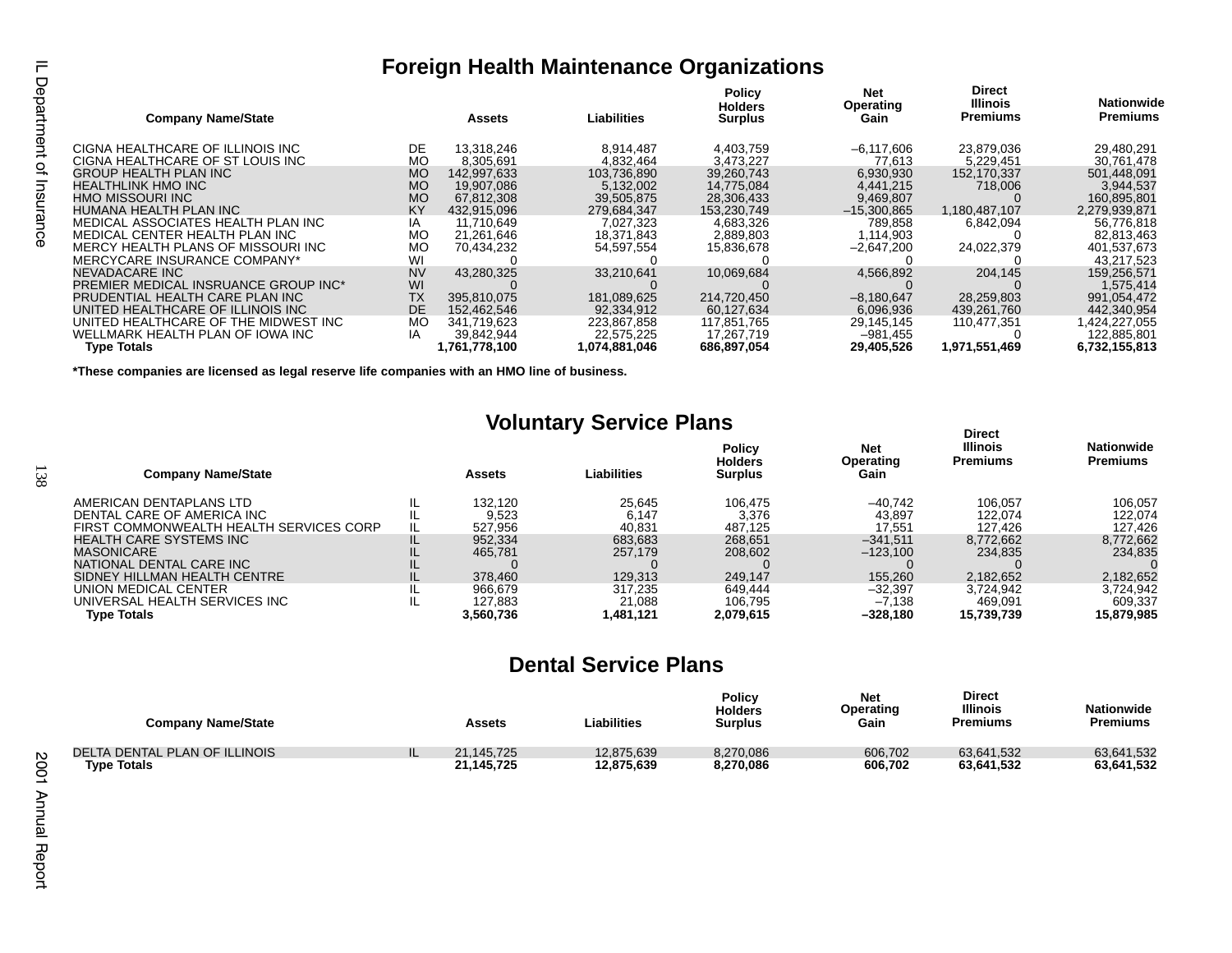#### **Foreign Health Maintenance Organizations**

| <b>Company Name/State</b>                                                |                        | Assets                     | Liabilities               | <b>Policy</b><br><b>Holders</b><br><b>Surplus</b> | <b>Net</b><br>Operating<br>Gain | <b>Direct</b><br><b>Illinois</b><br><b>Premiums</b> | <b>Nationwide</b><br>Premiums |
|--------------------------------------------------------------------------|------------------------|----------------------------|---------------------------|---------------------------------------------------|---------------------------------|-----------------------------------------------------|-------------------------------|
| CIGNA HEALTHCARE OF ILLINOIS INC<br>CIGNA HEALTHCARE OF ST LOUIS INC     | DE<br><b>MO</b>        | 13.318.246                 | 8.914.487                 | 4,403,759<br>3.473.227                            | $-6.117.606$<br>77.613          | 23.879.036<br>5,229,451                             | 29.480.291<br>30,761,478      |
| <b>GROUP HEALTH PLAN INC</b>                                             | <b>MO</b>              | 8,305,691<br>142.997.633   | 4,832,464<br>103.736.890  | 39.260.743                                        | 6.930.930                       | 152.170.337                                         | 501.448.091                   |
| <b>HEALTHLINK HMO INC</b><br>HMO MISSOURI INC                            | <b>MO</b><br><b>MO</b> | 19,907,086<br>67.812.308   | 5,132,002<br>39,505,875   | 14,775,084<br>28,306,433                          | 4,441,215<br>9,469,807          | 718,006                                             | 3,944,537<br>160,895,801      |
| HUMANA HEALTH PLAN INC<br>MEDICAL ASSOCIATES HEALTH PLAN INC             | <b>KY</b><br>IA        | 432.915.096<br>11.710.649  | 279.684.347<br>7.027.323  | 153.230.749<br>4,683,326                          | $-15.300.865$<br>789,858        | 1.180.487.107<br>6.842.094                          | 2,279,939,871<br>56,776,818   |
| MEDICAL CENTER HEALTH PLAN INC<br>MERCY HEALTH PLANS OF MISSOURI INC     | <b>MO</b><br><b>MO</b> | 21.261.646<br>70.434.232   | 18.371.843<br>54.597.554  | 2.889.803<br>15.836.678                           | 1.114.903<br>$-2.647.200$       | 24,022,379                                          | 82.813.463<br>401,537,673     |
| <b>MERCYCARE INSURANCE COMPANY*</b>                                      | WI                     |                            |                           |                                                   |                                 |                                                     | 43.217.523                    |
| <b>NEVADACARE INC</b><br>PREMIER MEDICAL INSRUANCE GROUP INC*            | <b>NV</b><br>WI        | 43.280.325                 | 33.210.641                | 10.069.684                                        | 4,566,892                       | 204.145                                             | 159,256,571<br>1.575.414      |
| PRUDENTIAL HEALTH CARE PLAN INC<br>UNITED HEALTHCARE OF ILLINOIS INC     | <b>TX</b><br><b>DE</b> | 395.810.075<br>152.462.546 | 181.089.625<br>92.334.912 | 214.720.450<br>60.127.634                         | $-8.180.647$<br>6.096.936       | 28.259.803<br>439.261.760                           | 991,054,472<br>442,340,954    |
| UNITED HEALTHCARE OF THE MIDWEST INC<br>WELLMARK HEALTH PLAN OF IOWA INC | <b>MO</b><br>IA        | 341.719.623<br>39,842,944  | 223.867.858<br>22,575,225 | 117.851.765<br>17,267,719                         | 29.145.145<br>$-981.455$        | 110,477,351                                         | 1,424,227,055<br>122,885,801  |
| <b>Type Totals</b>                                                       |                        | 1,761,778,100              | 1,074,881,046             | 686,897,054                                       | 29,405,526                      | 1,971,551,469                                       | 6,732,155,813                 |

**\*These companies are licensed as legal reserve life companies with an HMO line of business.**

#### **Voluntary Service Plans**

|                                         |   |           | <u>VULUILLAI VUUTIVUUTI ILAILIS</u> |                                            | <b>Direct</b>                   |                                    |                                      |  |
|-----------------------------------------|---|-----------|-------------------------------------|--------------------------------------------|---------------------------------|------------------------------------|--------------------------------------|--|
| <b>Company Name/State</b>               |   | Assets    | <b>Liabilities</b>                  | Policy<br><b>Holders</b><br><b>Surplus</b> | <b>Net</b><br>Operating<br>Gain | <b>Illinois</b><br><b>Premiums</b> | <b>Nationwide</b><br><b>Premiums</b> |  |
| AMERICAN DENTAPLANS LTD                 | ∟ | 132.120   | 25,645                              | 106.475                                    | $-40.742$                       | 106.057                            | 106.057                              |  |
| DENTAL CARE OF AMERICA INC              | ـ | 9.523     | 6.147                               | 3,376                                      | 43.897                          | 122.074                            | 122.074                              |  |
| FIRST COMMONWEALTH HEALTH SERVICES CORP | ╙ | 527.956   | 40,831                              | 487.125                                    | 17.551                          | 127.426                            | 127.426                              |  |
| <b>HEALTH CARE SYSTEMS INC</b>          |   | 952.334   | 683,683                             | 268.651                                    | $-341.511$                      | 8.772.662                          | 8,772,662                            |  |
| <b>MASONICARE</b>                       |   | 465.781   | 257.179                             | 208,602                                    | $-123,100$                      | 234.835                            | 234,835                              |  |
| NATIONAL DENTAL CARE INC                | ᅠ |           |                                     |                                            |                                 |                                    |                                      |  |
| SIDNEY HILLMAN HEALTH CENTRE            |   | 378.460   | 129.313                             | 249.147                                    | 155.260                         | 2,182,652                          | 2,182,652                            |  |
| UNION MEDICAL CENTER                    |   | 966.679   | 317.235                             | 649.444                                    | $-32.397$                       | 3.724.942                          | 3.724.942                            |  |
| UNIVERSAL HEALTH SERVICES INC           |   | 127.883   | 21.088                              | 106.795                                    | $-7,138$                        | 469.091                            | 609.337                              |  |
| Type Totals                             |   | 3,560,736 | l.481.121                           | 2,079,615                                  | $-328.180$                      | 15.739.739                         | 15.879.985                           |  |

#### **Dental Service Plans**

| <b>Company Name/State</b>     |    | Assets     | .iabilities | Policy<br><b>Holders</b><br>Surplus | <b>Net</b><br>Operating<br>Gain | <b>Direct</b><br><b>Illinois</b><br>Premiums | <b>Nationwide</b><br>Premiums |
|-------------------------------|----|------------|-------------|-------------------------------------|---------------------------------|----------------------------------------------|-------------------------------|
| DELTA DENTAL PLAN OF ILLINOIS | ⊔∟ | 21.145.725 | 12.875.639  | 8.270.086                           | 606.702                         | 63.641.532                                   | 63.641.532                    |
| <b>Type Totals</b>            |    | 21.145.725 | 12.875.639  | 8,270,086                           | 606.702                         | 63.641.532                                   | 63.641.532                    |

138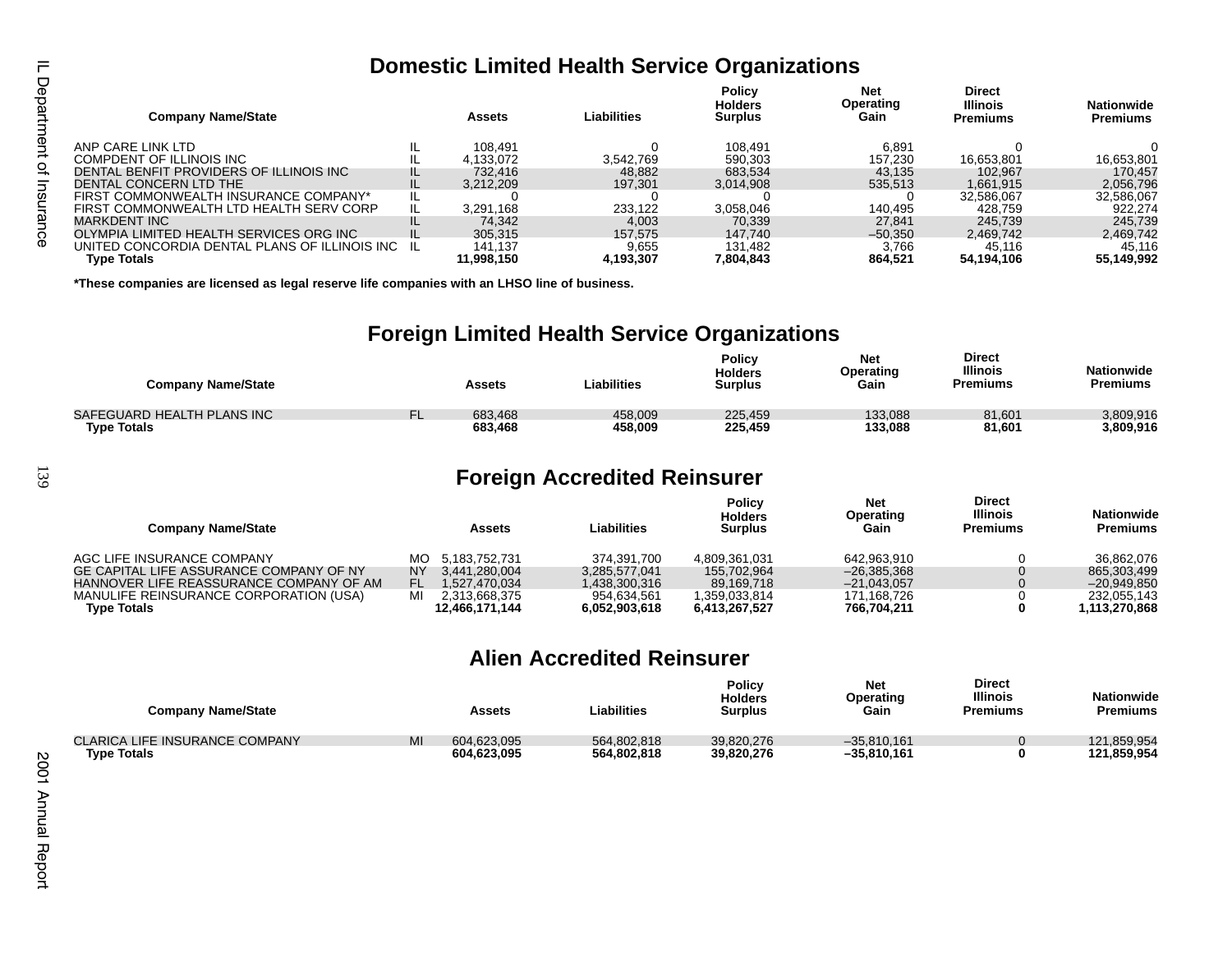#### **Domestic Limited Health Service Organizations**

| Company Name/State                            |    | <b>Assets</b> | <b>Liabilities</b> | <b>Policy</b><br><b>Holders</b><br><b>Surplus</b> | <b>Net</b><br>Operating<br>Gain | <b>Direct</b><br><b>Illinois</b><br><b>Premiums</b> | <b>Nationwide</b><br><b>Premiums</b> |
|-----------------------------------------------|----|---------------|--------------------|---------------------------------------------------|---------------------------------|-----------------------------------------------------|--------------------------------------|
| ANP CARE LINK LTD                             |    | 108.491       |                    | 108.491                                           | 6,891                           |                                                     |                                      |
| COMPDENT OF ILLINOIS INC                      |    | 4.133.072     | 3.542.769          | 590.303                                           | 157,230                         | 16.653.801                                          | 16.653.801                           |
| DENTAL BENFIT PROVIDERS OF ILLINOIS INC.      | IL | 732.416       | 48.882             | 683.534                                           | 43.135                          | 102.967                                             | 170.457                              |
| <b>DENTAL CONCERN LTD THE</b>                 |    | 3.212.209     | 197,301            | 3.014.908                                         | 535,513                         | 1.661.915                                           | 2.056.796                            |
| FIRST COMMONWEALTH INSURANCE COMPANY*         |    |               |                    |                                                   |                                 | 32,586,067                                          | 32,586,067                           |
| FIRST COMMONWEALTH LTD HEALTH SERV CORP       | IL | 3.291.168     | 233.122            | 3.058.046                                         | 140.495                         | 428.759                                             | 922.274                              |
| MARKDENT INC                                  |    | 74.342        | 4.003              | 70.339                                            | 27.841                          | 245.739                                             | 245.739                              |
| OLYMPIA LIMITED HEALTH SERVICES ORG INC       |    | 305.315       | 157.575            | 147.740                                           | $-50.350$                       | 2.469.742                                           | 2.469.742                            |
| UNITED CONCORDIA DENTAL PLANS OF ILLINOIS INC |    | 141.137       | 9,655              | 131.482                                           | 3,766                           | 45.116                                              | 45.116                               |
| <b>Type Totals</b>                            |    | 11.998.150    | 4,193,307          | 7.804.843                                         | 864.521                         | 54.194.106                                          | 55.149.992                           |

**\*These companies are licensed as legal reserve life companies with an LHSO line of business.**

#### **Foreign Limited Health Service Organizations**

| <b>Company Name/State</b>  | Assets  | Liabilities | <b>Policy</b><br><b>Holders</b><br><b>Surplus</b> | <b>Net</b><br>Operating<br>Gain | <b>Direct</b><br><b>Illinois</b><br>Premiums | <b>Nationwide</b><br>Premiums |
|----------------------------|---------|-------------|---------------------------------------------------|---------------------------------|----------------------------------------------|-------------------------------|
| SAFEGUARD HEALTH PLANS INC | 683.468 | 458.009     | 225.459                                           | 133.088                         | 81.601                                       | 3.809.916                     |
| <b>Type Totals</b>         | 683.468 | 458.009     | 225.459                                           | 133.088                         | 81,601                                       | 3.809.916                     |

#### **Foreign Accredited Reinsurer**

| <b>Company Name/State</b>               |           | Assets         | Liabilities   | <b>Policy</b><br><b>Holders</b><br>Surplus | <b>Net</b><br>Operating<br>Gain | <b>Direct</b><br><b>Illinois</b><br><b>Premiums</b> | <b>Nationwide</b><br><b>Premiums</b> |
|-----------------------------------------|-----------|----------------|---------------|--------------------------------------------|---------------------------------|-----------------------------------------------------|--------------------------------------|
| AGC LIFE INSURANCE COMPANY              | МO        | 5.183.752.731  | 374.391.700   | 4.809.361.031                              | 642.963.910                     |                                                     | 36.862.076                           |
| GE CAPITAL LIFE ASSURANCE COMPANY OF NY | <b>NY</b> | 3.441.280.004  | 3.285.577.041 | 155.702.964                                | $-26.385.368$                   |                                                     | 865.303.499                          |
| HANNOVER LIFE REASSURANCE COMPANY OF AM | FL        | 1.527.470.034  | 1.438.300.316 | 89.169.718                                 | $-21.043.057$                   |                                                     | $-20.949.850$                        |
| MANULIFE REINSURANCE CORPORATION (USA)  | мі        | 2.313.668.375  | 954.634.561   | 1.359.033.814                              | 171.168.726                     |                                                     | 232.055.143                          |
| <b>Type Totals</b>                      |           | 12.466.171.144 | 6.052.903.618 | 6.413.267.527                              | 766.704.211                     |                                                     | 1.113.270.868                        |

#### **Alien Accredited Reinsurer**

| <b>Company Name/State</b>      | Assets      | Liabilities | Policy<br><b>Holders</b><br>Surplus | <b>Net</b><br><b>Jperating</b><br>Gain | <b>Direct</b><br><b>Illinois</b><br>Premiums | <b>Nationwide</b><br><b>Premiums</b> |
|--------------------------------|-------------|-------------|-------------------------------------|----------------------------------------|----------------------------------------------|--------------------------------------|
| CLARICA LIFE INSURANCE COMPANY | 604.623.095 | 564.802.818 | 39.820.276                          | $-35.810.161$                          |                                              | 121.859.954                          |
| <b>Type Totals</b>             | 604,623,095 | 564.802.818 | 39.820.276                          | $-35.810.161$                          |                                              | 121.859.954                          |